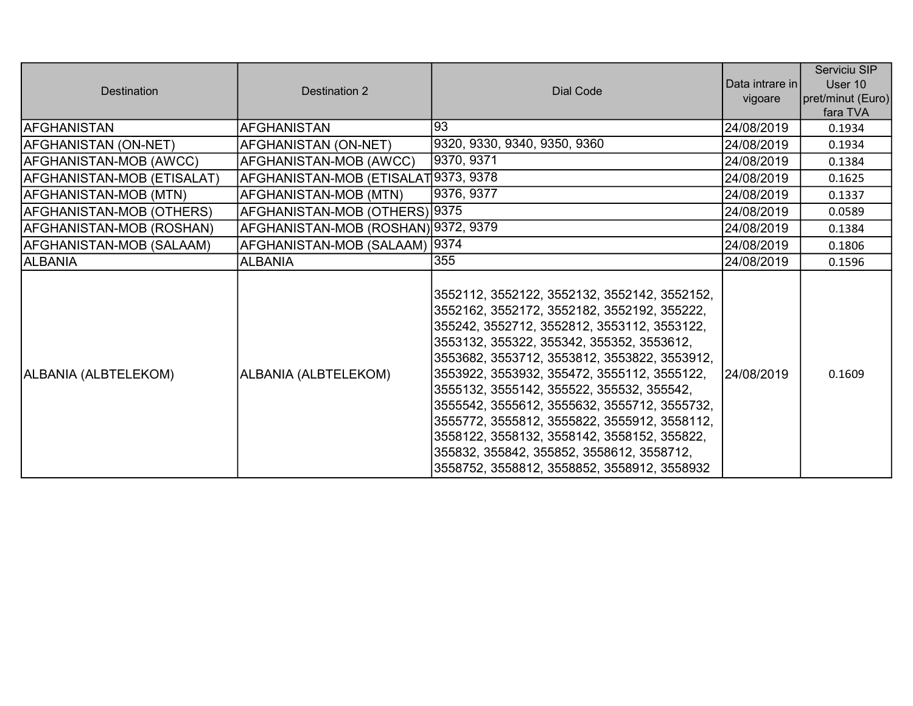| Destination                | Destination 2                        | Dial Code                                                                                                                                                                                                                                                                                                                                                                                                                                                                                                                                                                      | Data intrare in | Serviciu SIP<br>User 10       |
|----------------------------|--------------------------------------|--------------------------------------------------------------------------------------------------------------------------------------------------------------------------------------------------------------------------------------------------------------------------------------------------------------------------------------------------------------------------------------------------------------------------------------------------------------------------------------------------------------------------------------------------------------------------------|-----------------|-------------------------------|
|                            |                                      |                                                                                                                                                                                                                                                                                                                                                                                                                                                                                                                                                                                | vigoare         | pret/minut (Euro)<br>fara TVA |
| <b>AFGHANISTAN</b>         | <b>AFGHANISTAN</b>                   | 93                                                                                                                                                                                                                                                                                                                                                                                                                                                                                                                                                                             | 24/08/2019      | 0.1934                        |
| AFGHANISTAN (ON-NET)       | AFGHANISTAN (ON-NET)                 | 9320, 9330, 9340, 9350, 9360                                                                                                                                                                                                                                                                                                                                                                                                                                                                                                                                                   | 24/08/2019      | 0.1934                        |
| AFGHANISTAN-MOB (AWCC)     | AFGHANISTAN-MOB (AWCC)               | 9370, 9371                                                                                                                                                                                                                                                                                                                                                                                                                                                                                                                                                                     | 24/08/2019      | 0.1384                        |
| AFGHANISTAN-MOB (ETISALAT) | AFGHANISTAN-MOB (ETISALAT 9373, 9378 |                                                                                                                                                                                                                                                                                                                                                                                                                                                                                                                                                                                | 24/08/2019      | 0.1625                        |
| AFGHANISTAN-MOB (MTN)      | AFGHANISTAN-MOB (MTN)                | 9376, 9377                                                                                                                                                                                                                                                                                                                                                                                                                                                                                                                                                                     | 24/08/2019      | 0.1337                        |
| AFGHANISTAN-MOB (OTHERS)   | AFGHANISTAN-MOB (OTHERS) 9375        |                                                                                                                                                                                                                                                                                                                                                                                                                                                                                                                                                                                | 24/08/2019      | 0.0589                        |
| AFGHANISTAN-MOB (ROSHAN)   | AFGHANISTAN-MOB (ROSHAN) 9372, 9379  |                                                                                                                                                                                                                                                                                                                                                                                                                                                                                                                                                                                | 24/08/2019      | 0.1384                        |
| AFGHANISTAN-MOB (SALAAM)   | AFGHANISTAN-MOB (SALAAM)  9374       |                                                                                                                                                                                                                                                                                                                                                                                                                                                                                                                                                                                | 24/08/2019      | 0.1806                        |
| <b>ALBANIA</b>             | <b>ALBANIA</b>                       | 355                                                                                                                                                                                                                                                                                                                                                                                                                                                                                                                                                                            | 24/08/2019      | 0.1596                        |
| ALBANIA (ALBTELEKOM)       | ALBANIA (ALBTELEKOM)                 | 3552112, 3552122, 3552132, 3552142, 3552152,<br>3552162, 3552172, 3552182, 3552192, 355222,<br>355242, 3552712, 3552812, 3553112, 3553122,<br>3553132, 355322, 355342, 355352, 3553612,<br>3553682, 3553712, 3553812, 3553822, 3553912,<br>3553922, 3553932, 355472, 3555112, 3555122,<br>3555132, 3555142, 355522, 355532, 355542,<br>3555542, 3555612, 3555632, 3555712, 3555732,<br>3555772, 3555812, 3555822, 3555912, 3558112,<br>3558122, 3558132, 3558142, 3558152, 355822,<br>355832, 355842, 355852, 3558612, 3558712,<br>3558752, 3558812, 3558852, 3558912, 3558932 | 24/08/2019      | 0.1609                        |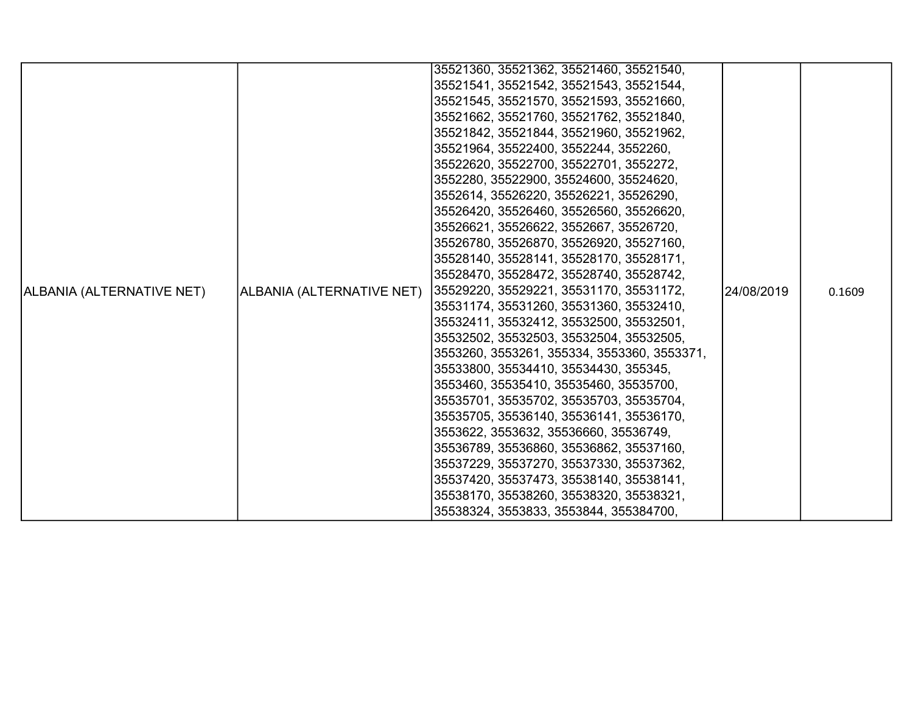|                           |                           | 35521360, 35521362, 35521460, 35521540,     |             |        |
|---------------------------|---------------------------|---------------------------------------------|-------------|--------|
|                           |                           | 35521541, 35521542, 35521543, 35521544,     |             |        |
|                           |                           | 35521545, 35521570, 35521593, 35521660,     |             |        |
|                           |                           | 35521662, 35521760, 35521762, 35521840,     |             |        |
|                           |                           | 35521842, 35521844, 35521960, 35521962,     |             |        |
|                           |                           | 35521964, 35522400, 3552244, 3552260,       |             |        |
|                           |                           | 35522620, 35522700, 35522701, 3552272,      |             |        |
|                           |                           | 3552280, 35522900, 35524600, 35524620,      |             |        |
|                           |                           | 3552614, 35526220, 35526221, 35526290,      |             |        |
|                           |                           | 35526420, 35526460, 35526560, 35526620,     |             |        |
|                           |                           | 35526621, 35526622, 3552667, 35526720,      |             |        |
|                           |                           | 35526780, 35526870, 35526920, 35527160,     |             |        |
|                           |                           | 35528140, 35528141, 35528170, 35528171,     |             |        |
|                           |                           | 35528470, 35528472, 35528740, 35528742,     |             |        |
| ALBANIA (ALTERNATIVE NET) | ALBANIA (ALTERNATIVE NET) | 35529220, 35529221, 35531170, 35531172,     | l24/08/2019 | 0.1609 |
|                           |                           | 35531174, 35531260, 35531360, 35532410,     |             |        |
|                           |                           | 35532411, 35532412, 35532500, 35532501,     |             |        |
|                           |                           | 35532502, 35532503, 35532504, 35532505,     |             |        |
|                           |                           | 3553260, 3553261, 355334, 3553360, 3553371, |             |        |
|                           |                           | 35533800, 35534410, 35534430, 355345,       |             |        |
|                           |                           | 3553460, 35535410, 35535460, 35535700,      |             |        |
|                           |                           | 35535701, 35535702, 35535703, 35535704,     |             |        |
|                           |                           | 35535705, 35536140, 35536141, 35536170,     |             |        |
|                           |                           | 3553622, 3553632, 35536660, 35536749,       |             |        |
|                           |                           | 35536789, 35536860, 35536862, 35537160,     |             |        |
|                           |                           | 35537229, 35537270, 35537330, 35537362,     |             |        |
|                           |                           | 35537420, 35537473, 35538140, 35538141,     |             |        |
|                           |                           | 35538170, 35538260, 35538320, 35538321,     |             |        |
|                           |                           | 35538324, 3553833, 3553844, 355384700,      |             |        |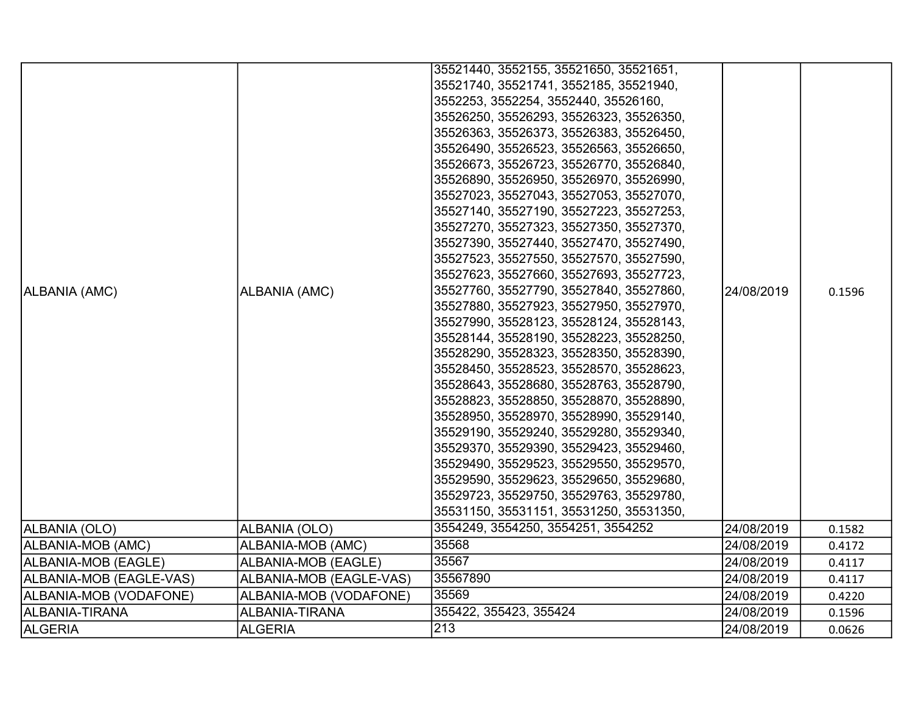|                         |                         | 35521440, 3552155, 35521650, 35521651,  |            |        |
|-------------------------|-------------------------|-----------------------------------------|------------|--------|
|                         |                         | 35521740, 35521741, 3552185, 35521940,  |            |        |
|                         |                         | 3552253, 3552254, 3552440, 35526160,    |            |        |
|                         |                         | 35526250, 35526293, 35526323, 35526350, |            |        |
|                         |                         | 35526363, 35526373, 35526383, 35526450, |            |        |
|                         |                         | 35526490, 35526523, 35526563, 35526650, |            |        |
|                         |                         | 35526673, 35526723, 35526770, 35526840, |            |        |
|                         |                         | 35526890, 35526950, 35526970, 35526990, |            |        |
|                         |                         | 35527023, 35527043, 35527053, 35527070, |            |        |
|                         |                         | 35527140, 35527190, 35527223, 35527253, |            |        |
|                         |                         | 35527270, 35527323, 35527350, 35527370, |            |        |
|                         |                         | 35527390, 35527440, 35527470, 35527490, |            |        |
|                         |                         | 35527523, 35527550, 35527570, 35527590, |            |        |
|                         |                         | 35527623, 35527660, 35527693, 35527723, |            |        |
| ALBANIA (AMC)           | ALBANIA (AMC)           | 35527760, 35527790, 35527840, 35527860, | 24/08/2019 | 0.1596 |
|                         |                         | 35527880, 35527923, 35527950, 35527970, |            |        |
|                         |                         | 35527990, 35528123, 35528124, 35528143, |            |        |
|                         |                         | 35528144, 35528190, 35528223, 35528250, |            |        |
|                         |                         | 35528290, 35528323, 35528350, 35528390, |            |        |
|                         |                         | 35528450, 35528523, 35528570, 35528623, |            |        |
|                         |                         | 35528643, 35528680, 35528763, 35528790, |            |        |
|                         |                         | 35528823, 35528850, 35528870, 35528890, |            |        |
|                         |                         | 35528950, 35528970, 35528990, 35529140, |            |        |
|                         |                         | 35529190, 35529240, 35529280, 35529340, |            |        |
|                         |                         | 35529370, 35529390, 35529423, 35529460, |            |        |
|                         |                         | 35529490, 35529523, 35529550, 35529570, |            |        |
|                         |                         | 35529590, 35529623, 35529650, 35529680, |            |        |
|                         |                         | 35529723, 35529750, 35529763, 35529780, |            |        |
|                         |                         | 35531150, 35531151, 35531250, 35531350, |            |        |
| ALBANIA (OLO)           | ALBANIA (OLO)           | 3554249, 3554250, 3554251, 3554252      | 24/08/2019 | 0.1582 |
| ALBANIA-MOB (AMC)       | ALBANIA-MOB (AMC)       | 35568                                   | 24/08/2019 | 0.4172 |
| ALBANIA-MOB (EAGLE)     | ALBANIA-MOB (EAGLE)     | 35567                                   | 24/08/2019 | 0.4117 |
| ALBANIA-MOB (EAGLE-VAS) | ALBANIA-MOB (EAGLE-VAS) | 35567890                                | 24/08/2019 | 0.4117 |
| ALBANIA-MOB (VODAFONE)  | ALBANIA-MOB (VODAFONE)  | 35569                                   | 24/08/2019 | 0.4220 |
| ALBANIA-TIRANA          | ALBANIA-TIRANA          | 355422, 355423, 355424                  | 24/08/2019 | 0.1596 |
| <b>ALGERIA</b>          | <b>ALGERIA</b>          | 213                                     | 24/08/2019 | 0.0626 |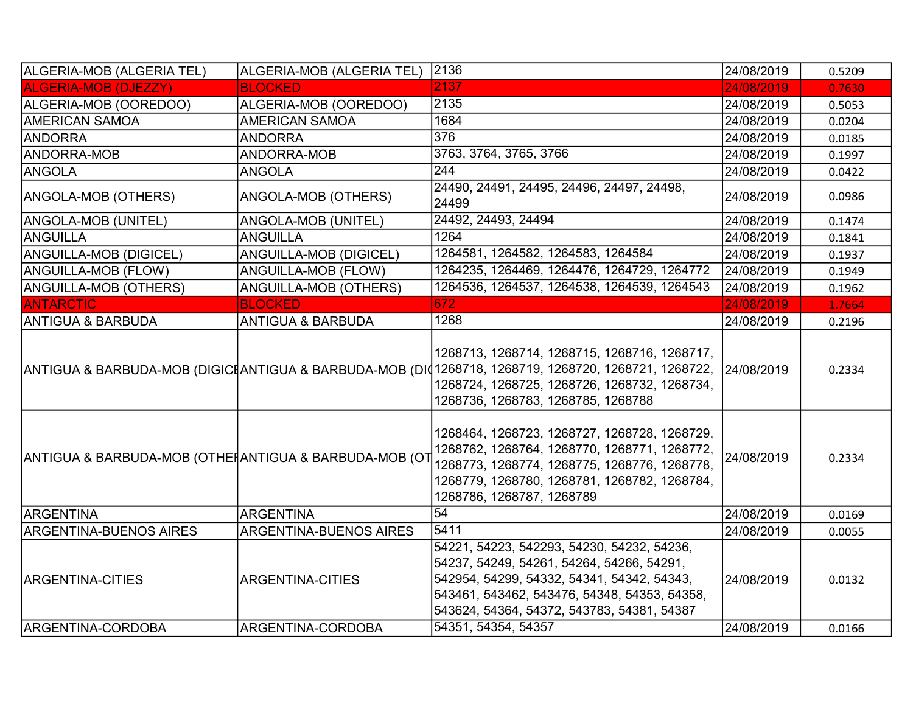| ALGERIA-MOB (ALGERIA TEL)                              | ALGERIA-MOB (ALGERIA TEL)     | 2136                                                                                                                                                                                                                                                          | 24/08/2019 | 0.5209 |
|--------------------------------------------------------|-------------------------------|---------------------------------------------------------------------------------------------------------------------------------------------------------------------------------------------------------------------------------------------------------------|------------|--------|
| <b>ALGERIA-MOB (DJEZZY)</b>                            | <b>BLOCKED</b>                | 2137                                                                                                                                                                                                                                                          | 24/08/2019 | 0.7630 |
| ALGERIA-MOB (OOREDOO)                                  | ALGERIA-MOB (OOREDOO)         | 2135                                                                                                                                                                                                                                                          | 24/08/2019 | 0.5053 |
| <b>AMERICAN SAMOA</b>                                  | <b>AMERICAN SAMOA</b>         | 1684                                                                                                                                                                                                                                                          | 24/08/2019 | 0.0204 |
| <b>ANDORRA</b>                                         | <b>ANDORRA</b>                | 376                                                                                                                                                                                                                                                           | 24/08/2019 | 0.0185 |
| <b>ANDORRA-MOB</b>                                     | ANDORRA-MOB                   | 3763, 3764, 3765, 3766                                                                                                                                                                                                                                        | 24/08/2019 | 0.1997 |
| ANGOLA                                                 | <b>ANGOLA</b>                 | 244                                                                                                                                                                                                                                                           | 24/08/2019 | 0.0422 |
| ANGOLA-MOB (OTHERS)                                    | ANGOLA-MOB (OTHERS)           | 24490, 24491, 24495, 24496, 24497, 24498,<br>24499                                                                                                                                                                                                            | 24/08/2019 | 0.0986 |
| ANGOLA-MOB (UNITEL)                                    | ANGOLA-MOB (UNITEL)           | 24492, 24493, 24494                                                                                                                                                                                                                                           | 24/08/2019 | 0.1474 |
| ANGUILLA                                               | <b>ANGUILLA</b>               | 1264                                                                                                                                                                                                                                                          | 24/08/2019 | 0.1841 |
| <b>ANGUILLA-MOB (DIGICEL)</b>                          | ANGUILLA-MOB (DIGICEL)        | 1264581, 1264582, 1264583, 1264584                                                                                                                                                                                                                            | 24/08/2019 | 0.1937 |
| <b>ANGUILLA-MOB (FLOW)</b>                             | ANGUILLA-MOB (FLOW)           | 1264235, 1264469, 1264476, 1264729, 1264772                                                                                                                                                                                                                   | 24/08/2019 | 0.1949 |
| ANGUILLA-MOB (OTHERS)                                  | ANGUILLA-MOB (OTHERS)         | 1264536, 1264537, 1264538, 1264539, 1264543                                                                                                                                                                                                                   | 24/08/2019 | 0.1962 |
| <b>ANTARCTIC</b>                                       | <b>BLOCKED</b>                | 672                                                                                                                                                                                                                                                           | 24/08/2019 | 1.7664 |
| <b>ANTIGUA &amp; BARBUDA</b>                           | <b>ANTIGUA &amp; BARBUDA</b>  | 1268                                                                                                                                                                                                                                                          | 24/08/2019 | 0.2196 |
|                                                        |                               | 1268713, 1268714, 1268715, 1268716, 1268717,<br>ANTIGUA & BARBUDA-MOB (DIGIC‡ANTIGUA & BARBUDA-MOB (DI⊄1268718, 1268719, 1268720, 1268721, 1268722, <i>24/08/2019</i>  <br>1268724, 1268725, 1268726, 1268732, 1268734,<br>1268736, 1268783, 1268785, 1268788 |            | 0.2334 |
| ANTIGUA & BARBUDA-MOB (OTHEI ANTIGUA & BARBUDA-MOB (OT |                               | 1268464, 1268723, 1268727, 1268728, 1268729,<br>1268762, 1268764, 1268770, 1268771, 1268772,<br>1268773, 1268774, 1268775, 1268776, 1268778,<br>1268779, 1268780, 1268781, 1268782, 1268784,<br>1268786, 1268787, 1268789                                     | 24/08/2019 | 0.2334 |
| <b>ARGENTINA</b>                                       | <b>ARGENTINA</b>              | 54                                                                                                                                                                                                                                                            | 24/08/2019 | 0.0169 |
| <b>ARGENTINA-BUENOS AIRES</b>                          | <b>ARGENTINA-BUENOS AIRES</b> | 5411                                                                                                                                                                                                                                                          | 24/08/2019 | 0.0055 |
| <b>ARGENTINA-CITIES</b>                                | <b>ARGENTINA-CITIES</b>       | 54221, 54223, 542293, 54230, 54232, 54236,<br>54237, 54249, 54261, 54264, 54266, 54291,<br>542954, 54299, 54332, 54341, 54342, 54343,<br>543461, 543462, 543476, 54348, 54353, 54358,<br>543624, 54364, 54372, 543783, 54381, 54387<br>54351, 54354, 54357    | 24/08/2019 | 0.0132 |
| ARGENTINA-CORDOBA                                      | ARGENTINA-CORDOBA             |                                                                                                                                                                                                                                                               | 24/08/2019 | 0.0166 |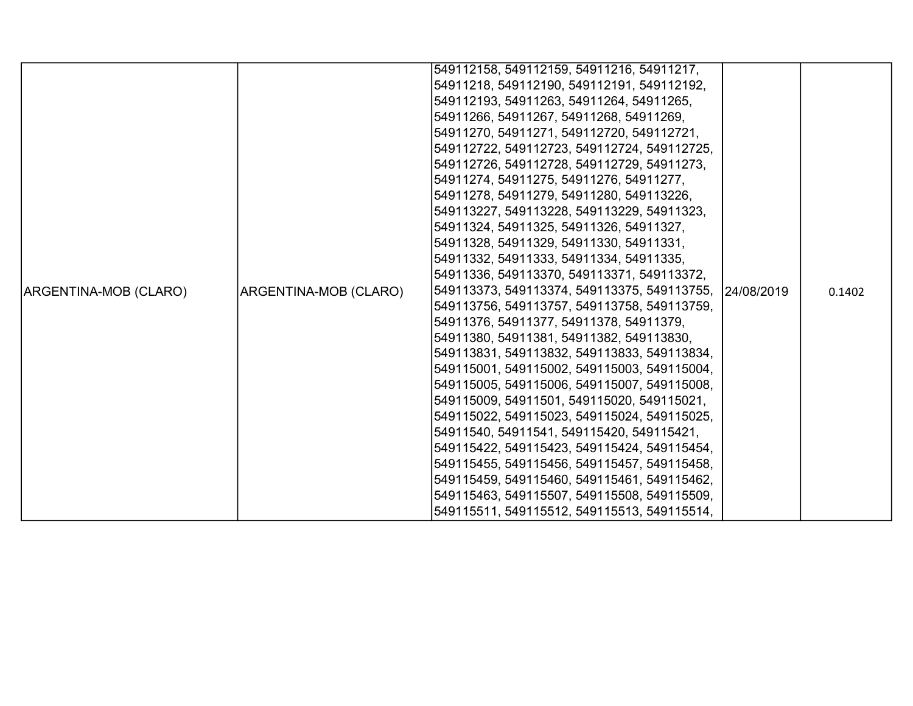|                       |                       | 549112158, 549112159, 54911216, 54911217,   |            |        |
|-----------------------|-----------------------|---------------------------------------------|------------|--------|
|                       |                       | 54911218, 549112190, 549112191, 549112192,  |            |        |
|                       |                       | 549112193, 54911263, 54911264, 54911265,    |            |        |
|                       |                       | 54911266, 54911267, 54911268, 54911269,     |            |        |
|                       |                       | 54911270, 54911271, 549112720, 549112721,   |            |        |
|                       |                       | 549112722, 549112723, 549112724, 549112725, |            |        |
|                       |                       | 549112726, 549112728, 549112729, 54911273,  |            |        |
|                       |                       | 54911274, 54911275, 54911276, 54911277,     |            |        |
|                       |                       | 54911278, 54911279, 54911280, 549113226,    |            |        |
|                       |                       | 549113227, 549113228, 549113229, 54911323,  |            |        |
|                       |                       | 54911324, 54911325, 54911326, 54911327,     |            |        |
|                       |                       | 54911328, 54911329, 54911330, 54911331,     |            |        |
|                       |                       | 54911332, 54911333, 54911334, 54911335,     |            |        |
|                       |                       | 54911336, 549113370, 549113371, 549113372,  |            |        |
| ARGENTINA-MOB (CLARO) | ARGENTINA-MOB (CLARO) | 549113373, 549113374, 549113375, 549113755, | 24/08/2019 | 0.1402 |
|                       |                       | 549113756, 549113757, 549113758, 549113759, |            |        |
|                       |                       | 54911376, 54911377, 54911378, 54911379,     |            |        |
|                       |                       | 54911380, 54911381, 54911382, 549113830,    |            |        |
|                       |                       | 549113831, 549113832, 549113833, 549113834, |            |        |
|                       |                       | 549115001, 549115002, 549115003, 549115004, |            |        |
|                       |                       | 549115005, 549115006, 549115007, 549115008, |            |        |
|                       |                       | 549115009, 54911501, 549115020, 549115021,  |            |        |
|                       |                       | 549115022, 549115023, 549115024, 549115025, |            |        |
|                       |                       | 54911540, 54911541, 549115420, 549115421,   |            |        |
|                       |                       | 549115422, 549115423, 549115424, 549115454, |            |        |
|                       |                       | 549115455, 549115456, 549115457, 549115458, |            |        |
|                       |                       | 549115459, 549115460, 549115461, 549115462, |            |        |
|                       |                       | 549115463, 549115507, 549115508, 549115509, |            |        |
|                       |                       | 549115511, 549115512, 549115513, 549115514, |            |        |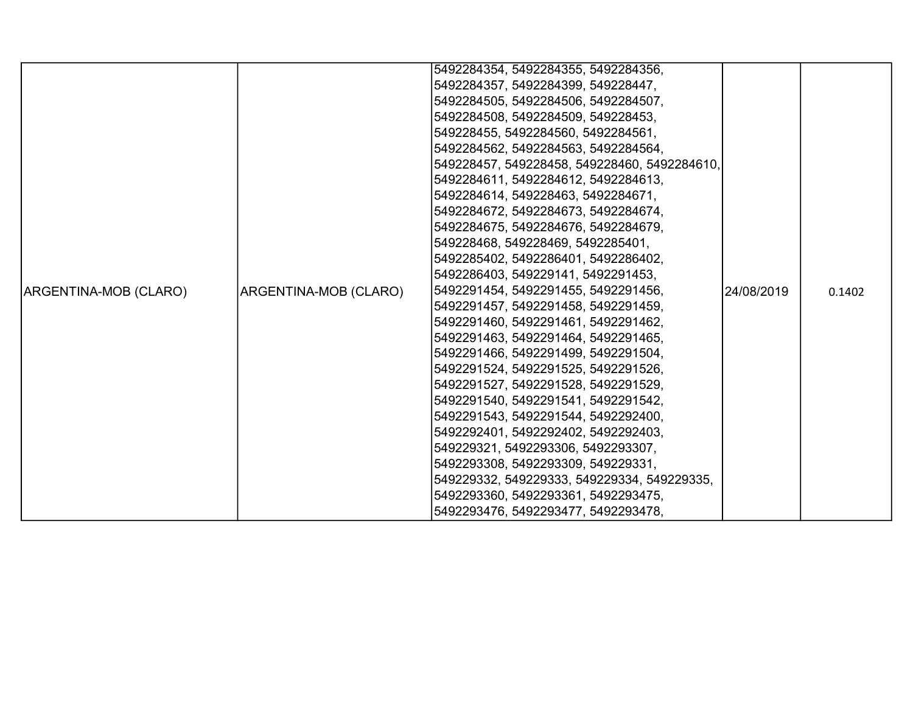|                       |                       | 5492284354, 5492284355, 5492284356,          |             |        |
|-----------------------|-----------------------|----------------------------------------------|-------------|--------|
|                       |                       | 5492284357, 5492284399, 549228447,           |             |        |
|                       |                       | 5492284505, 5492284506, 5492284507,          |             |        |
|                       |                       | 5492284508, 5492284509, 549228453,           |             |        |
|                       |                       | 549228455, 5492284560, 5492284561,           |             |        |
|                       |                       | 5492284562, 5492284563, 5492284564,          |             |        |
|                       |                       | 549228457, 549228458, 549228460, 5492284610, |             |        |
|                       |                       | 5492284611, 5492284612, 5492284613,          |             |        |
|                       |                       | 5492284614, 549228463, 5492284671,           |             |        |
|                       |                       | 5492284672, 5492284673, 5492284674,          |             |        |
|                       |                       | 5492284675, 5492284676, 5492284679,          |             |        |
|                       |                       | 549228468, 549228469, 5492285401,            |             |        |
|                       |                       | 5492285402, 5492286401, 5492286402,          |             |        |
|                       |                       | 5492286403, 549229141, 5492291453,           |             |        |
| ARGENTINA-MOB (CLARO) | ARGENTINA-MOB (CLARO) | 5492291454, 5492291455, 5492291456,          | l24/08/2019 | 0.1402 |
|                       |                       | 5492291457, 5492291458, 5492291459,          |             |        |
|                       |                       | 5492291460, 5492291461, 5492291462,          |             |        |
|                       |                       | 5492291463, 5492291464, 5492291465,          |             |        |
|                       |                       | 5492291466, 5492291499, 5492291504,          |             |        |
|                       |                       | 5492291524, 5492291525, 5492291526,          |             |        |
|                       |                       | 5492291527, 5492291528, 5492291529,          |             |        |
|                       |                       | 5492291540, 5492291541, 5492291542,          |             |        |
|                       |                       | 5492291543, 5492291544, 5492292400,          |             |        |
|                       |                       | 5492292401, 5492292402, 5492292403,          |             |        |
|                       |                       | 549229321, 5492293306, 5492293307,           |             |        |
|                       |                       | 5492293308, 5492293309, 549229331,           |             |        |
|                       |                       | 549229332, 549229333, 549229334, 549229335,  |             |        |
|                       |                       | 5492293360, 5492293361, 5492293475,          |             |        |
|                       |                       | 5492293476, 5492293477, 5492293478,          |             |        |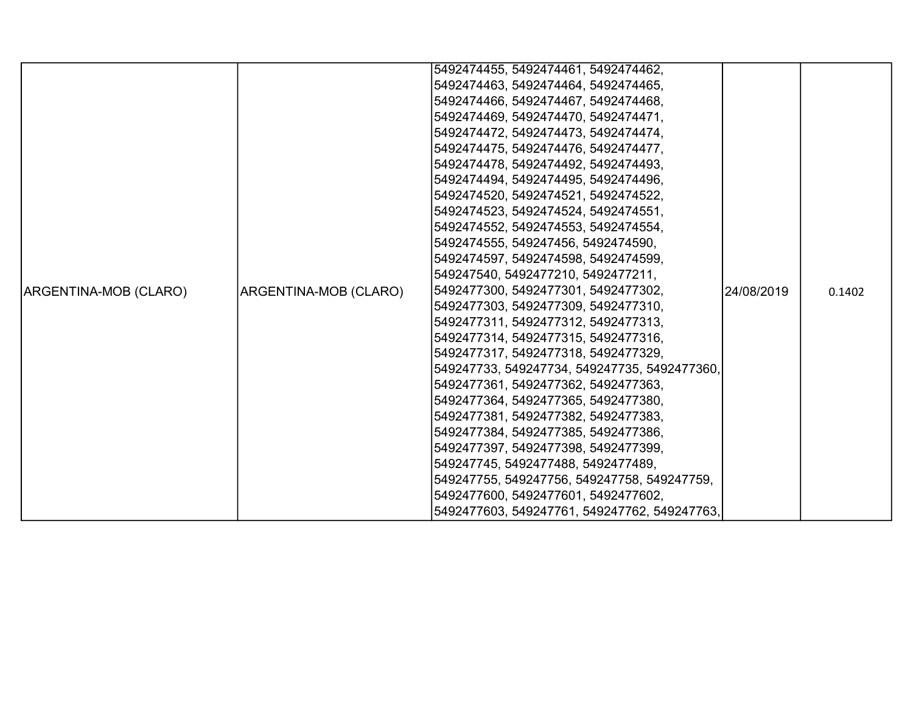|                       |                       | 5492474455, 5492474461, 5492474462,          |             |        |
|-----------------------|-----------------------|----------------------------------------------|-------------|--------|
|                       |                       | 5492474463, 5492474464, 5492474465,          |             |        |
|                       |                       | 5492474466, 5492474467, 5492474468,          |             |        |
|                       |                       | 5492474469, 5492474470, 5492474471,          |             |        |
|                       |                       | 5492474472, 5492474473, 5492474474,          |             |        |
|                       |                       | 5492474475, 5492474476, 5492474477,          |             |        |
|                       |                       | 5492474478, 5492474492, 5492474493,          |             |        |
|                       |                       | 5492474494, 5492474495, 5492474496,          |             |        |
|                       |                       | 5492474520, 5492474521, 5492474522,          |             |        |
|                       |                       | 5492474523, 5492474524, 5492474551,          |             |        |
|                       |                       | 5492474552, 5492474553, 5492474554,          |             |        |
|                       |                       | 5492474555, 549247456, 5492474590,           |             |        |
|                       |                       | 5492474597, 5492474598, 5492474599,          |             |        |
|                       |                       | 549247540, 5492477210, 5492477211,           |             |        |
| ARGENTINA-MOB (CLARO) | ARGENTINA-MOB (CLARO) | 5492477300, 5492477301, 5492477302,          | 124/08/2019 | 0.1402 |
|                       |                       | 5492477303, 5492477309, 5492477310,          |             |        |
|                       |                       | 5492477311, 5492477312, 5492477313,          |             |        |
|                       |                       | 5492477314, 5492477315, 5492477316,          |             |        |
|                       |                       | 5492477317, 5492477318, 5492477329,          |             |        |
|                       |                       | 549247733, 549247734, 549247735, 5492477360, |             |        |
|                       |                       | 5492477361, 5492477362, 5492477363,          |             |        |
|                       |                       | 5492477364, 5492477365, 5492477380,          |             |        |
|                       |                       | 5492477381, 5492477382, 5492477383,          |             |        |
|                       |                       | 5492477384, 5492477385, 5492477386,          |             |        |
|                       |                       | 5492477397, 5492477398, 5492477399,          |             |        |
|                       |                       | 549247745, 5492477488, 5492477489,           |             |        |
|                       |                       | 549247755, 549247756, 549247758, 549247759,  |             |        |
|                       |                       | 5492477600, 5492477601, 5492477602,          |             |        |
|                       |                       | 5492477603, 549247761, 549247762, 549247763, |             |        |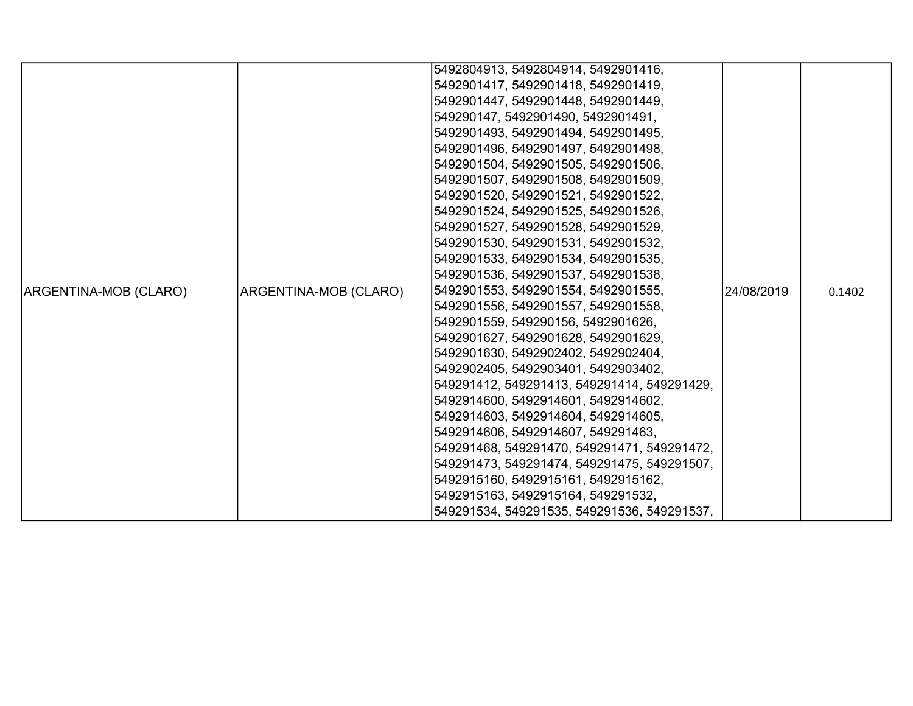|                       |                       | 5492804913, 5492804914, 5492901416,         |             |        |
|-----------------------|-----------------------|---------------------------------------------|-------------|--------|
|                       |                       | 5492901417, 5492901418, 5492901419,         |             |        |
|                       |                       | 5492901447, 5492901448, 5492901449,         |             |        |
|                       |                       | 549290147, 5492901490, 5492901491,          |             |        |
|                       |                       | 5492901493, 5492901494, 5492901495,         |             |        |
|                       |                       | 5492901496, 5492901497, 5492901498,         |             |        |
|                       |                       | 5492901504, 5492901505, 5492901506,         |             |        |
|                       |                       | 5492901507, 5492901508, 5492901509,         |             |        |
|                       |                       | 5492901520, 5492901521, 5492901522,         |             |        |
|                       |                       | 5492901524, 5492901525, 5492901526,         |             |        |
|                       |                       | 5492901527, 5492901528, 5492901529,         |             |        |
|                       |                       | 5492901530, 5492901531, 5492901532,         |             |        |
|                       |                       | 5492901533, 5492901534, 5492901535,         |             |        |
|                       |                       | 5492901536, 5492901537, 5492901538,         |             |        |
| ARGENTINA-MOB (CLARO) | ARGENTINA-MOB (CLARO) | 5492901553, 5492901554, 5492901555,         | 124/08/2019 | 0.1402 |
|                       |                       | 5492901556, 5492901557, 5492901558,         |             |        |
|                       |                       | 5492901559, 549290156, 5492901626,          |             |        |
|                       |                       | 5492901627, 5492901628, 5492901629,         |             |        |
|                       |                       | 5492901630, 5492902402, 5492902404,         |             |        |
|                       |                       | 5492902405, 5492903401, 5492903402,         |             |        |
|                       |                       | 549291412, 549291413, 549291414, 549291429, |             |        |
|                       |                       | 5492914600, 5492914601, 5492914602,         |             |        |
|                       |                       | 5492914603, 5492914604, 5492914605,         |             |        |
|                       |                       | 5492914606, 5492914607, 549291463,          |             |        |
|                       |                       | 549291468, 549291470, 549291471, 549291472, |             |        |
|                       |                       | 549291473, 549291474, 549291475, 549291507, |             |        |
|                       |                       | 5492915160, 5492915161, 5492915162,         |             |        |
|                       |                       | 5492915163, 5492915164, 549291532,          |             |        |
|                       |                       | 549291534, 549291535, 549291536, 549291537, |             |        |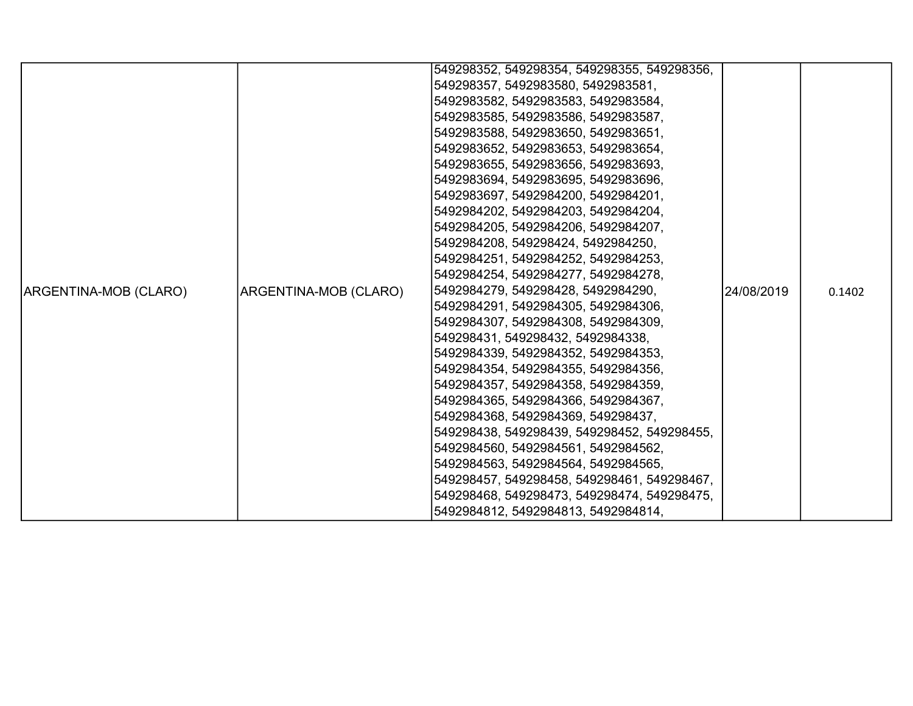|                       |                       | 549298352, 549298354, 549298355, 549298356, |            |        |
|-----------------------|-----------------------|---------------------------------------------|------------|--------|
|                       |                       | 549298357, 5492983580, 5492983581,          |            |        |
|                       |                       | 5492983582, 5492983583, 5492983584,         |            |        |
|                       |                       | 5492983585, 5492983586, 5492983587,         |            |        |
|                       |                       | 5492983588, 5492983650, 5492983651,         |            |        |
|                       |                       | 5492983652, 5492983653, 5492983654,         |            |        |
|                       |                       | 5492983655, 5492983656, 5492983693,         |            |        |
|                       |                       | 5492983694, 5492983695, 5492983696,         |            |        |
|                       |                       | 5492983697, 5492984200, 5492984201,         |            |        |
|                       |                       | 5492984202, 5492984203, 5492984204,         |            |        |
|                       |                       | 5492984205, 5492984206, 5492984207,         |            |        |
|                       |                       | 5492984208, 549298424, 5492984250,          |            |        |
|                       |                       | 5492984251, 5492984252, 5492984253,         |            |        |
|                       |                       | 5492984254, 5492984277, 5492984278,         |            |        |
| ARGENTINA-MOB (CLARO) | ARGENTINA-MOB (CLARO) | 5492984279, 549298428, 5492984290,          | 24/08/2019 | 0.1402 |
|                       |                       | 5492984291, 5492984305, 5492984306,         |            |        |
|                       |                       | 5492984307, 5492984308, 5492984309,         |            |        |
|                       |                       | 549298431, 549298432, 5492984338,           |            |        |
|                       |                       | 5492984339, 5492984352, 5492984353,         |            |        |
|                       |                       | 5492984354, 5492984355, 5492984356,         |            |        |
|                       |                       | 5492984357, 5492984358, 5492984359,         |            |        |
|                       |                       | 5492984365, 5492984366, 5492984367,         |            |        |
|                       |                       | 5492984368, 5492984369, 549298437,          |            |        |
|                       |                       | 549298438, 549298439, 549298452, 549298455, |            |        |
|                       |                       | 5492984560, 5492984561, 5492984562,         |            |        |
|                       |                       | 5492984563, 5492984564, 5492984565,         |            |        |
|                       |                       | 549298457, 549298458, 549298461, 549298467, |            |        |
|                       |                       | 549298468, 549298473, 549298474, 549298475, |            |        |
|                       |                       | 5492984812, 5492984813, 5492984814,         |            |        |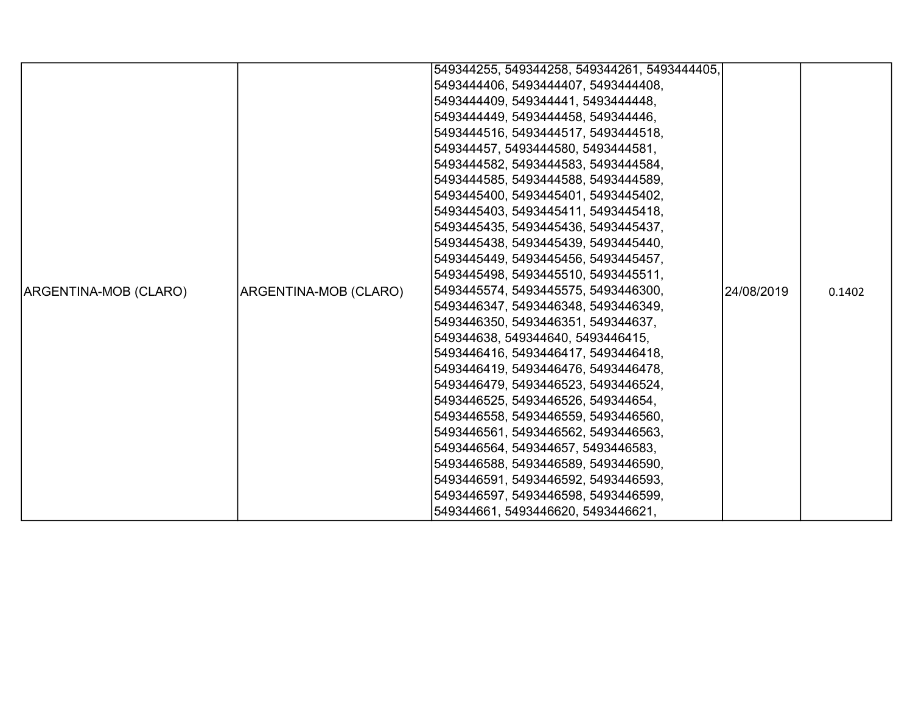|                       |                       | 549344255, 549344258, 549344261, 5493444405, |            |        |
|-----------------------|-----------------------|----------------------------------------------|------------|--------|
|                       |                       | 5493444406, 5493444407, 5493444408,          |            |        |
|                       |                       | 5493444409, 549344441, 5493444448,           |            |        |
|                       |                       | 5493444449, 5493444458, 549344446,           |            |        |
|                       |                       | 5493444516, 5493444517, 5493444518,          |            |        |
|                       |                       | 549344457, 5493444580, 5493444581,           |            |        |
|                       |                       | 5493444582, 5493444583, 5493444584,          |            |        |
|                       |                       | 5493444585, 5493444588, 5493444589,          |            |        |
|                       |                       | 5493445400, 5493445401, 5493445402,          |            |        |
|                       |                       | 5493445403, 5493445411, 5493445418,          |            |        |
|                       |                       | 5493445435, 5493445436, 5493445437,          |            |        |
|                       |                       | 5493445438, 5493445439, 5493445440,          |            |        |
|                       |                       | 5493445449, 5493445456, 5493445457,          |            |        |
|                       |                       | 5493445498, 5493445510, 5493445511,          |            |        |
| ARGENTINA-MOB (CLARO) | ARGENTINA-MOB (CLARO) | 5493445574, 5493445575, 5493446300,          | 24/08/2019 | 0.1402 |
|                       |                       | 5493446347, 5493446348, 5493446349,          |            |        |
|                       |                       | 5493446350, 5493446351, 549344637,           |            |        |
|                       |                       | 549344638, 549344640, 5493446415,            |            |        |
|                       |                       | 5493446416, 5493446417, 5493446418,          |            |        |
|                       |                       | 5493446419, 5493446476, 5493446478,          |            |        |
|                       |                       | 5493446479, 5493446523, 5493446524,          |            |        |
|                       |                       | 5493446525, 5493446526, 549344654,           |            |        |
|                       |                       | 5493446558, 5493446559, 5493446560,          |            |        |
|                       |                       | 5493446561, 5493446562, 5493446563,          |            |        |
|                       |                       | 5493446564, 549344657, 5493446583,           |            |        |
|                       |                       | 5493446588, 5493446589, 5493446590,          |            |        |
|                       |                       | 5493446591, 5493446592, 5493446593,          |            |        |
|                       |                       | 5493446597, 5493446598, 5493446599,          |            |        |
|                       |                       | 549344661, 5493446620, 5493446621,           |            |        |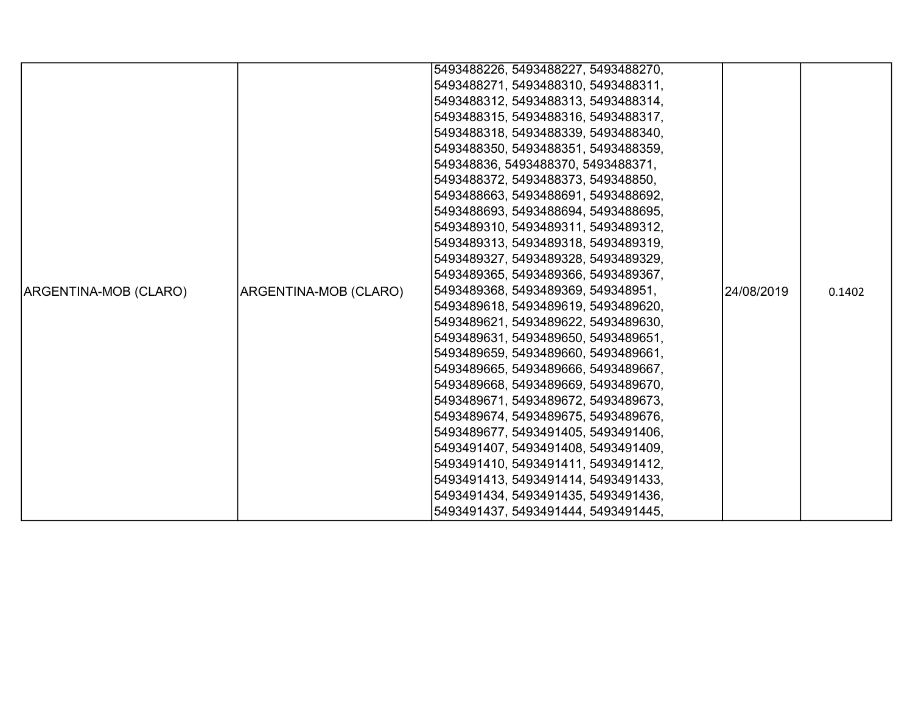|                       |                       | 5493488226, 5493488227, 5493488270, |            |        |
|-----------------------|-----------------------|-------------------------------------|------------|--------|
|                       |                       | 5493488271, 5493488310, 5493488311, |            |        |
|                       |                       | 5493488312, 5493488313, 5493488314, |            |        |
|                       |                       | 5493488315, 5493488316, 5493488317, |            |        |
|                       |                       | 5493488318, 5493488339, 5493488340, |            |        |
|                       |                       | 5493488350, 5493488351, 5493488359, |            |        |
|                       |                       | 549348836, 5493488370, 5493488371,  |            |        |
|                       |                       | 5493488372, 5493488373, 549348850,  |            |        |
|                       |                       | 5493488663, 5493488691, 5493488692, |            |        |
|                       |                       | 5493488693, 5493488694, 5493488695, |            |        |
|                       |                       | 5493489310, 5493489311, 5493489312, |            |        |
|                       |                       | 5493489313, 5493489318, 5493489319, |            |        |
|                       |                       | 5493489327, 5493489328, 5493489329, |            |        |
|                       |                       | 5493489365, 5493489366, 5493489367, |            |        |
| ARGENTINA-MOB (CLARO) | ARGENTINA-MOB (CLARO) | 5493489368, 5493489369, 549348951,  | 24/08/2019 | 0.1402 |
|                       |                       | 5493489618, 5493489619, 5493489620, |            |        |
|                       |                       | 5493489621, 5493489622, 5493489630, |            |        |
|                       |                       | 5493489631, 5493489650, 5493489651, |            |        |
|                       |                       | 5493489659, 5493489660, 5493489661, |            |        |
|                       |                       | 5493489665, 5493489666, 5493489667, |            |        |
|                       |                       | 5493489668, 5493489669, 5493489670, |            |        |
|                       |                       | 5493489671, 5493489672, 5493489673, |            |        |
|                       |                       | 5493489674, 5493489675, 5493489676, |            |        |
|                       |                       | 5493489677, 5493491405, 5493491406, |            |        |
|                       |                       | 5493491407, 5493491408, 5493491409, |            |        |
|                       |                       | 5493491410, 5493491411, 5493491412, |            |        |
|                       |                       | 5493491413, 5493491414, 5493491433, |            |        |
|                       |                       | 5493491434, 5493491435, 5493491436, |            |        |
|                       |                       | 5493491437, 5493491444, 5493491445, |            |        |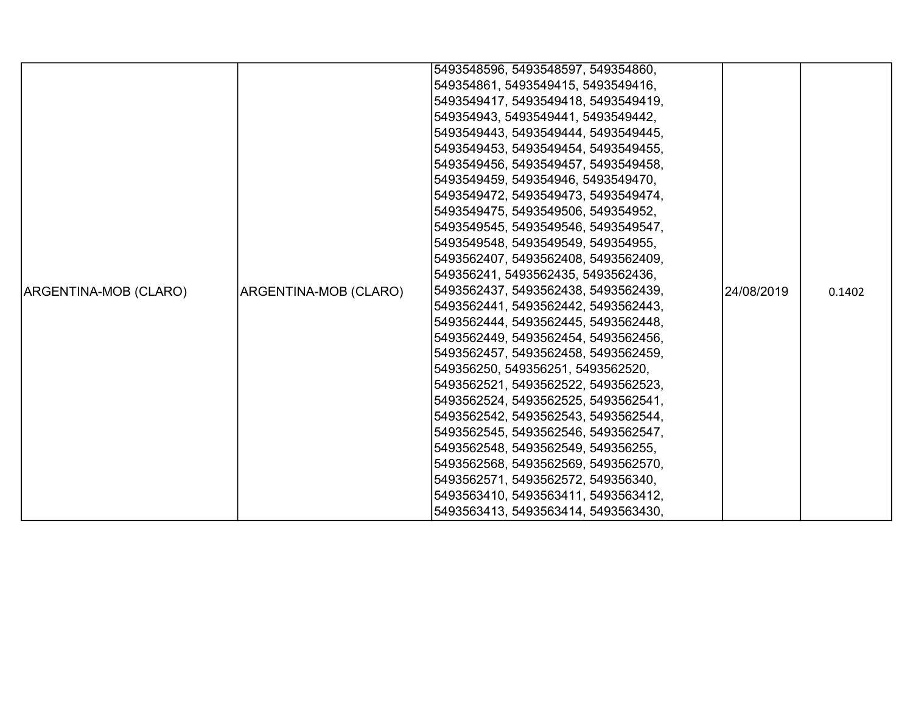|                       |                       | 5493548596, 5493548597, 549354860,  |             |        |
|-----------------------|-----------------------|-------------------------------------|-------------|--------|
|                       |                       | 549354861, 5493549415, 5493549416,  |             |        |
|                       |                       | 5493549417, 5493549418, 5493549419, |             |        |
|                       |                       | 549354943, 5493549441, 5493549442,  |             |        |
|                       |                       | 5493549443, 5493549444, 5493549445, |             |        |
|                       |                       | 5493549453, 5493549454, 5493549455, |             |        |
|                       |                       | 5493549456, 5493549457, 5493549458, |             |        |
|                       |                       | 5493549459, 549354946, 5493549470,  |             |        |
|                       |                       | 5493549472, 5493549473, 5493549474, |             |        |
|                       |                       | 5493549475, 5493549506, 549354952,  |             |        |
|                       |                       | 5493549545, 5493549546, 5493549547, |             |        |
|                       |                       | 5493549548, 5493549549, 549354955,  |             |        |
|                       |                       | 5493562407, 5493562408, 5493562409, |             |        |
|                       |                       | 549356241, 5493562435, 5493562436,  |             |        |
| ARGENTINA-MOB (CLARO) | ARGENTINA-MOB (CLARO) | 5493562437, 5493562438, 5493562439, | l24/08/2019 | 0.1402 |
|                       |                       | 5493562441, 5493562442, 5493562443, |             |        |
|                       |                       | 5493562444, 5493562445, 5493562448, |             |        |
|                       |                       | 5493562449, 5493562454, 5493562456, |             |        |
|                       |                       | 5493562457, 5493562458, 5493562459, |             |        |
|                       |                       | 549356250, 549356251, 5493562520,   |             |        |
|                       |                       | 5493562521, 5493562522, 5493562523, |             |        |
|                       |                       | 5493562524, 5493562525, 5493562541, |             |        |
|                       |                       | 5493562542, 5493562543, 5493562544, |             |        |
|                       |                       | 5493562545, 5493562546, 5493562547, |             |        |
|                       |                       | 5493562548, 5493562549, 549356255,  |             |        |
|                       |                       | 5493562568, 5493562569, 5493562570, |             |        |
|                       |                       | 5493562571, 5493562572, 549356340,  |             |        |
|                       |                       | 5493563410, 5493563411, 5493563412, |             |        |
|                       |                       | 5493563413, 5493563414, 5493563430, |             |        |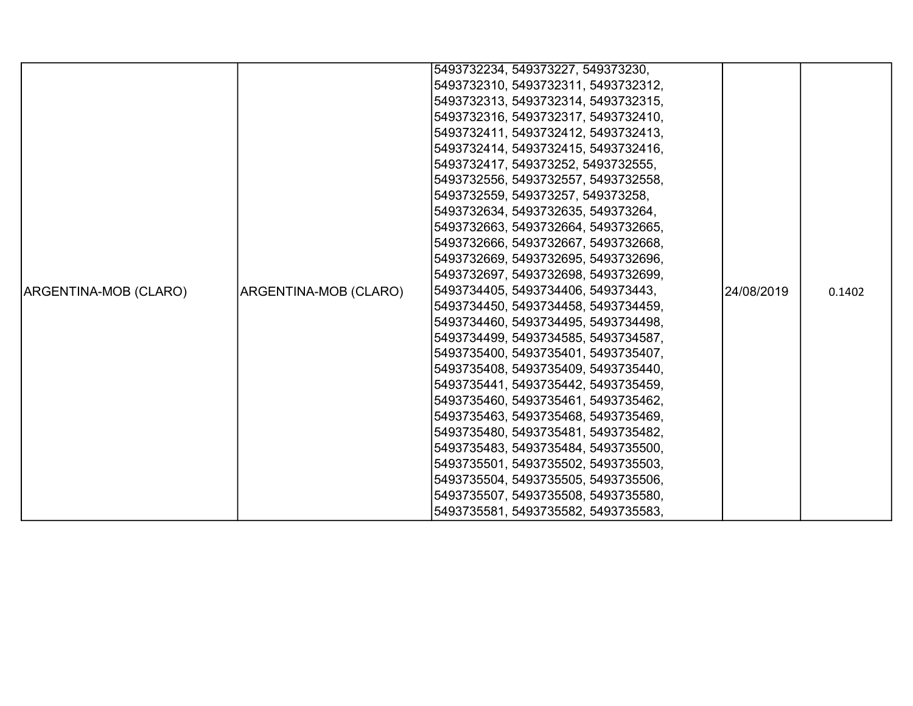|                       |                       | 5493732234, 549373227, 549373230,   |            |        |
|-----------------------|-----------------------|-------------------------------------|------------|--------|
|                       |                       | 5493732310, 5493732311, 5493732312, |            |        |
|                       |                       | 5493732313, 5493732314, 5493732315, |            |        |
|                       |                       | 5493732316, 5493732317, 5493732410, |            |        |
|                       |                       | 5493732411, 5493732412, 5493732413, |            |        |
|                       |                       | 5493732414, 5493732415, 5493732416, |            |        |
|                       |                       | 5493732417, 549373252, 5493732555,  |            |        |
|                       |                       | 5493732556, 5493732557, 5493732558, |            |        |
|                       |                       | 5493732559, 549373257, 549373258,   |            |        |
|                       |                       | 5493732634, 5493732635, 549373264,  |            |        |
|                       |                       | 5493732663, 5493732664, 5493732665, |            |        |
|                       |                       | 5493732666, 5493732667, 5493732668, |            |        |
|                       |                       | 5493732669, 5493732695, 5493732696, |            |        |
|                       |                       | 5493732697, 5493732698, 5493732699, |            |        |
| ARGENTINA-MOB (CLARO) | ARGENTINA-MOB (CLARO) | 5493734405, 5493734406, 549373443,  | 24/08/2019 | 0.1402 |
|                       |                       | 5493734450, 5493734458, 5493734459, |            |        |
|                       |                       | 5493734460, 5493734495, 5493734498, |            |        |
|                       |                       | 5493734499, 5493734585, 5493734587, |            |        |
|                       |                       | 5493735400, 5493735401, 5493735407, |            |        |
|                       |                       | 5493735408, 5493735409, 5493735440, |            |        |
|                       |                       | 5493735441, 5493735442, 5493735459, |            |        |
|                       |                       | 5493735460, 5493735461, 5493735462, |            |        |
|                       |                       | 5493735463, 5493735468, 5493735469, |            |        |
|                       |                       | 5493735480, 5493735481, 5493735482, |            |        |
|                       |                       | 5493735483, 5493735484, 5493735500, |            |        |
|                       |                       | 5493735501, 5493735502, 5493735503, |            |        |
|                       |                       | 5493735504, 5493735505, 5493735506, |            |        |
|                       |                       | 5493735507, 5493735508, 5493735580, |            |        |
|                       |                       | 5493735581, 5493735582, 5493735583, |            |        |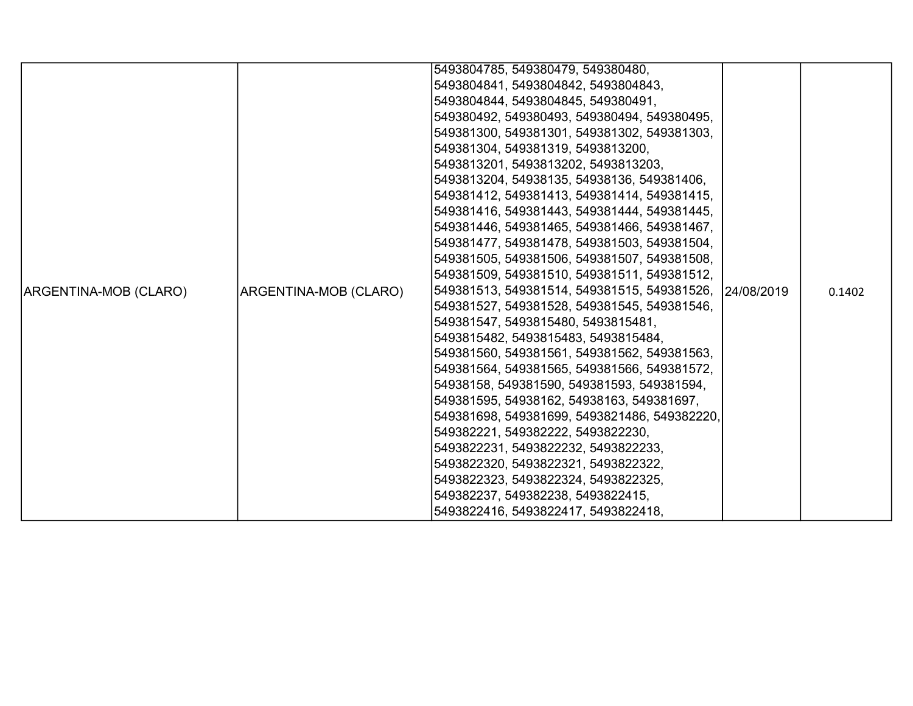|                       |                       | 5493804785, 549380479, 549380480,                      |  |        |
|-----------------------|-----------------------|--------------------------------------------------------|--|--------|
|                       |                       | 5493804841, 5493804842, 5493804843,                    |  |        |
|                       |                       | 5493804844, 5493804845, 549380491,                     |  |        |
|                       |                       | 549380492, 549380493, 549380494, 549380495,            |  |        |
|                       |                       | 549381300, 549381301, 549381302, 549381303,            |  |        |
|                       |                       | 549381304, 549381319, 5493813200,                      |  |        |
|                       |                       | 5493813201, 5493813202, 5493813203,                    |  |        |
|                       |                       | 5493813204, 54938135, 54938136, 549381406,             |  |        |
|                       |                       | 549381412, 549381413, 549381414, 549381415,            |  |        |
|                       |                       | 549381416, 549381443, 549381444, 549381445,            |  |        |
|                       |                       | 549381446, 549381465, 549381466, 549381467,            |  |        |
|                       |                       | 549381477, 549381478, 549381503, 549381504,            |  |        |
|                       |                       | 549381505, 549381506, 549381507, 549381508,            |  |        |
|                       |                       | 549381509, 549381510, 549381511, 549381512,            |  |        |
| ARGENTINA-MOB (CLARO) | ARGENTINA-MOB (CLARO) | 549381513, 549381514, 549381515, 549381526, 24/08/2019 |  | 0.1402 |
|                       |                       | 549381527, 549381528, 549381545, 549381546,            |  |        |
|                       |                       | 549381547, 5493815480, 5493815481,                     |  |        |
|                       |                       | 5493815482, 5493815483, 5493815484,                    |  |        |
|                       |                       | 549381560, 549381561, 549381562, 549381563,            |  |        |
|                       |                       | 549381564, 549381565, 549381566, 549381572,            |  |        |
|                       |                       | 54938158, 549381590, 549381593, 549381594,             |  |        |
|                       |                       | 549381595, 54938162, 54938163, 549381697,              |  |        |
|                       |                       | 549381698, 549381699, 5493821486, 549382220,           |  |        |
|                       |                       | 549382221, 549382222, 5493822230,                      |  |        |
|                       |                       | 5493822231, 5493822232, 5493822233,                    |  |        |
|                       |                       | 5493822320, 5493822321, 5493822322,                    |  |        |
|                       |                       | 5493822323, 5493822324, 5493822325,                    |  |        |
|                       |                       | 549382237, 549382238, 5493822415,                      |  |        |
|                       |                       | 5493822416, 5493822417, 5493822418,                    |  |        |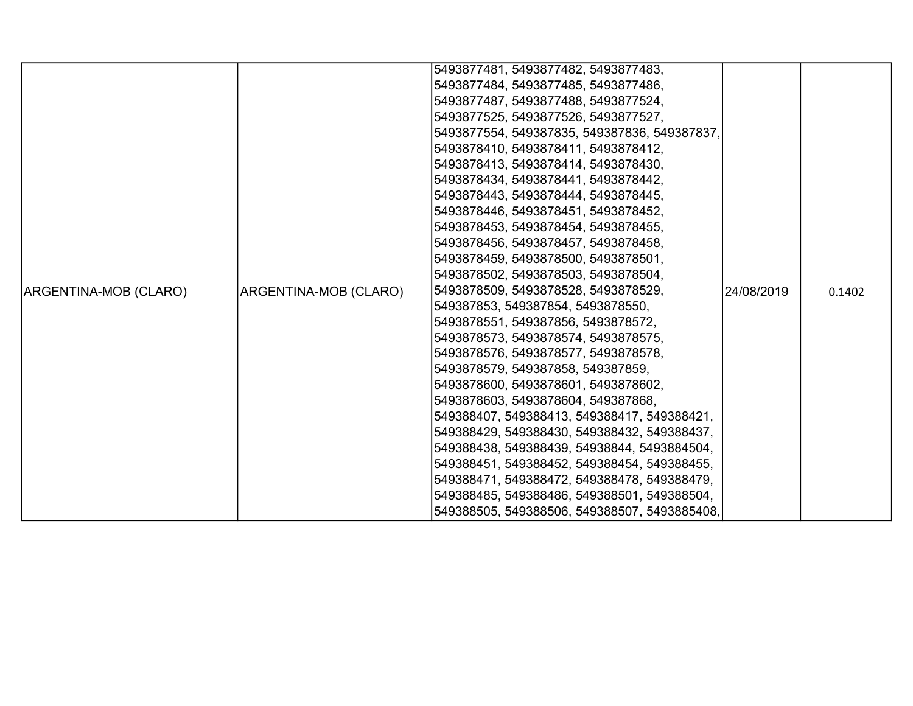|                       |                       | 5493877481, 5493877482, 5493877483,          |            |        |
|-----------------------|-----------------------|----------------------------------------------|------------|--------|
|                       |                       | 5493877484, 5493877485, 5493877486,          |            |        |
|                       |                       | 5493877487, 5493877488, 5493877524,          |            |        |
|                       |                       | 5493877525, 5493877526, 5493877527,          |            |        |
|                       |                       | 5493877554, 549387835, 549387836, 549387837, |            |        |
|                       |                       | 5493878410, 5493878411, 5493878412,          |            |        |
|                       |                       | 5493878413, 5493878414, 5493878430,          |            |        |
|                       |                       | 5493878434, 5493878441, 5493878442,          |            |        |
|                       |                       | 5493878443, 5493878444, 5493878445,          |            |        |
|                       |                       | 5493878446, 5493878451, 5493878452,          |            |        |
|                       |                       | 5493878453, 5493878454, 5493878455,          |            |        |
|                       |                       | 5493878456, 5493878457, 5493878458,          |            |        |
|                       |                       | 5493878459, 5493878500, 5493878501,          |            |        |
|                       |                       | 5493878502, 5493878503, 5493878504,          |            |        |
| ARGENTINA-MOB (CLARO) | ARGENTINA-MOB (CLARO) | 5493878509, 5493878528, 5493878529,          | 24/08/2019 | 0.1402 |
|                       |                       | 549387853, 549387854, 5493878550,            |            |        |
|                       |                       | 5493878551, 549387856, 5493878572,           |            |        |
|                       |                       | 5493878573, 5493878574, 5493878575,          |            |        |
|                       |                       | 5493878576, 5493878577, 5493878578,          |            |        |
|                       |                       | 5493878579, 549387858, 549387859,            |            |        |
|                       |                       | 5493878600, 5493878601, 5493878602,          |            |        |
|                       |                       | 5493878603, 5493878604, 549387868,           |            |        |
|                       |                       | 549388407, 549388413, 549388417, 549388421,  |            |        |
|                       |                       | 549388429, 549388430, 549388432, 549388437,  |            |        |
|                       |                       | 549388438, 549388439, 54938844, 5493884504,  |            |        |
|                       |                       | 549388451, 549388452, 549388454, 549388455,  |            |        |
|                       |                       | 549388471, 549388472, 549388478, 549388479,  |            |        |
|                       |                       | 549388485, 549388486, 549388501, 549388504,  |            |        |
|                       |                       | 549388505, 549388506, 549388507, 5493885408, |            |        |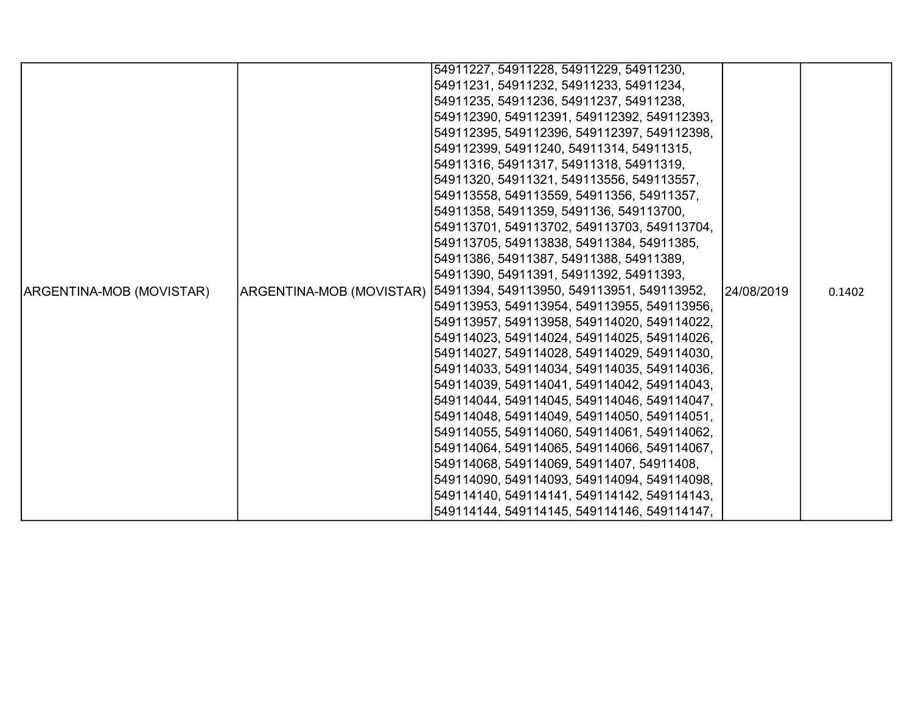|                          |                          | 54911227, 54911228, 54911229, 54911230,     |            |        |
|--------------------------|--------------------------|---------------------------------------------|------------|--------|
|                          |                          | 54911231, 54911232, 54911233, 54911234,     |            |        |
|                          |                          | 54911235, 54911236, 54911237, 54911238,     |            |        |
|                          |                          | 549112390, 549112391, 549112392, 549112393, |            |        |
|                          |                          | 549112395, 549112396, 549112397, 549112398, |            |        |
|                          |                          | 549112399, 54911240, 54911314, 54911315,    |            |        |
|                          |                          | 54911316, 54911317, 54911318, 54911319,     |            |        |
|                          |                          | 54911320, 54911321, 549113556, 549113557,   |            |        |
|                          |                          | 549113558, 549113559, 54911356, 54911357,   |            |        |
|                          |                          | 54911358, 54911359, 5491136, 549113700,     |            |        |
|                          |                          | 549113701, 549113702, 549113703, 549113704, |            |        |
|                          |                          | 549113705, 549113838, 54911384, 54911385,   |            |        |
|                          |                          | 54911386, 54911387, 54911388, 54911389,     |            |        |
|                          |                          | 54911390, 54911391, 54911392, 54911393,     |            |        |
| ARGENTINA-MOB (MOVISTAR) | ARGENTINA-MOB (MOVISTAR) | 54911394, 549113950, 549113951, 549113952,  | 24/08/2019 | 0.1402 |
|                          |                          | 549113953, 549113954, 549113955, 549113956, |            |        |
|                          |                          | 549113957, 549113958, 549114020, 549114022, |            |        |
|                          |                          | 549114023, 549114024, 549114025, 549114026, |            |        |
|                          |                          | 549114027, 549114028, 549114029, 549114030, |            |        |
|                          |                          | 549114033, 549114034, 549114035, 549114036, |            |        |
|                          |                          | 549114039, 549114041, 549114042, 549114043, |            |        |
|                          |                          | 549114044, 549114045, 549114046, 549114047, |            |        |
|                          |                          | 549114048, 549114049, 549114050, 549114051, |            |        |
|                          |                          | 549114055, 549114060, 549114061, 549114062, |            |        |
|                          |                          | 549114064, 549114065, 549114066, 549114067, |            |        |
|                          |                          | 549114068, 549114069, 54911407, 54911408,   |            |        |
|                          |                          | 549114090, 549114093, 549114094, 549114098, |            |        |
|                          |                          | 549114140, 549114141, 549114142, 549114143, |            |        |
|                          |                          | 549114144, 549114145, 549114146, 549114147, |            |        |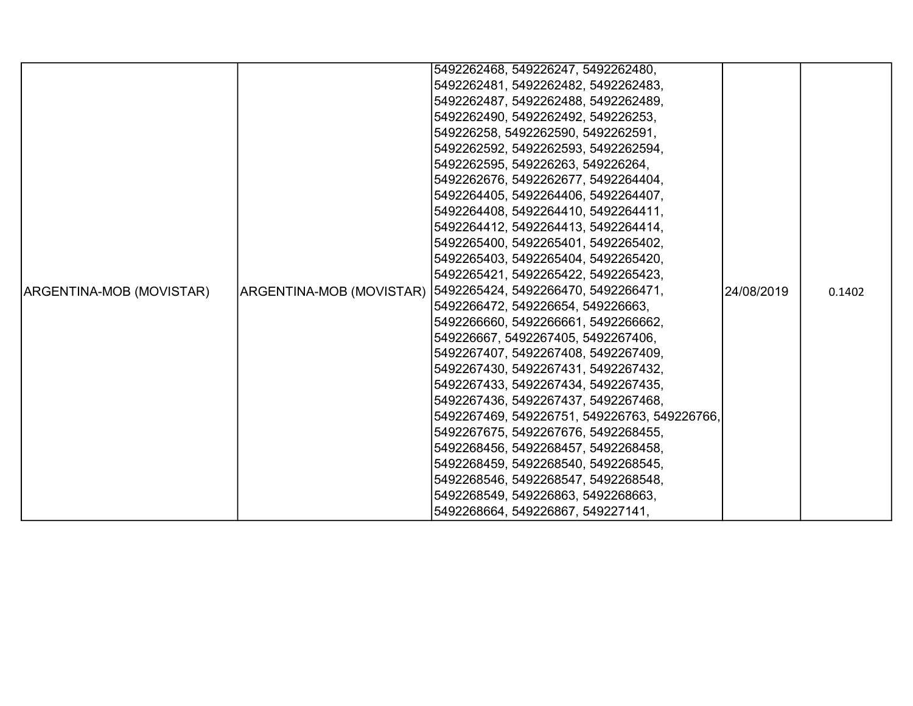|                                 |                          | 5492262468, 549226247, 5492262480,           |            |        |
|---------------------------------|--------------------------|----------------------------------------------|------------|--------|
|                                 |                          | 5492262481, 5492262482, 5492262483,          |            |        |
|                                 |                          | 5492262487, 5492262488, 5492262489,          |            |        |
|                                 |                          | 5492262490, 5492262492, 549226253,           |            |        |
|                                 |                          | 549226258, 5492262590, 5492262591,           |            |        |
|                                 |                          | 5492262592, 5492262593, 5492262594,          |            |        |
|                                 |                          | 5492262595, 549226263, 549226264,            |            |        |
|                                 |                          | 5492262676, 5492262677, 5492264404,          |            |        |
|                                 |                          | 5492264405, 5492264406, 5492264407,          |            |        |
|                                 |                          | 5492264408, 5492264410, 5492264411,          |            |        |
|                                 |                          | 5492264412, 5492264413, 5492264414,          |            |        |
|                                 |                          | 5492265400, 5492265401, 5492265402,          |            |        |
|                                 |                          | 5492265403, 5492265404, 5492265420,          |            |        |
|                                 |                          | 5492265421, 5492265422, 5492265423,          |            |        |
| <b>ARGENTINA-MOB (MOVISTAR)</b> | ARGENTINA-MOB (MOVISTAR) | 5492265424, 5492266470, 5492266471,          | 24/08/2019 | 0.1402 |
|                                 |                          | 5492266472, 549226654, 549226663,            |            |        |
|                                 |                          | 5492266660, 5492266661, 5492266662,          |            |        |
|                                 |                          | 549226667, 5492267405, 5492267406,           |            |        |
|                                 |                          | 5492267407, 5492267408, 5492267409,          |            |        |
|                                 |                          | 5492267430, 5492267431, 5492267432,          |            |        |
|                                 |                          | 5492267433, 5492267434, 5492267435,          |            |        |
|                                 |                          | 5492267436, 5492267437, 5492267468,          |            |        |
|                                 |                          | 5492267469, 549226751, 549226763, 549226766, |            |        |
|                                 |                          | 5492267675, 5492267676, 5492268455,          |            |        |
|                                 |                          | 5492268456, 5492268457, 5492268458,          |            |        |
|                                 |                          | 5492268459, 5492268540, 5492268545,          |            |        |
|                                 |                          | 5492268546, 5492268547, 5492268548,          |            |        |
|                                 |                          | 5492268549, 549226863, 5492268663,           |            |        |
|                                 |                          | 5492268664, 549226867, 549227141,            |            |        |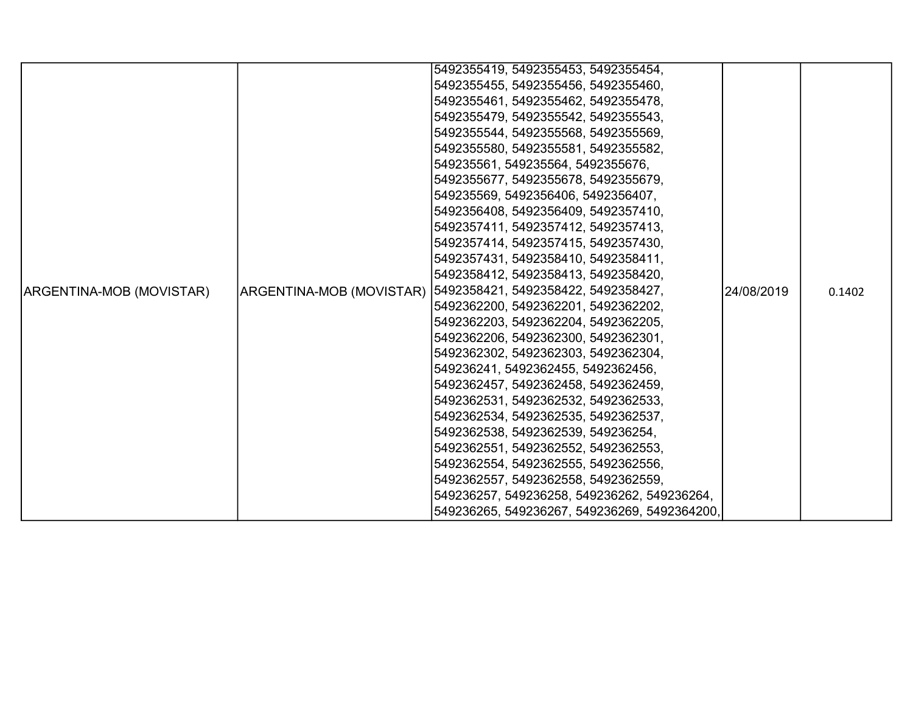|                          |                          | 5492355419, 5492355453, 5492355454,          |            |        |
|--------------------------|--------------------------|----------------------------------------------|------------|--------|
|                          |                          | 5492355455, 5492355456, 5492355460,          |            |        |
|                          |                          | 5492355461, 5492355462, 5492355478,          |            |        |
|                          |                          | 5492355479, 5492355542, 5492355543,          |            |        |
|                          |                          | 5492355544, 5492355568, 5492355569,          |            |        |
|                          |                          | 5492355580, 5492355581, 5492355582,          |            |        |
|                          |                          | 549235561, 549235564, 5492355676,            |            |        |
|                          |                          | 5492355677, 5492355678, 5492355679,          |            |        |
|                          |                          | 549235569, 5492356406, 5492356407,           |            |        |
|                          |                          | 5492356408, 5492356409, 5492357410,          |            |        |
|                          |                          | 5492357411, 5492357412, 5492357413,          |            |        |
|                          |                          | 5492357414, 5492357415, 5492357430,          |            |        |
|                          |                          | 5492357431, 5492358410, 5492358411,          |            |        |
|                          |                          | 5492358412, 5492358413, 5492358420,          |            |        |
| ARGENTINA-MOB (MOVISTAR) | ARGENTINA-MOB (MOVISTAR) | 5492358421, 5492358422, 5492358427,          | 24/08/2019 | 0.1402 |
|                          |                          | 5492362200, 5492362201, 5492362202,          |            |        |
|                          |                          | 5492362203, 5492362204, 5492362205,          |            |        |
|                          |                          | 5492362206, 5492362300, 5492362301,          |            |        |
|                          |                          | 5492362302, 5492362303, 5492362304,          |            |        |
|                          |                          | 549236241, 5492362455, 5492362456,           |            |        |
|                          |                          | 5492362457, 5492362458, 5492362459,          |            |        |
|                          |                          | 5492362531, 5492362532, 5492362533,          |            |        |
|                          |                          | 5492362534, 5492362535, 5492362537,          |            |        |
|                          |                          | 5492362538, 5492362539, 549236254,           |            |        |
|                          |                          | 5492362551, 5492362552, 5492362553,          |            |        |
|                          |                          | 5492362554, 5492362555, 5492362556,          |            |        |
|                          |                          | 5492362557, 5492362558, 5492362559,          |            |        |
|                          |                          | 549236257, 549236258, 549236262, 549236264,  |            |        |
|                          |                          | 549236265, 549236267, 549236269, 5492364200, |            |        |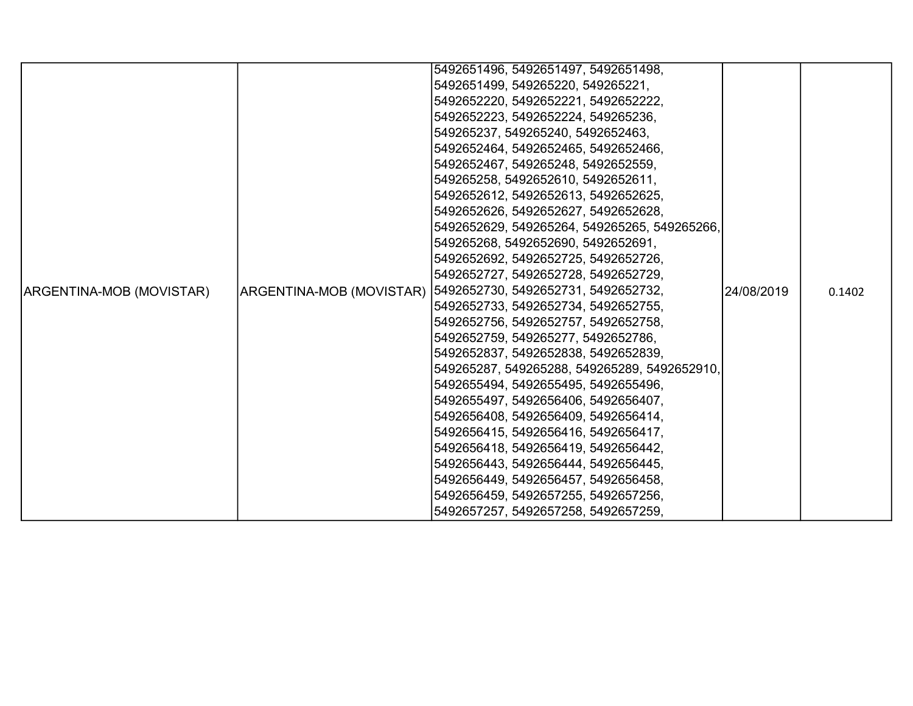|                          |  | 5492651496, 5492651497, 5492651498,                           |             |        |
|--------------------------|--|---------------------------------------------------------------|-------------|--------|
|                          |  | 5492651499, 549265220, 549265221,                             |             |        |
|                          |  | 5492652220, 5492652221, 5492652222,                           |             |        |
|                          |  | 5492652223, 5492652224, 549265236,                            |             |        |
|                          |  | 549265237, 549265240, 5492652463,                             |             |        |
|                          |  | 5492652464, 5492652465, 5492652466,                           |             |        |
|                          |  | 5492652467, 549265248, 5492652559,                            |             |        |
|                          |  | 549265258, 5492652610, 5492652611,                            |             |        |
|                          |  | 5492652612, 5492652613, 5492652625,                           |             |        |
|                          |  | 5492652626, 5492652627, 5492652628,                           |             |        |
|                          |  | 5492652629, 549265264, 549265265, 549265266,                  |             |        |
|                          |  | 549265268, 5492652690, 5492652691,                            |             |        |
|                          |  | 5492652692, 5492652725, 5492652726,                           |             |        |
|                          |  | 5492652727, 5492652728, 5492652729,                           |             |        |
| ARGENTINA-MOB (MOVISTAR) |  | ARGENTINA-MOB (MOVISTAR)  5492652730, 5492652731, 5492652732, | 124/08/2019 | 0.1402 |
|                          |  | 5492652733, 5492652734, 5492652755,                           |             |        |
|                          |  | 5492652756, 5492652757, 5492652758,                           |             |        |
|                          |  | 5492652759, 549265277, 5492652786,                            |             |        |
|                          |  | 5492652837, 5492652838, 5492652839,                           |             |        |
|                          |  | 549265287, 549265288, 549265289, 5492652910,                  |             |        |
|                          |  | 5492655494, 5492655495, 5492655496,                           |             |        |
|                          |  | 5492655497, 5492656406, 5492656407,                           |             |        |
|                          |  | 5492656408, 5492656409, 5492656414,                           |             |        |
|                          |  | 5492656415, 5492656416, 5492656417,                           |             |        |
|                          |  | 5492656418, 5492656419, 5492656442,                           |             |        |
|                          |  | 5492656443, 5492656444, 5492656445,                           |             |        |
|                          |  | 5492656449, 5492656457, 5492656458,                           |             |        |
|                          |  | 5492656459, 5492657255, 5492657256,                           |             |        |
|                          |  | 5492657257, 5492657258, 5492657259,                           |             |        |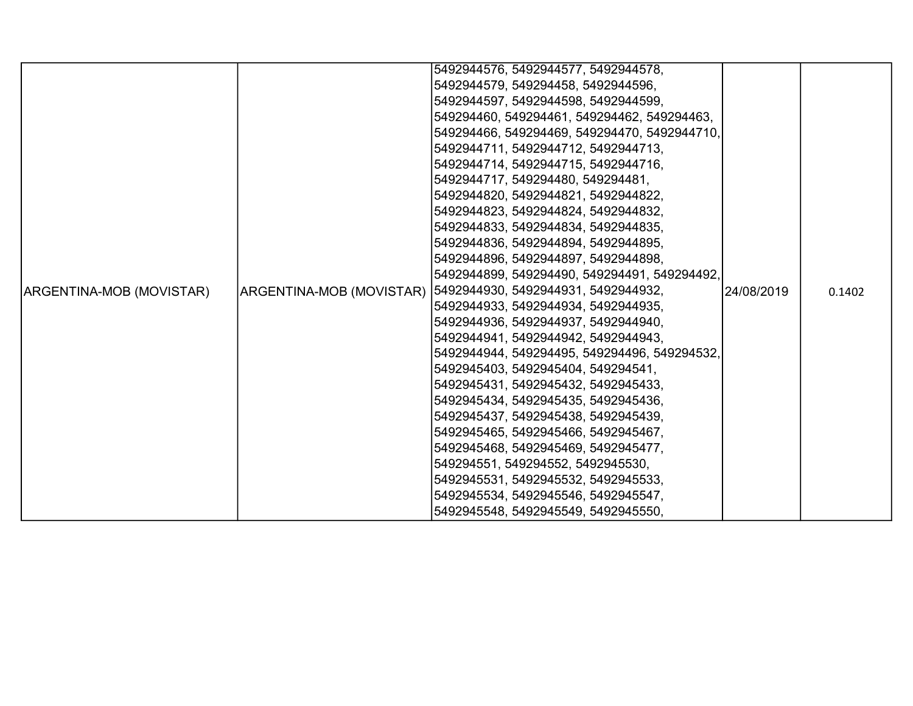|                          |                                     | 5492944576, 5492944577, 5492944578,                           |             |        |
|--------------------------|-------------------------------------|---------------------------------------------------------------|-------------|--------|
|                          |                                     | 5492944579, 549294458, 5492944596,                            |             |        |
|                          |                                     | 5492944597, 5492944598, 5492944599,                           |             |        |
|                          |                                     | 549294460, 549294461, 549294462, 549294463,                   |             |        |
|                          |                                     | 549294466, 549294469, 549294470, 5492944710,                  |             |        |
|                          |                                     | 5492944711, 5492944712, 5492944713,                           |             |        |
|                          |                                     | 5492944714, 5492944715, 5492944716,                           |             |        |
|                          |                                     | 5492944717, 549294480, 549294481,                             |             |        |
|                          |                                     | 5492944820, 5492944821, 5492944822,                           |             |        |
|                          |                                     | 5492944823, 5492944824, 5492944832,                           |             |        |
|                          |                                     | 5492944833, 5492944834, 5492944835,                           |             |        |
|                          |                                     | 5492944836, 5492944894, 5492944895,                           |             |        |
|                          |                                     | 5492944896, 5492944897, 5492944898,                           |             |        |
|                          |                                     | 5492944899, 549294490, 549294491, 549294492,                  |             |        |
| ARGENTINA-MOB (MOVISTAR) |                                     | ARGENTINA-MOB (MOVISTAR)  5492944930, 5492944931, 5492944932, | 124/08/2019 | 0.1402 |
|                          |                                     | 5492944933, 5492944934, 5492944935,                           |             |        |
|                          |                                     | 5492944936, 5492944937, 5492944940,                           |             |        |
|                          |                                     | 5492944941, 5492944942, 5492944943,                           |             |        |
|                          |                                     | 5492944944, 549294495, 549294496, 549294532,                  |             |        |
|                          |                                     | 5492945403, 5492945404, 549294541,                            |             |        |
|                          | 5492945431, 5492945432, 5492945433, |                                                               |             |        |
|                          |                                     | 5492945434, 5492945435, 5492945436,                           |             |        |
|                          |                                     | 5492945437, 5492945438, 5492945439,                           |             |        |
|                          |                                     | 5492945465, 5492945466, 5492945467,                           |             |        |
|                          |                                     | 5492945468, 5492945469, 5492945477,                           |             |        |
|                          |                                     | 549294551, 549294552, 5492945530,                             |             |        |
|                          |                                     | 5492945531, 5492945532, 5492945533,                           |             |        |
|                          |                                     | 5492945534, 5492945546, 5492945547,                           |             |        |
|                          |                                     | 5492945548, 5492945549, 5492945550,                           |             |        |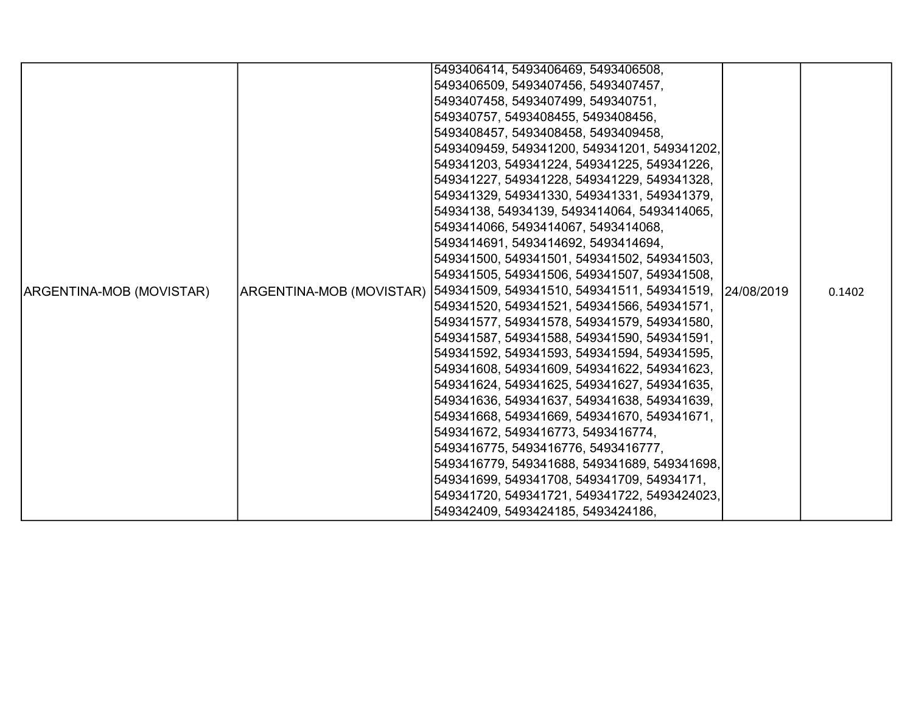|                          |                          | 5493406414, 5493406469, 5493406508,                    |  |        |
|--------------------------|--------------------------|--------------------------------------------------------|--|--------|
|                          |                          |                                                        |  |        |
|                          |                          | 5493406509, 5493407456, 5493407457,                    |  |        |
|                          |                          | 5493407458, 5493407499, 549340751,                     |  |        |
|                          |                          | 549340757, 5493408455, 5493408456,                     |  |        |
|                          |                          | 5493408457, 5493408458, 5493409458,                    |  |        |
|                          |                          | 5493409459, 549341200, 549341201, 549341202,           |  |        |
|                          |                          | 549341203, 549341224, 549341225, 549341226,            |  |        |
|                          |                          | 549341227, 549341228, 549341229, 549341328,            |  |        |
|                          |                          | 549341329, 549341330, 549341331, 549341379,            |  |        |
|                          |                          | 54934138, 54934139, 5493414064, 5493414065,            |  |        |
|                          |                          | 5493414066, 5493414067, 5493414068,                    |  |        |
|                          |                          | 5493414691, 5493414692, 5493414694,                    |  |        |
|                          |                          | 549341500, 549341501, 549341502, 549341503,            |  |        |
|                          |                          | 549341505, 549341506, 549341507, 549341508,            |  |        |
| ARGENTINA-MOB (MOVISTAR) | ARGENTINA-MOB (MOVISTAR) | 549341509, 549341510, 549341511, 549341519, 24/08/2019 |  | 0.1402 |
|                          |                          | 549341520, 549341521, 549341566, 549341571,            |  |        |
|                          |                          | 549341577, 549341578, 549341579, 549341580,            |  |        |
|                          |                          | 549341587, 549341588, 549341590, 549341591,            |  |        |
|                          |                          | 549341592, 549341593, 549341594, 549341595,            |  |        |
|                          |                          | 549341608, 549341609, 549341622, 549341623,            |  |        |
|                          |                          | 549341624, 549341625, 549341627, 549341635,            |  |        |
|                          |                          | 549341636, 549341637, 549341638, 549341639,            |  |        |
|                          |                          | 549341668, 549341669, 549341670, 549341671,            |  |        |
|                          |                          | 549341672, 5493416773, 5493416774,                     |  |        |
|                          |                          | 5493416775, 5493416776, 5493416777,                    |  |        |
|                          |                          | 5493416779, 549341688, 549341689, 549341698,           |  |        |
|                          |                          | 549341699, 549341708, 549341709, 54934171,             |  |        |
|                          |                          | 549341720, 549341721, 549341722, 5493424023,           |  |        |
|                          |                          | 549342409, 5493424185, 5493424186,                     |  |        |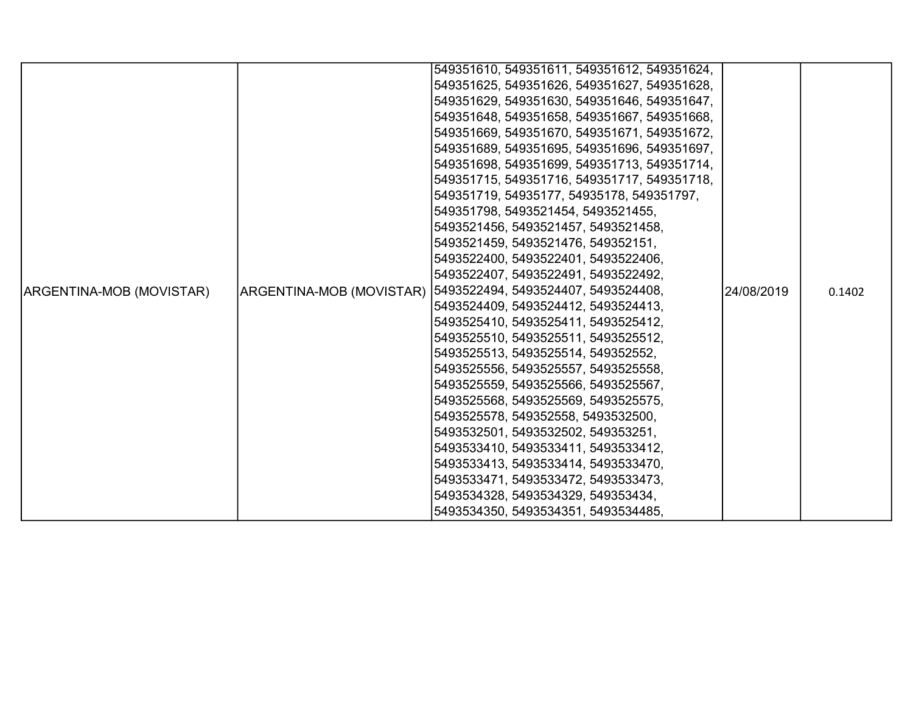|                          |                          | 549351610, 549351611, 549351612, 549351624, |            |        |
|--------------------------|--------------------------|---------------------------------------------|------------|--------|
|                          |                          | 549351625, 549351626, 549351627, 549351628, |            |        |
|                          |                          | 549351629, 549351630, 549351646, 549351647, |            |        |
|                          |                          | 549351648, 549351658, 549351667, 549351668, |            |        |
|                          |                          | 549351669, 549351670, 549351671, 549351672, |            |        |
|                          |                          | 549351689, 549351695, 549351696, 549351697, |            |        |
|                          |                          | 549351698, 549351699, 549351713, 549351714, |            |        |
|                          |                          | 549351715, 549351716, 549351717, 549351718, |            |        |
|                          |                          | 549351719, 54935177, 54935178, 549351797,   |            |        |
|                          |                          | 549351798, 5493521454, 5493521455,          |            |        |
|                          |                          | 5493521456, 5493521457, 5493521458,         |            |        |
|                          |                          | 5493521459, 5493521476, 549352151,          |            |        |
|                          |                          | 5493522400, 5493522401, 5493522406,         |            |        |
|                          |                          | 5493522407, 5493522491, 5493522492,         |            |        |
| ARGENTINA-MOB (MOVISTAR) | ARGENTINA-MOB (MOVISTAR) | 5493522494, 5493524407, 5493524408,         | 24/08/2019 | 0.1402 |
|                          |                          | 5493524409, 5493524412, 5493524413,         |            |        |
|                          |                          | 5493525410, 5493525411, 5493525412,         |            |        |
|                          |                          | 5493525510, 5493525511, 5493525512,         |            |        |
|                          |                          | 5493525513, 5493525514, 549352552,          |            |        |
|                          |                          | 5493525556, 5493525557, 5493525558,         |            |        |
|                          |                          | 5493525559, 5493525566, 5493525567,         |            |        |
|                          |                          | 5493525568, 5493525569, 5493525575,         |            |        |
|                          |                          | 5493525578, 549352558, 5493532500,          |            |        |
|                          |                          | 5493532501, 5493532502, 549353251,          |            |        |
|                          |                          | 5493533410, 5493533411, 5493533412,         |            |        |
|                          |                          | 5493533413, 5493533414, 5493533470,         |            |        |
|                          |                          | 5493533471, 5493533472, 5493533473,         |            |        |
|                          |                          | 5493534328, 5493534329, 549353434,          |            |        |
|                          |                          | 5493534350, 5493534351, 5493534485,         |            |        |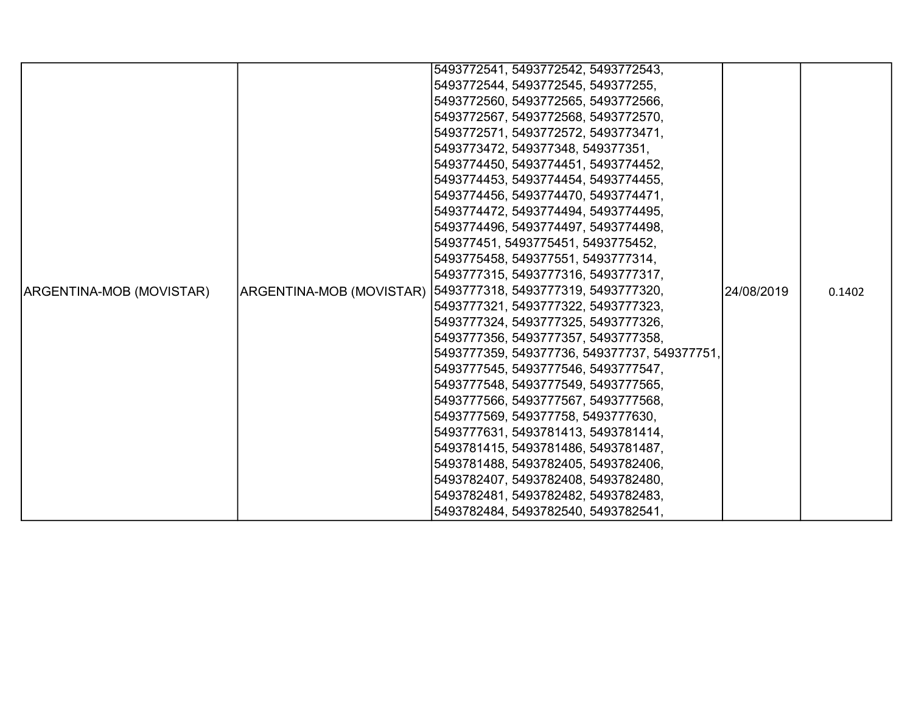|                          |                          | 5493772541, 5493772542, 5493772543,          |            |        |
|--------------------------|--------------------------|----------------------------------------------|------------|--------|
|                          |                          | 5493772544, 5493772545, 549377255,           |            |        |
|                          |                          | 5493772560, 5493772565, 5493772566,          |            |        |
|                          |                          | 5493772567, 5493772568, 5493772570,          |            |        |
|                          |                          | 5493772571, 5493772572, 5493773471,          |            |        |
|                          |                          | 5493773472, 549377348, 549377351,            |            |        |
|                          |                          | 5493774450, 5493774451, 5493774452,          |            |        |
|                          |                          | 5493774453, 5493774454, 5493774455,          |            |        |
|                          |                          | 5493774456, 5493774470, 5493774471,          |            |        |
|                          |                          | 5493774472, 5493774494, 5493774495,          |            |        |
|                          |                          | 5493774496, 5493774497, 5493774498,          |            |        |
|                          |                          | 549377451, 5493775451, 5493775452,           |            |        |
|                          |                          | 5493775458, 549377551, 5493777314,           |            |        |
|                          |                          | 5493777315, 5493777316, 5493777317,          |            |        |
| ARGENTINA-MOB (MOVISTAR) | ARGENTINA-MOB (MOVISTAR) | 5493777318, 5493777319, 5493777320,          | 24/08/2019 | 0.1402 |
|                          |                          | 5493777321, 5493777322, 5493777323,          |            |        |
|                          |                          | 5493777324, 5493777325, 5493777326,          |            |        |
|                          |                          | 5493777356, 5493777357, 5493777358,          |            |        |
|                          |                          | 5493777359, 549377736, 549377737, 549377751, |            |        |
|                          |                          | 5493777545, 5493777546, 5493777547,          |            |        |
|                          |                          | 5493777548, 5493777549, 5493777565,          |            |        |
|                          |                          | 5493777566, 5493777567, 5493777568,          |            |        |
|                          |                          | 5493777569, 549377758, 5493777630,           |            |        |
|                          |                          | 5493777631, 5493781413, 5493781414,          |            |        |
|                          |                          | 5493781415, 5493781486, 5493781487,          |            |        |
|                          |                          | 5493781488, 5493782405, 5493782406,          |            |        |
|                          |                          | 5493782407, 5493782408, 5493782480,          |            |        |
|                          |                          | 5493782481, 5493782482, 5493782483,          |            |        |
|                          |                          | 5493782484, 5493782540, 5493782541,          |            |        |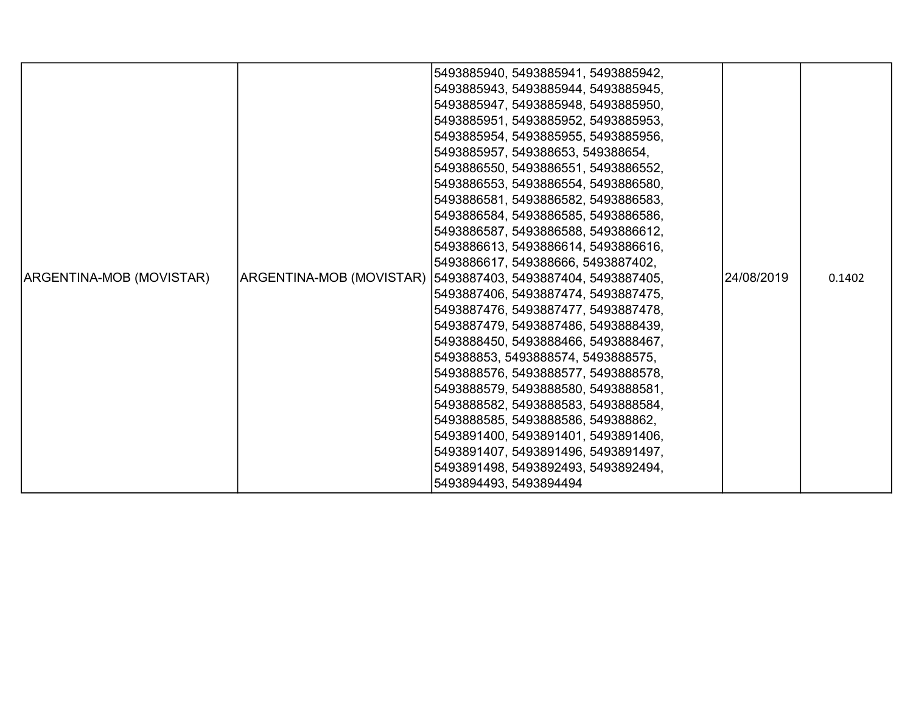|                          |                                    | 5493885940, 5493885941, 5493885942,                           |            |        |
|--------------------------|------------------------------------|---------------------------------------------------------------|------------|--------|
|                          |                                    | 5493885943, 5493885944, 5493885945,                           |            |        |
|                          |                                    | 5493885947, 5493885948, 5493885950,                           |            |        |
|                          |                                    | 5493885951, 5493885952, 5493885953,                           |            |        |
|                          |                                    | 5493885954, 5493885955, 5493885956,                           |            |        |
|                          |                                    | 5493885957, 549388653, 549388654,                             |            |        |
|                          |                                    | 5493886550, 5493886551, 5493886552,                           |            |        |
|                          |                                    | 5493886553, 5493886554, 5493886580,                           |            |        |
|                          |                                    | 5493886581, 5493886582, 5493886583,                           |            |        |
|                          |                                    | 5493886584, 5493886585, 5493886586,                           |            |        |
|                          |                                    | 5493886587, 5493886588, 5493886612,                           |            |        |
|                          |                                    | 5493886613, 5493886614, 5493886616,                           |            |        |
|                          |                                    | 5493886617, 549388666, 5493887402,                            |            |        |
| ARGENTINA-MOB (MOVISTAR) |                                    | ARGENTINA-MOB (MOVISTAR)  5493887403, 5493887404, 5493887405, | 24/08/2019 | 0.1402 |
|                          |                                    | 5493887406, 5493887474, 5493887475,                           |            |        |
|                          |                                    | 5493887476, 5493887477, 5493887478,                           |            |        |
|                          |                                    | 5493887479, 5493887486, 5493888439,                           |            |        |
|                          |                                    | 5493888450, 5493888466, 5493888467,                           |            |        |
|                          | 549388853, 5493888574, 5493888575, |                                                               |            |        |
|                          |                                    | 5493888576, 5493888577, 5493888578,                           |            |        |
|                          |                                    | 5493888579, 5493888580, 5493888581,                           |            |        |
|                          |                                    | 5493888582, 5493888583, 5493888584,                           |            |        |
|                          |                                    | 5493888585, 5493888586, 549388862,                            |            |        |
|                          |                                    | 5493891400, 5493891401, 5493891406,                           |            |        |
|                          |                                    | 5493891407, 5493891496, 5493891497,                           |            |        |
|                          |                                    | 5493891498, 5493892493, 5493892494,                           |            |        |
|                          |                                    | 5493894493, 5493894494                                        |            |        |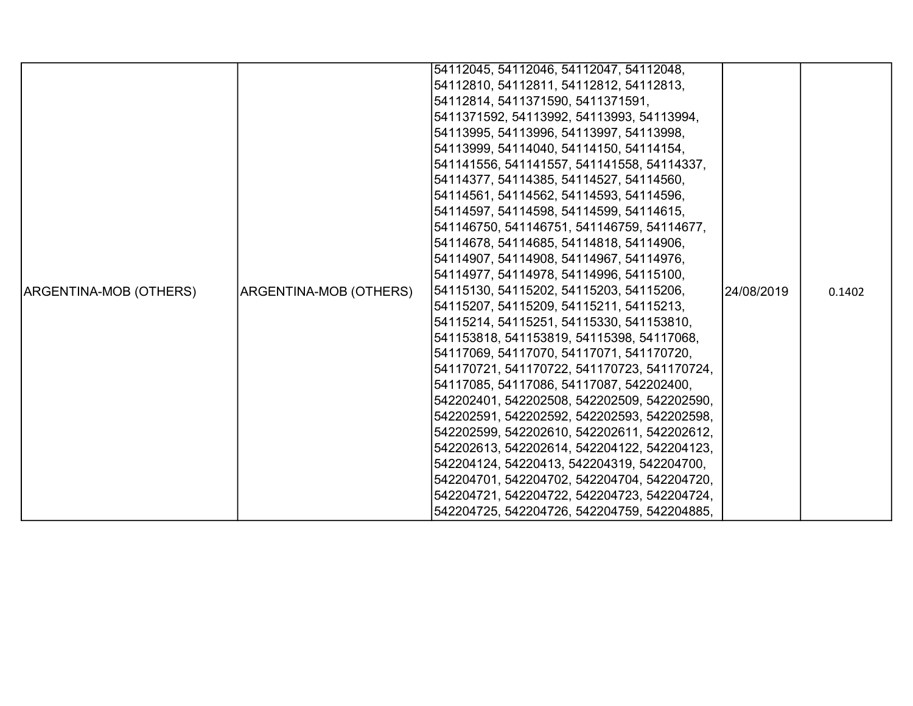|                        |                                                                                                                                                                                     | 54112045, 54112046, 54112047, 54112048,     |            |        |
|------------------------|-------------------------------------------------------------------------------------------------------------------------------------------------------------------------------------|---------------------------------------------|------------|--------|
|                        |                                                                                                                                                                                     | 54112810, 54112811, 54112812, 54112813,     |            |        |
|                        |                                                                                                                                                                                     | 54112814, 5411371590, 5411371591,           |            |        |
|                        |                                                                                                                                                                                     | 5411371592, 54113992, 54113993, 54113994,   |            |        |
|                        |                                                                                                                                                                                     | 54113995, 54113996, 54113997, 54113998,     |            |        |
|                        |                                                                                                                                                                                     | 54113999, 54114040, 54114150, 54114154,     |            |        |
|                        |                                                                                                                                                                                     | 541141556, 541141557, 541141558, 54114337,  |            |        |
|                        |                                                                                                                                                                                     | 54114377, 54114385, 54114527, 54114560,     |            |        |
|                        |                                                                                                                                                                                     | 54114561, 54114562, 54114593, 54114596,     |            |        |
|                        |                                                                                                                                                                                     | 54114597, 54114598, 54114599, 54114615,     |            |        |
|                        |                                                                                                                                                                                     | 541146750, 541146751, 541146759, 54114677,  |            |        |
|                        |                                                                                                                                                                                     | 54114678, 54114685, 54114818, 54114906,     |            |        |
|                        |                                                                                                                                                                                     | 54114907, 54114908, 54114967, 54114976,     |            |        |
|                        |                                                                                                                                                                                     | 54114977, 54114978, 54114996, 54115100,     |            |        |
| ARGENTINA-MOB (OTHERS) | ARGENTINA-MOB (OTHERS)                                                                                                                                                              | 54115130, 54115202, 54115203, 54115206,     | 24/08/2019 | 0.1402 |
|                        |                                                                                                                                                                                     | 54115207, 54115209, 54115211, 54115213,     |            |        |
|                        |                                                                                                                                                                                     | 54115214, 54115251, 54115330, 541153810,    |            |        |
|                        |                                                                                                                                                                                     |                                             |            |        |
|                        |                                                                                                                                                                                     | 54117069, 54117070, 54117071, 541170720,    |            |        |
|                        |                                                                                                                                                                                     |                                             |            |        |
|                        | 541153818, 541153819, 54115398, 54117068,<br>541170721, 541170722, 541170723, 541170724,<br>54117085, 54117086, 54117087, 542202400,<br>542202401, 542202508, 542202509, 542202590, |                                             |            |        |
|                        |                                                                                                                                                                                     |                                             |            |        |
|                        |                                                                                                                                                                                     | 542202591, 542202592, 542202593, 542202598, |            |        |
|                        |                                                                                                                                                                                     | 542202599, 542202610, 542202611, 542202612, |            |        |
|                        |                                                                                                                                                                                     | 542202613, 542202614, 542204122, 542204123, |            |        |
|                        |                                                                                                                                                                                     | 542204124, 54220413, 542204319, 542204700,  |            |        |
|                        |                                                                                                                                                                                     | 542204701, 542204702, 542204704, 542204720, |            |        |
|                        |                                                                                                                                                                                     | 542204721, 542204722, 542204723, 542204724, |            |        |
|                        |                                                                                                                                                                                     | 542204725, 542204726, 542204759, 542204885, |            |        |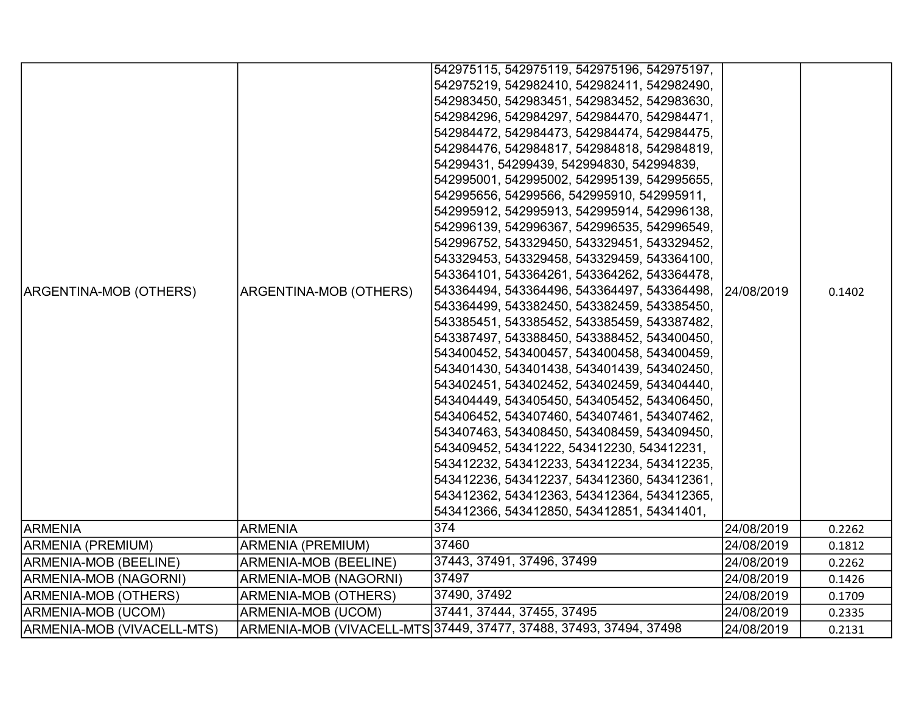|                              |                          | 542975115, 542975119, 542975196, 542975197,                        |            |        |
|------------------------------|--------------------------|--------------------------------------------------------------------|------------|--------|
|                              |                          | 542975219, 542982410, 542982411, 542982490,                        |            |        |
|                              |                          | 542983450, 542983451, 542983452, 542983630,                        |            |        |
|                              |                          | 542984296, 542984297, 542984470, 542984471,                        |            |        |
|                              |                          | 542984472, 542984473, 542984474, 542984475,                        |            |        |
|                              |                          | 542984476, 542984817, 542984818, 542984819,                        |            |        |
|                              |                          | 54299431, 54299439, 542994830, 542994839,                          |            |        |
|                              |                          | 542995001, 542995002, 542995139, 542995655,                        |            |        |
|                              |                          | 542995656, 54299566, 542995910, 542995911,                         |            |        |
|                              |                          | 542995912, 542995913, 542995914, 542996138,                        |            |        |
|                              |                          | 542996139, 542996367, 542996535, 542996549,                        |            |        |
|                              |                          | 542996752, 543329450, 543329451, 543329452,                        |            |        |
|                              |                          | 543329453, 543329458, 543329459, 543364100,                        |            |        |
|                              |                          | 543364101, 543364261, 543364262, 543364478,                        |            |        |
| ARGENTINA-MOB (OTHERS)       | ARGENTINA-MOB (OTHERS)   | 543364494, 543364496, 543364497, 543364498,                        | 24/08/2019 | 0.1402 |
|                              |                          | 543364499, 543382450, 543382459, 543385450,                        |            |        |
|                              |                          | 543385451, 543385452, 543385459, 543387482,                        |            |        |
|                              |                          | 543387497, 543388450, 543388452, 543400450,                        |            |        |
|                              |                          | 543400452, 543400457, 543400458, 543400459,                        |            |        |
|                              |                          | 543401430, 543401438, 543401439, 543402450,                        |            |        |
|                              |                          | 543402451, 543402452, 543402459, 543404440,                        |            |        |
|                              |                          | 543404449, 543405450, 543405452, 543406450,                        |            |        |
|                              |                          | 543406452, 543407460, 543407461, 543407462,                        |            |        |
|                              |                          | 543407463, 543408450, 543408459, 543409450,                        |            |        |
|                              |                          | 543409452, 54341222, 543412230, 543412231,                         |            |        |
|                              |                          | 543412232, 543412233, 543412234, 543412235,                        |            |        |
|                              |                          | 543412236, 543412237, 543412360, 543412361,                        |            |        |
|                              |                          | 543412362, 543412363, 543412364, 543412365,                        |            |        |
|                              |                          | 543412366, 543412850, 543412851, 54341401,                         |            |        |
| <b>ARMENIA</b>               | <b>ARMENIA</b>           | $\overline{374}$                                                   | 24/08/2019 | 0.2262 |
| <b>ARMENIA (PREMIUM)</b>     | <b>ARMENIA (PREMIUM)</b> | 37460                                                              | 24/08/2019 | 0.1812 |
| <b>ARMENIA-MOB (BEELINE)</b> | ARMENIA-MOB (BEELINE)    | 37443, 37491, 37496, 37499                                         | 24/08/2019 | 0.2262 |
| ARMENIA-MOB (NAGORNI)        | ARMENIA-MOB (NAGORNI)    | 37497                                                              | 24/08/2019 | 0.1426 |
| <b>ARMENIA-MOB (OTHERS)</b>  | ARMENIA-MOB (OTHERS)     | 37490, 37492                                                       | 24/08/2019 | 0.1709 |
| ARMENIA-MOB (UCOM)           | ARMENIA-MOB (UCOM)       | 37441, 37444, 37455, 37495                                         | 24/08/2019 | 0.2335 |
| ARMENIA-MOB (VIVACELL-MTS)   |                          | ARMENIA-MOB (VIVACELL-MTS 37449, 37477, 37488, 37493, 37494, 37498 | 24/08/2019 | 0.2131 |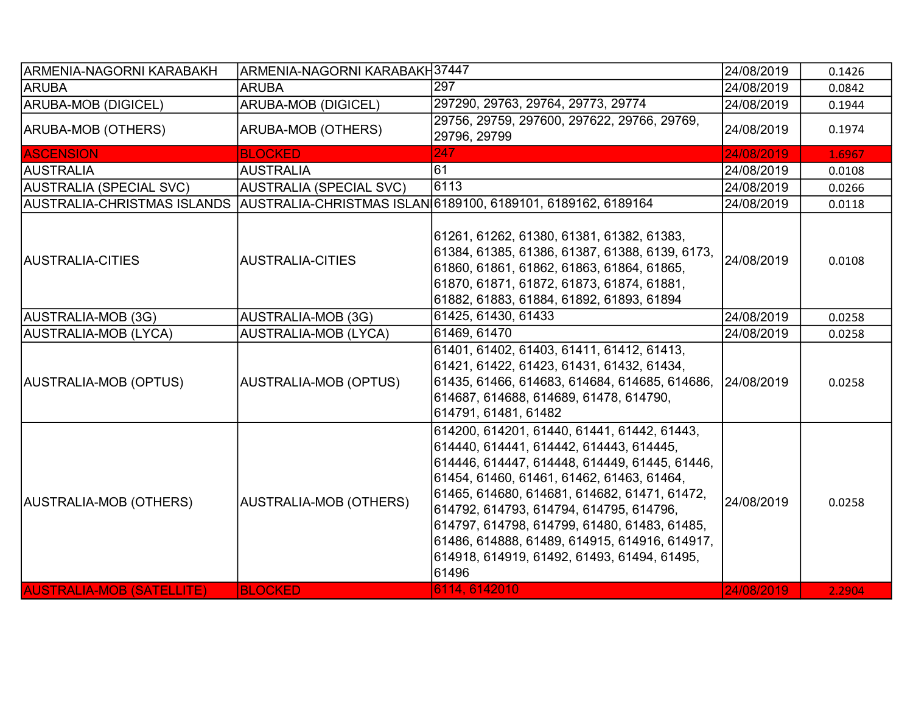| <b>ARMENIA-NAGORNI KARABAKH</b>  | ARMENIA-NAGORNI KARABAKH37447  |                                                                                                                                                                                                                                                                                                                                                                                                                                           | 24/08/2019 | 0.1426 |
|----------------------------------|--------------------------------|-------------------------------------------------------------------------------------------------------------------------------------------------------------------------------------------------------------------------------------------------------------------------------------------------------------------------------------------------------------------------------------------------------------------------------------------|------------|--------|
| <b>ARUBA</b>                     | <b>ARUBA</b>                   | 297                                                                                                                                                                                                                                                                                                                                                                                                                                       | 24/08/2019 | 0.0842 |
| <b>ARUBA-MOB (DIGICEL)</b>       | <b>ARUBA-MOB (DIGICEL)</b>     | 297290, 29763, 29764, 29773, 29774                                                                                                                                                                                                                                                                                                                                                                                                        | 24/08/2019 | 0.1944 |
| <b>ARUBA-MOB (OTHERS)</b>        | ARUBA-MOB (OTHERS)             | 29756, 29759, 297600, 297622, 29766, 29769,<br>29796, 29799                                                                                                                                                                                                                                                                                                                                                                               | 24/08/2019 | 0.1974 |
| <b>ASCENSION</b>                 | <b>BLOCKED</b>                 | 247                                                                                                                                                                                                                                                                                                                                                                                                                                       | 24/08/2019 | 1.6967 |
| AUSTRALIA                        | <b>AUSTRALIA</b>               | 61                                                                                                                                                                                                                                                                                                                                                                                                                                        | 24/08/2019 | 0.0108 |
| <b>AUSTRALIA (SPECIAL SVC)</b>   | <b>AUSTRALIA (SPECIAL SVC)</b> | 6113                                                                                                                                                                                                                                                                                                                                                                                                                                      | 24/08/2019 | 0.0266 |
| AUSTRALIA-CHRISTMAS ISLANDS      |                                | AUSTRALIA-CHRISTMAS ISLAN 6189100, 6189101, 6189162, 6189164                                                                                                                                                                                                                                                                                                                                                                              | 24/08/2019 | 0.0118 |
| AUSTRALIA-CITIES                 | <b>AUSTRALIA-CITIES</b>        | 61261, 61262, 61380, 61381, 61382, 61383,<br>61384, 61385, 61386, 61387, 61388, 6139, 6173,<br>61860, 61861, 61862, 61863, 61864, 61865,<br>61870, 61871, 61872, 61873, 61874, 61881,<br>61882, 61883, 61884, 61892, 61893, 61894                                                                                                                                                                                                         | 24/08/2019 | 0.0108 |
| AUSTRALIA-MOB (3G)               | <b>AUSTRALIA-MOB (3G)</b>      | 61425, 61430, 61433                                                                                                                                                                                                                                                                                                                                                                                                                       | 24/08/2019 | 0.0258 |
| AUSTRALIA-MOB (LYCA)             | <b>AUSTRALIA-MOB (LYCA)</b>    | 61469, 61470                                                                                                                                                                                                                                                                                                                                                                                                                              | 24/08/2019 | 0.0258 |
| AUSTRALIA-MOB (OPTUS)            | AUSTRALIA-MOB (OPTUS)          | 61401, 61402, 61403, 61411, 61412, 61413,<br>61421, 61422, 61423, 61431, 61432, 61434,<br>61435, 61466, 614683, 614684, 614685, 614686,<br> 614687, 614688, 614689, 61478, 614790,<br>614791, 61481, 61482                                                                                                                                                                                                                                | 24/08/2019 | 0.0258 |
| AUSTRALIA-MOB (OTHERS)           | <b>AUSTRALIA-MOB (OTHERS)</b>  | 614200, 614201, 61440, 61441, 61442, 61443,<br>614440, 614441, 614442, 614443, 614445,<br>614446, 614447, 614448, 614449, 61445, 61446,<br> 61454, 61460, 61461, 61462, 61463, 61464,<br>61465, 614680, 614681, 614682, 61471, 61472,<br>614792, 614793, 614794, 614795, 614796,<br>614797, 614798, 614799, 61480, 61483, 61485,<br>61486, 614888, 61489, 614915, 614916, 614917,<br>614918, 614919, 61492, 61493, 61494, 61495,<br>61496 | 24/08/2019 | 0.0258 |
| <b>AUSTRALIA-MOB (SATELLITE)</b> | <b>BLOCKED</b>                 | 6114, 6142010                                                                                                                                                                                                                                                                                                                                                                                                                             | 24/08/2019 | 2.2904 |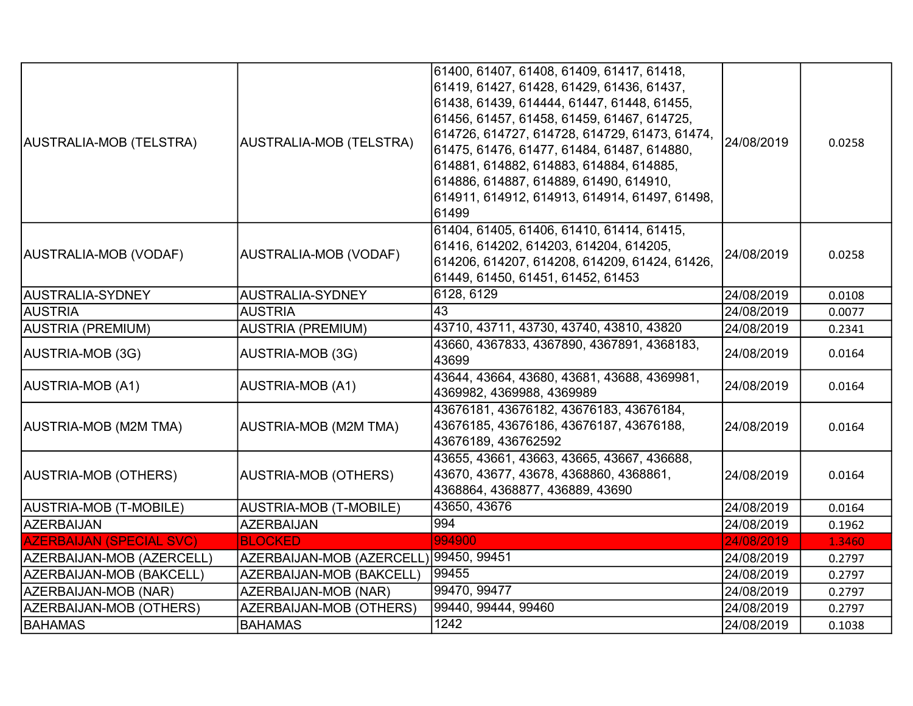| AUSTRALIA-MOB (TELSTRA)         | AUSTRALIA-MOB (TELSTRA)                | 61400, 61407, 61408, 61409, 61417, 61418,<br>61419, 61427, 61428, 61429, 61436, 61437,<br>61438, 61439, 614444, 61447, 61448, 61455,<br>61456, 61457, 61458, 61459, 61467, 614725,<br>614726, 614727, 614728, 614729, 61473, 61474,<br>61475, 61476, 61477, 61484, 61487, 614880,<br>614881, 614882, 614883, 614884, 614885,<br>614886, 614887, 614889, 61490, 614910,<br>614911, 614912, 614913, 614914, 61497, 61498,<br>61499 | 24/08/2019 | 0.0258 |
|---------------------------------|----------------------------------------|----------------------------------------------------------------------------------------------------------------------------------------------------------------------------------------------------------------------------------------------------------------------------------------------------------------------------------------------------------------------------------------------------------------------------------|------------|--------|
| AUSTRALIA-MOB (VODAF)           | AUSTRALIA-MOB (VODAF)                  | 61404, 61405, 61406, 61410, 61414, 61415,<br>61416, 614202, 614203, 614204, 614205,<br>614206, 614207, 614208, 614209, 61424, 61426,<br>61449, 61450, 61451, 61452, 61453                                                                                                                                                                                                                                                        | 24/08/2019 | 0.0258 |
| AUSTRALIA-SYDNEY                | AUSTRALIA-SYDNEY                       | 6128, 6129                                                                                                                                                                                                                                                                                                                                                                                                                       | 24/08/2019 | 0.0108 |
| <b>AUSTRIA</b>                  | <b>AUSTRIA</b>                         | $\overline{43}$                                                                                                                                                                                                                                                                                                                                                                                                                  | 24/08/2019 | 0.0077 |
| AUSTRIA (PREMIUM)               | <b>AUSTRIA (PREMIUM)</b>               | 43710, 43711, 43730, 43740, 43810, 43820                                                                                                                                                                                                                                                                                                                                                                                         | 24/08/2019 | 0.2341 |
| AUSTRIA-MOB (3G)                | AUSTRIA-MOB (3G)                       | 43660, 4367833, 4367890, 4367891, 4368183,<br>43699                                                                                                                                                                                                                                                                                                                                                                              | 24/08/2019 | 0.0164 |
| AUSTRIA-MOB (A1)                | AUSTRIA-MOB (A1)                       | 43644, 43664, 43680, 43681, 43688, 4369981,<br>4369982, 4369988, 4369989                                                                                                                                                                                                                                                                                                                                                         | 24/08/2019 | 0.0164 |
| AUSTRIA-MOB (M2M TMA)           | AUSTRIA-MOB (M2M TMA)                  | 43676181, 43676182, 43676183, 43676184,<br>43676185, 43676186, 43676187, 43676188,<br>43676189, 436762592                                                                                                                                                                                                                                                                                                                        | 24/08/2019 | 0.0164 |
| AUSTRIA-MOB (OTHERS)            | AUSTRIA-MOB (OTHERS)                   | 43655, 43661, 43663, 43665, 43667, 436688,<br>43670, 43677, 43678, 4368860, 4368861,<br>4368864, 4368877, 436889, 43690                                                                                                                                                                                                                                                                                                          | 24/08/2019 | 0.0164 |
| AUSTRIA-MOB (T-MOBILE)          | <b>AUSTRIA-MOB (T-MOBILE)</b>          | 43650, 43676                                                                                                                                                                                                                                                                                                                                                                                                                     | 24/08/2019 | 0.0164 |
| AZERBAIJAN                      | <b>AZERBAIJAN</b>                      | 994                                                                                                                                                                                                                                                                                                                                                                                                                              | 24/08/2019 | 0.1962 |
| <b>AZERBAIJAN (SPECIAL SVC)</b> | <b>BLOCKED</b>                         | 994900                                                                                                                                                                                                                                                                                                                                                                                                                           | 24/08/2019 | 1.3460 |
| AZERBAIJAN-MOB (AZERCELL)       | AZERBAIJAN-MOB (AZERCELL) 99450, 99451 |                                                                                                                                                                                                                                                                                                                                                                                                                                  | 24/08/2019 | 0.2797 |
| AZERBAIJAN-MOB (BAKCELL)        | AZERBAIJAN-MOB (BAKCELL)               | 99455                                                                                                                                                                                                                                                                                                                                                                                                                            | 24/08/2019 | 0.2797 |
| AZERBAIJAN-MOB (NAR)            | AZERBAIJAN-MOB (NAR)                   | 99470, 99477                                                                                                                                                                                                                                                                                                                                                                                                                     | 24/08/2019 | 0.2797 |
| AZERBAIJAN-MOB (OTHERS)         | <b>AZERBAIJAN-MOB (OTHERS)</b>         | 99440, 99444, 99460                                                                                                                                                                                                                                                                                                                                                                                                              | 24/08/2019 | 0.2797 |
| <b>BAHAMAS</b>                  | <b>BAHAMAS</b>                         | 1242                                                                                                                                                                                                                                                                                                                                                                                                                             | 24/08/2019 | 0.1038 |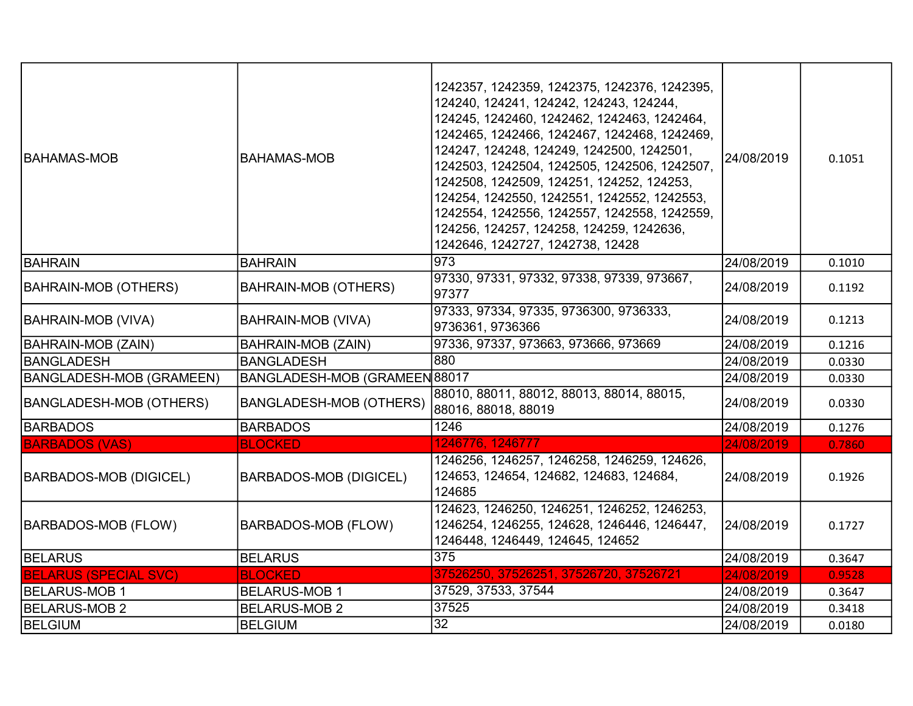| <b>BAHAMAS-MOB</b>              | IBAHAMAS-MOB                   | 1242357, 1242359, 1242375, 1242376, 1242395,<br>124240, 124241, 124242, 124243, 124244,<br>124245, 1242460, 1242462, 1242463, 1242464,<br>1242465, 1242466, 1242467, 1242468, 1242469,<br>124247, 124248, 124249, 1242500, 1242501,<br>1242503, 1242504, 1242505, 1242506, 1242507,<br>1242508, 1242509, 124251, 124252, 124253,<br>124254, 1242550, 1242551, 1242552, 1242553,<br>1242554, 1242556, 1242557, 1242558, 1242559,<br>124256, 124257, 124258, 124259, 1242636,<br>1242646, 1242727, 1242738, 12428 | 24/08/2019 | 0.1051 |
|---------------------------------|--------------------------------|-----------------------------------------------------------------------------------------------------------------------------------------------------------------------------------------------------------------------------------------------------------------------------------------------------------------------------------------------------------------------------------------------------------------------------------------------------------------------------------------------------------------|------------|--------|
| BAHRAIN                         | <b>BAHRAIN</b>                 | 973                                                                                                                                                                                                                                                                                                                                                                                                                                                                                                             | 24/08/2019 | 0.1010 |
| BAHRAIN-MOB (OTHERS)            | BAHRAIN-MOB (OTHERS)           | 97330, 97331, 97332, 97338, 97339, 973667,<br>97377                                                                                                                                                                                                                                                                                                                                                                                                                                                             | 24/08/2019 | 0.1192 |
| BAHRAIN-MOB (VIVA)              | <b>BAHRAIN-MOB (VIVA)</b>      | 97333, 97334, 97335, 9736300, 9736333,<br>9736361, 9736366                                                                                                                                                                                                                                                                                                                                                                                                                                                      | 24/08/2019 | 0.1213 |
| <b>BAHRAIN-MOB (ZAIN)</b>       | <b>BAHRAIN-MOB (ZAIN)</b>      | 97336, 97337, 973663, 973666, 973669                                                                                                                                                                                                                                                                                                                                                                                                                                                                            | 24/08/2019 | 0.1216 |
| BANGLADESH                      | <b>BANGLADESH</b>              | 880                                                                                                                                                                                                                                                                                                                                                                                                                                                                                                             | 24/08/2019 | 0.0330 |
| <b>BANGLADESH-MOB (GRAMEEN)</b> | BANGLADESH-MOB (GRAMEEN 88017  |                                                                                                                                                                                                                                                                                                                                                                                                                                                                                                                 | 24/08/2019 | 0.0330 |
| BANGLADESH-MOB (OTHERS)         | <b>BANGLADESH-MOB (OTHERS)</b> | 88010, 88011, 88012, 88013, 88014, 88015,<br>88016, 88018, 88019                                                                                                                                                                                                                                                                                                                                                                                                                                                | 24/08/2019 | 0.0330 |
| <b>BARBADOS</b>                 | <b>BARBADOS</b>                | 1246                                                                                                                                                                                                                                                                                                                                                                                                                                                                                                            | 24/08/2019 | 0.1276 |
| <b>BARBADOS (VAS)</b>           | <b>BLOCKED</b>                 | 1246776, 1246777                                                                                                                                                                                                                                                                                                                                                                                                                                                                                                | 24/08/2019 | 0.7860 |
| <b>BARBADOS-MOB (DIGICEL)</b>   | <b>BARBADOS-MOB (DIGICEL)</b>  | 1246256, 1246257, 1246258, 1246259, 124626,<br>124653, 124654, 124682, 124683, 124684,<br>124685                                                                                                                                                                                                                                                                                                                                                                                                                | 24/08/2019 | 0.1926 |
| BARBADOS-MOB (FLOW)             | BARBADOS-MOB (FLOW)            | 124623, 1246250, 1246251, 1246252, 1246253,<br>1246254, 1246255, 124628, 1246446, 1246447,<br>1246448, 1246449, 124645, 124652                                                                                                                                                                                                                                                                                                                                                                                  | 24/08/2019 | 0.1727 |
| <b>BELARUS</b>                  | <b>BELARUS</b>                 | 375                                                                                                                                                                                                                                                                                                                                                                                                                                                                                                             | 24/08/2019 | 0.3647 |
| <b>BELARUS (SPECIAL SVC)</b>    | <b>BLOCKED</b>                 | 37526250, 37526251, 37526720, 37526721                                                                                                                                                                                                                                                                                                                                                                                                                                                                          | 24/08/2019 | 0.9528 |
| <b>BELARUS-MOB 1</b>            | <b>BELARUS-MOB 1</b>           | 37529, 37533, 37544                                                                                                                                                                                                                                                                                                                                                                                                                                                                                             | 24/08/2019 | 0.3647 |
| <b>BELARUS-MOB 2</b>            | <b>BELARUS-MOB 2</b>           | 37525                                                                                                                                                                                                                                                                                                                                                                                                                                                                                                           | 24/08/2019 | 0.3418 |
| BELGIUM                         | <b>BELGIUM</b>                 | $\overline{32}$                                                                                                                                                                                                                                                                                                                                                                                                                                                                                                 | 24/08/2019 | 0.0180 |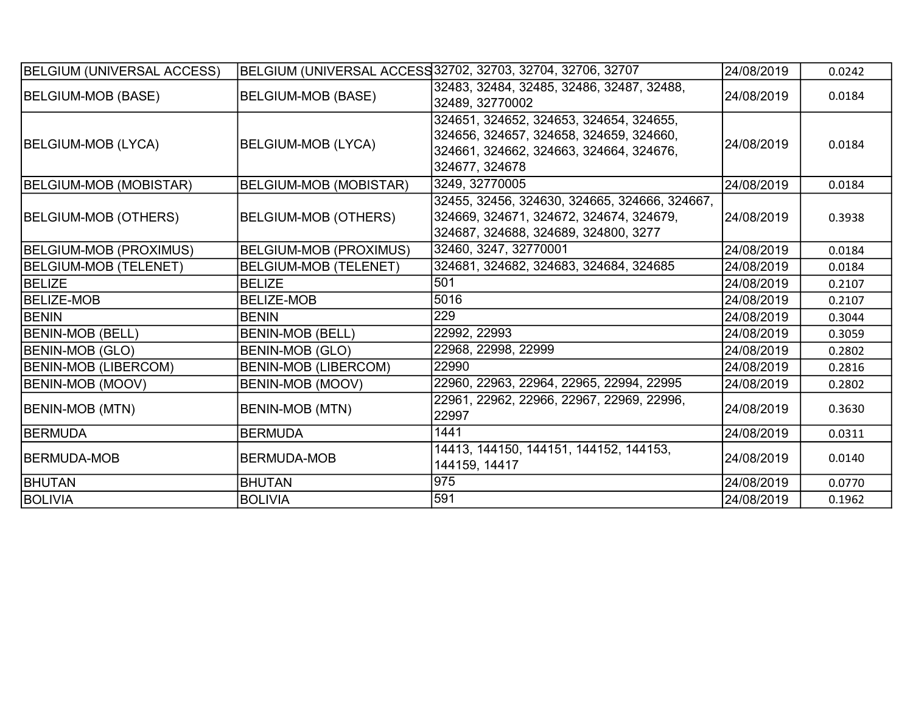| <b>BELGIUM (UNIVERSAL ACCESS)</b> |                               | BELGIUM (UNIVERSAL ACCESS 32702, 32703, 32704, 32706, 32707                                                                                     | 24/08/2019 | 0.0242 |
|-----------------------------------|-------------------------------|-------------------------------------------------------------------------------------------------------------------------------------------------|------------|--------|
| BELGIUM-MOB (BASE)                | <b>BELGIUM-MOB (BASE)</b>     | 32483, 32484, 32485, 32486, 32487, 32488,<br>32489, 32770002                                                                                    | 24/08/2019 | 0.0184 |
| BELGIUM-MOB (LYCA)                | BELGIUM-MOB (LYCA)            | 324651, 324652, 324653, 324654, 324655,<br>324656, 324657, 324658, 324659, 324660,<br>324661, 324662, 324663, 324664, 324676,<br>324677, 324678 | 24/08/2019 | 0.0184 |
| BELGIUM-MOB (MOBISTAR)            | BELGIUM-MOB (MOBISTAR)        | 3249, 32770005                                                                                                                                  | 24/08/2019 | 0.0184 |
| BELGIUM-MOB (OTHERS)              | BELGIUM-MOB (OTHERS)          | 32455, 32456, 324630, 324665, 324666, 324667,<br>324669, 324671, 324672, 324674, 324679,<br>324687, 324688, 324689, 324800, 3277                | 24/08/2019 | 0.3938 |
| <b>BELGIUM-MOB (PROXIMUS)</b>     | <b>BELGIUM-MOB (PROXIMUS)</b> | 32460, 3247, 32770001                                                                                                                           | 24/08/2019 | 0.0184 |
| <b>BELGIUM-MOB (TELENET)</b>      | <b>BELGIUM-MOB (TELENET)</b>  | 324681, 324682, 324683, 324684, 324685                                                                                                          | 24/08/2019 | 0.0184 |
| <b>BELIZE</b>                     | <b>BELIZE</b>                 | 501                                                                                                                                             | 24/08/2019 | 0.2107 |
| <b>BELIZE-MOB</b>                 | <b>BELIZE-MOB</b>             | 5016                                                                                                                                            | 24/08/2019 | 0.2107 |
| <b>BENIN</b>                      | <b>BENIN</b>                  | 229                                                                                                                                             | 24/08/2019 | 0.3044 |
| <b>BENIN-MOB (BELL)</b>           | <b>BENIN-MOB (BELL)</b>       | 22992, 22993                                                                                                                                    | 24/08/2019 | 0.3059 |
| <b>BENIN-MOB (GLO)</b>            | BENIN-MOB (GLO)               | 22968, 22998, 22999                                                                                                                             | 24/08/2019 | 0.2802 |
| <b>BENIN-MOB (LIBERCOM)</b>       | BENIN-MOB (LIBERCOM)          | 22990                                                                                                                                           | 24/08/2019 | 0.2816 |
| <b>BENIN-MOB (MOOV)</b>           | BENIN-MOB (MOOV)              | 22960, 22963, 22964, 22965, 22994, 22995                                                                                                        | 24/08/2019 | 0.2802 |
| <b>BENIN-MOB (MTN)</b>            | BENIN-MOB (MTN)               | 22961, 22962, 22966, 22967, 22969, 22996,<br>22997                                                                                              | 24/08/2019 | 0.3630 |
| BERMUDA                           | <b>BERMUDA</b>                | 1441                                                                                                                                            | 24/08/2019 | 0.0311 |
| BERMUDA-MOB                       | <b>BERMUDA-MOB</b>            | 14413, 144150, 144151, 144152, 144153,<br>144159, 14417                                                                                         | 24/08/2019 | 0.0140 |
| <b>BHUTAN</b>                     | <b>BHUTAN</b>                 | 975                                                                                                                                             | 24/08/2019 | 0.0770 |
| <b>BOLIVIA</b>                    | <b>BOLIVIA</b>                | 591                                                                                                                                             | 24/08/2019 | 0.1962 |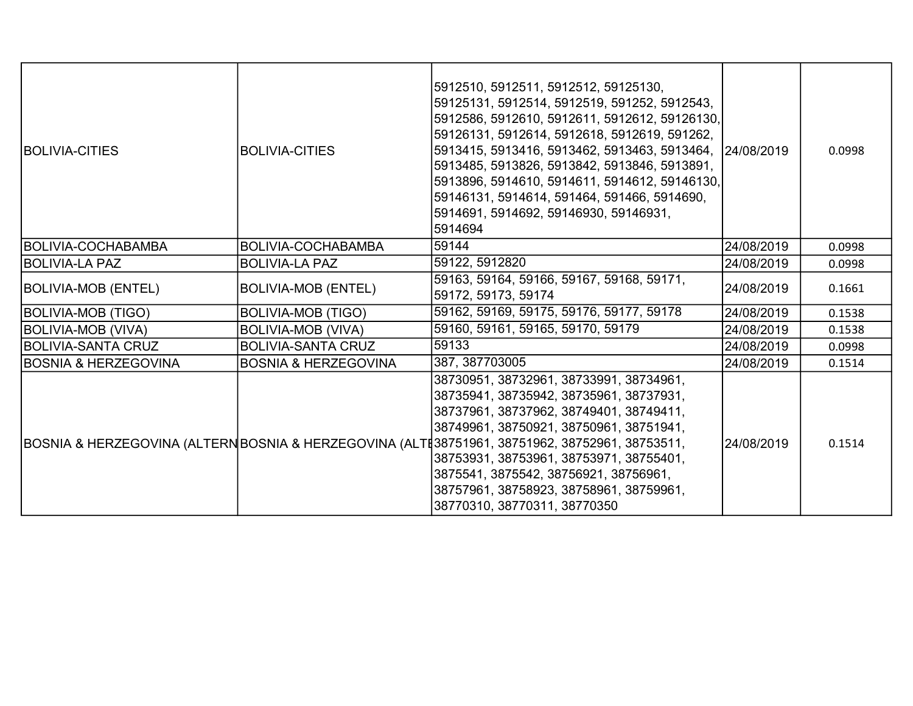| <b>BOLIVIA-CITIES</b>           | <b>BOLIVIA-CITIES</b>           | 5912510, 5912511, 5912512, 59125130,<br>59125131, 5912514, 5912519, 591252, 5912543,<br>5912586, 5912610, 5912611, 5912612, 59126130,<br>59126131, 5912614, 5912618, 5912619, 591262,<br>5913415, 5913416, 5913462, 5913463, 5913464, 24/08/2019<br>5913485, 5913826, 5913842, 5913846, 5913891,<br>5913896, 5914610, 5914611, 5914612, 59146130,<br>59146131, 5914614, 591464, 591466, 5914690,<br>5914691, 5914692, 59146930, 59146931,<br>5914694 |            | 0.0998 |
|---------------------------------|---------------------------------|------------------------------------------------------------------------------------------------------------------------------------------------------------------------------------------------------------------------------------------------------------------------------------------------------------------------------------------------------------------------------------------------------------------------------------------------------|------------|--------|
| <b>BOLIVIA-COCHABAMBA</b>       | BOLIVIA-COCHABAMBA              | 59144                                                                                                                                                                                                                                                                                                                                                                                                                                                | 24/08/2019 | 0.0998 |
| BOLIVIA-LA PAZ                  | <b>BOLIVIA-LA PAZ</b>           | 59122, 5912820                                                                                                                                                                                                                                                                                                                                                                                                                                       | 24/08/2019 | 0.0998 |
| <b>BOLIVIA-MOB (ENTEL)</b>      | <b>BOLIVIA-MOB (ENTEL)</b>      | 59163, 59164, 59166, 59167, 59168, 59171,<br>59172, 59173, 59174                                                                                                                                                                                                                                                                                                                                                                                     | 24/08/2019 | 0.1661 |
| <b>BOLIVIA-MOB (TIGO)</b>       | <b>BOLIVIA-MOB (TIGO)</b>       | 59162, 59169, 59175, 59176, 59177, 59178                                                                                                                                                                                                                                                                                                                                                                                                             | 24/08/2019 | 0.1538 |
| BOLIVIA-MOB (VIVA)              | <b>BOLIVIA-MOB (VIVA)</b>       | 59160, 59161, 59165, 59170, 59179                                                                                                                                                                                                                                                                                                                                                                                                                    | 24/08/2019 | 0.1538 |
| <b>BOLIVIA-SANTA CRUZ</b>       | <b>BOLIVIA-SANTA CRUZ</b>       | 59133                                                                                                                                                                                                                                                                                                                                                                                                                                                | 24/08/2019 | 0.0998 |
| <b>BOSNIA &amp; HERZEGOVINA</b> | <b>BOSNIA &amp; HERZEGOVINA</b> | 387, 387703005                                                                                                                                                                                                                                                                                                                                                                                                                                       | 24/08/2019 | 0.1514 |
|                                 |                                 | 38730951, 38732961, 38733991, 38734961,<br>38735941, 38735942, 38735961, 38737931,<br>38737961, 38737962, 38749401, 38749411,<br>38749961, 38750921, 38750961, 38751941,<br>BOSNIA & HERZEGOVINA (ALTERNBOSNIA & HERZEGOVINA (ALTE38751961, 38751962, 38752961, 38753511,<br>38753931, 38753961, 38753971, 38755401,<br>3875541, 3875542, 38756921, 38756961,<br>38757961, 38758923, 38758961, 38759961,<br>38770310, 38770311, 38770350             | 24/08/2019 | 0.1514 |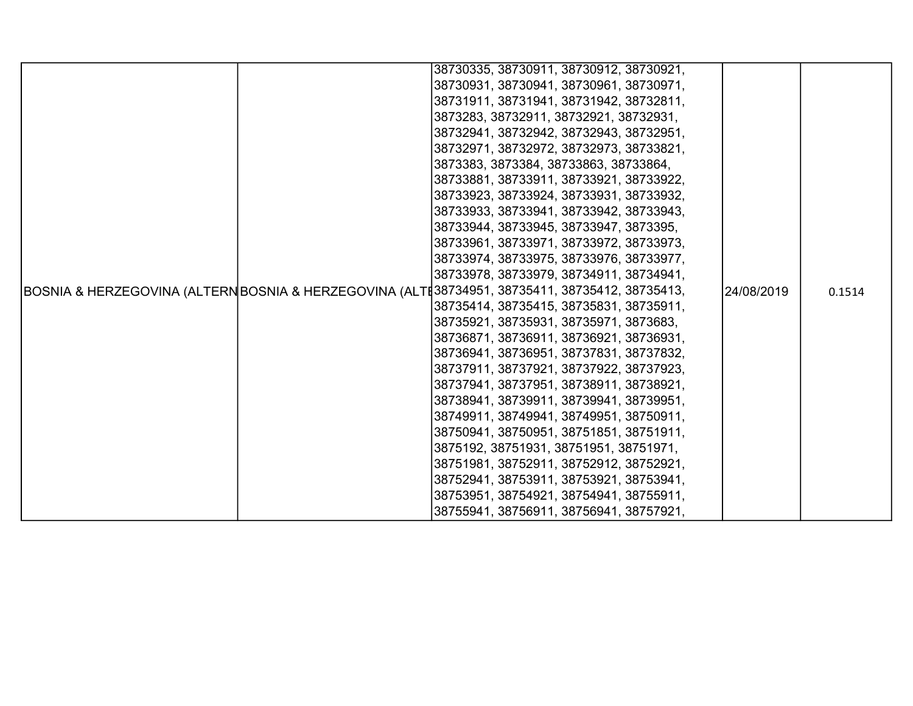|  |  | 38730335, 38730911, 38730912, 38730921,                                                       |            |        |
|--|--|-----------------------------------------------------------------------------------------------|------------|--------|
|  |  | 38730931, 38730941, 38730961, 38730971,                                                       |            |        |
|  |  | 38731911, 38731941, 38731942, 38732811,                                                       |            |        |
|  |  | 3873283, 38732911, 38732921, 38732931,                                                        |            |        |
|  |  | 38732941, 38732942, 38732943, 38732951,                                                       |            |        |
|  |  | 38732971, 38732972, 38732973, 38733821,                                                       |            |        |
|  |  | 3873383, 3873384, 38733863, 38733864,                                                         |            |        |
|  |  | 38733881, 38733911, 38733921, 38733922,                                                       |            |        |
|  |  | 38733923, 38733924, 38733931, 38733932,                                                       |            |        |
|  |  | 38733933, 38733941, 38733942, 38733943,                                                       |            |        |
|  |  | 38733944, 38733945, 38733947, 3873395,                                                        |            |        |
|  |  | 38733961, 38733971, 38733972, 38733973,                                                       |            |        |
|  |  | 38733974, 38733975, 38733976, 38733977,                                                       |            |        |
|  |  | 38733978, 38733979, 38734911, 38734941,                                                       |            |        |
|  |  | BOSNIA & HERZEGOVINA (ALTERNBOSNIA & HERZEGOVINA (ALTE38734951, 38735411, 38735412, 38735413, | 24/08/2019 | 0.1514 |
|  |  | 38735414, 38735415, 38735831, 38735911,                                                       |            |        |
|  |  | 38735921, 38735931, 38735971, 3873683,                                                        |            |        |
|  |  | 38736871, 38736911, 38736921, 38736931,                                                       |            |        |
|  |  | 38736941, 38736951, 38737831, 38737832,                                                       |            |        |
|  |  | 38737911, 38737921, 38737922, 38737923,                                                       |            |        |
|  |  | 38737941, 38737951, 38738911, 38738921,                                                       |            |        |
|  |  | 38738941, 38739911, 38739941, 38739951,                                                       |            |        |
|  |  | 38749911, 38749941, 38749951, 38750911,                                                       |            |        |
|  |  | 38750941, 38750951, 38751851, 38751911,                                                       |            |        |
|  |  | 3875192, 38751931, 38751951, 38751971,                                                        |            |        |
|  |  | 38751981, 38752911, 38752912, 38752921,                                                       |            |        |
|  |  | 38752941, 38753911, 38753921, 38753941,                                                       |            |        |
|  |  | 38753951, 38754921, 38754941, 38755911,                                                       |            |        |
|  |  | 38755941, 38756911, 38756941, 38757921,                                                       |            |        |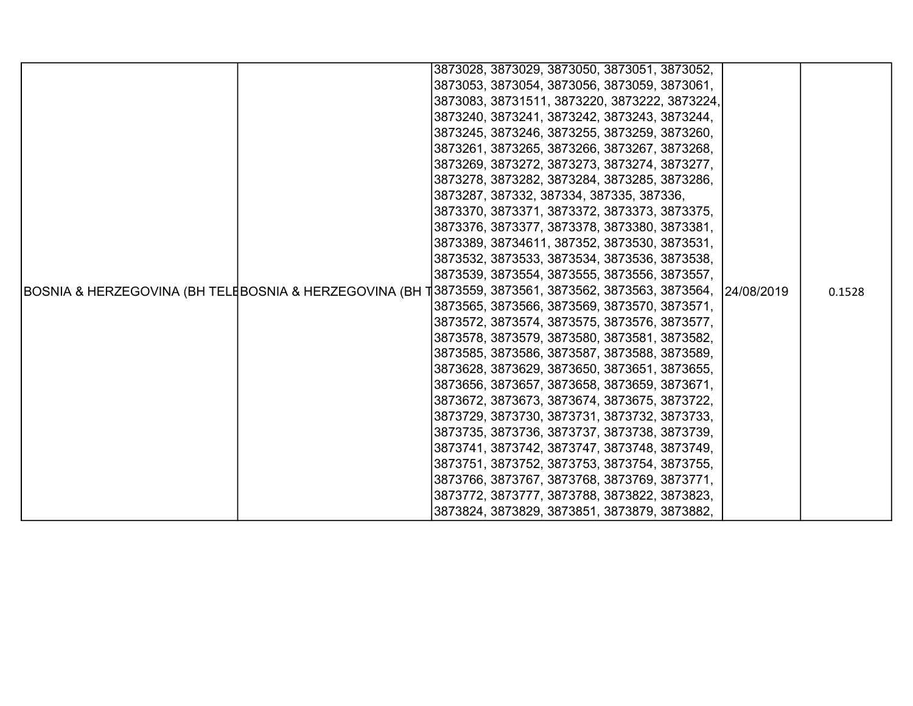|                                                         |  | 3873028, 3873029, 3873050, 3873051, 3873052,  |            |        |
|---------------------------------------------------------|--|-----------------------------------------------|------------|--------|
|                                                         |  | 3873053, 3873054, 3873056, 3873059, 3873061,  |            |        |
|                                                         |  | 3873083, 38731511, 3873220, 3873222, 3873224, |            |        |
|                                                         |  | 3873240, 3873241, 3873242, 3873243, 3873244,  |            |        |
|                                                         |  | 3873245, 3873246, 3873255, 3873259, 3873260,  |            |        |
|                                                         |  | 3873261, 3873265, 3873266, 3873267, 3873268,  |            |        |
|                                                         |  | 3873269, 3873272, 3873273, 3873274, 3873277,  |            |        |
|                                                         |  | 3873278, 3873282, 3873284, 3873285, 3873286,  |            |        |
|                                                         |  | 3873287, 387332, 387334, 387335, 387336,      |            |        |
|                                                         |  | 3873370, 3873371, 3873372, 3873373, 3873375,  |            |        |
|                                                         |  | 3873376, 3873377, 3873378, 3873380, 3873381,  |            |        |
|                                                         |  | 3873389, 38734611, 387352, 3873530, 3873531,  |            |        |
|                                                         |  | 3873532, 3873533, 3873534, 3873536, 3873538,  |            |        |
|                                                         |  | 3873539, 3873554, 3873555, 3873556, 3873557,  |            |        |
| BOSNIA & HERZEGOVINA (BH TELEBOSNIA & HERZEGOVINA (BH T |  | 3873559, 3873561, 3873562, 3873563, 3873564,  | 24/08/2019 | 0.1528 |
|                                                         |  | 3873565, 3873566, 3873569, 3873570, 3873571,  |            |        |
|                                                         |  | 3873572, 3873574, 3873575, 3873576, 3873577,  |            |        |
|                                                         |  | 3873578, 3873579, 3873580, 3873581, 3873582,  |            |        |
|                                                         |  | 3873585, 3873586, 3873587, 3873588, 3873589,  |            |        |
|                                                         |  | 3873628, 3873629, 3873650, 3873651, 3873655,  |            |        |
|                                                         |  | 3873656, 3873657, 3873658, 3873659, 3873671,  |            |        |
|                                                         |  | 3873672, 3873673, 3873674, 3873675, 3873722,  |            |        |
|                                                         |  | 3873729, 3873730, 3873731, 3873732, 3873733,  |            |        |
|                                                         |  | 3873735, 3873736, 3873737, 3873738, 3873739,  |            |        |
|                                                         |  | 3873741, 3873742, 3873747, 3873748, 3873749,  |            |        |
|                                                         |  | 3873751, 3873752, 3873753, 3873754, 3873755,  |            |        |
|                                                         |  | 3873766, 3873767, 3873768, 3873769, 3873771,  |            |        |
|                                                         |  | 3873772, 3873777, 3873788, 3873822, 3873823,  |            |        |
|                                                         |  | 3873824, 3873829, 3873851, 3873879, 3873882,  |            |        |
|                                                         |  |                                               |            |        |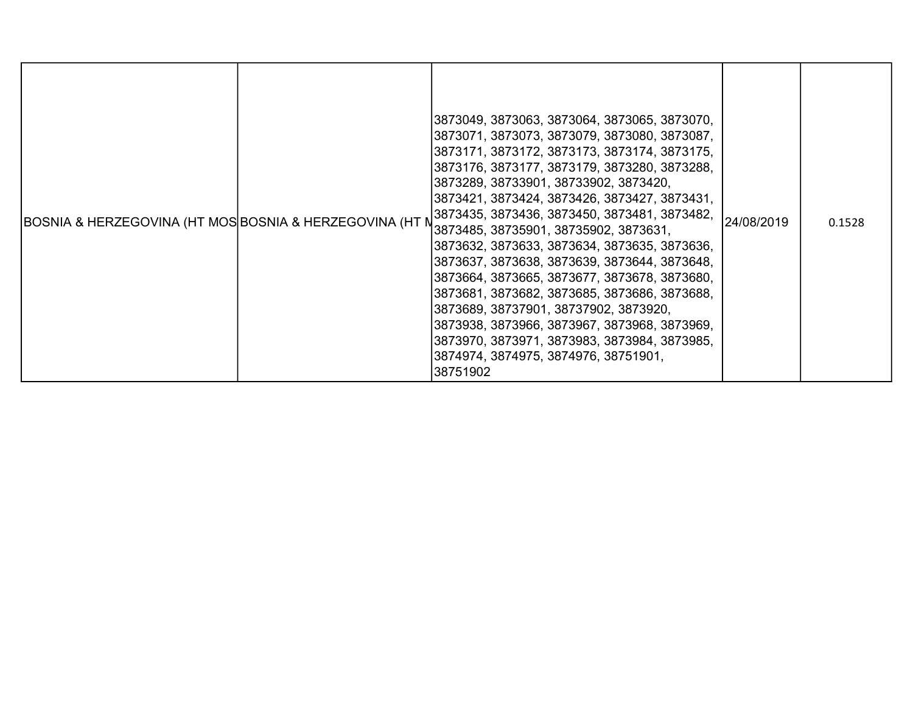| BOSNIA & HERZEGOVINA (HT MOS BOSNIA & HERZEGOVINA (HT M |  | 3873049, 3873063, 3873064, 3873065, 3873070,<br> 3873071, 3873073, 3873079, 3873080, 3873087,<br> 3873171, 3873172, 3873173, 3873174, 3873175,<br>3873176, 3873177, 3873179, 3873280, 3873288,<br> 3873289, 38733901, 38733902, 3873420,<br> 3873421, 3873424, 3873426, 3873427, 3873431,<br>3873435, 3873436, 3873450, 3873481, 3873482,<br>3873485, 38735901, 38735902, 3873631,<br>3873632, 3873633, 3873634, 3873635, 3873636,<br>3873637, 3873638, 3873639, 3873644, 3873648,<br>3873664, 3873665, 3873677, 3873678, 3873680,<br>3873681, 3873682, 3873685, 3873686, 3873688,<br> 3873689, 38737901, 38737902, 3873920,<br>3873938, 3873966, 3873967, 3873968, 3873969,<br>3873970, 3873971, 3873983, 3873984, 3873985,<br>3874974, 3874975, 3874976, 38751901,<br>38751902 | 24/08/2019 | 0.1528 |
|---------------------------------------------------------|--|----------------------------------------------------------------------------------------------------------------------------------------------------------------------------------------------------------------------------------------------------------------------------------------------------------------------------------------------------------------------------------------------------------------------------------------------------------------------------------------------------------------------------------------------------------------------------------------------------------------------------------------------------------------------------------------------------------------------------------------------------------------------------------|------------|--------|
|---------------------------------------------------------|--|----------------------------------------------------------------------------------------------------------------------------------------------------------------------------------------------------------------------------------------------------------------------------------------------------------------------------------------------------------------------------------------------------------------------------------------------------------------------------------------------------------------------------------------------------------------------------------------------------------------------------------------------------------------------------------------------------------------------------------------------------------------------------------|------------|--------|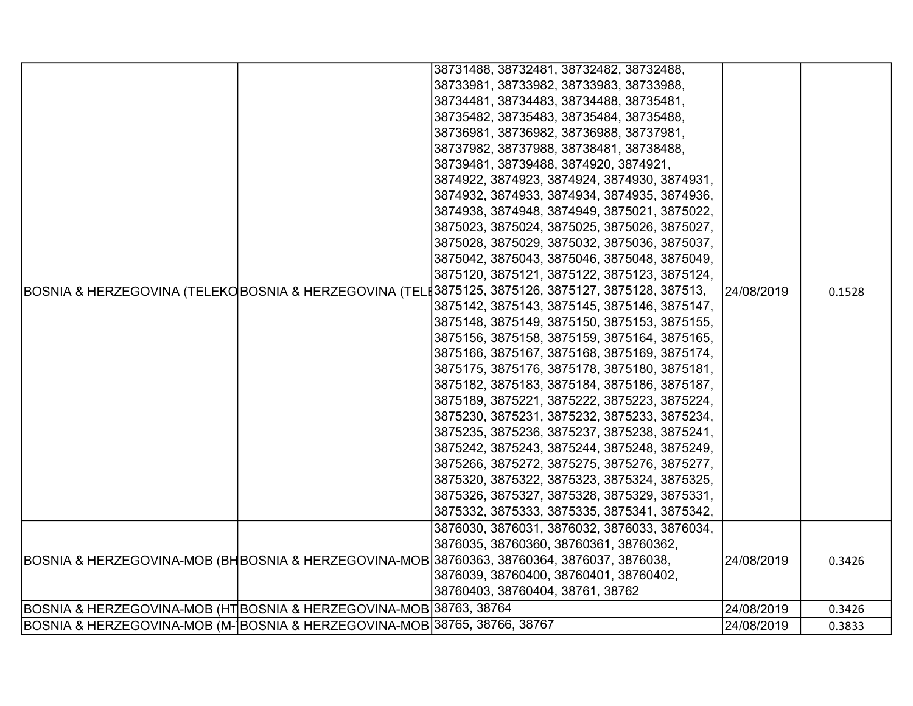|                                                                           |  | 38731488, 38732481, 38732482, 38732488,                                                             |            |        |
|---------------------------------------------------------------------------|--|-----------------------------------------------------------------------------------------------------|------------|--------|
|                                                                           |  | 38733981, 38733982, 38733983, 38733988,                                                             |            |        |
|                                                                           |  | 38734481, 38734483, 38734488, 38735481,                                                             |            |        |
|                                                                           |  | 38735482, 38735483, 38735484, 38735488,                                                             |            |        |
|                                                                           |  | 38736981, 38736982, 38736988, 38737981,                                                             |            |        |
|                                                                           |  | 38737982, 38737988, 38738481, 38738488,                                                             |            |        |
|                                                                           |  | 38739481, 38739488, 3874920, 3874921,                                                               |            |        |
|                                                                           |  | 3874922, 3874923, 3874924, 3874930, 3874931,                                                        |            |        |
|                                                                           |  | 3874932, 3874933, 3874934, 3874935, 3874936,                                                        |            |        |
|                                                                           |  | 3874938, 3874948, 3874949, 3875021, 3875022,                                                        |            |        |
|                                                                           |  | 3875023, 3875024, 3875025, 3875026, 3875027,                                                        |            |        |
|                                                                           |  | 3875028, 3875029, 3875032, 3875036, 3875037,                                                        |            |        |
|                                                                           |  | 3875042, 3875043, 3875046, 3875048, 3875049,                                                        |            |        |
|                                                                           |  | 3875120, 3875121, 3875122, 3875123, 3875124,                                                        |            |        |
|                                                                           |  | BOSNIA & HERZEGOVINA (TELEKO BOSNIA & HERZEGOVINA (TEL 13875125, 3875126, 3875127, 3875128, 387513, | 24/08/2019 | 0.1528 |
|                                                                           |  | 3875142, 3875143, 3875145, 3875146, 3875147,                                                        |            |        |
|                                                                           |  | 3875148, 3875149, 3875150, 3875153, 3875155,                                                        |            |        |
|                                                                           |  | 3875156, 3875158, 3875159, 3875164, 3875165,                                                        |            |        |
|                                                                           |  | 3875166, 3875167, 3875168, 3875169, 3875174,                                                        |            |        |
|                                                                           |  | 3875175, 3875176, 3875178, 3875180, 3875181,                                                        |            |        |
|                                                                           |  | 3875182, 3875183, 3875184, 3875186, 3875187,                                                        |            |        |
|                                                                           |  | 3875189, 3875221, 3875222, 3875223, 3875224,                                                        |            |        |
|                                                                           |  | 3875230, 3875231, 3875232, 3875233, 3875234,                                                        |            |        |
|                                                                           |  | 3875235, 3875236, 3875237, 3875238, 3875241,                                                        |            |        |
|                                                                           |  | 3875242, 3875243, 3875244, 3875248, 3875249,                                                        |            |        |
|                                                                           |  | 3875266, 3875272, 3875275, 3875276, 3875277,                                                        |            |        |
|                                                                           |  | 3875320, 3875322, 3875323, 3875324, 3875325,                                                        |            |        |
|                                                                           |  | 3875326, 3875327, 3875328, 3875329, 3875331,                                                        |            |        |
|                                                                           |  | 3875332, 3875333, 3875335, 3875341, 3875342,                                                        |            |        |
|                                                                           |  | 3876030, 3876031, 3876032, 3876033, 3876034,                                                        |            |        |
|                                                                           |  | 3876035, 38760360, 38760361, 38760362,                                                              |            |        |
|                                                                           |  | BOSNIA & HERZEGOVINA-MOB (BHBOSNIA & HERZEGOVINA-MOB 38760363, 38760364, 3876037, 3876038,          | 24/08/2019 | 0.3426 |
|                                                                           |  | 3876039, 38760400, 38760401, 38760402,                                                              |            |        |
|                                                                           |  | 38760403, 38760404, 38761, 38762                                                                    |            |        |
| BOSNIA & HERZEGOVINA-MOB (HT BOSNIA & HERZEGOVINA-MOB 38763, 38764        |  |                                                                                                     | 24/08/2019 | 0.3426 |
| BOSNIA & HERZEGOVINA-MOB (M- BOSNIA & HERZEGOVINA-MOB 38765, 38766, 38767 |  |                                                                                                     | 24/08/2019 | 0.3833 |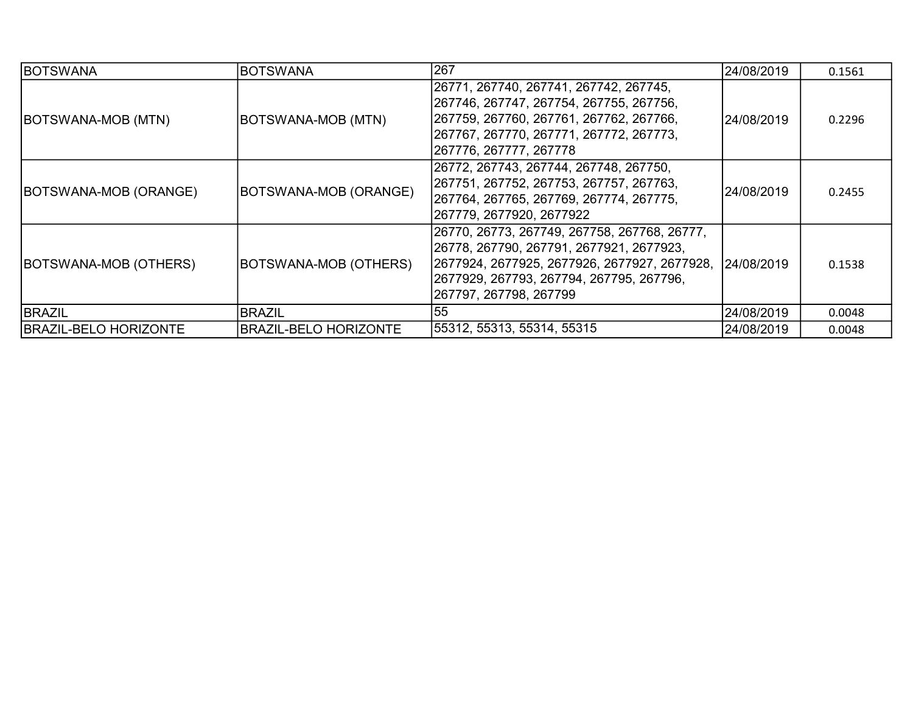| <b>BOTSWANA</b>              | <b>BOTSWANA</b>              | 267                                                                                                                                                                                                              | 24/08/2019 | 0.1561 |
|------------------------------|------------------------------|------------------------------------------------------------------------------------------------------------------------------------------------------------------------------------------------------------------|------------|--------|
| BOTSWANA-MOB (MTN)           | BOTSWANA-MOB (MTN)           | 26771, 267740, 267741, 267742, 267745,<br> 267746, 267747, 267754, 267755, 267756,<br> 267759, 267760, 267761, 267762, 267766,<br> 267767, 267770, 267771, 267772, 267773,<br>267776, 267777, 267778             | 24/08/2019 | 0.2296 |
| BOTSWANA-MOB (ORANGE)        | <b>BOTSWANA-MOB (ORANGE)</b> | 26772, 267743, 267744, 267748, 267750,<br>267751, 267752, 267753, 267757, 267763,<br> 267764, 267765, 267769, 267774, 267775,<br> 267779, 2677920, 2677922                                                       | 24/08/2019 | 0.2455 |
| BOTSWANA-MOB (OTHERS)        | BOTSWANA-MOB (OTHERS)        | 26770, 26773, 267749, 267758, 267768, 26777,<br>26778, 267790, 267791, 2677921, 2677923,<br> 2677924, 2677925, 2677926, 2677927, 2677928,<br> 2677929, 267793, 267794, 267795, 267796,<br>267797, 267798, 267799 | 24/08/2019 | 0.1538 |
| <b>BRAZIL</b>                | <b>BRAZIL</b>                | 55                                                                                                                                                                                                               | 24/08/2019 | 0.0048 |
| <b>BRAZIL-BELO HORIZONTE</b> | <b>BRAZIL-BELO HORIZONTE</b> | 55312, 55313, 55314, 55315                                                                                                                                                                                       | 24/08/2019 | 0.0048 |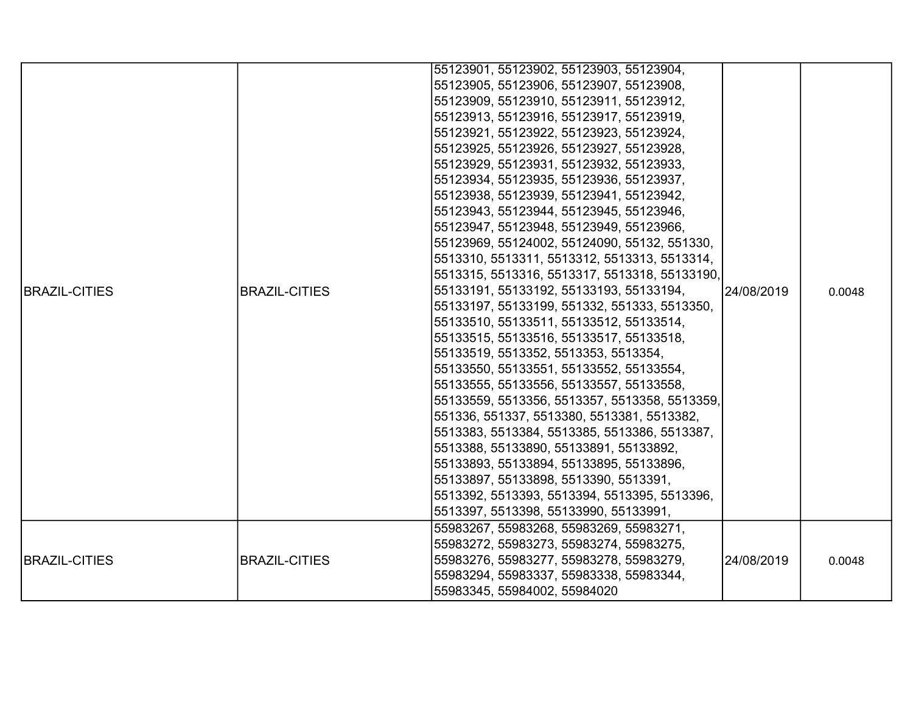|                      |                      | 55123901, 55123902, 55123903, 55123904,       |            |        |
|----------------------|----------------------|-----------------------------------------------|------------|--------|
|                      |                      | 55123905, 55123906, 55123907, 55123908,       |            |        |
|                      |                      | 55123909, 55123910, 55123911, 55123912,       |            |        |
|                      |                      | 55123913, 55123916, 55123917, 55123919,       |            |        |
|                      |                      | 55123921, 55123922, 55123923, 55123924,       |            |        |
|                      |                      | 55123925, 55123926, 55123927, 55123928,       |            |        |
|                      |                      | 55123929, 55123931, 55123932, 55123933,       |            |        |
|                      |                      | 55123934, 55123935, 55123936, 55123937,       |            |        |
|                      |                      | 55123938, 55123939, 55123941, 55123942,       |            |        |
|                      |                      | 55123943, 55123944, 55123945, 55123946,       |            |        |
|                      |                      | 55123947, 55123948, 55123949, 55123966,       |            |        |
|                      |                      | 55123969, 55124002, 55124090, 55132, 551330,  |            | 0.0048 |
|                      |                      | 5513310, 5513311, 5513312, 5513313, 5513314,  |            |        |
|                      | <b>BRAZIL-CITIES</b> | 5513315, 5513316, 5513317, 5513318, 55133190, | 24/08/2019 |        |
| <b>BRAZIL-CITIES</b> |                      | 55133191, 55133192, 55133193, 55133194,       |            |        |
|                      |                      | 55133197, 55133199, 551332, 551333, 5513350,  |            |        |
|                      |                      | 55133510, 55133511, 55133512, 55133514,       |            |        |
|                      |                      | 55133515, 55133516, 55133517, 55133518,       |            |        |
|                      |                      | 55133519, 5513352, 5513353, 5513354,          |            |        |
|                      |                      | 55133550, 55133551, 55133552, 55133554,       |            |        |
|                      |                      | 55133555, 55133556, 55133557, 55133558,       |            |        |
|                      |                      | 55133559, 5513356, 5513357, 5513358, 5513359, |            |        |
|                      |                      | 551336, 551337, 5513380, 5513381, 5513382,    |            |        |
|                      |                      | 5513383, 5513384, 5513385, 5513386, 5513387,  |            |        |
|                      |                      | 5513388, 55133890, 55133891, 55133892,        |            |        |
|                      |                      | 55133893, 55133894, 55133895, 55133896,       |            |        |
|                      |                      | 55133897, 55133898, 5513390, 5513391,         |            |        |
|                      |                      | 5513392, 5513393, 5513394, 5513395, 5513396,  |            |        |
|                      |                      | 5513397, 5513398, 55133990, 55133991,         |            |        |
|                      |                      | 55983267, 55983268, 55983269, 55983271,       |            |        |
|                      |                      | 55983272, 55983273, 55983274, 55983275,       |            |        |
| <b>BRAZIL-CITIES</b> | <b>BRAZIL-CITIES</b> | 55983276, 55983277, 55983278, 55983279,       | 24/08/2019 | 0.0048 |
|                      |                      | 55983294, 55983337, 55983338, 55983344,       |            |        |
|                      |                      | 55983345, 55984002, 55984020                  |            |        |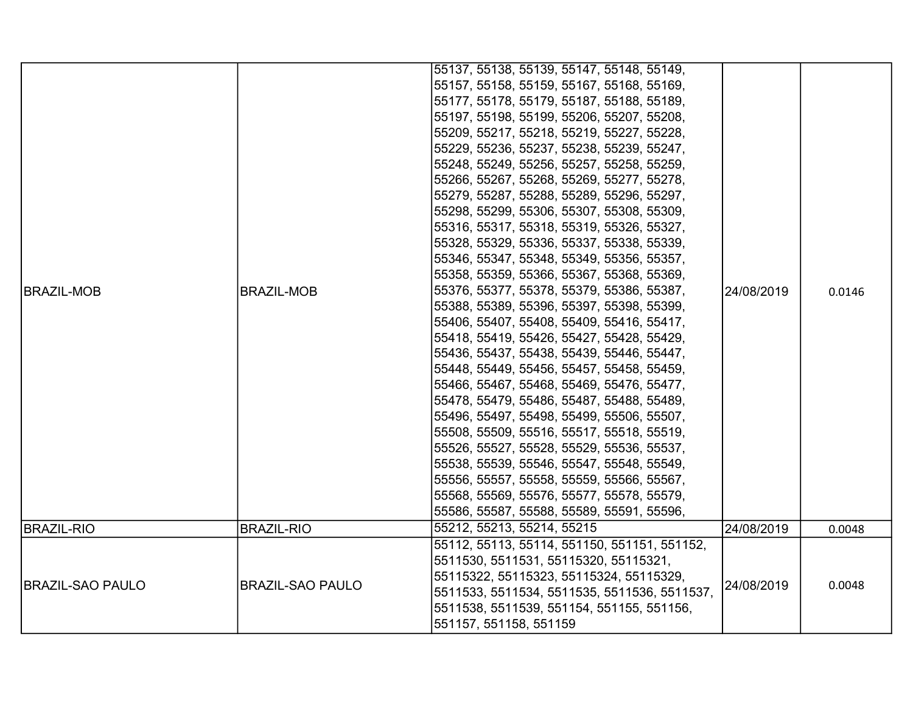|                         |                         | 55137, 55138, 55139, 55147, 55148, 55149,    |            |        |
|-------------------------|-------------------------|----------------------------------------------|------------|--------|
|                         |                         | 55157, 55158, 55159, 55167, 55168, 55169,    |            |        |
|                         |                         | 55177, 55178, 55179, 55187, 55188, 55189,    |            |        |
|                         |                         | 55197, 55198, 55199, 55206, 55207, 55208,    |            |        |
|                         |                         | 55209, 55217, 55218, 55219, 55227, 55228,    |            |        |
|                         |                         | 55229, 55236, 55237, 55238, 55239, 55247,    |            |        |
|                         |                         | 55248, 55249, 55256, 55257, 55258, 55259,    |            |        |
|                         |                         | 55266, 55267, 55268, 55269, 55277, 55278,    |            |        |
|                         |                         | 55279, 55287, 55288, 55289, 55296, 55297,    |            |        |
|                         |                         | 55298, 55299, 55306, 55307, 55308, 55309,    |            |        |
|                         |                         | 55316, 55317, 55318, 55319, 55326, 55327,    |            |        |
|                         |                         | 55328, 55329, 55336, 55337, 55338, 55339,    |            |        |
|                         |                         | 55346, 55347, 55348, 55349, 55356, 55357,    |            |        |
|                         |                         | 55358, 55359, 55366, 55367, 55368, 55369,    |            |        |
| <b>BRAZIL-MOB</b>       | <b>BRAZIL-MOB</b>       | 55376, 55377, 55378, 55379, 55386, 55387,    | 24/08/2019 | 0.0146 |
|                         |                         | 55388, 55389, 55396, 55397, 55398, 55399,    |            |        |
|                         |                         | 55406, 55407, 55408, 55409, 55416, 55417,    |            |        |
|                         |                         | 55418, 55419, 55426, 55427, 55428, 55429,    |            |        |
|                         |                         | 55436, 55437, 55438, 55439, 55446, 55447,    |            |        |
|                         |                         | 55448, 55449, 55456, 55457, 55458, 55459,    |            |        |
|                         |                         | 55466, 55467, 55468, 55469, 55476, 55477,    |            |        |
|                         |                         | 55478, 55479, 55486, 55487, 55488, 55489,    |            |        |
|                         |                         | 55496, 55497, 55498, 55499, 55506, 55507,    |            |        |
|                         |                         | 55508, 55509, 55516, 55517, 55518, 55519,    |            |        |
|                         |                         | 55526, 55527, 55528, 55529, 55536, 55537,    |            |        |
|                         |                         | 55538, 55539, 55546, 55547, 55548, 55549,    |            |        |
|                         |                         | 55556, 55557, 55558, 55559, 55566, 55567,    |            |        |
|                         |                         | 55568, 55569, 55576, 55577, 55578, 55579,    |            |        |
|                         |                         | 55586, 55587, 55588, 55589, 55591, 55596,    |            |        |
| <b>BRAZIL-RIO</b>       | <b>BRAZIL-RIO</b>       | 55212, 55213, 55214, 55215                   | 24/08/2019 | 0.0048 |
|                         |                         | 55112, 55113, 55114, 551150, 551151, 551152, |            |        |
|                         |                         | 5511530, 5511531, 55115320, 55115321,        |            |        |
|                         |                         | 55115322, 55115323, 55115324, 55115329,      |            |        |
| <b>BRAZIL-SAO PAULO</b> | <b>BRAZIL-SAO PAULO</b> | 5511533, 5511534, 5511535, 5511536, 5511537, | 24/08/2019 | 0.0048 |
|                         |                         | 5511538, 5511539, 551154, 551155, 551156,    |            |        |
|                         |                         | 551157, 551158, 551159                       |            |        |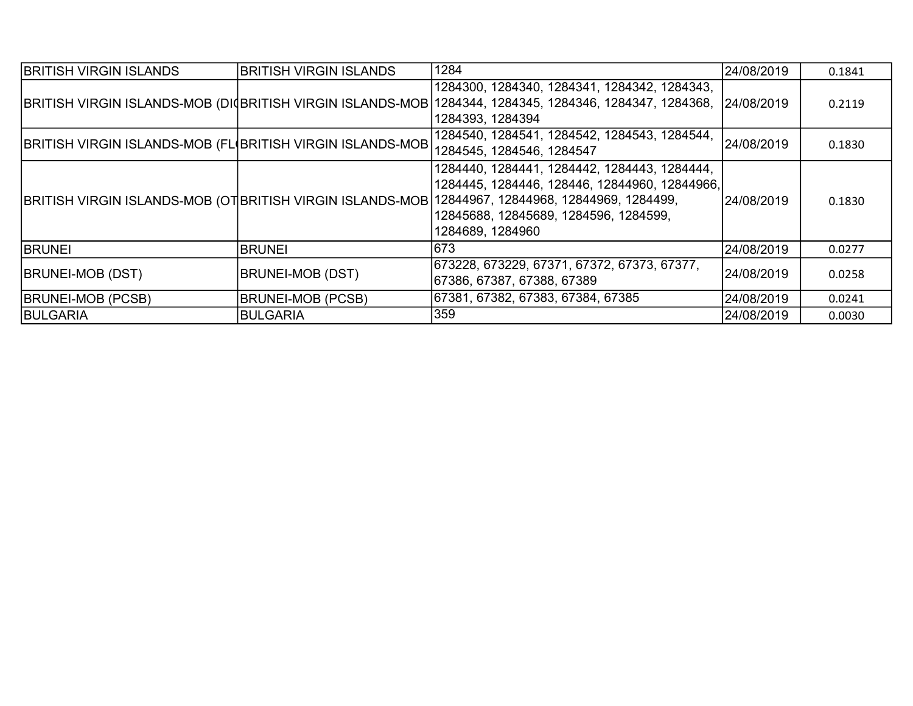| <b>BRITISH VIRGIN ISLANDS</b>                                     | <b>BRITISH VIRGIN ISLANDS</b> | 1284                                                                                                                                                                                                 | 24/08/2019 | 0.1841 |
|-------------------------------------------------------------------|-------------------------------|------------------------------------------------------------------------------------------------------------------------------------------------------------------------------------------------------|------------|--------|
| <b>BRITISH VIRGIN ISLANDS-MOB (DI BRITISH VIRGIN ISLANDS-MOB)</b> |                               | 1284300, 1284340, 1284341, 1284342, 1284343,<br>1284344, 1284345, 1284346, 1284347, 1284368, 24/08/2019<br>1284393, 1284394                                                                          |            | 0.2119 |
| BRITISH VIRGIN ISLANDS-MOB (FL(BRITISH VIRGIN ISLANDS-MOB         |                               | 1284540, 1284541, 1284542, 1284543, 1284544,<br>1284545, 1284546, 1284547                                                                                                                            | 24/08/2019 | 0.1830 |
| <b>BRITISH VIRGIN ISLANDS-MOB (OTBRITISH VIRGIN ISLANDS-MOB)</b>  |                               | 1284440, 1284441, 1284442, 1284443, 1284444,<br>1284445, 1284446, 128446, 12844960, 12844966,<br>12844967, 12844968, 12844969, 1284499,<br>12845688, 12845689, 1284596, 1284599,<br>1284689, 1284960 | 24/08/2019 | 0.1830 |
| <b>BRUNEI</b>                                                     | <b>BRUNEI</b>                 | 673                                                                                                                                                                                                  | 24/08/2019 | 0.0277 |
| <b>BRUNEI-MOB (DST)</b>                                           | <b>BRUNEI-MOB (DST)</b>       | 673228, 673229, 67371, 67372, 67373, 67377,<br>67386, 67387, 67388, 67389                                                                                                                            | 24/08/2019 | 0.0258 |
| <b>BRUNEI-MOB (PCSB)</b>                                          | <b>BRUNEI-MOB (PCSB)</b>      | 67381, 67382, 67383, 67384, 67385                                                                                                                                                                    | 24/08/2019 | 0.0241 |
| <b>BULGARIA</b>                                                   | <b>BULGARIA</b>               | 359                                                                                                                                                                                                  | 24/08/2019 | 0.0030 |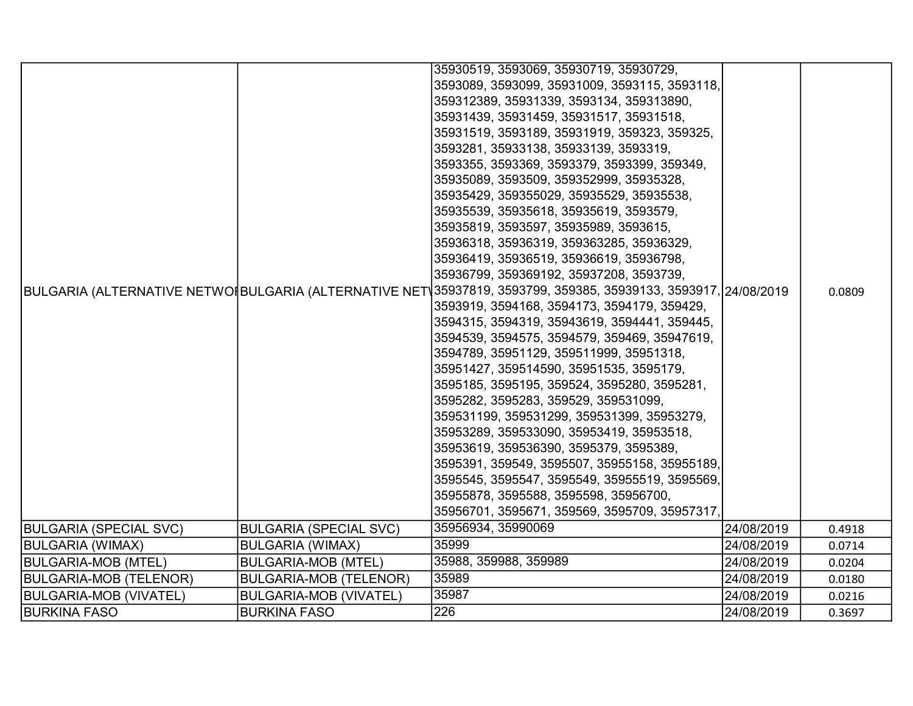|                               |                               | 35930519, 3593069, 35930719, 35930729,                                                                         |            |        |
|-------------------------------|-------------------------------|----------------------------------------------------------------------------------------------------------------|------------|--------|
|                               |                               | 3593089, 3593099, 35931009, 3593115, 3593118,                                                                  |            |        |
|                               |                               | 359312389, 35931339, 3593134, 359313890,                                                                       |            |        |
|                               |                               | 35931439, 35931459, 35931517, 35931518,                                                                        |            |        |
|                               |                               | 35931519, 3593189, 35931919, 359323, 359325,                                                                   |            |        |
|                               |                               | 3593281, 35933138, 35933139, 3593319,                                                                          |            |        |
|                               |                               | 3593355, 3593369, 3593379, 3593399, 359349,                                                                    |            |        |
|                               |                               | 35935089, 3593509, 359352999, 35935328,                                                                        |            |        |
|                               |                               | 35935429, 359355029, 35935529, 35935538,                                                                       |            |        |
|                               |                               | 35935539, 35935618, 35935619, 3593579,                                                                         |            |        |
|                               |                               | 35935819, 3593597, 35935989, 3593615,                                                                          |            |        |
|                               |                               | 35936318, 35936319, 359363285, 35936329,                                                                       |            |        |
|                               |                               | 35936419, 35936519, 35936619, 35936798,                                                                        |            |        |
|                               |                               | 35936799, 359369192, 35937208, 3593739,                                                                        |            |        |
|                               |                               | BULGARIA (ALTERNATIVE NETWO‡BULGARIA (ALTERNATIVE NET\35937819, 3593799, 359385, 35939133, 3593917, 24/08/2019 |            | 0.0809 |
|                               |                               | 3593919, 3594168, 3594173, 3594179, 359429,                                                                    |            |        |
|                               |                               | 3594315, 3594319, 35943619, 3594441, 359445,                                                                   |            |        |
|                               |                               | 3594539, 3594575, 3594579, 359469, 35947619,                                                                   |            |        |
|                               |                               | 3594789, 35951129, 359511999, 35951318,                                                                        |            |        |
|                               |                               | 35951427, 359514590, 35951535, 3595179,                                                                        |            |        |
|                               |                               | 3595185, 3595195, 359524, 3595280, 3595281,                                                                    |            |        |
|                               |                               | 3595282, 3595283, 359529, 359531099,                                                                           |            |        |
|                               |                               | 359531199, 359531299, 359531399, 35953279,                                                                     |            |        |
|                               |                               | 35953289, 359533090, 35953419, 35953518,                                                                       |            |        |
|                               |                               | 35953619, 359536390, 3595379, 3595389,                                                                         |            |        |
|                               |                               | 3595391, 359549, 3595507, 35955158, 35955189,                                                                  |            |        |
|                               |                               | 3595545, 3595547, 3595549, 35955519, 3595569,                                                                  |            |        |
|                               |                               | 35955878, 3595588, 3595598, 35956700,                                                                          |            |        |
|                               |                               | 35956701, 3595671, 359569, 3595709, 35957317,                                                                  |            |        |
| <b>BULGARIA (SPECIAL SVC)</b> | <b>BULGARIA (SPECIAL SVC)</b> | 35956934, 35990069                                                                                             | 24/08/2019 | 0.4918 |
| <b>BULGARIA (WIMAX)</b>       | <b>BULGARIA (WIMAX)</b>       | 35999                                                                                                          | 24/08/2019 | 0.0714 |
| <b>BULGARIA-MOB (MTEL)</b>    | <b>BULGARIA-MOB (MTEL)</b>    | 35988, 359988, 359989                                                                                          | 24/08/2019 | 0.0204 |
| <b>BULGARIA-MOB (TELENOR)</b> | <b>BULGARIA-MOB (TELENOR)</b> | 35989                                                                                                          | 24/08/2019 | 0.0180 |
| <b>BULGARIA-MOB (VIVATEL)</b> | <b>BULGARIA-MOB (VIVATEL)</b> | 35987                                                                                                          | 24/08/2019 | 0.0216 |
| <b>BURKINA FASO</b>           | <b>BURKINA FASO</b>           | 226                                                                                                            | 24/08/2019 | 0.3697 |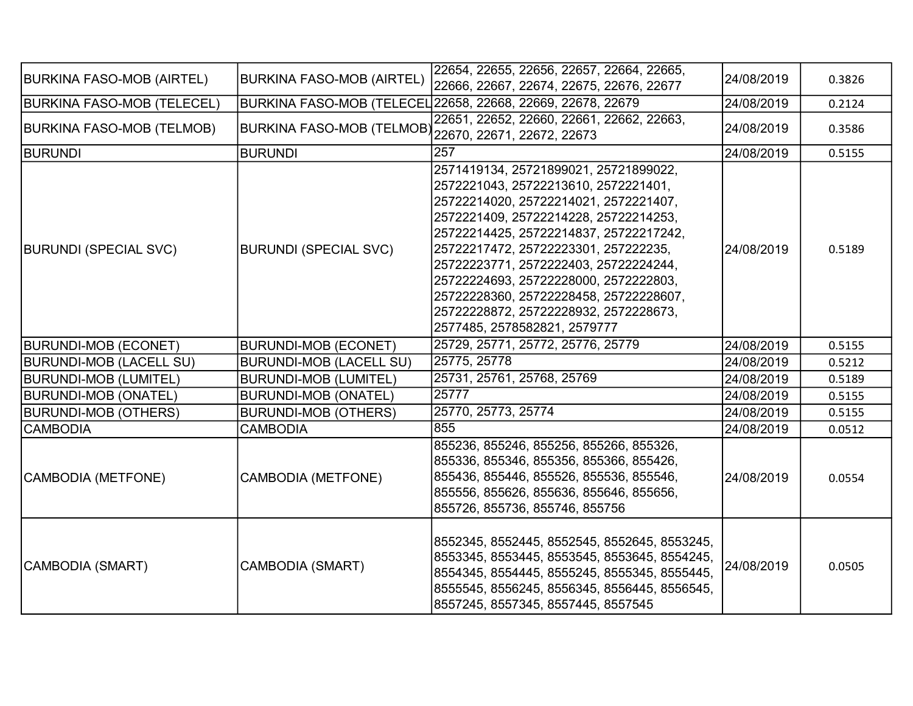| <b>BURKINA FASO-MOB (AIRTEL)</b>  | <b>BURKINA FASO-MOB (AIRTEL)</b> | 22654, 22655, 22656, 22657, 22664, 22665,<br>22666, 22667, 22674, 22675, 22676, 22677                                                                                                                                                                                                                                                                                                                                                                  | 24/08/2019 | 0.3826 |
|-----------------------------------|----------------------------------|--------------------------------------------------------------------------------------------------------------------------------------------------------------------------------------------------------------------------------------------------------------------------------------------------------------------------------------------------------------------------------------------------------------------------------------------------------|------------|--------|
| <b>BURKINA FASO-MOB (TELECEL)</b> |                                  | BURKINA FASO-MOB (TELECEL 22658, 22668, 22669, 22678, 22679                                                                                                                                                                                                                                                                                                                                                                                            | 24/08/2019 | 0.2124 |
| <b>BURKINA FASO-MOB (TELMOB)</b>  | <b>BURKINA FASO-MOB (TELMOB)</b> | 22651, 22652, 22660, 22661, 22662, 22663,<br>22670, 22671, 22672, 22673                                                                                                                                                                                                                                                                                                                                                                                | 24/08/2019 | 0.3586 |
| <b>BURUNDI</b>                    | <b>BURUNDI</b>                   | 257                                                                                                                                                                                                                                                                                                                                                                                                                                                    | 24/08/2019 | 0.5155 |
| <b>BURUNDI (SPECIAL SVC)</b>      | <b>BURUNDI (SPECIAL SVC)</b>     | 2571419134, 25721899021, 25721899022,<br>2572221043, 25722213610, 2572221401,<br>25722214020, 25722214021, 2572221407,<br>2572221409, 25722214228, 25722214253,<br>25722214425, 25722214837, 25722217242,<br>25722217472, 25722223301, 257222235,<br>25722223771, 2572222403, 25722224244,<br>25722224693, 25722228000, 2572222803,<br>25722228360, 25722228458, 25722228607,<br>25722228872, 25722228932, 2572228673,<br>2577485, 2578582821, 2579777 | 24/08/2019 | 0.5189 |
| <b>BURUNDI-MOB (ECONET)</b>       | <b>BURUNDI-MOB (ECONET)</b>      | 25729, 25771, 25772, 25776, 25779                                                                                                                                                                                                                                                                                                                                                                                                                      | 24/08/2019 | 0.5155 |
| <b>BURUNDI-MOB (LACELL SU)</b>    | <b>BURUNDI-MOB (LACELL SU)</b>   | 25775, 25778                                                                                                                                                                                                                                                                                                                                                                                                                                           | 24/08/2019 | 0.5212 |
| <b>BURUNDI-MOB (LUMITEL)</b>      | <b>BURUNDI-MOB (LUMITEL)</b>     | 25731, 25761, 25768, 25769                                                                                                                                                                                                                                                                                                                                                                                                                             | 24/08/2019 | 0.5189 |
| <b>BURUNDI-MOB (ONATEL)</b>       | <b>BURUNDI-MOB (ONATEL)</b>      | 25777                                                                                                                                                                                                                                                                                                                                                                                                                                                  | 24/08/2019 | 0.5155 |
| <b>BURUNDI-MOB (OTHERS)</b>       | <b>BURUNDI-MOB (OTHERS)</b>      | 25770, 25773, 25774                                                                                                                                                                                                                                                                                                                                                                                                                                    | 24/08/2019 | 0.5155 |
| CAMBODIA                          | <b>CAMBODIA</b>                  | 855                                                                                                                                                                                                                                                                                                                                                                                                                                                    | 24/08/2019 | 0.0512 |
| CAMBODIA (METFONE)                | <b>CAMBODIA (METFONE)</b>        | 855236, 855246, 855256, 855266, 855326,<br>855336, 855346, 855356, 855366, 855426,<br>855436, 855446, 855526, 855536, 855546,<br>855556, 855626, 855636, 855646, 855656,<br>855726, 855736, 855746, 855756                                                                                                                                                                                                                                             | 24/08/2019 | 0.0554 |
| CAMBODIA (SMART)                  | <b>CAMBODIA (SMART)</b>          | 8552345, 8552445, 8552545, 8552645, 8553245,<br>8553345, 8553445, 8553545, 8553645, 8554245,<br>8554345, 8554445, 8555245, 8555345, 8555445,<br>8555545, 8556245, 8556345, 8556445, 8556545,<br>8557245, 8557345, 8557445, 8557545                                                                                                                                                                                                                     | 24/08/2019 | 0.0505 |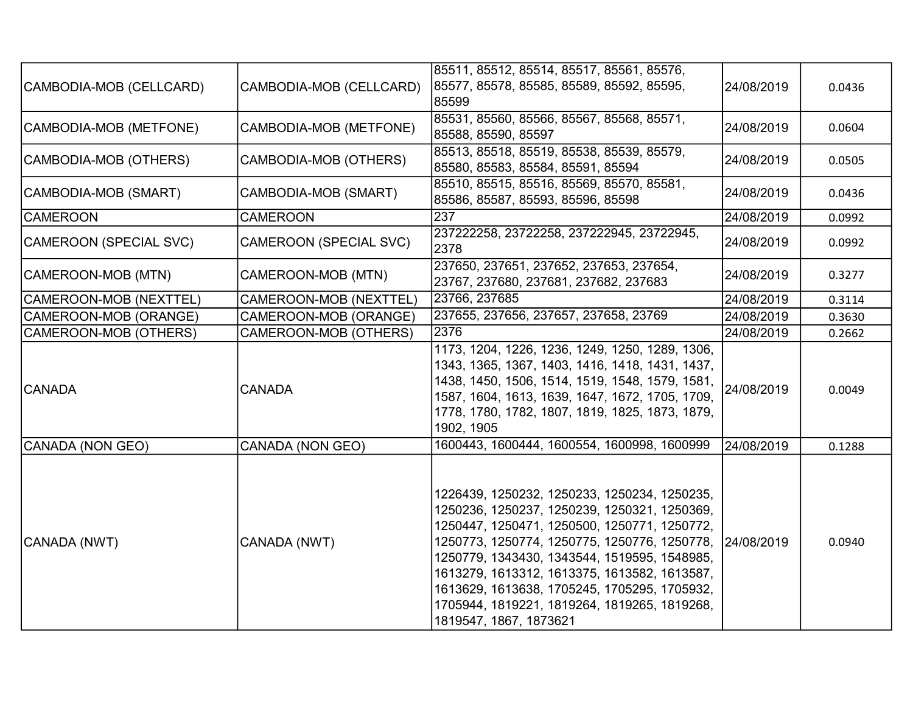|                         |                               | 85511, 85512, 85514, 85517, 85561, 85576,       |            |        |
|-------------------------|-------------------------------|-------------------------------------------------|------------|--------|
| CAMBODIA-MOB (CELLCARD) | CAMBODIA-MOB (CELLCARD)       | 85577, 85578, 85585, 85589, 85592, 85595,       | 24/08/2019 | 0.0436 |
|                         |                               | 85599                                           |            |        |
| CAMBODIA-MOB (METFONE)  | CAMBODIA-MOB (METFONE)        | 85531, 85560, 85566, 85567, 85568, 85571,       | 24/08/2019 | 0.0604 |
|                         |                               | 85588, 85590, 85597                             |            |        |
| CAMBODIA-MOB (OTHERS)   | CAMBODIA-MOB (OTHERS)         | 85513, 85518, 85519, 85538, 85539, 85579,       | 24/08/2019 | 0.0505 |
|                         |                               | 85580, 85583, 85584, 85591, 85594               |            |        |
| CAMBODIA-MOB (SMART)    | CAMBODIA-MOB (SMART)          | 85510, 85515, 85516, 85569, 85570, 85581,       | 24/08/2019 | 0.0436 |
|                         |                               | 85586, 85587, 85593, 85596, 85598               |            |        |
| <b>CAMEROON</b>         | <b>CAMEROON</b>               | 237                                             | 24/08/2019 | 0.0992 |
| CAMEROON (SPECIAL SVC)  | <b>CAMEROON (SPECIAL SVC)</b> | 237222258, 23722258, 237222945, 23722945,       | 24/08/2019 | 0.0992 |
|                         |                               | 2378                                            |            |        |
|                         | CAMEROON-MOB (MTN)            | 237650, 237651, 237652, 237653, 237654,         | 24/08/2019 |        |
| CAMEROON-MOB (MTN)      |                               | 23767, 237680, 237681, 237682, 237683           |            | 0.3277 |
| CAMEROON-MOB (NEXTTEL)  | CAMEROON-MOB (NEXTTEL)        | 23766, 237685                                   | 24/08/2019 | 0.3114 |
| CAMEROON-MOB (ORANGE)   | CAMEROON-MOB (ORANGE)         | 237655, 237656, 237657, 237658, 23769           | 24/08/2019 | 0.3630 |
| CAMEROON-MOB (OTHERS)   | CAMEROON-MOB (OTHERS)         | 2376                                            | 24/08/2019 | 0.2662 |
|                         |                               | 1173, 1204, 1226, 1236, 1249, 1250, 1289, 1306, |            |        |
|                         |                               | 1343, 1365, 1367, 1403, 1416, 1418, 1431, 1437, |            |        |
|                         | <b>CANADA</b>                 | 1438, 1450, 1506, 1514, 1519, 1548, 1579, 1581, | 24/08/2019 | 0.0049 |
| <b>CANADA</b>           |                               | 1587, 1604, 1613, 1639, 1647, 1672, 1705, 1709, |            |        |
|                         |                               | 1778, 1780, 1782, 1807, 1819, 1825, 1873, 1879, |            |        |
|                         |                               | 1902, 1905                                      |            |        |
| CANADA (NON GEO)        | CANADA (NON GEO)              | 1600443, 1600444, 1600554, 1600998, 1600999     | 24/08/2019 | 0.1288 |
|                         |                               |                                                 |            |        |
|                         |                               |                                                 |            |        |
|                         |                               | 1226439, 1250232, 1250233, 1250234, 1250235,    |            |        |
|                         |                               | 1250236, 1250237, 1250239, 1250321, 1250369,    |            |        |
|                         |                               | 1250447, 1250471, 1250500, 1250771, 1250772,    |            |        |
| CANADA (NWT)            | CANADA (NWT)                  | 1250773, 1250774, 1250775, 1250776, 1250778,    | 24/08/2019 | 0.0940 |
|                         |                               | 1250779, 1343430, 1343544, 1519595, 1548985,    |            |        |
|                         |                               | 1613279, 1613312, 1613375, 1613582, 1613587,    |            |        |
|                         |                               | 1613629, 1613638, 1705245, 1705295, 1705932,    |            |        |
|                         |                               | 1705944, 1819221, 1819264, 1819265, 1819268,    |            |        |
|                         |                               | 1819547, 1867, 1873621                          |            |        |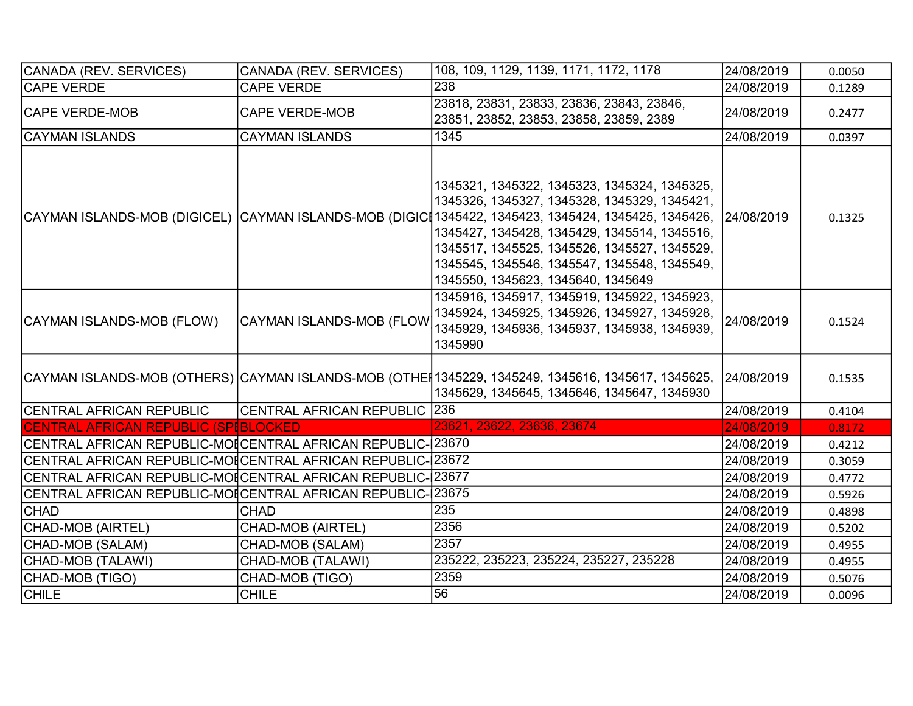| CANADA (REV. SERVICES)                                       | CANADA (REV. SERVICES)              | 108, 109, 1129, 1139, 1171, 1172, 1178                                                                                                                                                                                                                                                                                                        | 24/08/2019 | 0.0050 |
|--------------------------------------------------------------|-------------------------------------|-----------------------------------------------------------------------------------------------------------------------------------------------------------------------------------------------------------------------------------------------------------------------------------------------------------------------------------------------|------------|--------|
| <b>CAPE VERDE</b>                                            | <b>CAPE VERDE</b>                   | 238                                                                                                                                                                                                                                                                                                                                           | 24/08/2019 | 0.1289 |
| <b>CAPE VERDE-MOB</b>                                        | <b>CAPE VERDE-MOB</b>               | 23818, 23831, 23833, 23836, 23843, 23846,<br>23851, 23852, 23853, 23858, 23859, 2389                                                                                                                                                                                                                                                          | 24/08/2019 | 0.2477 |
| CAYMAN ISLANDS                                               | <b>CAYMAN ISLANDS</b>               | 1345                                                                                                                                                                                                                                                                                                                                          | 24/08/2019 | 0.0397 |
| CAYMAN ISLANDS-MOB (DIGICEL) CAYMAN ISLANDS-MOB (DIGICI      |                                     | 1345321, 1345322, 1345323, 1345324, 1345325,<br>1345326, 1345327, 1345328, 1345329, 1345421,<br>1345422, 1345423, 1345424, 1345425, 1345426, 24/08/2019<br>1345427, 1345428, 1345429, 1345514, 1345516,<br>1345517, 1345525, 1345526, 1345527, 1345529,<br>1345545, 1345546, 1345547, 1345548, 1345549,<br>1345550, 1345623, 1345640, 1345649 |            | 0.1325 |
| CAYMAN ISLANDS-MOB (FLOW)                                    | <b>CAYMAN ISLANDS-MOB (FLOW</b>     | 1345916, 1345917, 1345919, 1345922, 1345923,<br>1345924, 1345925, 1345926, 1345927, 1345928,<br>1345929, 1345936, 1345937, 1345938, 1345939,<br>1345990                                                                                                                                                                                       | 24/08/2019 | 0.1524 |
|                                                              |                                     | CAYMAN ISLANDS-MOB (OTHERS)  CAYMAN ISLANDS-MOB (OTHE∥1345229, 1345249, 1345616, 1345617, 1345625,   24/08/2019<br>1345629, 1345645, 1345646, 1345647, 1345930                                                                                                                                                                                |            | 0.1535 |
| <b>CENTRAL AFRICAN REPUBLIC</b>                              | <b>CENTRAL AFRICAN REPUBLIC 236</b> |                                                                                                                                                                                                                                                                                                                                               | 24/08/2019 | 0.4104 |
| CENTRAL AFRICAN REPUBLIC (SPIBLOCKED                         |                                     | 23621, 23622, 23636, 23674                                                                                                                                                                                                                                                                                                                    | 24/08/2019 | 0.8172 |
| CENTRAL AFRICAN REPUBLIC-MOI CENTRAL AFRICAN REPUBLIC-(23670 |                                     |                                                                                                                                                                                                                                                                                                                                               | 24/08/2019 | 0.4212 |
| CENTRAL AFRICAN REPUBLIC-MO[CENTRAL AFRICAN REPUBLIC-(23672  |                                     |                                                                                                                                                                                                                                                                                                                                               | 24/08/2019 | 0.3059 |
| CENTRAL AFRICAN REPUBLIC-MOICENTRAL AFRICAN REPUBLIC-23677   |                                     |                                                                                                                                                                                                                                                                                                                                               | 24/08/2019 | 0.4772 |
| CENTRAL AFRICAN REPUBLIC-MOICENTRAL AFRICAN REPUBLIC-123675  |                                     |                                                                                                                                                                                                                                                                                                                                               | 24/08/2019 | 0.5926 |
| <b>CHAD</b>                                                  | <b>CHAD</b>                         | 235                                                                                                                                                                                                                                                                                                                                           | 24/08/2019 | 0.4898 |
| CHAD-MOB (AIRTEL)                                            | CHAD-MOB (AIRTEL)                   | 2356                                                                                                                                                                                                                                                                                                                                          | 24/08/2019 | 0.5202 |
| CHAD-MOB (SALAM)                                             | CHAD-MOB (SALAM)                    | 2357                                                                                                                                                                                                                                                                                                                                          | 24/08/2019 | 0.4955 |
| CHAD-MOB (TALAWI)                                            | CHAD-MOB (TALAWI)                   | 235222, 235223, 235224, 235227, 235228                                                                                                                                                                                                                                                                                                        | 24/08/2019 | 0.4955 |
| CHAD-MOB (TIGO)                                              | CHAD-MOB (TIGO)                     | 2359                                                                                                                                                                                                                                                                                                                                          | 24/08/2019 | 0.5076 |
| <b>CHILE</b>                                                 | <b>CHILE</b>                        | $\overline{56}$                                                                                                                                                                                                                                                                                                                               | 24/08/2019 | 0.0096 |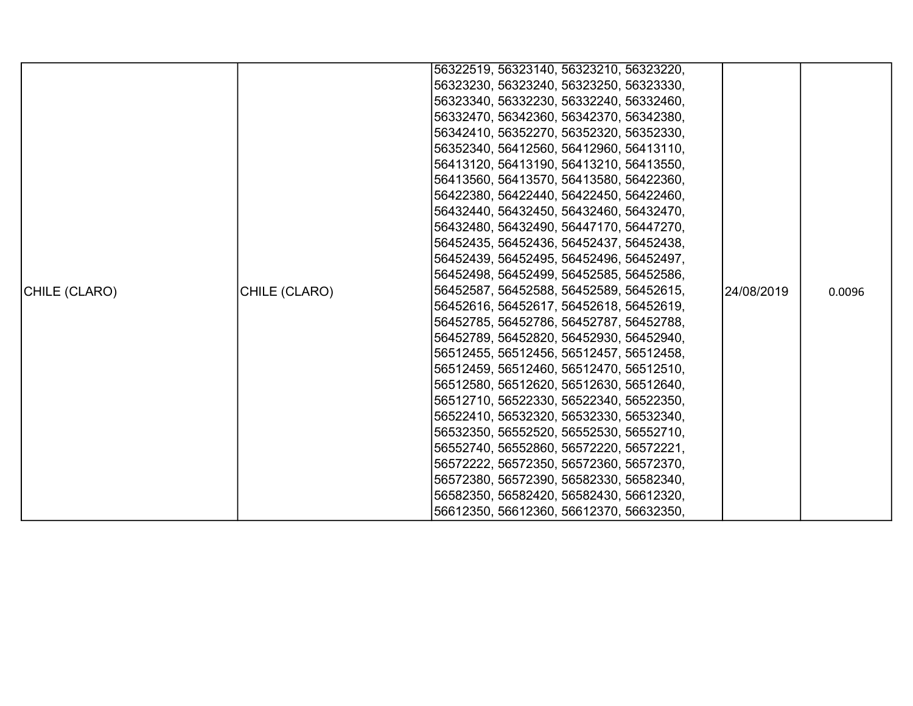|               |               | 56322519, 56323140, 56323210, 56323220, |            |        |
|---------------|---------------|-----------------------------------------|------------|--------|
|               |               | 56323230, 56323240, 56323250, 56323330, |            |        |
|               |               | 56323340, 56332230, 56332240, 56332460, |            |        |
|               |               | 56332470, 56342360, 56342370, 56342380, |            |        |
|               |               | 56342410, 56352270, 56352320, 56352330, |            |        |
|               |               | 56352340, 56412560, 56412960, 56413110, |            |        |
|               |               | 56413120, 56413190, 56413210, 56413550, |            |        |
|               |               | 56413560, 56413570, 56413580, 56422360, |            |        |
|               |               | 56422380, 56422440, 56422450, 56422460, |            |        |
|               |               | 56432440, 56432450, 56432460, 56432470, |            |        |
|               |               | 56432480, 56432490, 56447170, 56447270, |            |        |
|               |               | 56452435, 56452436, 56452437, 56452438, |            |        |
|               |               | 56452439, 56452495, 56452496, 56452497, |            |        |
|               |               | 56452498, 56452499, 56452585, 56452586, |            |        |
| CHILE (CLARO) | CHILE (CLARO) | 56452587, 56452588, 56452589, 56452615, | 24/08/2019 | 0.0096 |
|               |               | 56452616, 56452617, 56452618, 56452619, |            |        |
|               |               | 56452785, 56452786, 56452787, 56452788, |            |        |
|               |               | 56452789, 56452820, 56452930, 56452940, |            |        |
|               |               | 56512455, 56512456, 56512457, 56512458, |            |        |
|               |               | 56512459, 56512460, 56512470, 56512510, |            |        |
|               |               | 56512580, 56512620, 56512630, 56512640, |            |        |
|               |               | 56512710, 56522330, 56522340, 56522350, |            |        |
|               |               | 56522410, 56532320, 56532330, 56532340, |            |        |
|               |               | 56532350, 56552520, 56552530, 56552710, |            |        |
|               |               | 56552740, 56552860, 56572220, 56572221, |            |        |
|               |               | 56572222, 56572350, 56572360, 56572370, |            |        |
|               |               | 56572380, 56572390, 56582330, 56582340, |            |        |
|               |               | 56582350, 56582420, 56582430, 56612320, |            |        |
|               |               | 56612350, 56612360, 56612370, 56632350, |            |        |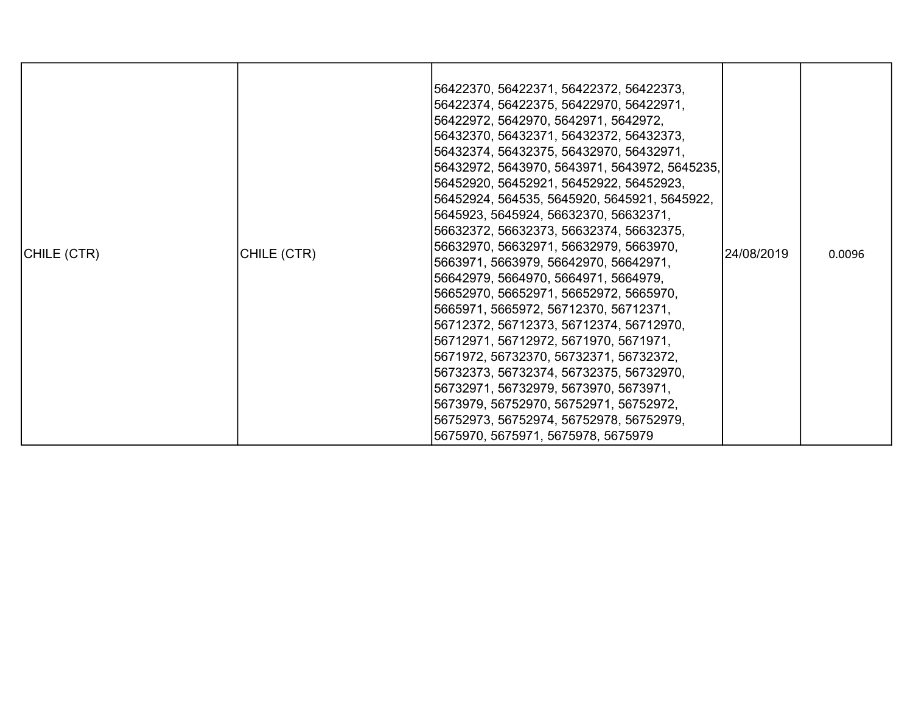| CHILE (CTR) | CHILE (CTR) | 56422370, 56422371, 56422372, 56422373,<br>56422374, 56422375, 56422970, 56422971,<br> 56422972, 5642970, 5642971, 5642972,<br>56432370, 56432371, 56432372, 56432373,<br> 56432374, 56432375, 56432970, 56432971,<br>56432972, 5643970, 5643971, 5643972, 5645235,<br>56452920, 56452921, 56452922, 56452923,<br>56452924, 564535, 5645920, 5645921, 5645922,<br>5645923, 5645924, 56632370, 56632371,<br>56632372, 56632373, 56632374, 56632375,<br>56632970, 56632971, 56632979, 5663970,<br>5663971, 5663979, 56642970, 56642971,<br>56642979, 5664970, 5664971, 5664979,<br>56652970, 56652971, 56652972, 5665970,<br>5665971, 5665972, 56712370, 56712371,<br>56712372, 56712373, 56712374, 56712970,<br> 56712971, 56712972, 5671970, 5671971,<br>5671972, 56732370, 56732371, 56732372,<br>56732373, 56732374, 56732375, 56732970,<br>56732971, 56732979, 5673970, 5673971,<br>5673979, 56752970, 56752971, 56752972,<br>56752973, 56752974, 56752978, 56752979,<br>5675970, 5675971, 5675978, 5675979 | 24/08/2019 | 0.0096 |
|-------------|-------------|----------------------------------------------------------------------------------------------------------------------------------------------------------------------------------------------------------------------------------------------------------------------------------------------------------------------------------------------------------------------------------------------------------------------------------------------------------------------------------------------------------------------------------------------------------------------------------------------------------------------------------------------------------------------------------------------------------------------------------------------------------------------------------------------------------------------------------------------------------------------------------------------------------------------------------------------------------------------------------------------------------------|------------|--------|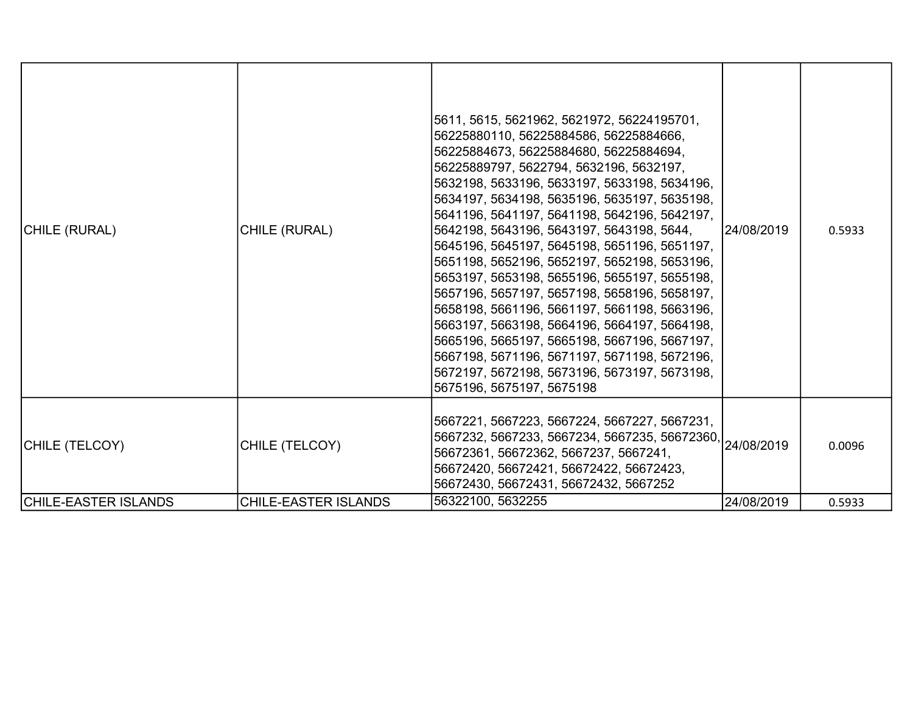| CHILE (RURAL)               | CHILE (RURAL)               | 5611, 5615, 5621962, 5621972, 56224195701,<br>56225880110, 56225884586, 56225884666,<br>56225884673, 56225884680, 56225884694,<br>56225889797, 5622794, 5632196, 5632197,<br>5632198, 5633196, 5633197, 5633198, 5634196,<br>5634197, 5634198, 5635196, 5635197, 5635198,<br>5641196, 5641197, 5641198, 5642196, 5642197,<br>5642198, 5643196, 5643197, 5643198, 5644,<br>5645196, 5645197, 5645198, 5651196, 5651197,<br>5651198, 5652196, 5652197, 5652198, 5653196,<br>5653197, 5653198, 5655196, 5655197, 5655198,<br>5657196, 5657197, 5657198, 5658196, 5658197,<br>5658198, 5661196, 5661197, 5661198, 5663196,<br>5663197, 5663198, 5664196, 5664197, 5664198,<br>5665196, 5665197, 5665198, 5667196, 5667197,<br>5667198, 5671196, 5671197, 5671198, 5672196,<br>5672197, 5672198, 5673196, 5673197, 5673198,<br>5675196, 5675197, 5675198 | 24/08/2019 | 0.5933 |
|-----------------------------|-----------------------------|-----------------------------------------------------------------------------------------------------------------------------------------------------------------------------------------------------------------------------------------------------------------------------------------------------------------------------------------------------------------------------------------------------------------------------------------------------------------------------------------------------------------------------------------------------------------------------------------------------------------------------------------------------------------------------------------------------------------------------------------------------------------------------------------------------------------------------------------------------|------------|--------|
| CHILE (TELCOY)              | CHILE (TELCOY)              | 5667221, 5667223, 5667224, 5667227, 5667231,<br>  5667232, 5667233, 5667234, 5667235, 56672360, <br>  5667232, 5667233, 5667234, 5667235, 56672360, <br>56672361, 56672362, 5667237, 5667241,<br>56672420, 56672421, 56672422, 56672423,<br>56672430, 56672431, 56672432, 5667252                                                                                                                                                                                                                                                                                                                                                                                                                                                                                                                                                                   |            | 0.0096 |
| <b>CHILE-EASTER ISLANDS</b> | <b>CHILE-EASTER ISLANDS</b> | 56322100, 5632255                                                                                                                                                                                                                                                                                                                                                                                                                                                                                                                                                                                                                                                                                                                                                                                                                                   | 24/08/2019 | 0.5933 |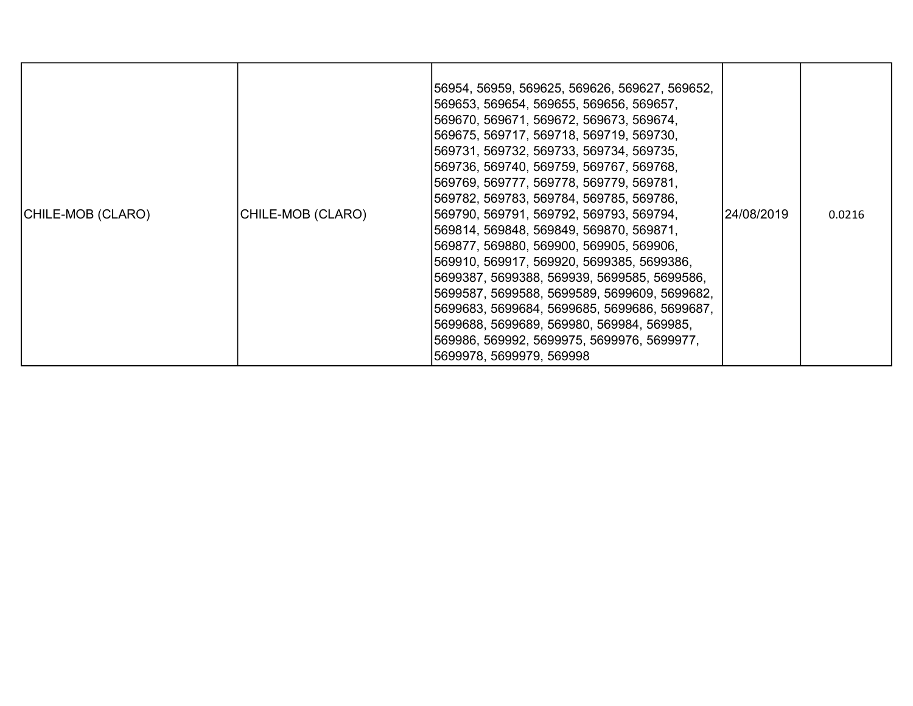| CHILE-MOB (CLARO) | CHILE-MOB (CLARO) | 56954, 56959, 569625, 569626, 569627, 569652,<br> 569653, 569654, 569655, 569656, 569657,<br> 569670, 569671, 569672, 569673, 569674,<br> 569675, 569717, 569718, 569719, 569730,<br> 569731, 569732, 569733, 569734, 569735,<br> 569736, 569740, 569759, 569767, 569768,<br> 569769, 569777, 569778, 569779, 569781,<br> 569782, 569783, 569784, 569785, 569786,<br> 569790, 569791, 569792, 569793, 569794,<br> 569814, 569848, 569849, 569870, 569871,<br> 569877, 569880, 569900, 569905, 569906,<br> 569910, 569917, 569920, 5699385, 5699386,<br> 5699387, 5699388, 569939, 5699585, 5699586,<br> 5699587, 5699588, 5699589, 5699609, 5699682,<br> 5699683, 5699684, 5699685, 5699686, 5699687,<br>5699688, 5699689, 569980, 569984, 569985,<br> 569986, 569992, 5699975, 5699976, 5699977,<br> 5699978, 5699979, 569998 | 24/08/2019 | 0.0216 |
|-------------------|-------------------|--------------------------------------------------------------------------------------------------------------------------------------------------------------------------------------------------------------------------------------------------------------------------------------------------------------------------------------------------------------------------------------------------------------------------------------------------------------------------------------------------------------------------------------------------------------------------------------------------------------------------------------------------------------------------------------------------------------------------------------------------------------------------------------------------------------------------------|------------|--------|
|-------------------|-------------------|--------------------------------------------------------------------------------------------------------------------------------------------------------------------------------------------------------------------------------------------------------------------------------------------------------------------------------------------------------------------------------------------------------------------------------------------------------------------------------------------------------------------------------------------------------------------------------------------------------------------------------------------------------------------------------------------------------------------------------------------------------------------------------------------------------------------------------|------------|--------|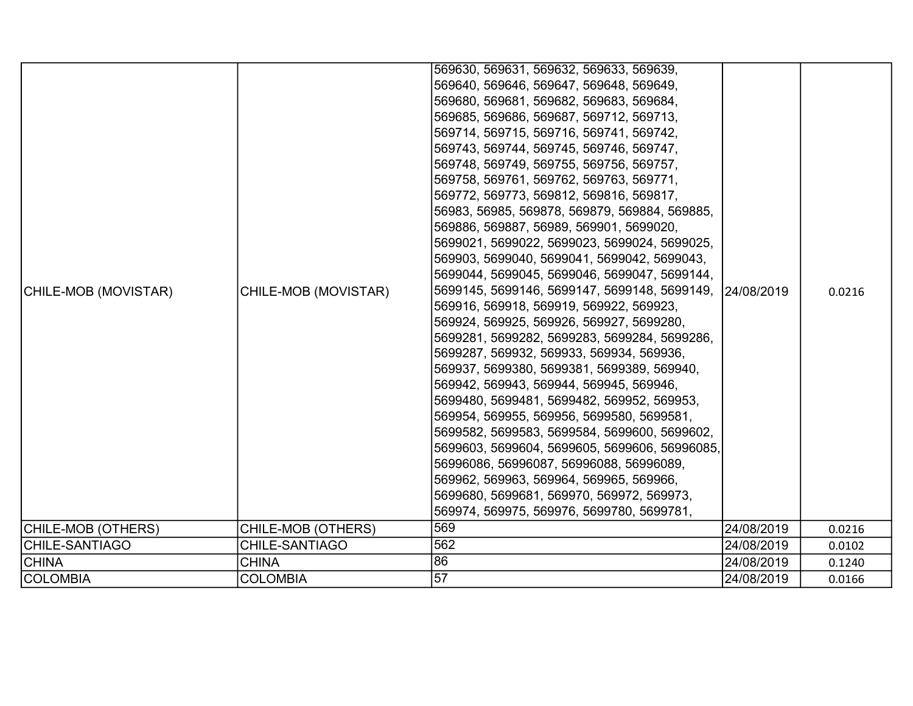|                       |                      | 569630, 569631, 569632, 569633, 569639,       |            |        |
|-----------------------|----------------------|-----------------------------------------------|------------|--------|
|                       |                      | 569640, 569646, 569647, 569648, 569649,       |            |        |
|                       |                      | 569680, 569681, 569682, 569683, 569684,       |            |        |
|                       |                      | 569685, 569686, 569687, 569712, 569713,       |            |        |
|                       |                      | 569714, 569715, 569716, 569741, 569742,       |            |        |
|                       |                      | 569743, 569744, 569745, 569746, 569747,       |            |        |
|                       |                      | 569748, 569749, 569755, 569756, 569757,       |            |        |
|                       |                      | 569758, 569761, 569762, 569763, 569771,       |            |        |
|                       |                      | 569772, 569773, 569812, 569816, 569817,       |            |        |
|                       |                      | 56983, 56985, 569878, 569879, 569884, 569885, |            |        |
|                       |                      | 569886, 569887, 56989, 569901, 5699020,       |            |        |
|                       |                      | 5699021, 5699022, 5699023, 5699024, 5699025,  |            |        |
|                       |                      | 569903, 5699040, 5699041, 5699042, 5699043,   |            |        |
|                       |                      | 5699044, 5699045, 5699046, 5699047, 5699144,  |            |        |
| CHILE-MOB (MOVISTAR)  | CHILE-MOB (MOVISTAR) | 5699145, 5699146, 5699147, 5699148, 5699149,  | 24/08/2019 | 0.0216 |
|                       |                      | 569916, 569918, 569919, 569922, 569923,       |            |        |
|                       |                      | 569924, 569925, 569926, 569927, 5699280,      |            |        |
|                       |                      | 5699281, 5699282, 5699283, 5699284, 5699286,  |            |        |
|                       |                      | 5699287, 569932, 569933, 569934, 569936,      |            |        |
|                       |                      | 569937, 5699380, 5699381, 5699389, 569940,    |            |        |
|                       |                      | 569942, 569943, 569944, 569945, 569946,       |            |        |
|                       |                      | 5699480, 5699481, 5699482, 569952, 569953,    |            |        |
|                       |                      | 569954, 569955, 569956, 5699580, 5699581,     |            |        |
|                       |                      | 5699582, 5699583, 5699584, 5699600, 5699602,  |            |        |
|                       |                      | 5699603, 5699604, 5699605, 5699606, 56996085, |            |        |
|                       |                      | 56996086, 56996087, 56996088, 56996089,       |            |        |
|                       |                      | 569962, 569963, 569964, 569965, 569966,       |            |        |
|                       |                      | 5699680, 5699681, 569970, 569972, 569973,     |            |        |
|                       |                      | 569974, 569975, 569976, 5699780, 5699781,     |            |        |
| CHILE-MOB (OTHERS)    | CHILE-MOB (OTHERS)   | 569                                           | 24/08/2019 | 0.0216 |
| <b>CHILE-SANTIAGO</b> | CHILE-SANTIAGO       | 562                                           | 24/08/2019 | 0.0102 |
| <b>CHINA</b>          | <b>CHINA</b>         | 86                                            | 24/08/2019 | 0.1240 |
| COLOMBIA              | <b>COLOMBIA</b>      | 57                                            | 24/08/2019 | 0.0166 |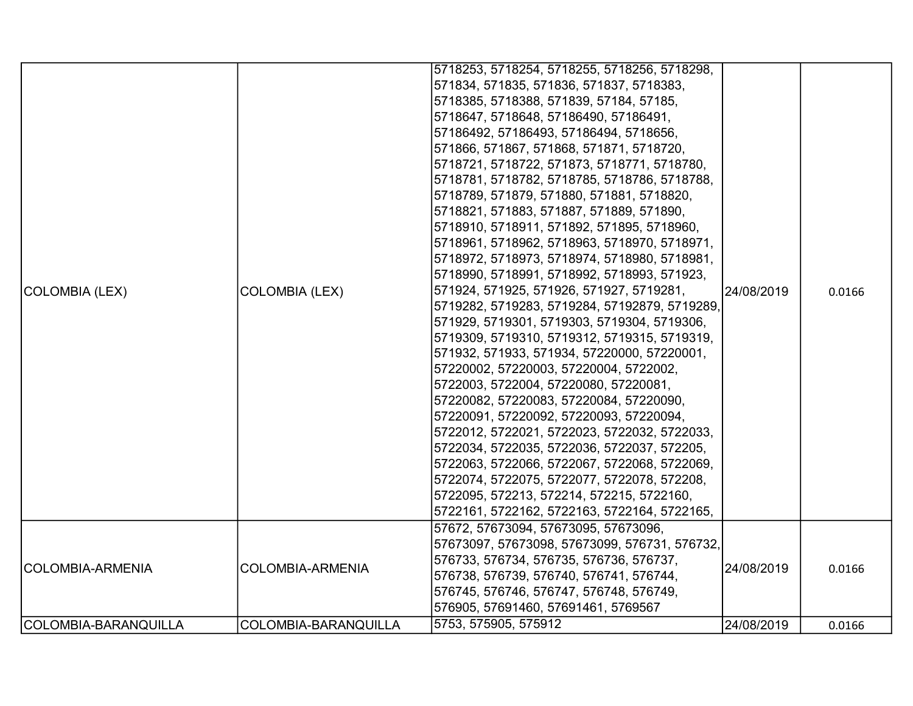| COLOMBIA-BARANQUILLA | COLOMBIA-BARANQUILLA  | 5753, 575905, 575912                                                                                                                                                                                                                                                                                                                                                                                                                                                                                                                                                                                                                                                                                                                                                                                                                                                                                                                                                                                                                                                                                                                                                                                                                                                                                                                                                   | 24/08/2019 | 0.0166 |
|----------------------|-----------------------|------------------------------------------------------------------------------------------------------------------------------------------------------------------------------------------------------------------------------------------------------------------------------------------------------------------------------------------------------------------------------------------------------------------------------------------------------------------------------------------------------------------------------------------------------------------------------------------------------------------------------------------------------------------------------------------------------------------------------------------------------------------------------------------------------------------------------------------------------------------------------------------------------------------------------------------------------------------------------------------------------------------------------------------------------------------------------------------------------------------------------------------------------------------------------------------------------------------------------------------------------------------------------------------------------------------------------------------------------------------------|------------|--------|
| COLOMBIA-ARMENIA     | COLOMBIA-ARMENIA      | 57672, 57673094, 57673095, 57673096,<br>57673097, 57673098, 57673099, 576731, 576732,<br>576733, 576734, 576735, 576736, 576737,<br>576738, 576739, 576740, 576741, 576744,<br>576745, 576746, 576747, 576748, 576749,<br>576905, 57691460, 57691461, 5769567                                                                                                                                                                                                                                                                                                                                                                                                                                                                                                                                                                                                                                                                                                                                                                                                                                                                                                                                                                                                                                                                                                          | 24/08/2019 | 0.0166 |
| COLOMBIA (LEX)       | <b>COLOMBIA (LEX)</b> | 5718253, 5718254, 5718255, 5718256, 5718298,<br>571834, 571835, 571836, 571837, 5718383,<br>5718385, 5718388, 571839, 57184, 57185,<br>5718647, 5718648, 57186490, 57186491,<br>57186492, 57186493, 57186494, 5718656,<br>571866, 571867, 571868, 571871, 5718720,<br>5718721, 5718722, 571873, 5718771, 5718780,<br>5718781, 5718782, 5718785, 5718786, 5718788,<br>5718789, 571879, 571880, 571881, 5718820,<br>5718821, 571883, 571887, 571889, 571890,<br>5718910, 5718911, 571892, 571895, 5718960,<br>5718961, 5718962, 5718963, 5718970, 5718971,<br>5718972, 5718973, 5718974, 5718980, 5718981,<br>5718990, 5718991, 5718992, 5718993, 571923,<br>571924, 571925, 571926, 571927, 5719281,<br>5719282, 5719283, 5719284, 57192879, 5719289,<br>571929, 5719301, 5719303, 5719304, 5719306,<br>5719309, 5719310, 5719312, 5719315, 5719319,<br>571932, 571933, 571934, 57220000, 57220001,<br>57220002, 57220003, 57220004, 5722002,<br>5722003, 5722004, 57220080, 57220081,<br>57220082, 57220083, 57220084, 57220090,<br>57220091, 57220092, 57220093, 57220094,<br>5722012, 5722021, 5722023, 5722032, 5722033,<br>5722034, 5722035, 5722036, 5722037, 572205,<br>5722063, 5722066, 5722067, 5722068, 5722069,<br>5722074, 5722075, 5722077, 5722078, 572208,<br>5722095, 572213, 572214, 572215, 5722160,<br>5722161, 5722162, 5722163, 5722164, 5722165, | 24/08/2019 | 0.0166 |
|                      |                       |                                                                                                                                                                                                                                                                                                                                                                                                                                                                                                                                                                                                                                                                                                                                                                                                                                                                                                                                                                                                                                                                                                                                                                                                                                                                                                                                                                        |            |        |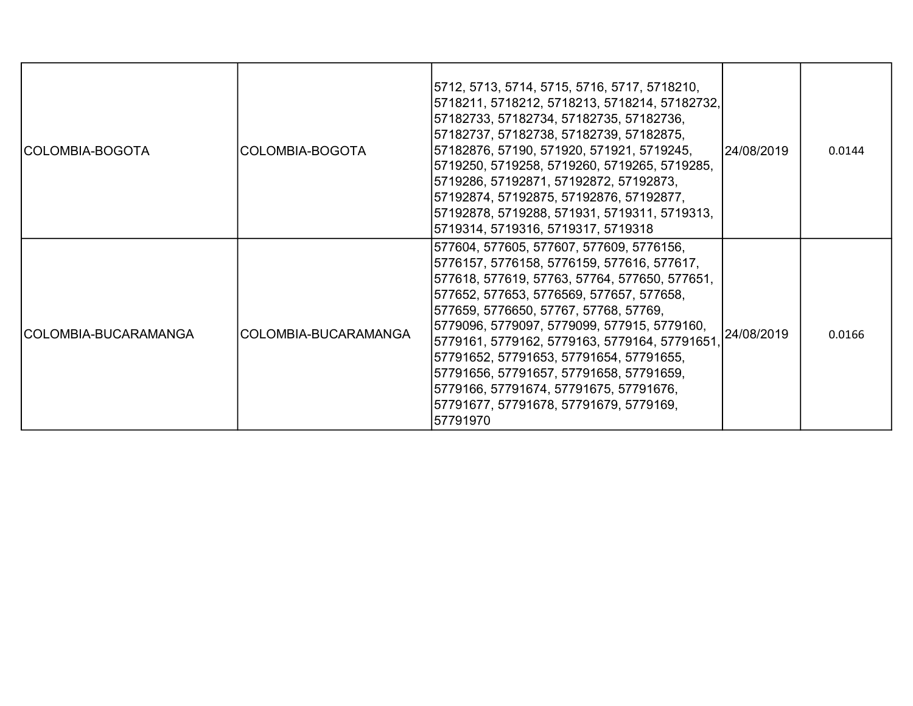| COLOMBIA-BOGOTA      | COLOMBIA-BOGOTA      | 5712, 5713, 5714, 5715, 5716, 5717, 5718210,<br>5718211, 5718212, 5718213, 5718214, 57182732,<br>57182733, 57182734, 57182735, 57182736,<br>57182737, 57182738, 57182739, 57182875,<br>57182876, 57190, 571920, 571921, 5719245,<br> 5719250, 5719258, 5719260, 5719265, 5719285,<br> 5719286, 57192871, 57192872, 57192873,<br>57192874, 57192875, 57192876, 57192877,<br> 57192878, 5719288, 571931, 5719311, 5719313,<br>5719314, 5719316, 5719317, 5719318                                                             | 24/08/2019 | 0.0144 |
|----------------------|----------------------|----------------------------------------------------------------------------------------------------------------------------------------------------------------------------------------------------------------------------------------------------------------------------------------------------------------------------------------------------------------------------------------------------------------------------------------------------------------------------------------------------------------------------|------------|--------|
| COLOMBIA-BUCARAMANGA | COLOMBIA-BUCARAMANGA | 577604, 577605, 577607, 577609, 5776156,<br>5776157, 5776158, 5776159, 577616, 577617,<br> 577618, 577619, 57763, 57764, 577650, 577651,<br> 577652, 577653, 5776569, 577657, 577658,<br> 577659, 5776650, 57767, 57768, 57769,<br> 5779096, 5779097, 5779099, 577915, 5779160,<br> 5779161, 5779162, 5779163, 5779164, 57791651,<br> 57791652, 57791653, 57791654, 57791655,<br> 57791656, 57791657, 57791658, 57791659,<br> 5779166, 57791674, 57791675, 57791676,<br>57791677, 57791678, 57791679, 5779169,<br>57791970 | 24/08/2019 | 0.0166 |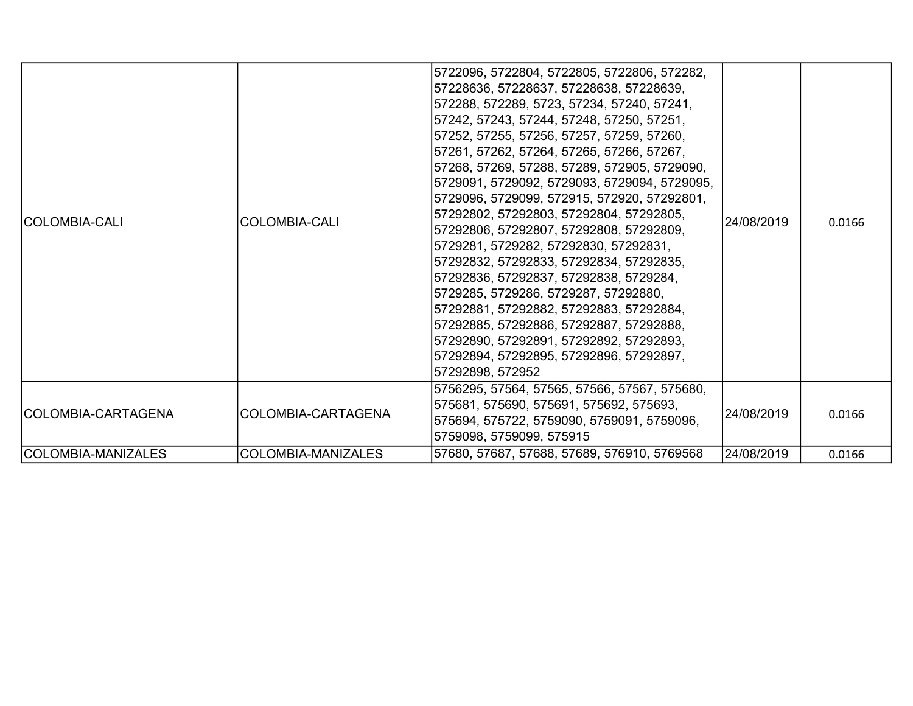| <b>COLOMBIA-CALI</b> | ICOLOMBIA-CALI      | 5722096, 5722804, 5722805, 5722806, 572282,<br> 57228636, 57228637, 57228638, 57228639,<br> 572288, 572289, 5723, 57234, 57240, 57241,<br> 57242, 57243, 57244, 57248, 57250, 57251,<br> 57252, 57255, 57256, 57257, 57259, 57260,<br> 57261, 57262, 57264, 57265, 57266, 57267,<br> 57268, 57269, 57288, 57289, 572905, 5729090,<br> 5729091, 5729092, 5729093, 5729094, 5729095,<br> 5729096, 5729099, 572915, 572920, 57292801,<br> 57292802, 57292803, 57292804, 57292805,<br> 57292806, 57292807, 57292808, 57292809,<br> 5729281, 5729282, 57292830, 57292831,<br> 57292832, 57292833, 57292834, 57292835,<br> 57292836, 57292837, 57292838, 5729284,<br> 5729285, 5729286, 5729287, 57292880,<br> 57292881, 57292882, 57292883, 57292884,<br> 57292885, 57292886, 57292887, 57292888,<br> 57292890, 57292891, 57292892, 57292893, | 24/08/2019 | 0.0166 |
|----------------------|---------------------|------------------------------------------------------------------------------------------------------------------------------------------------------------------------------------------------------------------------------------------------------------------------------------------------------------------------------------------------------------------------------------------------------------------------------------------------------------------------------------------------------------------------------------------------------------------------------------------------------------------------------------------------------------------------------------------------------------------------------------------------------------------------------------------------------------------------------------------|------------|--------|
|                      |                     | 57292894, 57292895, 57292896, 57292897,<br> 57292898, 572952                                                                                                                                                                                                                                                                                                                                                                                                                                                                                                                                                                                                                                                                                                                                                                             |            |        |
| COLOMBIA-CARTAGENA   | ICOLOMBIA-CARTAGENA | 5756295, 57564, 57565, 57566, 57567, 575680,<br> 575681, 575690, 575691, 575692, 575693,<br>575694, 575722, 5759090, 5759091, 5759096,<br> 5759098, 5759099, 575915                                                                                                                                                                                                                                                                                                                                                                                                                                                                                                                                                                                                                                                                      | 24/08/2019 | 0.0166 |
| COLOMBIA-MANIZALES   | COLOMBIA-MANIZALES  | 57680, 57687, 57688, 57689, 576910, 5769568                                                                                                                                                                                                                                                                                                                                                                                                                                                                                                                                                                                                                                                                                                                                                                                              | 24/08/2019 | 0.0166 |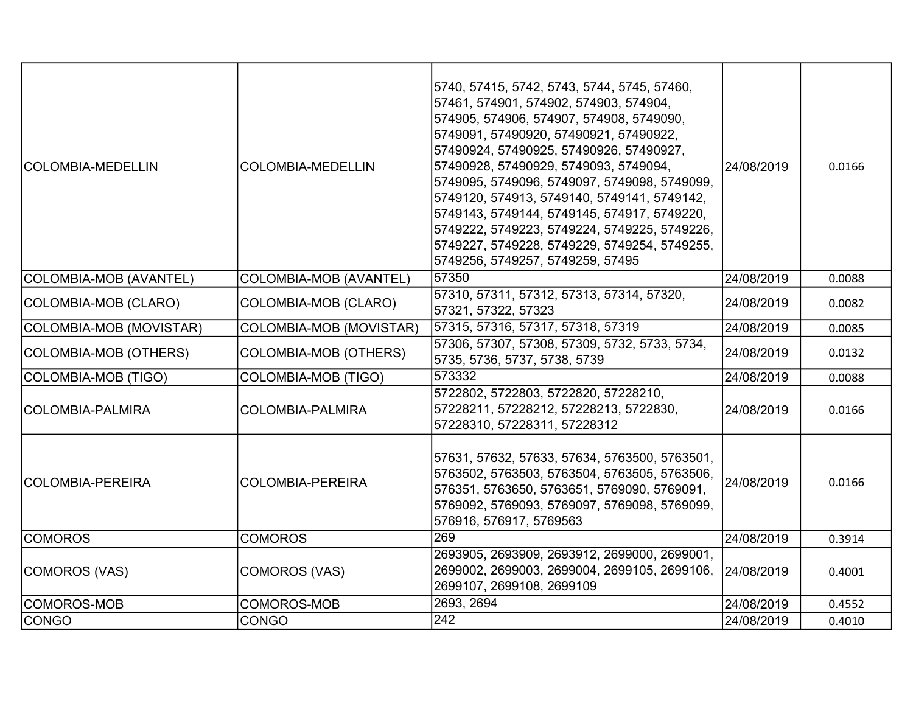| <b>COLOMBIA-MEDELLIN</b> | <b>COLOMBIA-MEDELLIN</b>      | 5740, 57415, 5742, 5743, 5744, 5745, 57460,<br>57461, 574901, 574902, 574903, 574904,<br>574905, 574906, 574907, 574908, 5749090,<br>5749091, 57490920, 57490921, 57490922,<br>57490924, 57490925, 57490926, 57490927,<br>57490928, 57490929, 5749093, 5749094,<br>5749095, 5749096, 5749097, 5749098, 5749099,<br>5749120, 574913, 5749140, 5749141, 5749142,<br>5749143, 5749144, 5749145, 574917, 5749220,<br>5749222, 5749223, 5749224, 5749225, 5749226,<br>5749227, 5749228, 5749229, 5749254, 5749255,<br>5749256, 5749257, 5749259, 57495 | 24/08/2019 | 0.0166 |
|--------------------------|-------------------------------|---------------------------------------------------------------------------------------------------------------------------------------------------------------------------------------------------------------------------------------------------------------------------------------------------------------------------------------------------------------------------------------------------------------------------------------------------------------------------------------------------------------------------------------------------|------------|--------|
| COLOMBIA-MOB (AVANTEL)   | <b>COLOMBIA-MOB (AVANTEL)</b> | 57350                                                                                                                                                                                                                                                                                                                                                                                                                                                                                                                                             | 24/08/2019 | 0.0088 |
| COLOMBIA-MOB (CLARO)     | COLOMBIA-MOB (CLARO)          | 57310, 57311, 57312, 57313, 57314, 57320,<br>57321, 57322, 57323                                                                                                                                                                                                                                                                                                                                                                                                                                                                                  | 24/08/2019 | 0.0082 |
| COLOMBIA-MOB (MOVISTAR)  | COLOMBIA-MOB (MOVISTAR)       | 57315, 57316, 57317, 57318, 57319                                                                                                                                                                                                                                                                                                                                                                                                                                                                                                                 | 24/08/2019 | 0.0085 |
| COLOMBIA-MOB (OTHERS)    | <b>COLOMBIA-MOB (OTHERS)</b>  | 57306, 57307, 57308, 57309, 5732, 5733, 5734,<br>5735, 5736, 5737, 5738, 5739                                                                                                                                                                                                                                                                                                                                                                                                                                                                     | 24/08/2019 | 0.0132 |
| COLOMBIA-MOB (TIGO)      | <b>COLOMBIA-MOB (TIGO)</b>    | 573332                                                                                                                                                                                                                                                                                                                                                                                                                                                                                                                                            | 24/08/2019 | 0.0088 |
| ICOLOMBIA-PALMIRA        | COLOMBIA-PALMIRA              | 5722802, 5722803, 5722820, 57228210,<br>57228211, 57228212, 57228213, 5722830,<br>57228310, 57228311, 57228312                                                                                                                                                                                                                                                                                                                                                                                                                                    | 24/08/2019 | 0.0166 |
| COLOMBIA-PEREIRA         | <b>COLOMBIA-PEREIRA</b>       | 57631, 57632, 57633, 57634, 5763500, 5763501,<br>5763502, 5763503, 5763504, 5763505, 5763506,<br>576351, 5763650, 5763651, 5769090, 5769091,<br>5769092, 5769093, 5769097, 5769098, 5769099,<br>576916, 576917, 5769563                                                                                                                                                                                                                                                                                                                           | 24/08/2019 | 0.0166 |
| <b>COMOROS</b>           | <b>COMOROS</b>                | 269                                                                                                                                                                                                                                                                                                                                                                                                                                                                                                                                               | 24/08/2019 | 0.3914 |
| COMOROS (VAS)            | COMOROS (VAS)                 | 2693905, 2693909, 2693912, 2699000, 2699001,<br>2699002, 2699003, 2699004, 2699105, 2699106,<br>2699107, 2699108, 2699109                                                                                                                                                                                                                                                                                                                                                                                                                         | 24/08/2019 | 0.4001 |
| COMOROS-MOB              | COMOROS-MOB                   | 2693, 2694                                                                                                                                                                                                                                                                                                                                                                                                                                                                                                                                        | 24/08/2019 | 0.4552 |
| <b>CONGO</b>             | <b>CONGO</b>                  | 242                                                                                                                                                                                                                                                                                                                                                                                                                                                                                                                                               | 24/08/2019 | 0.4010 |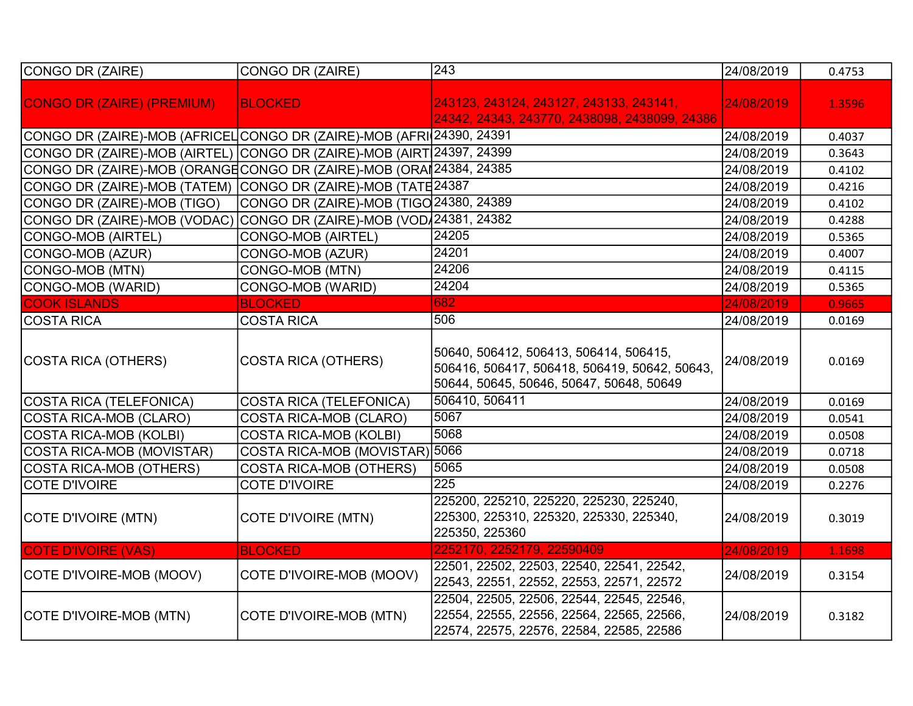| CONGO DR (ZAIRE)                                                      | CONGO DR (ZAIRE)                        | 243                                                                                                                                 | 24/08/2019 | 0.4753 |
|-----------------------------------------------------------------------|-----------------------------------------|-------------------------------------------------------------------------------------------------------------------------------------|------------|--------|
| <b>CONGO DR (ZAIRE) (PREMIUM)</b>                                     | <b>BLOCKED</b>                          | 243123, 243124, 243127, 243133, 243141,<br>24342, 24343, 243770, 2438098, 2438099, 24386                                            | 24/08/2019 | 1.3596 |
| CONGO DR (ZAIRE)-MOB (AFRICEL CONGO DR (ZAIRE)-MOB (AFRI 24390, 24391 |                                         |                                                                                                                                     | 24/08/2019 | 0.4037 |
| CONGO DR (ZAIRE)-MOB (AIRTEL) CONGO DR (ZAIRE)-MOB (AIRT 24397, 24399 |                                         |                                                                                                                                     | 24/08/2019 | 0.3643 |
| CONGO DR (ZAIRE)-MOB (ORANGECONGO DR (ZAIRE)-MOB (ORAI 24384, 24385   |                                         |                                                                                                                                     | 24/08/2019 | 0.4102 |
| CONGO DR (ZAIRE)-MOB (TATEM) CONGO DR (ZAIRE)-MOB (TATE24387          |                                         |                                                                                                                                     | 24/08/2019 | 0.4216 |
| CONGO DR (ZAIRE)-MOB (TIGO)                                           | CONGO DR (ZAIRE)-MOB (TIGO 24380, 24389 |                                                                                                                                     | 24/08/2019 | 0.4102 |
| CONGO DR (ZAIRE)-MOB (VODAC)                                          | CONGO DR (ZAIRE)-MOB (VOD 24381, 24382  |                                                                                                                                     | 24/08/2019 | 0.4288 |
| <b>CONGO-MOB (AIRTEL)</b>                                             | <b>CONGO-MOB (AIRTEL)</b>               | 24205                                                                                                                               | 24/08/2019 | 0.5365 |
| CONGO-MOB (AZUR)                                                      | CONGO-MOB (AZUR)                        | 24201                                                                                                                               | 24/08/2019 | 0.4007 |
| CONGO-MOB (MTN)                                                       | CONGO-MOB (MTN)                         | 24206                                                                                                                               | 24/08/2019 | 0.4115 |
| CONGO-MOB (WARID)                                                     | CONGO-MOB (WARID)                       | 24204                                                                                                                               | 24/08/2019 | 0.5365 |
| <b>COOK ISLANDS</b>                                                   | <b>BLOCKED</b>                          | 682                                                                                                                                 | 24/08/2019 | 0.9665 |
| <b>COSTA RICA</b>                                                     | <b>COSTA RICA</b>                       | 506                                                                                                                                 | 24/08/2019 | 0.0169 |
| COSTA RICA (OTHERS)                                                   | <b>COSTA RICA (OTHERS)</b>              | 50640, 506412, 506413, 506414, 506415,<br>506416, 506417, 506418, 506419, 50642, 50643,<br>50644, 50645, 50646, 50647, 50648, 50649 | 24/08/2019 | 0.0169 |
| COSTA RICA (TELEFONICA)                                               | <b>COSTA RICA (TELEFONICA)</b>          | 506410, 506411                                                                                                                      | 24/08/2019 | 0.0169 |
| <b>COSTA RICA-MOB (CLARO)</b>                                         | <b>COSTA RICA-MOB (CLARO)</b>           | 5067                                                                                                                                | 24/08/2019 | 0.0541 |
| <b>COSTA RICA-MOB (KOLBI)</b>                                         | <b>COSTA RICA-MOB (KOLBI)</b>           | 5068                                                                                                                                | 24/08/2019 | 0.0508 |
| COSTA RICA-MOB (MOVISTAR)                                             | COSTA RICA-MOB (MOVISTAR) 5066          |                                                                                                                                     | 24/08/2019 | 0.0718 |
| <b>COSTA RICA-MOB (OTHERS)</b>                                        | <b>COSTA RICA-MOB (OTHERS)</b>          | 5065                                                                                                                                | 24/08/2019 | 0.0508 |
| <b>COTE D'IVOIRE</b>                                                  | <b>COTE D'IVOIRE</b>                    | $\overline{225}$                                                                                                                    | 24/08/2019 | 0.2276 |
| COTE D'IVOIRE (MTN)                                                   | <b>COTE D'IVOIRE (MTN)</b>              | 225200, 225210, 225220, 225230, 225240,<br>225300, 225310, 225320, 225330, 225340,<br>225350, 225360                                | 24/08/2019 | 0.3019 |
| <b>COTE D'IVOIRE (VAS)</b>                                            | <b>BLOCKED</b>                          | 2252170, 2252179, 22590409                                                                                                          | 24/08/2019 | 1.1698 |
| COTE D'IVOIRE-MOB (MOOV)                                              | COTE D'IVOIRE-MOB (MOOV)                | 22501, 22502, 22503, 22540, 22541, 22542,<br>22543, 22551, 22552, 22553, 22571, 22572                                               | 24/08/2019 | 0.3154 |
| COTE D'IVOIRE-MOB (MTN)                                               | COTE D'IVOIRE-MOB (MTN)                 | 22504, 22505, 22506, 22544, 22545, 22546,<br>22554, 22555, 22556, 22564, 22565, 22566,<br>22574, 22575, 22576, 22584, 22585, 22586  | 24/08/2019 | 0.3182 |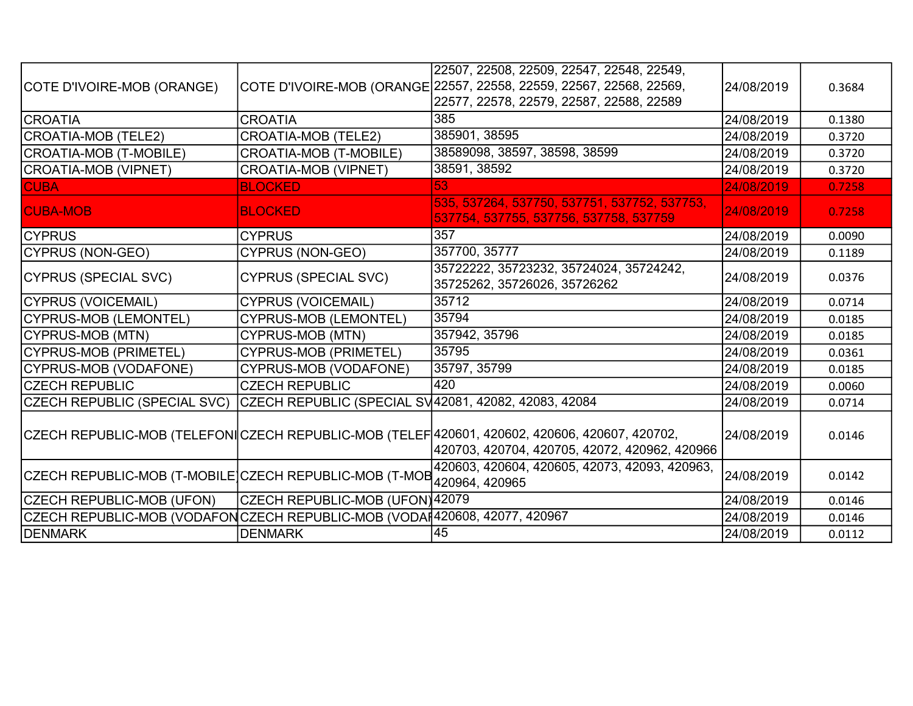|                                                                            |                                                      | 22507, 22508, 22509, 22547, 22548, 22549,                                                                                                      |            |        |
|----------------------------------------------------------------------------|------------------------------------------------------|------------------------------------------------------------------------------------------------------------------------------------------------|------------|--------|
| COTE D'IVOIRE-MOB (ORANGE)                                                 |                                                      | COTE D'IVOIRE-MOB (ORANGE 22557, 22558, 22559, 22567, 22568, 22569,                                                                            | 24/08/2019 | 0.3684 |
|                                                                            |                                                      | 22577, 22578, 22579, 22587, 22588, 22589                                                                                                       |            |        |
| <b>CROATIA</b>                                                             | <b>CROATIA</b>                                       | 385                                                                                                                                            | 24/08/2019 | 0.1380 |
| CROATIA-MOB (TELE2)                                                        | <b>CROATIA-MOB (TELE2)</b>                           | 385901, 38595                                                                                                                                  | 24/08/2019 | 0.3720 |
| CROATIA-MOB (T-MOBILE)                                                     | CROATIA-MOB (T-MOBILE)                               | 38589098, 38597, 38598, 38599                                                                                                                  | 24/08/2019 | 0.3720 |
| CROATIA-MOB (VIPNET)                                                       | <b>CROATIA-MOB (VIPNET)</b>                          | 38591, 38592                                                                                                                                   | 24/08/2019 | 0.3720 |
| <b>CUBA</b>                                                                | <b>BLOCKED</b>                                       | 53                                                                                                                                             | 24/08/2019 | 0.7258 |
| <b>CUBA-MOB</b>                                                            | <b>BLOCKED</b>                                       | 535, 537264, 537750, 537751, 537752, 537753,<br>537754, 537755, 537756, 537758, 537759                                                         | 24/08/2019 | 0.7258 |
| <b>ICYPRUS</b>                                                             | <b>CYPRUS</b>                                        | 357                                                                                                                                            | 24/08/2019 | 0.0090 |
| CYPRUS (NON-GEO)                                                           | CYPRUS (NON-GEO)                                     | 357700, 35777                                                                                                                                  | 24/08/2019 | 0.1189 |
| CYPRUS (SPECIAL SVC)                                                       | <b>CYPRUS (SPECIAL SVC)</b>                          | 35722222, 35723232, 35724024, 35724242,<br>35725262, 35726026, 35726262                                                                        | 24/08/2019 | 0.0376 |
| <b>CYPRUS (VOICEMAIL)</b>                                                  | <b>CYPRUS (VOICEMAIL)</b>                            | 35712                                                                                                                                          | 24/08/2019 | 0.0714 |
| CYPRUS-MOB (LEMONTEL)                                                      | <b>CYPRUS-MOB (LEMONTEL)</b>                         | 35794                                                                                                                                          | 24/08/2019 | 0.0185 |
| CYPRUS-MOB (MTN)                                                           | CYPRUS-MOB (MTN)                                     | 357942, 35796                                                                                                                                  | 24/08/2019 | 0.0185 |
| CYPRUS-MOB (PRIMETEL)                                                      | <b>CYPRUS-MOB (PRIMETEL)</b>                         | 35795                                                                                                                                          | 24/08/2019 | 0.0361 |
| CYPRUS-MOB (VODAFONE)                                                      | <b>CYPRUS-MOB (VODAFONE)</b>                         | 35797, 35799                                                                                                                                   | 24/08/2019 | 0.0185 |
| <b>CZECH REPUBLIC</b>                                                      | <b>CZECH REPUBLIC</b>                                | 420                                                                                                                                            | 24/08/2019 | 0.0060 |
| CZECH REPUBLIC (SPECIAL SVC)                                               | CZECH REPUBLIC (SPECIAL SV42081, 42082, 42083, 42084 |                                                                                                                                                | 24/08/2019 | 0.0714 |
|                                                                            |                                                      | CZECH REPUBLIC-MOB (TELEFONICZECH REPUBLIC-MOB (TELEF 420601, 420602, 420606, 420607, 420702,<br>420703, 420704, 420705, 42072, 420962, 420966 | 24/08/2019 | 0.0146 |
| CZECH REPUBLIC-MOB (T-MOBILE CZECH REPUBLIC-MOB (T-MOB 120964, 420965      |                                                      | 420603, 420604, 420605, 42073, 42093, 420963,                                                                                                  | 24/08/2019 | 0.0142 |
| CZECH REPUBLIC-MOB (UFON)                                                  | CZECH REPUBLIC-MOB (UFON)42079                       |                                                                                                                                                | 24/08/2019 | 0.0146 |
| CZECH REPUBLIC-MOB (VODAFON CZECH REPUBLIC-MOB (VODA 420608, 42077, 420967 |                                                      |                                                                                                                                                | 24/08/2019 | 0.0146 |
| DENMARK                                                                    | <b>DENMARK</b>                                       | 45                                                                                                                                             | 24/08/2019 | 0.0112 |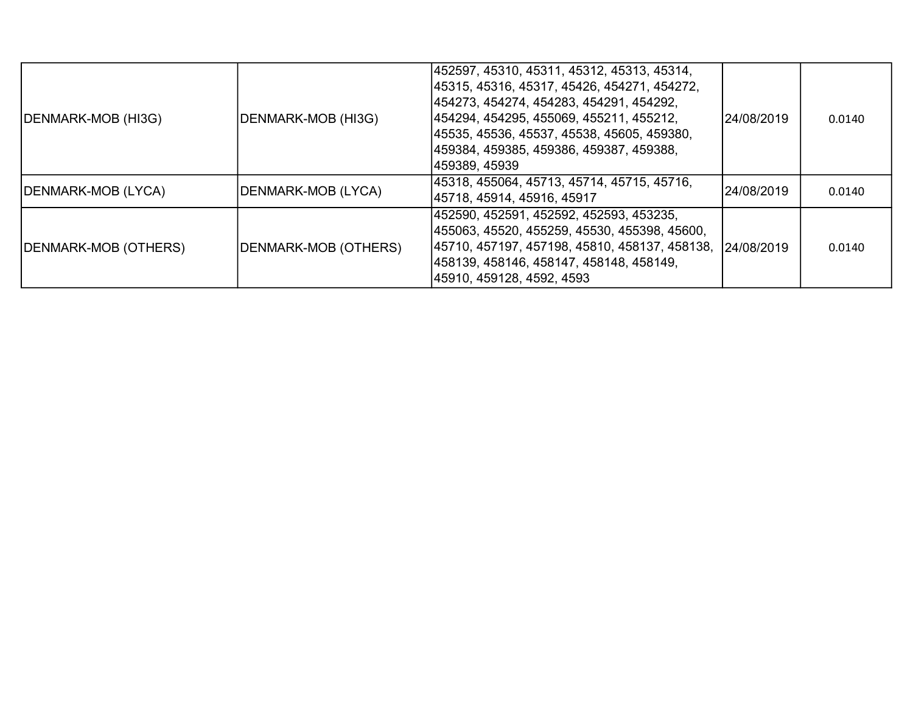| DENMARK-MOB (HI3G)   | DENMARK-MOB (HI3G)   | 452597, 45310, 45311, 45312, 45313, 45314,<br> 45315, 45316, 45317, 45426, 454271, 454272,<br> 454273, 454274, 454283, 454291, 454292,<br> 454294, 454295, 455069, 455211, 455212,<br> 45535, 45536, 45537, 45538, 45605, 459380,<br> 459384, 459385, 459386, 459387, 459388,<br> 459389, 45939 | 124/08/2019 | 0.0140 |
|----------------------|----------------------|-------------------------------------------------------------------------------------------------------------------------------------------------------------------------------------------------------------------------------------------------------------------------------------------------|-------------|--------|
| DENMARK-MOB (LYCA)   | DENMARK-MOB (LYCA)   | 45318, 455064, 45713, 45714, 45715, 45716,<br> 45718, 45914, 45916, 45917                                                                                                                                                                                                                       | 24/08/2019  | 0.0140 |
| DENMARK-MOB (OTHERS) | DENMARK-MOB (OTHERS) | 452590, 452591, 452592, 452593, 453235,<br> 455063, 45520, 455259, 45530, 455398, 45600,<br> 45710, 457197, 457198, 45810, 458137, 458138, 124/08/2019<br> 458139, 458146, 458147, 458148, 458149,<br> 45910, 459128, 4592, 4593                                                                |             | 0.0140 |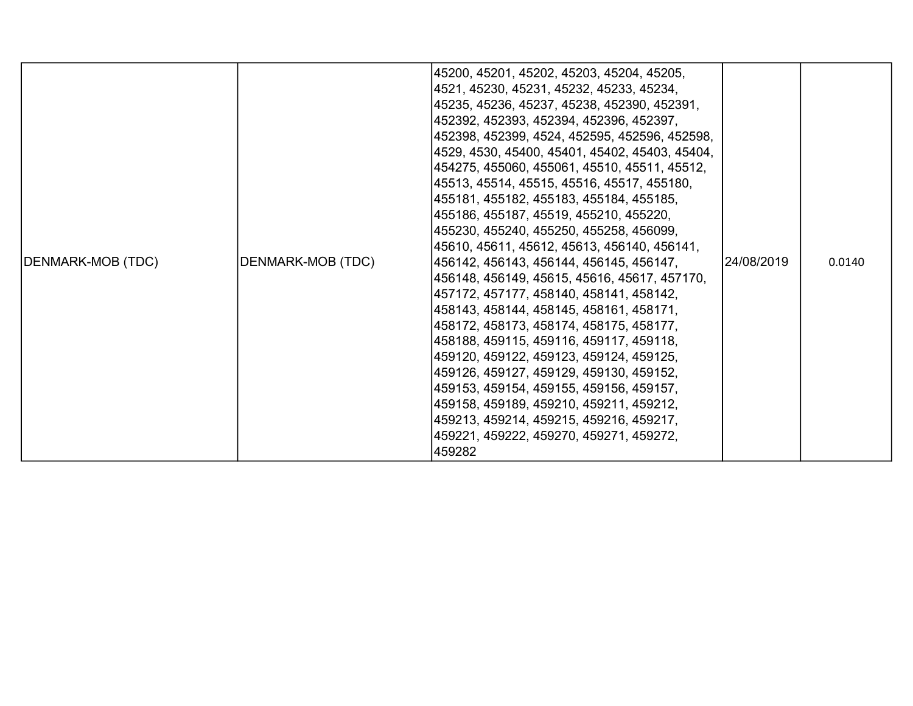| DENMARK-MOB (TDC) | DENMARK-MOB (TDC) | 45200, 45201, 45202, 45203, 45204, 45205,<br>4521, 45230, 45231, 45232, 45233, 45234,<br>45235, 45236, 45237, 45238, 452390, 452391,<br>452392, 452393, 452394, 452396, 452397,<br> 452398, 452399, 4524, 452595, 452596, 452598,<br> 4529, 4530, 45400, 45401, 45402, 45403, 45404,<br> 454275, 455060, 455061, 45510, 45511, 45512,<br> 45513, 45514, 45515, 45516, 45517, 455180,<br> 455181, 455182, 455183, 455184, 455185,<br> 455186, 455187, 45519, 455210, 455220,<br> 455230, 455240, 455250, 455258, 456099,<br>45610, 45611, 45612, 45613, 456140, 456141,<br>456142, 456143, 456144, 456145, 456147,<br>456148, 456149, 45615, 45616, 45617, 457170,<br> 457172, 457177, 458140, 458141, 458142,<br> 458143, 458144, 458145, 458161, 458171,<br>458172, 458173, 458174, 458175, 458177,<br>458188, 459115, 459116, 459117, 459118,<br> 459120, 459122, 459123, 459124, 459125,<br>459126, 459127, 459129, 459130, 459152,<br>459153, 459154, 459155, 459156, 459157,<br>459158, 459189, 459210, 459211, 459212,<br>459213, 459214, 459215, 459216, 459217,<br>459221, 459222, 459270, 459271, 459272,<br>459282 | 24/08/2019 | 0.0140 |
|-------------------|-------------------|------------------------------------------------------------------------------------------------------------------------------------------------------------------------------------------------------------------------------------------------------------------------------------------------------------------------------------------------------------------------------------------------------------------------------------------------------------------------------------------------------------------------------------------------------------------------------------------------------------------------------------------------------------------------------------------------------------------------------------------------------------------------------------------------------------------------------------------------------------------------------------------------------------------------------------------------------------------------------------------------------------------------------------------------------------------------------------------------------------------------------|------------|--------|
|-------------------|-------------------|------------------------------------------------------------------------------------------------------------------------------------------------------------------------------------------------------------------------------------------------------------------------------------------------------------------------------------------------------------------------------------------------------------------------------------------------------------------------------------------------------------------------------------------------------------------------------------------------------------------------------------------------------------------------------------------------------------------------------------------------------------------------------------------------------------------------------------------------------------------------------------------------------------------------------------------------------------------------------------------------------------------------------------------------------------------------------------------------------------------------------|------------|--------|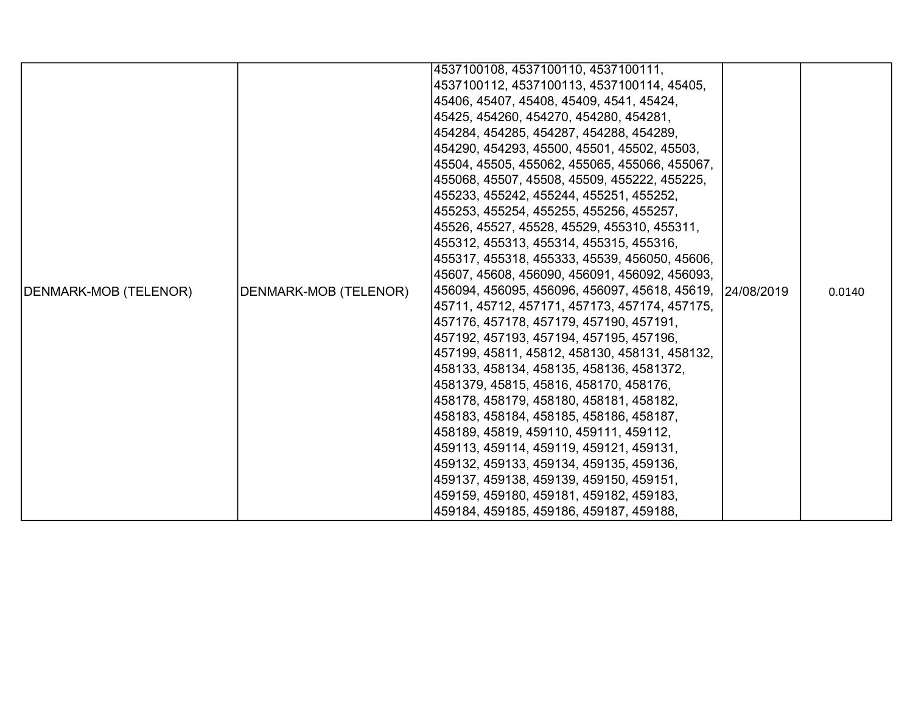|                       |                       | 4537100108, 4537100110, 4537100111,                       |  |        |
|-----------------------|-----------------------|-----------------------------------------------------------|--|--------|
|                       |                       | 4537100112, 4537100113, 4537100114, 45405,                |  |        |
|                       |                       | 45406, 45407, 45408, 45409, 4541, 45424,                  |  |        |
|                       |                       | 45425, 454260, 454270, 454280, 454281,                    |  |        |
|                       |                       | 454284, 454285, 454287, 454288, 454289,                   |  |        |
|                       |                       | 454290, 454293, 45500, 45501, 45502, 45503,               |  |        |
|                       |                       | 45504, 45505, 455062, 455065, 455066, 455067,             |  |        |
|                       |                       | 455068, 45507, 45508, 45509, 455222, 455225,              |  |        |
|                       |                       | 455233, 455242, 455244, 455251, 455252,                   |  |        |
|                       |                       | 455253, 455254, 455255, 455256, 455257,                   |  |        |
|                       |                       | 45526, 45527, 45528, 45529, 455310, 455311,               |  |        |
|                       |                       | 455312, 455313, 455314, 455315, 455316,                   |  |        |
|                       |                       | 455317, 455318, 455333, 45539, 456050, 45606,             |  |        |
|                       |                       | 45607, 45608, 456090, 456091, 456092, 456093,             |  |        |
| DENMARK-MOB (TELENOR) | DENMARK-MOB (TELENOR) | 456094, 456095, 456096, 456097, 45618, 45619, 124/08/2019 |  | 0.0140 |
|                       |                       | 45711, 45712, 457171, 457173, 457174, 457175,             |  |        |
|                       |                       | 457176, 457178, 457179, 457190, 457191,                   |  |        |
|                       |                       | 457192, 457193, 457194, 457195, 457196,                   |  |        |
|                       |                       | 457199, 45811, 45812, 458130, 458131, 458132,             |  |        |
|                       |                       | 458133, 458134, 458135, 458136, 4581372,                  |  |        |
|                       |                       | 4581379, 45815, 45816, 458170, 458176,                    |  |        |
|                       |                       | 458178, 458179, 458180, 458181, 458182,                   |  |        |
|                       |                       | 458183, 458184, 458185, 458186, 458187,                   |  |        |
|                       |                       | 458189, 45819, 459110, 459111, 459112,                    |  |        |
|                       |                       | 459113, 459114, 459119, 459121, 459131,                   |  |        |
|                       |                       | 459132, 459133, 459134, 459135, 459136,                   |  |        |
|                       |                       | 459137, 459138, 459139, 459150, 459151,                   |  |        |
|                       |                       | 459159, 459180, 459181, 459182, 459183,                   |  |        |
|                       |                       | 459184, 459185, 459186, 459187, 459188,                   |  |        |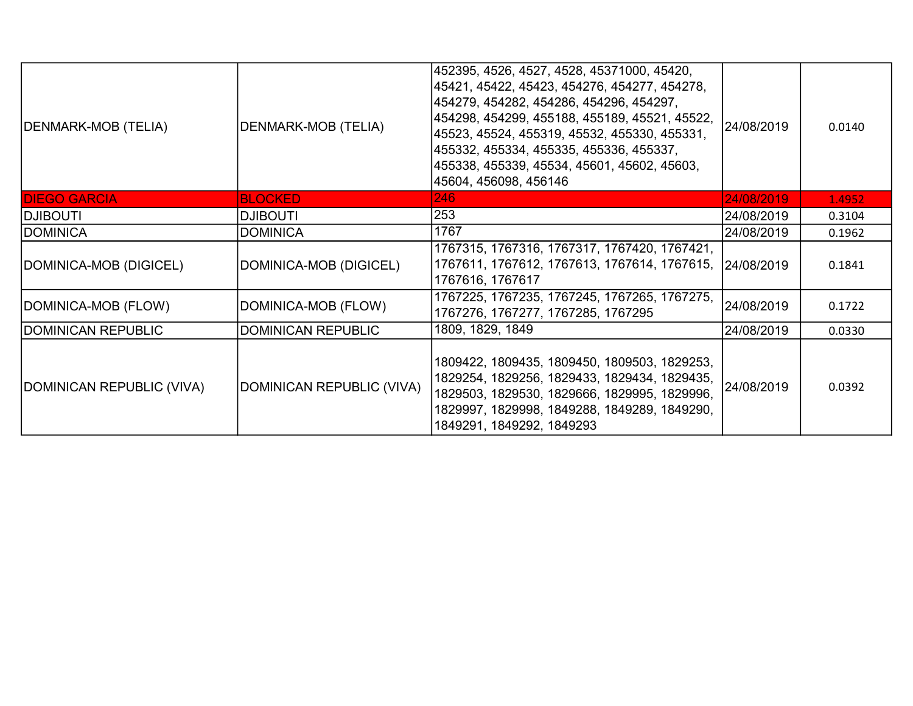| DENMARK-MOB (TELIA)       | DENMARK-MOB (TELIA)       | 452395, 4526, 4527, 4528, 45371000, 45420,<br>45421, 45422, 45423, 454276, 454277, 454278,<br> 454279, 454282, 454286, 454296, 454297,<br> 454298, 454299, 455188, 455189, 45521, 45522,<br> 45523, 45524, 455319, 45532, 455330, 455331,<br>455332, 455334, 455335, 455336, 455337,<br>455338, 455339, 45534, 45601, 45602, 45603,<br>45604, 456098, 456146 | 24/08/2019 | 0.0140 |
|---------------------------|---------------------------|--------------------------------------------------------------------------------------------------------------------------------------------------------------------------------------------------------------------------------------------------------------------------------------------------------------------------------------------------------------|------------|--------|
| <b>DIEGO GARCIA</b>       | <b>BLOCKED</b>            | 246                                                                                                                                                                                                                                                                                                                                                          | 24/08/2019 | 1.4952 |
| <b>ITUOBILG</b>           | <b>DJIBOUTI</b>           | 253                                                                                                                                                                                                                                                                                                                                                          | 24/08/2019 | 0.3104 |
| <b>DOMINICA</b>           | <b>DOMINICA</b>           | 1767                                                                                                                                                                                                                                                                                                                                                         | 24/08/2019 | 0.1962 |
| DOMINICA-MOB (DIGICEL)    | DOMINICA-MOB (DIGICEL)    | 1767315, 1767316, 1767317, 1767420, 1767421,<br>1767611, 1767612, 1767613, 1767614, 1767615, 24/08/2019<br>1767616, 1767617                                                                                                                                                                                                                                  |            | 0.1841 |
| DOMINICA-MOB (FLOW)       | DOMINICA-MOB (FLOW)       | 1767225, 1767235, 1767245, 1767265, 1767275,<br>1767276, 1767277, 1767285, 1767295                                                                                                                                                                                                                                                                           | 24/08/2019 | 0.1722 |
| DOMINICAN REPUBLIC        | <b>DOMINICAN REPUBLIC</b> | 1809, 1829, 1849                                                                                                                                                                                                                                                                                                                                             | 24/08/2019 | 0.0330 |
| DOMINICAN REPUBLIC (VIVA) | DOMINICAN REPUBLIC (VIVA) | 1809422, 1809435, 1809450, 1809503, 1829253,<br>1829254, 1829256, 1829433, 1829434, 1829435,<br>1829503, 1829530, 1829666, 1829995, 1829996,<br>1829997, 1829998, 1849288, 1849289, 1849290,<br>1849291, 1849292, 1849293                                                                                                                                    | 24/08/2019 | 0.0392 |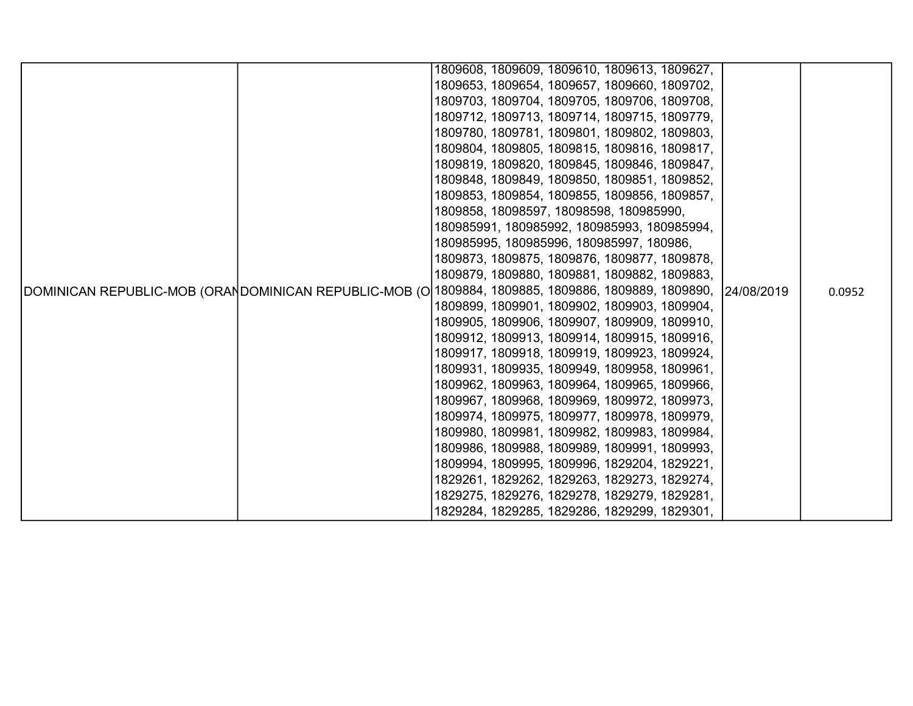|  |  | 1809608, 1809609, 1809610, 1809613, 1809627,                                                                    |        |
|--|--|-----------------------------------------------------------------------------------------------------------------|--------|
|  |  |                                                                                                                 |        |
|  |  | 1809653, 1809654, 1809657, 1809660, 1809702,                                                                    |        |
|  |  | 1809703, 1809704, 1809705, 1809706, 1809708,                                                                    |        |
|  |  | 1809712, 1809713, 1809714, 1809715, 1809779,                                                                    |        |
|  |  | 1809780, 1809781, 1809801, 1809802, 1809803,                                                                    |        |
|  |  | 1809804, 1809805, 1809815, 1809816, 1809817,                                                                    |        |
|  |  | 1809819, 1809820, 1809845, 1809846, 1809847,                                                                    |        |
|  |  | 1809848, 1809849, 1809850, 1809851, 1809852,                                                                    |        |
|  |  | 1809853, 1809854, 1809855, 1809856, 1809857,                                                                    |        |
|  |  | 1809858, 18098597, 18098598, 180985990,                                                                         |        |
|  |  | 180985991, 180985992, 180985993, 180985994,                                                                     |        |
|  |  | 180985995, 180985996, 180985997, 180986,                                                                        |        |
|  |  | 1809873, 1809875, 1809876, 1809877, 1809878,                                                                    |        |
|  |  | 1809879, 1809880, 1809881, 1809882, 1809883,                                                                    |        |
|  |  | DOMINICAN REPUBLIC-MOB (ORANDOMINICAN REPUBLIC-MOB (O∣1809884, 1809885, 1809886, 1809889, 1809890,   24/08/2019 | 0.0952 |
|  |  | 1809899, 1809901, 1809902, 1809903, 1809904,                                                                    |        |
|  |  | 1809905, 1809906, 1809907, 1809909, 1809910,<br>1809912, 1809913, 1809914, 1809915, 1809916,                    |        |
|  |  | 1809917, 1809918, 1809919, 1809923, 1809924,                                                                    |        |
|  |  | 1809931, 1809935, 1809949, 1809958, 1809961,                                                                    |        |
|  |  | 1809962, 1809963, 1809964, 1809965, 1809966,                                                                    |        |
|  |  | 1809967, 1809968, 1809969, 1809972, 1809973,                                                                    |        |
|  |  | 1809974, 1809975, 1809977, 1809978, 1809979,                                                                    |        |
|  |  | 1809980, 1809981, 1809982, 1809983, 1809984,                                                                    |        |
|  |  | 1809986, 1809988, 1809989, 1809991, 1809993,                                                                    |        |
|  |  | 1809994, 1809995, 1809996, 1829204, 1829221,                                                                    |        |
|  |  | 1829261, 1829262, 1829263, 1829273, 1829274,                                                                    |        |
|  |  | 1829275, 1829276, 1829278, 1829279, 1829281,                                                                    |        |
|  |  | 1829284, 1829285, 1829286, 1829299, 1829301,                                                                    |        |
|  |  |                                                                                                                 |        |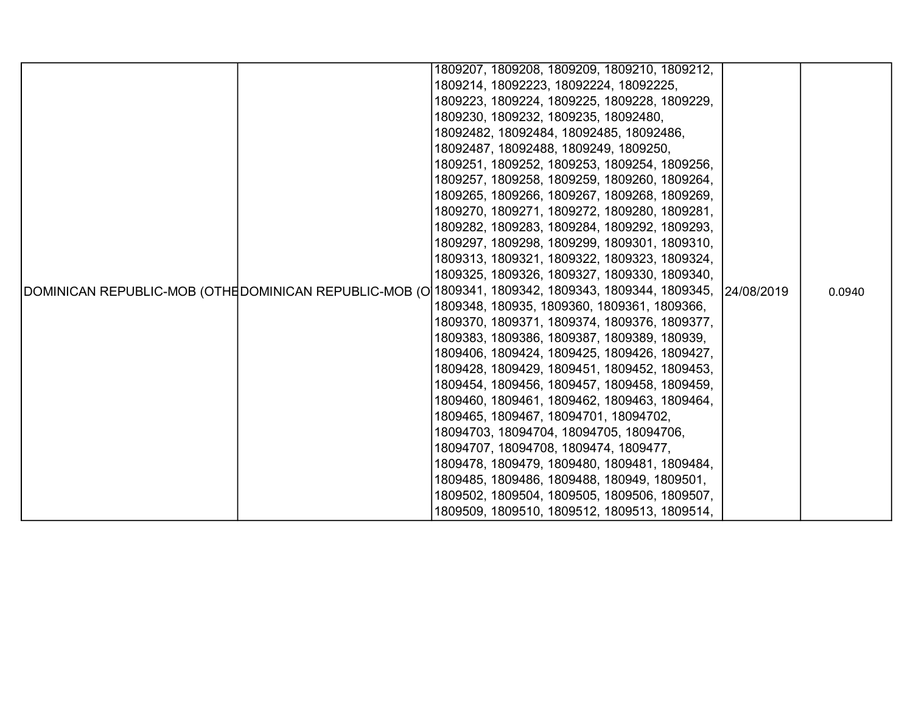|  |  | 1809207, 1809208, 1809209, 1809210, 1809212,                                                                     |        |
|--|--|------------------------------------------------------------------------------------------------------------------|--------|
|  |  | 1809214, 18092223, 18092224, 18092225,                                                                           |        |
|  |  | 1809223, 1809224, 1809225, 1809228, 1809229,                                                                     |        |
|  |  | 1809230, 1809232, 1809235, 18092480,                                                                             |        |
|  |  | 18092482, 18092484, 18092485, 18092486,                                                                          |        |
|  |  | 18092487, 18092488, 1809249, 1809250,                                                                            |        |
|  |  | 1809251, 1809252, 1809253, 1809254, 1809256,                                                                     |        |
|  |  | 1809257, 1809258, 1809259, 1809260, 1809264,                                                                     |        |
|  |  | 1809265, 1809266, 1809267, 1809268, 1809269,                                                                     |        |
|  |  | 1809270, 1809271, 1809272, 1809280, 1809281,                                                                     |        |
|  |  | 1809282, 1809283, 1809284, 1809292, 1809293,                                                                     |        |
|  |  | 1809297, 1809298, 1809299, 1809301, 1809310,                                                                     |        |
|  |  | 1809313, 1809321, 1809322, 1809323, 1809324,                                                                     |        |
|  |  | 1809325, 1809326, 1809327, 1809330, 1809340,                                                                     |        |
|  |  | DOMINICAN REPUBLIC-MOB (OTHE DOMINICAN REPUBLIC-MOB (O 1809341, 1809342, 1809343, 1809344, 1809345,   24/08/2019 | 0.0940 |
|  |  | 1809348, 180935, 1809360, 1809361, 1809366,                                                                      |        |
|  |  | 1809370, 1809371, 1809374, 1809376, 1809377,                                                                     |        |
|  |  | 1809383, 1809386, 1809387, 1809389, 180939,                                                                      |        |
|  |  | 1809406, 1809424, 1809425, 1809426, 1809427,                                                                     |        |
|  |  | 1809428, 1809429, 1809451, 1809452, 1809453,                                                                     |        |
|  |  | 1809454, 1809456, 1809457, 1809458, 1809459,                                                                     |        |
|  |  | 1809460, 1809461, 1809462, 1809463, 1809464,                                                                     |        |
|  |  | 1809465, 1809467, 18094701, 18094702,                                                                            |        |
|  |  | 18094703, 18094704, 18094705, 18094706,                                                                          |        |
|  |  | 18094707, 18094708, 1809474, 1809477,                                                                            |        |
|  |  | 1809478, 1809479, 1809480, 1809481, 1809484,                                                                     |        |
|  |  | 1809485, 1809486, 1809488, 180949, 1809501,                                                                      |        |
|  |  | 1809502, 1809504, 1809505, 1809506, 1809507,                                                                     |        |
|  |  | 1809509, 1809510, 1809512, 1809513, 1809514,                                                                     |        |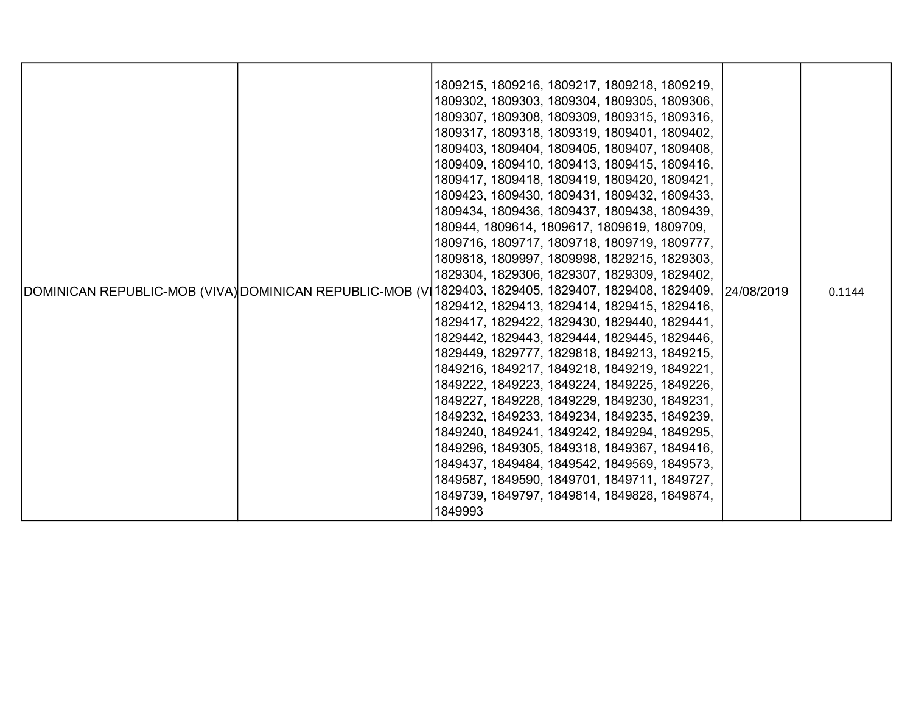|  | 1809215, 1809216, 1809217, 1809218, 1809219,<br>1809302, 1809303, 1809304, 1809305, 1809306,<br>1809307, 1809308, 1809309, 1809315, 1809316,<br>1809317, 1809318, 1809319, 1809401, 1809402,<br>1809403, 1809404, 1809405, 1809407, 1809408,<br>1809409, 1809410, 1809413, 1809415, 1809416,<br>1809417, 1809418, 1809419, 1809420, 1809421,<br>1809423, 1809430, 1809431, 1809432, 1809433,<br>1809434, 1809436, 1809437, 1809438, 1809439,<br>180944, 1809614, 1809617, 1809619, 1809709,<br>1809716, 1809717, 1809718, 1809719, 1809777,<br>1809818, 1809997, 1809998, 1829215, 1829303,<br>1829304, 1829306, 1829307, 1829309, 1829402,<br>DOMINICAN REPUBLIC-MOB (VIVA) DOMINICAN REPUBLIC-MOB (V 1829403, 1829405, 1829407, 1829408, 1829409,<br>1829412, 1829413, 1829414, 1829415, 1829416,<br>1829417, 1829422, 1829430, 1829440, 1829441,<br>1829442, 1829443, 1829444, 1829445, 1829446,<br>1829449, 1829777, 1829818, 1849213, 1849215,<br>1849216, 1849217, 1849218, 1849219, 1849221,<br>1849222, 1849223, 1849224, 1849225, 1849226,<br>1849227, 1849228, 1849229, 1849230, 1849231,<br>1849232, 1849233, 1849234, 1849235, 1849239,<br>1849240, 1849241, 1849242, 1849294, 1849295,<br>1849296, 1849305, 1849318, 1849367, 1849416,<br>1849437, 1849484, 1849542, 1849569, 1849573,<br>1849587, 1849590, 1849701, 1849711, 1849727, | 24/08/2019 | 0.1144 |
|--|-----------------------------------------------------------------------------------------------------------------------------------------------------------------------------------------------------------------------------------------------------------------------------------------------------------------------------------------------------------------------------------------------------------------------------------------------------------------------------------------------------------------------------------------------------------------------------------------------------------------------------------------------------------------------------------------------------------------------------------------------------------------------------------------------------------------------------------------------------------------------------------------------------------------------------------------------------------------------------------------------------------------------------------------------------------------------------------------------------------------------------------------------------------------------------------------------------------------------------------------------------------------------------------------------------------------------------------------------------|------------|--------|
|  | 1849739, 1849797, 1849814, 1849828, 1849874,<br>1849993                                                                                                                                                                                                                                                                                                                                                                                                                                                                                                                                                                                                                                                                                                                                                                                                                                                                                                                                                                                                                                                                                                                                                                                                                                                                                             |            |        |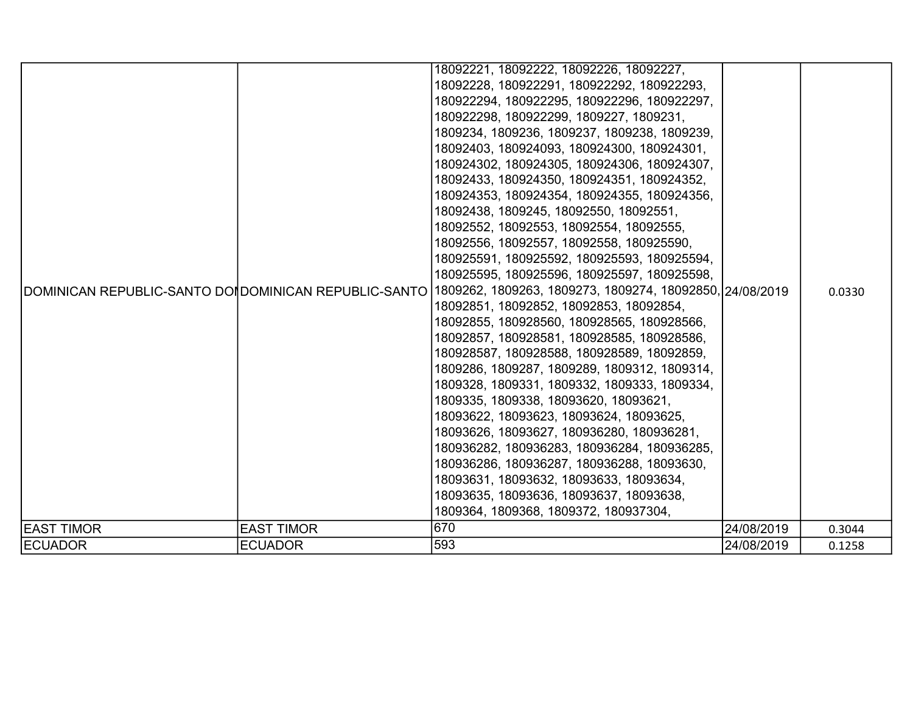|                                                       |                   | 18092221, 18092222, 18092226, 18092227,                                               |            |        |
|-------------------------------------------------------|-------------------|---------------------------------------------------------------------------------------|------------|--------|
|                                                       |                   | 18092228, 180922291, 180922292, 180922293,                                            |            |        |
|                                                       |                   | 180922294, 180922295, 180922296, 180922297,                                           |            |        |
|                                                       |                   | 180922298, 180922299, 1809227, 1809231,                                               |            |        |
|                                                       |                   | 1809234, 1809236, 1809237, 1809238, 1809239,                                          |            |        |
|                                                       |                   | 18092403, 180924093, 180924300, 180924301,                                            |            |        |
|                                                       |                   | 180924302, 180924305, 180924306, 180924307,                                           |            |        |
|                                                       |                   | 18092433, 180924350, 180924351, 180924352,                                            |            |        |
|                                                       |                   | 180924353, 180924354, 180924355, 180924356,                                           |            |        |
|                                                       |                   | 18092438, 1809245, 18092550, 18092551,                                                |            |        |
|                                                       |                   | 18092552, 18092553, 18092554, 18092555,                                               |            |        |
|                                                       |                   | 18092556, 18092557, 18092558, 180925590,                                              |            | 0.0330 |
|                                                       |                   | 180925591, 180925592, 180925593, 180925594,                                           |            |        |
|                                                       |                   | 180925595, 180925596, 180925597, 180925598,                                           |            |        |
| DOMINICAN REPUBLIC-SANTO DOI DOMINICAN REPUBLIC-SANTO |                   | 1809262, 1809263, 1809273, 1809274, 18092850, 24/08/2019                              |            |        |
|                                                       |                   | 18092851, 18092852, 18092853, 18092854,                                               |            |        |
|                                                       |                   | 18092855, 180928560, 180928565, 180928566,                                            |            |        |
|                                                       |                   | 18092857, 180928581, 180928585, 180928586,                                            |            |        |
|                                                       |                   | 180928587, 180928588, 180928589, 18092859,                                            |            |        |
|                                                       |                   | 1809286, 1809287, 1809289, 1809312, 1809314,                                          |            |        |
|                                                       |                   | 1809328, 1809331, 1809332, 1809333, 1809334,<br>1809335, 1809338, 18093620, 18093621, |            |        |
|                                                       |                   |                                                                                       |            |        |
|                                                       |                   | 18093622, 18093623, 18093624, 18093625,                                               |            |        |
|                                                       |                   | 18093626, 18093627, 180936280, 180936281,                                             |            |        |
|                                                       |                   | 180936282, 180936283, 180936284, 180936285,                                           |            |        |
|                                                       |                   | 180936286, 180936287, 180936288, 18093630,                                            |            |        |
|                                                       |                   | 18093631, 18093632, 18093633, 18093634,                                               |            |        |
|                                                       |                   | 18093635, 18093636, 18093637, 18093638,                                               |            |        |
|                                                       |                   | 1809364, 1809368, 1809372, 180937304,                                                 |            |        |
| <b>EAST TIMOR</b>                                     | <b>EAST TIMOR</b> | 670                                                                                   | 24/08/2019 | 0.3044 |
| <b>ECUADOR</b>                                        | <b>ECUADOR</b>    | 593                                                                                   | 24/08/2019 | 0.1258 |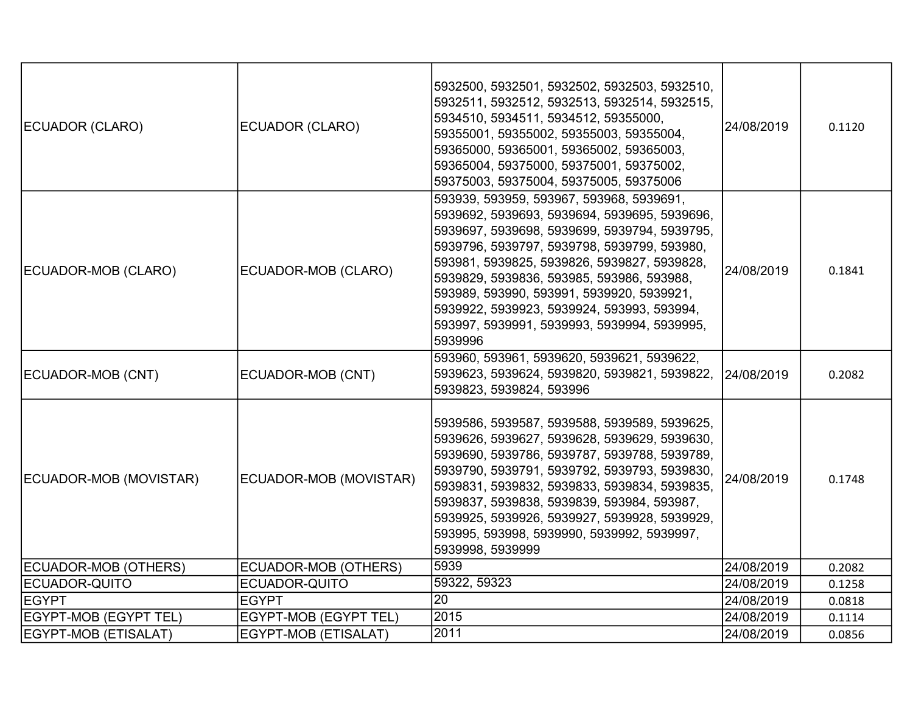| ECUADOR (CLARO)        | ECUADOR (CLARO)        | 5932500, 5932501, 5932502, 5932503, 5932510,<br>5932511, 5932512, 5932513, 5932514, 5932515,<br>5934510, 5934511, 5934512, 59355000,<br>59355001, 59355002, 59355003, 59355004,<br>59365000, 59365001, 59365002, 59365003,<br>59365004, 59375000, 59375001, 59375002,<br>59375003, 59375004, 59375005, 59375006                                                                                                                          | 24/08/2019 | 0.1120 |
|------------------------|------------------------|------------------------------------------------------------------------------------------------------------------------------------------------------------------------------------------------------------------------------------------------------------------------------------------------------------------------------------------------------------------------------------------------------------------------------------------|------------|--------|
| ECUADOR-MOB (CLARO)    | ECUADOR-MOB (CLARO)    | 593939, 593959, 593967, 593968, 5939691,<br>5939692, 5939693, 5939694, 5939695, 5939696,<br>5939697, 5939698, 5939699, 5939794, 5939795,<br>5939796, 5939797, 5939798, 5939799, 593980,<br>593981, 5939825, 5939826, 5939827, 5939828,<br>5939829, 5939836, 593985, 593986, 593988,<br>593989, 593990, 593991, 5939920, 5939921,<br>5939922, 5939923, 5939924, 593993, 593994,<br>593997, 5939991, 5939993, 5939994, 5939995,<br>5939996 | 24/08/2019 | 0.1841 |
| ECUADOR-MOB (CNT)      | ECUADOR-MOB (CNT)      | 593960, 593961, 5939620, 5939621, 5939622,<br>5939623, 5939624, 5939820, 5939821, 5939822,<br>5939823, 5939824, 593996                                                                                                                                                                                                                                                                                                                   | 24/08/2019 | 0.2082 |
| ECUADOR-MOB (MOVISTAR) | ECUADOR-MOB (MOVISTAR) | 5939586, 5939587, 5939588, 5939589, 5939625,<br>5939626, 5939627, 5939628, 5939629, 5939630,<br>5939690, 5939786, 5939787, 5939788, 5939789,<br>5939790, 5939791, 5939792, 5939793, 5939830,<br>5939831, 5939832, 5939833, 5939834, 5939835,<br>5939837, 5939838, 5939839, 593984, 593987,<br>5939925, 5939926, 5939927, 5939928, 5939929,<br>593995, 593998, 5939990, 5939992, 5939997,<br>5939998, 5939999                             | 24/08/2019 | 0.1748 |
| ECUADOR-MOB (OTHERS)   | ECUADOR-MOB (OTHERS)   | 5939                                                                                                                                                                                                                                                                                                                                                                                                                                     | 24/08/2019 | 0.2082 |
| ECUADOR-QUITO          | ECUADOR-QUITO          | 59322, 59323                                                                                                                                                                                                                                                                                                                                                                                                                             | 24/08/2019 | 0.1258 |
| <b>EGYPT</b>           | <b>EGYPT</b>           | 20                                                                                                                                                                                                                                                                                                                                                                                                                                       | 24/08/2019 | 0.0818 |
| EGYPT-MOB (EGYPT TEL)  | EGYPT-MOB (EGYPT TEL)  | 2015                                                                                                                                                                                                                                                                                                                                                                                                                                     | 24/08/2019 | 0.1114 |
| EGYPT-MOB (ETISALAT)   | EGYPT-MOB (ETISALAT)   | 2011                                                                                                                                                                                                                                                                                                                                                                                                                                     | 24/08/2019 | 0.0856 |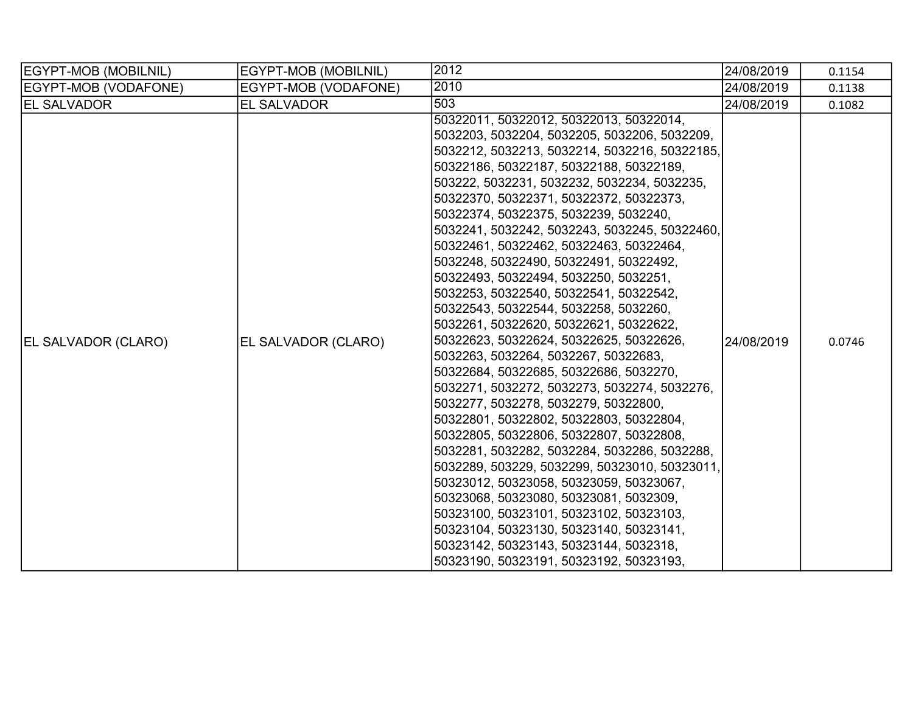| EGYPT-MOB (MOBILNIL)       | EGYPT-MOB (MOBILNIL) | 2012                                          | 24/08/2019 | 0.1154 |
|----------------------------|----------------------|-----------------------------------------------|------------|--------|
| EGYPT-MOB (VODAFONE)       | EGYPT-MOB (VODAFONE) | 2010                                          | 24/08/2019 | 0.1138 |
| <b>EL SALVADOR</b>         | EL SALVADOR          | 503                                           | 24/08/2019 | 0.1082 |
|                            |                      | 50322011, 50322012, 50322013, 50322014,       |            |        |
|                            |                      | 5032203, 5032204, 5032205, 5032206, 5032209,  |            |        |
|                            |                      | 5032212, 5032213, 5032214, 5032216, 50322185, | 24/08/2019 |        |
|                            |                      | 50322186, 50322187, 50322188, 50322189,       |            |        |
|                            |                      | 503222, 5032231, 5032232, 5032234, 5032235,   |            |        |
|                            |                      | 50322370, 50322371, 50322372, 50322373,       |            |        |
|                            |                      | 50322374, 50322375, 5032239, 5032240,         |            |        |
|                            |                      | 5032241, 5032242, 5032243, 5032245, 50322460, |            |        |
|                            |                      | 50322461, 50322462, 50322463, 50322464,       |            |        |
|                            |                      | 5032248, 50322490, 50322491, 50322492,        |            |        |
|                            |                      | 50322493, 50322494, 5032250, 5032251,         |            |        |
|                            |                      | 5032253, 50322540, 50322541, 50322542,        |            | 0.0746 |
|                            |                      | 50322543, 50322544, 5032258, 5032260,         |            |        |
|                            |                      | 5032261, 50322620, 50322621, 50322622,        |            |        |
| <b>EL SALVADOR (CLARO)</b> | EL SALVADOR (CLARO)  | 50322623, 50322624, 50322625, 50322626,       |            |        |
|                            |                      | 5032263, 5032264, 5032267, 50322683,          |            |        |
|                            |                      | 50322684, 50322685, 50322686, 5032270,        |            |        |
|                            |                      | 5032271, 5032272, 5032273, 5032274, 5032276,  |            |        |
|                            |                      | 5032277, 5032278, 5032279, 50322800,          |            |        |
|                            |                      | 50322801, 50322802, 50322803, 50322804,       |            |        |
|                            |                      | 50322805, 50322806, 50322807, 50322808,       |            |        |
|                            |                      | 5032281, 5032282, 5032284, 5032286, 5032288,  |            |        |
|                            |                      | 5032289, 503229, 5032299, 50323010, 50323011, |            |        |
|                            |                      | 50323012, 50323058, 50323059, 50323067,       |            |        |
|                            |                      | 50323068, 50323080, 50323081, 5032309,        |            |        |
|                            |                      | 50323100, 50323101, 50323102, 50323103,       |            |        |
|                            |                      | 50323104, 50323130, 50323140, 50323141,       |            |        |
|                            |                      | 50323142, 50323143, 50323144, 5032318,        |            |        |
|                            |                      | 50323190, 50323191, 50323192, 50323193,       |            |        |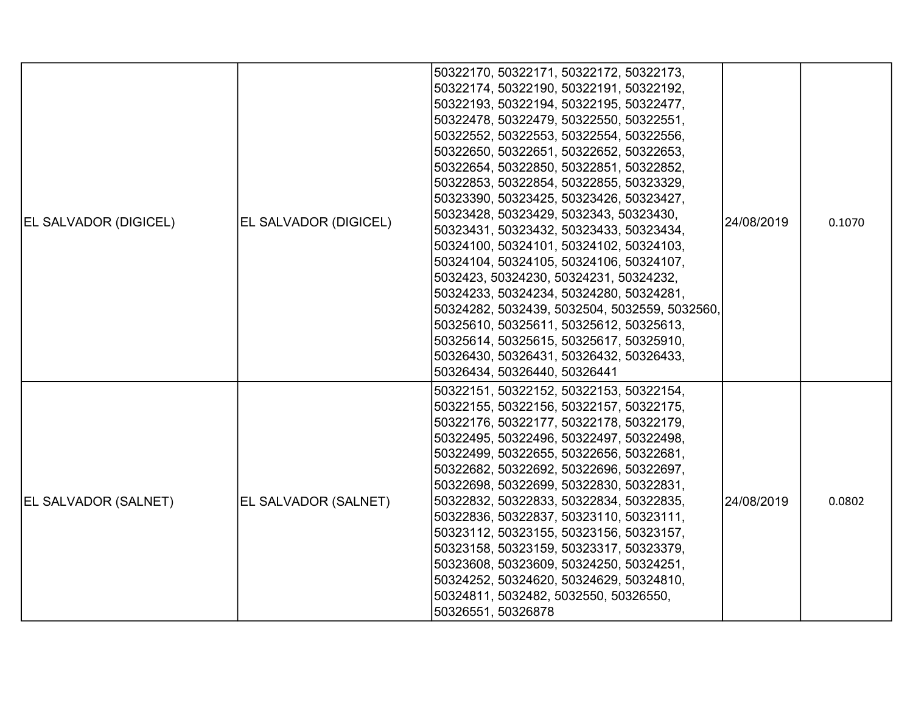| <b>EL SALVADOR (DIGICEL)</b> | EL SALVADOR (DIGICEL) | 50322170, 50322171, 50322172, 50322173,<br>50322174, 50322190, 50322191, 50322192,<br>50322193, 50322194, 50322195, 50322477,<br>50322478, 50322479, 50322550, 50322551,<br>50322552, 50322553, 50322554, 50322556,<br>50322650, 50322651, 50322652, 50322653,<br>50322654, 50322850, 50322851, 50322852,<br>50322853, 50322854, 50322855, 50323329,<br>50323390, 50323425, 50323426, 50323427,<br>50323428, 50323429, 5032343, 50323430,<br>50323431, 50323432, 50323433, 50323434,<br>50324100, 50324101, 50324102, 50324103,<br>50324104, 50324105, 50324106, 50324107,<br>5032423, 50324230, 50324231, 50324232,<br>50324233, 50324234, 50324280, 50324281,<br>50324282, 5032439, 5032504, 5032559, 5032560,<br>50325610, 50325611, 50325612, 50325613,<br>50325614, 50325615, 50325617, 50325910,<br>50326430, 50326431, 50326432, 50326433,<br>50326434, 50326440, 50326441 | 24/08/2019 | 0.1070 |
|------------------------------|-----------------------|-----------------------------------------------------------------------------------------------------------------------------------------------------------------------------------------------------------------------------------------------------------------------------------------------------------------------------------------------------------------------------------------------------------------------------------------------------------------------------------------------------------------------------------------------------------------------------------------------------------------------------------------------------------------------------------------------------------------------------------------------------------------------------------------------------------------------------------------------------------------------------------|------------|--------|
| <b>EL SALVADOR (SALNET)</b>  | EL SALVADOR (SALNET)  | 50322151, 50322152, 50322153, 50322154,<br>50322155, 50322156, 50322157, 50322175,<br>50322176, 50322177, 50322178, 50322179,<br>50322495, 50322496, 50322497, 50322498,<br>50322499, 50322655, 50322656, 50322681,<br>50322682, 50322692, 50322696, 50322697,<br>50322698, 50322699, 50322830, 50322831,<br>50322832, 50322833, 50322834, 50322835,<br>50322836, 50322837, 50323110, 50323111,<br>50323112, 50323155, 50323156, 50323157,<br>50323158, 50323159, 50323317, 50323379,<br>50323608, 50323609, 50324250, 50324251,<br>50324252, 50324620, 50324629, 50324810,<br>50324811, 5032482, 5032550, 50326550,<br>50326551, 50326878                                                                                                                                                                                                                                        | 24/08/2019 | 0.0802 |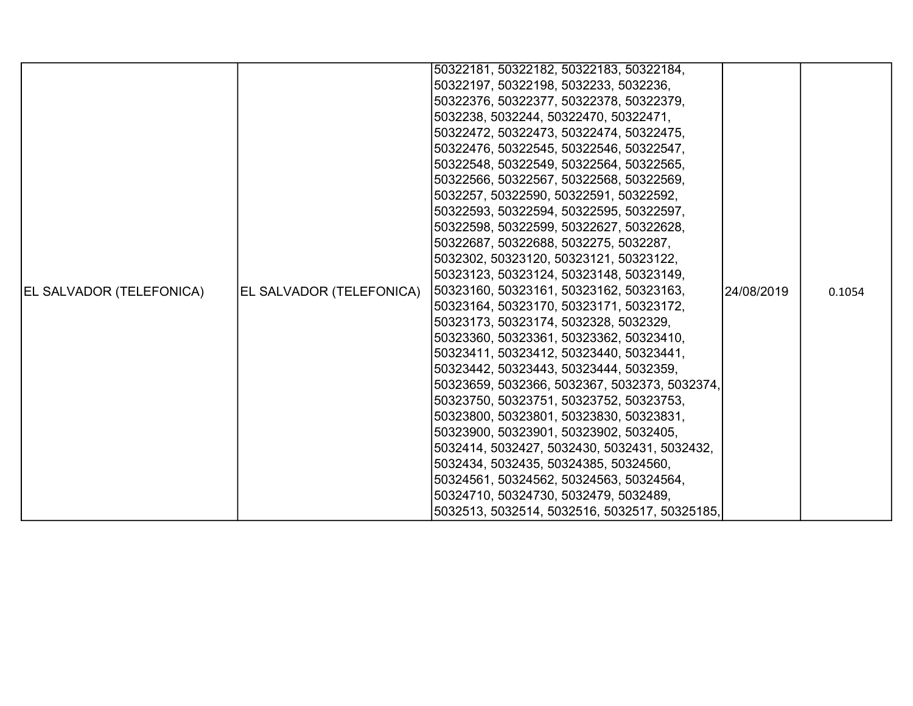|                                 |                          | 50322181, 50322182, 50322183, 50322184,       |            |        |
|---------------------------------|--------------------------|-----------------------------------------------|------------|--------|
|                                 |                          | 50322197, 50322198, 5032233, 5032236,         |            |        |
|                                 |                          | 50322376, 50322377, 50322378, 50322379,       |            |        |
|                                 |                          | 5032238, 5032244, 50322470, 50322471,         |            |        |
|                                 |                          | 50322472, 50322473, 50322474, 50322475,       |            |        |
|                                 |                          | 50322476, 50322545, 50322546, 50322547,       |            |        |
|                                 |                          | 50322548, 50322549, 50322564, 50322565,       |            |        |
|                                 |                          | 50322566, 50322567, 50322568, 50322569,       |            |        |
|                                 |                          | 5032257, 50322590, 50322591, 50322592,        |            |        |
|                                 |                          | 50322593, 50322594, 50322595, 50322597,       |            |        |
|                                 |                          | 50322598, 50322599, 50322627, 50322628,       |            |        |
|                                 |                          | 50322687, 50322688, 5032275, 5032287,         |            |        |
|                                 |                          | 5032302, 50323120, 50323121, 50323122,        |            |        |
|                                 |                          | 50323123, 50323124, 50323148, 50323149,       |            |        |
| <b>EL SALVADOR (TELEFONICA)</b> | EL SALVADOR (TELEFONICA) | 50323160, 50323161, 50323162, 50323163,       | 24/08/2019 | 0.1054 |
|                                 |                          | 50323164, 50323170, 50323171, 50323172,       |            |        |
|                                 |                          | 50323173, 50323174, 5032328, 5032329,         |            |        |
|                                 |                          | 50323360, 50323361, 50323362, 50323410,       |            |        |
|                                 |                          | 50323411, 50323412, 50323440, 50323441,       |            |        |
|                                 |                          | 50323442, 50323443, 50323444, 5032359,        |            |        |
|                                 |                          | 50323659, 5032366, 5032367, 5032373, 5032374, |            |        |
|                                 |                          | 50323750, 50323751, 50323752, 50323753,       |            |        |
|                                 |                          | 50323800, 50323801, 50323830, 50323831,       |            |        |
|                                 |                          | 50323900, 50323901, 50323902, 5032405,        |            |        |
|                                 |                          | 5032414, 5032427, 5032430, 5032431, 5032432,  |            |        |
|                                 |                          | 5032434, 5032435, 50324385, 50324560,         |            |        |
|                                 |                          | 50324561, 50324562, 50324563, 50324564,       |            |        |
|                                 |                          | 50324710, 50324730, 5032479, 5032489,         |            |        |
|                                 |                          | 5032513, 5032514, 5032516, 5032517, 50325185, |            |        |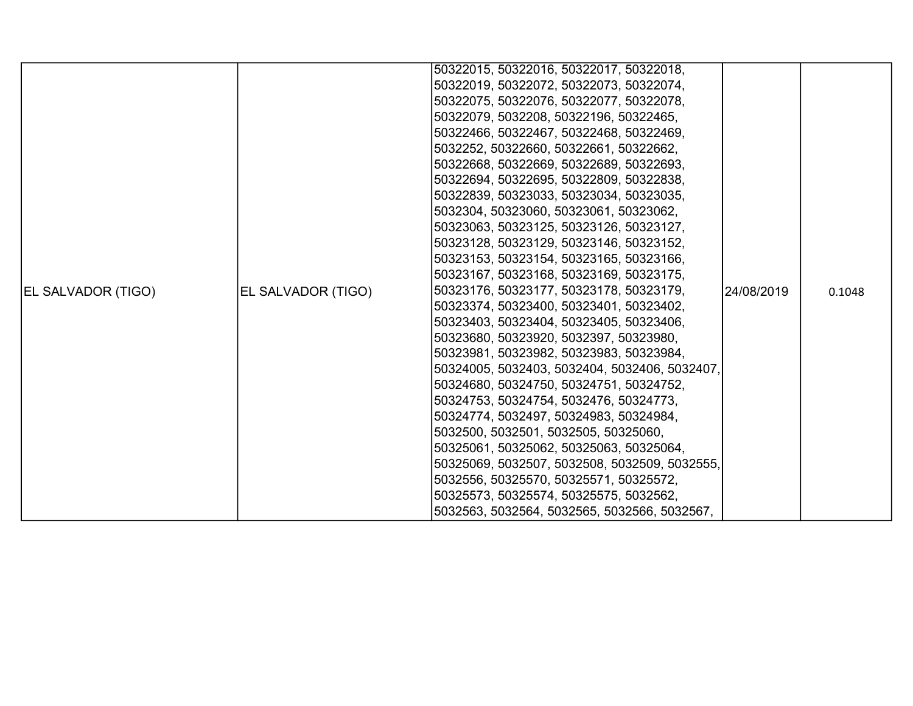|                           |                    | 50322015, 50322016, 50322017, 50322018,       |            |        |
|---------------------------|--------------------|-----------------------------------------------|------------|--------|
|                           |                    | 50322019, 50322072, 50322073, 50322074,       |            |        |
|                           |                    | 50322075, 50322076, 50322077, 50322078,       |            |        |
|                           |                    | 50322079, 5032208, 50322196, 50322465,        |            |        |
|                           |                    | 50322466, 50322467, 50322468, 50322469,       |            |        |
|                           |                    | 5032252, 50322660, 50322661, 50322662,        |            |        |
|                           |                    | 50322668, 50322669, 50322689, 50322693,       |            |        |
|                           |                    | 50322694, 50322695, 50322809, 50322838,       |            | 0.1048 |
|                           |                    | 50322839, 50323033, 50323034, 50323035,       |            |        |
|                           |                    | 5032304, 50323060, 50323061, 50323062,        |            |        |
|                           |                    | 50323063, 50323125, 50323126, 50323127,       |            |        |
|                           | EL SALVADOR (TIGO) | 50323128, 50323129, 50323146, 50323152,       | 24/08/2019 |        |
|                           |                    | 50323153, 50323154, 50323165, 50323166,       |            |        |
|                           |                    | 50323167, 50323168, 50323169, 50323175,       |            |        |
| <b>EL SALVADOR (TIGO)</b> |                    | 50323176, 50323177, 50323178, 50323179,       |            |        |
|                           |                    | 50323374, 50323400, 50323401, 50323402,       |            |        |
|                           |                    | 50323403, 50323404, 50323405, 50323406,       |            |        |
|                           |                    | 50323680, 50323920, 5032397, 50323980,        |            |        |
|                           |                    | 50323981, 50323982, 50323983, 50323984,       |            |        |
|                           |                    | 50324005, 5032403, 5032404, 5032406, 5032407, |            |        |
|                           |                    | 50324680, 50324750, 50324751, 50324752,       |            |        |
|                           |                    | 50324753, 50324754, 5032476, 50324773,        |            |        |
|                           |                    | 50324774, 5032497, 50324983, 50324984,        |            |        |
|                           |                    | 5032500, 5032501, 5032505, 50325060,          |            |        |
|                           |                    | 50325061, 50325062, 50325063, 50325064,       |            |        |
|                           |                    | 50325069, 5032507, 5032508, 5032509, 5032555, |            |        |
|                           |                    | 5032556, 50325570, 50325571, 50325572,        |            |        |
|                           |                    | 50325573, 50325574, 50325575, 5032562,        |            |        |
|                           |                    | 5032563, 5032564, 5032565, 5032566, 5032567,  |            |        |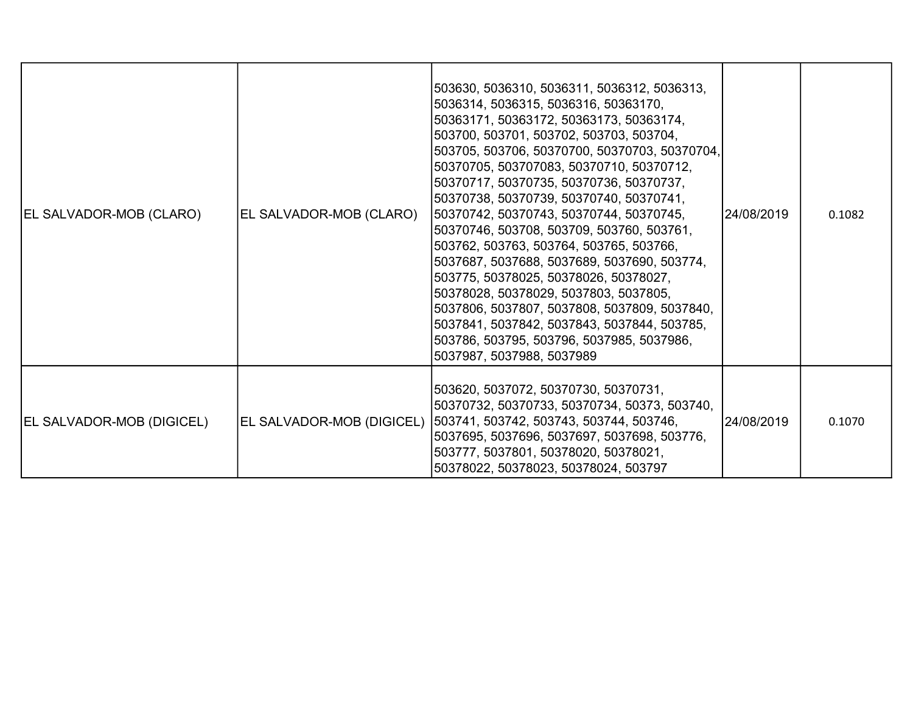| EL SALVADOR-MOB (CLARO)   | EL SALVADOR-MOB (CLARO)   | 503630, 5036310, 5036311, 5036312, 5036313,<br>5036314, 5036315, 5036316, 50363170,<br> 50363171, 50363172, 50363173, 50363174,<br> 503700, 503701, 503702, 503703, 503704,<br> 503705, 503706, 50370700, 50370703, 50370704, <br>50370705, 503707083, 50370710, 50370712,<br> 50370717, 50370735, 50370736, 50370737,<br>50370738, 50370739, 50370740, 50370741,<br> 50370742, 50370743, 50370744, 50370745,<br> 50370746, 503708, 503709, 503760, 503761,<br> 503762, 503763, 503764, 503765, 503766,<br> 5037687, 5037688, 5037689, 5037690, 503774,<br>503775, 50378025, 50378026, 50378027,<br> 50378028, 50378029, 5037803, 5037805,<br>5037806, 5037807, 5037808, 5037809, 5037840,<br>5037841, 5037842, 5037843, 5037844, 503785,<br> 503786, 503795, 503796, 5037985, 5037986,<br>5037987, 5037988, 5037989 | 24/08/2019 | 0.1082 |
|---------------------------|---------------------------|----------------------------------------------------------------------------------------------------------------------------------------------------------------------------------------------------------------------------------------------------------------------------------------------------------------------------------------------------------------------------------------------------------------------------------------------------------------------------------------------------------------------------------------------------------------------------------------------------------------------------------------------------------------------------------------------------------------------------------------------------------------------------------------------------------------------|------------|--------|
| EL SALVADOR-MOB (DIGICEL) | EL SALVADOR-MOB (DIGICEL) | 503620, 5037072, 50370730, 50370731,<br> 50370732, 50370733, 50370734, 50373, 503740,<br> 503741, 503742, 503743, 503744, 503746,<br>5037695, 5037696, 5037697, 5037698, 503776,<br>503777, 5037801, 50378020, 50378021,<br>50378022, 50378023, 50378024, 503797                                                                                                                                                                                                                                                                                                                                                                                                                                                                                                                                                     | 24/08/2019 | 0.1070 |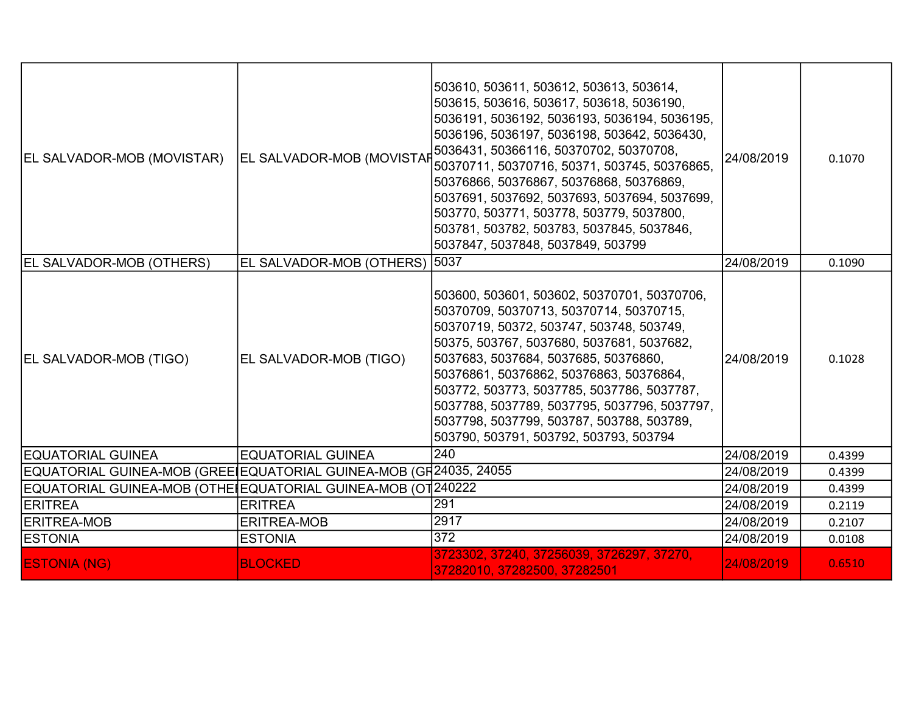| EL SALVADOR-MOB (MOVISTAR)                                        | EL SALVADOR-MOB (MOVISTAP     | 503610, 503611, 503612, 503613, 503614,<br>503615, 503616, 503617, 503618, 5036190,<br>5036191, 5036192, 5036193, 5036194, 5036195,<br>5036196, 5036197, 5036198, 503642, 5036430,<br>5036431, 50366116, 50370702, 50370708,<br>50370711, 50370716, 50371, 503745, 50376865,<br>50376866, 50376867, 50376868, 50376869,<br>5037691, 5037692, 5037693, 5037694, 5037699,<br>503770, 503771, 503778, 503779, 5037800,<br>503781, 503782, 503783, 5037845, 5037846,<br>5037847, 5037848, 5037849, 503799 | 24/08/2019 | 0.1070 |
|-------------------------------------------------------------------|-------------------------------|-------------------------------------------------------------------------------------------------------------------------------------------------------------------------------------------------------------------------------------------------------------------------------------------------------------------------------------------------------------------------------------------------------------------------------------------------------------------------------------------------------|------------|--------|
| <b>EL SALVADOR-MOB (OTHERS)</b>                                   | EL SALVADOR-MOB (OTHERS) 5037 |                                                                                                                                                                                                                                                                                                                                                                                                                                                                                                       | 24/08/2019 | 0.1090 |
| <b>EL SALVADOR-MOB (TIGO)</b>                                     | EL SALVADOR-MOB (TIGO)        | 503600, 503601, 503602, 50370701, 50370706,<br>50370709, 50370713, 50370714, 50370715,<br>50370719, 50372, 503747, 503748, 503749,<br>50375, 503767, 5037680, 5037681, 5037682,<br>5037683, 5037684, 5037685, 50376860,<br>50376861, 50376862, 50376863, 50376864,<br>503772, 503773, 5037785, 5037786, 5037787,<br>5037788, 5037789, 5037795, 5037796, 5037797,<br>5037798, 5037799, 503787, 503788, 503789,<br>503790, 503791, 503792, 503793, 503794                                               | 24/08/2019 | 0.1028 |
| <b>IEQUATORIAL GUINEA</b>                                         | <b>EQUATORIAL GUINEA</b>      | 240                                                                                                                                                                                                                                                                                                                                                                                                                                                                                                   | 24/08/2019 | 0.4399 |
| EQUATORIAL GUINEA-MOB (GREEIEQUATORIAL GUINEA-MOB (GH24035, 24055 |                               |                                                                                                                                                                                                                                                                                                                                                                                                                                                                                                       | 24/08/2019 | 0.4399 |
| EQUATORIAL GUINEA-MOB (OTHE EQUATORIAL GUINEA-MOB (OT 240222      |                               |                                                                                                                                                                                                                                                                                                                                                                                                                                                                                                       | 24/08/2019 | 0.4399 |
| <b>ERITREA</b>                                                    | <b>ERITREA</b>                | 291                                                                                                                                                                                                                                                                                                                                                                                                                                                                                                   | 24/08/2019 | 0.2119 |
| <b>ERITREA-MOB</b>                                                | <b>ERITREA-MOB</b>            | 2917                                                                                                                                                                                                                                                                                                                                                                                                                                                                                                  | 24/08/2019 | 0.2107 |
| <b>ESTONIA</b>                                                    | <b>ESTONIA</b>                | $\overline{372}$                                                                                                                                                                                                                                                                                                                                                                                                                                                                                      | 24/08/2019 | 0.0108 |
| <b>ESTONIA (NG)</b>                                               | <b>BLOCKED</b>                | 3723302, 37240, 37256039, 3726297, 37270,<br>37282010, 37282500, 37282501                                                                                                                                                                                                                                                                                                                                                                                                                             | 24/08/2019 | 0.6510 |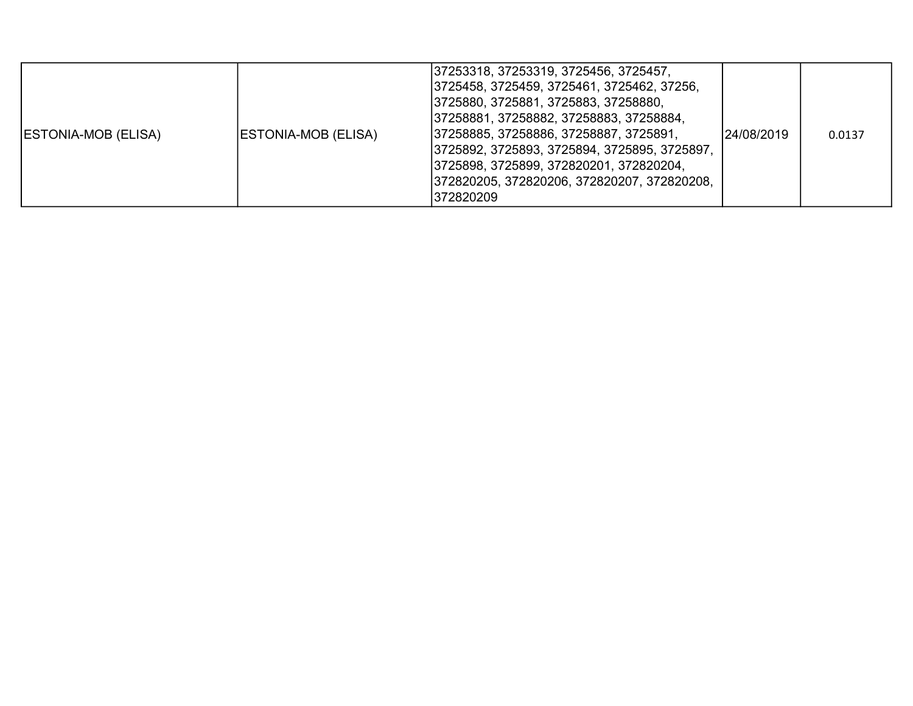| <b>ESTONIA-MOB (ELISA)</b> | ESTONIA-MOB (ELISA) | 37253318, 37253319, 3725456, 3725457,<br> 3725458, 3725459, 3725461, 3725462, 37256,<br>3725880, 3725881, 3725883, 37258880,<br> 37258881, 37258882, 37258883, 37258884,<br>37258885, 37258886, 37258887, 3725891,<br> 3725892, 3725893, 3725894, 3725895, 3725897,<br> 3725898, 3725899, 372820201, 372820204,<br> 372820205, 372820206, 372820207, 372820208,<br>1372820209 | 24/08/2019 | 0.0137 |
|----------------------------|---------------------|-------------------------------------------------------------------------------------------------------------------------------------------------------------------------------------------------------------------------------------------------------------------------------------------------------------------------------------------------------------------------------|------------|--------|
|----------------------------|---------------------|-------------------------------------------------------------------------------------------------------------------------------------------------------------------------------------------------------------------------------------------------------------------------------------------------------------------------------------------------------------------------------|------------|--------|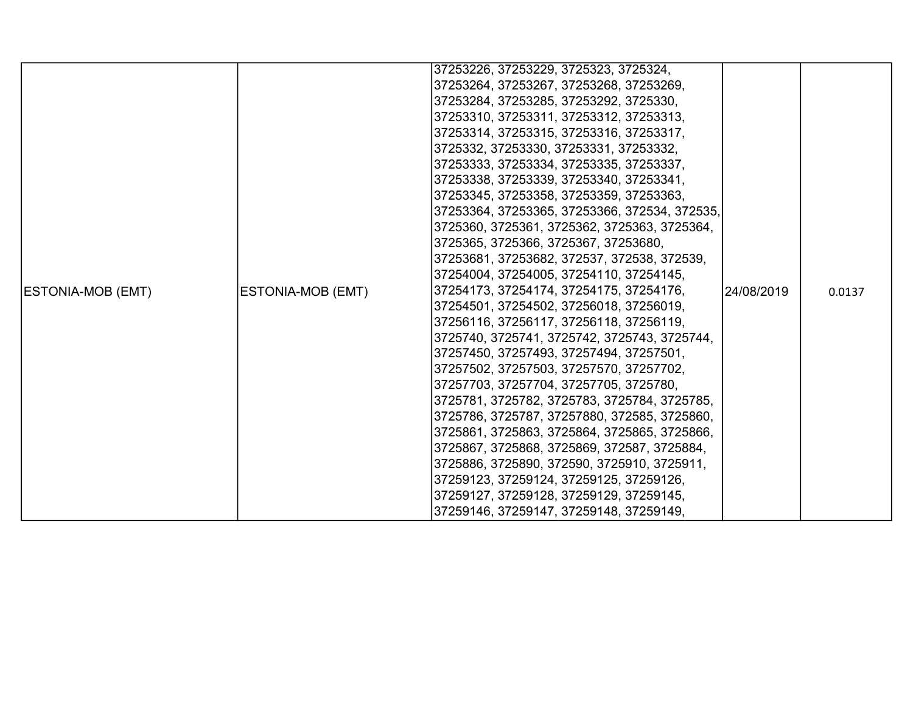|                          |                   | 37253226, 37253229, 3725323, 3725324,         |            |        |
|--------------------------|-------------------|-----------------------------------------------|------------|--------|
|                          |                   | 37253264, 37253267, 37253268, 37253269,       |            |        |
|                          |                   | 37253284, 37253285, 37253292, 3725330,        |            |        |
|                          |                   | 37253310, 37253311, 37253312, 37253313,       |            |        |
|                          |                   | 37253314, 37253315, 37253316, 37253317,       |            |        |
|                          |                   | 3725332, 37253330, 37253331, 37253332,        |            |        |
|                          |                   | 37253333, 37253334, 37253335, 37253337,       |            |        |
|                          |                   | 37253338, 37253339, 37253340, 37253341,       |            |        |
|                          |                   | 37253345, 37253358, 37253359, 37253363,       |            | 0.0137 |
|                          |                   | 37253364, 37253365, 37253366, 372534, 372535, |            |        |
|                          |                   | 3725360, 3725361, 3725362, 3725363, 3725364,  |            |        |
|                          |                   | 3725365, 3725366, 3725367, 37253680,          | 24/08/2019 |        |
|                          | ESTONIA-MOB (EMT) | 37253681, 37253682, 372537, 372538, 372539,   |            |        |
|                          |                   | 37254004, 37254005, 37254110, 37254145,       |            |        |
| <b>ESTONIA-MOB (EMT)</b> |                   | 37254173, 37254174, 37254175, 37254176,       |            |        |
|                          |                   | 37254501, 37254502, 37256018, 37256019,       |            |        |
|                          |                   | 37256116, 37256117, 37256118, 37256119,       |            |        |
|                          |                   | 3725740, 3725741, 3725742, 3725743, 3725744,  |            |        |
|                          |                   | 37257450, 37257493, 37257494, 37257501,       |            |        |
|                          |                   | 37257502, 37257503, 37257570, 37257702,       |            |        |
|                          |                   | 37257703, 37257704, 37257705, 3725780,        |            |        |
|                          |                   | 3725781, 3725782, 3725783, 3725784, 3725785,  |            |        |
|                          |                   | 3725786, 3725787, 37257880, 372585, 3725860,  |            |        |
|                          |                   | 3725861, 3725863, 3725864, 3725865, 3725866,  |            |        |
|                          |                   | 3725867, 3725868, 3725869, 372587, 3725884,   |            |        |
|                          |                   | 3725886, 3725890, 372590, 3725910, 3725911,   |            |        |
|                          |                   | 37259123, 37259124, 37259125, 37259126,       |            |        |
|                          |                   | 37259127, 37259128, 37259129, 37259145,       |            |        |
|                          |                   | 37259146, 37259147, 37259148, 37259149,       |            |        |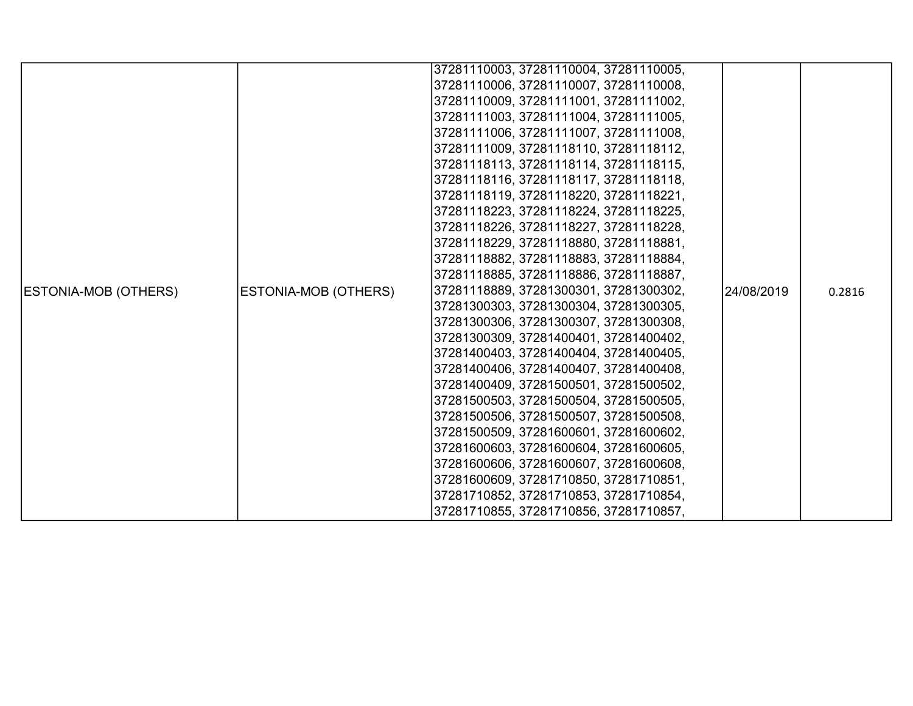|                             |                      | 37281110003, 37281110004, 37281110005, |            |        |
|-----------------------------|----------------------|----------------------------------------|------------|--------|
|                             |                      | 37281110006, 37281110007, 37281110008, |            |        |
|                             |                      | 37281110009, 37281111001, 37281111002, |            |        |
|                             |                      | 37281111003, 37281111004, 37281111005, |            |        |
|                             |                      | 37281111006, 37281111007, 37281111008, |            |        |
|                             |                      | 37281111009, 37281118110, 37281118112, |            |        |
|                             |                      | 37281118113, 37281118114, 37281118115, |            |        |
|                             |                      | 37281118116, 37281118117, 37281118118, |            |        |
|                             |                      | 37281118119, 37281118220, 37281118221, |            |        |
|                             |                      | 37281118223, 37281118224, 37281118225, |            |        |
|                             |                      | 37281118226, 37281118227, 37281118228, |            |        |
|                             |                      | 37281118229, 37281118880, 37281118881, |            |        |
|                             |                      | 37281118882, 37281118883, 37281118884, |            |        |
|                             |                      | 37281118885, 37281118886, 37281118887, |            |        |
| <b>ESTONIA-MOB (OTHERS)</b> | ESTONIA-MOB (OTHERS) | 37281118889, 37281300301, 37281300302, | 24/08/2019 | 0.2816 |
|                             |                      | 37281300303, 37281300304, 37281300305, |            |        |
|                             |                      | 37281300306, 37281300307, 37281300308, |            |        |
|                             |                      | 37281300309, 37281400401, 37281400402, |            |        |
|                             |                      | 37281400403, 37281400404, 37281400405, |            |        |
|                             |                      | 37281400406, 37281400407, 37281400408, |            |        |
|                             |                      | 37281400409, 37281500501, 37281500502, |            |        |
|                             |                      | 37281500503, 37281500504, 37281500505, |            |        |
|                             |                      | 37281500506, 37281500507, 37281500508, |            |        |
|                             |                      | 37281500509, 37281600601, 37281600602, |            |        |
|                             |                      | 37281600603, 37281600604, 37281600605, |            |        |
|                             |                      | 37281600606, 37281600607, 37281600608, |            |        |
|                             |                      | 37281600609, 37281710850, 37281710851, |            |        |
|                             |                      | 37281710852, 37281710853, 37281710854, |            |        |
|                             |                      | 37281710855, 37281710856, 37281710857, |            |        |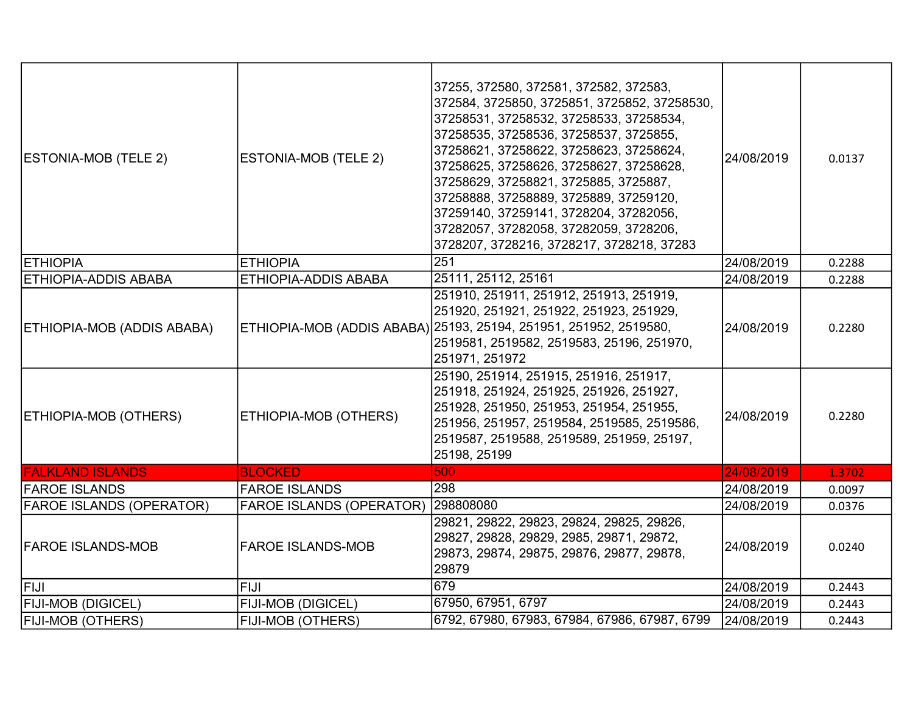| <b>ESTONIA-MOB (TELE 2)</b>     | ESTONIA-MOB (TELE 2)            | 37255, 372580, 372581, 372582, 372583,<br>372584, 3725850, 3725851, 3725852, 37258530,<br>37258531, 37258532, 37258533, 37258534,<br>37258535, 37258536, 37258537, 3725855,<br>37258621, 37258622, 37258623, 37258624,<br>37258625, 37258626, 37258627, 37258628,<br>37258629, 37258821, 3725885, 3725887,<br>37258888, 37258889, 3725889, 37259120,<br>37259140, 37259141, 3728204, 37282056,<br>37282057, 37282058, 37282059, 3728206,<br>3728207, 3728216, 3728217, 3728218, 37283 | 24/08/2019 | 0.0137 |
|---------------------------------|---------------------------------|---------------------------------------------------------------------------------------------------------------------------------------------------------------------------------------------------------------------------------------------------------------------------------------------------------------------------------------------------------------------------------------------------------------------------------------------------------------------------------------|------------|--------|
| <b>ETHIOPIA</b>                 | <b>ETHIOPIA</b>                 | 251                                                                                                                                                                                                                                                                                                                                                                                                                                                                                   | 24/08/2019 | 0.2288 |
| <b>ETHIOPIA-ADDIS ABABA</b>     | ETHIOPIA-ADDIS ABABA            | 25111, 25112, 25161                                                                                                                                                                                                                                                                                                                                                                                                                                                                   | 24/08/2019 | 0.2288 |
| ETHIOPIA-MOB (ADDIS ABABA)      |                                 | 251910, 251911, 251912, 251913, 251919,<br>251920, 251921, 251922, 251923, 251929,<br>ETHIOPIA-MOB (ADDIS ABABA) 25193, 25194, 251951, 251952, 2519580,<br>2519581, 2519582, 2519583, 25196, 251970,<br>251971, 251972                                                                                                                                                                                                                                                                | 24/08/2019 | 0.2280 |
| ETHIOPIA-MOB (OTHERS)           | ETHIOPIA-MOB (OTHERS)           | 25190, 251914, 251915, 251916, 251917,<br>251918, 251924, 251925, 251926, 251927,<br>251928, 251950, 251953, 251954, 251955,<br>251956, 251957, 2519584, 2519585, 2519586,<br>2519587, 2519588, 2519589, 251959, 25197,<br>25198, 25199                                                                                                                                                                                                                                               | 24/08/2019 | 0.2280 |
| <b>FALKLAND ISLANDS</b>         | <b>BLOCKED</b>                  | 500                                                                                                                                                                                                                                                                                                                                                                                                                                                                                   | 24/08/2019 | 1.3702 |
| <b>FAROE ISLANDS</b>            | <b>FAROE ISLANDS</b>            | 298                                                                                                                                                                                                                                                                                                                                                                                                                                                                                   | 24/08/2019 | 0.0097 |
| <b>FAROE ISLANDS (OPERATOR)</b> | <b>FAROE ISLANDS (OPERATOR)</b> | 298808080                                                                                                                                                                                                                                                                                                                                                                                                                                                                             | 24/08/2019 | 0.0376 |
| <b>FAROE ISLANDS-MOB</b>        | <b>FAROE ISLANDS-MOB</b>        | 29821, 29822, 29823, 29824, 29825, 29826,<br>29827, 29828, 29829, 2985, 29871, 29872,<br>29873, 29874, 29875, 29876, 29877, 29878,<br>29879                                                                                                                                                                                                                                                                                                                                           | 24/08/2019 | 0.0240 |
| <b>FIJI</b>                     | <b>FIJI</b>                     | 679                                                                                                                                                                                                                                                                                                                                                                                                                                                                                   | 24/08/2019 | 0.2443 |
| <b>FIJI-MOB (DIGICEL)</b>       | FIJI-MOB (DIGICEL)              | 67950, 67951, 6797                                                                                                                                                                                                                                                                                                                                                                                                                                                                    | 24/08/2019 | 0.2443 |
| <b>FIJI-MOB (OTHERS)</b>        | FIJI-MOB (OTHERS)               | 6792, 67980, 67983, 67984, 67986, 67987, 6799                                                                                                                                                                                                                                                                                                                                                                                                                                         | 24/08/2019 | 0.2443 |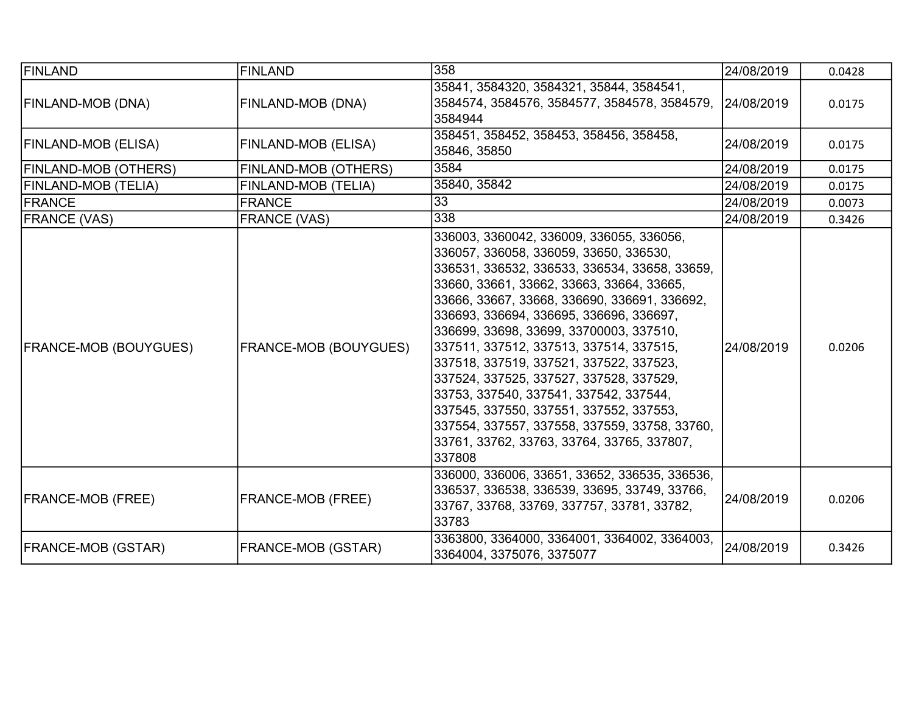| FINLAND                      | <b>FINLAND</b>               | 358                                                                                                                                                                                                                                                                                                                                                                                                                                                                                                                                                                                                                                                   | 24/08/2019 | 0.0428 |
|------------------------------|------------------------------|-------------------------------------------------------------------------------------------------------------------------------------------------------------------------------------------------------------------------------------------------------------------------------------------------------------------------------------------------------------------------------------------------------------------------------------------------------------------------------------------------------------------------------------------------------------------------------------------------------------------------------------------------------|------------|--------|
| FINLAND-MOB (DNA)            | FINLAND-MOB (DNA)            | 35841, 3584320, 3584321, 35844, 3584541,<br>3584574, 3584576, 3584577, 3584578, 3584579, 24/08/2019<br>3584944                                                                                                                                                                                                                                                                                                                                                                                                                                                                                                                                        |            | 0.0175 |
| FINLAND-MOB (ELISA)          | FINLAND-MOB (ELISA)          | 358451, 358452, 358453, 358456, 358458,<br>35846, 35850                                                                                                                                                                                                                                                                                                                                                                                                                                                                                                                                                                                               | 24/08/2019 | 0.0175 |
| <b>FINLAND-MOB (OTHERS)</b>  | FINLAND-MOB (OTHERS)         | 3584                                                                                                                                                                                                                                                                                                                                                                                                                                                                                                                                                                                                                                                  | 24/08/2019 | 0.0175 |
| FINLAND-MOB (TELIA)          | FINLAND-MOB (TELIA)          | 35840, 35842                                                                                                                                                                                                                                                                                                                                                                                                                                                                                                                                                                                                                                          | 24/08/2019 | 0.0175 |
| FRANCE                       | <b>FRANCE</b>                | 33                                                                                                                                                                                                                                                                                                                                                                                                                                                                                                                                                                                                                                                    | 24/08/2019 | 0.0073 |
| <b>FRANCE (VAS)</b>          | <b>FRANCE (VAS)</b>          | 338                                                                                                                                                                                                                                                                                                                                                                                                                                                                                                                                                                                                                                                   | 24/08/2019 | 0.3426 |
| <b>FRANCE-MOB (BOUYGUES)</b> | <b>FRANCE-MOB (BOUYGUES)</b> | 336003, 3360042, 336009, 336055, 336056,<br>336057, 336058, 336059, 33650, 336530,<br>336531, 336532, 336533, 336534, 33658, 33659,<br>33660, 33661, 33662, 33663, 33664, 33665,<br>33666, 33667, 33668, 336690, 336691, 336692,<br>336693, 336694, 336695, 336696, 336697,<br>336699, 33698, 33699, 33700003, 337510,<br>337511, 337512, 337513, 337514, 337515,<br>337518, 337519, 337521, 337522, 337523,<br>337524, 337525, 337527, 337528, 337529,<br>33753, 337540, 337541, 337542, 337544,<br>337545, 337550, 337551, 337552, 337553,<br>337554, 337557, 337558, 337559, 33758, 33760,<br>33761, 33762, 33763, 33764, 33765, 337807,<br>337808 | 24/08/2019 | 0.0206 |
| <b>FRANCE-MOB (FREE)</b>     | FRANCE-MOB (FREE)            | 336000, 336006, 33651, 33652, 336535, 336536,<br>336537, 336538, 336539, 33695, 33749, 33766,<br>33767, 33768, 33769, 337757, 33781, 33782,<br>33783                                                                                                                                                                                                                                                                                                                                                                                                                                                                                                  | 24/08/2019 | 0.0206 |
| FRANCE-MOB (GSTAR)           | FRANCE-MOB (GSTAR)           | 3363800, 3364000, 3364001, 3364002, 3364003,<br>3364004, 3375076, 3375077                                                                                                                                                                                                                                                                                                                                                                                                                                                                                                                                                                             | 24/08/2019 | 0.3426 |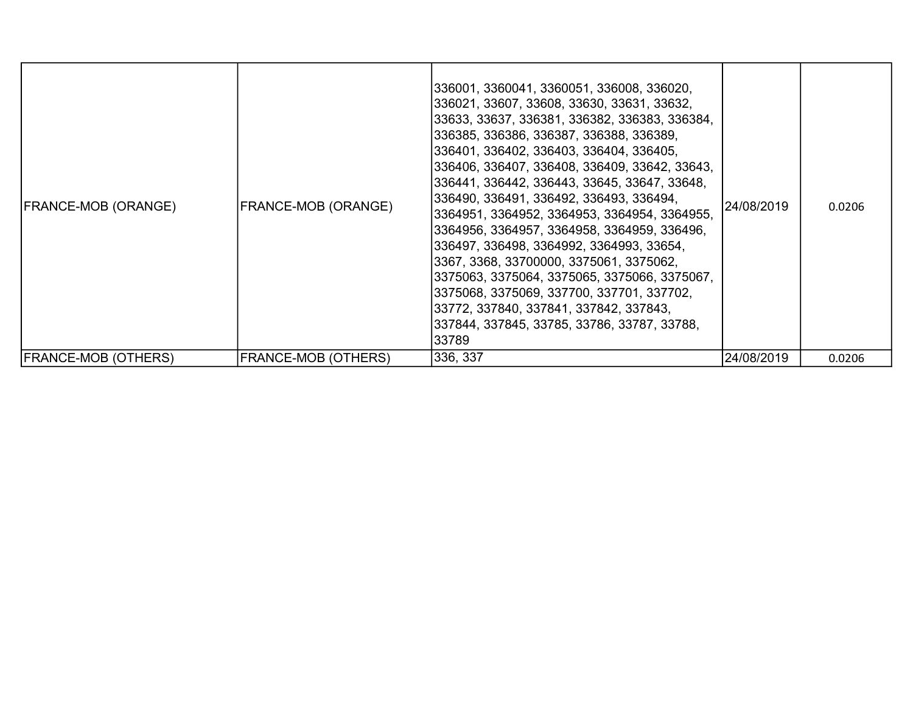| <b>FRANCE-MOB (ORANGE)</b>  | <b>FRANCE-MOB (ORANGE)</b> | 336001, 3360041, 3360051, 336008, 336020,<br> 336021, 33607, 33608, 33630, 33631, 33632,<br>33633, 33637, 336381, 336382, 336383, 336384,<br>336385, 336386, 336387, 336388, 336389,<br> 336401, 336402, 336403, 336404, 336405,<br> 336406, 336407, 336408, 336409, 33642, 33643,<br>336441, 336442, 336443, 33645, 33647, 33648,<br>336490, 336491, 336492, 336493, 336494,<br> 3364951, 3364952, 3364953, 3364954, 3364955,<br>3364956, 3364957, 3364958, 3364959, 336496,<br>336497, 336498, 3364992, 3364993, 33654,<br> 3367, 3368, 33700000, 3375061, 3375062,<br>3375063, 3375064, 3375065, 3375066, 3375067,<br> 3375068, 3375069, 337700, 337701, 337702,<br> 33772, 337840, 337841, 337842, 337843,<br> 337844, 337845, 33785, 33786, 33787, 33788,<br>33789 | 24/08/2019 | 0.0206 |
|-----------------------------|----------------------------|-------------------------------------------------------------------------------------------------------------------------------------------------------------------------------------------------------------------------------------------------------------------------------------------------------------------------------------------------------------------------------------------------------------------------------------------------------------------------------------------------------------------------------------------------------------------------------------------------------------------------------------------------------------------------------------------------------------------------------------------------------------------------|------------|--------|
| <b> FRANCE-MOB (OTHERS)</b> | FRANCE-MOB (OTHERS)        | 336, 337                                                                                                                                                                                                                                                                                                                                                                                                                                                                                                                                                                                                                                                                                                                                                                | 24/08/2019 | 0.0206 |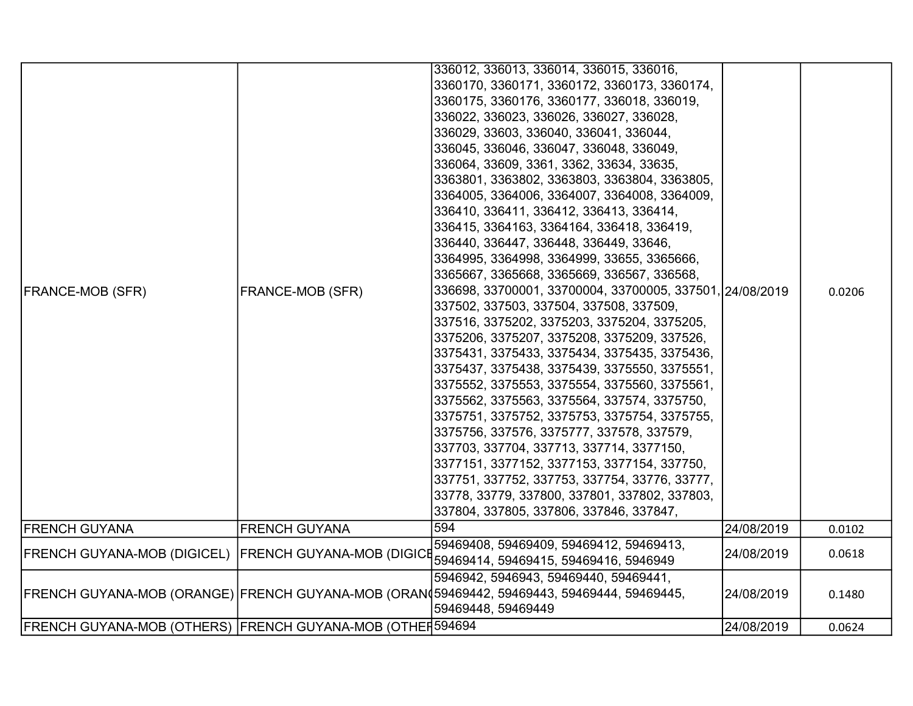|                                                           |                      | 336012, 336013, 336014, 336015, 336016,                                                    |            |        |
|-----------------------------------------------------------|----------------------|--------------------------------------------------------------------------------------------|------------|--------|
|                                                           |                      | 3360170, 3360171, 3360172, 3360173, 3360174,                                               |            |        |
|                                                           |                      | 3360175, 3360176, 3360177, 336018, 336019,                                                 |            |        |
|                                                           |                      | 336022, 336023, 336026, 336027, 336028,                                                    |            |        |
|                                                           |                      | 336029, 33603, 336040, 336041, 336044,                                                     |            |        |
|                                                           |                      | 336045, 336046, 336047, 336048, 336049,                                                    |            |        |
|                                                           |                      | 336064, 33609, 3361, 3362, 33634, 33635,                                                   |            |        |
|                                                           |                      | 3363801, 3363802, 3363803, 3363804, 3363805,                                               |            |        |
|                                                           |                      | 3364005, 3364006, 3364007, 3364008, 3364009,                                               |            |        |
|                                                           |                      | 336410, 336411, 336412, 336413, 336414,                                                    |            |        |
|                                                           |                      | 336415, 3364163, 3364164, 336418, 336419,                                                  |            |        |
|                                                           |                      | 336440, 336447, 336448, 336449, 33646,                                                     |            |        |
|                                                           |                      | 3364995, 3364998, 3364999, 33655, 3365666,                                                 |            |        |
|                                                           |                      | 3365667, 3365668, 3365669, 336567, 336568,                                                 |            |        |
| <b>FRANCE-MOB (SFR)</b>                                   | FRANCE-MOB (SFR)     | 336698, 33700001, 33700004, 33700005, 337501, 24/08/2019                                   |            | 0.0206 |
|                                                           |                      | 337502, 337503, 337504, 337508, 337509,                                                    |            |        |
|                                                           |                      | 337516, 3375202, 3375203, 3375204, 3375205,                                                |            |        |
|                                                           |                      | 3375206, 3375207, 3375208, 3375209, 337526,                                                |            |        |
|                                                           |                      | 3375431, 3375433, 3375434, 3375435, 3375436,                                               |            |        |
|                                                           |                      | 3375437, 3375438, 3375439, 3375550, 3375551,                                               |            |        |
|                                                           |                      | 3375552, 3375553, 3375554, 3375560, 3375561,                                               |            |        |
|                                                           |                      | 3375562, 3375563, 3375564, 337574, 3375750,                                                |            |        |
|                                                           |                      | 3375751, 3375752, 3375753, 3375754, 3375755,                                               |            |        |
|                                                           |                      | 3375756, 337576, 3375777, 337578, 337579,                                                  |            |        |
|                                                           |                      | 337703, 337704, 337713, 337714, 3377150,                                                   |            |        |
|                                                           |                      | 3377151, 3377152, 3377153, 3377154, 337750,                                                |            |        |
|                                                           |                      | 337751, 337752, 337753, 337754, 33776, 33777,                                              |            |        |
|                                                           |                      | 33778, 33779, 337800, 337801, 337802, 337803,                                              |            |        |
|                                                           |                      | 337804, 337805, 337806, 337846, 337847,                                                    |            |        |
| <b>FRENCH GUYANA</b>                                      | <b>FRENCH GUYANA</b> | 594                                                                                        | 24/08/2019 | 0.0102 |
| FRENCH GUYANA-MOB (DIGICEL)  FRENCH GUYANA-MOB (DIGICE    |                      | 59469408, 59469409, 59469412, 59469413,                                                    | 24/08/2019 | 0.0618 |
|                                                           |                      | 59469414, 59469415, 59469416, 5946949                                                      |            |        |
|                                                           |                      | 5946942, 5946943, 59469440, 59469441,                                                      |            |        |
|                                                           |                      | FRENCH GUYANA-MOB (ORANGE) FRENCH GUYANA-MOB (ORAN 59469442, 59469443, 59469444, 59469445, | 24/08/2019 | 0.1480 |
|                                                           |                      | 59469448, 59469449                                                                         |            |        |
| FRENCH GUYANA-MOB (OTHERS) FRENCH GUYANA-MOB (OTHEF594694 |                      |                                                                                            | 24/08/2019 | 0.0624 |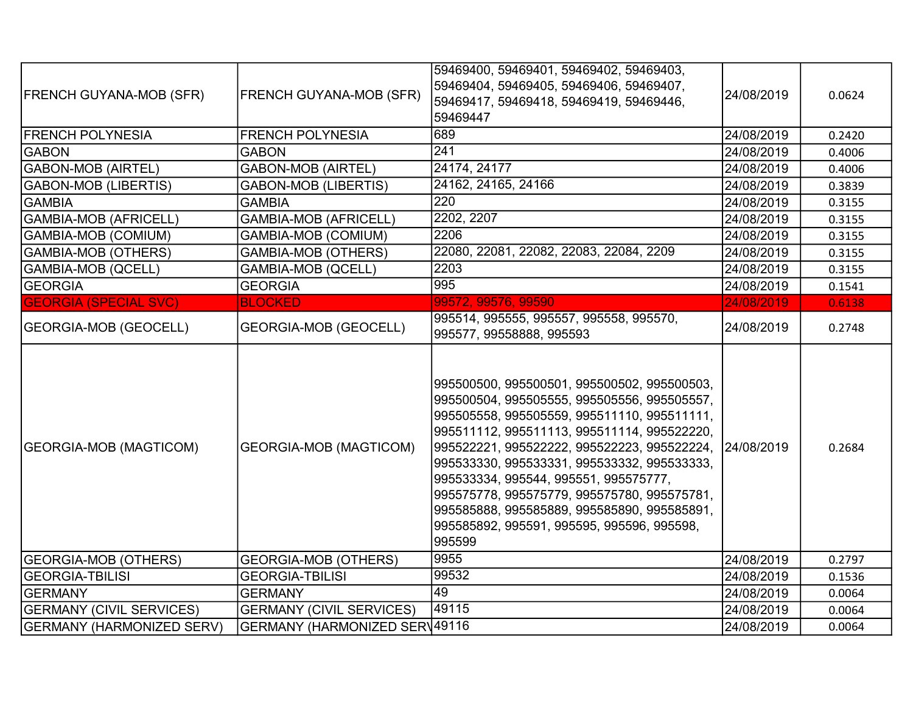| <b>FRENCH GUYANA-MOB (SFR)</b>                                      | <b>FRENCH GUYANA-MOB (SFR)</b>                                   | 59469400, 59469401, 59469402, 59469403,<br>59469404, 59469405, 59469406, 59469407,<br>59469417, 59469418, 59469419, 59469446,<br>59469447                                                                                                                                                                                                                                      | 24/08/2019               | 0.0624 |
|---------------------------------------------------------------------|------------------------------------------------------------------|--------------------------------------------------------------------------------------------------------------------------------------------------------------------------------------------------------------------------------------------------------------------------------------------------------------------------------------------------------------------------------|--------------------------|--------|
| <b>FRENCH POLYNESIA</b>                                             | <b>FRENCH POLYNESIA</b>                                          | 689                                                                                                                                                                                                                                                                                                                                                                            | 24/08/2019               | 0.2420 |
| <b>GABON</b>                                                        | <b>GABON</b>                                                     | 241                                                                                                                                                                                                                                                                                                                                                                            | 24/08/2019               | 0.4006 |
| GABON-MOB (AIRTEL)                                                  | <b>GABON-MOB (AIRTEL)</b>                                        | 24174, 24177                                                                                                                                                                                                                                                                                                                                                                   | 24/08/2019               | 0.4006 |
| <b>GABON-MOB (LIBERTIS)</b>                                         | <b>GABON-MOB (LIBERTIS)</b>                                      | 24162, 24165, 24166                                                                                                                                                                                                                                                                                                                                                            | 24/08/2019               | 0.3839 |
| <b>GAMBIA</b>                                                       | <b>GAMBIA</b>                                                    | 220                                                                                                                                                                                                                                                                                                                                                                            | 24/08/2019               | 0.3155 |
| GAMBIA-MOB (AFRICELL)                                               | <b>GAMBIA-MOB (AFRICELL)</b>                                     | 2202, 2207                                                                                                                                                                                                                                                                                                                                                                     | 24/08/2019               | 0.3155 |
| GAMBIA-MOB (COMIUM)                                                 | <b>GAMBIA-MOB (COMIUM)</b>                                       | 2206                                                                                                                                                                                                                                                                                                                                                                           | 24/08/2019               | 0.3155 |
| GAMBIA-MOB (OTHERS)                                                 | <b>GAMBIA-MOB (OTHERS)</b>                                       | 22080, 22081, 22082, 22083, 22084, 2209                                                                                                                                                                                                                                                                                                                                        | 24/08/2019               | 0.3155 |
| GAMBIA-MOB (QCELL)                                                  | <b>GAMBIA-MOB (QCELL)</b>                                        | 2203                                                                                                                                                                                                                                                                                                                                                                           | 24/08/2019               | 0.3155 |
| <b>GEORGIA</b>                                                      | <b>GEORGIA</b>                                                   | 995                                                                                                                                                                                                                                                                                                                                                                            | 24/08/2019               | 0.1541 |
| <b>GEORGIA (SPECIAL SVC)</b>                                        | <b>BLOCKED</b>                                                   | 99572, 99576, 99590                                                                                                                                                                                                                                                                                                                                                            | 24/08/2019               | 0.6138 |
| <b>GEORGIA-MOB (GEOCELL)</b>                                        | <b>GEORGIA-MOB (GEOCELL)</b>                                     | 995514, 995555, 995557, 995558, 995570,<br>995577, 99558888, 995593                                                                                                                                                                                                                                                                                                            | 24/08/2019               | 0.2748 |
| <b>GEORGIA-MOB (MAGTICOM)</b>                                       | <b>GEORGIA-MOB (MAGTICOM)</b>                                    | 995500500, 995500501, 995500502, 995500503,<br>995500504, 995505555, 995505556, 995505557,<br>995505558, 995505559, 995511110, 995511111,<br>995511112, 995511113, 995511114, 995522220,<br>995522221, 995522222, 995522223, 995522224,<br>995533330, 995533331, 995533332, 995533333,<br>995533334, 995544, 995551, 995575777,<br>995575778, 995575779, 995575780, 995575781, | 24/08/2019               | 0.2684 |
|                                                                     |                                                                  | 995585888, 995585889, 995585890, 995585891,<br>995585892, 995591, 995595, 995596, 995598,<br>995599                                                                                                                                                                                                                                                                            |                          |        |
| <b>GEORGIA-MOB (OTHERS)</b>                                         | <b>GEORGIA-MOB (OTHERS)</b>                                      | 9955                                                                                                                                                                                                                                                                                                                                                                           | 24/08/2019               | 0.2797 |
| <b>GEORGIA-TBILISI</b>                                              | <b>GEORGIA-TBILISI</b>                                           | 99532                                                                                                                                                                                                                                                                                                                                                                          | 24/08/2019               | 0.1536 |
| GERMANY                                                             | <b>GERMANY</b>                                                   | 49                                                                                                                                                                                                                                                                                                                                                                             | 24/08/2019               | 0.0064 |
| <b>GERMANY (CIVIL SERVICES)</b><br><b>GERMANY (HARMONIZED SERV)</b> | <b>GERMANY (CIVIL SERVICES)</b><br>GERMANY (HARMONIZED SERV49116 | 49115                                                                                                                                                                                                                                                                                                                                                                          | 24/08/2019<br>24/08/2019 | 0.0064 |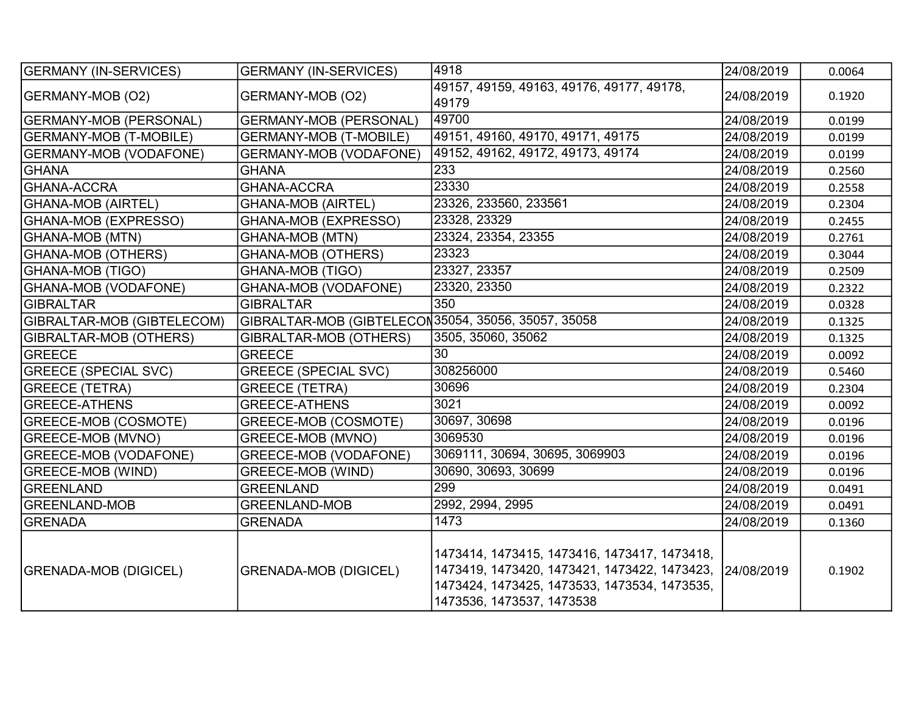| <b>GERMANY (IN-SERVICES)</b>  | <b>GERMANY (IN-SERVICES)</b>                         | 4918                                                                                                                                                                      | 24/08/2019 | 0.0064 |
|-------------------------------|------------------------------------------------------|---------------------------------------------------------------------------------------------------------------------------------------------------------------------------|------------|--------|
| GERMANY-MOB (O2)              | GERMANY-MOB (O2)                                     | 49157, 49159, 49163, 49176, 49177, 49178,<br>49179                                                                                                                        | 24/08/2019 | 0.1920 |
| <b>GERMANY-MOB (PERSONAL)</b> | <b>GERMANY-MOB (PERSONAL)</b>                        | 49700                                                                                                                                                                     | 24/08/2019 | 0.0199 |
| <b>GERMANY-MOB (T-MOBILE)</b> | <b>GERMANY-MOB (T-MOBILE)</b>                        | 49151, 49160, 49170, 49171, 49175                                                                                                                                         | 24/08/2019 | 0.0199 |
| <b>GERMANY-MOB (VODAFONE)</b> | <b>GERMANY-MOB (VODAFONE)</b>                        | 49152, 49162, 49172, 49173, 49174                                                                                                                                         | 24/08/2019 | 0.0199 |
| <b>GHANA</b>                  | <b>GHANA</b>                                         | 233                                                                                                                                                                       | 24/08/2019 | 0.2560 |
| <b>GHANA-ACCRA</b>            | <b>GHANA-ACCRA</b>                                   | 23330                                                                                                                                                                     | 24/08/2019 | 0.2558 |
| GHANA-MOB (AIRTEL)            | <b>GHANA-MOB (AIRTEL)</b>                            | 23326, 233560, 233561                                                                                                                                                     | 24/08/2019 | 0.2304 |
| GHANA-MOB (EXPRESSO)          | GHANA-MOB (EXPRESSO)                                 | 23328, 23329                                                                                                                                                              | 24/08/2019 | 0.2455 |
| <b>GHANA-MOB (MTN)</b>        | <b>GHANA-MOB (MTN)</b>                               | 23324, 23354, 23355                                                                                                                                                       | 24/08/2019 | 0.2761 |
| <b>GHANA-MOB (OTHERS)</b>     | <b>GHANA-MOB (OTHERS)</b>                            | 23323                                                                                                                                                                     | 24/08/2019 | 0.3044 |
| GHANA-MOB (TIGO)              | <b>GHANA-MOB (TIGO)</b>                              | 23327, 23357                                                                                                                                                              | 24/08/2019 | 0.2509 |
| GHANA-MOB (VODAFONE)          | GHANA-MOB (VODAFONE)                                 | 23320, 23350                                                                                                                                                              | 24/08/2019 | 0.2322 |
| GIBRALTAR                     | <b>GIBRALTAR</b>                                     | 350                                                                                                                                                                       | 24/08/2019 | 0.0328 |
| GIBRALTAR-MOB (GIBTELECOM)    | GIBRALTAR-MOB (GIBTELECON 35054, 35056, 35057, 35058 |                                                                                                                                                                           | 24/08/2019 | 0.1325 |
| GIBRALTAR-MOB (OTHERS)        | GIBRALTAR-MOB (OTHERS)                               | 3505, 35060, 35062                                                                                                                                                        | 24/08/2019 | 0.1325 |
| GREECE                        | <b>GREECE</b>                                        | 30                                                                                                                                                                        | 24/08/2019 | 0.0092 |
| <b>GREECE (SPECIAL SVC)</b>   | <b>GREECE (SPECIAL SVC)</b>                          | 308256000                                                                                                                                                                 | 24/08/2019 | 0.5460 |
| <b>GREECE (TETRA)</b>         | <b>GREECE (TETRA)</b>                                | 30696                                                                                                                                                                     | 24/08/2019 | 0.2304 |
| <b>GREECE-ATHENS</b>          | <b>GREECE-ATHENS</b>                                 | 3021                                                                                                                                                                      | 24/08/2019 | 0.0092 |
| GREECE-MOB (COSMOTE)          | GREECE-MOB (COSMOTE)                                 | 30697, 30698                                                                                                                                                              | 24/08/2019 | 0.0196 |
| <b>GREECE-MOB (MVNO)</b>      | GREECE-MOB (MVNO)                                    | 3069530                                                                                                                                                                   | 24/08/2019 | 0.0196 |
| <b>GREECE-MOB (VODAFONE)</b>  | <b>GREECE-MOB (VODAFONE)</b>                         | 3069111, 30694, 30695, 3069903                                                                                                                                            | 24/08/2019 | 0.0196 |
| <b>GREECE-MOB (WIND)</b>      | <b>GREECE-MOB (WIND)</b>                             | 30690, 30693, 30699                                                                                                                                                       | 24/08/2019 | 0.0196 |
| GREENLAND                     | <b>GREENLAND</b>                                     | 299                                                                                                                                                                       | 24/08/2019 | 0.0491 |
| <b>GREENLAND-MOB</b>          | <b>GREENLAND-MOB</b>                                 | 2992, 2994, 2995                                                                                                                                                          | 24/08/2019 | 0.0491 |
| <b>GRENADA</b>                | <b>GRENADA</b>                                       | 1473                                                                                                                                                                      | 24/08/2019 | 0.1360 |
| <b>GRENADA-MOB (DIGICEL)</b>  | <b>GRENADA-MOB (DIGICEL)</b>                         | 1473414, 1473415, 1473416, 1473417, 1473418,<br>1473419, 1473420, 1473421, 1473422, 1473423,<br>1473424, 1473425, 1473533, 1473534, 1473535,<br>1473536, 1473537, 1473538 | 24/08/2019 | 0.1902 |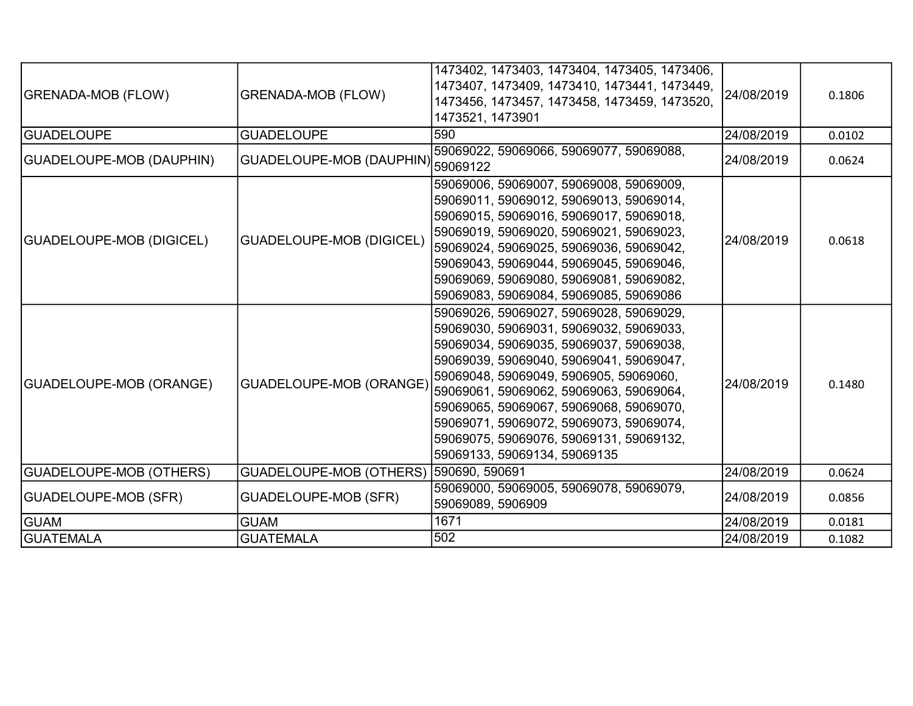| <b>GRENADA-MOB (FLOW)</b>      | <b>GRENADA-MOB (FLOW)</b>       | 1473402, 1473403, 1473404, 1473405, 1473406,<br>1473407, 1473409, 1473410, 1473441, 1473449,<br>1473456, 1473457, 1473458, 1473459, 1473520,<br>1473521, 1473901                                                                                                                                                                                                                                                               | 24/08/2019 | 0.1806 |
|--------------------------------|---------------------------------|--------------------------------------------------------------------------------------------------------------------------------------------------------------------------------------------------------------------------------------------------------------------------------------------------------------------------------------------------------------------------------------------------------------------------------|------------|--------|
| <b>GUADELOUPE</b>              | <b>GUADELOUPE</b>               | 590                                                                                                                                                                                                                                                                                                                                                                                                                            | 24/08/2019 | 0.0102 |
| GUADELOUPE-MOB (DAUPHIN)       | <b>GUADELOUPE-MOB (DAUPHIN)</b> | 59069022, 59069066, 59069077, 59069088,<br>59069122                                                                                                                                                                                                                                                                                                                                                                            | 24/08/2019 | 0.0624 |
| GUADELOUPE-MOB (DIGICEL)       | <b>GUADELOUPE-MOB (DIGICEL)</b> | 59069006, 59069007, 59069008, 59069009,<br>59069011, 59069012, 59069013, 59069014,<br>59069015, 59069016, 59069017, 59069018,<br>59069019, 59069020, 59069021, 59069023,<br>59069024, 59069025, 59069036, 59069042,<br>59069043, 59069044, 59069045, 59069046,<br>59069069, 59069080, 59069081, 59069082,<br>59069083, 59069084, 59069085, 59069086                                                                            | 24/08/2019 | 0.0618 |
| <b>GUADELOUPE-MOB (ORANGE)</b> | GUADELOUPE-MOB (ORANGE)         | 59069026, 59069027, 59069028, 59069029,<br>59069030, 59069031, 59069032, 59069033,<br>59069034, 59069035, 59069037, 59069038,<br>59069039, 59069040, 59069041, 59069047,<br>59069048, 59069049, 5906905, 59069060,<br>59069061, 59069062, 59069063, 59069064,<br>59069065, 59069067, 59069068, 59069070,<br>59069071, 59069072, 59069073, 59069074,<br>59069075, 59069076, 59069131, 59069132,<br>59069133, 59069134, 59069135 | 24/08/2019 | 0.1480 |
| <b>GUADELOUPE-MOB (OTHERS)</b> | GUADELOUPE-MOB (OTHERS)         | 590690, 590691                                                                                                                                                                                                                                                                                                                                                                                                                 | 24/08/2019 | 0.0624 |
| <b>GUADELOUPE-MOB (SFR)</b>    | <b>GUADELOUPE-MOB (SFR)</b>     | 59069000, 59069005, 59069078, 59069079,<br>59069089, 5906909                                                                                                                                                                                                                                                                                                                                                                   | 24/08/2019 | 0.0856 |
| <b>GUAM</b>                    | <b>GUAM</b>                     | 1671                                                                                                                                                                                                                                                                                                                                                                                                                           | 24/08/2019 | 0.0181 |
| <b>GUATEMALA</b>               | <b>GUATEMALA</b>                | 502                                                                                                                                                                                                                                                                                                                                                                                                                            | 24/08/2019 | 0.1082 |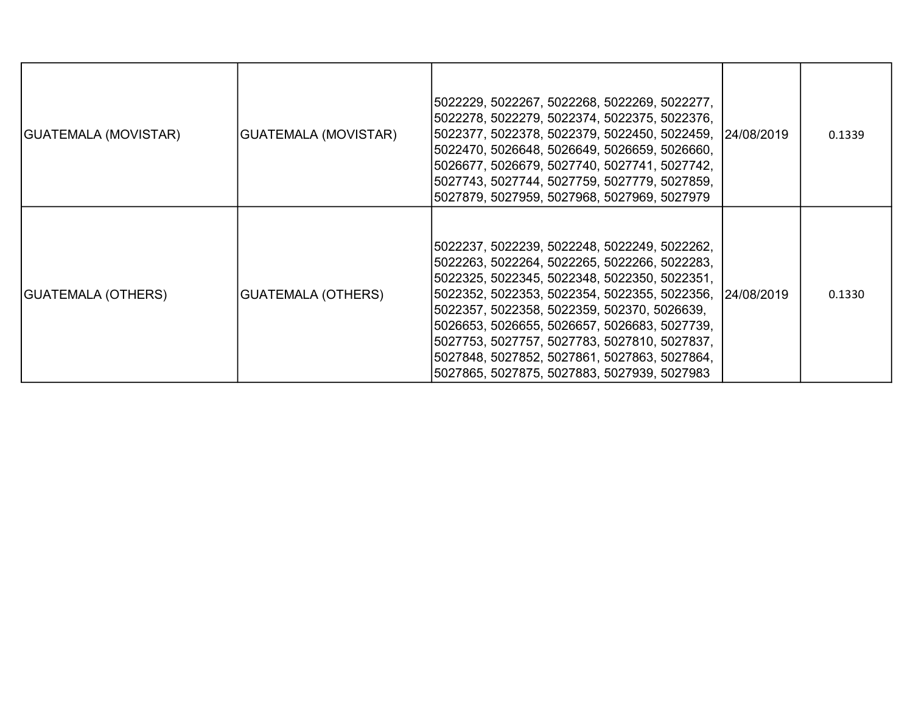| GUATEMALA (MOVISTAR) | <b>GUATEMALA (MOVISTAR)</b> | 5022229, 5022267, 5022268, 5022269, 5022277,<br> 5022278, 5022279, 5022374, 5022375, 5022376,<br>5022377, 5022378, 5022379, 5022450, 5022459, 24/08/2019<br>5022470, 5026648, 5026649, 5026659, 5026660,<br>5026677, 5026679, 5027740, 5027741, 5027742,<br>5027743, 5027744, 5027759, 5027779, 5027859,<br>5027879, 5027959, 5027968, 5027969, 5027979                                                                                               | 0.1339 |
|----------------------|-----------------------------|-------------------------------------------------------------------------------------------------------------------------------------------------------------------------------------------------------------------------------------------------------------------------------------------------------------------------------------------------------------------------------------------------------------------------------------------------------|--------|
| GUATEMALA (OTHERS)   | <b>GUATEMALA (OTHERS)</b>   | 5022237, 5022239, 5022248, 5022249, 5022262,<br>5022263, 5022264, 5022265, 5022266, 5022283,<br>5022325, 5022345, 5022348, 5022350, 5022351,<br>5022352, 5022353, 5022354, 5022355, 5022356, 24/08/2019<br>5022357, 5022358, 5022359, 502370, 5026639,<br>5026653, 5026655, 5026657, 5026683, 5027739,<br>5027753, 5027757, 5027783, 5027810, 5027837,<br>5027848, 5027852, 5027861, 5027863, 5027864,<br>5027865, 5027875, 5027883, 5027939, 5027983 | 0.1330 |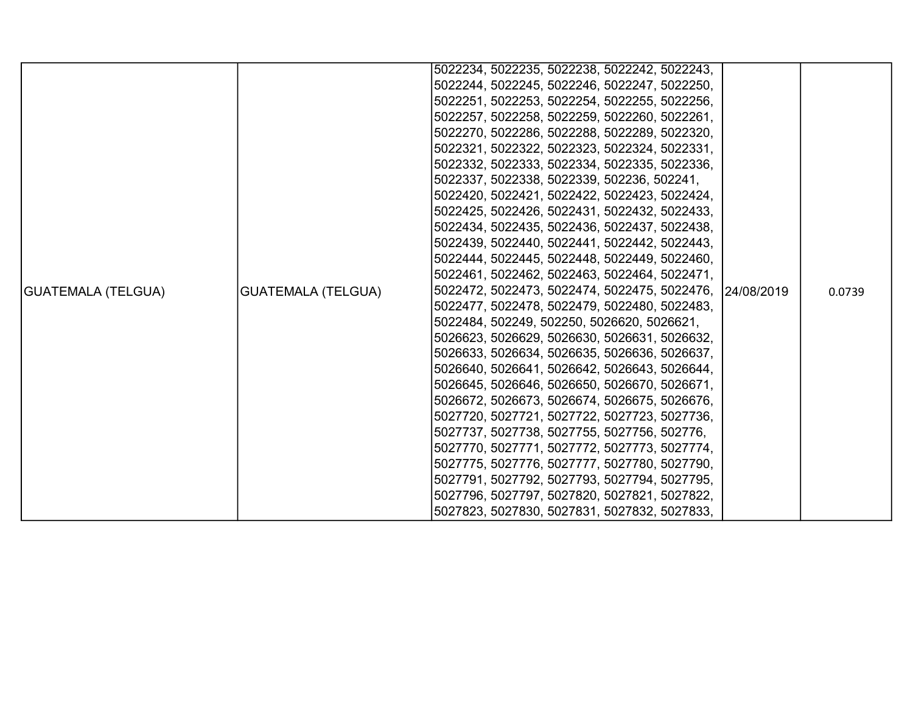|                           |                                                                                                                                                            | 5022234, 5022235, 5022238, 5022242, 5022243, |  |        |
|---------------------------|------------------------------------------------------------------------------------------------------------------------------------------------------------|----------------------------------------------|--|--------|
|                           |                                                                                                                                                            | 5022244, 5022245, 5022246, 5022247, 5022250, |  |        |
|                           |                                                                                                                                                            | 5022251, 5022253, 5022254, 5022255, 5022256, |  |        |
|                           |                                                                                                                                                            | 5022257, 5022258, 5022259, 5022260, 5022261, |  |        |
|                           |                                                                                                                                                            | 5022270, 5022286, 5022288, 5022289, 5022320, |  |        |
|                           |                                                                                                                                                            | 5022321, 5022322, 5022323, 5022324, 5022331, |  |        |
|                           |                                                                                                                                                            | 5022332, 5022333, 5022334, 5022335, 5022336, |  |        |
|                           |                                                                                                                                                            | 5022337, 5022338, 5022339, 502236, 502241,   |  |        |
|                           |                                                                                                                                                            | 5022420, 5022421, 5022422, 5022423, 5022424, |  |        |
|                           |                                                                                                                                                            | 5022425, 5022426, 5022431, 5022432, 5022433, |  |        |
|                           |                                                                                                                                                            | 5022434, 5022435, 5022436, 5022437, 5022438, |  |        |
|                           |                                                                                                                                                            | 5022439, 5022440, 5022441, 5022442, 5022443, |  |        |
|                           |                                                                                                                                                            | 5022444, 5022445, 5022448, 5022449, 5022460, |  |        |
|                           |                                                                                                                                                            | 5022461, 5022462, 5022463, 5022464, 5022471, |  |        |
| <b>GUATEMALA (TELGUA)</b> | <b>GUATEMALA (TELGUA)</b>                                                                                                                                  | 5022472, 5022473, 5022474, 5022475, 5022476, |  | 0.0739 |
|                           |                                                                                                                                                            | 5022477, 5022478, 5022479, 5022480, 5022483, |  |        |
|                           |                                                                                                                                                            | 5022484, 502249, 502250, 5026620, 5026621,   |  |        |
|                           |                                                                                                                                                            | 5026623, 5026629, 5026630, 5026631, 5026632, |  |        |
|                           |                                                                                                                                                            | 5026633, 5026634, 5026635, 5026636, 5026637, |  |        |
|                           |                                                                                                                                                            |                                              |  |        |
|                           | 24/08/2019<br>5026640, 5026641, 5026642, 5026643, 5026644,<br>5026645, 5026646, 5026650, 5026670, 5026671,<br>5026672, 5026673, 5026674, 5026675, 5026676, |                                              |  |        |
|                           |                                                                                                                                                            |                                              |  |        |
|                           |                                                                                                                                                            | 5027720, 5027721, 5027722, 5027723, 5027736, |  |        |
|                           |                                                                                                                                                            | 5027737, 5027738, 5027755, 5027756, 502776,  |  |        |
|                           |                                                                                                                                                            | 5027770, 5027771, 5027772, 5027773, 5027774, |  |        |
|                           |                                                                                                                                                            | 5027775, 5027776, 5027777, 5027780, 5027790, |  |        |
|                           |                                                                                                                                                            | 5027791, 5027792, 5027793, 5027794, 5027795, |  |        |
|                           |                                                                                                                                                            | 5027796, 5027797, 5027820, 5027821, 5027822, |  |        |
|                           |                                                                                                                                                            | 5027823, 5027830, 5027831, 5027832, 5027833, |  |        |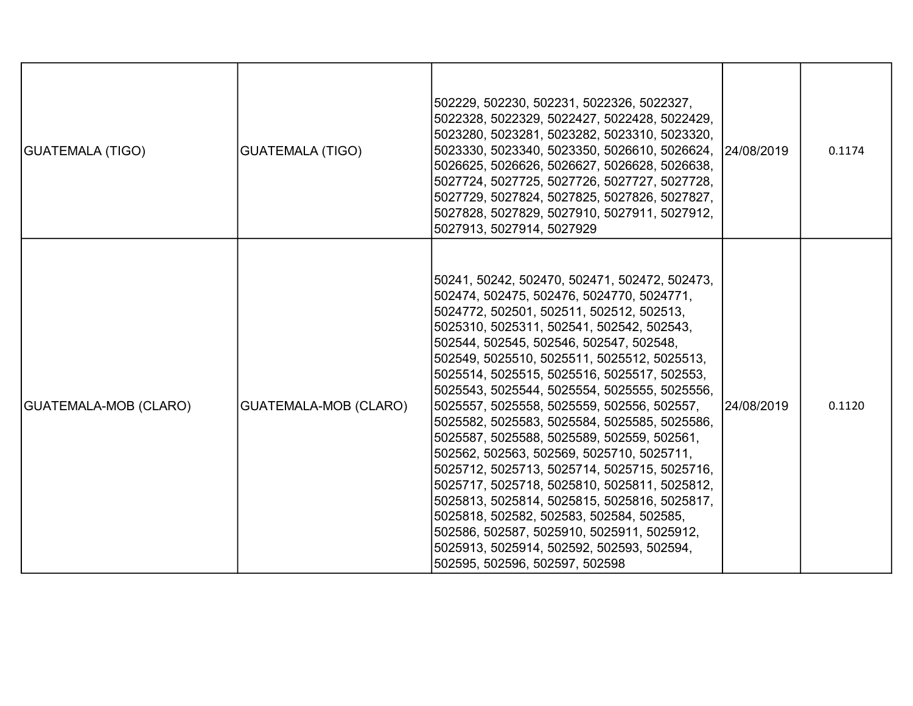| <b>GUATEMALA (TIGO)</b> | <b>GUATEMALA (TIGO)</b>      | 502229, 502230, 502231, 5022326, 5022327,<br>5022328, 5022329, 5022427, 5022428, 5022429,<br>5023280, 5023281, 5023282, 5023310, 5023320,<br>5023330, 5023340, 5023350, 5026610, 5026624, 24/08/2019<br>5026625, 5026626, 5026627, 5026628, 5026638,<br>5027724, 5027725, 5027726, 5027727, 5027728,<br>5027729, 5027824, 5027825, 5027826, 5027827,<br>5027828, 5027829, 5027910, 5027911, 5027912,<br>5027913, 5027914, 5027929                                                                                                                                                                                                                                                                                                                                                                                                                                                              |            | 0.1174 |
|-------------------------|------------------------------|------------------------------------------------------------------------------------------------------------------------------------------------------------------------------------------------------------------------------------------------------------------------------------------------------------------------------------------------------------------------------------------------------------------------------------------------------------------------------------------------------------------------------------------------------------------------------------------------------------------------------------------------------------------------------------------------------------------------------------------------------------------------------------------------------------------------------------------------------------------------------------------------|------------|--------|
| GUATEMALA-MOB (CLARO)   | <b>GUATEMALA-MOB (CLARO)</b> | 50241, 50242, 502470, 502471, 502472, 502473,<br>502474, 502475, 502476, 5024770, 5024771,<br>5024772, 502501, 502511, 502512, 502513,<br>5025310, 5025311, 502541, 502542, 502543,<br>502544, 502545, 502546, 502547, 502548,<br>502549, 5025510, 5025511, 5025512, 5025513,<br>5025514, 5025515, 5025516, 5025517, 502553,<br>5025543, 5025544, 5025554, 5025555, 5025556,<br>5025557, 5025558, 5025559, 502556, 502557,<br>5025582, 5025583, 5025584, 5025585, 5025586,<br>5025587, 5025588, 5025589, 502559, 502561,<br>502562, 502563, 502569, 5025710, 5025711,<br>5025712, 5025713, 5025714, 5025715, 5025716,<br>5025717, 5025718, 5025810, 5025811, 5025812,<br>5025813, 5025814, 5025815, 5025816, 5025817,<br>5025818, 502582, 502583, 502584, 502585,<br>502586, 502587, 5025910, 5025911, 5025912,<br>5025913, 5025914, 502592, 502593, 502594,<br>502595, 502596, 502597, 502598 | 24/08/2019 | 0.1120 |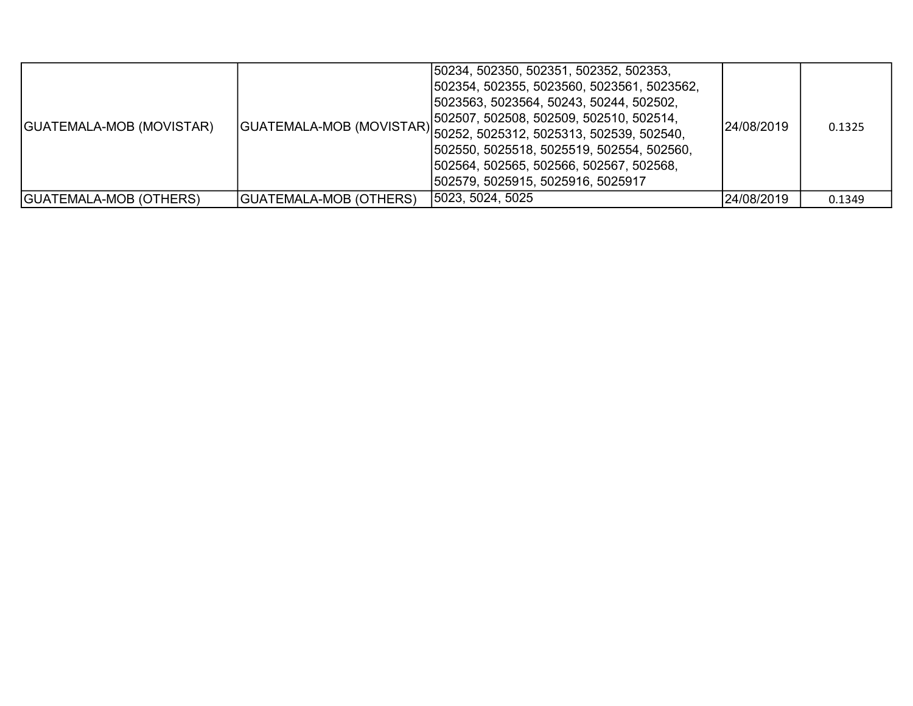| GUATEMALA-MOB (MOVISTAR) |                               | 50234, 502350, 502351, 502352, 502353,<br> 502354, 502355, 5023560, 5023561, 5023562,<br> 5023563, 5023564, 50243, 50244, 502502,<br> 502507, 502508, 502509, 502510, 502514,<br> GUATEMALA-MOB (MOVISTAR) <br> 50252, 5025312, 5025313, 502539, 502539, 502540,<br> 502550, 5025518, 5025519, 502554, 502560,<br> 502564, 502565, 502566, 502567, 502568,<br> 502579, 5025915, 5025916, 5025917 | 24/08/2019 | 0.1325 |
|--------------------------|-------------------------------|--------------------------------------------------------------------------------------------------------------------------------------------------------------------------------------------------------------------------------------------------------------------------------------------------------------------------------------------------------------------------------------------------|------------|--------|
| GUATEMALA-MOB (OTHERS)   | <b>GUATEMALA-MOB (OTHERS)</b> | 5023, 5024, 5025                                                                                                                                                                                                                                                                                                                                                                                 | 24/08/2019 | 0.1349 |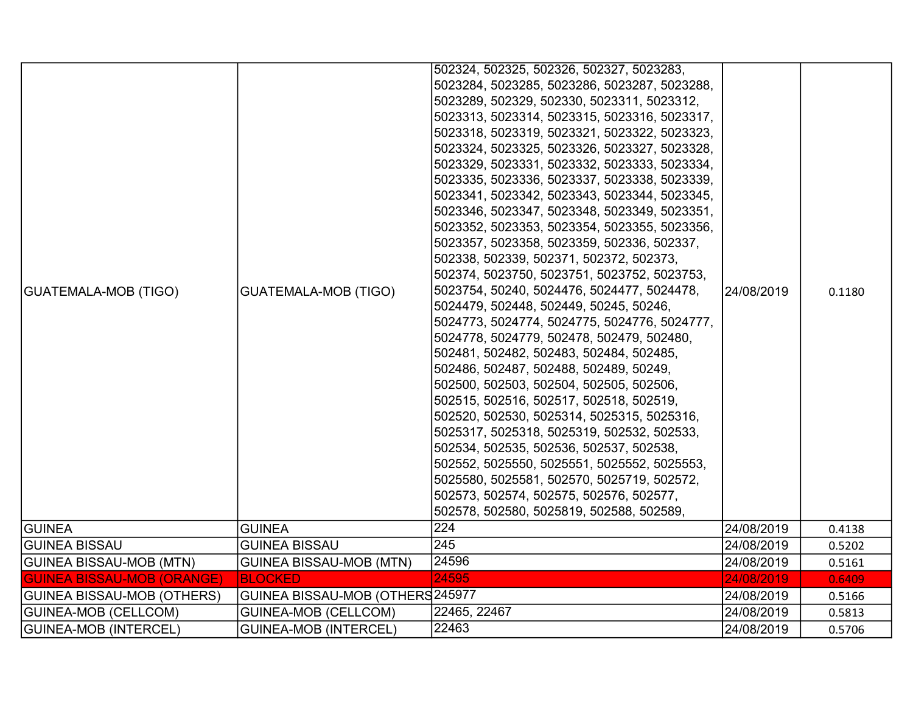| <b>GUATEMALA-MOB (TIGO)</b>       | <b>GUATEMALA-MOB (TIGO)</b>      | 502324, 502325, 502326, 502327, 5023283,<br>5023284, 5023285, 5023286, 5023287, 5023288,<br>5023289, 502329, 502330, 5023311, 5023312,<br>5023313, 5023314, 5023315, 5023316, 5023317,<br>5023318, 5023319, 5023321, 5023322, 5023323,<br>5023324, 5023325, 5023326, 5023327, 5023328,<br>5023329, 5023331, 5023332, 5023333, 5023334,<br>5023335, 5023336, 5023337, 5023338, 5023339,<br>5023341, 5023342, 5023343, 5023344, 5023345,<br>5023346, 5023347, 5023348, 5023349, 5023351,<br>5023352, 5023353, 5023354, 5023355, 5023356,<br>5023357, 5023358, 5023359, 502336, 502337,<br>502338, 502339, 502371, 502372, 502373,<br>502374, 5023750, 5023751, 5023752, 5023753,<br>5023754, 50240, 5024476, 5024477, 5024478,<br>5024479, 502448, 502449, 50245, 50246,<br>5024773, 5024774, 5024775, 5024776, 5024777,<br>5024778, 5024779, 502478, 502479, 502480,<br>502481, 502482, 502483, 502484, 502485,<br>502486, 502487, 502488, 502489, 50249,<br>502500, 502503, 502504, 502505, 502506,<br> 502515, 502516, 502517, 502518, 502519,<br>502520, 502530, 5025314, 5025315, 5025316,<br> 5025317, 5025318, 5025319, 502532, 502533,<br>502534, 502535, 502536, 502537, 502538,<br>502552, 5025550, 5025551, 5025552, 5025553,<br>5025580, 5025581, 502570, 5025719, 502572,<br>502573, 502574, 502575, 502576, 502577,<br>502578, 502580, 5025819, 502588, 502589, | 24/08/2019 | 0.1180 |
|-----------------------------------|----------------------------------|-----------------------------------------------------------------------------------------------------------------------------------------------------------------------------------------------------------------------------------------------------------------------------------------------------------------------------------------------------------------------------------------------------------------------------------------------------------------------------------------------------------------------------------------------------------------------------------------------------------------------------------------------------------------------------------------------------------------------------------------------------------------------------------------------------------------------------------------------------------------------------------------------------------------------------------------------------------------------------------------------------------------------------------------------------------------------------------------------------------------------------------------------------------------------------------------------------------------------------------------------------------------------------------------------------------------------------------------------------------------------------|------------|--------|
| <b>GUINEA</b>                     | <b>GUINEA</b>                    | 224                                                                                                                                                                                                                                                                                                                                                                                                                                                                                                                                                                                                                                                                                                                                                                                                                                                                                                                                                                                                                                                                                                                                                                                                                                                                                                                                                                         | 24/08/2019 | 0.4138 |
| <b>GUINEA BISSAU</b>              | <b>GUINEA BISSAU</b>             | 245                                                                                                                                                                                                                                                                                                                                                                                                                                                                                                                                                                                                                                                                                                                                                                                                                                                                                                                                                                                                                                                                                                                                                                                                                                                                                                                                                                         | 24/08/2019 | 0.5202 |
| <b>GUINEA BISSAU-MOB (MTN)</b>    | <b>GUINEA BISSAU-MOB (MTN)</b>   | 24596                                                                                                                                                                                                                                                                                                                                                                                                                                                                                                                                                                                                                                                                                                                                                                                                                                                                                                                                                                                                                                                                                                                                                                                                                                                                                                                                                                       | 24/08/2019 | 0.5161 |
| <b>GUINEA BISSAU-MOB (ORANGE)</b> | <b>BLOCKED</b>                   | 24595                                                                                                                                                                                                                                                                                                                                                                                                                                                                                                                                                                                                                                                                                                                                                                                                                                                                                                                                                                                                                                                                                                                                                                                                                                                                                                                                                                       | 24/08/2019 | 0.6409 |
| GUINEA BISSAU-MOB (OTHERS)        | GUINEA BISSAU-MOB (OTHERS 245977 |                                                                                                                                                                                                                                                                                                                                                                                                                                                                                                                                                                                                                                                                                                                                                                                                                                                                                                                                                                                                                                                                                                                                                                                                                                                                                                                                                                             | 24/08/2019 | 0.5166 |
| <b>GUINEA-MOB (CELLCOM)</b>       | <b>GUINEA-MOB (CELLCOM)</b>      | 22465, 22467                                                                                                                                                                                                                                                                                                                                                                                                                                                                                                                                                                                                                                                                                                                                                                                                                                                                                                                                                                                                                                                                                                                                                                                                                                                                                                                                                                | 24/08/2019 | 0.5813 |
| GUINEA-MOB (INTERCEL)             | <b>GUINEA-MOB (INTERCEL)</b>     | 22463                                                                                                                                                                                                                                                                                                                                                                                                                                                                                                                                                                                                                                                                                                                                                                                                                                                                                                                                                                                                                                                                                                                                                                                                                                                                                                                                                                       | 24/08/2019 | 0.5706 |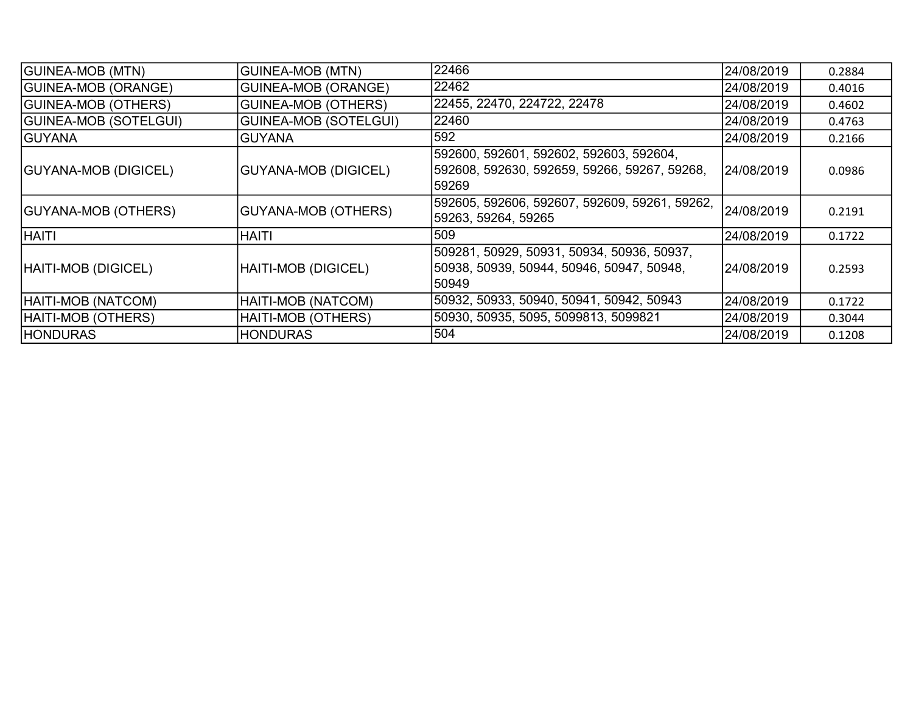| <b>GUINEA-MOB (MTN)</b>      | <b>GUINEA-MOB (MTN)</b>      | 22466                                                                                             | 24/08/2019  | 0.2884 |
|------------------------------|------------------------------|---------------------------------------------------------------------------------------------------|-------------|--------|
| <b>GUINEA-MOB (ORANGE)</b>   | <b>GUINEA-MOB (ORANGE)</b>   | 22462                                                                                             | 24/08/2019  | 0.4016 |
| <b>GUINEA-MOB (OTHERS)</b>   | <b>GUINEA-MOB (OTHERS)</b>   | 22455, 22470, 224722, 22478                                                                       | 24/08/2019  | 0.4602 |
| <b>GUINEA-MOB (SOTELGUI)</b> | <b>GUINEA-MOB (SOTELGUI)</b> | 22460                                                                                             | 24/08/2019  | 0.4763 |
| <b>GUYANA</b>                | <b>GUYANA</b>                | 592                                                                                               | 24/08/2019  | 0.2166 |
| <b>GUYANA-MOB (DIGICEL)</b>  | <b>GUYANA-MOB (DIGICEL)</b>  | 592600, 592601, 592602, 592603, 592604,<br> 592608, 592630, 592659, 59266, 59267, 59268,<br>59269 | 24/08/2019  | 0.0986 |
| GUYANA-MOB (OTHERS)          | GUYANA-MOB (OTHERS)          | 592605, 592606, 592607, 592609, 59261, 59262,<br>59263, 59264, 59265                              | 24/08/2019  | 0.2191 |
| <b>IHAITI</b>                | <b>HAITI</b>                 | 509                                                                                               | 24/08/2019  | 0.1722 |
| HAITI-MOB (DIGICEL)          | <b>HAITI-MOB (DIGICEL)</b>   | 509281, 50929, 50931, 50934, 50936, 50937,<br>50938, 50939, 50944, 50946, 50947, 50948,<br>150949 | l24/08/2019 | 0.2593 |
| HAITI-MOB (NATCOM)           | HAITI-MOB (NATCOM)           | 50932, 50933, 50940, 50941, 50942, 50943                                                          | 24/08/2019  | 0.1722 |
| HAITI-MOB (OTHERS)           | HAITI-MOB (OTHERS)           | 50930, 50935, 5095, 5099813, 5099821                                                              | 24/08/2019  | 0.3044 |
| <b>HONDURAS</b>              | <b>HONDURAS</b>              | 504                                                                                               | 24/08/2019  | 0.1208 |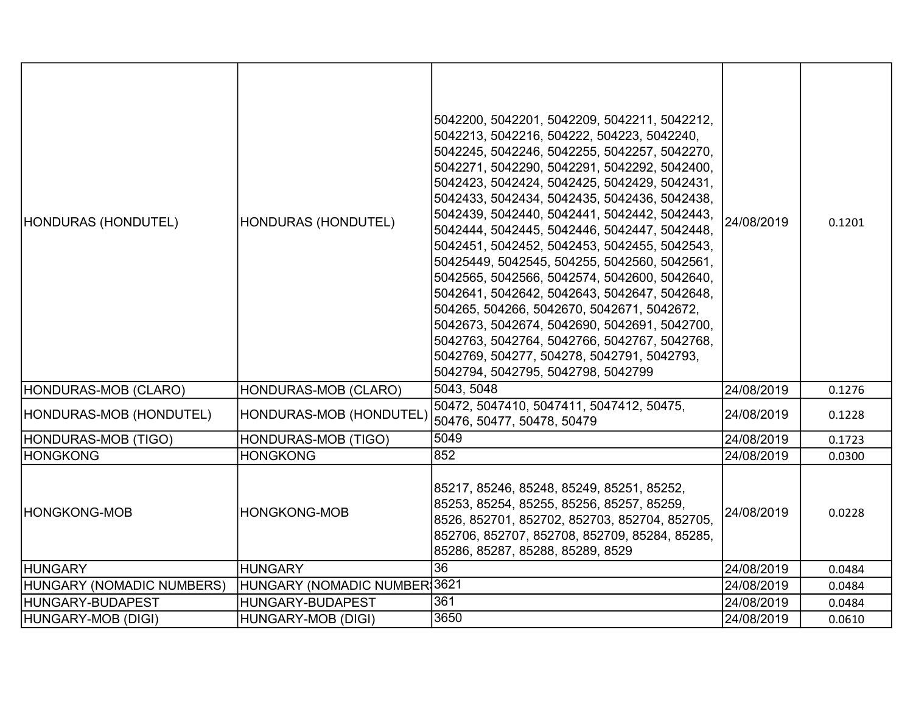| HONDURAS (HONDUTEL)       | <b>HONDURAS (HONDUTEL)</b>   | 5042200, 5042201, 5042209, 5042211, 5042212,<br>5042213, 5042216, 504222, 504223, 5042240,<br>5042245, 5042246, 5042255, 5042257, 5042270,<br>5042271, 5042290, 5042291, 5042292, 5042400,<br>5042423, 5042424, 5042425, 5042429, 5042431,<br>5042433, 5042434, 5042435, 5042436, 5042438,<br>5042439, 5042440, 5042441, 5042442, 5042443,<br>5042444, 5042445, 5042446, 5042447, 5042448,<br>5042451, 5042452, 5042453, 5042455, 5042543,<br>50425449, 5042545, 504255, 5042560, 5042561,<br>5042565, 5042566, 5042574, 5042600, 5042640,<br>5042641, 5042642, 5042643, 5042647, 5042648,<br>504265, 504266, 5042670, 5042671, 5042672,<br>5042673, 5042674, 5042690, 5042691, 5042700,<br>5042763, 5042764, 5042766, 5042767, 5042768,<br>5042769, 504277, 504278, 5042791, 5042793,<br>5042794, 5042795, 5042798, 5042799 | 24/08/2019 | 0.1201 |
|---------------------------|------------------------------|------------------------------------------------------------------------------------------------------------------------------------------------------------------------------------------------------------------------------------------------------------------------------------------------------------------------------------------------------------------------------------------------------------------------------------------------------------------------------------------------------------------------------------------------------------------------------------------------------------------------------------------------------------------------------------------------------------------------------------------------------------------------------------------------------------------------------|------------|--------|
| HONDURAS-MOB (CLARO)      | HONDURAS-MOB (CLARO)         | 5043, 5048                                                                                                                                                                                                                                                                                                                                                                                                                                                                                                                                                                                                                                                                                                                                                                                                                   | 24/08/2019 | 0.1276 |
| HONDURAS-MOB (HONDUTEL)   | HONDURAS-MOB (HONDUTEL)      | 50472, 5047410, 5047411, 5047412, 50475,<br>50476, 50477, 50478, 50479                                                                                                                                                                                                                                                                                                                                                                                                                                                                                                                                                                                                                                                                                                                                                       | 24/08/2019 | 0.1228 |
| HONDURAS-MOB (TIGO)       | <b>HONDURAS-MOB (TIGO)</b>   | 5049                                                                                                                                                                                                                                                                                                                                                                                                                                                                                                                                                                                                                                                                                                                                                                                                                         | 24/08/2019 | 0.1723 |
| <b>HONGKONG</b>           | <b>HONGKONG</b>              | 852                                                                                                                                                                                                                                                                                                                                                                                                                                                                                                                                                                                                                                                                                                                                                                                                                          | 24/08/2019 | 0.0300 |
| HONGKONG-MOB              | <b>HONGKONG-MOB</b>          | 85217, 85246, 85248, 85249, 85251, 85252,<br>85253, 85254, 85255, 85256, 85257, 85259,<br>8526, 852701, 852702, 852703, 852704, 852705,<br>852706, 852707, 852708, 852709, 85284, 85285,<br>85286, 85287, 85288, 85289, 8529                                                                                                                                                                                                                                                                                                                                                                                                                                                                                                                                                                                                 | 24/08/2019 | 0.0228 |
| <b>HUNGARY</b>            | <b>HUNGARY</b>               | 36                                                                                                                                                                                                                                                                                                                                                                                                                                                                                                                                                                                                                                                                                                                                                                                                                           | 24/08/2019 | 0.0484 |
| HUNGARY (NOMADIC NUMBERS) | HUNGARY (NOMADIC NUMBER 3621 |                                                                                                                                                                                                                                                                                                                                                                                                                                                                                                                                                                                                                                                                                                                                                                                                                              | 24/08/2019 | 0.0484 |
| HUNGARY-BUDAPEST          | HUNGARY-BUDAPEST             | 361                                                                                                                                                                                                                                                                                                                                                                                                                                                                                                                                                                                                                                                                                                                                                                                                                          | 24/08/2019 | 0.0484 |
| HUNGARY-MOB (DIGI)        | HUNGARY-MOB (DIGI)           | 3650                                                                                                                                                                                                                                                                                                                                                                                                                                                                                                                                                                                                                                                                                                                                                                                                                         | 24/08/2019 | 0.0610 |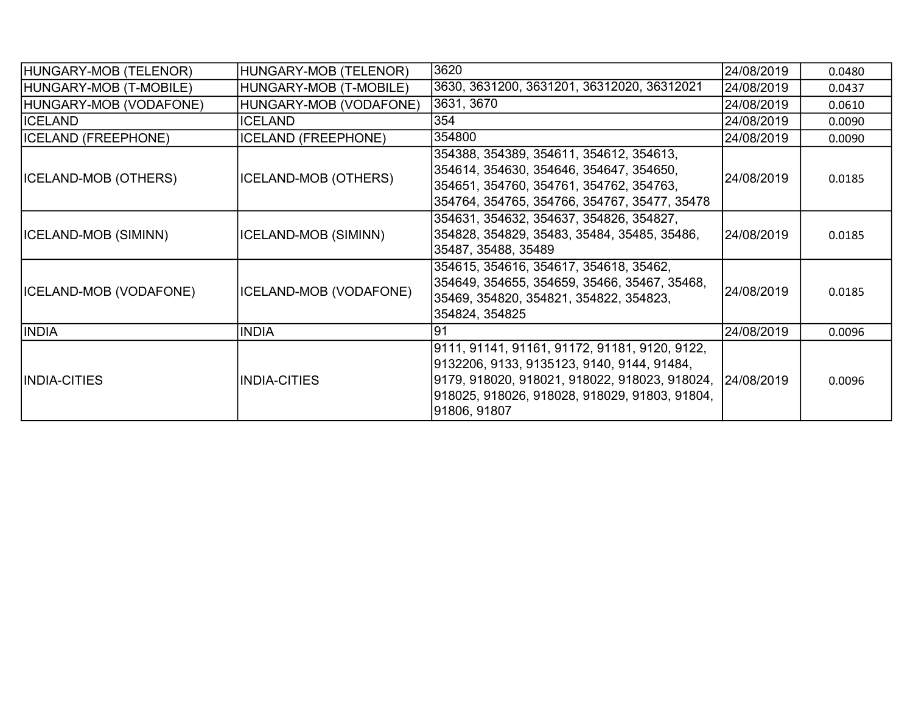| HUNGARY-MOB (TELENOR)         | HUNGARY-MOB (TELENOR)      | 3620                                                                                                                                                                                                           | 24/08/2019 | 0.0480 |
|-------------------------------|----------------------------|----------------------------------------------------------------------------------------------------------------------------------------------------------------------------------------------------------------|------------|--------|
| HUNGARY-MOB (T-MOBILE)        | HUNGARY-MOB (T-MOBILE)     | 3630, 3631200, 3631201, 36312020, 36312021                                                                                                                                                                     | 24/08/2019 | 0.0437 |
| HUNGARY-MOB (VODAFONE)        | HUNGARY-MOB (VODAFONE)     | 3631, 3670                                                                                                                                                                                                     | 24/08/2019 | 0.0610 |
| ICELAND                       | <b>ICELAND</b>             | 354                                                                                                                                                                                                            | 24/08/2019 | 0.0090 |
| <b>ICELAND (FREEPHONE)</b>    | <b>ICELAND (FREEPHONE)</b> | 354800                                                                                                                                                                                                         | 24/08/2019 | 0.0090 |
| <b>ICELAND-MOB (OTHERS)</b>   | ICELAND-MOB (OTHERS)       | 354388, 354389, 354611, 354612, 354613,<br>354614, 354630, 354646, 354647, 354650,<br>354651, 354760, 354761, 354762, 354763,<br>354764, 354765, 354766, 354767, 35477, 35478                                  | 24/08/2019 | 0.0185 |
| ICELAND-MOB (SIMINN)          | ICELAND-MOB (SIMINN)       | 354631, 354632, 354637, 354826, 354827,<br>354828, 354829, 35483, 35484, 35485, 35486,<br>35487, 35488, 35489                                                                                                  | 24/08/2019 | 0.0185 |
| <b>ICELAND-MOB (VODAFONE)</b> | ICELAND-MOB (VODAFONE)     | 354615, 354616, 354617, 354618, 35462,<br>354649, 354655, 354659, 35466, 35467, 35468,<br>35469, 354820, 354821, 354822, 354823,<br>354824, 354825                                                             | 24/08/2019 | 0.0185 |
| <b>INDIA</b>                  | <b>INDIA</b>               | 91                                                                                                                                                                                                             | 24/08/2019 | 0.0096 |
| <b>INDIA-CITIES</b>           | <b>INDIA-CITIES</b>        | 9111, 91141, 91161, 91172, 91181, 9120, 9122,<br>9132206, 9133, 9135123, 9140, 9144, 91484,<br> 9179, 918020, 918021, 918022, 918023, 918024,<br>918025, 918026, 918028, 918029, 91803, 91804,<br>91806, 91807 | 24/08/2019 | 0.0096 |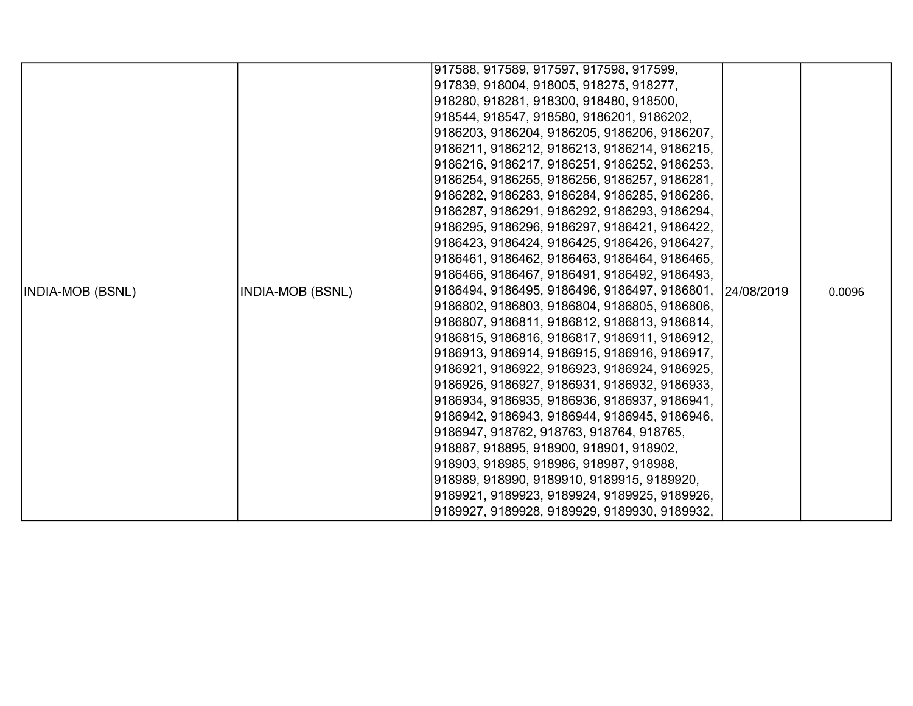|                         |                         | 917588, 917589, 917597, 917598, 917599,                  |        |
|-------------------------|-------------------------|----------------------------------------------------------|--------|
|                         |                         | 917839, 918004, 918005, 918275, 918277,                  |        |
|                         |                         | 918280, 918281, 918300, 918480, 918500,                  |        |
|                         |                         | 918544, 918547, 918580, 9186201, 9186202,                |        |
|                         |                         | 9186203, 9186204, 9186205, 9186206, 9186207,             |        |
|                         |                         | 9186211, 9186212, 9186213, 9186214, 9186215,             |        |
|                         |                         | 9186216, 9186217, 9186251, 9186252, 9186253,             |        |
|                         |                         | 9186254, 9186255, 9186256, 9186257, 9186281,             |        |
|                         |                         | 9186282, 9186283, 9186284, 9186285, 9186286,             |        |
|                         |                         | 9186287, 9186291, 9186292, 9186293, 9186294,             |        |
|                         |                         | 9186295, 9186296, 9186297, 9186421, 9186422,             |        |
|                         |                         | 9186423, 9186424, 9186425, 9186426, 9186427,             |        |
|                         |                         | 9186461, 9186462, 9186463, 9186464, 9186465,             |        |
|                         |                         | 9186466, 9186467, 9186491, 9186492, 9186493,             |        |
| <b>INDIA-MOB (BSNL)</b> | <b>INDIA-MOB (BSNL)</b> | 9186494, 9186495, 9186496, 9186497, 9186801, 124/08/2019 | 0.0096 |
|                         |                         | 9186802, 9186803, 9186804, 9186805, 9186806,             |        |
|                         |                         | 9186807, 9186811, 9186812, 9186813, 9186814,             |        |
|                         |                         | 9186815, 9186816, 9186817, 9186911, 9186912,             |        |
|                         |                         | 9186913, 9186914, 9186915, 9186916, 9186917,             |        |
|                         |                         | 9186921, 9186922, 9186923, 9186924, 9186925,             |        |
|                         |                         | 9186926, 9186927, 9186931, 9186932, 9186933,             |        |
|                         |                         | 9186934, 9186935, 9186936, 9186937, 9186941,             |        |
|                         |                         | 9186942, 9186943, 9186944, 9186945, 9186946,             |        |
|                         |                         | 9186947, 918762, 918763, 918764, 918765,                 |        |
|                         |                         | 918887, 918895, 918900, 918901, 918902,                  |        |
|                         |                         | 918903, 918985, 918986, 918987, 918988,                  |        |
|                         |                         | 918989, 918990, 9189910, 9189915, 9189920,               |        |
|                         |                         | 9189921, 9189923, 9189924, 9189925, 9189926,             |        |
|                         |                         | 9189927, 9189928, 9189929, 9189930, 9189932,             |        |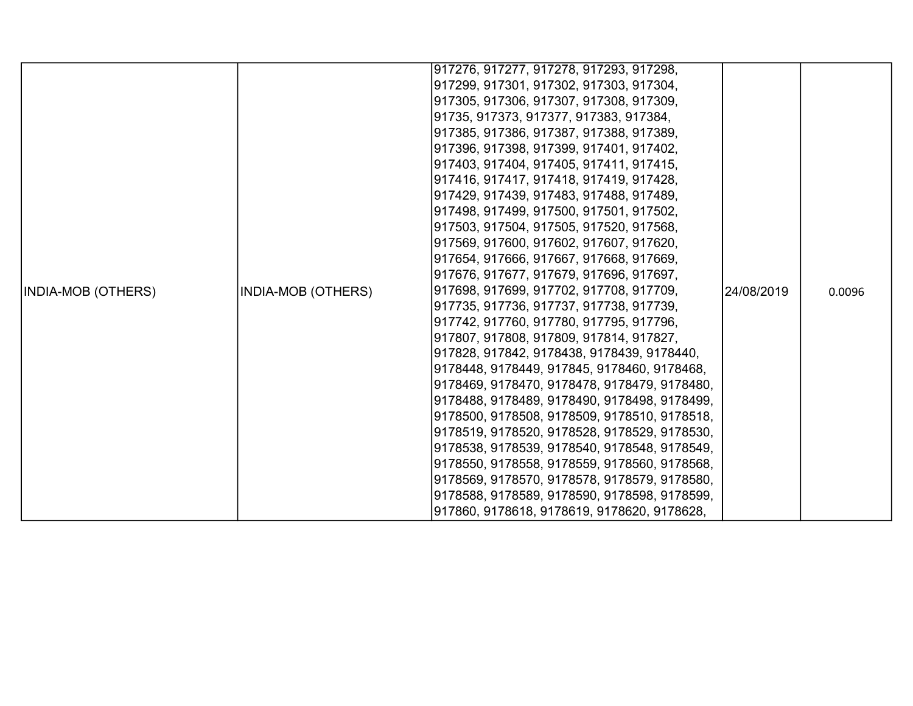|                           |                    | 917276, 917277, 917278, 917293, 917298,      |            |        |
|---------------------------|--------------------|----------------------------------------------|------------|--------|
|                           |                    | 917299, 917301, 917302, 917303, 917304,      |            |        |
|                           |                    | 917305, 917306, 917307, 917308, 917309,      |            |        |
|                           |                    | 91735, 917373, 917377, 917383, 917384,       |            |        |
|                           |                    | 917385, 917386, 917387, 917388, 917389,      |            |        |
|                           |                    | 917396, 917398, 917399, 917401, 917402,      |            |        |
|                           |                    | 917403, 917404, 917405, 917411, 917415,      |            |        |
|                           |                    | 917416, 917417, 917418, 917419, 917428,      |            |        |
|                           |                    | 917429, 917439, 917483, 917488, 917489,      |            |        |
|                           |                    | 917498, 917499, 917500, 917501, 917502,      |            |        |
|                           |                    | 917503, 917504, 917505, 917520, 917568,      |            |        |
|                           |                    | 917569, 917600, 917602, 917607, 917620,      |            |        |
|                           |                    | 917654, 917666, 917667, 917668, 917669,      |            |        |
|                           |                    | 917676, 917677, 917679, 917696, 917697,      |            |        |
| <b>INDIA-MOB (OTHERS)</b> | INDIA-MOB (OTHERS) | 917698, 917699, 917702, 917708, 917709,      | 24/08/2019 | 0.0096 |
|                           |                    | 917735, 917736, 917737, 917738, 917739,      |            |        |
|                           |                    | 917742, 917760, 917780, 917795, 917796,      |            |        |
|                           |                    | 917807, 917808, 917809, 917814, 917827,      |            |        |
|                           |                    | 917828, 917842, 9178438, 9178439, 9178440,   |            |        |
|                           |                    | 9178448, 9178449, 917845, 9178460, 9178468,  |            |        |
|                           |                    | 9178469, 9178470, 9178478, 9178479, 9178480, |            |        |
|                           |                    | 9178488, 9178489, 9178490, 9178498, 9178499, |            |        |
|                           |                    | 9178500, 9178508, 9178509, 9178510, 9178518, |            |        |
|                           |                    | 9178519, 9178520, 9178528, 9178529, 9178530, |            |        |
|                           |                    | 9178538, 9178539, 9178540, 9178548, 9178549, |            |        |
|                           |                    | 9178550, 9178558, 9178559, 9178560, 9178568, |            |        |
|                           |                    | 9178569, 9178570, 9178578, 9178579, 9178580, |            |        |
|                           |                    | 9178588, 9178589, 9178590, 9178598, 9178599, |            |        |
|                           |                    | 917860, 9178618, 9178619, 9178620, 9178628,  |            |        |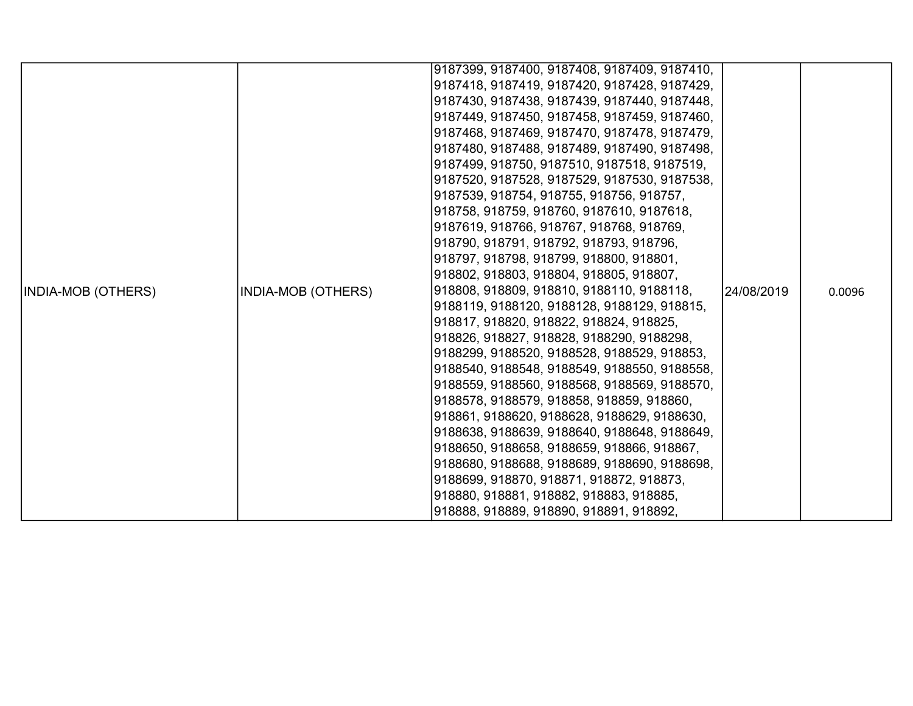|                    |                           | 9187399, 9187400, 9187408, 9187409, 9187410, |            |        |
|--------------------|---------------------------|----------------------------------------------|------------|--------|
|                    |                           | 9187418, 9187419, 9187420, 9187428, 9187429, |            |        |
|                    |                           | 9187430, 9187438, 9187439, 9187440, 9187448, |            |        |
|                    |                           | 9187449, 9187450, 9187458, 9187459, 9187460, |            |        |
|                    |                           | 9187468, 9187469, 9187470, 9187478, 9187479, |            |        |
|                    |                           | 9187480, 9187488, 9187489, 9187490, 9187498, |            |        |
|                    |                           | 9187499, 918750, 9187510, 9187518, 9187519,  |            |        |
|                    |                           | 9187520, 9187528, 9187529, 9187530, 9187538, |            |        |
|                    |                           | 9187539, 918754, 918755, 918756, 918757,     |            |        |
|                    |                           | 918758, 918759, 918760, 9187610, 9187618,    |            |        |
|                    |                           | 9187619, 918766, 918767, 918768, 918769,     |            |        |
|                    |                           | 918790, 918791, 918792, 918793, 918796,      |            |        |
|                    |                           | 918797, 918798, 918799, 918800, 918801,      |            |        |
|                    |                           | 918802, 918803, 918804, 918805, 918807,      |            |        |
| INDIA-MOB (OTHERS) | <b>INDIA-MOB (OTHERS)</b> | 918808, 918809, 918810, 9188110, 9188118,    | 24/08/2019 | 0.0096 |
|                    |                           | 9188119, 9188120, 9188128, 9188129, 918815,  |            |        |
|                    |                           | 918817, 918820, 918822, 918824, 918825,      |            |        |
|                    |                           | 918826, 918827, 918828, 9188290, 9188298,    |            |        |
|                    |                           | 9188299, 9188520, 9188528, 9188529, 918853,  |            |        |
|                    |                           | 9188540, 9188548, 9188549, 9188550, 9188558, |            |        |
|                    |                           | 9188559, 9188560, 9188568, 9188569, 9188570, |            |        |
|                    |                           | 9188578, 9188579, 918858, 918859, 918860,    |            |        |
|                    |                           | 918861, 9188620, 9188628, 9188629, 9188630,  |            |        |
|                    |                           | 9188638, 9188639, 9188640, 9188648, 9188649, |            |        |
|                    |                           | 9188650, 9188658, 9188659, 918866, 918867,   |            |        |
|                    |                           | 9188680, 9188688, 9188689, 9188690, 9188698, |            |        |
|                    |                           | 9188699, 918870, 918871, 918872, 918873,     |            |        |
|                    |                           | 918880, 918881, 918882, 918883, 918885,      |            |        |
|                    |                           | 918888, 918889, 918890, 918891, 918892,      |            |        |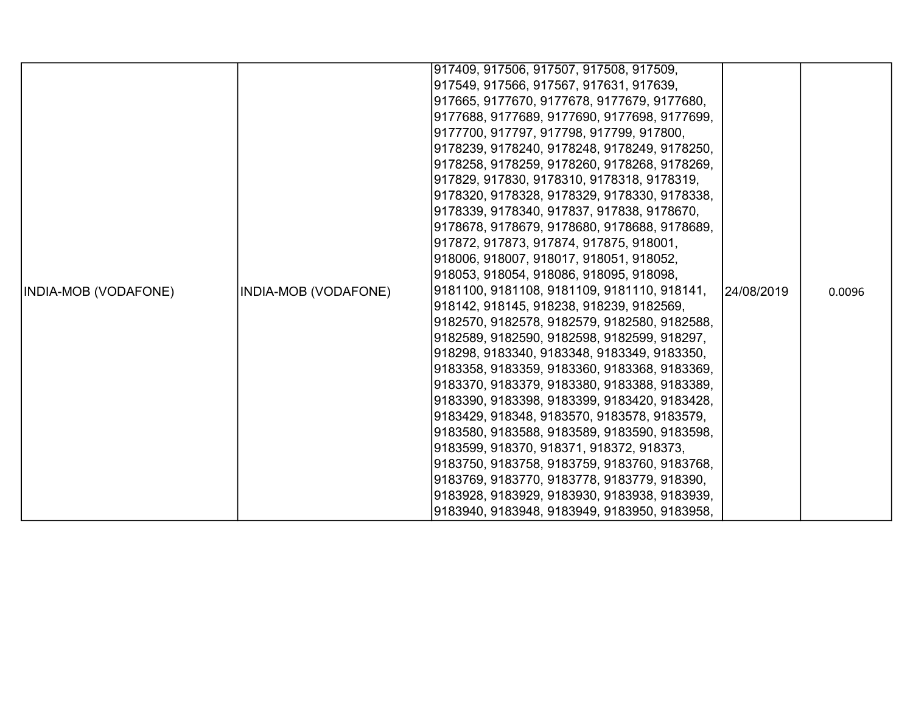|                      |                      | 917409, 917506, 917507, 917508, 917509,      |            |        |
|----------------------|----------------------|----------------------------------------------|------------|--------|
|                      |                      | 917549, 917566, 917567, 917631, 917639,      |            |        |
|                      |                      | 917665, 9177670, 9177678, 9177679, 9177680,  |            |        |
|                      |                      | 9177688, 9177689, 9177690, 9177698, 9177699, |            |        |
|                      |                      | 9177700, 917797, 917798, 917799, 917800,     |            |        |
|                      |                      | 9178239, 9178240, 9178248, 9178249, 9178250, |            |        |
|                      |                      | 9178258, 9178259, 9178260, 9178268, 9178269, |            |        |
|                      |                      | 917829, 917830, 9178310, 9178318, 9178319,   |            |        |
|                      |                      | 9178320, 9178328, 9178329, 9178330, 9178338, |            |        |
|                      |                      | 9178339, 9178340, 917837, 917838, 9178670,   |            |        |
|                      |                      | 9178678, 9178679, 9178680, 9178688, 9178689, |            |        |
|                      |                      | 917872, 917873, 917874, 917875, 918001,      |            |        |
|                      |                      | 918006, 918007, 918017, 918051, 918052,      |            |        |
|                      |                      | 918053, 918054, 918086, 918095, 918098,      |            |        |
| INDIA-MOB (VODAFONE) | INDIA-MOB (VODAFONE) | 9181100, 9181108, 9181109, 9181110, 918141,  | 24/08/2019 | 0.0096 |
|                      |                      | 918142, 918145, 918238, 918239, 9182569,     |            |        |
|                      |                      | 9182570, 9182578, 9182579, 9182580, 9182588, |            |        |
|                      |                      | 9182589, 9182590, 9182598, 9182599, 918297,  |            |        |
|                      |                      | 918298, 9183340, 9183348, 9183349, 9183350,  |            |        |
|                      |                      | 9183358, 9183359, 9183360, 9183368, 9183369, |            |        |
|                      |                      | 9183370, 9183379, 9183380, 9183388, 9183389, |            |        |
|                      |                      | 9183390, 9183398, 9183399, 9183420, 9183428, |            |        |
|                      |                      | 9183429, 918348, 9183570, 9183578, 9183579,  |            |        |
|                      |                      | 9183580, 9183588, 9183589, 9183590, 9183598, |            |        |
|                      |                      | 9183599, 918370, 918371, 918372, 918373,     |            |        |
|                      |                      | 9183750, 9183758, 9183759, 9183760, 9183768, |            |        |
|                      |                      | 9183769, 9183770, 9183778, 9183779, 918390,  |            |        |
|                      |                      | 9183928, 9183929, 9183930, 9183938, 9183939, |            |        |
|                      |                      | 9183940, 9183948, 9183949, 9183950, 9183958, |            |        |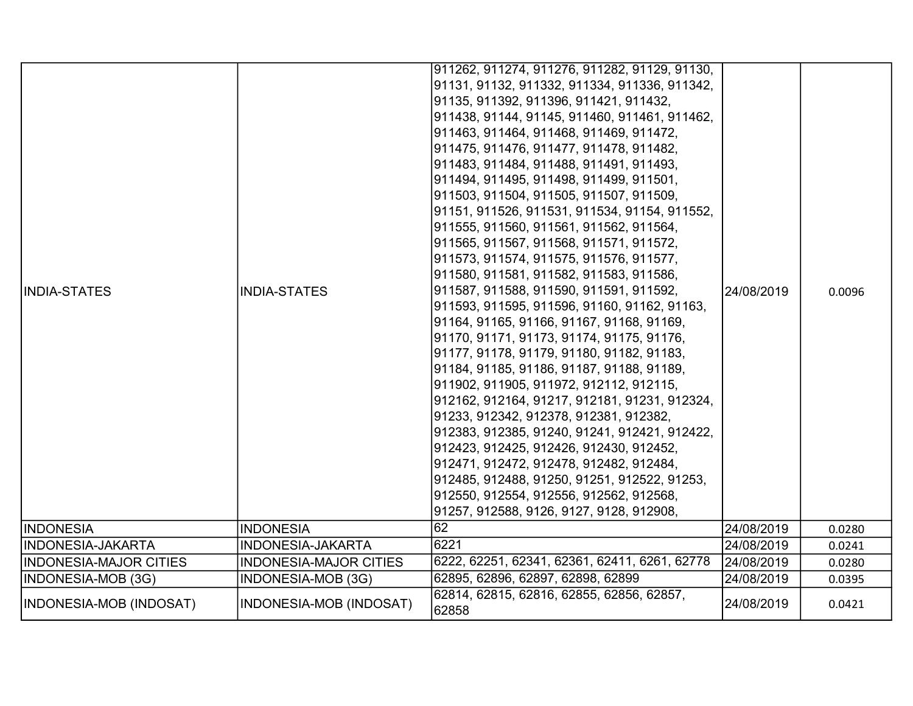| <b>IINDIA-STATES</b>    | <b>INDIA-STATES</b>           | 911262, 911274, 911276, 911282, 91129, 91130,<br>91131, 91132, 911332, 911334, 911336, 911342,<br>91135, 911392, 911396, 911421, 911432,<br>911438, 91144, 91145, 911460, 911461, 911462,<br> 911463, 911464, 911468, 911469, 911472,<br>911475, 911476, 911477, 911478, 911482,<br> 911483, 911484, 911488, 911491, 911493,<br>911494, 911495, 911498, 911499, 911501,<br>911503, 911504, 911505, 911507, 911509,<br>91151, 911526, 911531, 911534, 91154, 911552,<br>911555, 911560, 911561, 911562, 911564,<br> 911565, 911567, 911568, 911571, 911572,<br>911573, 911574, 911575, 911576, 911577,<br>911580, 911581, 911582, 911583, 911586,<br> 911587, 911588, 911590, 911591, 911592,<br>911593, 911595, 911596, 91160, 91162, 91163,<br>91164, 91165, 91166, 91167, 91168, 91169,<br>91170, 91171, 91173, 91174, 91175, 91176,<br>91177, 91178, 91179, 91180, 91182, 91183,<br>91184, 91185, 91186, 91187, 91188, 91189,<br>911902, 911905, 911972, 912112, 912115,<br>912162, 912164, 91217, 912181, 91231, 912324,<br>91233, 912342, 912378, 912381, 912382,<br>912383, 912385, 91240, 91241, 912421, 912422,<br>912423, 912425, 912426, 912430, 912452,<br>912471, 912472, 912478, 912482, 912484,<br>912485, 912488, 91250, 91251, 912522, 91253,<br>912550, 912554, 912556, 912562, 912568,<br>91257, 912588, 9126, 9127, 9128, 912908, | l24/08/2019 | 0.0096 |
|-------------------------|-------------------------------|------------------------------------------------------------------------------------------------------------------------------------------------------------------------------------------------------------------------------------------------------------------------------------------------------------------------------------------------------------------------------------------------------------------------------------------------------------------------------------------------------------------------------------------------------------------------------------------------------------------------------------------------------------------------------------------------------------------------------------------------------------------------------------------------------------------------------------------------------------------------------------------------------------------------------------------------------------------------------------------------------------------------------------------------------------------------------------------------------------------------------------------------------------------------------------------------------------------------------------------------------------------------------------------------------------------------------------------------------|-------------|--------|
| <b>INDONESIA</b>        | <b>INDONESIA</b>              | 62                                                                                                                                                                                                                                                                                                                                                                                                                                                                                                                                                                                                                                                                                                                                                                                                                                                                                                                                                                                                                                                                                                                                                                                                                                                                                                                                                   | 24/08/2019  | 0.0280 |
| INDONESIA-JAKARTA       | <b>INDONESIA-JAKARTA</b>      | 6221                                                                                                                                                                                                                                                                                                                                                                                                                                                                                                                                                                                                                                                                                                                                                                                                                                                                                                                                                                                                                                                                                                                                                                                                                                                                                                                                                 | 24/08/2019  | 0.0241 |
| INDONESIA-MAJOR CITIES  | <b>INDONESIA-MAJOR CITIES</b> | 6222, 62251, 62341, 62361, 62411, 6261, 62778                                                                                                                                                                                                                                                                                                                                                                                                                                                                                                                                                                                                                                                                                                                                                                                                                                                                                                                                                                                                                                                                                                                                                                                                                                                                                                        | 24/08/2019  | 0.0280 |
| INDONESIA-MOB (3G)      | INDONESIA-MOB (3G)            | 62895, 62896, 62897, 62898, 62899                                                                                                                                                                                                                                                                                                                                                                                                                                                                                                                                                                                                                                                                                                                                                                                                                                                                                                                                                                                                                                                                                                                                                                                                                                                                                                                    | 24/08/2019  | 0.0395 |
| INDONESIA-MOB (INDOSAT) | INDONESIA-MOB (INDOSAT)       | 62814, 62815, 62816, 62855, 62856, 62857,<br>62858                                                                                                                                                                                                                                                                                                                                                                                                                                                                                                                                                                                                                                                                                                                                                                                                                                                                                                                                                                                                                                                                                                                                                                                                                                                                                                   | 24/08/2019  | 0.0421 |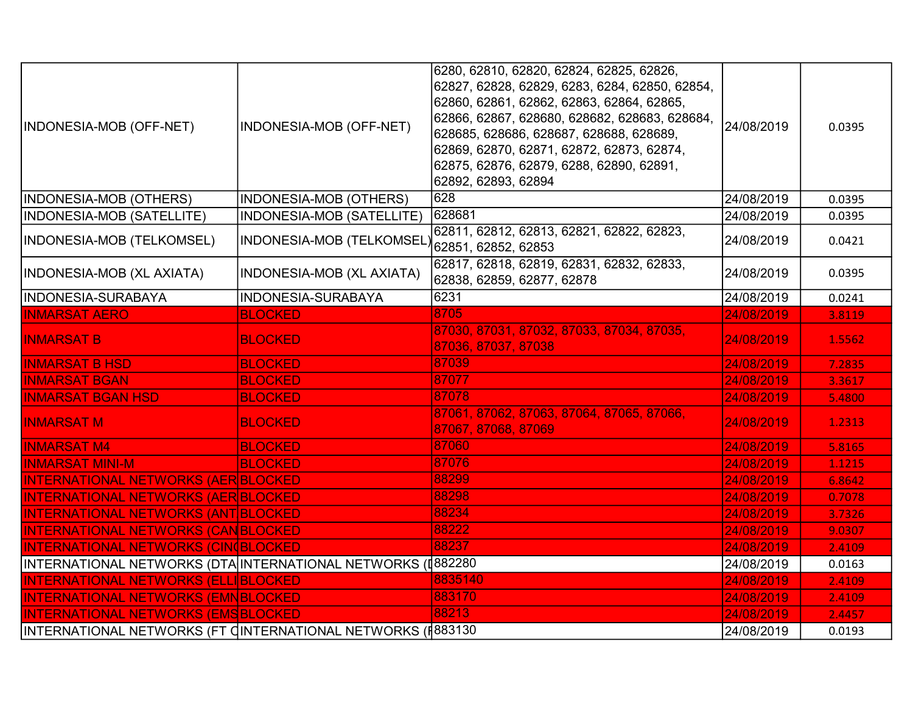| INDONESIA-MOB (OFF-NET)                                     | INDONESIA-MOB (OFF-NET)   | 6280, 62810, 62820, 62824, 62825, 62826,<br>62827, 62828, 62829, 6283, 6284, 62850, 62854,<br>62860, 62861, 62862, 62863, 62864, 62865,<br>62866, 62867, 628680, 628682, 628683, 628684,<br>628685, 628686, 628687, 628688, 628689,<br>62869, 62870, 62871, 62872, 62873, 62874,<br>62875, 62876, 62879, 6288, 62890, 62891,<br>62892, 62893, 62894 | 24/08/2019 | 0.0395 |
|-------------------------------------------------------------|---------------------------|-----------------------------------------------------------------------------------------------------------------------------------------------------------------------------------------------------------------------------------------------------------------------------------------------------------------------------------------------------|------------|--------|
| INDONESIA-MOB (OTHERS)                                      | INDONESIA-MOB (OTHERS)    | 628                                                                                                                                                                                                                                                                                                                                                 | 24/08/2019 | 0.0395 |
| <b>INDONESIA-MOB (SATELLITE)</b>                            | INDONESIA-MOB (SATELLITE) | 628681                                                                                                                                                                                                                                                                                                                                              | 24/08/2019 | 0.0395 |
| INDONESIA-MOB (TELKOMSEL)                                   | INDONESIA-MOB (TELKOMSEL  | 62811, 62812, 62813, 62821, 62822, 62823,<br>62851, 62852, 62853                                                                                                                                                                                                                                                                                    | 24/08/2019 | 0.0421 |
| INDONESIA-MOB (XL AXIATA)                                   | INDONESIA-MOB (XL AXIATA) | 62817, 62818, 62819, 62831, 62832, 62833,<br>62838, 62859, 62877, 62878                                                                                                                                                                                                                                                                             | 24/08/2019 | 0.0395 |
| INDONESIA-SURABAYA                                          | INDONESIA-SURABAYA        | 6231                                                                                                                                                                                                                                                                                                                                                | 24/08/2019 | 0.0241 |
| <b>INMARSAT AERO</b>                                        | <b>BLOCKED</b>            | 8705                                                                                                                                                                                                                                                                                                                                                | 24/08/2019 | 3.8119 |
| <b>INMARSAT B</b>                                           | <b>BLOCKED</b>            | 87030, 87031, 87032, 87033, 87034, 87035,<br>87036, 87037, 87038                                                                                                                                                                                                                                                                                    | 24/08/2019 | 1.5562 |
| <b>INMARSAT B HSD</b>                                       | <b>BLOCKED</b>            | 87039                                                                                                                                                                                                                                                                                                                                               | 24/08/2019 | 7.2835 |
| <b>INMARSAT BGAN</b>                                        | <b>BLOCKED</b>            | 87077                                                                                                                                                                                                                                                                                                                                               | 24/08/2019 | 3.3617 |
| <b>INMARSAT BGAN HSD</b>                                    | <b>BLOCKED</b>            | 87078                                                                                                                                                                                                                                                                                                                                               | 24/08/2019 | 5.4800 |
| <b>INMARSAT M</b>                                           | <b>BLOCKED</b>            | 87061, 87062, 87063, 87064, 87065, 87066,<br>87067, 87068, 87069                                                                                                                                                                                                                                                                                    | 24/08/2019 | 1.2313 |
| <b>INMARSAT M4</b>                                          | <b>BLOCKED</b>            | 87060                                                                                                                                                                                                                                                                                                                                               | 24/08/2019 | 5.8165 |
| <b>INMARSAT MINI-M</b>                                      | <b>BLOCKED</b>            | 87076                                                                                                                                                                                                                                                                                                                                               | 24/08/2019 | 1.1215 |
| <b>INTERNATIONAL NETWORKS (AER BLOCKED)</b>                 |                           | 88299                                                                                                                                                                                                                                                                                                                                               | 24/08/2019 | 6.8642 |
| <b>INTERNATIONAL NETWORKS (AER BLOCKED</b>                  |                           | 88298                                                                                                                                                                                                                                                                                                                                               | 24/08/2019 | 0.7078 |
| <b>INTERNATIONAL NETWORKS (ANT BLOCKED</b>                  |                           | 88234                                                                                                                                                                                                                                                                                                                                               | 24/08/2019 | 3.7326 |
| <b>INTERNATIONAL NETWORKS (CANBLOCKED)</b>                  |                           | 88222                                                                                                                                                                                                                                                                                                                                               | 24/08/2019 | 9.0307 |
| <b>INTERNATIONAL NETWORKS (CINOBLOCKED)</b>                 |                           | 88237                                                                                                                                                                                                                                                                                                                                               | 24/08/2019 | 2.4109 |
| INTERNATIONAL NETWORKS (DTA INTERNATIONAL NETWORKS (I882280 |                           |                                                                                                                                                                                                                                                                                                                                                     | 24/08/2019 | 0.0163 |
| <b>INTERNATIONAL NETWORKS (ELLIBLOCKED)</b>                 |                           | 8835140                                                                                                                                                                                                                                                                                                                                             | 24/08/2019 | 2.4109 |
| <b>INTERNATIONAL NETWORKS (EMNBLOCKED)</b>                  |                           | 883170                                                                                                                                                                                                                                                                                                                                              | 24/08/2019 | 2.4109 |
| <b>INTERNATIONAL NETWORKS (EMSBLOCKED)</b>                  |                           | 88213                                                                                                                                                                                                                                                                                                                                               | 24/08/2019 | 2.4457 |
| INTERNATIONAL NETWORKS (FT CINTERNATIONAL NETWORKS (I883130 |                           |                                                                                                                                                                                                                                                                                                                                                     | 24/08/2019 | 0.0193 |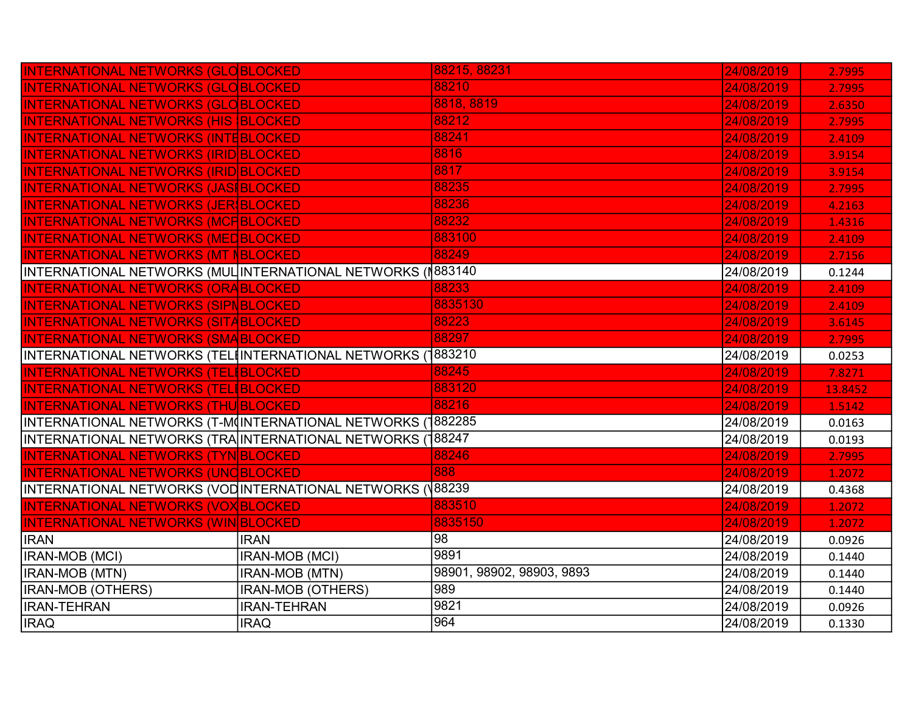| INTERNATIONAL NETWORKS (GLOBLOCKED                          |                          | 88215, 88231              | 24/08/2019 | 2.7995  |
|-------------------------------------------------------------|--------------------------|---------------------------|------------|---------|
| <b>INTERNATIONAL NETWORKS (GLOBLOCKED</b>                   |                          | 88210                     | 24/08/2019 | 2.7995  |
| <b>INTERNATIONAL NETWORKS (GLOBLOCKED</b>                   |                          | 8818, 8819                | 24/08/2019 | 2.6350  |
| <b>INTERNATIONAL NETWORKS (HIS BLOCKED</b>                  |                          | 88212                     | 24/08/2019 | 2.7995  |
| <b>INTERNATIONAL NETWORKS (INTEBLOCKED)</b>                 |                          | 88241                     | 24/08/2019 | 2.4109  |
| <b>INTERNATIONAL NETWORKS (IRID BLOCKED)</b>                |                          | 8816                      | 24/08/2019 | 3.9154  |
| <b>INTERNATIONAL NETWORKS (IRID BLOCKED</b>                 |                          | 8817                      | 24/08/2019 | 3.9154  |
| <b>INTERNATIONAL NETWORKS (JASIBLOCKED</b>                  |                          | 88235                     | 24/08/2019 | 2.7995  |
| INTERNATIONAL NETWORKS (JER BLOCKED                         |                          | 88236                     | 24/08/2019 | 4.2163  |
| <b>INTERNATIONAL NETWORKS (MCFIBLOCKED)</b>                 |                          | 88232                     | 24/08/2019 | 1.4316  |
| <b>INTERNATIONAL NETWORKS (MEDBLOCKED)</b>                  |                          | 883100                    | 24/08/2019 | 2.4109  |
| <b>INTERNATIONAL NETWORKS (MT NBLOCKED</b>                  |                          | 88249                     | 24/08/2019 | 2.7156  |
| INTERNATIONAL NETWORKS (MUL∫INTERNATIONAL NETWORKS (∥883140 |                          |                           | 24/08/2019 | 0.1244  |
| <b>INTERNATIONAL NETWORKS (ORABLOCKED</b>                   |                          | 88233                     | 24/08/2019 | 2.4109  |
| <b>INTERNATIONAL NETWORKS (SIPNBLOCKED)</b>                 |                          | 8835130                   | 24/08/2019 | 2.4109  |
| <b>INTERNATIONAL NETWORKS (SITABLOCKED)</b>                 |                          | 88223                     | 24/08/2019 | 3.6145  |
| INTERNATIONAL NETWORKS (SMABLOCKED                          |                          | 88297                     | 24/08/2019 | 2.7995  |
| INTERNATIONAL NETWORKS (TELIINTERNATIONAL NETWORKS (1       |                          | 883210                    | 24/08/2019 | 0.0253  |
| <b>INTERNATIONAL NETWORKS (TELIBLOCKED</b>                  |                          | 88245                     | 24/08/2019 | 7.8271  |
| <b>INTERNATIONAL NETWORKS (TEL BLOCKED)</b>                 |                          | 883120                    | 24/08/2019 | 13.8452 |
| <b>INTERNATIONAL NETWORKS (THU BLOCKED</b>                  |                          | 88216                     | 24/08/2019 | 1.5142  |
| INTERNATIONAL NETWORKS (T-M(INTERNATIONAL NETWORKS)         |                          | 1882285                   | 24/08/2019 | 0.0163  |
| INTERNATIONAL NETWORKS (TRA INTERNATIONAL NETWORKS (1       |                          | 88247                     | 24/08/2019 | 0.0193  |
| <b>INTERNATIONAL NETWORKS (TYN BLOCKED)</b>                 |                          | 88246                     | 24/08/2019 | 2.7995  |
| <b>INTERNATIONAL NETWORKS (UNCBLOCKED)</b>                  |                          | 888                       | 24/08/2019 | 1.2072  |
| INTERNATIONAL NETWORKS (VOD INTERNATIONAL NETWORKS (V88239  |                          |                           | 24/08/2019 | 0.4368  |
| <b>INTERNATIONAL NETWORKS (VOX BLOCKED)</b>                 |                          | 883510                    | 24/08/2019 | 1.2072  |
| <b>INTERNATIONAL NETWORKS (WIN BLOCKED</b>                  |                          | 8835150                   | 24/08/2019 | 1.2072  |
| <b>IRAN</b>                                                 | <b>IRAN</b>              | 98                        | 24/08/2019 | 0.0926  |
| IRAN-MOB (MCI)                                              | <b>IRAN-MOB (MCI)</b>    | 9891                      | 24/08/2019 | 0.1440  |
| <b>IRAN-MOB (MTN)</b>                                       | IRAN-MOB (MTN)           | 98901, 98902, 98903, 9893 | 24/08/2019 | 0.1440  |
| <b>IRAN-MOB (OTHERS)</b>                                    | <b>IRAN-MOB (OTHERS)</b> | 989                       | 24/08/2019 | 0.1440  |
| <b>IRAN-TEHRAN</b>                                          |                          |                           |            |         |
|                                                             | <b>IRAN-TEHRAN</b>       | 9821                      | 24/08/2019 | 0.0926  |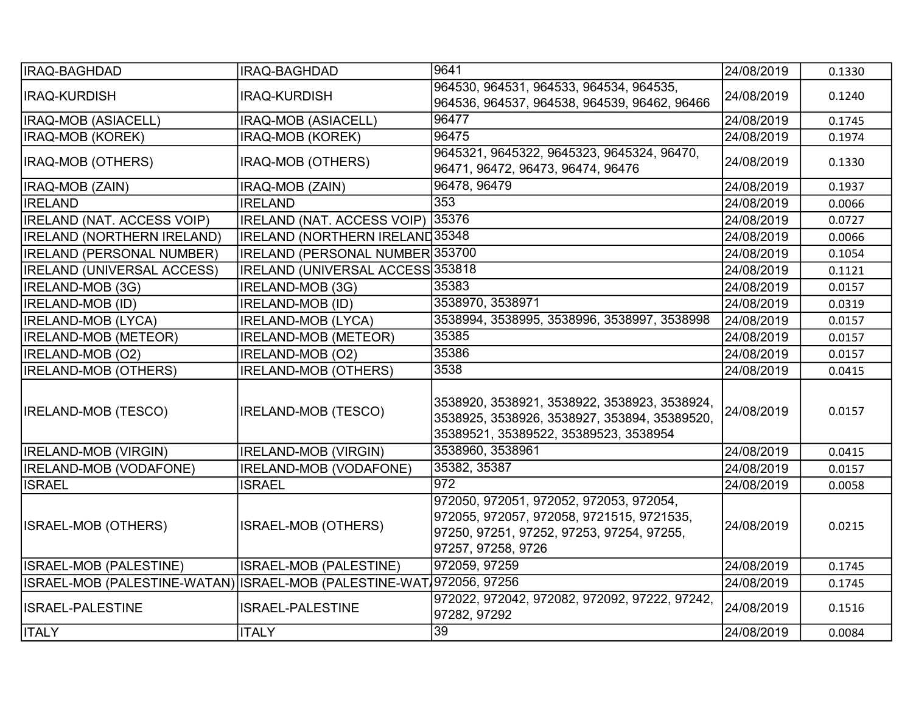| IRAQ-BAGHDAD                      | <b>IRAQ-BAGHDAD</b>                     | 9641                                                                                                                                                    | 24/08/2019 | 0.1330 |
|-----------------------------------|-----------------------------------------|---------------------------------------------------------------------------------------------------------------------------------------------------------|------------|--------|
| <b>IRAQ-KURDISH</b>               | <b>IRAQ-KURDISH</b>                     | 964530, 964531, 964533, 964534, 964535,<br>964536, 964537, 964538, 964539, 96462, 96466                                                                 | 24/08/2019 | 0.1240 |
| IRAQ-MOB (ASIACELL)               | IRAQ-MOB (ASIACELL)                     | 96477                                                                                                                                                   | 24/08/2019 | 0.1745 |
| <b>IRAQ-MOB (KOREK)</b>           | IRAQ-MOB (KOREK)                        | 96475                                                                                                                                                   | 24/08/2019 | 0.1974 |
| IRAQ-MOB (OTHERS)                 | IRAQ-MOB (OTHERS)                       | 9645321, 9645322, 9645323, 9645324, 96470,<br>96471, 96472, 96473, 96474, 96476                                                                         | 24/08/2019 | 0.1330 |
| IRAQ-MOB (ZAIN)                   | IRAQ-MOB (ZAIN)                         | 96478, 96479                                                                                                                                            | 24/08/2019 | 0.1937 |
| <b>IRELAND</b>                    | <b>IRELAND</b>                          | 353                                                                                                                                                     | 24/08/2019 | 0.0066 |
| <b>IRELAND (NAT. ACCESS VOIP)</b> | IRELAND (NAT. ACCESS VOIP)              | 35376                                                                                                                                                   | 24/08/2019 | 0.0727 |
| <b>IRELAND (NORTHERN IRELAND)</b> | <b>IRELAND (NORTHERN IRELAND35348)</b>  |                                                                                                                                                         | 24/08/2019 | 0.0066 |
| <b>IRELAND (PERSONAL NUMBER)</b>  | IRELAND (PERSONAL NUMBER 353700         |                                                                                                                                                         | 24/08/2019 | 0.1054 |
| <b>IRELAND (UNIVERSAL ACCESS)</b> | IRELAND (UNIVERSAL ACCESS 353818        |                                                                                                                                                         | 24/08/2019 | 0.1121 |
| IRELAND-MOB (3G)                  | IRELAND-MOB (3G)                        | 35383                                                                                                                                                   | 24/08/2019 | 0.0157 |
| <b>IRELAND-MOB (ID)</b>           | <b>IRELAND-MOB (ID)</b>                 | 3538970, 3538971                                                                                                                                        | 24/08/2019 | 0.0319 |
| <b>IRELAND-MOB (LYCA)</b>         | <b>IRELAND-MOB (LYCA)</b>               | 3538994, 3538995, 3538996, 3538997, 3538998                                                                                                             | 24/08/2019 | 0.0157 |
| <b>IRELAND-MOB (METEOR)</b>       | <b>IRELAND-MOB (METEOR)</b>             | 35385                                                                                                                                                   | 24/08/2019 | 0.0157 |
| IRELAND-MOB (O2)                  | IRELAND-MOB (O2)                        | 35386                                                                                                                                                   | 24/08/2019 | 0.0157 |
| <b>IRELAND-MOB (OTHERS)</b>       | <b>IRELAND-MOB (OTHERS)</b>             | 3538                                                                                                                                                    | 24/08/2019 | 0.0415 |
| <b>IRELAND-MOB (TESCO)</b>        | <b>IRELAND-MOB (TESCO)</b>              | 3538920, 3538921, 3538922, 3538923, 3538924,<br>3538925, 3538926, 3538927, 353894, 35389520,<br>35389521, 35389522, 35389523, 3538954                   | 24/08/2019 | 0.0157 |
| <b>IRELAND-MOB (VIRGIN)</b>       | <b>IRELAND-MOB (VIRGIN)</b>             | 3538960, 3538961                                                                                                                                        | 24/08/2019 | 0.0415 |
| IRELAND-MOB (VODAFONE)            | <b>IRELAND-MOB (VODAFONE)</b>           | 35382, 35387                                                                                                                                            | 24/08/2019 | 0.0157 |
| <b>ISRAEL</b>                     | <b>ISRAEL</b>                           | 972                                                                                                                                                     | 24/08/2019 | 0.0058 |
| <b>ISRAEL-MOB (OTHERS)</b>        | <b>ISRAEL-MOB (OTHERS)</b>              | 972050, 972051, 972052, 972053, 972054,<br>972055, 972057, 972058, 9721515, 9721535,<br>97250, 97251, 97252, 97253, 97254, 97255,<br>97257, 97258, 9726 | 24/08/2019 | 0.0215 |
| ISRAEL-MOB (PALESTINE)            | ISRAEL-MOB (PALESTINE)                  | 972059, 97259                                                                                                                                           | 24/08/2019 | 0.1745 |
| ISRAEL-MOB (PALESTINE-WATAN)      | ISRAEL-MOB (PALESTINE-WAT 972056, 97256 |                                                                                                                                                         | 24/08/2019 | 0.1745 |
| <b>ISRAEL-PALESTINE</b>           | <b>ISRAEL-PALESTINE</b>                 | 972022, 972042, 972082, 972092, 97222, 97242,<br>97282, 97292                                                                                           | 24/08/2019 | 0.1516 |
| <b>ITALY</b>                      | <b>ITALY</b>                            | $\overline{39}$                                                                                                                                         | 24/08/2019 | 0.0084 |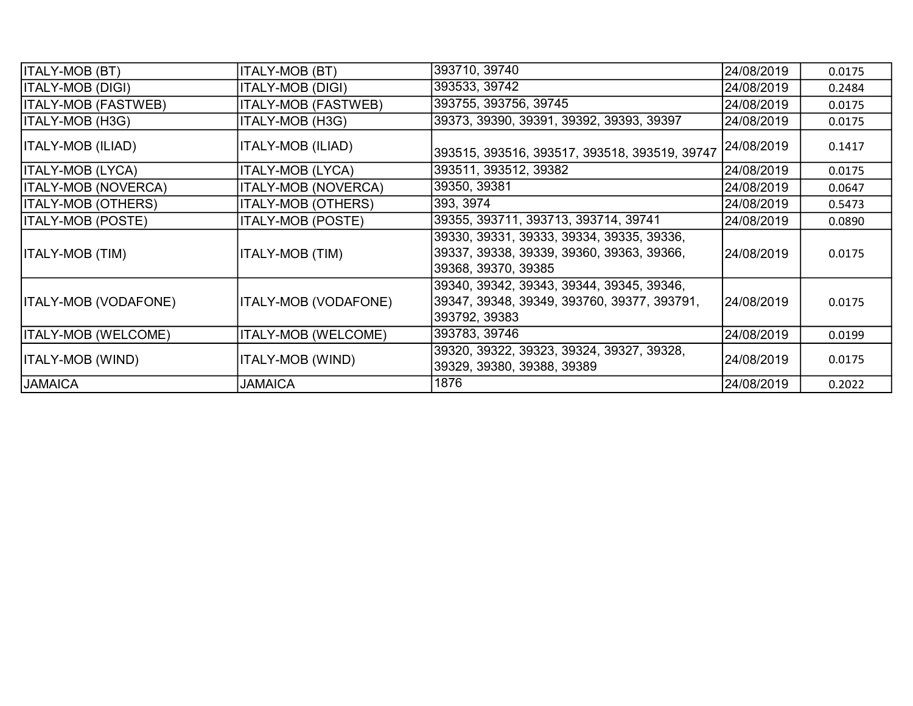| <b>ITALY-MOB (BT)</b>       | <b>ITALY-MOB (BT)</b>       | 393710, 39740                                                                                                 | 24/08/2019 | 0.0175 |
|-----------------------------|-----------------------------|---------------------------------------------------------------------------------------------------------------|------------|--------|
| ITALY-MOB (DIGI)            | <b>ITALY-MOB (DIGI)</b>     | 393533, 39742                                                                                                 | 24/08/2019 | 0.2484 |
| <b>ITALY-MOB (FASTWEB)</b>  | <b>ITALY-MOB (FASTWEB)</b>  | 393755, 393756, 39745                                                                                         | 24/08/2019 | 0.0175 |
| ITALY-MOB (H3G)             | <b>ITALY-MOB (H3G)</b>      | 39373, 39390, 39391, 39392, 39393, 39397                                                                      | 24/08/2019 | 0.0175 |
| ITALY-MOB (ILIAD)           | ITALY-MOB (ILIAD)           | 393515, 393516, 393517, 393518, 393519, 39747                                                                 | 24/08/2019 | 0.1417 |
| ITALY-MOB (LYCA)            | <b>ITALY-MOB (LYCA)</b>     | 393511, 393512, 39382                                                                                         | 24/08/2019 | 0.0175 |
| <b>ITALY-MOB (NOVERCA)</b>  | <b>ITALY-MOB (NOVERCA)</b>  | 39350, 39381                                                                                                  | 24/08/2019 | 0.0647 |
| <b>ITALY-MOB (OTHERS)</b>   | <b>ITALY-MOB (OTHERS)</b>   | 393, 3974                                                                                                     | 24/08/2019 | 0.5473 |
| <b>ITALY-MOB (POSTE)</b>    | <b>ITALY-MOB (POSTE)</b>    | 39355, 393711, 393713, 393714, 39741                                                                          | 24/08/2019 | 0.0890 |
| ITALY-MOB (TIM)             | <b>ITALY-MOB (TIM)</b>      | 39330, 39331, 39333, 39334, 39335, 39336,<br>39337, 39338, 39339, 39360, 39363, 39366,<br>39368, 39370, 39385 | 24/08/2019 | 0.0175 |
| <b>ITALY-MOB (VODAFONE)</b> | <b>ITALY-MOB (VODAFONE)</b> | 39340, 39342, 39343, 39344, 39345, 39346,<br>39347, 39348, 39349, 393760, 39377, 393791,<br>393792, 39383     | 24/08/2019 | 0.0175 |
| <b>ITALY-MOB (WELCOME)</b>  | <b>ITALY-MOB (WELCOME)</b>  | 393783, 39746                                                                                                 | 24/08/2019 | 0.0199 |
| ITALY-MOB (WIND)            | ITALY-MOB (WIND)            | 39320, 39322, 39323, 39324, 39327, 39328,<br>39329, 39380, 39388, 39389                                       | 24/08/2019 | 0.0175 |
| <b>JAMAICA</b>              | <b>JAMAICA</b>              | 1876                                                                                                          | 24/08/2019 | 0.2022 |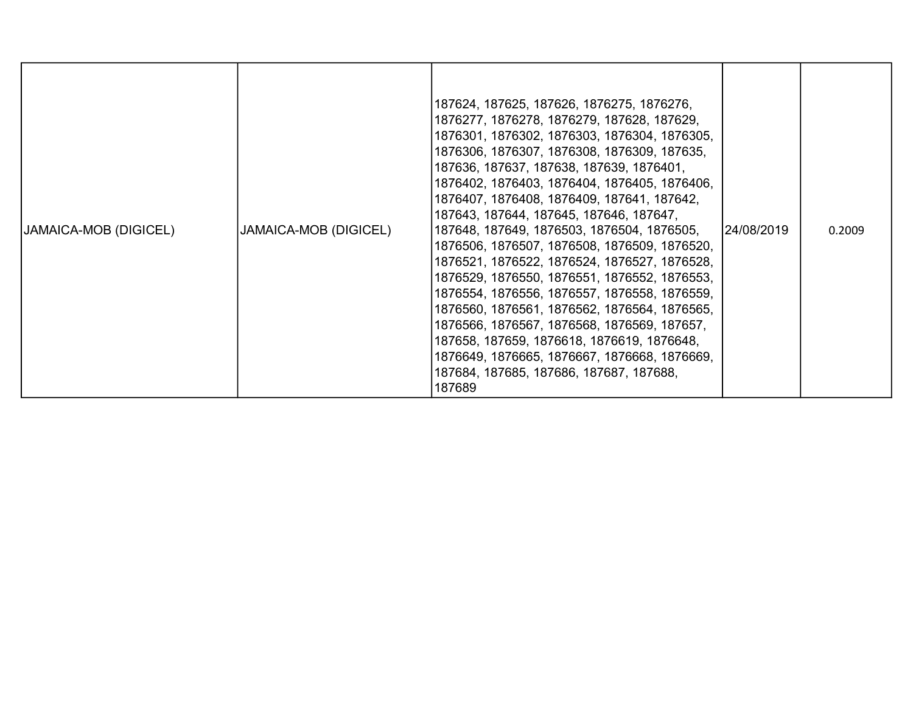| <b>JAMAICA-MOB (DIGICEL)</b> | JAMAICA-MOB (DIGICEL) | 187624, 187625, 187626, 1876275, 1876276,<br>1876277, 1876278, 1876279, 187628, 187629,<br>1876301, 1876302, 1876303, 1876304, 1876305,<br>1876306, 1876307, 1876308, 1876309, 187635,<br>187636, 187637, 187638, 187639, 1876401,<br>1876402, 1876403, 1876404, 1876405, 1876406,<br>1876407, 1876408, 1876409, 187641, 187642,<br>187643, 187644, 187645, 187646, 187647,<br>187648, 187649, 1876503, 1876504, 1876505,<br>1876506, 1876507, 1876508, 1876509, 1876520,<br>1876521, 1876522, 1876524, 1876527, 1876528,<br>1876529, 1876550, 1876551, 1876552, 1876553,<br>1876554, 1876556, 1876557, 1876558, 1876559,<br>1876560, 1876561, 1876562, 1876564, 1876565,<br>1876566, 1876567, 1876568, 1876569, 187657,<br>187658, 187659, 1876618, 1876619, 1876648,<br>1876649, 1876665, 1876667, 1876668, 1876669,<br>187684, 187685, 187686, 187687, 187688,<br>187689 | 24/08/2019 | 0.2009 |
|------------------------------|-----------------------|-----------------------------------------------------------------------------------------------------------------------------------------------------------------------------------------------------------------------------------------------------------------------------------------------------------------------------------------------------------------------------------------------------------------------------------------------------------------------------------------------------------------------------------------------------------------------------------------------------------------------------------------------------------------------------------------------------------------------------------------------------------------------------------------------------------------------------------------------------------------------------|------------|--------|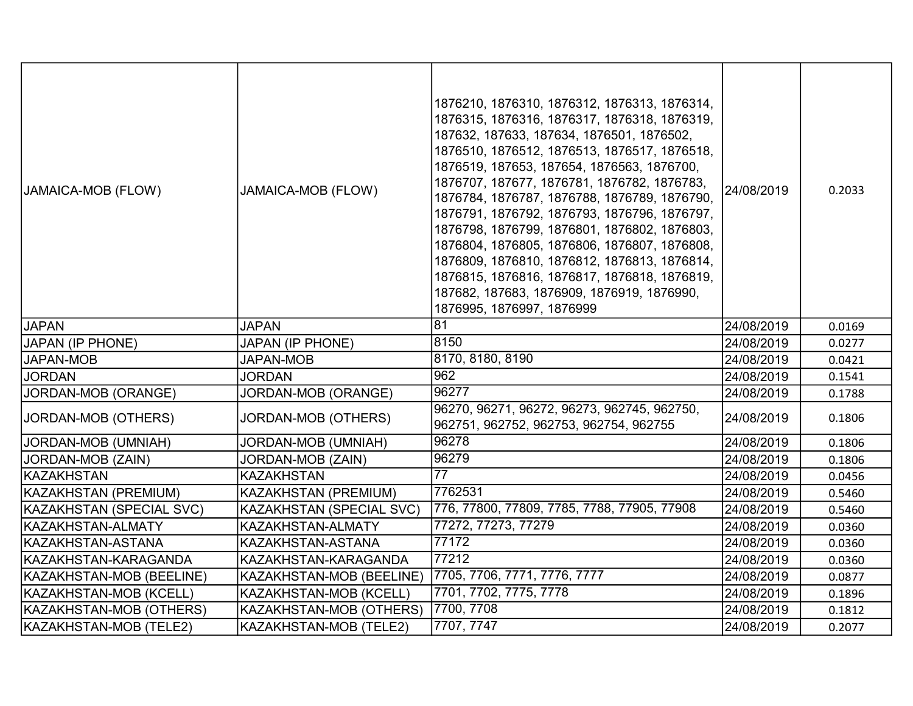| JAMAICA-MOB (FLOW)       | <b>JAMAICA-MOB (FLOW)</b>       | 1876210, 1876310, 1876312, 1876313, 1876314,<br>1876315, 1876316, 1876317, 1876318, 1876319,<br>187632, 187633, 187634, 1876501, 1876502,<br>1876510, 1876512, 1876513, 1876517, 1876518,<br>1876519, 187653, 187654, 1876563, 1876700,<br>1876707, 187677, 1876781, 1876782, 1876783,<br>1876784, 1876787, 1876788, 1876789, 1876790,<br>1876791, 1876792, 1876793, 1876796, 1876797,<br>1876798, 1876799, 1876801, 1876802, 1876803,<br>1876804, 1876805, 1876806, 1876807, 1876808,<br>1876809, 1876810, 1876812, 1876813, 1876814,<br>1876815, 1876816, 1876817, 1876818, 1876819,<br>187682, 187683, 1876909, 1876919, 1876990,<br>1876995, 1876997, 1876999 | 24/08/2019 | 0.2033 |
|--------------------------|---------------------------------|-------------------------------------------------------------------------------------------------------------------------------------------------------------------------------------------------------------------------------------------------------------------------------------------------------------------------------------------------------------------------------------------------------------------------------------------------------------------------------------------------------------------------------------------------------------------------------------------------------------------------------------------------------------------|------------|--------|
| <b>JAPAN</b>             | <b>JAPAN</b>                    | 81                                                                                                                                                                                                                                                                                                                                                                                                                                                                                                                                                                                                                                                                | 24/08/2019 | 0.0169 |
| <b>JAPAN (IP PHONE)</b>  | <b>JAPAN (IP PHONE)</b>         | 8150                                                                                                                                                                                                                                                                                                                                                                                                                                                                                                                                                                                                                                                              | 24/08/2019 | 0.0277 |
| <b>JAPAN-MOB</b>         | <b>JAPAN-MOB</b>                | 8170, 8180, 8190                                                                                                                                                                                                                                                                                                                                                                                                                                                                                                                                                                                                                                                  | 24/08/2019 | 0.0421 |
| <b>JORDAN</b>            | <b>JORDAN</b>                   | $\overline{962}$                                                                                                                                                                                                                                                                                                                                                                                                                                                                                                                                                                                                                                                  | 24/08/2019 | 0.1541 |
| JORDAN-MOB (ORANGE)      | JORDAN-MOB (ORANGE)             | 96277                                                                                                                                                                                                                                                                                                                                                                                                                                                                                                                                                                                                                                                             | 24/08/2019 | 0.1788 |
| JORDAN-MOB (OTHERS)      | JORDAN-MOB (OTHERS)             | 96270, 96271, 96272, 96273, 962745, 962750,<br>962751, 962752, 962753, 962754, 962755                                                                                                                                                                                                                                                                                                                                                                                                                                                                                                                                                                             | 24/08/2019 | 0.1806 |
| JORDAN-MOB (UMNIAH)      | JORDAN-MOB (UMNIAH)             | 96278                                                                                                                                                                                                                                                                                                                                                                                                                                                                                                                                                                                                                                                             | 24/08/2019 | 0.1806 |
| JORDAN-MOB (ZAIN)        | JORDAN-MOB (ZAIN)               | 96279                                                                                                                                                                                                                                                                                                                                                                                                                                                                                                                                                                                                                                                             | 24/08/2019 | 0.1806 |
| <b>KAZAKHSTAN</b>        | <b>KAZAKHSTAN</b>               | $\overline{77}$                                                                                                                                                                                                                                                                                                                                                                                                                                                                                                                                                                                                                                                   | 24/08/2019 | 0.0456 |
| KAZAKHSTAN (PREMIUM)     | KAZAKHSTAN (PREMIUM)            | 7762531                                                                                                                                                                                                                                                                                                                                                                                                                                                                                                                                                                                                                                                           | 24/08/2019 | 0.5460 |
| KAZAKHSTAN (SPECIAL SVC) | <b>KAZAKHSTAN (SPECIAL SVC)</b> | 776, 77800, 77809, 7785, 7788, 77905, 77908                                                                                                                                                                                                                                                                                                                                                                                                                                                                                                                                                                                                                       | 24/08/2019 | 0.5460 |
| KAZAKHSTAN-ALMATY        | KAZAKHSTAN-ALMATY               | 77272, 77273, 77279                                                                                                                                                                                                                                                                                                                                                                                                                                                                                                                                                                                                                                               | 24/08/2019 | 0.0360 |
| KAZAKHSTAN-ASTANA        | KAZAKHSTAN-ASTANA               | 77172                                                                                                                                                                                                                                                                                                                                                                                                                                                                                                                                                                                                                                                             | 24/08/2019 | 0.0360 |
| KAZAKHSTAN-KARAGANDA     | KAZAKHSTAN-KARAGANDA            | 77212                                                                                                                                                                                                                                                                                                                                                                                                                                                                                                                                                                                                                                                             | 24/08/2019 | 0.0360 |
| KAZAKHSTAN-MOB (BEELINE) | KAZAKHSTAN-MOB (BEELINE)        | 7705, 7706, 7771, 7776, 7777                                                                                                                                                                                                                                                                                                                                                                                                                                                                                                                                                                                                                                      | 24/08/2019 | 0.0877 |
| KAZAKHSTAN-MOB (KCELL)   | KAZAKHSTAN-MOB (KCELL)          | 7701, 7702, 7775, 7778                                                                                                                                                                                                                                                                                                                                                                                                                                                                                                                                                                                                                                            | 24/08/2019 | 0.1896 |
| KAZAKHSTAN-MOB (OTHERS)  | KAZAKHSTAN-MOB (OTHERS)         | 7700, 7708                                                                                                                                                                                                                                                                                                                                                                                                                                                                                                                                                                                                                                                        | 24/08/2019 | 0.1812 |
| KAZAKHSTAN-MOB (TELE2)   | KAZAKHSTAN-MOB (TELE2)          | 7707, 7747                                                                                                                                                                                                                                                                                                                                                                                                                                                                                                                                                                                                                                                        | 24/08/2019 | 0.2077 |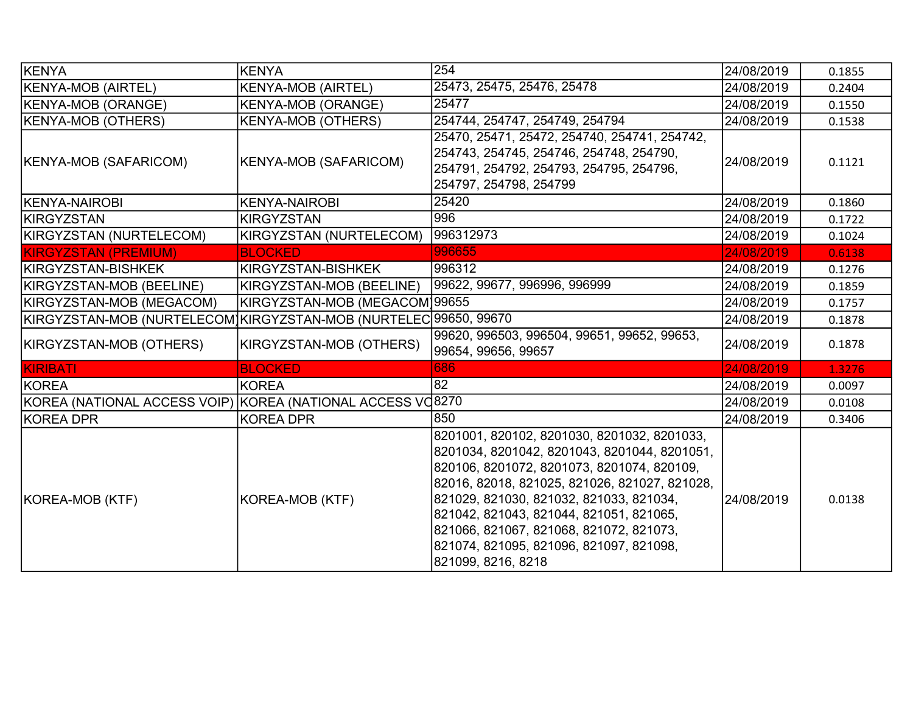| KENYA                                                            | <b>KENYA</b>                  | 254                                                                                                                                                                                                                                                                                                                                                                                          | 24/08/2019 | 0.1855 |
|------------------------------------------------------------------|-------------------------------|----------------------------------------------------------------------------------------------------------------------------------------------------------------------------------------------------------------------------------------------------------------------------------------------------------------------------------------------------------------------------------------------|------------|--------|
| <b>KENYA-MOB (AIRTEL)</b>                                        | <b>KENYA-MOB (AIRTEL)</b>     | 25473, 25475, 25476, 25478                                                                                                                                                                                                                                                                                                                                                                   | 24/08/2019 | 0.2404 |
| <b>KENYA-MOB (ORANGE)</b>                                        | <b>KENYA-MOB (ORANGE)</b>     | 25477                                                                                                                                                                                                                                                                                                                                                                                        | 24/08/2019 | 0.1550 |
| KENYA-MOB (OTHERS)                                               | <b>KENYA-MOB (OTHERS)</b>     | 254744, 254747, 254749, 254794                                                                                                                                                                                                                                                                                                                                                               | 24/08/2019 | 0.1538 |
| KENYA-MOB (SAFARICOM)                                            | <b>KENYA-MOB (SAFARICOM)</b>  | 25470, 25471, 25472, 254740, 254741, 254742,<br>254743, 254745, 254746, 254748, 254790,<br>254791, 254792, 254793, 254795, 254796,<br>254797, 254798, 254799                                                                                                                                                                                                                                 | 24/08/2019 | 0.1121 |
| KENYA-NAIROBI                                                    | <b>KENYA-NAIROBI</b>          | 25420                                                                                                                                                                                                                                                                                                                                                                                        | 24/08/2019 | 0.1860 |
| <b>IKIRGYZSTAN</b>                                               | <b>KIRGYZSTAN</b>             | 996                                                                                                                                                                                                                                                                                                                                                                                          | 24/08/2019 | 0.1722 |
| KIRGYZSTAN (NURTELECOM)                                          | KIRGYZSTAN (NURTELECOM)       | 996312973                                                                                                                                                                                                                                                                                                                                                                                    | 24/08/2019 | 0.1024 |
| <b>KIRGYZSTAN (PREMIUM)</b>                                      | <b>BLOCKED</b>                | 996655                                                                                                                                                                                                                                                                                                                                                                                       | 24/08/2019 | 0.6138 |
| KIRGYZSTAN-BISHKEK                                               | KIRGYZSTAN-BISHKEK            | 996312                                                                                                                                                                                                                                                                                                                                                                                       | 24/08/2019 | 0.1276 |
| KIRGYZSTAN-MOB (BEELINE)                                         | KIRGYZSTAN-MOB (BEELINE)      | 99622, 99677, 996996, 996999                                                                                                                                                                                                                                                                                                                                                                 | 24/08/2019 | 0.1859 |
| KIRGYZSTAN-MOB (MEGACOM)                                         | KIRGYZSTAN-MOB (MEGACOM)99655 |                                                                                                                                                                                                                                                                                                                                                                                              | 24/08/2019 | 0.1757 |
| KIRGYZSTAN-MOB (NURTELECOM]KIRGYZSTAN-MOB (NURTELEC 99650, 99670 |                               |                                                                                                                                                                                                                                                                                                                                                                                              | 24/08/2019 | 0.1878 |
| KIRGYZSTAN-MOB (OTHERS)                                          | KIRGYZSTAN-MOB (OTHERS)       | 99620, 996503, 996504, 99651, 99652, 99653,<br>99654, 99656, 99657                                                                                                                                                                                                                                                                                                                           | 24/08/2019 | 0.1878 |
| KIRIBATI                                                         | <b>BLOCKED</b>                | 686                                                                                                                                                                                                                                                                                                                                                                                          | 24/08/2019 | 1.3276 |
| KOREA                                                            | <b>KOREA</b>                  | 82                                                                                                                                                                                                                                                                                                                                                                                           | 24/08/2019 | 0.0097 |
| KOREA (NATIONAL ACCESS VOIP) KOREA (NATIONAL ACCESS VO8270       |                               |                                                                                                                                                                                                                                                                                                                                                                                              | 24/08/2019 | 0.0108 |
| KOREA DPR                                                        | <b>KOREA DPR</b>              | 850                                                                                                                                                                                                                                                                                                                                                                                          | 24/08/2019 | 0.3406 |
| KOREA-MOB (KTF)                                                  | KOREA-MOB (KTF)               | 8201001, 820102, 8201030, 8201032, 8201033,<br>8201034, 8201042, 8201043, 8201044, 8201051,<br>820106, 8201072, 8201073, 8201074, 820109,<br>82016, 82018, 821025, 821026, 821027, 821028,<br>821029, 821030, 821032, 821033, 821034,<br>821042, 821043, 821044, 821051, 821065,<br>821066, 821067, 821068, 821072, 821073,<br>821074, 821095, 821096, 821097, 821098,<br>821099, 8216, 8218 | 24/08/2019 | 0.0138 |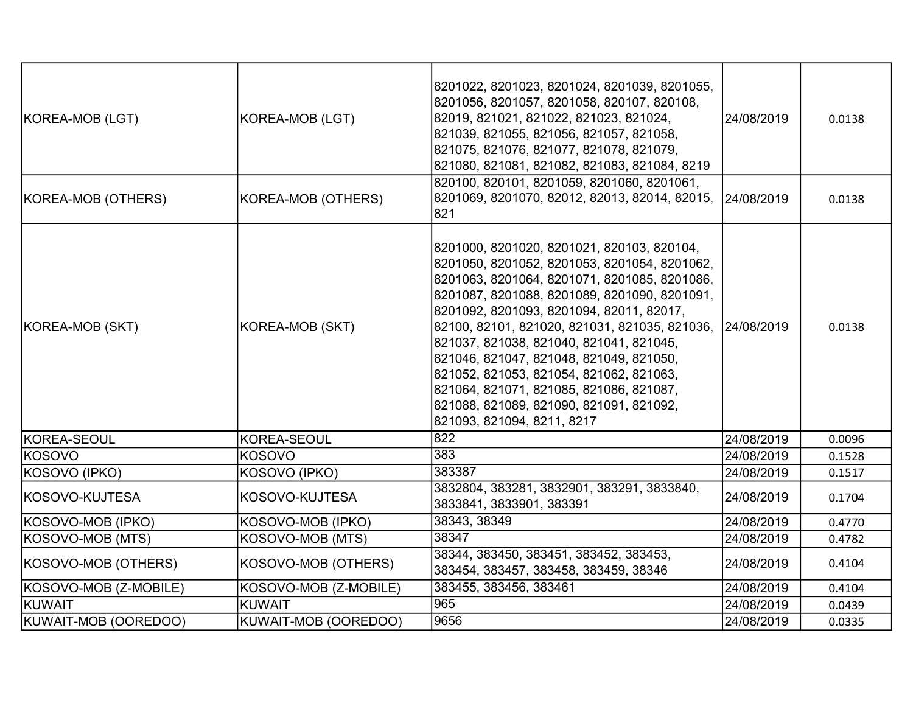| KOREA-MOB (LGT)       | KOREA-MOB (LGT)       | 8201022, 8201023, 8201024, 8201039, 8201055,<br>8201056, 8201057, 8201058, 820107, 820108,<br>82019, 821021, 821022, 821023, 821024,<br>821039, 821055, 821056, 821057, 821058,<br>821075, 821076, 821077, 821078, 821079,<br>821080, 821081, 821082, 821083, 821084, 8219                                                                                                                                                                                                                                                                              | 24/08/2019 | 0.0138 |
|-----------------------|-----------------------|---------------------------------------------------------------------------------------------------------------------------------------------------------------------------------------------------------------------------------------------------------------------------------------------------------------------------------------------------------------------------------------------------------------------------------------------------------------------------------------------------------------------------------------------------------|------------|--------|
| KOREA-MOB (OTHERS)    | KOREA-MOB (OTHERS)    | 820100, 820101, 8201059, 8201060, 8201061,<br>8201069, 8201070, 82012, 82013, 82014, 82015, 24/08/2019<br>821                                                                                                                                                                                                                                                                                                                                                                                                                                           |            | 0.0138 |
| KOREA-MOB (SKT)       | KOREA-MOB (SKT)       | 8201000, 8201020, 8201021, 820103, 820104,<br>8201050, 8201052, 8201053, 8201054, 8201062,<br>8201063, 8201064, 8201071, 8201085, 8201086,<br>8201087, 8201088, 8201089, 8201090, 8201091,<br>8201092, 8201093, 8201094, 82011, 82017,<br>82100, 82101, 821020, 821031, 821035, 821036, 24/08/2019<br>821037, 821038, 821040, 821041, 821045,<br>821046, 821047, 821048, 821049, 821050,<br>821052, 821053, 821054, 821062, 821063,<br>821064, 821071, 821085, 821086, 821087,<br>821088, 821089, 821090, 821091, 821092,<br>821093, 821094, 8211, 8217 |            | 0.0138 |
| KOREA-SEOUL           | KOREA-SEOUL           | 822                                                                                                                                                                                                                                                                                                                                                                                                                                                                                                                                                     | 24/08/2019 | 0.0096 |
| KOSOVO                | <b>KOSOVO</b>         | 383                                                                                                                                                                                                                                                                                                                                                                                                                                                                                                                                                     | 24/08/2019 | 0.1528 |
| KOSOVO (IPKO)         | KOSOVO (IPKO)         | 383387                                                                                                                                                                                                                                                                                                                                                                                                                                                                                                                                                  | 24/08/2019 | 0.1517 |
| KOSOVO-KUJTESA        | KOSOVO-KUJTESA        | 3832804, 383281, 3832901, 383291, 3833840,<br>3833841, 3833901, 383391                                                                                                                                                                                                                                                                                                                                                                                                                                                                                  | 24/08/2019 | 0.1704 |
| KOSOVO-MOB (IPKO)     | KOSOVO-MOB (IPKO)     | 38343, 38349                                                                                                                                                                                                                                                                                                                                                                                                                                                                                                                                            | 24/08/2019 | 0.4770 |
| KOSOVO-MOB (MTS)      | KOSOVO-MOB (MTS)      | 38347                                                                                                                                                                                                                                                                                                                                                                                                                                                                                                                                                   | 24/08/2019 | 0.4782 |
| KOSOVO-MOB (OTHERS)   | KOSOVO-MOB (OTHERS)   | 38344, 383450, 383451, 383452, 383453,<br>383454, 383457, 383458, 383459, 38346                                                                                                                                                                                                                                                                                                                                                                                                                                                                         | 24/08/2019 | 0.4104 |
| KOSOVO-MOB (Z-MOBILE) | KOSOVO-MOB (Z-MOBILE) | 383455, 383456, 383461                                                                                                                                                                                                                                                                                                                                                                                                                                                                                                                                  | 24/08/2019 | 0.4104 |
| KUWAIT                | <b>KUWAIT</b>         | 965                                                                                                                                                                                                                                                                                                                                                                                                                                                                                                                                                     | 24/08/2019 | 0.0439 |
| KUWAIT-MOB (OOREDOO)  | KUWAIT-MOB (OOREDOO)  | 9656                                                                                                                                                                                                                                                                                                                                                                                                                                                                                                                                                    | 24/08/2019 | 0.0335 |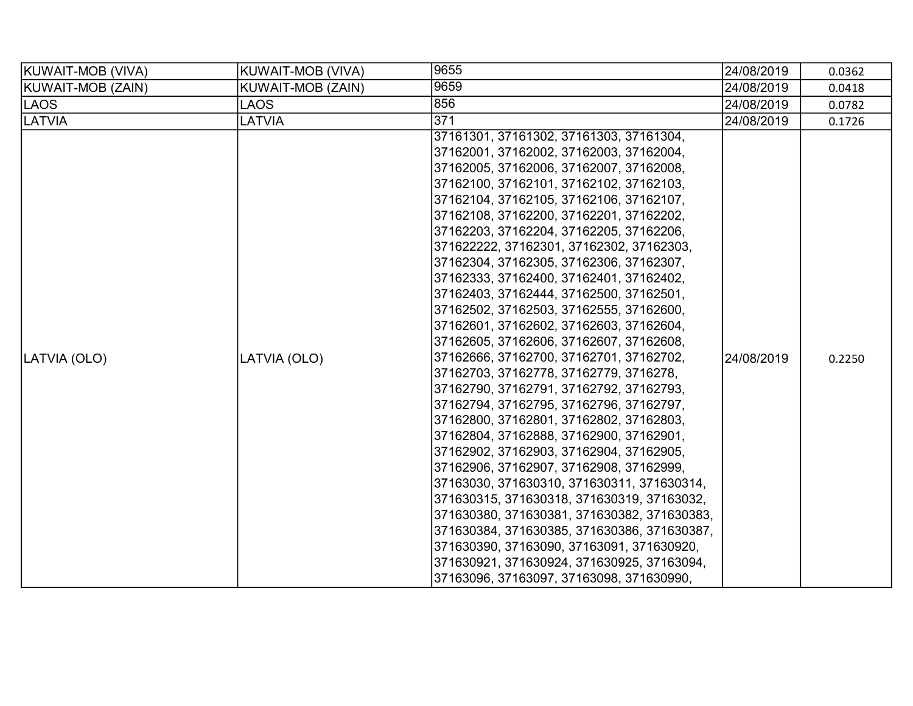| KUWAIT-MOB (VIVA) | <b>KUWAIT-MOB (VIVA)</b> | 9655                                                                                                                                                                                                                                                                                                                                                                                                                                                                                                                                                                                                                                                                                                                                                                                                                                                                                                                                                                                                                                                                                                                                                                                                                                                                                                             | 24/08/2019 | 0.0362 |
|-------------------|--------------------------|------------------------------------------------------------------------------------------------------------------------------------------------------------------------------------------------------------------------------------------------------------------------------------------------------------------------------------------------------------------------------------------------------------------------------------------------------------------------------------------------------------------------------------------------------------------------------------------------------------------------------------------------------------------------------------------------------------------------------------------------------------------------------------------------------------------------------------------------------------------------------------------------------------------------------------------------------------------------------------------------------------------------------------------------------------------------------------------------------------------------------------------------------------------------------------------------------------------------------------------------------------------------------------------------------------------|------------|--------|
| KUWAIT-MOB (ZAIN) | <b>KUWAIT-MOB (ZAIN)</b> | 9659                                                                                                                                                                                                                                                                                                                                                                                                                                                                                                                                                                                                                                                                                                                                                                                                                                                                                                                                                                                                                                                                                                                                                                                                                                                                                                             | 24/08/2019 | 0.0418 |
| LAOS              | <b>LAOS</b>              | 856                                                                                                                                                                                                                                                                                                                                                                                                                                                                                                                                                                                                                                                                                                                                                                                                                                                                                                                                                                                                                                                                                                                                                                                                                                                                                                              | 24/08/2019 | 0.0782 |
| <b>LATVIA</b>     | <b>LATVIA</b>            | 371                                                                                                                                                                                                                                                                                                                                                                                                                                                                                                                                                                                                                                                                                                                                                                                                                                                                                                                                                                                                                                                                                                                                                                                                                                                                                                              | 24/08/2019 | 0.1726 |
| LATVIA (OLO)      | LATVIA (OLO)             | 37161301, 37161302, 37161303, 37161304,<br>37162001, 37162002, 37162003, 37162004,<br>37162005, 37162006, 37162007, 37162008,<br>37162100, 37162101, 37162102, 37162103,<br>37162104, 37162105, 37162106, 37162107,<br>37162108, 37162200, 37162201, 37162202,<br>37162203, 37162204, 37162205, 37162206,<br>371622222, 37162301, 37162302, 37162303,<br>37162304, 37162305, 37162306, 37162307,<br>37162333, 37162400, 37162401, 37162402,<br>37162403, 37162444, 37162500, 37162501,<br>37162502, 37162503, 37162555, 37162600,<br>37162601, 37162602, 37162603, 37162604,<br>37162605, 37162606, 37162607, 37162608,<br>37162666, 37162700, 37162701, 37162702,<br>37162703, 37162778, 37162779, 3716278,<br>37162790, 37162791, 37162792, 37162793,<br>37162794, 37162795, 37162796, 37162797,<br>37162800, 37162801, 37162802, 37162803,<br>37162804, 37162888, 37162900, 37162901,<br>37162902, 37162903, 37162904, 37162905,<br>37162906, 37162907, 37162908, 37162999,<br>37163030, 371630310, 371630311, 371630314,<br> 371630315, 371630318, 371630319, 37163032,<br>371630380, 371630381, 371630382, 371630383,<br>371630384, 371630385, 371630386, 371630387,<br>371630390, 37163090, 37163091, 371630920,<br>371630921, 371630924, 371630925, 37163094,<br>37163096, 37163097, 37163098, 371630990, | 24/08/2019 | 0.2250 |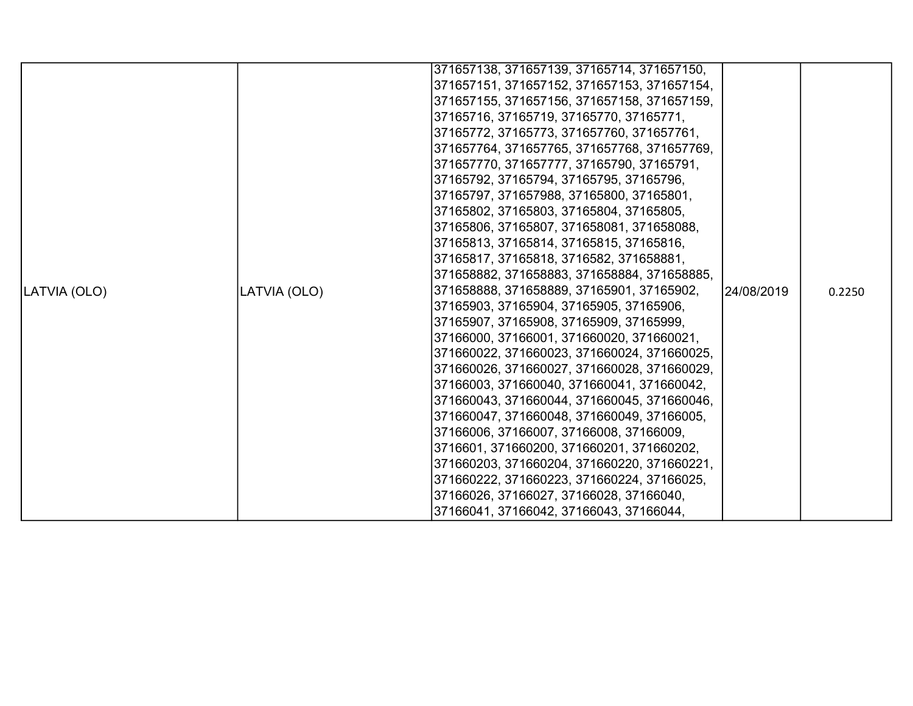|              |              | 371657138, 371657139, 37165714, 371657150,  |             |        |
|--------------|--------------|---------------------------------------------|-------------|--------|
|              |              | 371657151, 371657152, 371657153, 371657154, |             |        |
|              |              | 371657155, 371657156, 371657158, 371657159, |             |        |
|              |              | 37165716, 37165719, 37165770, 37165771,     |             |        |
|              |              | 37165772, 37165773, 371657760, 371657761,   |             |        |
|              |              | 371657764, 371657765, 371657768, 371657769, |             |        |
|              |              | 371657770, 371657777, 37165790, 37165791,   |             |        |
|              |              | 37165792, 37165794, 37165795, 37165796,     |             |        |
|              |              | 37165797, 371657988, 37165800, 37165801,    |             |        |
|              |              | 37165802, 37165803, 37165804, 37165805,     |             |        |
|              |              | 37165806, 37165807, 371658081, 371658088,   |             |        |
|              |              | 37165813, 37165814, 37165815, 37165816,     |             |        |
|              |              | 37165817, 37165818, 3716582, 371658881,     |             |        |
|              |              | 371658882, 371658883, 371658884, 371658885, |             |        |
| LATVIA (OLO) | LATVIA (OLO) | 371658888, 371658889, 37165901, 37165902,   | 124/08/2019 | 0.2250 |
|              |              | 37165903, 37165904, 37165905, 37165906,     |             |        |
|              |              | 37165907, 37165908, 37165909, 37165999,     |             |        |
|              |              | 37166000, 37166001, 371660020, 371660021,   |             |        |
|              |              | 371660022, 371660023, 371660024, 371660025, |             |        |
|              |              | 371660026, 371660027, 371660028, 371660029, |             |        |
|              |              | 37166003, 371660040, 371660041, 371660042,  |             |        |
|              |              | 371660043, 371660044, 371660045, 371660046, |             |        |
|              |              | 371660047, 371660048, 371660049, 37166005,  |             |        |
|              |              | 37166006, 37166007, 37166008, 37166009,     |             |        |
|              |              | 3716601, 371660200, 371660201, 371660202,   |             |        |
|              |              | 371660203, 371660204, 371660220, 371660221, |             |        |
|              |              | 371660222, 371660223, 371660224, 37166025,  |             |        |
|              |              | 37166026, 37166027, 37166028, 37166040,     |             |        |
|              |              | 37166041, 37166042, 37166043, 37166044,     |             |        |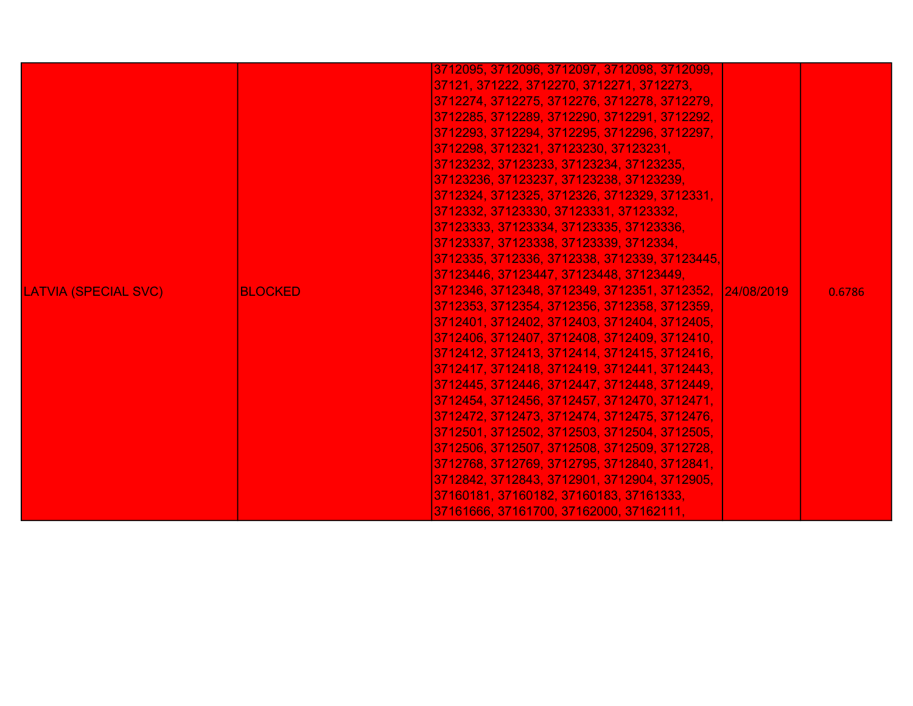| LATVIA (SPECIAL SVC) | IBLOCKED | 3712095, 3712096, 3712097, 3712098, 3712099,<br>37121, 371222, 3712270, 3712271, 3712273,<br>3712274, 3712275, 3712276, 3712278, 3712279,<br>3712285, 3712289, 3712290, 3712291, 3712292,<br>3712293, 3712294, 3712295, 3712296, 3712297,<br>3712298, 3712321, 37123230, 37123231,<br>37123232, 37123233, 37123234, 37123235,<br>37123236, 37123237, 37123238, 37123239,<br>3712324, 3712325, 3712326, 3712329, 3712331,<br>3712332, 37123330, 37123331, 37123332,<br>37123333, 37123334, 37123335, 37123336,<br>37123337, 37123338, 37123339, 3712334,<br>3712335, 3712336, 3712338, 3712339, 37123445,<br> 37123446, 37123447, 37123448, 37123449,<br>3712346, 3712348, 3712349, 3712351, 3712352, 24/08/2019<br>3712353, 3712354, 3712356, 3712358, 3712359,<br>3712401, 3712402, 3712403, 3712404, 3712405,<br>3712406, 3712407, 3712408, 3712409, 3712410,<br>3712412, 3712413, 3712414, 3712415, 3712416,<br>3712417, 3712418, 3712419, 3712441, 3712443,<br>3712445, 3712446, 3712447, 3712448, 3712449,<br> 3712454, 3712456, 3712457, 3712470, 3712471,<br>3712472, 3712473, 3712474, 3712475, 3712476,<br> 3712501, 3712502, 3712503, 3712504, 3712505,<br>3712506, 3712507, 3712508, 3712509, 3712728,<br>3712768, 3712769, 3712795, 3712840, 3712841,<br>3712842, 3712843, 3712901, 3712904, 3712905,<br>37160181, 37160182, 37160183, 37161333,<br> 37161666, 37161700, 37162000, 37162111, . |  | 0.6786 |
|----------------------|----------|------------------------------------------------------------------------------------------------------------------------------------------------------------------------------------------------------------------------------------------------------------------------------------------------------------------------------------------------------------------------------------------------------------------------------------------------------------------------------------------------------------------------------------------------------------------------------------------------------------------------------------------------------------------------------------------------------------------------------------------------------------------------------------------------------------------------------------------------------------------------------------------------------------------------------------------------------------------------------------------------------------------------------------------------------------------------------------------------------------------------------------------------------------------------------------------------------------------------------------------------------------------------------------------------------------------------------------------------------------------------------------------------------------|--|--------|
|----------------------|----------|------------------------------------------------------------------------------------------------------------------------------------------------------------------------------------------------------------------------------------------------------------------------------------------------------------------------------------------------------------------------------------------------------------------------------------------------------------------------------------------------------------------------------------------------------------------------------------------------------------------------------------------------------------------------------------------------------------------------------------------------------------------------------------------------------------------------------------------------------------------------------------------------------------------------------------------------------------------------------------------------------------------------------------------------------------------------------------------------------------------------------------------------------------------------------------------------------------------------------------------------------------------------------------------------------------------------------------------------------------------------------------------------------------|--|--------|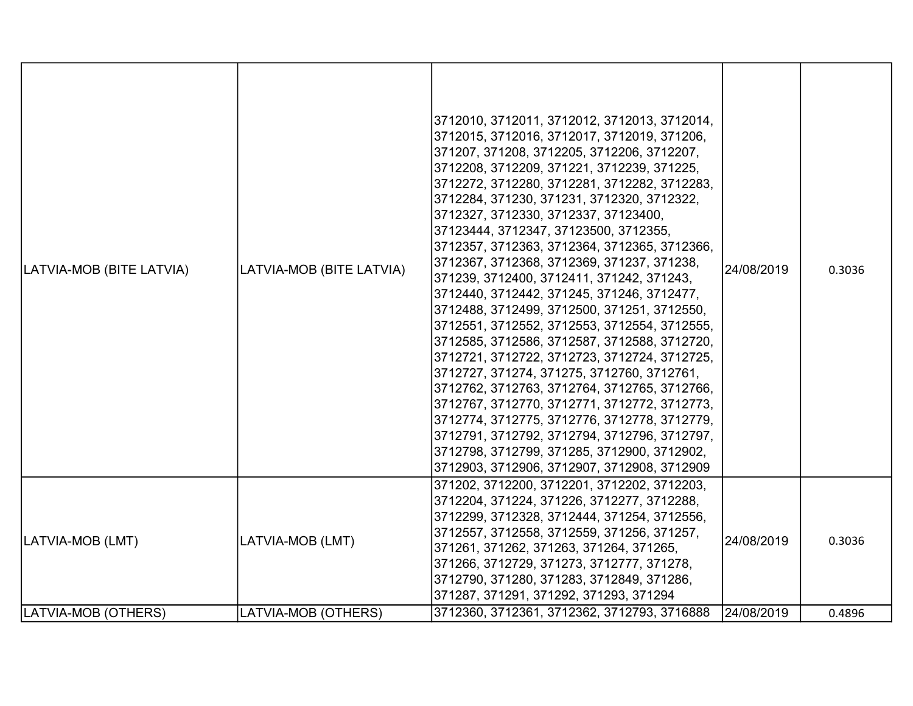| LATVIA-MOB (BITE LATVIA) | LATVIA-MOB (BITE LATVIA) | 3712010, 3712011, 3712012, 3712013, 3712014,<br>3712015, 3712016, 3712017, 3712019, 371206,<br>371207, 371208, 3712205, 3712206, 3712207,<br>3712208, 3712209, 371221, 3712239, 371225,<br>3712272, 3712280, 3712281, 3712282, 3712283,<br>3712284, 371230, 371231, 3712320, 3712322,<br>3712327, 3712330, 3712337, 37123400,<br>37123444, 3712347, 37123500, 3712355,<br>3712357, 3712363, 3712364, 3712365, 3712366,<br>3712367, 3712368, 3712369, 371237, 371238,<br>371239, 3712400, 3712411, 371242, 371243,<br>3712440, 3712442, 371245, 371246, 3712477,<br>3712488, 3712499, 3712500, 371251, 3712550,<br>3712551, 3712552, 3712553, 3712554, 3712555,<br>3712585, 3712586, 3712587, 3712588, 3712720,<br>3712721, 3712722, 3712723, 3712724, 3712725,<br>3712727, 371274, 371275, 3712760, 3712761,<br>3712762, 3712763, 3712764, 3712765, 3712766,<br>3712767, 3712770, 3712771, 3712772, 3712773,<br>3712774, 3712775, 3712776, 3712778, 3712779,<br>3712791, 3712792, 3712794, 3712796, 3712797,<br>3712798, 3712799, 371285, 3712900, 3712902,<br>3712903, 3712906, 3712907, 3712908, 3712909 | 24/08/2019 | 0.3036 |
|--------------------------|--------------------------|------------------------------------------------------------------------------------------------------------------------------------------------------------------------------------------------------------------------------------------------------------------------------------------------------------------------------------------------------------------------------------------------------------------------------------------------------------------------------------------------------------------------------------------------------------------------------------------------------------------------------------------------------------------------------------------------------------------------------------------------------------------------------------------------------------------------------------------------------------------------------------------------------------------------------------------------------------------------------------------------------------------------------------------------------------------------------------------------------------|------------|--------|
| LATVIA-MOB (LMT)         | LATVIA-MOB (LMT)         | 371202, 3712200, 3712201, 3712202, 3712203,<br>3712204, 371224, 371226, 3712277, 3712288,<br>3712299, 3712328, 3712444, 371254, 3712556,<br>3712557, 3712558, 3712559, 371256, 371257,<br>371261, 371262, 371263, 371264, 371265,<br>371266, 3712729, 371273, 3712777, 371278,<br>3712790, 371280, 371283, 3712849, 371286,<br>371287, 371291, 371292, 371293, 371294                                                                                                                                                                                                                                                                                                                                                                                                                                                                                                                                                                                                                                                                                                                                      | 24/08/2019 | 0.3036 |
| LATVIA-MOB (OTHERS)      | LATVIA-MOB (OTHERS)      | 3712360, 3712361, 3712362, 3712793, 3716888                                                                                                                                                                                                                                                                                                                                                                                                                                                                                                                                                                                                                                                                                                                                                                                                                                                                                                                                                                                                                                                                | 24/08/2019 | 0.4896 |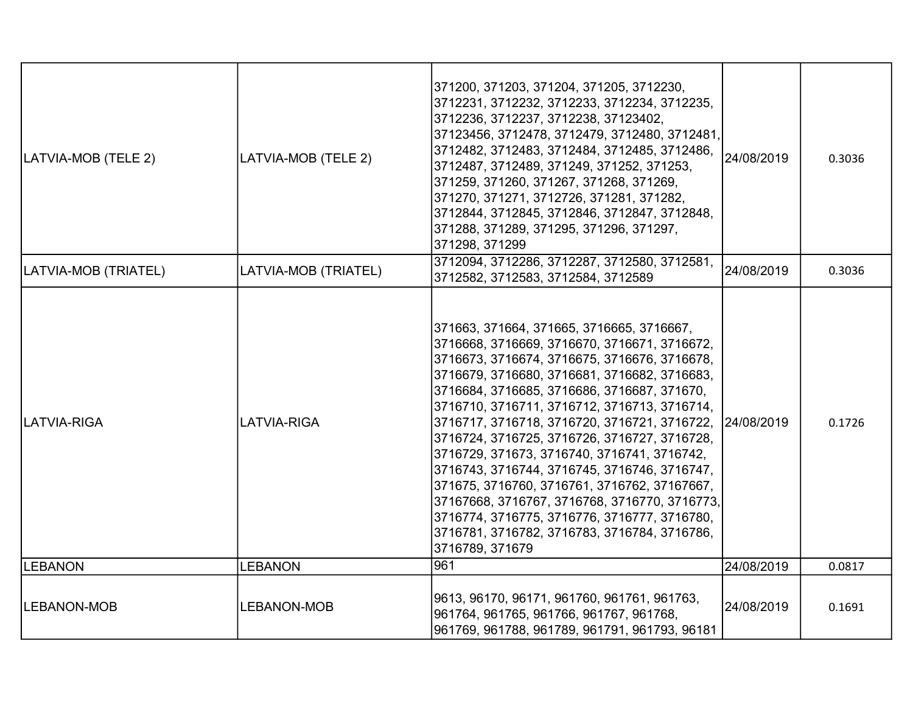|                      |                      | 371200, 371203, 371204, 371205, 3712230,<br>3712231, 3712232, 3712233, 3712234, 3712235,<br>3712236, 3712237, 3712238, 37123402,<br>37123456, 3712478, 3712479, 3712480, 3712481,                                                                                                                                                                                                                                                                                                                                                                                                                                                                                                                           |            |        |
|----------------------|----------------------|-------------------------------------------------------------------------------------------------------------------------------------------------------------------------------------------------------------------------------------------------------------------------------------------------------------------------------------------------------------------------------------------------------------------------------------------------------------------------------------------------------------------------------------------------------------------------------------------------------------------------------------------------------------------------------------------------------------|------------|--------|
| LATVIA-MOB (TELE 2)  | LATVIA-MOB (TELE 2)  | 3712482, 3712483, 3712484, 3712485, 3712486,<br>3712487, 3712489, 371249, 371252, 371253,<br>371259, 371260, 371267, 371268, 371269,<br>371270, 371271, 3712726, 371281, 371282,<br>3712844, 3712845, 3712846, 3712847, 3712848,<br>371288, 371289, 371295, 371296, 371297,<br>371298, 371299                                                                                                                                                                                                                                                                                                                                                                                                               | 24/08/2019 | 0.3036 |
| LATVIA-MOB (TRIATEL) | LATVIA-MOB (TRIATEL) | 3712094, 3712286, 3712287, 3712580, 3712581,<br>3712582, 3712583, 3712584, 3712589                                                                                                                                                                                                                                                                                                                                                                                                                                                                                                                                                                                                                          | 24/08/2019 | 0.3036 |
| LATVIA-RIGA          | <b>LATVIA-RIGA</b>   | 371663, 371664, 371665, 3716665, 3716667,<br>3716668, 3716669, 3716670, 3716671, 3716672,<br>3716673, 3716674, 3716675, 3716676, 3716678,<br>3716679, 3716680, 3716681, 3716682, 3716683,<br>3716684, 3716685, 3716686, 3716687, 371670,<br>3716710, 3716711, 3716712, 3716713, 3716714,<br>3716717, 3716718, 3716720, 3716721, 3716722,<br>3716724, 3716725, 3716726, 3716727, 3716728,<br>3716729, 371673, 3716740, 3716741, 3716742,<br>3716743, 3716744, 3716745, 3716746, 3716747,<br>371675, 3716760, 3716761, 3716762, 37167667,<br>37167668, 3716767, 3716768, 3716770, 3716773,<br>3716774, 3716775, 3716776, 3716777, 3716780,<br>3716781, 3716782, 3716783, 3716784, 3716786,<br>3716789, 371679 | 24/08/2019 | 0.1726 |
| LEBANON              | <b>LEBANON</b>       | 961                                                                                                                                                                                                                                                                                                                                                                                                                                                                                                                                                                                                                                                                                                         | 24/08/2019 | 0.0817 |
| <b>LEBANON-MOB</b>   | <b>LEBANON-MOB</b>   | 9613, 96170, 96171, 961760, 961761, 961763,<br>961764, 961765, 961766, 961767, 961768,<br>961769, 961788, 961789, 961791, 961793, 96181                                                                                                                                                                                                                                                                                                                                                                                                                                                                                                                                                                     | 24/08/2019 | 0.1691 |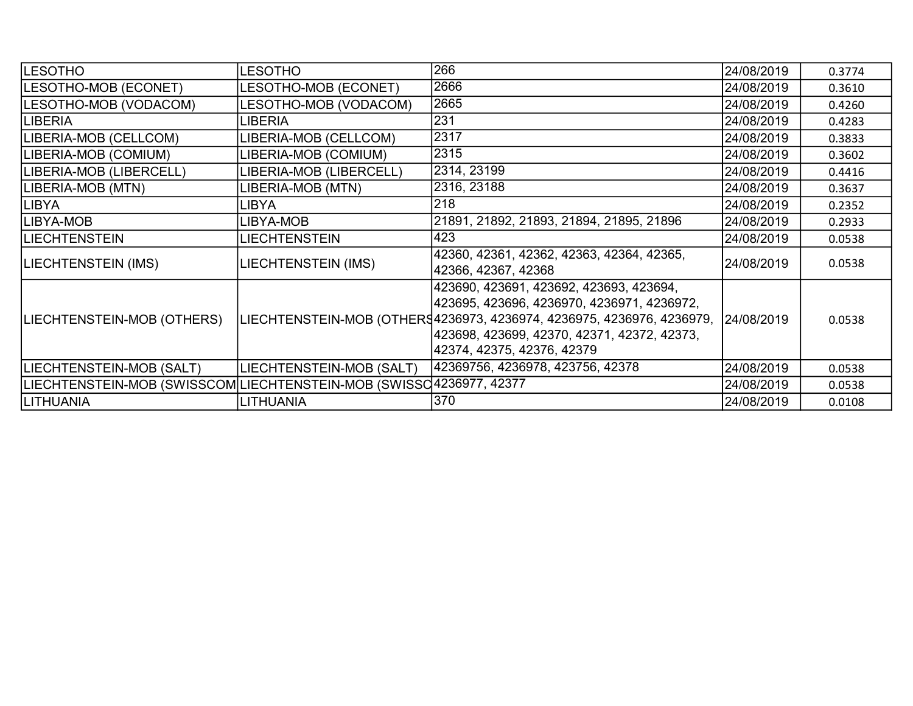| <b>LESOTHO</b>                                                      | <b>LESOTHO</b>           | 266                                                                                                                                                                                                                                                      | 24/08/2019 | 0.3774 |
|---------------------------------------------------------------------|--------------------------|----------------------------------------------------------------------------------------------------------------------------------------------------------------------------------------------------------------------------------------------------------|------------|--------|
| LESOTHO-MOB (ECONET)                                                | LESOTHO-MOB (ECONET)     | 2666                                                                                                                                                                                                                                                     | 24/08/2019 | 0.3610 |
| LESOTHO-MOB (VODACOM)                                               | LESOTHO-MOB (VODACOM)    | 2665                                                                                                                                                                                                                                                     | 24/08/2019 | 0.4260 |
| LIBERIA                                                             | LIBERIA                  | 231                                                                                                                                                                                                                                                      | 24/08/2019 | 0.4283 |
| LIBERIA-MOB (CELLCOM)                                               | LIBERIA-MOB (CELLCOM)    | 2317                                                                                                                                                                                                                                                     | 24/08/2019 | 0.3833 |
| LIBERIA-MOB (COMIUM)                                                | LIBERIA-MOB (COMIUM)     | 2315                                                                                                                                                                                                                                                     | 24/08/2019 | 0.3602 |
| LIBERIA-MOB (LIBERCELL)                                             | LIBERIA-MOB (LIBERCELL)  | 2314, 23199                                                                                                                                                                                                                                              | 24/08/2019 | 0.4416 |
| LIBERIA-MOB (MTN)                                                   | LIBERIA-MOB (MTN)        | 2316, 23188                                                                                                                                                                                                                                              | 24/08/2019 | 0.3637 |
| <b>LIBYA</b>                                                        | LIBYA                    | 218                                                                                                                                                                                                                                                      | 24/08/2019 | 0.2352 |
| LIBYA-MOB                                                           | LIBYA-MOB                | 21891, 21892, 21893, 21894, 21895, 21896                                                                                                                                                                                                                 | 24/08/2019 | 0.2933 |
| <b>LIECHTENSTEIN</b>                                                | LIECHTENSTEIN            | 423                                                                                                                                                                                                                                                      | 24/08/2019 | 0.0538 |
| LIECHTENSTEIN (IMS)                                                 | LIECHTENSTEIN (IMS)      | 42360, 42361, 42362, 42363, 42364, 42365,<br>42366, 42367, 42368                                                                                                                                                                                         | 24/08/2019 | 0.0538 |
| LIECHTENSTEIN-MOB (OTHERS)                                          |                          | 423690, 423691, 423692, 423693, 423694,<br> 423695, 423696, 4236970, 4236971, 4236972,<br>LIECHTENSTEIN-MOB (OTHERS4236973, 4236974, 4236975, 4236976, 4236979, 24/08/2019<br> 423698, 423699, 42370, 42371, 42372, 42373,<br>42374, 42375, 42376, 42379 |            | 0.0538 |
| LIECHTENSTEIN-MOB (SALT)                                            | LIECHTENSTEIN-MOB (SALT) | 42369756, 4236978, 423756, 42378                                                                                                                                                                                                                         | 24/08/2019 | 0.0538 |
| LIECHTENSTEIN-MOB (SWISSCOM LIECHTENSTEIN-MOB (SWISSC4236977, 42377 |                          |                                                                                                                                                                                                                                                          | 24/08/2019 | 0.0538 |
| <b>LITHUANIA</b>                                                    | <b>LITHUANIA</b>         | 370                                                                                                                                                                                                                                                      | 24/08/2019 | 0.0108 |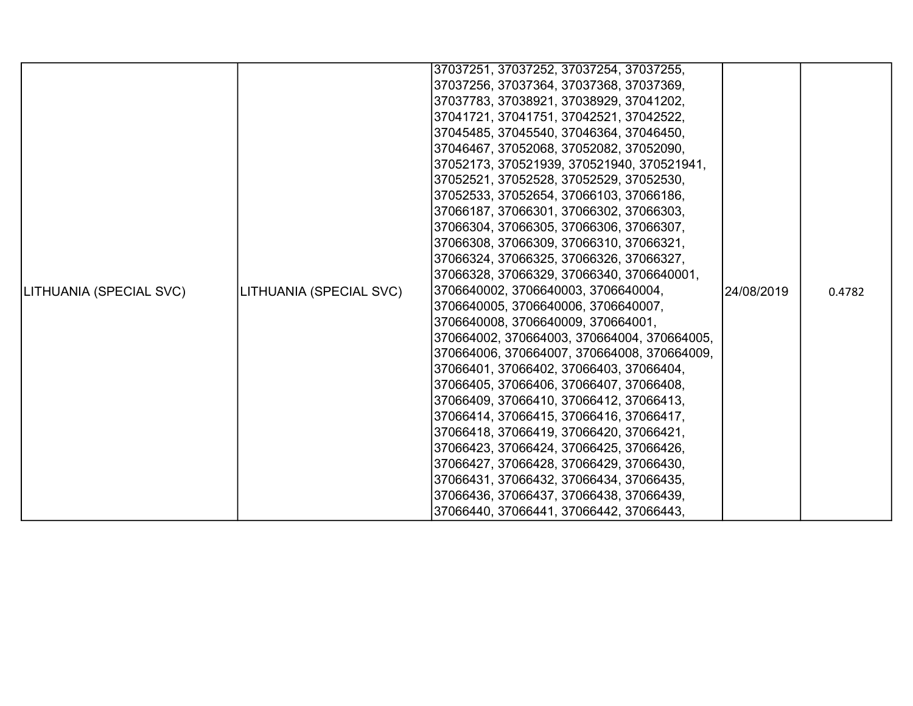|                         |                         | 37037251, 37037252, 37037254, 37037255,     |            |        |
|-------------------------|-------------------------|---------------------------------------------|------------|--------|
|                         |                         | 37037256, 37037364, 37037368, 37037369,     |            |        |
|                         |                         | 37037783, 37038921, 37038929, 37041202,     |            |        |
|                         |                         | 37041721, 37041751, 37042521, 37042522,     |            |        |
|                         |                         | 37045485, 37045540, 37046364, 37046450,     |            |        |
|                         |                         | 37046467, 37052068, 37052082, 37052090,     |            |        |
|                         |                         | 37052173, 370521939, 370521940, 370521941,  |            |        |
|                         |                         | 37052521, 37052528, 37052529, 37052530,     |            |        |
|                         |                         | 37052533, 37052654, 37066103, 37066186,     |            |        |
|                         |                         | 37066187, 37066301, 37066302, 37066303,     |            |        |
|                         |                         | 37066304, 37066305, 37066306, 37066307,     |            |        |
|                         |                         | 37066308, 37066309, 37066310, 37066321,     |            |        |
|                         |                         | 37066324, 37066325, 37066326, 37066327,     |            |        |
|                         |                         | 37066328, 37066329, 37066340, 3706640001,   |            |        |
| LITHUANIA (SPECIAL SVC) | LITHUANIA (SPECIAL SVC) | 3706640002, 3706640003, 3706640004,         | 24/08/2019 | 0.4782 |
|                         |                         | 3706640005, 3706640006, 3706640007,         |            |        |
|                         |                         | 3706640008, 3706640009, 370664001,          |            |        |
|                         |                         | 370664002, 370664003, 370664004, 370664005, |            |        |
|                         |                         | 370664006, 370664007, 370664008, 370664009, |            |        |
|                         |                         | 37066401, 37066402, 37066403, 37066404,     |            |        |
|                         |                         | 37066405, 37066406, 37066407, 37066408,     |            |        |
|                         |                         | 37066409, 37066410, 37066412, 37066413,     |            |        |
|                         |                         | 37066414, 37066415, 37066416, 37066417,     |            |        |
|                         |                         | 37066418, 37066419, 37066420, 37066421,     |            |        |
|                         |                         | 37066423, 37066424, 37066425, 37066426,     |            |        |
|                         |                         | 37066427, 37066428, 37066429, 37066430,     |            |        |
|                         |                         | 37066431, 37066432, 37066434, 37066435,     |            |        |
|                         |                         | 37066436, 37066437, 37066438, 37066439,     |            |        |
|                         |                         | 37066440, 37066441, 37066442, 37066443,     |            |        |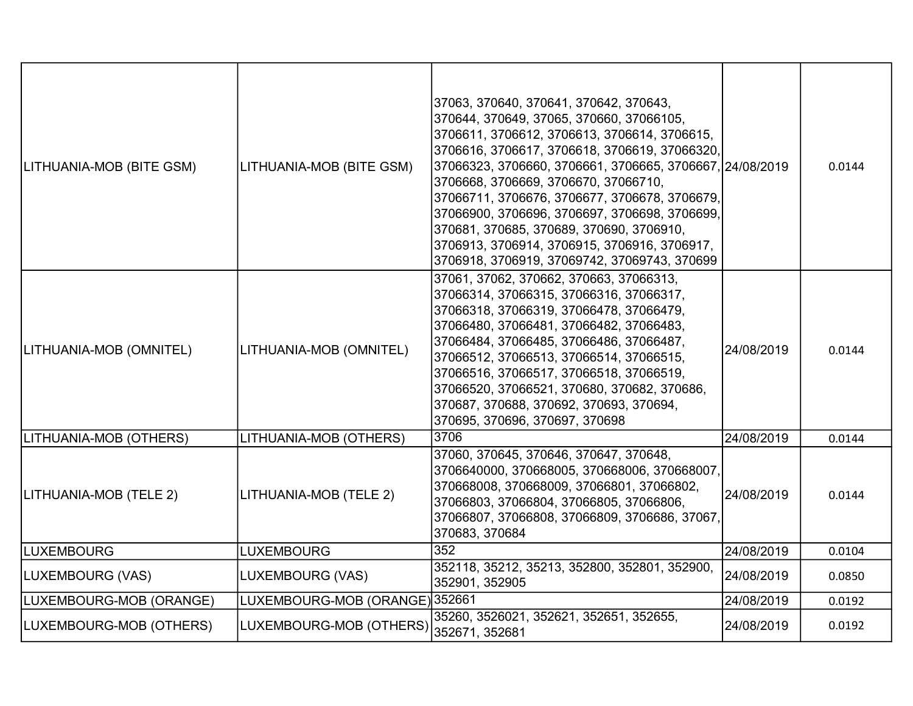| LITHUANIA-MOB (BITE GSM) | LITHUANIA-MOB (BITE GSM)       | 37063, 370640, 370641, 370642, 370643,<br>370644, 370649, 37065, 370660, 37066105,<br>3706611, 3706612, 3706613, 3706614, 3706615,<br>3706616, 3706617, 3706618, 3706619, 37066320,<br>37066323, 3706660, 3706661, 3706665, 3706667, 24/08/2019<br>3706668, 3706669, 3706670, 37066710,<br>37066711, 3706676, 3706677, 3706678, 3706679,<br>37066900, 3706696, 3706697, 3706698, 3706699,<br>370681, 370685, 370689, 370690, 3706910,<br>3706913, 3706914, 3706915, 3706916, 3706917,<br>3706918, 3706919, 37069742, 37069743, 370699 |            | 0.0144 |
|--------------------------|--------------------------------|---------------------------------------------------------------------------------------------------------------------------------------------------------------------------------------------------------------------------------------------------------------------------------------------------------------------------------------------------------------------------------------------------------------------------------------------------------------------------------------------------------------------------------------|------------|--------|
| LITHUANIA-MOB (OMNITEL)  | LITHUANIA-MOB (OMNITEL)        | 37061, 37062, 370662, 370663, 37066313,<br>37066314, 37066315, 37066316, 37066317,<br>37066318, 37066319, 37066478, 37066479,<br>37066480, 37066481, 37066482, 37066483,<br>37066484, 37066485, 37066486, 37066487,<br>37066512, 37066513, 37066514, 37066515,<br>37066516, 37066517, 37066518, 37066519,<br>37066520, 37066521, 370680, 370682, 370686,<br>370687, 370688, 370692, 370693, 370694,<br>370695, 370696, 370697, 370698                                                                                                 | 24/08/2019 | 0.0144 |
| LITHUANIA-MOB (OTHERS)   | LITHUANIA-MOB (OTHERS)         | 3706                                                                                                                                                                                                                                                                                                                                                                                                                                                                                                                                  | 24/08/2019 | 0.0144 |
| LITHUANIA-MOB (TELE 2)   | LITHUANIA-MOB (TELE 2)         | 37060, 370645, 370646, 370647, 370648,<br>3706640000, 370668005, 370668006, 370668007,<br>370668008, 370668009, 37066801, 37066802,<br>37066803, 37066804, 37066805, 37066806,<br>37066807, 37066808, 37066809, 3706686, 37067,<br>370683, 370684                                                                                                                                                                                                                                                                                     | 24/08/2019 | 0.0144 |
| <b>LUXEMBOURG</b>        | <b>LUXEMBOURG</b>              | 352                                                                                                                                                                                                                                                                                                                                                                                                                                                                                                                                   | 24/08/2019 | 0.0104 |
| LUXEMBOURG (VAS)         | LUXEMBOURG (VAS)               | 352118, 35212, 35213, 352800, 352801, 352900,<br>352901, 352905                                                                                                                                                                                                                                                                                                                                                                                                                                                                       | 24/08/2019 | 0.0850 |
| LUXEMBOURG-MOB (ORANGE)  | LUXEMBOURG-MOB (ORANGE) 352661 |                                                                                                                                                                                                                                                                                                                                                                                                                                                                                                                                       | 24/08/2019 | 0.0192 |
| LUXEMBOURG-MOB (OTHERS)  | LUXEMBOURG-MOB (OTHERS)        | 35260, 3526021, 352621, 352651, 352655,<br>352671, 352681                                                                                                                                                                                                                                                                                                                                                                                                                                                                             | 24/08/2019 | 0.0192 |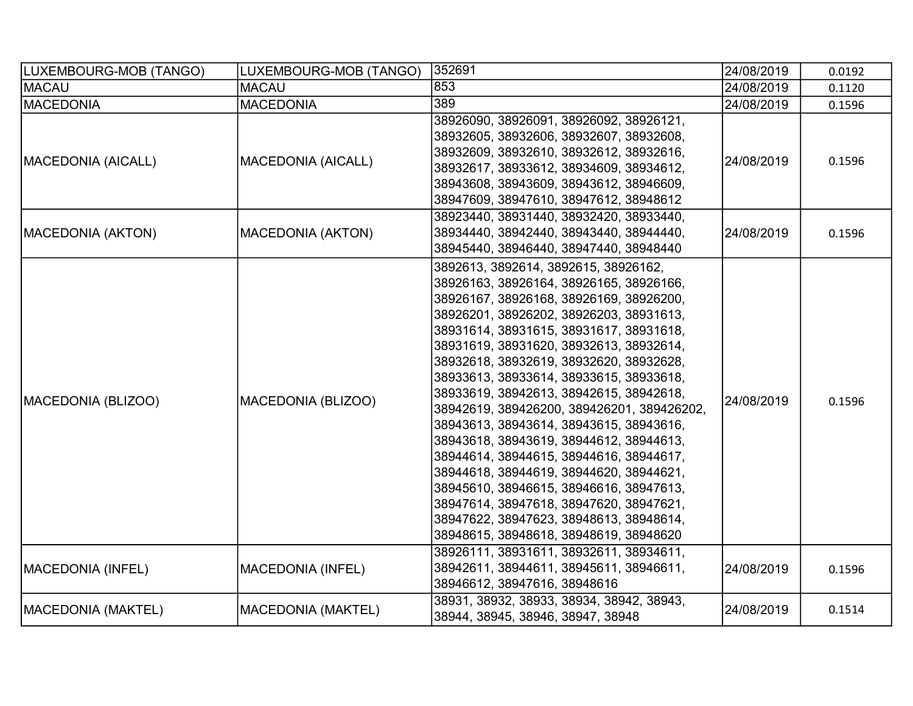| LUXEMBOURG-MOB (TANGO) | LUXEMBOURG-MOB (TANGO)    | 352691                                                                                                                                                                                                                                                                                                                                                                                                                                                                                                                                                                                                                                                                                                                                                                                            | 24/08/2019 | 0.0192 |
|------------------------|---------------------------|---------------------------------------------------------------------------------------------------------------------------------------------------------------------------------------------------------------------------------------------------------------------------------------------------------------------------------------------------------------------------------------------------------------------------------------------------------------------------------------------------------------------------------------------------------------------------------------------------------------------------------------------------------------------------------------------------------------------------------------------------------------------------------------------------|------------|--------|
| <b>MACAU</b>           | <b>MACAU</b>              | 853                                                                                                                                                                                                                                                                                                                                                                                                                                                                                                                                                                                                                                                                                                                                                                                               | 24/08/2019 | 0.1120 |
| <b>MACEDONIA</b>       | <b>MACEDONIA</b>          | 389                                                                                                                                                                                                                                                                                                                                                                                                                                                                                                                                                                                                                                                                                                                                                                                               | 24/08/2019 | 0.1596 |
| MACEDONIA (AICALL)     | <b>MACEDONIA (AICALL)</b> | 38926090, 38926091, 38926092, 38926121,<br>38932605, 38932606, 38932607, 38932608,<br>38932609, 38932610, 38932612, 38932616,<br>38932617, 38933612, 38934609, 38934612,<br>38943608, 38943609, 38943612, 38946609,<br>38947609, 38947610, 38947612, 38948612                                                                                                                                                                                                                                                                                                                                                                                                                                                                                                                                     | 24/08/2019 | 0.1596 |
| MACEDONIA (AKTON)      | <b>MACEDONIA (AKTON)</b>  | 38923440, 38931440, 38932420, 38933440,<br>38934440, 38942440, 38943440, 38944440,<br>38945440, 38946440, 38947440, 38948440                                                                                                                                                                                                                                                                                                                                                                                                                                                                                                                                                                                                                                                                      | 24/08/2019 | 0.1596 |
| MACEDONIA (BLIZOO)     | MACEDONIA (BLIZOO)        | 3892613, 3892614, 3892615, 38926162,<br>38926163, 38926164, 38926165, 38926166,<br>38926167, 38926168, 38926169, 38926200,<br>38926201, 38926202, 38926203, 38931613,<br>38931614, 38931615, 38931617, 38931618,<br>38931619, 38931620, 38932613, 38932614,<br>38932618, 38932619, 38932620, 38932628,<br>38933613, 38933614, 38933615, 38933618,<br>38933619, 38942613, 38942615, 38942618,<br>38942619, 389426200, 389426201, 389426202,<br>38943613, 38943614, 38943615, 38943616,<br>38943618, 38943619, 38944612, 38944613,<br>38944614, 38944615, 38944616, 38944617,<br>38944618, 38944619, 38944620, 38944621,<br>38945610, 38946615, 38946616, 38947613,<br>38947614, 38947618, 38947620, 38947621,<br>38947622, 38947623, 38948613, 38948614,<br>38948615, 38948618, 38948619, 38948620 | 24/08/2019 | 0.1596 |
| MACEDONIA (INFEL)      | <b>MACEDONIA (INFEL)</b>  | 38926111, 38931611, 38932611, 38934611,<br>38942611, 38944611, 38945611, 38946611,<br>38946612, 38947616, 38948616                                                                                                                                                                                                                                                                                                                                                                                                                                                                                                                                                                                                                                                                                | 24/08/2019 | 0.1596 |
| MACEDONIA (MAKTEL)     | <b>MACEDONIA (MAKTEL)</b> | 38931, 38932, 38933, 38934, 38942, 38943,<br>38944, 38945, 38946, 38947, 38948                                                                                                                                                                                                                                                                                                                                                                                                                                                                                                                                                                                                                                                                                                                    | 24/08/2019 | 0.1514 |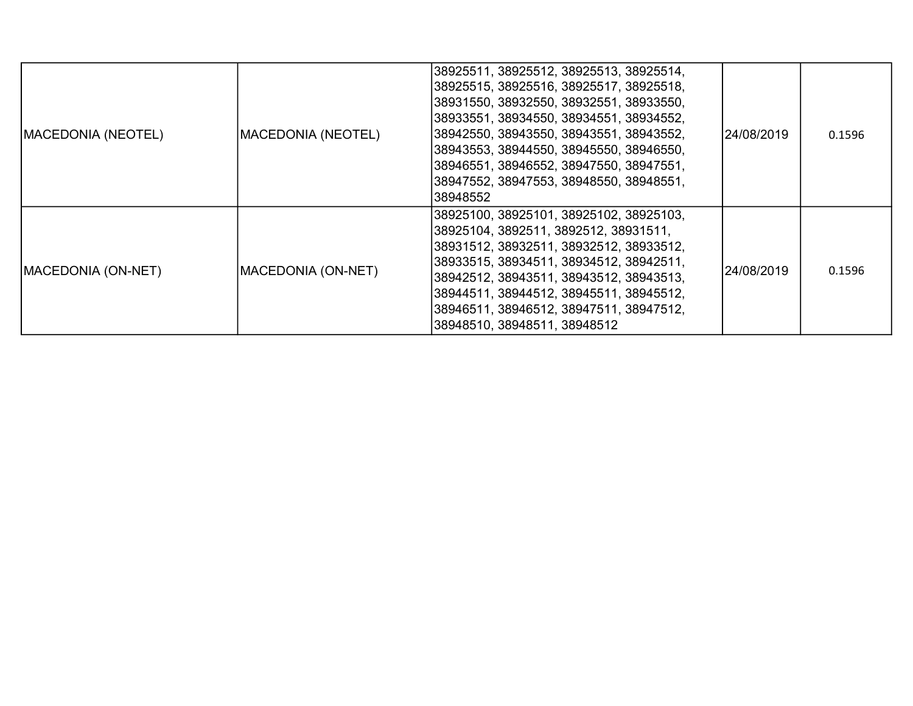| <b>MACEDONIA (NEOTEL)</b> | MACEDONIA (NEOTEL)         | 38925511, 38925512, 38925513, 38925514,<br> 38925515, 38925516, 38925517, 38925518,<br> 38931550, 38932550, 38932551, 38933550,<br> 38933551, 38934550, 38934551, 38934552,<br> 38942550, 38943550, 38943551, 38943552,<br> 38943553, 38944550, 38945550, 38946550,<br> 38946551, 38946552, 38947550, 38947551,<br> 38947552, 38947553, 38948550, 38948551,<br>38948552 | l24/08/2019 | 0.1596 |
|---------------------------|----------------------------|-------------------------------------------------------------------------------------------------------------------------------------------------------------------------------------------------------------------------------------------------------------------------------------------------------------------------------------------------------------------------|-------------|--------|
| MACEDONIA (ON-NET)        | <b>IMACEDONIA (ON-NET)</b> | 38925100, 38925101, 38925102, 38925103,<br> 38925104, 3892511, 3892512, 38931511,<br> 38931512, 38932511, 38932512, 38933512,<br> 38933515, 38934511, 38934512, 38942511,<br> 38942512, 38943511, 38943512, 38943513,<br> 38944511, 38944512, 38945511, 38945512,<br> 38946511, 38946512, 38947511, 38947512,<br>38948510, 38948511, 38948512                           | 24/08/2019  | 0.1596 |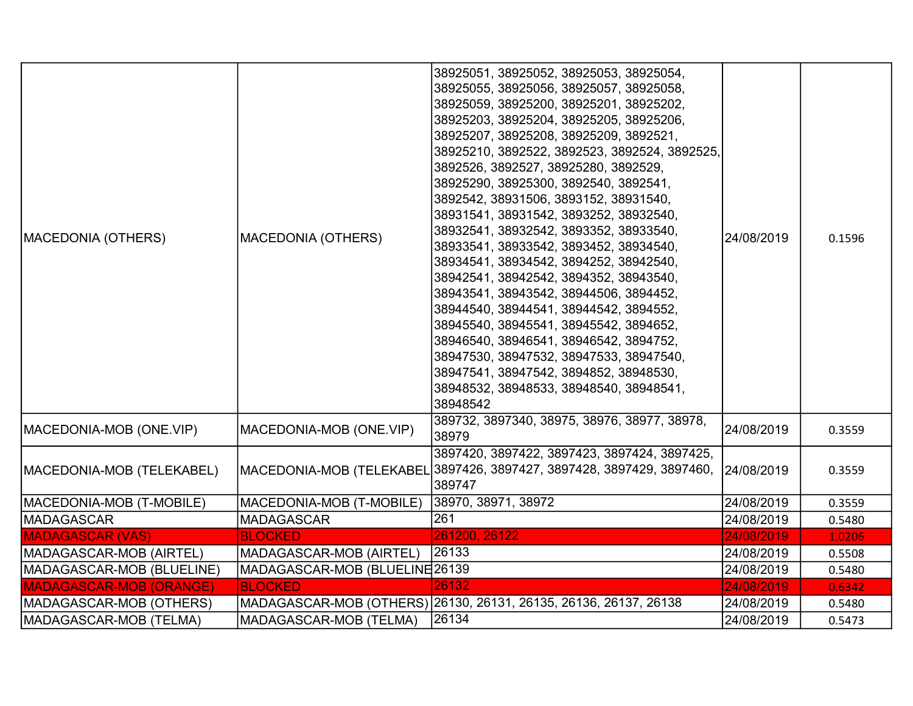| <b>MACEDONIA (OTHERS)</b>      | <b>MACEDONIA (OTHERS)</b>      | 38925051, 38925052, 38925053, 38925054,<br>38925055, 38925056, 38925057, 38925058,<br>38925059, 38925200, 38925201, 38925202,<br>38925203, 38925204, 38925205, 38925206,<br>38925207, 38925208, 38925209, 3892521,<br>38925210, 3892522, 3892523, 3892524, 3892525,<br>3892526, 3892527, 38925280, 3892529,<br>38925290, 38925300, 3892540, 3892541,<br>3892542, 38931506, 3893152, 38931540,<br>38931541, 38931542, 3893252, 38932540,<br>38932541, 38932542, 3893352, 38933540,<br>38933541, 38933542, 3893452, 38934540,<br>38934541, 38934542, 3894252, 38942540,<br>38942541, 38942542, 3894352, 38943540,<br>38943541, 38943542, 38944506, 3894452,<br>38944540, 38944541, 38944542, 3894552,<br>38945540, 38945541, 38945542, 3894652,<br>38946540, 38946541, 38946542, 3894752,<br>38947530, 38947532, 38947533, 38947540,<br>38947541, 38947542, 3894852, 38948530,<br>38948532, 38948533, 38948540, 38948541,<br>38948542 | 24/08/2019 | 0.1596 |
|--------------------------------|--------------------------------|-------------------------------------------------------------------------------------------------------------------------------------------------------------------------------------------------------------------------------------------------------------------------------------------------------------------------------------------------------------------------------------------------------------------------------------------------------------------------------------------------------------------------------------------------------------------------------------------------------------------------------------------------------------------------------------------------------------------------------------------------------------------------------------------------------------------------------------------------------------------------------------------------------------------------------------|------------|--------|
| MACEDONIA-MOB (ONE.VIP)        | MACEDONIA-MOB (ONE.VIP)        | 389732, 3897340, 38975, 38976, 38977, 38978,<br>38979                                                                                                                                                                                                                                                                                                                                                                                                                                                                                                                                                                                                                                                                                                                                                                                                                                                                               | 24/08/2019 | 0.3559 |
| MACEDONIA-MOB (TELEKABEL)      |                                | 3897420, 3897422, 3897423, 3897424, 3897425,<br>MACEDONIA-MOB (TELEKABEL 3897426, 3897427, 3897428, 3897429, 3897460,<br>389747                                                                                                                                                                                                                                                                                                                                                                                                                                                                                                                                                                                                                                                                                                                                                                                                     | 24/08/2019 | 0.3559 |
| MACEDONIA-MOB (T-MOBILE)       | MACEDONIA-MOB (T-MOBILE)       | 38970, 38971, 38972                                                                                                                                                                                                                                                                                                                                                                                                                                                                                                                                                                                                                                                                                                                                                                                                                                                                                                                 | 24/08/2019 | 0.3559 |
| MADAGASCAR                     | <b>MADAGASCAR</b>              | 261                                                                                                                                                                                                                                                                                                                                                                                                                                                                                                                                                                                                                                                                                                                                                                                                                                                                                                                                 | 24/08/2019 | 0.5480 |
| <b>MADAGASCAR (VAS)</b>        | <b>BLOCKED</b>                 | 261200, 26122                                                                                                                                                                                                                                                                                                                                                                                                                                                                                                                                                                                                                                                                                                                                                                                                                                                                                                                       | 24/08/2019 | 1.0206 |
| MADAGASCAR-MOB (AIRTEL)        | MADAGASCAR-MOB (AIRTEL)        | 26133                                                                                                                                                                                                                                                                                                                                                                                                                                                                                                                                                                                                                                                                                                                                                                                                                                                                                                                               | 24/08/2019 | 0.5508 |
| MADAGASCAR-MOB (BLUELINE)      | MADAGASCAR-MOB (BLUELINE 26139 |                                                                                                                                                                                                                                                                                                                                                                                                                                                                                                                                                                                                                                                                                                                                                                                                                                                                                                                                     | 24/08/2019 | 0.5480 |
| <b>MADAGASCAR-MOB (ORANGE)</b> | <b>BLOCKED</b>                 | 26132                                                                                                                                                                                                                                                                                                                                                                                                                                                                                                                                                                                                                                                                                                                                                                                                                                                                                                                               | 24/08/2019 | 0.6342 |
| MADAGASCAR-MOB (OTHERS)        |                                | MADAGASCAR-MOB (OTHERS) 26130, 26131, 26135, 26136, 26137, 26138                                                                                                                                                                                                                                                                                                                                                                                                                                                                                                                                                                                                                                                                                                                                                                                                                                                                    | 24/08/2019 | 0.5480 |
| MADAGASCAR-MOB (TELMA)         | MADAGASCAR-MOB (TELMA)         | $ 26134\rangle$                                                                                                                                                                                                                                                                                                                                                                                                                                                                                                                                                                                                                                                                                                                                                                                                                                                                                                                     | 24/08/2019 | 0.5473 |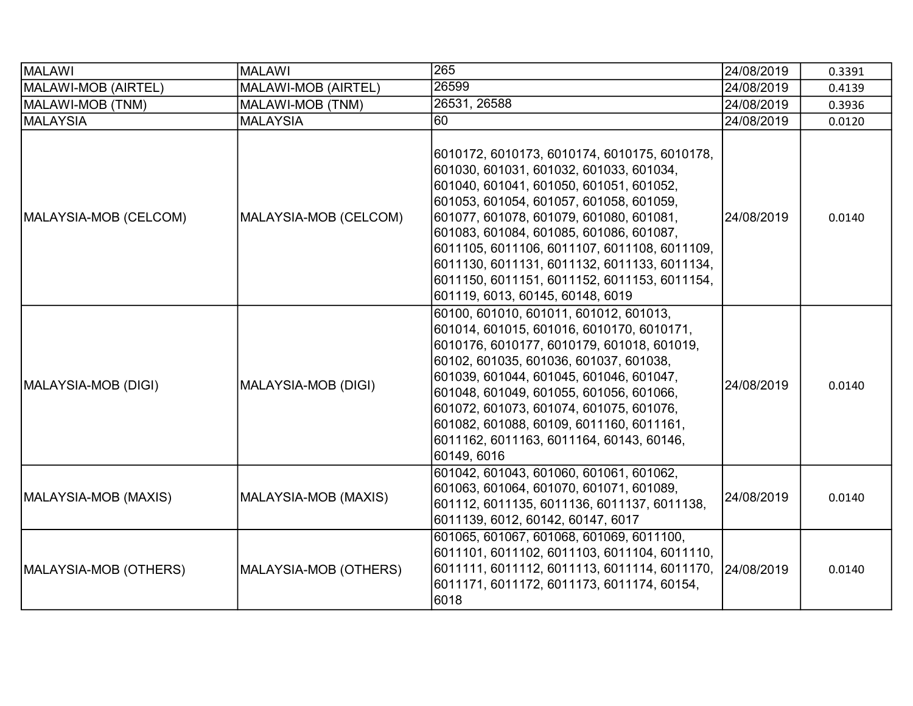| MALAWI                | <b>MALAWI</b>         | 265                                                                                                                                                                                                                                                                                                                                                                                                                                                     | 24/08/2019 | 0.3391 |
|-----------------------|-----------------------|---------------------------------------------------------------------------------------------------------------------------------------------------------------------------------------------------------------------------------------------------------------------------------------------------------------------------------------------------------------------------------------------------------------------------------------------------------|------------|--------|
| MALAWI-MOB (AIRTEL)   | MALAWI-MOB (AIRTEL)   | 26599                                                                                                                                                                                                                                                                                                                                                                                                                                                   | 24/08/2019 | 0.4139 |
| MALAWI-MOB (TNM)      | MALAWI-MOB (TNM)      | 26531, 26588                                                                                                                                                                                                                                                                                                                                                                                                                                            | 24/08/2019 | 0.3936 |
| MALAYSIA              | <b>MALAYSIA</b>       | $\overline{60}$                                                                                                                                                                                                                                                                                                                                                                                                                                         | 24/08/2019 | 0.0120 |
| MALAYSIA-MOB (CELCOM) | MALAYSIA-MOB (CELCOM) | 6010172, 6010173, 6010174, 6010175, 6010178,<br>601030, 601031, 601032, 601033, 601034,<br>601040, 601041, 601050, 601051, 601052,<br>601053, 601054, 601057, 601058, 601059,<br>601077, 601078, 601079, 601080, 601081,<br>601083, 601084, 601085, 601086, 601087,<br>6011105, 6011106, 6011107, 6011108, 6011109,<br>6011130, 6011131, 6011132, 6011133, 6011134,<br>6011150, 6011151, 6011152, 6011153, 6011154,<br>601119, 6013, 60145, 60148, 6019 | 24/08/2019 | 0.0140 |
| MALAYSIA-MOB (DIGI)   | MALAYSIA-MOB (DIGI)   | 60100, 601010, 601011, 601012, 601013,<br>601014, 601015, 601016, 6010170, 6010171,<br>6010176, 6010177, 6010179, 601018, 601019,<br>60102, 601035, 601036, 601037, 601038,<br>601039, 601044, 601045, 601046, 601047,<br>601048, 601049, 601055, 601056, 601066,<br>601072, 601073, 601074, 601075, 601076,<br>601082, 601088, 60109, 6011160, 6011161,<br>6011162, 6011163, 6011164, 60143, 60146,<br>60149, 6016                                     | 24/08/2019 | 0.0140 |
| MALAYSIA-MOB (MAXIS)  | MALAYSIA-MOB (MAXIS)  | 601042, 601043, 601060, 601061, 601062,<br>601063, 601064, 601070, 601071, 601089,<br>601112, 6011135, 6011136, 6011137, 6011138,<br>6011139, 6012, 60142, 60147, 6017                                                                                                                                                                                                                                                                                  | 24/08/2019 | 0.0140 |
| MALAYSIA-MOB (OTHERS) | MALAYSIA-MOB (OTHERS) | 601065, 601067, 601068, 601069, 6011100,<br>6011101, 6011102, 6011103, 6011104, 6011110,<br>6011111, 6011112, 6011113, 6011114, 6011170,<br>6011171, 6011172, 6011173, 6011174, 60154,<br>6018                                                                                                                                                                                                                                                          | 24/08/2019 | 0.0140 |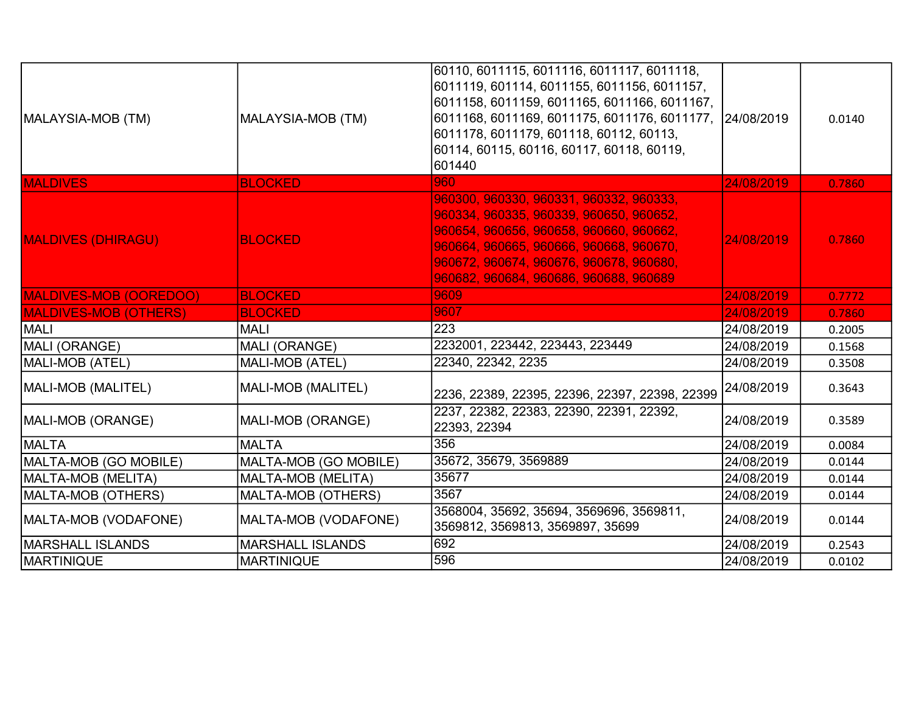| MALAYSIA-MOB (TM)            | MALAYSIA-MOB (TM)       | 60110, 6011115, 6011116, 6011117, 6011118,<br>6011119, 601114, 6011155, 6011156, 6011157,<br>6011158, 6011159, 6011165, 6011166, 6011167,<br>6011168, 6011169, 6011175, 6011176, 6011177, 24/08/2019<br>6011178, 6011179, 601118, 60112, 60113,<br>60114, 60115, 60116, 60117, 60118, 60119,<br>601440 |            | 0.0140 |
|------------------------------|-------------------------|--------------------------------------------------------------------------------------------------------------------------------------------------------------------------------------------------------------------------------------------------------------------------------------------------------|------------|--------|
| <b>MALDIVES</b>              | <b>BLOCKED</b>          | 960                                                                                                                                                                                                                                                                                                    | 24/08/2019 | 0.7860 |
| <b>MALDIVES (DHIRAGU)</b>    | <b>BLOCKED</b>          | 960300, 960330, 960331, 960332, 960333,<br>960334, 960335, 960339, 960650, 960652,<br>960654, 960656, 960658, 960660, 960662,<br>960664, 960665, 960666, 960668, 960670,<br>960672, 960674, 960676, 960678, 960680,<br>960682, 960684, 960686, 960688, 960689                                          | 24/08/2019 | 0.7860 |
| MALDIVES-MOB (OOREDOO)       | <b>BLOCKED</b>          | 9609                                                                                                                                                                                                                                                                                                   | 24/08/2019 | 0.7772 |
| <b>MALDIVES-MOB (OTHERS)</b> | <b>BLOCKED</b>          | 9607                                                                                                                                                                                                                                                                                                   | 24/08/2019 | 0.7860 |
| <b>MALI</b>                  | <b>MALI</b>             | 223                                                                                                                                                                                                                                                                                                    | 24/08/2019 | 0.2005 |
| MALI (ORANGE)                | MALI (ORANGE)           | 2232001, 223442, 223443, 223449                                                                                                                                                                                                                                                                        | 24/08/2019 | 0.1568 |
| MALI-MOB (ATEL)              | MALI-MOB (ATEL)         | 22340, 22342, 2235                                                                                                                                                                                                                                                                                     | 24/08/2019 | 0.3508 |
| MALI-MOB (MALITEL)           | MALI-MOB (MALITEL)      | 2236, 22389, 22395, 22396, 22397, 22398, 22399                                                                                                                                                                                                                                                         | 24/08/2019 | 0.3643 |
| MALI-MOB (ORANGE)            | MALI-MOB (ORANGE)       | 2237, 22382, 22383, 22390, 22391, 22392,<br>22393, 22394                                                                                                                                                                                                                                               | 24/08/2019 | 0.3589 |
| <b>IMALTA</b>                | <b>MALTA</b>            | 356                                                                                                                                                                                                                                                                                                    | 24/08/2019 | 0.0084 |
| MALTA-MOB (GO MOBILE)        | MALTA-MOB (GO MOBILE)   | 35672, 35679, 3569889                                                                                                                                                                                                                                                                                  | 24/08/2019 | 0.0144 |
| MALTA-MOB (MELITA)           | MALTA-MOB (MELITA)      | 35677                                                                                                                                                                                                                                                                                                  | 24/08/2019 | 0.0144 |
| MALTA-MOB (OTHERS)           | MALTA-MOB (OTHERS)      | 3567                                                                                                                                                                                                                                                                                                   | 24/08/2019 | 0.0144 |
| MALTA-MOB (VODAFONE)         | MALTA-MOB (VODAFONE)    | 3568004, 35692, 35694, 3569696, 3569811,<br>3569812, 3569813, 3569897, 35699                                                                                                                                                                                                                           | 24/08/2019 | 0.0144 |
| İMARSHALL ISLANDS            | <b>MARSHALL ISLANDS</b> | 692                                                                                                                                                                                                                                                                                                    | 24/08/2019 | 0.2543 |
| <b>MARTINIQUE</b>            | <b>MARTINIQUE</b>       | 596                                                                                                                                                                                                                                                                                                    | 24/08/2019 | 0.0102 |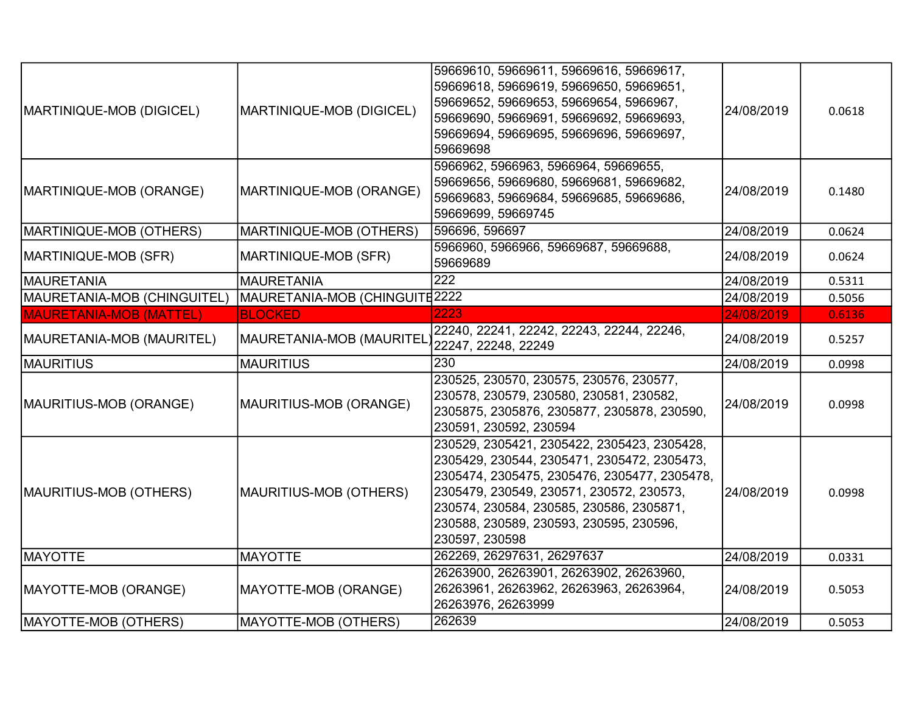| MARTINIQUE-MOB (DIGICEL)       | MARTINIQUE-MOB (DIGICEL)      | 59669610, 59669611, 59669616, 59669617,<br>59669618, 59669619, 59669650, 59669651,<br>59669652, 59669653, 59669654, 5966967,<br>59669690, 59669691, 59669692, 59669693,<br>59669694, 59669695, 59669696, 59669697,<br>59669698                                                                  | 24/08/2019 | 0.0618 |
|--------------------------------|-------------------------------|-------------------------------------------------------------------------------------------------------------------------------------------------------------------------------------------------------------------------------------------------------------------------------------------------|------------|--------|
| MARTINIQUE-MOB (ORANGE)        | MARTINIQUE-MOB (ORANGE)       | 5966962, 5966963, 5966964, 59669655,<br>59669656, 59669680, 59669681, 59669682,<br>59669683, 59669684, 59669685, 59669686,<br>59669699, 59669745                                                                                                                                                | 24/08/2019 | 0.1480 |
| MARTINIQUE-MOB (OTHERS)        | MARTINIQUE-MOB (OTHERS)       | 596696, 596697                                                                                                                                                                                                                                                                                  | 24/08/2019 | 0.0624 |
| MARTINIQUE-MOB (SFR)           | MARTINIQUE-MOB (SFR)          | 5966960, 5966966, 59669687, 59669688,<br>59669689                                                                                                                                                                                                                                               | 24/08/2019 | 0.0624 |
| MAURETANIA                     | <b>MAURETANIA</b>             | $\overline{222}$                                                                                                                                                                                                                                                                                | 24/08/2019 | 0.5311 |
| MAURETANIA-MOB (CHINGUITEL)    | MAURETANIA-MOB (CHINGUITE2222 |                                                                                                                                                                                                                                                                                                 | 24/08/2019 | 0.5056 |
| <b>MAURETANIA-MOB (MATTEL)</b> | <b>BLOCKED</b>                | 2223                                                                                                                                                                                                                                                                                            | 24/08/2019 | 0.6136 |
| MAURETANIA-MOB (MAURITEL)      | MAURETANIA-MOB (MAURITEL      | 22240, 22241, 22242, 22243, 22244, 22246,<br>22247, 22248, 22249                                                                                                                                                                                                                                | 24/08/2019 | 0.5257 |
| <b>MAURITIUS</b>               | <b>MAURITIUS</b>              | 230                                                                                                                                                                                                                                                                                             | 24/08/2019 | 0.0998 |
| MAURITIUS-MOB (ORANGE)         | MAURITIUS-MOB (ORANGE)        | 230525, 230570, 230575, 230576, 230577,<br>230578, 230579, 230580, 230581, 230582,<br>2305875, 2305876, 2305877, 2305878, 230590,<br>230591, 230592, 230594                                                                                                                                     | 24/08/2019 | 0.0998 |
| MAURITIUS-MOB (OTHERS)         | MAURITIUS-MOB (OTHERS)        | 230529, 2305421, 2305422, 2305423, 2305428,<br>2305429, 230544, 2305471, 2305472, 2305473,<br>2305474, 2305475, 2305476, 2305477, 2305478,<br>2305479, 230549, 230571, 230572, 230573,<br>230574, 230584, 230585, 230586, 2305871,<br>230588, 230589, 230593, 230595, 230596,<br>230597, 230598 | 24/08/2019 | 0.0998 |
| <b>MAYOTTE</b>                 | <b>MAYOTTE</b>                | 262269, 26297631, 26297637                                                                                                                                                                                                                                                                      | 24/08/2019 | 0.0331 |
| MAYOTTE-MOB (ORANGE)           | MAYOTTE-MOB (ORANGE)          | 26263900, 26263901, 26263902, 26263960,<br>26263961, 26263962, 26263963, 26263964,<br>26263976, 26263999                                                                                                                                                                                        | 24/08/2019 | 0.5053 |
| MAYOTTE-MOB (OTHERS)           | MAYOTTE-MOB (OTHERS)          | 262639                                                                                                                                                                                                                                                                                          | 24/08/2019 | 0.5053 |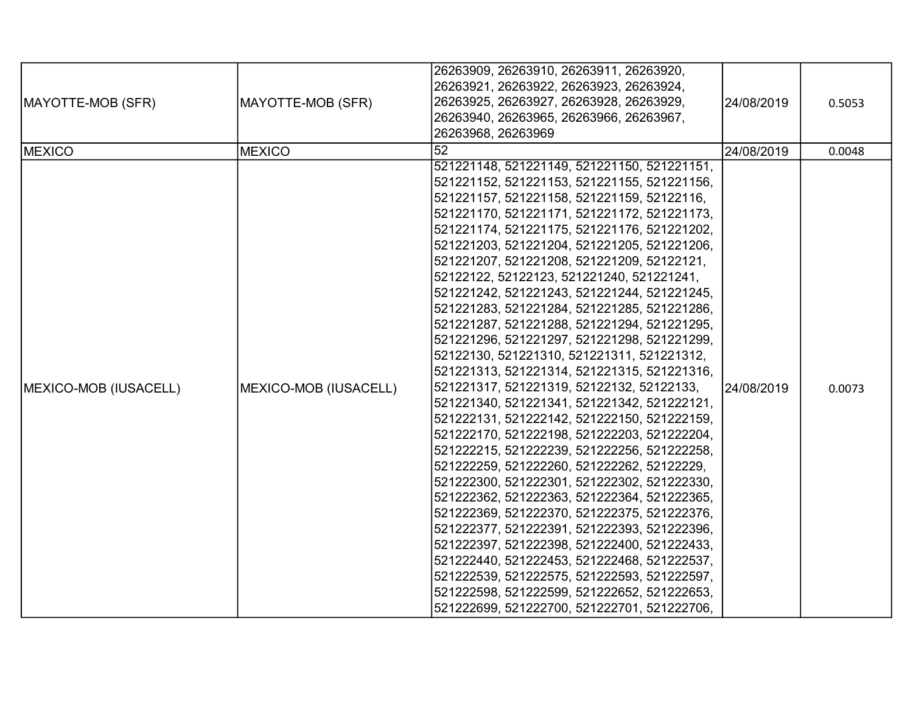| MAYOTTE-MOB (SFR)<br><b>MEXICO</b> | MAYOTTE-MOB (SFR)<br><b>MEXICO</b> | 26263909, 26263910, 26263911, 26263920,<br>26263921, 26263922, 26263923, 26263924,<br>26263925, 26263927, 26263928, 26263929,<br>26263940, 26263965, 26263966, 26263967,<br>26263968, 26263969<br>$\overline{52}$                                                                                                                                                                                                                                                                                                                                                                                                                                                                                                                                                                                                                                                                                                                                                                                                                                                                                                                                                                                                                                                                                                                                                                                       | 24/08/2019<br>24/08/2019 | 0.5053<br>0.0048 |
|------------------------------------|------------------------------------|---------------------------------------------------------------------------------------------------------------------------------------------------------------------------------------------------------------------------------------------------------------------------------------------------------------------------------------------------------------------------------------------------------------------------------------------------------------------------------------------------------------------------------------------------------------------------------------------------------------------------------------------------------------------------------------------------------------------------------------------------------------------------------------------------------------------------------------------------------------------------------------------------------------------------------------------------------------------------------------------------------------------------------------------------------------------------------------------------------------------------------------------------------------------------------------------------------------------------------------------------------------------------------------------------------------------------------------------------------------------------------------------------------|--------------------------|------------------|
| MEXICO-MOB (IUSACELL)              | MEXICO-MOB (IUSACELL)              | 521221148, 521221149, 521221150, 521221151,<br>521221152, 521221153, 521221155, 521221156,<br>521221157, 521221158, 521221159, 52122116,<br>521221170, 521221171, 521221172, 521221173,<br>521221174, 521221175, 521221176, 521221202,<br>521221203, 521221204, 521221205, 521221206,<br>521221207, 521221208, 521221209, 52122121,<br>52122122, 52122123, 521221240, 521221241,<br>521221242, 521221243, 521221244, 521221245,<br>521221283, 521221284, 521221285, 521221286,<br>521221287, 521221288, 521221294, 521221295,<br>521221296, 521221297, 521221298, 521221299,<br>52122130, 521221310, 521221311, 521221312,<br>521221313, 521221314, 521221315, 521221316,<br>521221317, 521221319, 52122132, 52122133,<br>521221340, 521221341, 521221342, 521222121,<br>521222131, 521222142, 521222150, 521222159,<br>521222170, 521222198, 521222203, 521222204,<br>521222215, 521222239, 521222256, 521222258,<br>521222259, 521222260, 521222262, 52122229,<br>521222300, 521222301, 521222302, 521222330,<br>521222362, 521222363, 521222364, 521222365,<br>521222369, 521222370, 521222375, 521222376,<br>521222377, 521222391, 521222393, 521222396,<br>521222397, 521222398, 521222400, 521222433,<br>521222440, 521222453, 521222468, 521222537,<br>521222539, 521222575, 521222593, 521222597,<br>521222598, 521222599, 521222652, 521222653,<br>521222699, 521222700, 521222701, 521222706, | 24/08/2019               | 0.0073           |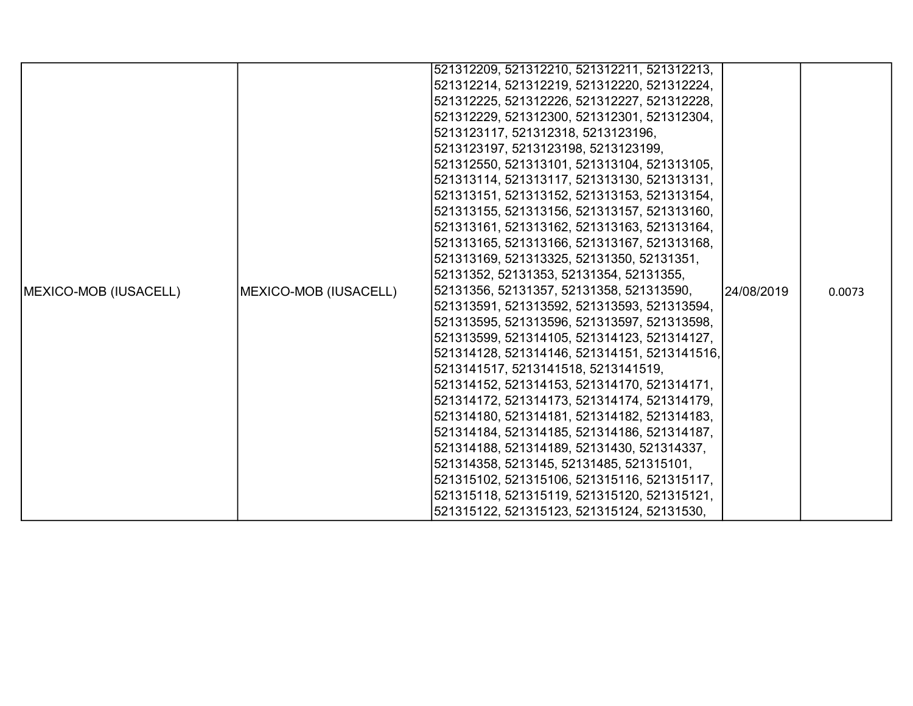|                               |                       | 521312209, 521312210, 521312211, 521312213,  |            |        |
|-------------------------------|-----------------------|----------------------------------------------|------------|--------|
|                               |                       |                                              |            |        |
|                               |                       | 521312214, 521312219, 521312220, 521312224,  |            |        |
|                               |                       | 521312225, 521312226, 521312227, 521312228,  |            |        |
|                               |                       | 521312229, 521312300, 521312301, 521312304,  |            |        |
|                               |                       | 5213123117, 521312318, 5213123196,           |            |        |
|                               |                       | 5213123197, 5213123198, 5213123199,          |            |        |
|                               |                       | 521312550, 521313101, 521313104, 521313105,  |            |        |
|                               |                       | 521313114, 521313117, 521313130, 521313131,  |            |        |
|                               |                       | 521313151, 521313152, 521313153, 521313154,  |            |        |
|                               |                       | 521313155, 521313156, 521313157, 521313160,  |            |        |
|                               |                       | 521313161, 521313162, 521313163, 521313164,  |            |        |
|                               |                       | 521313165, 521313166, 521313167, 521313168,  |            |        |
|                               |                       | 521313169, 521313325, 52131350, 52131351,    |            |        |
|                               |                       | 52131352, 52131353, 52131354, 52131355,      |            |        |
| <b>IMEXICO-MOB (IUSACELL)</b> | MEXICO-MOB (IUSACELL) | 52131356, 52131357, 52131358, 521313590,     | 24/08/2019 | 0.0073 |
|                               |                       | 521313591, 521313592, 521313593, 521313594,  |            |        |
|                               |                       | 521313595, 521313596, 521313597, 521313598,  |            |        |
|                               |                       | 521313599, 521314105, 521314123, 521314127,  |            |        |
|                               |                       | 521314128, 521314146, 521314151, 5213141516, |            |        |
|                               |                       | 5213141517, 5213141518, 5213141519,          |            |        |
|                               |                       | 521314152, 521314153, 521314170, 521314171,  |            |        |
|                               |                       | 521314172, 521314173, 521314174, 521314179,  |            |        |
|                               |                       | 521314180, 521314181, 521314182, 521314183,  |            |        |
|                               |                       | 521314184, 521314185, 521314186, 521314187,  |            |        |
|                               |                       | 521314188, 521314189, 52131430, 521314337,   |            |        |
|                               |                       | 521314358, 5213145, 52131485, 521315101,     |            |        |
|                               |                       | 521315102, 521315106, 521315116, 521315117,  |            |        |
|                               |                       | 521315118, 521315119, 521315120, 521315121,  |            |        |
|                               |                       | 521315122, 521315123, 521315124, 52131530,   |            |        |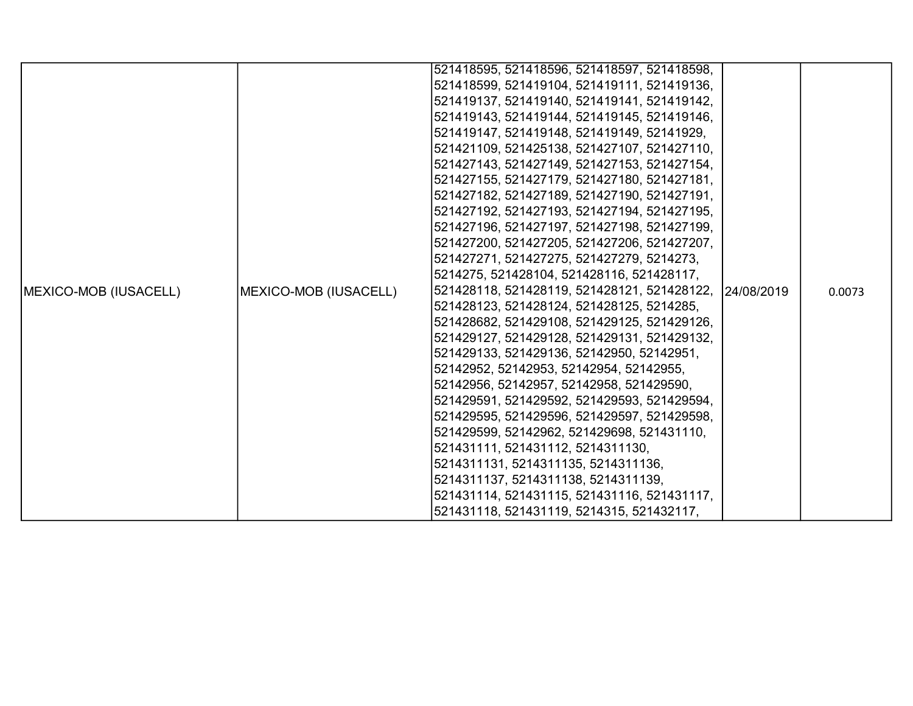|                               |                       | 521418595, 521418596, 521418597, 521418598,             |  |        |
|-------------------------------|-----------------------|---------------------------------------------------------|--|--------|
|                               |                       | 521418599, 521419104, 521419111, 521419136,             |  |        |
|                               |                       | 521419137, 521419140, 521419141, 521419142,             |  |        |
|                               |                       | 521419143, 521419144, 521419145, 521419146,             |  |        |
|                               |                       | 521419147, 521419148, 521419149, 52141929,              |  |        |
|                               |                       | 521421109, 521425138, 521427107, 521427110,             |  |        |
|                               |                       | 521427143, 521427149, 521427153, 521427154,             |  |        |
|                               |                       | 521427155, 521427179, 521427180, 521427181,             |  |        |
|                               |                       | 521427182, 521427189, 521427190, 521427191,             |  |        |
|                               |                       | 521427192, 521427193, 521427194, 521427195,             |  |        |
|                               |                       | 521427196, 521427197, 521427198, 521427199,             |  |        |
|                               |                       | 521427200, 521427205, 521427206, 521427207,             |  |        |
|                               |                       | 521427271, 521427275, 521427279, 5214273,               |  |        |
|                               |                       | 5214275, 521428104, 521428116, 521428117,               |  |        |
| <b>IMEXICO-MOB (IUSACELL)</b> | MEXICO-MOB (IUSACELL) | 521428118, 521428119, 521428121, 521428122, 124/08/2019 |  | 0.0073 |
|                               |                       | 521428123, 521428124, 521428125, 5214285,               |  |        |
|                               |                       | 521428682, 521429108, 521429125, 521429126,             |  |        |
|                               |                       | 521429127, 521429128, 521429131, 521429132,             |  |        |
|                               |                       | 521429133, 521429136, 52142950, 52142951,               |  |        |
|                               |                       | 52142952, 52142953, 52142954, 52142955,                 |  |        |
|                               |                       | 52142956, 52142957, 52142958, 521429590,                |  |        |
|                               |                       | 521429591, 521429592, 521429593, 521429594,             |  |        |
|                               |                       | 521429595, 521429596, 521429597, 521429598,             |  |        |
|                               |                       | 521429599, 52142962, 521429698, 521431110,              |  |        |
|                               |                       | 521431111, 521431112, 5214311130,                       |  |        |
|                               |                       | 5214311131, 5214311135, 5214311136,                     |  |        |
|                               |                       | 5214311137, 5214311138, 5214311139,                     |  |        |
|                               |                       | 521431114, 521431115, 521431116, 521431117,             |  |        |
|                               |                       | 521431118, 521431119, 5214315, 521432117,               |  |        |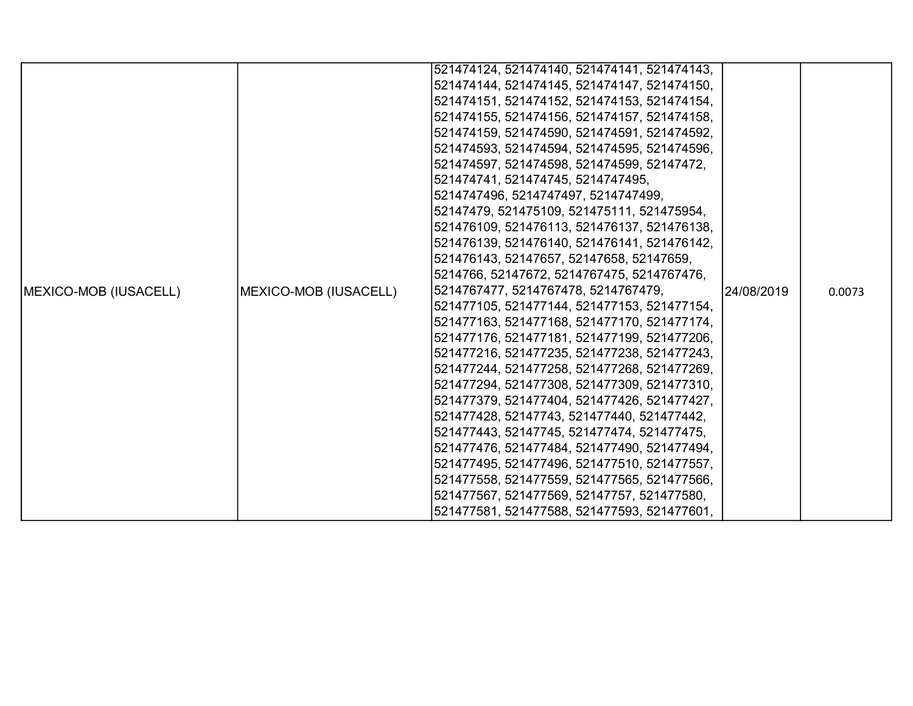|                              |                       | 521474124, 521474140, 521474141, 521474143, |             |        |
|------------------------------|-----------------------|---------------------------------------------|-------------|--------|
|                              |                       | 521474144, 521474145, 521474147, 521474150, |             |        |
|                              |                       | 521474151, 521474152, 521474153, 521474154, |             |        |
|                              |                       | 521474155, 521474156, 521474157, 521474158, |             |        |
|                              |                       | 521474159, 521474590, 521474591, 521474592, |             |        |
|                              |                       | 521474593, 521474594, 521474595, 521474596, |             |        |
|                              |                       | 521474597, 521474598, 521474599, 52147472,  |             |        |
|                              |                       | 521474741, 521474745, 5214747495,           |             |        |
|                              |                       | 5214747496, 5214747497, 5214747499,         |             |        |
|                              |                       | 52147479, 521475109, 521475111, 521475954,  |             |        |
|                              |                       | 521476109, 521476113, 521476137, 521476138, |             |        |
|                              |                       | 521476139, 521476140, 521476141, 521476142, |             |        |
|                              |                       | 521476143, 52147657, 52147658, 52147659,    |             |        |
|                              |                       | 5214766, 52147672, 5214767475, 5214767476,  |             |        |
| <b>MEXICO-MOB (IUSACELL)</b> | MEXICO-MOB (IUSACELL) | 5214767477, 5214767478, 5214767479,         | 124/08/2019 | 0.0073 |
|                              |                       | 521477105, 521477144, 521477153, 521477154, |             |        |
|                              |                       | 521477163, 521477168, 521477170, 521477174, |             |        |
|                              |                       | 521477176, 521477181, 521477199, 521477206, |             |        |
|                              |                       | 521477216, 521477235, 521477238, 521477243, |             |        |
|                              |                       | 521477244, 521477258, 521477268, 521477269, |             |        |
|                              |                       | 521477294, 521477308, 521477309, 521477310, |             |        |
|                              |                       | 521477379, 521477404, 521477426, 521477427, |             |        |
|                              |                       | 521477428, 52147743, 521477440, 521477442,  |             |        |
|                              |                       | 521477443, 52147745, 521477474, 521477475,  |             |        |
|                              |                       | 521477476, 521477484, 521477490, 521477494, |             |        |
|                              |                       | 521477495, 521477496, 521477510, 521477557, |             |        |
|                              |                       | 521477558, 521477559, 521477565, 521477566, |             |        |
|                              |                       | 521477567, 521477569, 52147757, 521477580,  |             |        |
|                              |                       | 521477581, 521477588, 521477593, 521477601, |             |        |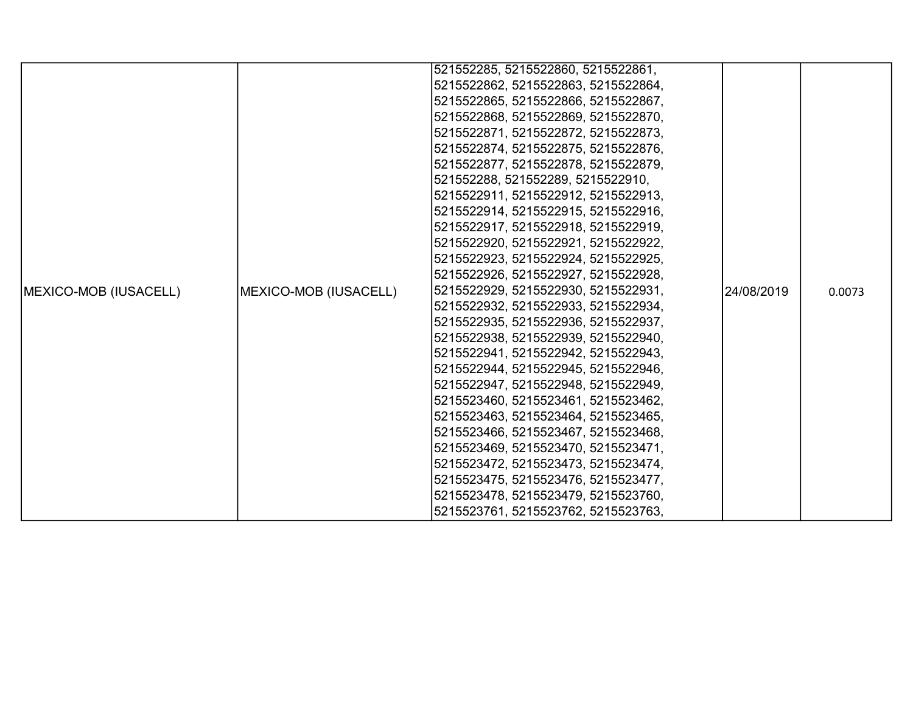|                               |                                     | 521552285, 5215522860, 5215522861,  |            |        |
|-------------------------------|-------------------------------------|-------------------------------------|------------|--------|
|                               |                                     | 5215522862, 5215522863, 5215522864, |            |        |
|                               |                                     | 5215522865, 5215522866, 5215522867, |            |        |
|                               |                                     | 5215522868, 5215522869, 5215522870, |            |        |
|                               |                                     | 5215522871, 5215522872, 5215522873, |            |        |
|                               |                                     | 5215522874, 5215522875, 5215522876, |            |        |
|                               |                                     | 5215522877, 5215522878, 5215522879, |            |        |
|                               |                                     | 521552288, 521552289, 5215522910,   |            |        |
|                               |                                     | 5215522911, 5215522912, 5215522913, |            |        |
|                               |                                     | 5215522914, 5215522915, 5215522916, |            |        |
|                               |                                     | 5215522917, 5215522918, 5215522919, |            |        |
|                               |                                     | 5215522920, 5215522921, 5215522922, |            |        |
|                               |                                     | 5215522923, 5215522924, 5215522925, |            |        |
|                               |                                     | 5215522926, 5215522927, 5215522928, |            |        |
| <b>IMEXICO-MOB (IUSACELL)</b> | MEXICO-MOB (IUSACELL)               | 5215522929, 5215522930, 5215522931, | 24/08/2019 | 0.0073 |
|                               |                                     | 5215522932, 5215522933, 5215522934, |            |        |
|                               |                                     | 5215522935, 5215522936, 5215522937, |            |        |
|                               |                                     | 5215522938, 5215522939, 5215522940, |            |        |
|                               | 5215522941, 5215522942, 5215522943, |                                     |            |        |
|                               |                                     | 5215522944, 5215522945, 5215522946, |            |        |
|                               |                                     | 5215522947, 5215522948, 5215522949, |            |        |
|                               |                                     | 5215523460, 5215523461, 5215523462, |            |        |
|                               |                                     | 5215523463, 5215523464, 5215523465, |            |        |
|                               |                                     | 5215523466, 5215523467, 5215523468, |            |        |
|                               |                                     | 5215523469, 5215523470, 5215523471, |            |        |
|                               |                                     | 5215523472, 5215523473, 5215523474, |            |        |
|                               |                                     | 5215523475, 5215523476, 5215523477, |            |        |
|                               |                                     | 5215523478, 5215523479, 5215523760, |            |        |
|                               |                                     | 5215523761, 5215523762, 5215523763, |            |        |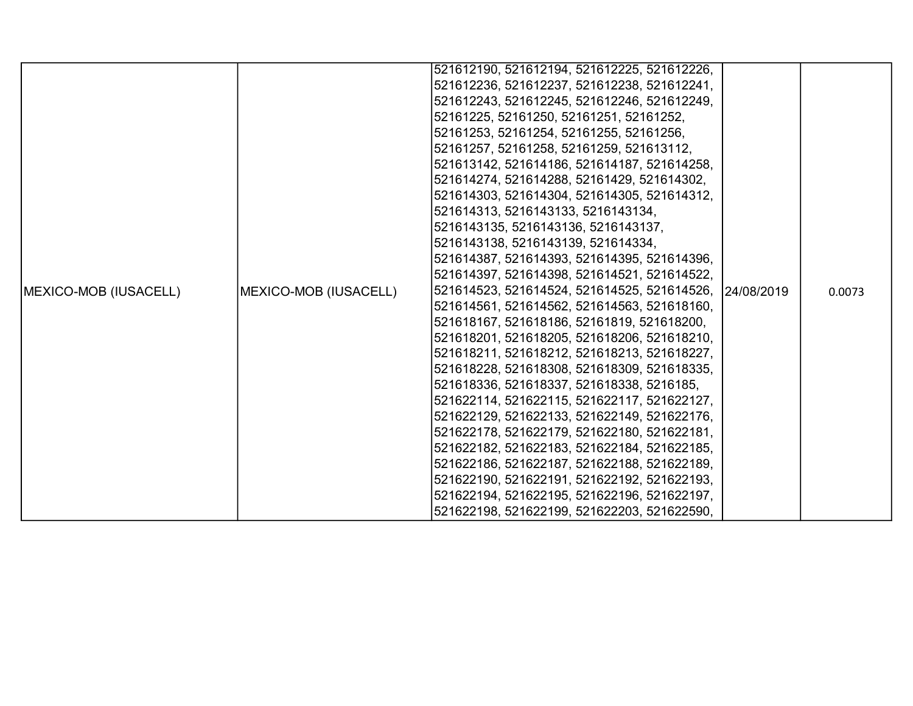|                               |                       | 521612190, 521612194, 521612225, 521612226,            |  |        |
|-------------------------------|-----------------------|--------------------------------------------------------|--|--------|
|                               |                       | 521612236, 521612237, 521612238, 521612241,            |  |        |
|                               |                       | 521612243, 521612245, 521612246, 521612249,            |  |        |
|                               |                       | 52161225, 52161250, 52161251, 52161252,                |  |        |
|                               |                       | 52161253, 52161254, 52161255, 52161256,                |  |        |
|                               |                       | 52161257, 52161258, 52161259, 521613112,               |  |        |
|                               |                       | 521613142, 521614186, 521614187, 521614258,            |  |        |
|                               |                       | 521614274, 521614288, 52161429, 521614302,             |  |        |
|                               |                       | 521614303, 521614304, 521614305, 521614312,            |  |        |
|                               |                       | 521614313, 5216143133, 5216143134,                     |  |        |
|                               |                       | 5216143135, 5216143136, 5216143137,                    |  |        |
|                               |                       | 5216143138, 5216143139, 521614334,                     |  |        |
|                               |                       | 521614387, 521614393, 521614395, 521614396,            |  |        |
|                               |                       | 521614397, 521614398, 521614521, 521614522,            |  |        |
| <b>IMEXICO-MOB (IUSACELL)</b> | MEXICO-MOB (IUSACELL) | 521614523, 521614524, 521614525, 521614526, 24/08/2019 |  | 0.0073 |
|                               |                       | 521614561, 521614562, 521614563, 521618160,            |  |        |
|                               |                       | 521618167, 521618186, 52161819, 521618200,             |  |        |
|                               |                       | 521618201, 521618205, 521618206, 521618210,            |  |        |
|                               |                       | 521618211, 521618212, 521618213, 521618227,            |  |        |
|                               |                       | 521618228, 521618308, 521618309, 521618335,            |  |        |
|                               |                       | 521618336, 521618337, 521618338, 5216185,              |  |        |
|                               |                       | 521622114, 521622115, 521622117, 521622127,            |  |        |
|                               |                       | 521622129, 521622133, 521622149, 521622176,            |  |        |
|                               |                       | 521622178, 521622179, 521622180, 521622181,            |  |        |
|                               |                       | 521622182, 521622183, 521622184, 521622185,            |  |        |
|                               |                       | 521622186, 521622187, 521622188, 521622189,            |  |        |
|                               |                       | 521622190, 521622191, 521622192, 521622193,            |  |        |
|                               |                       | 521622194, 521622195, 521622196, 521622197,            |  |        |
|                               |                       | 521622198, 521622199, 521622203, 521622590,            |  |        |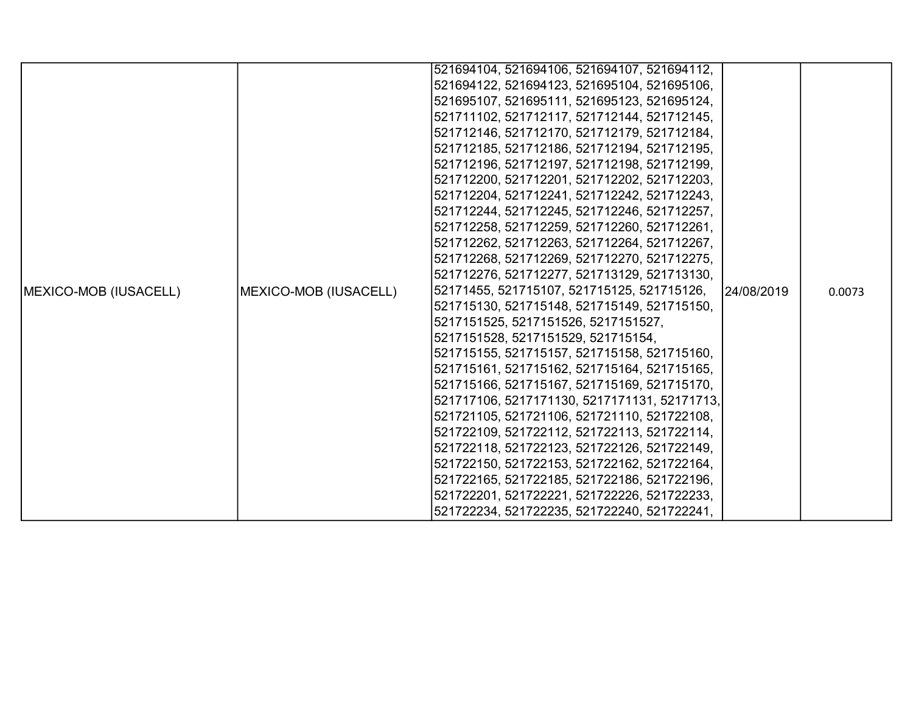|                               |                       | 521694104, 521694106, 521694107, 521694112,  |            |        |
|-------------------------------|-----------------------|----------------------------------------------|------------|--------|
|                               |                       | 521694122, 521694123, 521695104, 521695106,  |            |        |
|                               |                       | 521695107, 521695111, 521695123, 521695124,  |            |        |
|                               |                       | 521711102, 521712117, 521712144, 521712145,  |            |        |
|                               |                       | 521712146, 521712170, 521712179, 521712184,  |            |        |
|                               |                       | 521712185, 521712186, 521712194, 521712195,  |            |        |
|                               |                       | 521712196, 521712197, 521712198, 521712199,  |            |        |
|                               |                       | 521712200, 521712201, 521712202, 521712203,  |            |        |
|                               |                       | 521712204, 521712241, 521712242, 521712243,  |            |        |
|                               |                       | 521712244, 521712245, 521712246, 521712257,  |            |        |
|                               |                       | 521712258, 521712259, 521712260, 521712261,  |            |        |
|                               |                       | 521712262, 521712263, 521712264, 521712267,  |            |        |
|                               |                       | 521712268, 521712269, 521712270, 521712275,  |            |        |
|                               |                       | 521712276, 521712277, 521713129, 521713130,  |            |        |
| <b>IMEXICO-MOB (IUSACELL)</b> | MEXICO-MOB (IUSACELL) | 52171455, 521715107, 521715125, 521715126,   | 24/08/2019 | 0.0073 |
|                               |                       | 521715130, 521715148, 521715149, 521715150,  |            |        |
|                               |                       | 5217151525, 5217151526, 5217151527,          |            |        |
|                               |                       | 5217151528, 5217151529, 521715154,           |            |        |
|                               |                       | 521715155, 521715157, 521715158, 521715160,  |            |        |
|                               |                       | 521715161, 521715162, 521715164, 521715165,  |            |        |
|                               |                       | 521715166, 521715167, 521715169, 521715170,  |            |        |
|                               |                       | 521717106, 5217171130, 5217171131, 52171713, |            |        |
|                               |                       | 521721105, 521721106, 521721110, 521722108,  |            |        |
|                               |                       | 521722109, 521722112, 521722113, 521722114,  |            |        |
|                               |                       | 521722118, 521722123, 521722126, 521722149,  |            |        |
|                               |                       | 521722150, 521722153, 521722162, 521722164,  |            |        |
|                               |                       | 521722165, 521722185, 521722186, 521722196,  |            |        |
|                               |                       | 521722201, 521722221, 521722226, 521722233,  |            |        |
|                               |                       | 521722234, 521722235, 521722240, 521722241,  |            |        |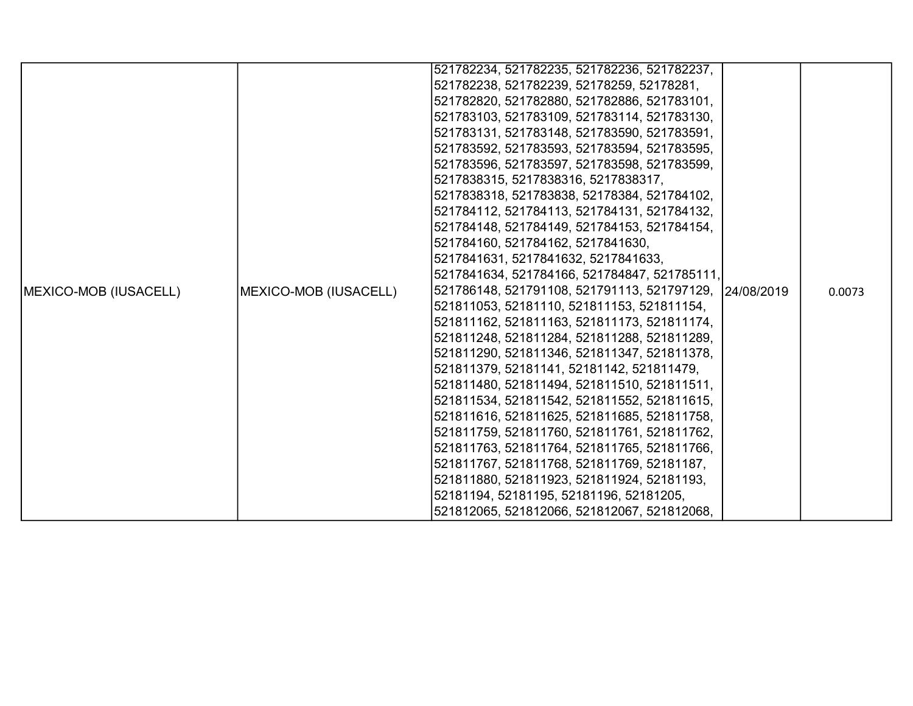|                               |                       | 521782234, 521782235, 521782236, 521782237,            |  |        |
|-------------------------------|-----------------------|--------------------------------------------------------|--|--------|
|                               |                       | 521782238, 521782239, 52178259, 52178281,              |  |        |
|                               |                       | 521782820, 521782880, 521782886, 521783101,            |  |        |
|                               |                       | 521783103, 521783109, 521783114, 521783130,            |  |        |
|                               |                       | 521783131, 521783148, 521783590, 521783591,            |  |        |
|                               |                       | 521783592, 521783593, 521783594, 521783595,            |  |        |
|                               |                       | 521783596, 521783597, 521783598, 521783599,            |  |        |
|                               |                       | 5217838315, 5217838316, 5217838317,                    |  |        |
|                               |                       | 5217838318, 521783838, 52178384, 521784102,            |  |        |
|                               |                       | 521784112, 521784113, 521784131, 521784132,            |  |        |
|                               |                       | 521784148, 521784149, 521784153, 521784154,            |  |        |
|                               |                       | 521784160, 521784162, 5217841630,                      |  |        |
|                               |                       | 5217841631, 5217841632, 5217841633,                    |  |        |
|                               |                       | 5217841634, 521784166, 521784847, 521785111,           |  |        |
| <b>IMEXICO-MOB (IUSACELL)</b> | MEXICO-MOB (IUSACELL) | 521786148, 521791108, 521791113, 521797129, 24/08/2019 |  | 0.0073 |
|                               |                       | 521811053, 52181110, 521811153, 521811154,             |  |        |
|                               |                       | 521811162, 521811163, 521811173, 521811174,            |  |        |
|                               |                       | 521811248, 521811284, 521811288, 521811289,            |  |        |
|                               |                       | 521811290, 521811346, 521811347, 521811378,            |  |        |
|                               |                       | 521811379, 52181141, 52181142, 521811479,              |  |        |
|                               |                       | 521811480, 521811494, 521811510, 521811511,            |  |        |
|                               |                       | 521811534, 521811542, 521811552, 521811615,            |  |        |
|                               |                       | 521811616, 521811625, 521811685, 521811758,            |  |        |
|                               |                       | 521811759, 521811760, 521811761, 521811762,            |  |        |
|                               |                       | 521811763, 521811764, 521811765, 521811766,            |  |        |
|                               |                       | 521811767, 521811768, 521811769, 52181187,             |  |        |
|                               |                       | 521811880, 521811923, 521811924, 52181193,             |  |        |
|                               |                       | 52181194, 52181195, 52181196, 52181205,                |  |        |
|                               |                       | 521812065, 521812066, 521812067, 521812068,            |  |        |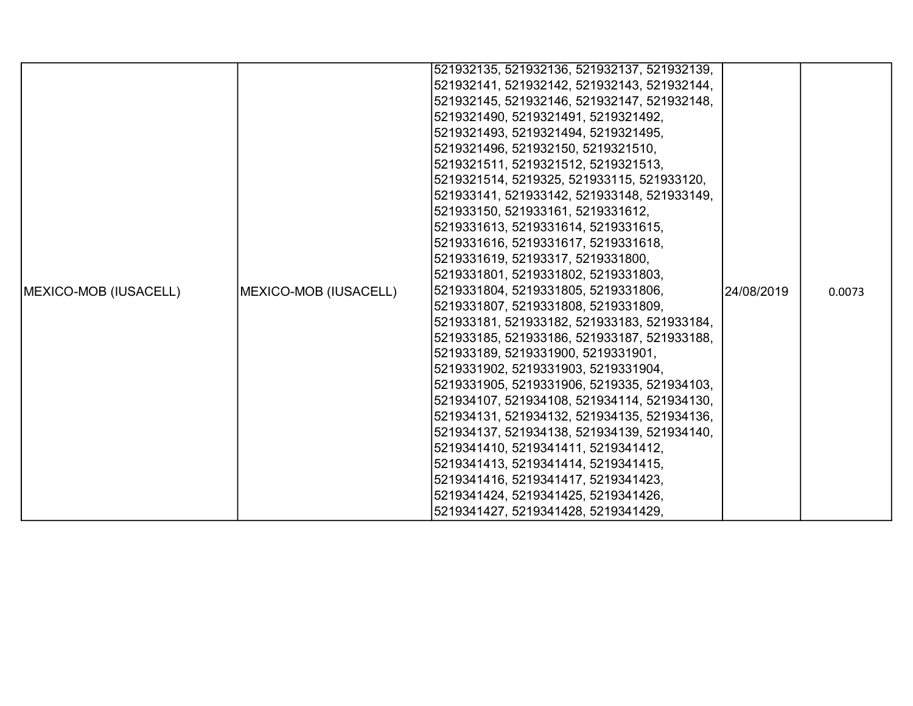|                               |                       | 521932135, 521932136, 521932137, 521932139, |             |        |
|-------------------------------|-----------------------|---------------------------------------------|-------------|--------|
|                               |                       | 521932141, 521932142, 521932143, 521932144, |             |        |
|                               |                       |                                             |             |        |
|                               |                       | 521932145, 521932146, 521932147, 521932148, |             |        |
|                               |                       | 5219321490, 5219321491, 5219321492,         |             |        |
|                               |                       | 5219321493, 5219321494, 5219321495,         |             |        |
|                               |                       | 5219321496, 521932150, 5219321510,          |             |        |
|                               |                       | 5219321511, 5219321512, 5219321513,         |             |        |
|                               |                       | 5219321514, 5219325, 521933115, 521933120,  |             |        |
|                               |                       | 521933141, 521933142, 521933148, 521933149, |             |        |
|                               |                       | 521933150, 521933161, 5219331612,           |             |        |
|                               |                       | 5219331613, 5219331614, 5219331615,         |             |        |
|                               |                       | 5219331616, 5219331617, 5219331618,         |             |        |
|                               |                       | 5219331619, 52193317, 5219331800,           |             |        |
|                               |                       | 5219331801, 5219331802, 5219331803,         |             |        |
| <b>IMEXICO-MOB (IUSACELL)</b> | MEXICO-MOB (IUSACELL) | 5219331804, 5219331805, 5219331806,         | 124/08/2019 | 0.0073 |
|                               |                       | 5219331807, 5219331808, 5219331809,         |             |        |
|                               |                       | 521933181, 521933182, 521933183, 521933184, |             |        |
|                               |                       | 521933185, 521933186, 521933187, 521933188, |             |        |
|                               |                       | 521933189, 5219331900, 5219331901,          |             |        |
|                               |                       | 5219331902, 5219331903, 5219331904,         |             |        |
|                               |                       | 5219331905, 5219331906, 5219335, 521934103, |             |        |
|                               |                       | 521934107, 521934108, 521934114, 521934130, |             |        |
|                               |                       | 521934131, 521934132, 521934135, 521934136, |             |        |
|                               |                       | 521934137, 521934138, 521934139, 521934140, |             |        |
|                               |                       | 5219341410, 5219341411, 5219341412,         |             |        |
|                               |                       | 5219341413, 5219341414, 5219341415,         |             |        |
|                               |                       | 5219341416, 5219341417, 5219341423,         |             |        |
|                               |                       | 5219341424, 5219341425, 5219341426,         |             |        |
|                               |                       | 5219341427, 5219341428, 5219341429,         |             |        |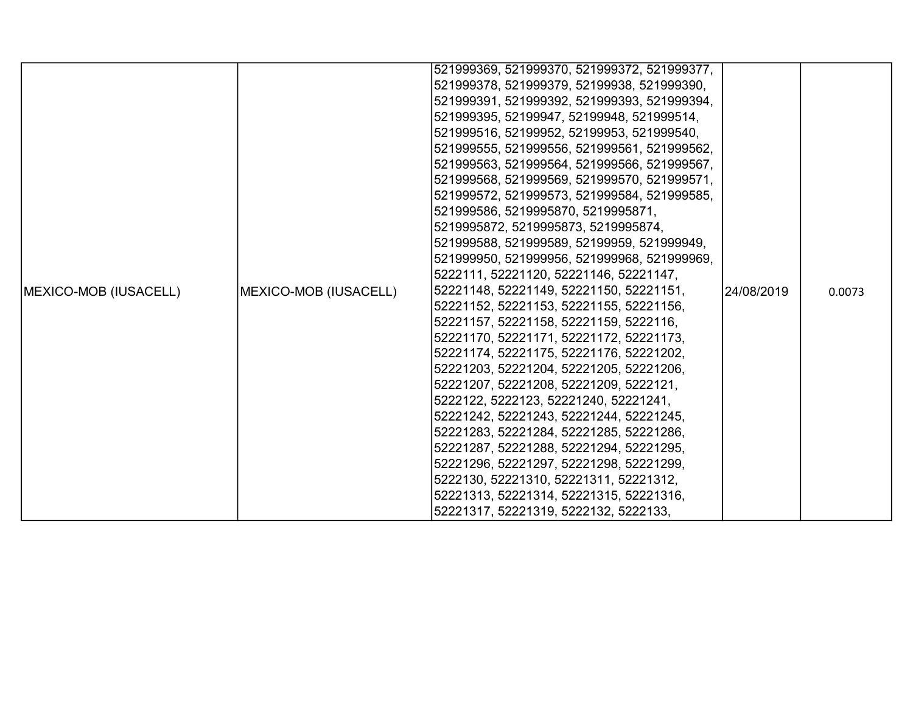|                               |                       | 521999369, 521999370, 521999372, 521999377, |            |        |
|-------------------------------|-----------------------|---------------------------------------------|------------|--------|
|                               |                       | 521999378, 521999379, 52199938, 521999390,  |            |        |
|                               |                       | 521999391, 521999392, 521999393, 521999394, |            |        |
|                               |                       | 521999395, 52199947, 52199948, 521999514,   |            |        |
|                               |                       | 521999516, 52199952, 52199953, 521999540,   |            |        |
|                               |                       | 521999555, 521999556, 521999561, 521999562, |            |        |
|                               |                       | 521999563, 521999564, 521999566, 521999567, |            |        |
|                               |                       | 521999568, 521999569, 521999570, 521999571, |            |        |
|                               |                       | 521999572, 521999573, 521999584, 521999585, |            |        |
|                               |                       | 521999586, 5219995870, 5219995871,          |            |        |
|                               |                       | 5219995872, 5219995873, 5219995874,         |            |        |
|                               |                       | 521999588, 521999589, 52199959, 521999949,  |            |        |
|                               |                       | 521999950, 521999956, 521999968, 521999969, |            |        |
|                               |                       | 5222111, 52221120, 52221146, 52221147,      |            |        |
| <b>IMEXICO-MOB (IUSACELL)</b> | MEXICO-MOB (IUSACELL) | 52221148, 52221149, 52221150, 52221151,     | 24/08/2019 | 0.0073 |
|                               |                       | 52221152, 52221153, 52221155, 52221156,     |            |        |
|                               |                       | 52221157, 52221158, 52221159, 5222116,      |            |        |
|                               |                       | 52221170, 52221171, 52221172, 52221173,     |            |        |
|                               |                       | 52221174, 52221175, 52221176, 52221202,     |            |        |
|                               |                       | 52221203, 52221204, 52221205, 52221206,     |            |        |
|                               |                       | 52221207, 52221208, 52221209, 5222121,      |            |        |
|                               |                       | 5222122, 5222123, 52221240, 52221241,       |            |        |
|                               |                       | 52221242, 52221243, 52221244, 52221245,     |            |        |
|                               |                       | 52221283, 52221284, 52221285, 52221286,     |            |        |
|                               |                       | 52221287, 52221288, 52221294, 52221295,     |            |        |
|                               |                       | 52221296, 52221297, 52221298, 52221299,     |            |        |
|                               |                       | 5222130, 52221310, 52221311, 52221312,      |            |        |
|                               |                       | 52221313, 52221314, 52221315, 52221316,     |            |        |
|                               |                       | 52221317, 52221319, 5222132, 5222133,       |            |        |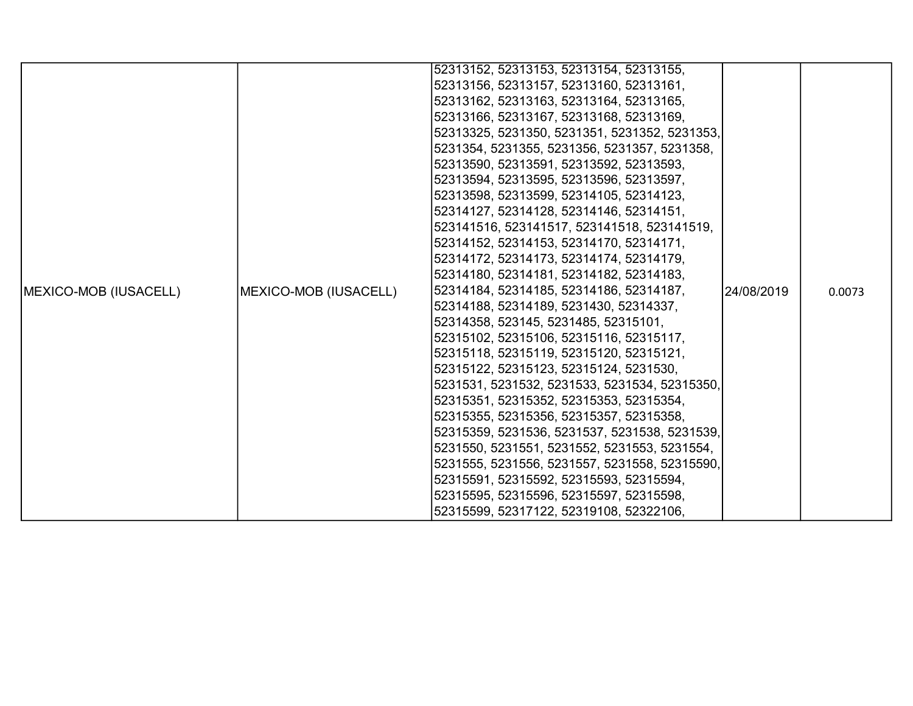|                               |                       | 52313152, 52313153, 52313154, 52313155,       |            |        |
|-------------------------------|-----------------------|-----------------------------------------------|------------|--------|
|                               |                       | 52313156, 52313157, 52313160, 52313161,       |            |        |
|                               |                       | 52313162, 52313163, 52313164, 52313165,       |            |        |
|                               |                       | 52313166, 52313167, 52313168, 52313169,       |            |        |
|                               |                       | 52313325, 5231350, 5231351, 5231352, 5231353, |            |        |
|                               |                       | 5231354, 5231355, 5231356, 5231357, 5231358,  |            |        |
|                               |                       | 52313590, 52313591, 52313592, 52313593,       |            |        |
|                               |                       | 52313594, 52313595, 52313596, 52313597,       |            |        |
|                               |                       | 52313598, 52313599, 52314105, 52314123,       |            |        |
|                               |                       | 52314127, 52314128, 52314146, 52314151,       |            |        |
|                               |                       | 523141516, 523141517, 523141518, 523141519,   |            |        |
|                               |                       | 52314152, 52314153, 52314170, 52314171,       |            |        |
|                               |                       | 52314172, 52314173, 52314174, 52314179,       |            |        |
|                               |                       | 52314180, 52314181, 52314182, 52314183,       |            |        |
| <b>IMEXICO-MOB (IUSACELL)</b> | MEXICO-MOB (IUSACELL) | 52314184, 52314185, 52314186, 52314187,       | 24/08/2019 | 0.0073 |
|                               |                       | 52314188, 52314189, 5231430, 52314337,        |            |        |
|                               |                       | 52314358, 523145, 5231485, 52315101,          |            |        |
|                               |                       | 52315102, 52315106, 52315116, 52315117,       |            |        |
|                               |                       | 52315118, 52315119, 52315120, 52315121,       |            |        |
|                               |                       | 52315122, 52315123, 52315124, 5231530,        |            |        |
|                               |                       | 5231531, 5231532, 5231533, 5231534, 52315350, |            |        |
|                               |                       | 52315351, 52315352, 52315353, 52315354,       |            |        |
|                               |                       | 52315355, 52315356, 52315357, 52315358,       |            |        |
|                               |                       | 52315359, 5231536, 5231537, 5231538, 5231539, |            |        |
|                               |                       | 5231550, 5231551, 5231552, 5231553, 5231554,  |            |        |
|                               |                       | 5231555, 5231556, 5231557, 5231558, 52315590, |            |        |
|                               |                       | 52315591, 52315592, 52315593, 52315594,       |            |        |
|                               |                       | 52315595, 52315596, 52315597, 52315598,       |            |        |
|                               |                       | 52315599, 52317122, 52319108, 52322106,       |            |        |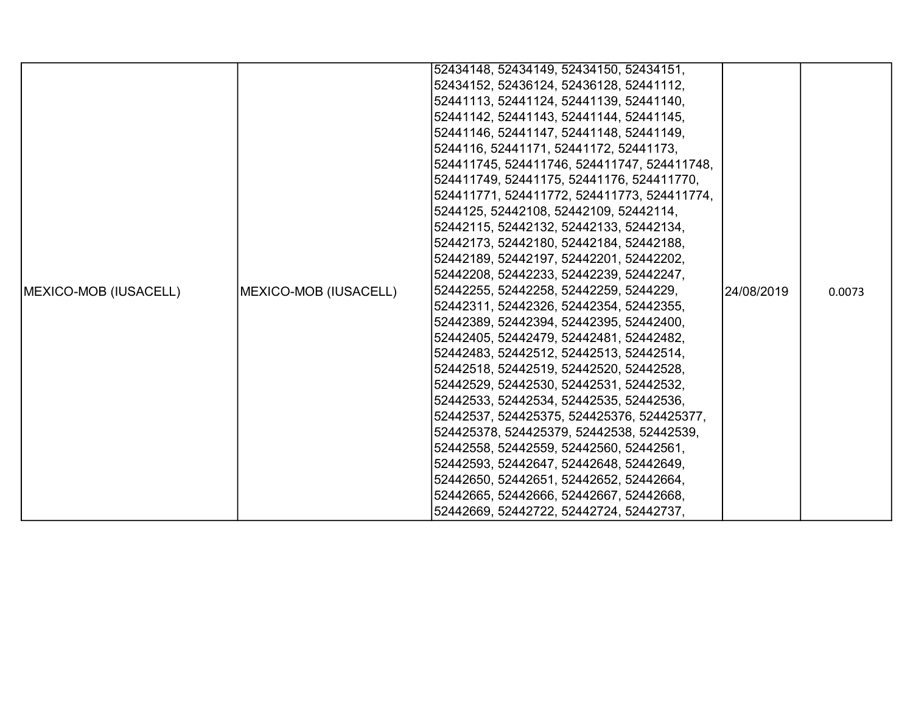|                              |                       | 52434148, 52434149, 52434150, 52434151,     |            |        |
|------------------------------|-----------------------|---------------------------------------------|------------|--------|
|                              |                       | 52434152, 52436124, 52436128, 52441112,     |            |        |
|                              |                       | 52441113, 52441124, 52441139, 52441140,     |            |        |
|                              |                       | 52441142, 52441143, 52441144, 52441145,     |            |        |
|                              |                       | 52441146, 52441147, 52441148, 52441149,     |            |        |
|                              |                       | 5244116, 52441171, 52441172, 52441173,      |            |        |
|                              |                       | 524411745, 524411746, 524411747, 524411748, |            |        |
|                              |                       | 524411749, 52441175, 52441176, 524411770,   |            |        |
|                              |                       | 524411771, 524411772, 524411773, 524411774, |            |        |
|                              |                       | 5244125, 52442108, 52442109, 52442114,      |            |        |
|                              |                       | 52442115, 52442132, 52442133, 52442134,     |            |        |
|                              |                       | 52442173, 52442180, 52442184, 52442188,     |            |        |
|                              |                       | 52442189, 52442197, 52442201, 52442202,     |            |        |
|                              |                       | 52442208, 52442233, 52442239, 52442247,     |            |        |
| <b>MEXICO-MOB (IUSACELL)</b> | MEXICO-MOB (IUSACELL) | 52442255, 52442258, 52442259, 5244229,      | 24/08/2019 | 0.0073 |
|                              |                       | 52442311, 52442326, 52442354, 52442355,     |            |        |
|                              |                       | 52442389, 52442394, 52442395, 52442400,     |            |        |
|                              |                       | 52442405, 52442479, 52442481, 52442482,     |            |        |
|                              |                       | 52442483, 52442512, 52442513, 52442514,     |            |        |
|                              |                       | 52442518, 52442519, 52442520, 52442528,     |            |        |
|                              |                       | 52442529, 52442530, 52442531, 52442532,     |            |        |
|                              |                       | 52442533, 52442534, 52442535, 52442536,     |            |        |
|                              |                       | 52442537, 524425375, 524425376, 524425377,  |            |        |
|                              |                       | 524425378, 524425379, 52442538, 52442539,   |            |        |
|                              |                       | 52442558, 52442559, 52442560, 52442561,     |            |        |
|                              |                       | 52442593, 52442647, 52442648, 52442649,     |            |        |
|                              |                       | 52442650, 52442651, 52442652, 52442664,     |            |        |
|                              |                       | 52442665, 52442666, 52442667, 52442668,     |            |        |
|                              |                       | 52442669, 52442722, 52442724, 52442737,     |            |        |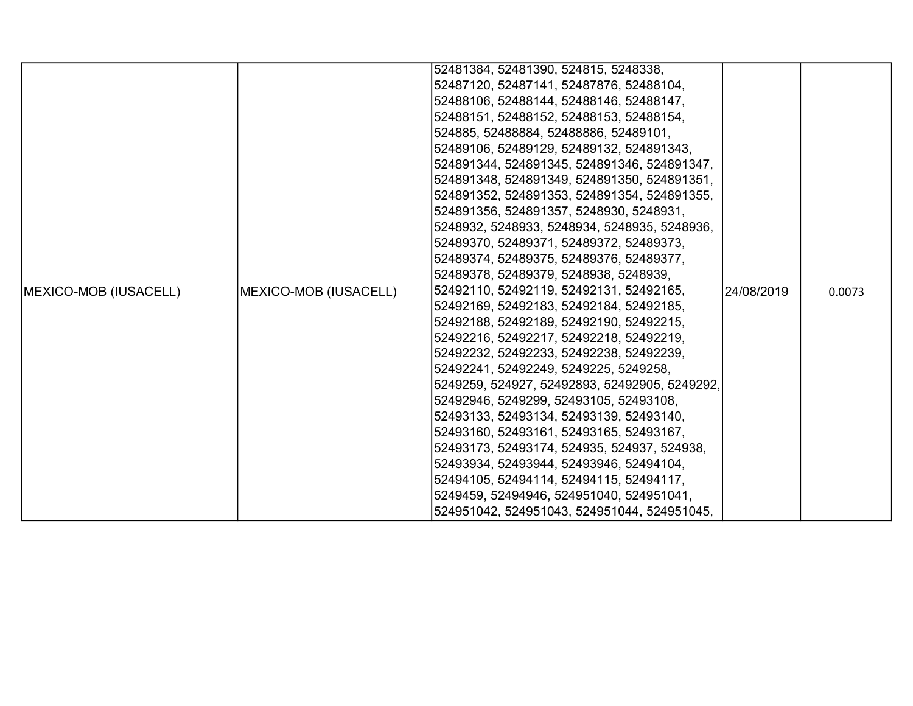|                               |                       | 52481384, 52481390, 524815, 5248338,          |            |        |
|-------------------------------|-----------------------|-----------------------------------------------|------------|--------|
|                               |                       |                                               |            |        |
|                               |                       | 52487120, 52487141, 52487876, 52488104,       |            |        |
|                               |                       | 52488106, 52488144, 52488146, 52488147,       |            |        |
|                               |                       | 52488151, 52488152, 52488153, 52488154,       |            |        |
|                               |                       | 524885, 52488884, 52488886, 52489101,         |            |        |
|                               |                       | 52489106, 52489129, 52489132, 524891343,      |            |        |
|                               |                       | 524891344, 524891345, 524891346, 524891347,   |            |        |
|                               |                       | 524891348, 524891349, 524891350, 524891351,   |            |        |
|                               |                       | 524891352, 524891353, 524891354, 524891355,   |            |        |
|                               |                       | 524891356, 524891357, 5248930, 5248931,       |            |        |
|                               |                       | 5248932, 5248933, 5248934, 5248935, 5248936,  |            |        |
|                               |                       | 52489370, 52489371, 52489372, 52489373,       |            |        |
|                               |                       | 52489374, 52489375, 52489376, 52489377,       |            |        |
|                               |                       | 52489378, 52489379, 5248938, 5248939,         |            |        |
| <b>IMEXICO-MOB (IUSACELL)</b> | MEXICO-MOB (IUSACELL) | 52492110, 52492119, 52492131, 52492165,       | 24/08/2019 | 0.0073 |
|                               |                       | 52492169, 52492183, 52492184, 52492185,       |            |        |
|                               |                       | 52492188, 52492189, 52492190, 52492215,       |            |        |
|                               |                       | 52492216, 52492217, 52492218, 52492219,       |            |        |
|                               |                       | 52492232, 52492233, 52492238, 52492239,       |            |        |
|                               |                       | 52492241, 52492249, 5249225, 5249258,         |            |        |
|                               |                       | 5249259, 524927, 52492893, 52492905, 5249292, |            |        |
|                               |                       | 52492946, 5249299, 52493105, 52493108,        |            |        |
|                               |                       | 52493133, 52493134, 52493139, 52493140,       |            |        |
|                               |                       | 52493160, 52493161, 52493165, 52493167,       |            |        |
|                               |                       | 52493173, 52493174, 524935, 524937, 524938,   |            |        |
|                               |                       | 52493934, 52493944, 52493946, 52494104,       |            |        |
|                               |                       | 52494105, 52494114, 52494115, 52494117,       |            |        |
|                               |                       | 5249459, 52494946, 524951040, 524951041,      |            |        |
|                               |                       | 524951042, 524951043, 524951044, 524951045,   |            |        |
|                               |                       |                                               |            |        |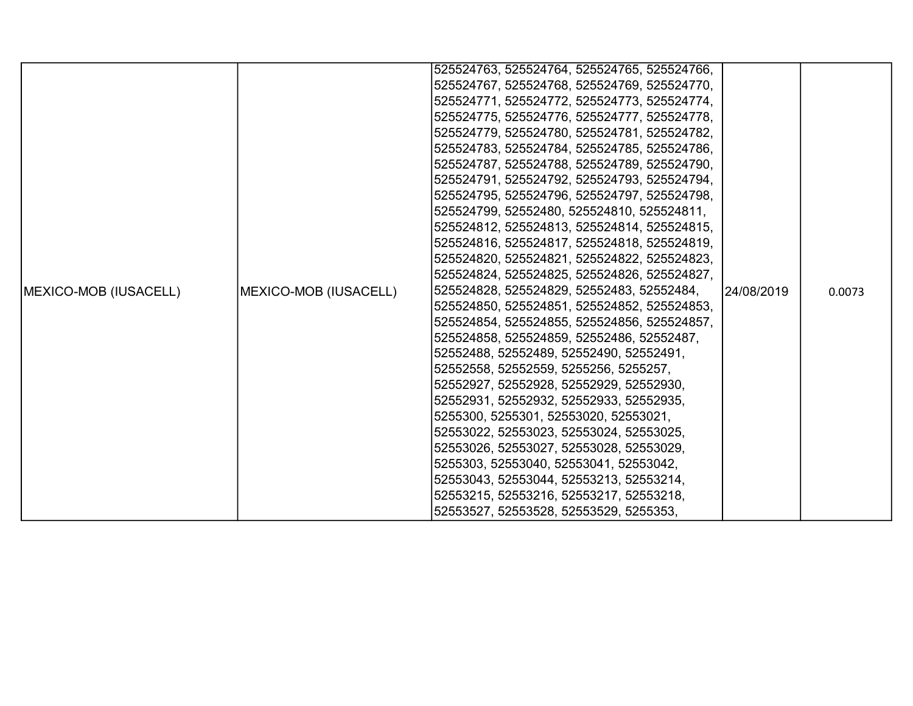|                               |                       | 525524763, 525524764, 525524765, 525524766, |            |        |
|-------------------------------|-----------------------|---------------------------------------------|------------|--------|
|                               |                       | 525524767, 525524768, 525524769, 525524770, |            |        |
|                               |                       | 525524771, 525524772, 525524773, 525524774, |            |        |
|                               |                       | 525524775, 525524776, 525524777, 525524778, |            |        |
|                               |                       | 525524779, 525524780, 525524781, 525524782, |            |        |
|                               |                       | 525524783, 525524784, 525524785, 525524786, |            |        |
|                               |                       | 525524787, 525524788, 525524789, 525524790, |            |        |
|                               |                       | 525524791, 525524792, 525524793, 525524794, |            |        |
|                               |                       | 525524795, 525524796, 525524797, 525524798, |            |        |
|                               |                       | 525524799, 52552480, 525524810, 525524811,  |            |        |
|                               |                       | 525524812, 525524813, 525524814, 525524815, |            |        |
|                               |                       | 525524816, 525524817, 525524818, 525524819, |            |        |
|                               |                       | 525524820, 525524821, 525524822, 525524823, |            |        |
|                               |                       | 525524824, 525524825, 525524826, 525524827, |            |        |
| <b>IMEXICO-MOB (IUSACELL)</b> | MEXICO-MOB (IUSACELL) | 525524828, 525524829, 52552483, 52552484,   | 24/08/2019 | 0.0073 |
|                               |                       | 525524850, 525524851, 525524852, 525524853, |            |        |
|                               |                       | 525524854, 525524855, 525524856, 525524857, |            |        |
|                               |                       | 525524858, 525524859, 52552486, 52552487,   |            |        |
|                               |                       | 52552488, 52552489, 52552490, 52552491,     |            |        |
|                               |                       | 52552558, 52552559, 5255256, 5255257,       |            |        |
|                               |                       | 52552927, 52552928, 52552929, 52552930,     |            |        |
|                               |                       | 52552931, 52552932, 52552933, 52552935,     |            |        |
|                               |                       | 5255300, 5255301, 52553020, 52553021,       |            |        |
|                               |                       | 52553022, 52553023, 52553024, 52553025,     |            |        |
|                               |                       | 52553026, 52553027, 52553028, 52553029,     |            |        |
|                               |                       | 5255303, 52553040, 52553041, 52553042,      |            |        |
|                               |                       | 52553043, 52553044, 52553213, 52553214,     |            |        |
|                               |                       | 52553215, 52553216, 52553217, 52553218,     |            |        |
|                               |                       | 52553527, 52553528, 52553529, 5255353,      |            |        |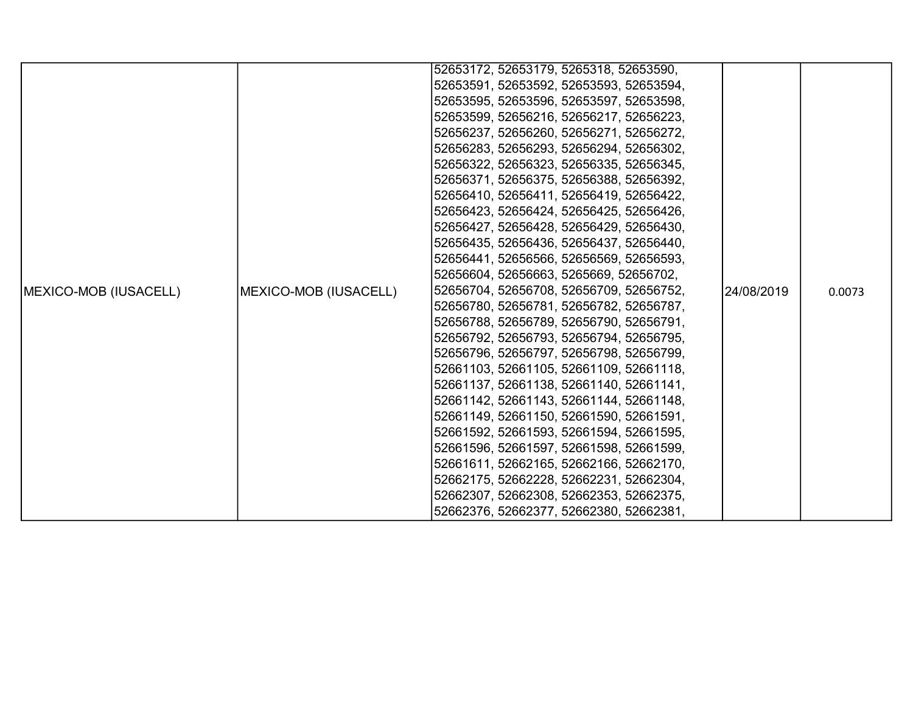|                               |                       | 52653172, 52653179, 5265318, 52653590,  |             |        |
|-------------------------------|-----------------------|-----------------------------------------|-------------|--------|
|                               |                       | 52653591, 52653592, 52653593, 52653594, |             |        |
|                               |                       | 52653595, 52653596, 52653597, 52653598, |             |        |
|                               |                       | 52653599, 52656216, 52656217, 52656223, |             |        |
|                               |                       | 52656237, 52656260, 52656271, 52656272, |             |        |
|                               |                       | 52656283, 52656293, 52656294, 52656302, |             |        |
|                               |                       | 52656322, 52656323, 52656335, 52656345, |             |        |
|                               |                       | 52656371, 52656375, 52656388, 52656392, |             |        |
|                               |                       | 52656410, 52656411, 52656419, 52656422, |             |        |
|                               |                       | 52656423, 52656424, 52656425, 52656426, |             |        |
|                               |                       | 52656427, 52656428, 52656429, 52656430, |             |        |
|                               |                       | 52656435, 52656436, 52656437, 52656440, |             |        |
|                               |                       | 52656441, 52656566, 52656569, 52656593, |             |        |
|                               |                       | 52656604, 52656663, 5265669, 52656702,  |             |        |
| <b>IMEXICO-MOB (IUSACELL)</b> | MEXICO-MOB (IUSACELL) | 52656704, 52656708, 52656709, 52656752, | 124/08/2019 | 0.0073 |
|                               |                       | 52656780, 52656781, 52656782, 52656787, |             |        |
|                               |                       | 52656788, 52656789, 52656790, 52656791, |             |        |
|                               |                       | 52656792, 52656793, 52656794, 52656795, |             |        |
|                               |                       | 52656796, 52656797, 52656798, 52656799, |             |        |
|                               |                       | 52661103, 52661105, 52661109, 52661118, |             |        |
|                               |                       | 52661137, 52661138, 52661140, 52661141, |             |        |
|                               |                       | 52661142, 52661143, 52661144, 52661148, |             |        |
|                               |                       | 52661149, 52661150, 52661590, 52661591, |             |        |
|                               |                       | 52661592, 52661593, 52661594, 52661595, |             |        |
|                               |                       | 52661596, 52661597, 52661598, 52661599, |             |        |
|                               |                       | 52661611, 52662165, 52662166, 52662170, |             |        |
|                               |                       | 52662175, 52662228, 52662231, 52662304, |             |        |
|                               |                       | 52662307, 52662308, 52662353, 52662375, |             |        |
|                               |                       | 52662376, 52662377, 52662380, 52662381, |             |        |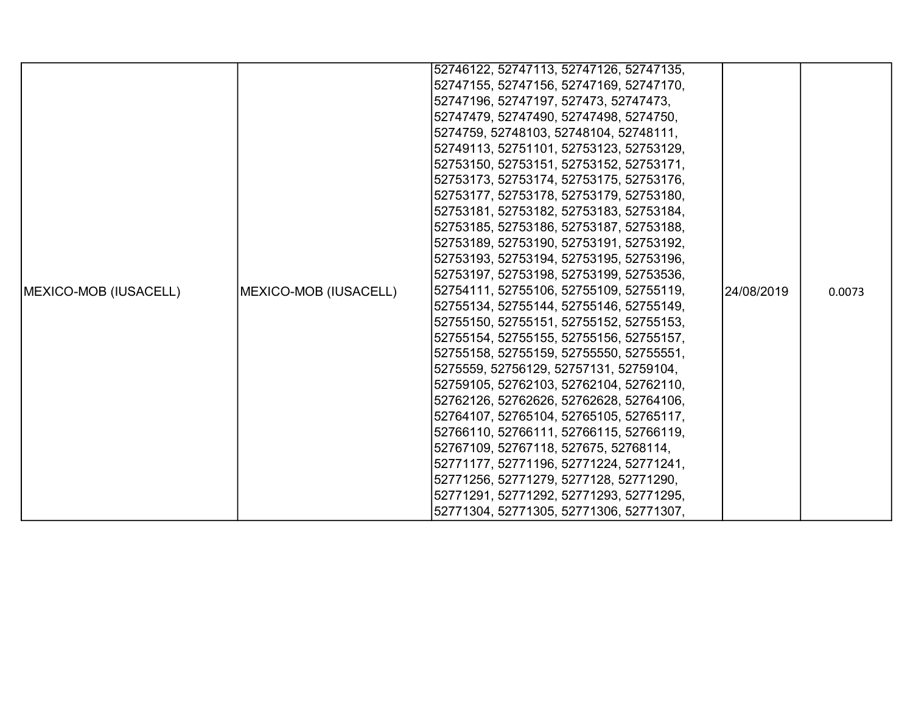|                               |                       | 52746122, 52747113, 52747126, 52747135, |            |        |
|-------------------------------|-----------------------|-----------------------------------------|------------|--------|
|                               |                       | 52747155, 52747156, 52747169, 52747170, |            |        |
|                               |                       | 52747196, 52747197, 527473, 52747473,   |            |        |
|                               |                       | 52747479, 52747490, 52747498, 5274750,  |            |        |
|                               |                       | 5274759, 52748103, 52748104, 52748111,  |            |        |
|                               |                       | 52749113, 52751101, 52753123, 52753129, |            |        |
|                               |                       | 52753150, 52753151, 52753152, 52753171, |            |        |
|                               |                       | 52753173, 52753174, 52753175, 52753176, |            |        |
|                               |                       | 52753177, 52753178, 52753179, 52753180, |            |        |
|                               |                       | 52753181, 52753182, 52753183, 52753184, |            |        |
|                               |                       | 52753185, 52753186, 52753187, 52753188, |            |        |
|                               |                       | 52753189, 52753190, 52753191, 52753192, |            |        |
|                               |                       | 52753193, 52753194, 52753195, 52753196, |            |        |
|                               |                       | 52753197, 52753198, 52753199, 52753536, |            |        |
| <b>IMEXICO-MOB (IUSACELL)</b> | MEXICO-MOB (IUSACELL) | 52754111, 52755106, 52755109, 52755119, | 24/08/2019 | 0.0073 |
|                               |                       | 52755134, 52755144, 52755146, 52755149, |            |        |
|                               |                       | 52755150, 52755151, 52755152, 52755153, |            |        |
|                               |                       | 52755154, 52755155, 52755156, 52755157, |            |        |
|                               |                       | 52755158, 52755159, 52755550, 52755551, |            |        |
|                               |                       | 5275559, 52756129, 52757131, 52759104,  |            |        |
|                               |                       | 52759105, 52762103, 52762104, 52762110, |            |        |
|                               |                       | 52762126, 52762626, 52762628, 52764106, |            |        |
|                               |                       | 52764107, 52765104, 52765105, 52765117, |            |        |
|                               |                       | 52766110, 52766111, 52766115, 52766119, |            |        |
|                               |                       | 52767109, 52767118, 527675, 52768114,   |            |        |
|                               |                       | 52771177, 52771196, 52771224, 52771241, |            |        |
|                               |                       | 52771256, 52771279, 5277128, 52771290,  |            |        |
|                               |                       | 52771291, 52771292, 52771293, 52771295, |            |        |
|                               |                       | 52771304, 52771305, 52771306, 52771307, |            |        |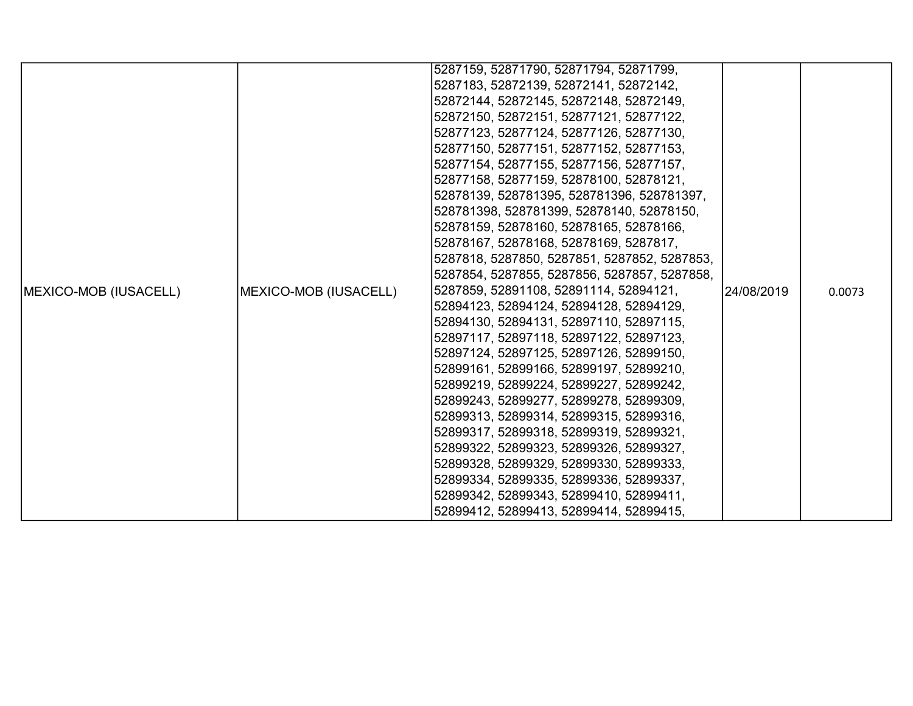| 5287183, 52872139, 52872141, 52872142,<br>52872144, 52872145, 52872148, 52872149,<br>52872150, 52872151, 52877121, 52877122,<br>52877123, 52877124, 52877126, 52877130,<br>52877150, 52877151, 52877152, 52877153,<br>52877154, 52877155, 52877156, 52877157,<br>52877158, 52877159, 52878100, 52878121,<br>52878139, 528781395, 528781396, 528781397,<br>528781398, 528781399, 52878140, 52878150,<br>52878159, 52878160, 52878165, 52878166,<br>52878167, 52878168, 52878169, 5287817,<br>5287818, 5287850, 5287851, 5287852, 5287853,<br>5287854, 5287855, 5287856, 5287857, 5287858,<br>5287859, 52891108, 52891114, 52894121,<br>MEXICO-MOB (IUSACELL)<br>24/08/2019<br>0.0073<br>52894123, 52894124, 52894128, 52894129,<br>52894130, 52894131, 52897110, 52897115,<br>52897117, 52897118, 52897122, 52897123,<br>52897124, 52897125, 52897126, 52899150,<br>52899161, 52899166, 52899197, 52899210,<br>52899219, 52899224, 52899227, 52899242,<br>52899243, 52899277, 52899278, 52899309,<br>52899313, 52899314, 52899315, 52899316,<br>52899317, 52899318, 52899319, 52899321,<br>52899322, 52899323, 52899326, 52899327,<br>52899328, 52899329, 52899330, 52899333, |                               |  | 5287159, 52871790, 52871794, 52871799,  |  |  |
|------------------------------------------------------------------------------------------------------------------------------------------------------------------------------------------------------------------------------------------------------------------------------------------------------------------------------------------------------------------------------------------------------------------------------------------------------------------------------------------------------------------------------------------------------------------------------------------------------------------------------------------------------------------------------------------------------------------------------------------------------------------------------------------------------------------------------------------------------------------------------------------------------------------------------------------------------------------------------------------------------------------------------------------------------------------------------------------------------------------------------------------------------------------------------|-------------------------------|--|-----------------------------------------|--|--|
|                                                                                                                                                                                                                                                                                                                                                                                                                                                                                                                                                                                                                                                                                                                                                                                                                                                                                                                                                                                                                                                                                                                                                                              |                               |  |                                         |  |  |
|                                                                                                                                                                                                                                                                                                                                                                                                                                                                                                                                                                                                                                                                                                                                                                                                                                                                                                                                                                                                                                                                                                                                                                              |                               |  |                                         |  |  |
|                                                                                                                                                                                                                                                                                                                                                                                                                                                                                                                                                                                                                                                                                                                                                                                                                                                                                                                                                                                                                                                                                                                                                                              |                               |  |                                         |  |  |
|                                                                                                                                                                                                                                                                                                                                                                                                                                                                                                                                                                                                                                                                                                                                                                                                                                                                                                                                                                                                                                                                                                                                                                              |                               |  |                                         |  |  |
|                                                                                                                                                                                                                                                                                                                                                                                                                                                                                                                                                                                                                                                                                                                                                                                                                                                                                                                                                                                                                                                                                                                                                                              |                               |  |                                         |  |  |
|                                                                                                                                                                                                                                                                                                                                                                                                                                                                                                                                                                                                                                                                                                                                                                                                                                                                                                                                                                                                                                                                                                                                                                              |                               |  |                                         |  |  |
|                                                                                                                                                                                                                                                                                                                                                                                                                                                                                                                                                                                                                                                                                                                                                                                                                                                                                                                                                                                                                                                                                                                                                                              |                               |  |                                         |  |  |
|                                                                                                                                                                                                                                                                                                                                                                                                                                                                                                                                                                                                                                                                                                                                                                                                                                                                                                                                                                                                                                                                                                                                                                              |                               |  |                                         |  |  |
|                                                                                                                                                                                                                                                                                                                                                                                                                                                                                                                                                                                                                                                                                                                                                                                                                                                                                                                                                                                                                                                                                                                                                                              |                               |  |                                         |  |  |
|                                                                                                                                                                                                                                                                                                                                                                                                                                                                                                                                                                                                                                                                                                                                                                                                                                                                                                                                                                                                                                                                                                                                                                              |                               |  |                                         |  |  |
|                                                                                                                                                                                                                                                                                                                                                                                                                                                                                                                                                                                                                                                                                                                                                                                                                                                                                                                                                                                                                                                                                                                                                                              |                               |  |                                         |  |  |
|                                                                                                                                                                                                                                                                                                                                                                                                                                                                                                                                                                                                                                                                                                                                                                                                                                                                                                                                                                                                                                                                                                                                                                              |                               |  |                                         |  |  |
|                                                                                                                                                                                                                                                                                                                                                                                                                                                                                                                                                                                                                                                                                                                                                                                                                                                                                                                                                                                                                                                                                                                                                                              |                               |  |                                         |  |  |
|                                                                                                                                                                                                                                                                                                                                                                                                                                                                                                                                                                                                                                                                                                                                                                                                                                                                                                                                                                                                                                                                                                                                                                              |                               |  |                                         |  |  |
|                                                                                                                                                                                                                                                                                                                                                                                                                                                                                                                                                                                                                                                                                                                                                                                                                                                                                                                                                                                                                                                                                                                                                                              | <b>IMEXICO-MOB (IUSACELL)</b> |  |                                         |  |  |
|                                                                                                                                                                                                                                                                                                                                                                                                                                                                                                                                                                                                                                                                                                                                                                                                                                                                                                                                                                                                                                                                                                                                                                              |                               |  |                                         |  |  |
|                                                                                                                                                                                                                                                                                                                                                                                                                                                                                                                                                                                                                                                                                                                                                                                                                                                                                                                                                                                                                                                                                                                                                                              |                               |  |                                         |  |  |
|                                                                                                                                                                                                                                                                                                                                                                                                                                                                                                                                                                                                                                                                                                                                                                                                                                                                                                                                                                                                                                                                                                                                                                              |                               |  |                                         |  |  |
|                                                                                                                                                                                                                                                                                                                                                                                                                                                                                                                                                                                                                                                                                                                                                                                                                                                                                                                                                                                                                                                                                                                                                                              |                               |  |                                         |  |  |
|                                                                                                                                                                                                                                                                                                                                                                                                                                                                                                                                                                                                                                                                                                                                                                                                                                                                                                                                                                                                                                                                                                                                                                              |                               |  |                                         |  |  |
|                                                                                                                                                                                                                                                                                                                                                                                                                                                                                                                                                                                                                                                                                                                                                                                                                                                                                                                                                                                                                                                                                                                                                                              |                               |  |                                         |  |  |
|                                                                                                                                                                                                                                                                                                                                                                                                                                                                                                                                                                                                                                                                                                                                                                                                                                                                                                                                                                                                                                                                                                                                                                              |                               |  |                                         |  |  |
|                                                                                                                                                                                                                                                                                                                                                                                                                                                                                                                                                                                                                                                                                                                                                                                                                                                                                                                                                                                                                                                                                                                                                                              |                               |  |                                         |  |  |
|                                                                                                                                                                                                                                                                                                                                                                                                                                                                                                                                                                                                                                                                                                                                                                                                                                                                                                                                                                                                                                                                                                                                                                              |                               |  |                                         |  |  |
|                                                                                                                                                                                                                                                                                                                                                                                                                                                                                                                                                                                                                                                                                                                                                                                                                                                                                                                                                                                                                                                                                                                                                                              |                               |  |                                         |  |  |
|                                                                                                                                                                                                                                                                                                                                                                                                                                                                                                                                                                                                                                                                                                                                                                                                                                                                                                                                                                                                                                                                                                                                                                              |                               |  |                                         |  |  |
|                                                                                                                                                                                                                                                                                                                                                                                                                                                                                                                                                                                                                                                                                                                                                                                                                                                                                                                                                                                                                                                                                                                                                                              |                               |  | 52899334, 52899335, 52899336, 52899337, |  |  |
| 52899342, 52899343, 52899410, 52899411,                                                                                                                                                                                                                                                                                                                                                                                                                                                                                                                                                                                                                                                                                                                                                                                                                                                                                                                                                                                                                                                                                                                                      |                               |  |                                         |  |  |
| 52899412, 52899413, 52899414, 52899415,                                                                                                                                                                                                                                                                                                                                                                                                                                                                                                                                                                                                                                                                                                                                                                                                                                                                                                                                                                                                                                                                                                                                      |                               |  |                                         |  |  |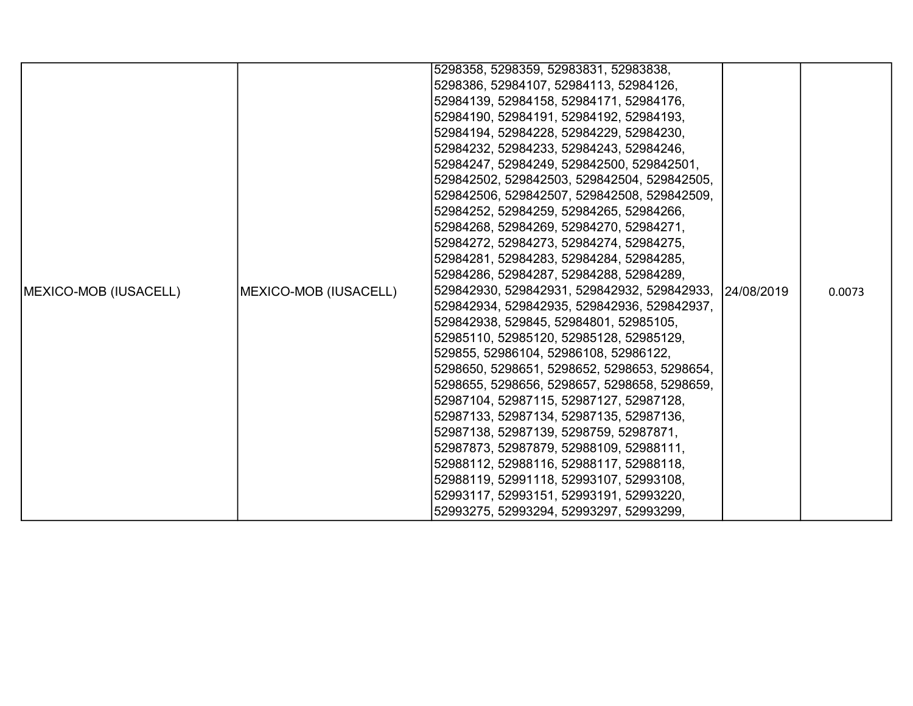|                               |                       | 5298358, 5298359, 52983831, 52983838,                  |        |
|-------------------------------|-----------------------|--------------------------------------------------------|--------|
|                               |                       | 5298386, 52984107, 52984113, 52984126,                 |        |
|                               |                       | 52984139, 52984158, 52984171, 52984176,                |        |
|                               |                       | 52984190, 52984191, 52984192, 52984193,                |        |
|                               |                       | 52984194, 52984228, 52984229, 52984230,                |        |
|                               |                       | 52984232, 52984233, 52984243, 52984246,                |        |
|                               |                       | 52984247, 52984249, 529842500, 529842501,              |        |
|                               |                       | 529842502, 529842503, 529842504, 529842505,            |        |
|                               |                       | 529842506, 529842507, 529842508, 529842509,            |        |
|                               |                       | 52984252, 52984259, 52984265, 52984266,                |        |
|                               |                       | 52984268, 52984269, 52984270, 52984271,                |        |
|                               |                       | 52984272, 52984273, 52984274, 52984275,                |        |
|                               |                       | 52984281, 52984283, 52984284, 52984285,                |        |
|                               |                       | 52984286, 52984287, 52984288, 52984289,                |        |
| <b>IMEXICO-MOB (IUSACELL)</b> | MEXICO-MOB (IUSACELL) | 529842930, 529842931, 529842932, 529842933, 24/08/2019 | 0.0073 |
|                               |                       | 529842934, 529842935, 529842936, 529842937,            |        |
|                               |                       | 529842938, 529845, 52984801, 52985105,                 |        |
|                               |                       | 52985110, 52985120, 52985128, 52985129,                |        |
|                               |                       | 529855, 52986104, 52986108, 52986122,                  |        |
|                               |                       | 5298650, 5298651, 5298652, 5298653, 5298654,           |        |
|                               |                       | 5298655, 5298656, 5298657, 5298658, 5298659,           |        |
|                               |                       | 52987104, 52987115, 52987127, 52987128,                |        |
|                               |                       | 52987133, 52987134, 52987135, 52987136,                |        |
|                               |                       | 52987138, 52987139, 5298759, 52987871,                 |        |
|                               |                       | 52987873, 52987879, 52988109, 52988111,                |        |
|                               |                       | 52988112, 52988116, 52988117, 52988118,                |        |
|                               |                       | 52988119, 52991118, 52993107, 52993108,                |        |
|                               |                       | 52993117, 52993151, 52993191, 52993220,                |        |
|                               |                       | 52993275, 52993294, 52993297, 52993299,                |        |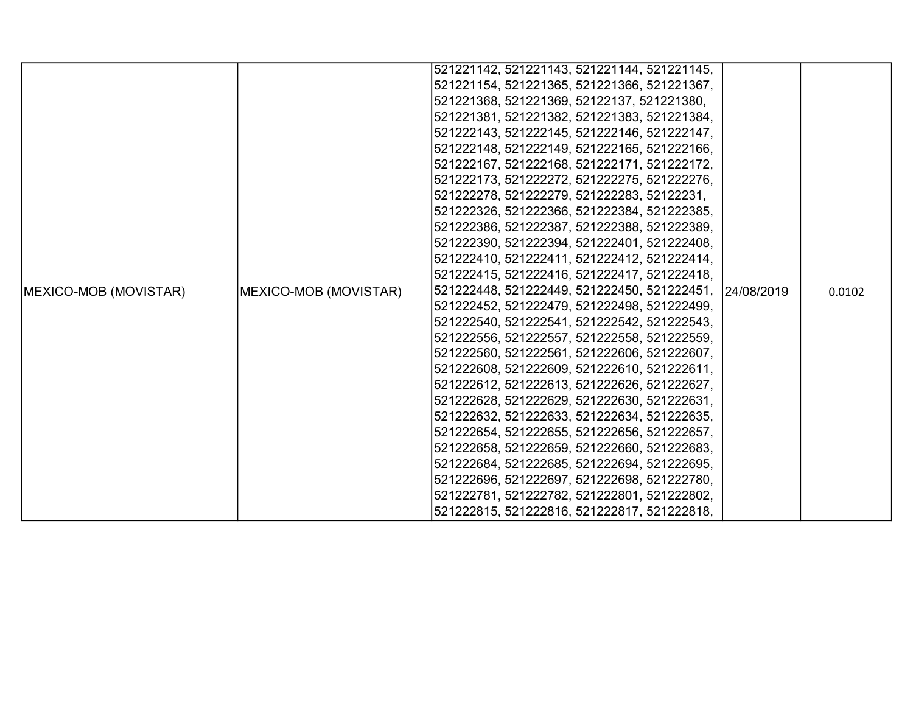|                               |                       | 521221142, 521221143, 521221144, 521221145,            |  |        |
|-------------------------------|-----------------------|--------------------------------------------------------|--|--------|
|                               |                       | 521221154, 521221365, 521221366, 521221367,            |  |        |
|                               |                       | 521221368, 521221369, 52122137, 521221380,             |  |        |
|                               |                       | 521221381, 521221382, 521221383, 521221384,            |  |        |
|                               |                       | 521222143, 521222145, 521222146, 521222147,            |  |        |
|                               |                       | 521222148, 521222149, 521222165, 521222166,            |  |        |
|                               |                       | 521222167, 521222168, 521222171, 521222172,            |  |        |
|                               |                       | 521222173, 521222272, 521222275, 521222276,            |  |        |
|                               |                       | 521222278, 521222279, 521222283, 52122231,             |  |        |
|                               |                       | 521222326, 521222366, 521222384, 521222385,            |  |        |
|                               |                       | 521222386, 521222387, 521222388, 521222389,            |  |        |
|                               |                       | 521222390, 521222394, 521222401, 521222408,            |  |        |
|                               |                       | 521222410, 521222411, 521222412, 521222414,            |  |        |
|                               |                       | 521222415, 521222416, 521222417, 521222418,            |  |        |
| <b>IMEXICO-MOB (MOVISTAR)</b> | MEXICO-MOB (MOVISTAR) | 521222448, 521222449, 521222450, 521222451, 24/08/2019 |  | 0.0102 |
|                               |                       | 521222452, 521222479, 521222498, 521222499,            |  |        |
|                               |                       | 521222540, 521222541, 521222542, 521222543,            |  |        |
|                               |                       | 521222556, 521222557, 521222558, 521222559,            |  |        |
|                               |                       | 521222560, 521222561, 521222606, 521222607,            |  |        |
|                               |                       | 521222608, 521222609, 521222610, 521222611,            |  |        |
|                               |                       | 521222612, 521222613, 521222626, 521222627,            |  |        |
|                               |                       | 521222628, 521222629, 521222630, 521222631,            |  |        |
|                               |                       | 521222632, 521222633, 521222634, 521222635,            |  |        |
|                               |                       | 521222654, 521222655, 521222656, 521222657,            |  |        |
|                               |                       | 521222658, 521222659, 521222660, 521222683,            |  |        |
|                               |                       | 521222684, 521222685, 521222694, 521222695,            |  |        |
|                               |                       | 521222696, 521222697, 521222698, 521222780,            |  |        |
|                               |                       | 521222781, 521222782, 521222801, 521222802,            |  |        |
|                               |                       | 521222815, 521222816, 521222817, 521222818,            |  |        |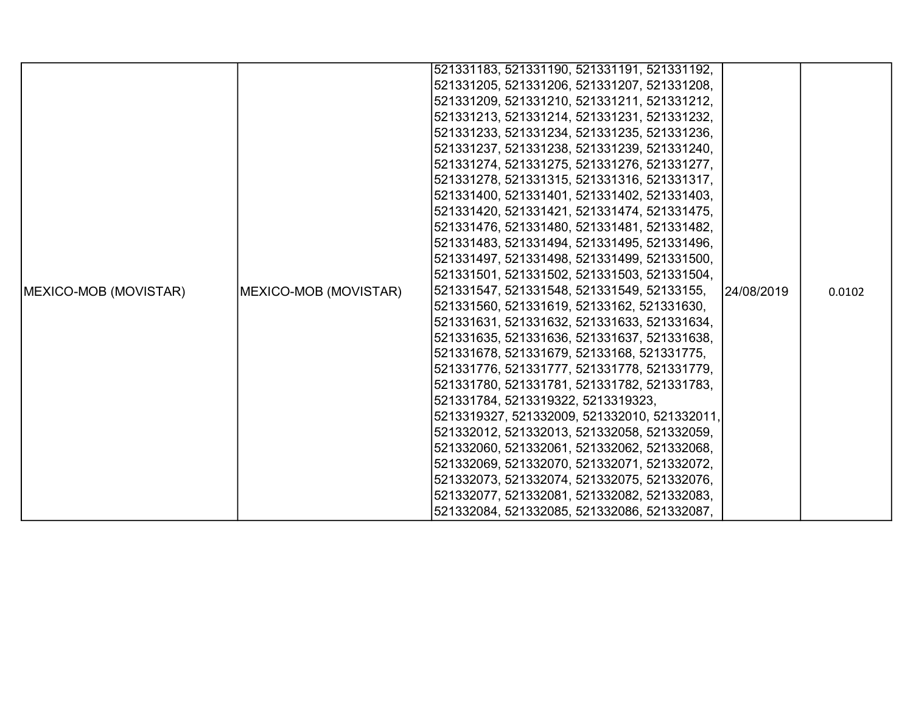|                               |                       | 521331183, 521331190, 521331191, 521331192,  |            |        |
|-------------------------------|-----------------------|----------------------------------------------|------------|--------|
|                               |                       | 521331205, 521331206, 521331207, 521331208,  |            |        |
|                               |                       | 521331209, 521331210, 521331211, 521331212,  |            |        |
|                               |                       | 521331213, 521331214, 521331231, 521331232,  |            |        |
|                               |                       | 521331233, 521331234, 521331235, 521331236,  |            |        |
|                               |                       | 521331237, 521331238, 521331239, 521331240,  |            |        |
|                               |                       | 521331274, 521331275, 521331276, 521331277,  |            |        |
|                               |                       | 521331278, 521331315, 521331316, 521331317,  |            |        |
|                               |                       | 521331400, 521331401, 521331402, 521331403,  |            |        |
|                               |                       | 521331420, 521331421, 521331474, 521331475,  |            |        |
|                               |                       | 521331476, 521331480, 521331481, 521331482,  |            |        |
|                               |                       | 521331483, 521331494, 521331495, 521331496,  |            |        |
|                               |                       | 521331497, 521331498, 521331499, 521331500,  |            |        |
|                               |                       | 521331501, 521331502, 521331503, 521331504,  |            |        |
| <b>IMEXICO-MOB (MOVISTAR)</b> | MEXICO-MOB (MOVISTAR) | 521331547, 521331548, 521331549, 52133155,   | 24/08/2019 | 0.0102 |
|                               |                       | 521331560, 521331619, 52133162, 521331630,   |            |        |
|                               |                       | 521331631, 521331632, 521331633, 521331634,  |            |        |
|                               |                       | 521331635, 521331636, 521331637, 521331638,  |            |        |
|                               |                       | 521331678, 521331679, 52133168, 521331775,   |            |        |
|                               |                       | 521331776, 521331777, 521331778, 521331779,  |            |        |
|                               |                       | 521331780, 521331781, 521331782, 521331783,  |            |        |
|                               |                       | 521331784, 5213319322, 5213319323,           |            |        |
|                               |                       | 5213319327, 521332009, 521332010, 521332011, |            |        |
|                               |                       | 521332012, 521332013, 521332058, 521332059,  |            |        |
|                               |                       | 521332060, 521332061, 521332062, 521332068,  |            |        |
|                               |                       | 521332069, 521332070, 521332071, 521332072,  |            |        |
|                               |                       | 521332073, 521332074, 521332075, 521332076,  |            |        |
|                               |                       | 521332077, 521332081, 521332082, 521332083,  |            |        |
|                               |                       | 521332084, 521332085, 521332086, 521332087,  |            |        |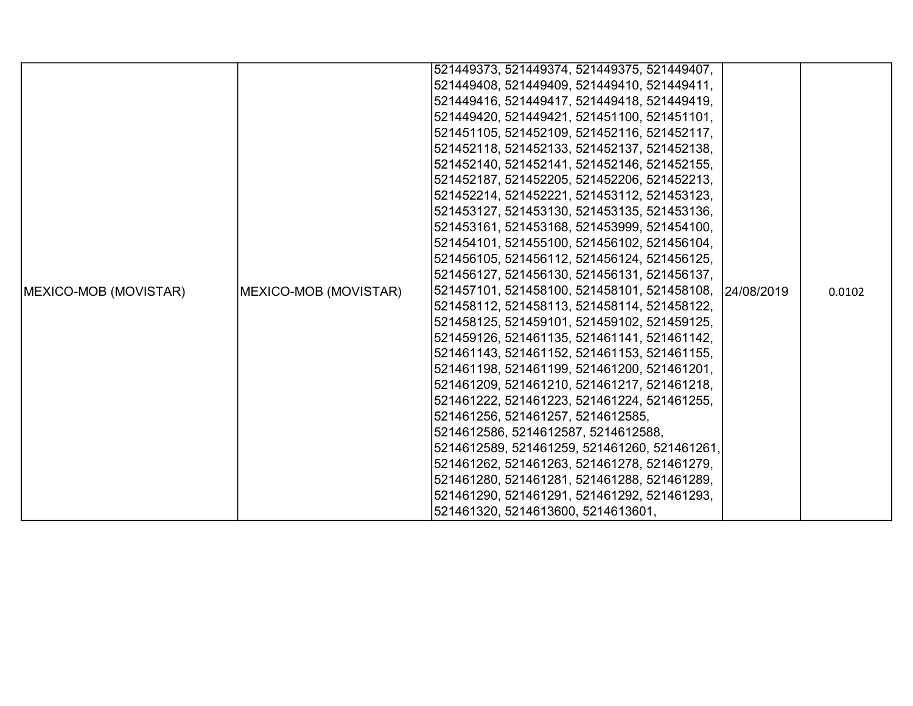|                       |                       | 521449373, 521449374, 521449375, 521449407,            |  |        |
|-----------------------|-----------------------|--------------------------------------------------------|--|--------|
|                       |                       | 521449408, 521449409, 521449410, 521449411,            |  |        |
|                       |                       | 521449416, 521449417, 521449418, 521449419,            |  |        |
|                       |                       | 521449420, 521449421, 521451100, 521451101,            |  |        |
|                       |                       | 521451105, 521452109, 521452116, 521452117,            |  |        |
|                       |                       | 521452118, 521452133, 521452137, 521452138,            |  |        |
|                       |                       | 521452140, 521452141, 521452146, 521452155,            |  |        |
|                       |                       | 521452187, 521452205, 521452206, 521452213,            |  |        |
|                       |                       | 521452214, 521452221, 521453112, 521453123,            |  |        |
|                       |                       | 521453127, 521453130, 521453135, 521453136,            |  |        |
|                       |                       | 521453161, 521453168, 521453999, 521454100,            |  |        |
|                       |                       | 521454101, 521455100, 521456102, 521456104,            |  |        |
|                       |                       | 521456105, 521456112, 521456124, 521456125,            |  |        |
|                       |                       | 521456127, 521456130, 521456131, 521456137,            |  |        |
| MEXICO-MOB (MOVISTAR) | MEXICO-MOB (MOVISTAR) | 521457101, 521458100, 521458101, 521458108, 24/08/2019 |  | 0.0102 |
|                       |                       | 521458112, 521458113, 521458114, 521458122,            |  |        |
|                       |                       | 521458125, 521459101, 521459102, 521459125,            |  |        |
|                       |                       | 521459126, 521461135, 521461141, 521461142,            |  |        |
|                       |                       | 521461143, 521461152, 521461153, 521461155,            |  |        |
|                       |                       | 521461198, 521461199, 521461200, 521461201,            |  |        |
|                       |                       | 521461209, 521461210, 521461217, 521461218,            |  |        |
|                       |                       | 521461222, 521461223, 521461224, 521461255,            |  |        |
|                       |                       | 521461256, 521461257, 5214612585,                      |  |        |
|                       |                       | 5214612586, 5214612587, 5214612588,                    |  |        |
|                       |                       | 5214612589, 521461259, 521461260, 521461261,           |  |        |
|                       |                       | 521461262, 521461263, 521461278, 521461279,            |  |        |
|                       |                       | 521461280, 521461281, 521461288, 521461289,            |  |        |
|                       |                       | 521461290, 521461291, 521461292, 521461293,            |  |        |
|                       |                       | 521461320, 5214613600, 5214613601,                     |  |        |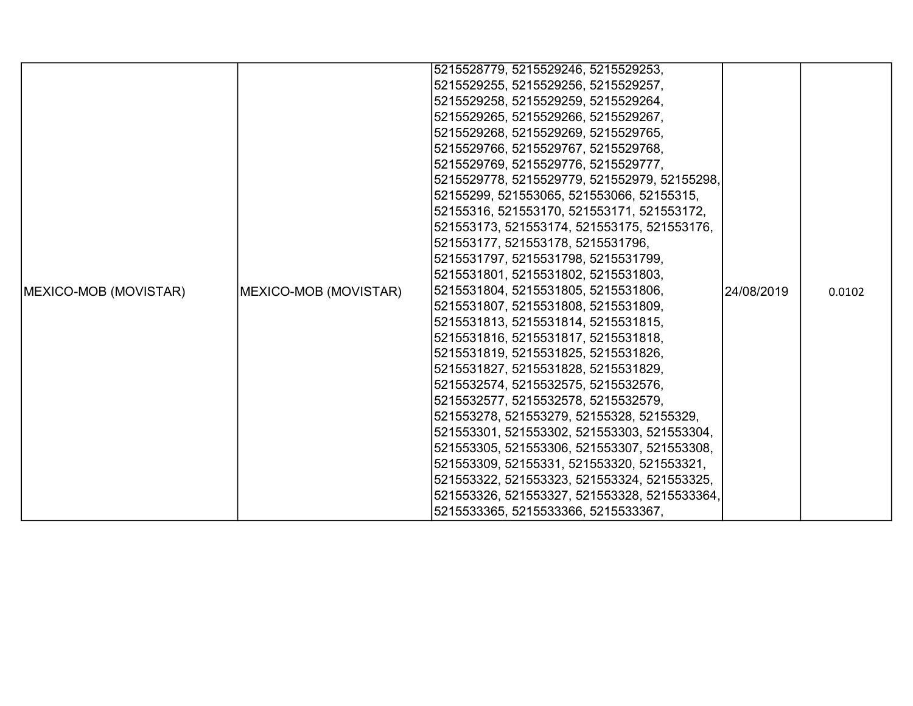|                               |                       | 5215528779, 5215529246, 5215529253,          |             |        |
|-------------------------------|-----------------------|----------------------------------------------|-------------|--------|
|                               |                       | 5215529255, 5215529256, 5215529257,          |             |        |
|                               |                       | 5215529258, 5215529259, 5215529264,          |             |        |
|                               |                       | 5215529265, 5215529266, 5215529267,          |             |        |
|                               |                       | 5215529268, 5215529269, 5215529765,          |             |        |
|                               |                       | 5215529766, 5215529767, 5215529768,          |             |        |
|                               |                       | 5215529769, 5215529776, 5215529777,          |             |        |
|                               |                       | 5215529778, 5215529779, 521552979, 52155298, |             |        |
|                               |                       | 52155299, 521553065, 521553066, 52155315,    |             |        |
|                               |                       | 52155316, 521553170, 521553171, 521553172,   |             |        |
|                               |                       | 521553173, 521553174, 521553175, 521553176,  |             |        |
|                               |                       | 521553177, 521553178, 5215531796,            |             |        |
|                               |                       | 5215531797, 5215531798, 5215531799,          |             |        |
|                               |                       | 5215531801, 5215531802, 5215531803,          |             |        |
| <b>IMEXICO-MOB (MOVISTAR)</b> | MEXICO-MOB (MOVISTAR) | 5215531804, 5215531805, 5215531806,          | 124/08/2019 | 0.0102 |
|                               |                       | 5215531807, 5215531808, 5215531809,          |             |        |
|                               |                       | 5215531813, 5215531814, 5215531815,          |             |        |
|                               |                       | 5215531816, 5215531817, 5215531818,          |             |        |
|                               |                       | 5215531819, 5215531825, 5215531826,          |             |        |
|                               |                       | 5215531827, 5215531828, 5215531829,          |             |        |
|                               |                       | 5215532574, 5215532575, 5215532576,          |             |        |
|                               |                       | 5215532577, 5215532578, 5215532579,          |             |        |
|                               |                       | 521553278, 521553279, 52155328, 52155329,    |             |        |
|                               |                       | 521553301, 521553302, 521553303, 521553304,  |             |        |
|                               |                       | 521553305, 521553306, 521553307, 521553308,  |             |        |
|                               |                       | 521553309, 52155331, 521553320, 521553321,   |             |        |
|                               |                       | 521553322, 521553323, 521553324, 521553325,  |             |        |
|                               |                       | 521553326, 521553327, 521553328, 5215533364, |             |        |
|                               |                       | 5215533365, 5215533366, 5215533367,          |             |        |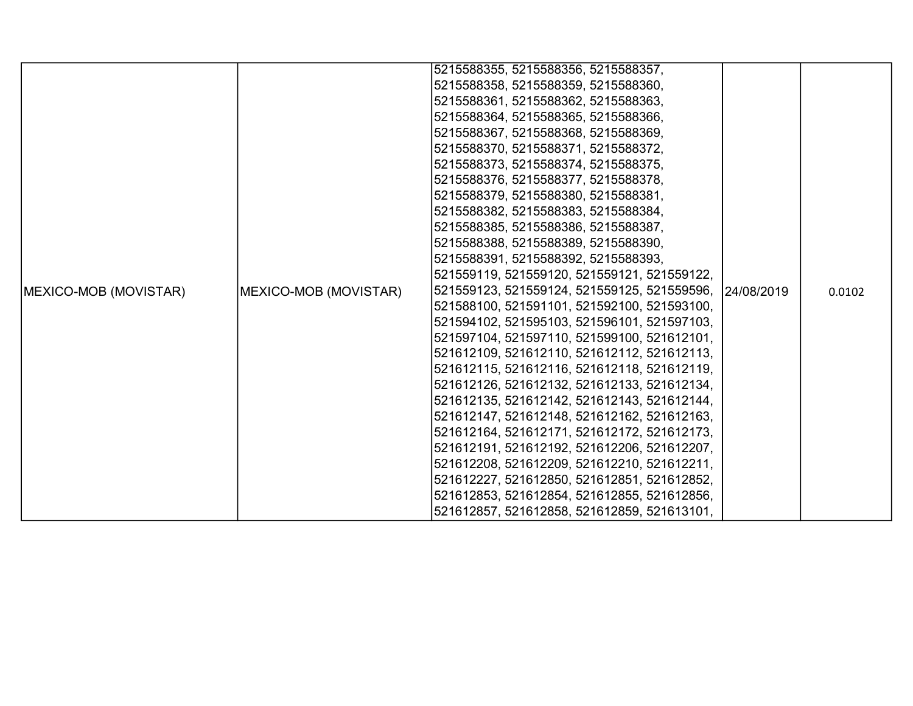|                               |                               | 5215588355, 5215588356, 5215588357,                     |        |
|-------------------------------|-------------------------------|---------------------------------------------------------|--------|
|                               |                               | 5215588358, 5215588359, 5215588360,                     |        |
|                               |                               | 5215588361, 5215588362, 5215588363,                     |        |
|                               |                               | 5215588364, 5215588365, 5215588366,                     |        |
|                               |                               | 5215588367, 5215588368, 5215588369,                     |        |
|                               |                               | 5215588370, 5215588371, 5215588372,                     |        |
|                               |                               | 5215588373, 5215588374, 5215588375,                     |        |
|                               |                               | 5215588376, 5215588377, 5215588378,                     |        |
|                               |                               | 5215588379, 5215588380, 5215588381,                     |        |
|                               |                               | 5215588382, 5215588383, 5215588384,                     |        |
|                               |                               | 5215588385, 5215588386, 5215588387,                     |        |
|                               |                               | 5215588388, 5215588389, 5215588390,                     |        |
|                               |                               | 5215588391, 5215588392, 5215588393,                     |        |
|                               |                               | 521559119, 521559120, 521559121, 521559122,             |        |
| <b>IMEXICO-MOB (MOVISTAR)</b> | <b>IMEXICO-MOB (MOVISTAR)</b> | 521559123, 521559124, 521559125, 521559596, 124/08/2019 | 0.0102 |
|                               |                               | 521588100, 521591101, 521592100, 521593100,             |        |
|                               |                               | 521594102, 521595103, 521596101, 521597103,             |        |
|                               |                               | 521597104, 521597110, 521599100, 521612101,             |        |
|                               |                               | 521612109, 521612110, 521612112, 521612113,             |        |
|                               |                               | 521612115, 521612116, 521612118, 521612119,             |        |
|                               |                               | 521612126, 521612132, 521612133, 521612134,             |        |
|                               |                               | 521612135, 521612142, 521612143, 521612144,             |        |
|                               |                               | 521612147, 521612148, 521612162, 521612163,             |        |
|                               |                               | 521612164, 521612171, 521612172, 521612173,             |        |
|                               |                               | 521612191, 521612192, 521612206, 521612207,             |        |
|                               |                               | 521612208, 521612209, 521612210, 521612211,             |        |
|                               |                               | 521612227, 521612850, 521612851, 521612852,             |        |
|                               |                               | 521612853, 521612854, 521612855, 521612856,             |        |
|                               |                               | 521612857, 521612858, 521612859, 521613101,             |        |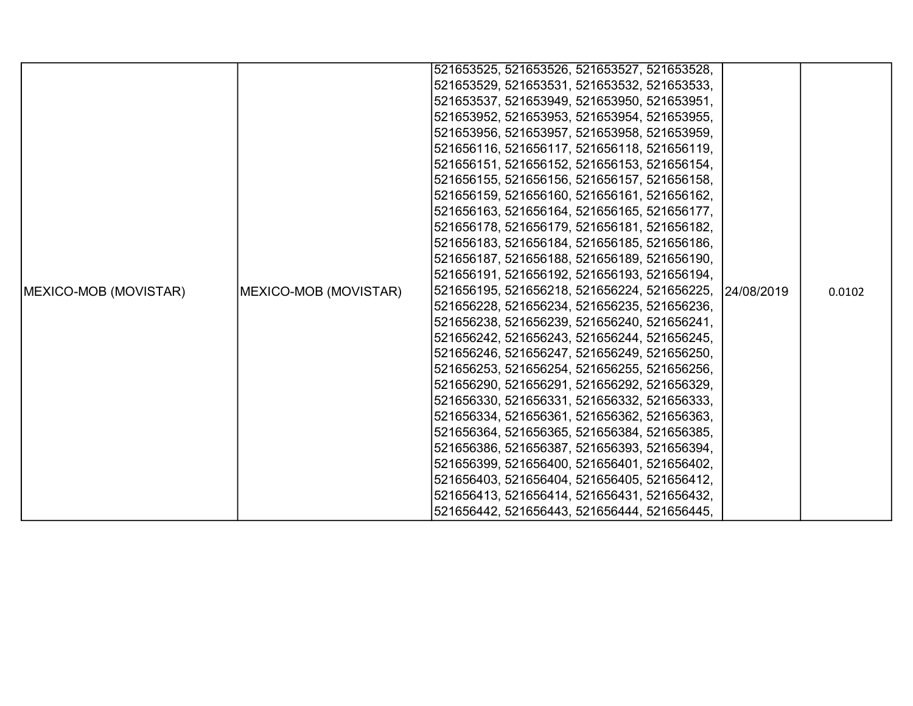|                       |                       | 521653525, 521653526, 521653527, 521653528, |            |        |
|-----------------------|-----------------------|---------------------------------------------|------------|--------|
|                       |                       | 521653529, 521653531, 521653532, 521653533, |            |        |
|                       |                       | 521653537, 521653949, 521653950, 521653951, |            |        |
|                       |                       | 521653952, 521653953, 521653954, 521653955, |            |        |
|                       |                       | 521653956, 521653957, 521653958, 521653959, |            |        |
|                       |                       | 521656116, 521656117, 521656118, 521656119, |            |        |
|                       |                       | 521656151, 521656152, 521656153, 521656154, |            |        |
|                       |                       | 521656155, 521656156, 521656157, 521656158, |            |        |
|                       |                       | 521656159, 521656160, 521656161, 521656162, |            |        |
|                       |                       | 521656163, 521656164, 521656165, 521656177, |            |        |
|                       |                       | 521656178, 521656179, 521656181, 521656182, |            |        |
|                       |                       | 521656183, 521656184, 521656185, 521656186, |            |        |
|                       |                       | 521656187, 521656188, 521656189, 521656190, |            |        |
|                       |                       | 521656191, 521656192, 521656193, 521656194, |            |        |
| MEXICO-MOB (MOVISTAR) | MEXICO-MOB (MOVISTAR) | 521656195, 521656218, 521656224, 521656225, | 24/08/2019 | 0.0102 |
|                       |                       | 521656228, 521656234, 521656235, 521656236, |            |        |
|                       |                       | 521656238, 521656239, 521656240, 521656241, |            |        |
|                       |                       | 521656242, 521656243, 521656244, 521656245, |            |        |
|                       |                       | 521656246, 521656247, 521656249, 521656250, |            |        |
|                       |                       | 521656253, 521656254, 521656255, 521656256, |            |        |
|                       |                       | 521656290, 521656291, 521656292, 521656329, |            |        |
|                       |                       | 521656330, 521656331, 521656332, 521656333, |            |        |
|                       |                       | 521656334, 521656361, 521656362, 521656363, |            |        |
|                       |                       | 521656364, 521656365, 521656384, 521656385, |            |        |
|                       |                       | 521656386, 521656387, 521656393, 521656394, |            |        |
|                       |                       | 521656399, 521656400, 521656401, 521656402, |            |        |
|                       |                       | 521656403, 521656404, 521656405, 521656412, |            |        |
|                       |                       | 521656413, 521656414, 521656431, 521656432, |            |        |
|                       |                       | 521656442, 521656443, 521656444, 521656445, |            |        |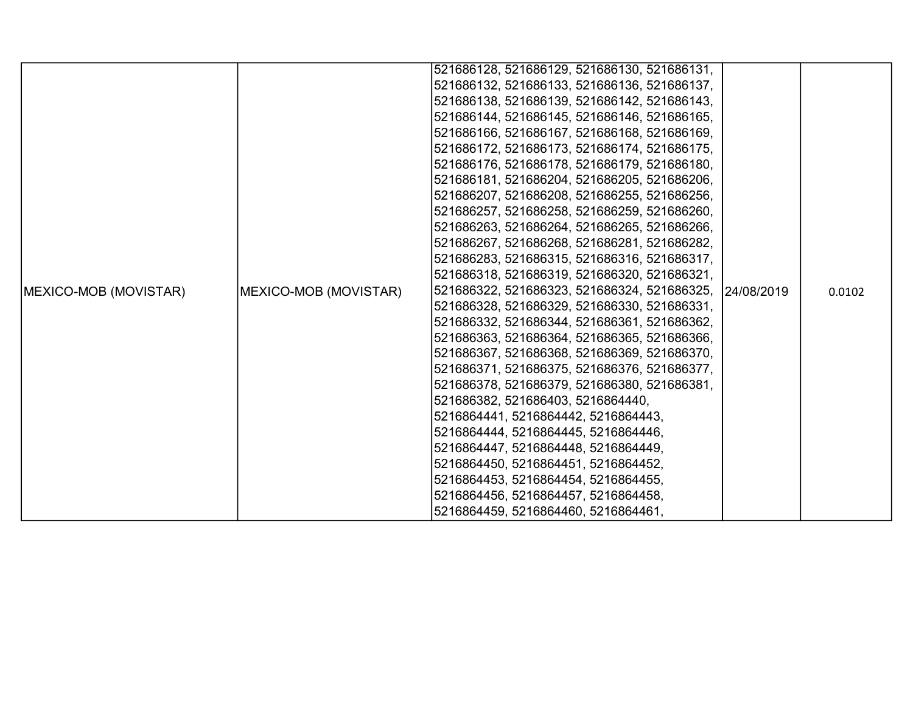|                               |                       | 521686128, 521686129, 521686130, 521686131, |             |        |
|-------------------------------|-----------------------|---------------------------------------------|-------------|--------|
|                               |                       | 521686132, 521686133, 521686136, 521686137, |             |        |
|                               |                       | 521686138, 521686139, 521686142, 521686143, |             |        |
|                               |                       | 521686144, 521686145, 521686146, 521686165, |             |        |
|                               |                       | 521686166, 521686167, 521686168, 521686169, |             |        |
|                               |                       | 521686172, 521686173, 521686174, 521686175, |             |        |
|                               |                       | 521686176, 521686178, 521686179, 521686180, |             |        |
|                               |                       | 521686181, 521686204, 521686205, 521686206, |             |        |
|                               |                       | 521686207, 521686208, 521686255, 521686256, |             |        |
|                               |                       | 521686257, 521686258, 521686259, 521686260, |             |        |
|                               |                       | 521686263, 521686264, 521686265, 521686266, |             |        |
|                               |                       | 521686267, 521686268, 521686281, 521686282, |             |        |
|                               |                       | 521686283, 521686315, 521686316, 521686317, |             |        |
|                               |                       | 521686318, 521686319, 521686320, 521686321, |             |        |
| <b>IMEXICO-MOB (MOVISTAR)</b> | MEXICO-MOB (MOVISTAR) | 521686322, 521686323, 521686324, 521686325, | 124/08/2019 | 0.0102 |
|                               |                       | 521686328, 521686329, 521686330, 521686331, |             |        |
|                               |                       | 521686332, 521686344, 521686361, 521686362, |             |        |
|                               |                       | 521686363, 521686364, 521686365, 521686366, |             |        |
|                               |                       | 521686367, 521686368, 521686369, 521686370, |             |        |
|                               |                       | 521686371, 521686375, 521686376, 521686377, |             |        |
|                               |                       | 521686378, 521686379, 521686380, 521686381, |             |        |
|                               |                       | 521686382, 521686403, 5216864440,           |             |        |
|                               |                       | 5216864441, 5216864442, 5216864443,         |             |        |
|                               |                       | 5216864444, 5216864445, 5216864446,         |             |        |
|                               |                       | 5216864447, 5216864448, 5216864449,         |             |        |
|                               |                       | 5216864450, 5216864451, 5216864452,         |             |        |
|                               |                       | 5216864453, 5216864454, 5216864455,         |             |        |
|                               |                       | 5216864456, 5216864457, 5216864458,         |             |        |
|                               |                       | 5216864459, 5216864460, 5216864461,         |             |        |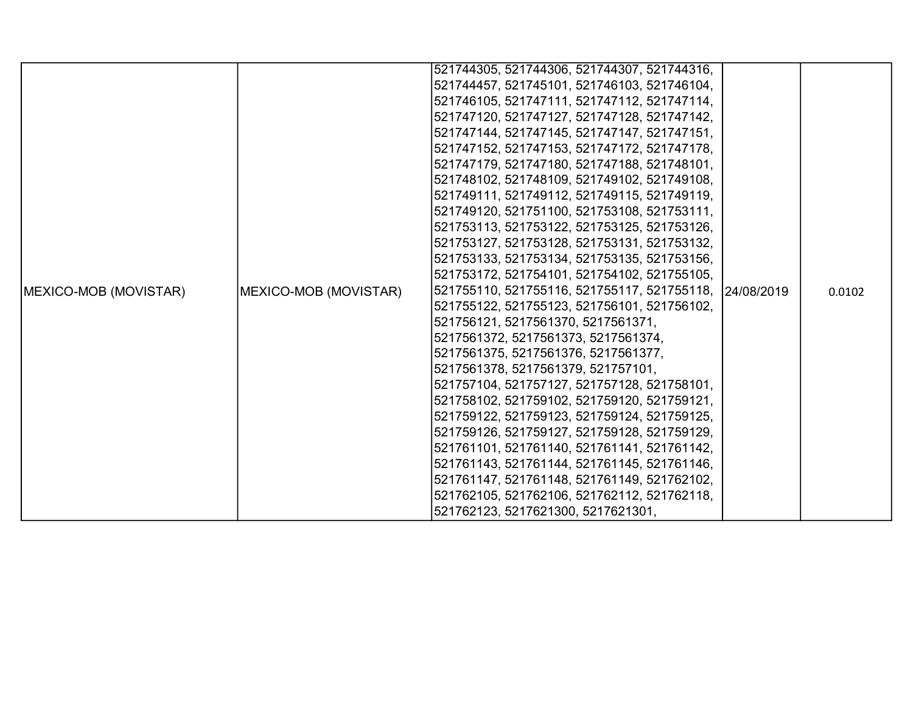|                               |                       | 521744305, 521744306, 521744307, 521744316, |            |        |
|-------------------------------|-----------------------|---------------------------------------------|------------|--------|
|                               |                       | 521744457, 521745101, 521746103, 521746104, |            |        |
|                               |                       | 521746105, 521747111, 521747112, 521747114, |            |        |
|                               |                       | 521747120, 521747127, 521747128, 521747142, |            |        |
|                               |                       | 521747144, 521747145, 521747147, 521747151, |            |        |
|                               |                       | 521747152, 521747153, 521747172, 521747178, |            |        |
|                               |                       | 521747179, 521747180, 521747188, 521748101, |            |        |
|                               |                       | 521748102, 521748109, 521749102, 521749108, |            |        |
|                               |                       | 521749111, 521749112, 521749115, 521749119, |            |        |
|                               |                       | 521749120, 521751100, 521753108, 521753111, |            |        |
|                               |                       | 521753113, 521753122, 521753125, 521753126, |            |        |
|                               |                       | 521753127, 521753128, 521753131, 521753132, |            |        |
|                               |                       | 521753133, 521753134, 521753135, 521753156, |            |        |
|                               |                       | 521753172, 521754101, 521754102, 521755105, |            |        |
| <b>IMEXICO-MOB (MOVISTAR)</b> | MEXICO-MOB (MOVISTAR) | 521755110, 521755116, 521755117, 521755118, | 24/08/2019 | 0.0102 |
|                               |                       | 521755122, 521755123, 521756101, 521756102, |            |        |
|                               |                       | 521756121, 5217561370, 5217561371,          |            |        |
|                               |                       | 5217561372, 5217561373, 5217561374,         |            |        |
|                               |                       | 5217561375, 5217561376, 5217561377,         |            |        |
|                               |                       | 5217561378, 5217561379, 521757101,          |            |        |
|                               |                       | 521757104, 521757127, 521757128, 521758101, |            |        |
|                               |                       | 521758102, 521759102, 521759120, 521759121, |            |        |
|                               |                       | 521759122, 521759123, 521759124, 521759125, |            |        |
|                               |                       | 521759126, 521759127, 521759128, 521759129, |            |        |
|                               |                       | 521761101, 521761140, 521761141, 521761142, |            |        |
|                               |                       | 521761143, 521761144, 521761145, 521761146, |            |        |
|                               |                       | 521761147, 521761148, 521761149, 521762102, |            |        |
|                               |                       | 521762105, 521762106, 521762112, 521762118, |            |        |
|                               |                       | 521762123, 5217621300, 5217621301,          |            |        |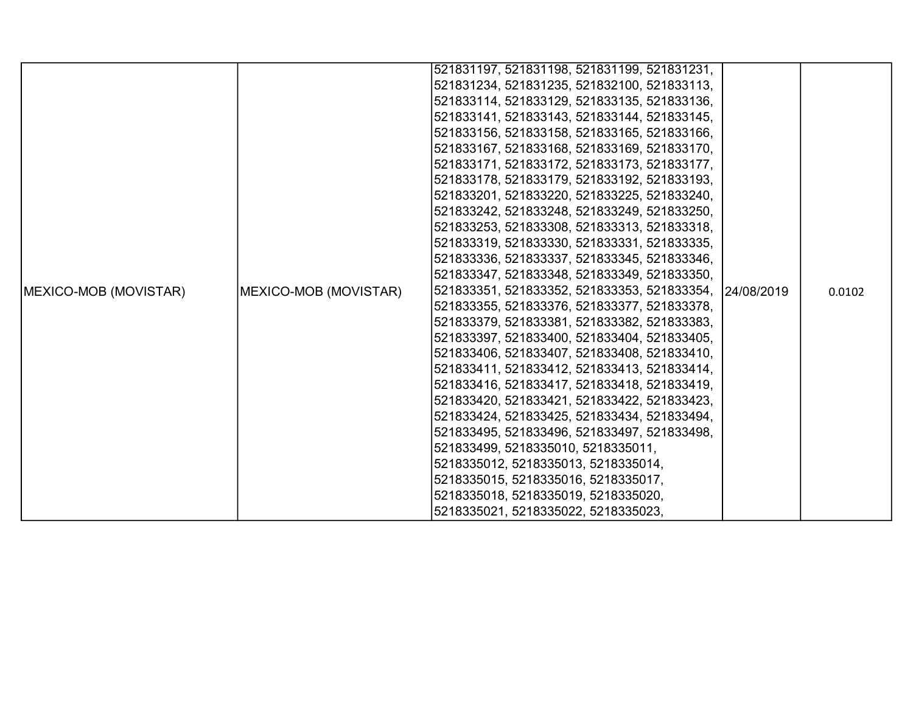|                       |                       | 521831197, 521831198, 521831199, 521831231,            |  |        |
|-----------------------|-----------------------|--------------------------------------------------------|--|--------|
|                       |                       | 521831234, 521831235, 521832100, 521833113,            |  |        |
|                       |                       | 521833114, 521833129, 521833135, 521833136,            |  |        |
|                       |                       | 521833141, 521833143, 521833144, 521833145,            |  |        |
|                       |                       | 521833156, 521833158, 521833165, 521833166,            |  |        |
|                       |                       | 521833167, 521833168, 521833169, 521833170,            |  |        |
|                       |                       | 521833171, 521833172, 521833173, 521833177,            |  |        |
|                       |                       | 521833178, 521833179, 521833192, 521833193,            |  |        |
|                       |                       | 521833201, 521833220, 521833225, 521833240,            |  |        |
|                       |                       | 521833242, 521833248, 521833249, 521833250,            |  |        |
|                       |                       | 521833253, 521833308, 521833313, 521833318,            |  |        |
|                       |                       | 521833319, 521833330, 521833331, 521833335,            |  |        |
|                       |                       | 521833336, 521833337, 521833345, 521833346,            |  |        |
|                       |                       | 521833347, 521833348, 521833349, 521833350,            |  |        |
| MEXICO-MOB (MOVISTAR) | MEXICO-MOB (MOVISTAR) | 521833351, 521833352, 521833353, 521833354, 24/08/2019 |  | 0.0102 |
|                       |                       | 521833355, 521833376, 521833377, 521833378,            |  |        |
|                       |                       | 521833379, 521833381, 521833382, 521833383,            |  |        |
|                       |                       | 521833397, 521833400, 521833404, 521833405,            |  |        |
|                       |                       | 521833406, 521833407, 521833408, 521833410,            |  |        |
|                       |                       | 521833411, 521833412, 521833413, 521833414,            |  |        |
|                       |                       | 521833416, 521833417, 521833418, 521833419,            |  |        |
|                       |                       | 521833420, 521833421, 521833422, 521833423,            |  |        |
|                       |                       | 521833424, 521833425, 521833434, 521833494,            |  |        |
|                       |                       | 521833495, 521833496, 521833497, 521833498,            |  |        |
|                       |                       | 521833499, 5218335010, 5218335011,                     |  |        |
|                       |                       | 5218335012, 5218335013, 5218335014,                    |  |        |
|                       |                       | 5218335015, 5218335016, 5218335017,                    |  |        |
|                       |                       | 5218335018, 5218335019, 5218335020,                    |  |        |
|                       |                       | 5218335021, 5218335022, 5218335023,                    |  |        |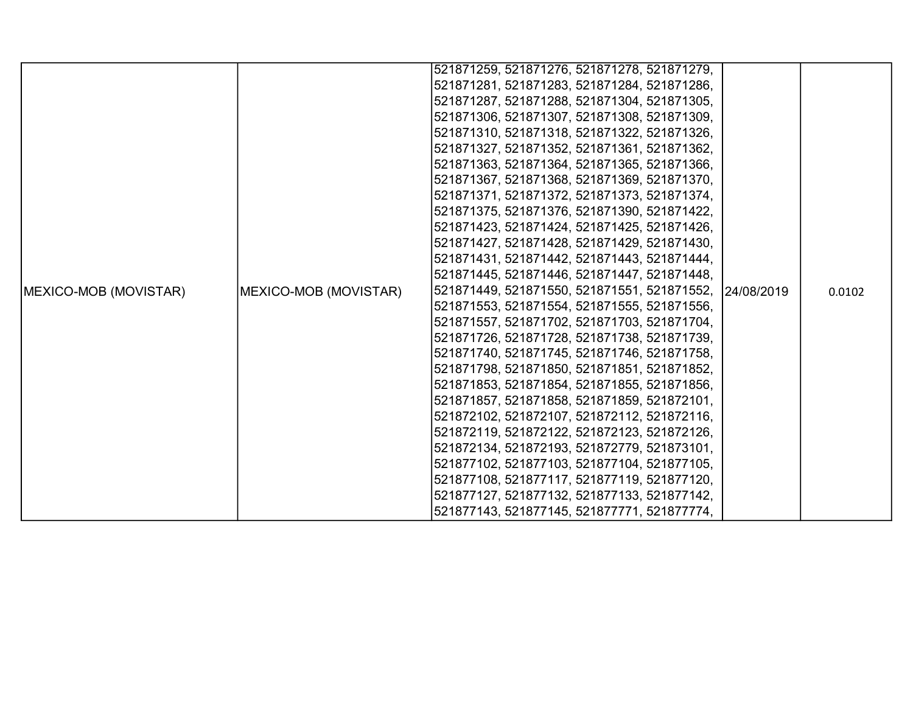|                               |                       | 521871259, 521871276, 521871278, 521871279, |            |        |
|-------------------------------|-----------------------|---------------------------------------------|------------|--------|
|                               |                       | 521871281, 521871283, 521871284, 521871286, |            |        |
|                               |                       | 521871287, 521871288, 521871304, 521871305, |            |        |
|                               |                       | 521871306, 521871307, 521871308, 521871309, |            |        |
|                               |                       | 521871310, 521871318, 521871322, 521871326, |            |        |
|                               |                       | 521871327, 521871352, 521871361, 521871362, |            |        |
|                               |                       | 521871363, 521871364, 521871365, 521871366, |            |        |
|                               |                       | 521871367, 521871368, 521871369, 521871370, |            |        |
|                               |                       | 521871371, 521871372, 521871373, 521871374, |            |        |
|                               |                       | 521871375, 521871376, 521871390, 521871422, |            |        |
|                               |                       | 521871423, 521871424, 521871425, 521871426, |            |        |
|                               |                       | 521871427, 521871428, 521871429, 521871430, |            |        |
|                               |                       | 521871431, 521871442, 521871443, 521871444, |            |        |
|                               |                       | 521871445, 521871446, 521871447, 521871448, |            |        |
| <b>IMEXICO-MOB (MOVISTAR)</b> | MEXICO-MOB (MOVISTAR) | 521871449, 521871550, 521871551, 521871552, | 24/08/2019 | 0.0102 |
|                               |                       | 521871553, 521871554, 521871555, 521871556, |            |        |
|                               |                       | 521871557, 521871702, 521871703, 521871704, |            |        |
|                               |                       | 521871726, 521871728, 521871738, 521871739, |            |        |
|                               |                       | 521871740, 521871745, 521871746, 521871758, |            |        |
|                               |                       | 521871798, 521871850, 521871851, 521871852, |            |        |
|                               |                       | 521871853, 521871854, 521871855, 521871856, |            |        |
|                               |                       | 521871857, 521871858, 521871859, 521872101, |            |        |
|                               |                       | 521872102, 521872107, 521872112, 521872116, |            |        |
|                               |                       | 521872119, 521872122, 521872123, 521872126, |            |        |
|                               |                       | 521872134, 521872193, 521872779, 521873101, |            |        |
|                               |                       | 521877102, 521877103, 521877104, 521877105, |            |        |
|                               |                       | 521877108, 521877117, 521877119, 521877120, |            |        |
|                               |                       | 521877127, 521877132, 521877133, 521877142, |            |        |
|                               |                       | 521877143, 521877145, 521877771, 521877774, |            |        |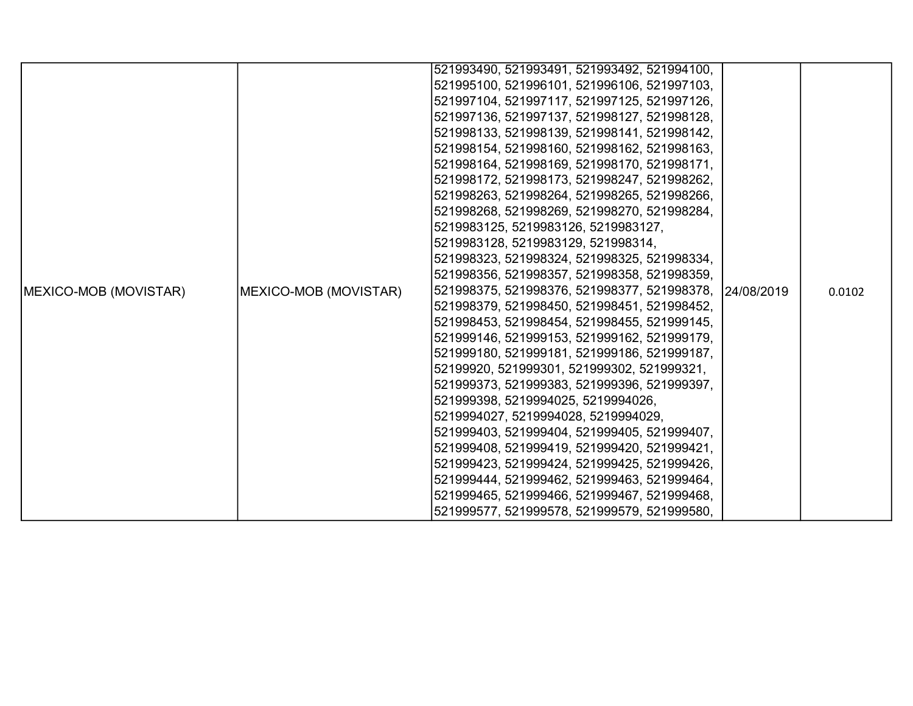|                               |                       | 521993490, 521993491, 521993492, 521994100,            |  |        |
|-------------------------------|-----------------------|--------------------------------------------------------|--|--------|
|                               |                       | 521995100, 521996101, 521996106, 521997103,            |  |        |
|                               |                       | 521997104, 521997117, 521997125, 521997126,            |  |        |
|                               |                       | 521997136, 521997137, 521998127, 521998128,            |  |        |
|                               |                       | 521998133, 521998139, 521998141, 521998142,            |  |        |
|                               |                       | 521998154, 521998160, 521998162, 521998163,            |  |        |
|                               |                       | 521998164, 521998169, 521998170, 521998171,            |  |        |
|                               |                       | 521998172, 521998173, 521998247, 521998262,            |  |        |
|                               |                       | 521998263, 521998264, 521998265, 521998266,            |  |        |
|                               |                       | 521998268, 521998269, 521998270, 521998284,            |  |        |
|                               |                       | 5219983125, 5219983126, 5219983127,                    |  |        |
|                               |                       | 5219983128, 5219983129, 521998314,                     |  |        |
|                               |                       | 521998323, 521998324, 521998325, 521998334,            |  |        |
|                               |                       | 521998356, 521998357, 521998358, 521998359,            |  |        |
| <b>IMEXICO-MOB (MOVISTAR)</b> | MEXICO-MOB (MOVISTAR) | 521998375, 521998376, 521998377, 521998378, 24/08/2019 |  | 0.0102 |
|                               |                       | 521998379, 521998450, 521998451, 521998452,            |  |        |
|                               |                       | 521998453, 521998454, 521998455, 521999145,            |  |        |
|                               |                       | 521999146, 521999153, 521999162, 521999179,            |  |        |
|                               |                       | 521999180, 521999181, 521999186, 521999187,            |  |        |
|                               |                       | 52199920, 521999301, 521999302, 521999321,             |  |        |
|                               |                       | 521999373, 521999383, 521999396, 521999397,            |  |        |
|                               |                       | 521999398, 5219994025, 5219994026,                     |  |        |
|                               |                       | 5219994027, 5219994028, 5219994029,                    |  |        |
|                               |                       | 521999403, 521999404, 521999405, 521999407,            |  |        |
|                               |                       | 521999408, 521999419, 521999420, 521999421,            |  |        |
|                               |                       | 521999423, 521999424, 521999425, 521999426,            |  |        |
|                               |                       | 521999444, 521999462, 521999463, 521999464,            |  |        |
|                               |                       | 521999465, 521999466, 521999467, 521999468,            |  |        |
|                               |                       | 521999577, 521999578, 521999579, 521999580,            |  |        |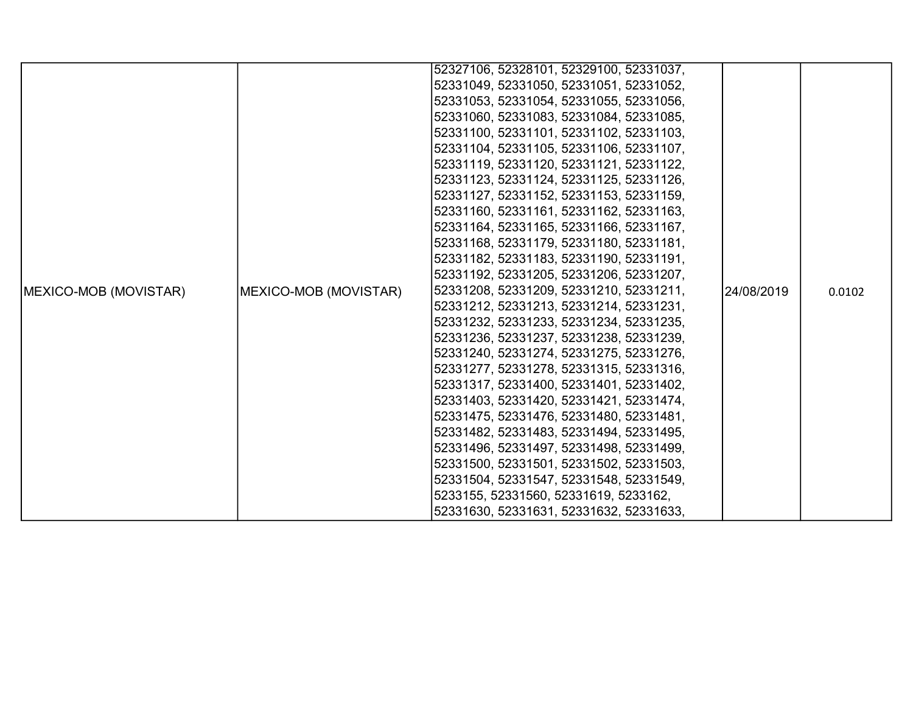|                               |                       | 52327106, 52328101, 52329100, 52331037, |            |        |
|-------------------------------|-----------------------|-----------------------------------------|------------|--------|
|                               |                       | 52331049, 52331050, 52331051, 52331052, |            |        |
|                               |                       | 52331053, 52331054, 52331055, 52331056, |            |        |
|                               |                       | 52331060, 52331083, 52331084, 52331085, |            |        |
|                               |                       | 52331100, 52331101, 52331102, 52331103, |            |        |
|                               |                       | 52331104, 52331105, 52331106, 52331107, |            |        |
|                               |                       | 52331119, 52331120, 52331121, 52331122, |            |        |
|                               |                       | 52331123, 52331124, 52331125, 52331126, |            |        |
|                               |                       | 52331127, 52331152, 52331153, 52331159, |            |        |
|                               |                       | 52331160, 52331161, 52331162, 52331163, |            |        |
|                               |                       | 52331164, 52331165, 52331166, 52331167, |            |        |
|                               |                       | 52331168, 52331179, 52331180, 52331181, |            |        |
|                               |                       | 52331182, 52331183, 52331190, 52331191, |            |        |
|                               |                       | 52331192, 52331205, 52331206, 52331207, |            |        |
| <b>IMEXICO-MOB (MOVISTAR)</b> | MEXICO-MOB (MOVISTAR) | 52331208, 52331209, 52331210, 52331211, | 24/08/2019 | 0.0102 |
|                               |                       | 52331212, 52331213, 52331214, 52331231, |            |        |
|                               |                       | 52331232, 52331233, 52331234, 52331235, |            |        |
|                               |                       | 52331236, 52331237, 52331238, 52331239, |            |        |
|                               |                       | 52331240, 52331274, 52331275, 52331276, |            |        |
|                               |                       | 52331277, 52331278, 52331315, 52331316, |            |        |
|                               |                       | 52331317, 52331400, 52331401, 52331402, |            |        |
|                               |                       | 52331403, 52331420, 52331421, 52331474, |            |        |
|                               |                       | 52331475, 52331476, 52331480, 52331481, |            |        |
|                               |                       | 52331482, 52331483, 52331494, 52331495, |            |        |
|                               |                       | 52331496, 52331497, 52331498, 52331499, |            |        |
|                               |                       | 52331500, 52331501, 52331502, 52331503, |            |        |
|                               |                       | 52331504, 52331547, 52331548, 52331549, |            |        |
|                               |                       | 5233155, 52331560, 52331619, 5233162,   |            |        |
|                               |                       | 52331630, 52331631, 52331632, 52331633, |            |        |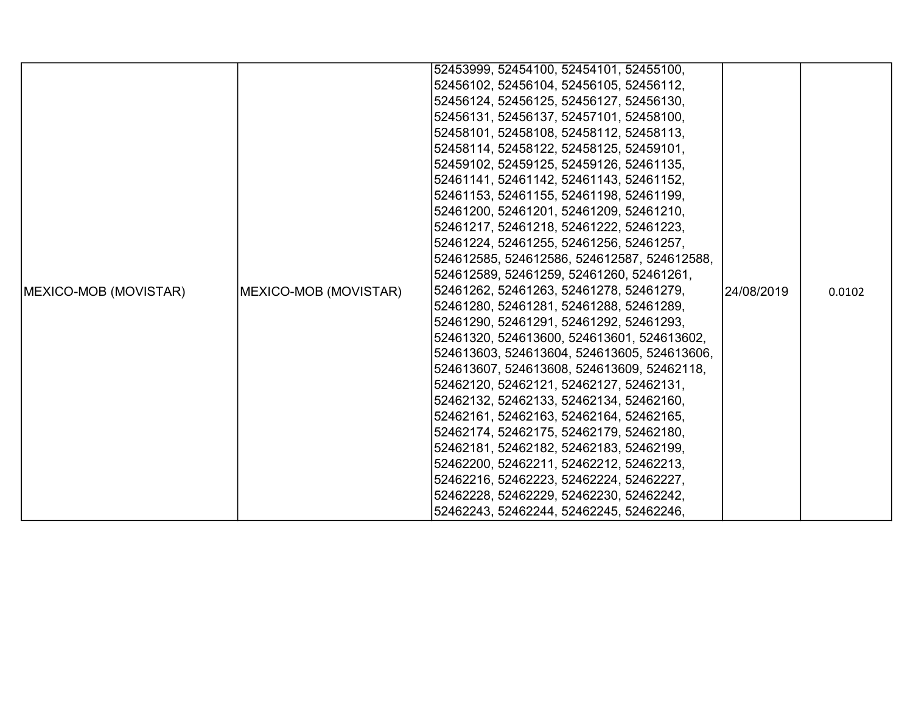|                               |                       | 52453999, 52454100, 52454101, 52455100,     |             |        |
|-------------------------------|-----------------------|---------------------------------------------|-------------|--------|
|                               |                       | 52456102, 52456104, 52456105, 52456112,     |             |        |
|                               |                       | 52456124, 52456125, 52456127, 52456130,     |             |        |
|                               |                       | 52456131, 52456137, 52457101, 52458100,     |             |        |
|                               |                       | 52458101, 52458108, 52458112, 52458113,     |             |        |
|                               |                       | 52458114, 52458122, 52458125, 52459101,     |             |        |
|                               |                       | 52459102, 52459125, 52459126, 52461135,     |             |        |
|                               |                       | 52461141, 52461142, 52461143, 52461152,     |             |        |
|                               |                       | 52461153, 52461155, 52461198, 52461199,     |             |        |
|                               |                       | 52461200, 52461201, 52461209, 52461210,     |             |        |
|                               |                       | 52461217, 52461218, 52461222, 52461223,     |             |        |
|                               |                       | 52461224, 52461255, 52461256, 52461257,     |             |        |
|                               |                       | 524612585, 524612586, 524612587, 524612588, |             |        |
|                               |                       | 524612589, 52461259, 52461260, 52461261,    |             |        |
| <b>IMEXICO-MOB (MOVISTAR)</b> | MEXICO-MOB (MOVISTAR) | 52461262, 52461263, 52461278, 52461279,     | 124/08/2019 | 0.0102 |
|                               |                       | 52461280, 52461281, 52461288, 52461289,     |             |        |
|                               |                       | 52461290, 52461291, 52461292, 52461293,     |             |        |
|                               |                       | 52461320, 524613600, 524613601, 524613602,  |             |        |
|                               |                       | 524613603, 524613604, 524613605, 524613606, |             |        |
|                               |                       | 524613607, 524613608, 524613609, 52462118,  |             |        |
|                               |                       | 52462120, 52462121, 52462127, 52462131,     |             |        |
|                               |                       | 52462132, 52462133, 52462134, 52462160,     |             |        |
|                               |                       | 52462161, 52462163, 52462164, 52462165,     |             |        |
|                               |                       | 52462174, 52462175, 52462179, 52462180,     |             |        |
|                               |                       | 52462181, 52462182, 52462183, 52462199,     |             |        |
|                               |                       | 52462200, 52462211, 52462212, 52462213,     |             |        |
|                               |                       | 52462216, 52462223, 52462224, 52462227,     |             |        |
|                               |                       | 52462228, 52462229, 52462230, 52462242,     |             |        |
|                               |                       | 52462243, 52462244, 52462245, 52462246,     |             |        |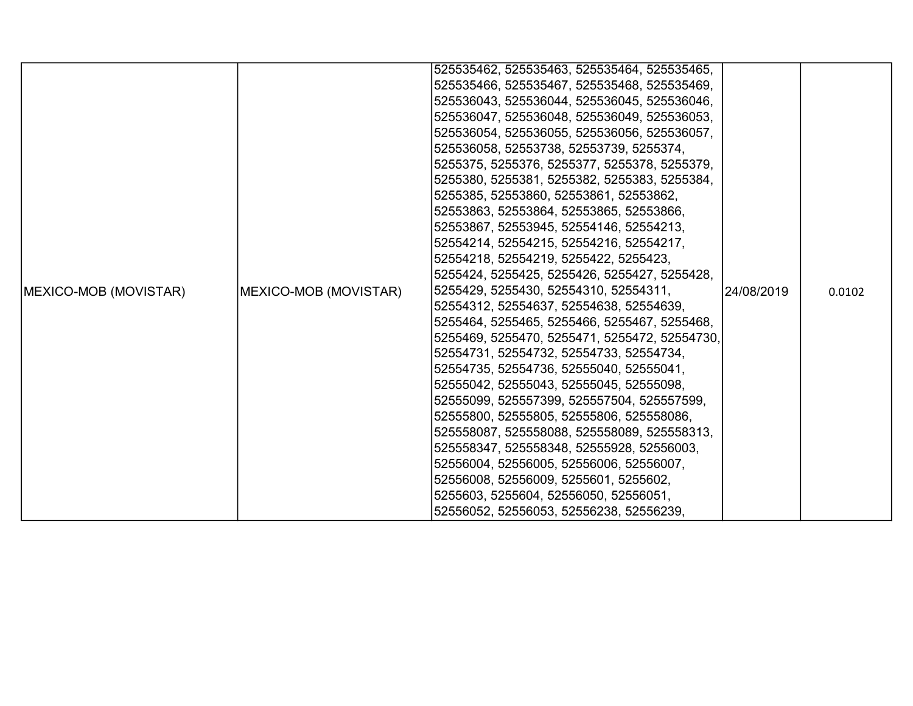|                               |                       | 525535462, 525535463, 525535464, 525535465,   |             |        |
|-------------------------------|-----------------------|-----------------------------------------------|-------------|--------|
|                               |                       | 525535466, 525535467, 525535468, 525535469,   |             |        |
|                               |                       | 525536043, 525536044, 525536045, 525536046,   |             |        |
|                               |                       | 525536047, 525536048, 525536049, 525536053,   |             |        |
|                               |                       | 525536054, 525536055, 525536056, 525536057,   |             |        |
|                               |                       | 525536058, 52553738, 52553739, 5255374,       |             |        |
|                               |                       | 5255375, 5255376, 5255377, 5255378, 5255379,  |             |        |
|                               |                       | 5255380, 5255381, 5255382, 5255383, 5255384,  |             |        |
|                               |                       | 5255385, 52553860, 52553861, 52553862,        |             |        |
|                               |                       | 52553863, 52553864, 52553865, 52553866,       |             |        |
|                               |                       | 52553867, 52553945, 52554146, 52554213,       |             |        |
|                               |                       | 52554214, 52554215, 52554216, 52554217,       |             |        |
|                               |                       | 52554218, 52554219, 5255422, 5255423,         |             |        |
|                               |                       | 5255424, 5255425, 5255426, 5255427, 5255428,  |             |        |
| <b>IMEXICO-MOB (MOVISTAR)</b> | MEXICO-MOB (MOVISTAR) | 5255429, 5255430, 52554310, 52554311,         | l24/08/2019 | 0.0102 |
|                               |                       | 52554312, 52554637, 52554638, 52554639,       |             |        |
|                               |                       | 5255464, 5255465, 5255466, 5255467, 5255468,  |             |        |
|                               |                       | 5255469, 5255470, 5255471, 5255472, 52554730, |             |        |
|                               |                       | 52554731, 52554732, 52554733, 52554734,       |             |        |
|                               |                       | 52554735, 52554736, 52555040, 52555041,       |             |        |
|                               |                       | 52555042, 52555043, 52555045, 52555098,       |             |        |
|                               |                       | 52555099, 525557399, 525557504, 525557599,    |             |        |
|                               |                       | 52555800, 52555805, 52555806, 525558086,      |             |        |
|                               |                       | 525558087, 525558088, 525558089, 525558313,   |             |        |
|                               |                       | 525558347, 525558348, 52555928, 52556003,     |             |        |
|                               |                       | 52556004, 52556005, 52556006, 52556007,       |             |        |
|                               |                       | 52556008, 52556009, 5255601, 5255602,         |             |        |
|                               |                       | 5255603, 5255604, 52556050, 52556051,         |             |        |
|                               |                       | 52556052, 52556053, 52556238, 52556239,       |             |        |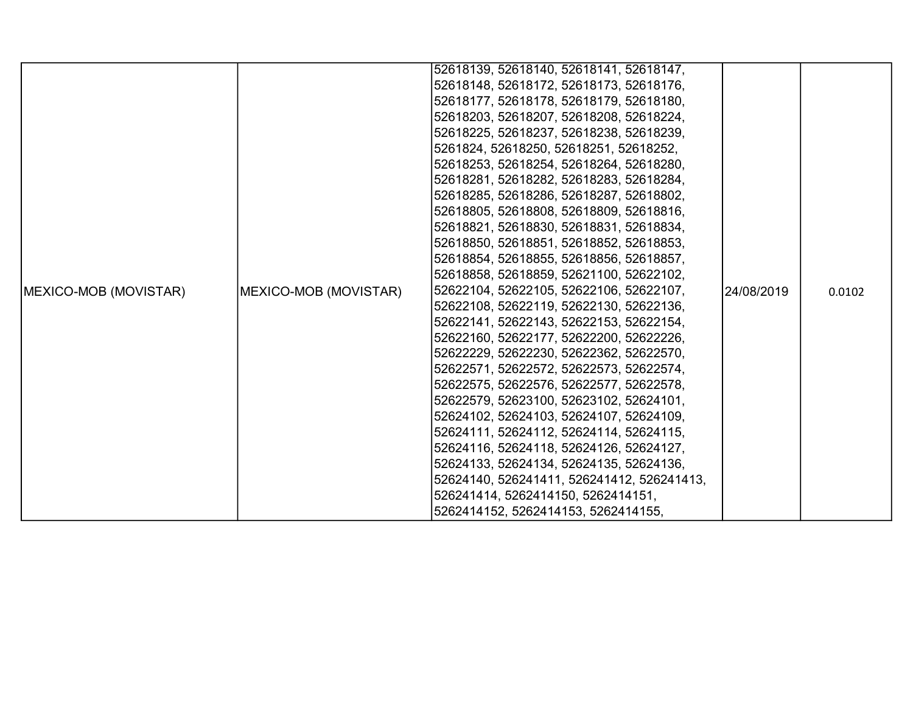|                       |                       | 52618139, 52618140, 52618141, 52618147,    |            |        |
|-----------------------|-----------------------|--------------------------------------------|------------|--------|
|                       |                       | 52618148, 52618172, 52618173, 52618176,    |            |        |
|                       |                       | 52618177, 52618178, 52618179, 52618180,    |            |        |
|                       |                       | 52618203, 52618207, 52618208, 52618224,    |            |        |
|                       |                       | 52618225, 52618237, 52618238, 52618239,    |            |        |
|                       |                       | 5261824, 52618250, 52618251, 52618252,     |            |        |
|                       |                       | 52618253, 52618254, 52618264, 52618280,    |            |        |
|                       |                       | 52618281, 52618282, 52618283, 52618284,    |            |        |
|                       |                       | 52618285, 52618286, 52618287, 52618802,    |            |        |
|                       |                       | 52618805, 52618808, 52618809, 52618816,    |            |        |
|                       |                       | 52618821, 52618830, 52618831, 52618834,    |            |        |
|                       |                       | 52618850, 52618851, 52618852, 52618853,    |            |        |
|                       |                       | 52618854, 52618855, 52618856, 52618857,    |            |        |
|                       |                       | 52618858, 52618859, 52621100, 52622102,    |            |        |
| MEXICO-MOB (MOVISTAR) | MEXICO-MOB (MOVISTAR) | 52622104, 52622105, 52622106, 52622107,    | 24/08/2019 | 0.0102 |
|                       |                       | 52622108, 52622119, 52622130, 52622136,    |            |        |
|                       |                       | 52622141, 52622143, 52622153, 52622154,    |            |        |
|                       |                       | 52622160, 52622177, 52622200, 52622226,    |            |        |
|                       |                       | 52622229, 52622230, 52622362, 52622570,    |            |        |
|                       |                       | 52622571, 52622572, 52622573, 52622574,    |            |        |
|                       |                       | 52622575, 52622576, 52622577, 52622578,    |            |        |
|                       |                       | 52622579, 52623100, 52623102, 52624101,    |            |        |
|                       |                       | 52624102, 52624103, 52624107, 52624109,    |            |        |
|                       |                       | 52624111, 52624112, 52624114, 52624115,    |            |        |
|                       |                       | 52624116, 52624118, 52624126, 52624127,    |            |        |
|                       |                       | 52624133, 52624134, 52624135, 52624136,    |            |        |
|                       |                       | 52624140, 526241411, 526241412, 526241413, |            |        |
|                       |                       | 526241414, 5262414150, 5262414151,         |            |        |
|                       |                       | 5262414152, 5262414153, 5262414155,        |            |        |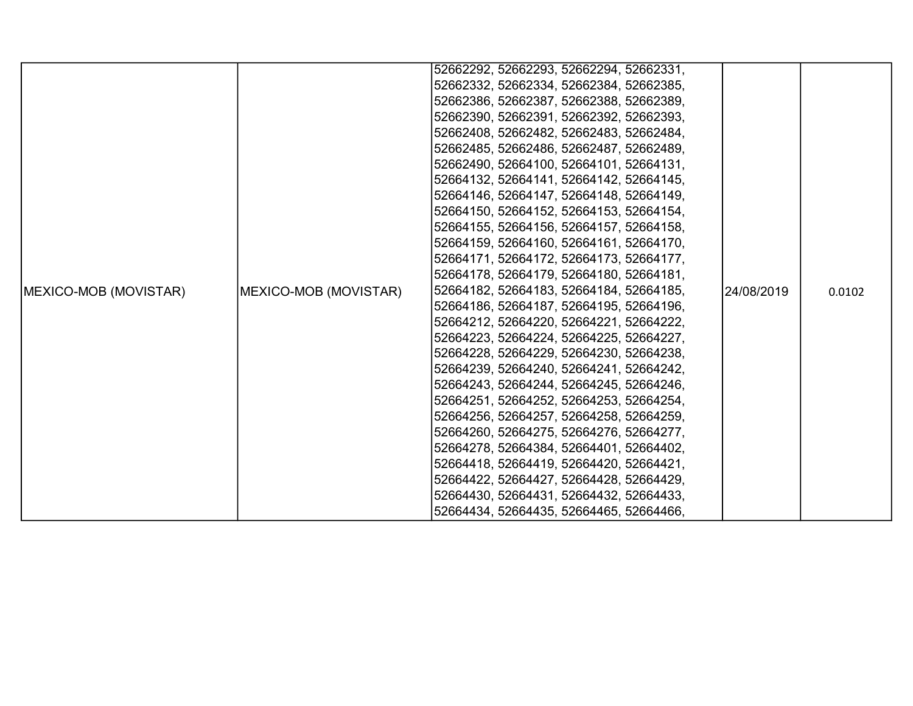|                               |                       | 52662292, 52662293, 52662294, 52662331, |            |        |
|-------------------------------|-----------------------|-----------------------------------------|------------|--------|
|                               |                       | 52662332, 52662334, 52662384, 52662385, |            |        |
|                               |                       | 52662386, 52662387, 52662388, 52662389, |            |        |
|                               |                       | 52662390, 52662391, 52662392, 52662393, |            |        |
|                               |                       | 52662408, 52662482, 52662483, 52662484, |            |        |
|                               |                       | 52662485, 52662486, 52662487, 52662489, |            |        |
|                               |                       | 52662490, 52664100, 52664101, 52664131, |            |        |
|                               |                       | 52664132, 52664141, 52664142, 52664145, |            |        |
|                               |                       | 52664146, 52664147, 52664148, 52664149, |            |        |
|                               |                       | 52664150, 52664152, 52664153, 52664154, |            |        |
|                               |                       | 52664155, 52664156, 52664157, 52664158, |            |        |
|                               |                       | 52664159, 52664160, 52664161, 52664170, |            |        |
|                               |                       | 52664171, 52664172, 52664173, 52664177, |            |        |
|                               |                       | 52664178, 52664179, 52664180, 52664181, |            |        |
| <b>IMEXICO-MOB (MOVISTAR)</b> | MEXICO-MOB (MOVISTAR) | 52664182, 52664183, 52664184, 52664185, | 24/08/2019 | 0.0102 |
|                               |                       | 52664186, 52664187, 52664195, 52664196, |            |        |
|                               |                       | 52664212, 52664220, 52664221, 52664222, |            |        |
|                               |                       | 52664223, 52664224, 52664225, 52664227, |            |        |
|                               |                       | 52664228, 52664229, 52664230, 52664238, |            |        |
|                               |                       | 52664239, 52664240, 52664241, 52664242, |            |        |
|                               |                       | 52664243, 52664244, 52664245, 52664246, |            |        |
|                               |                       | 52664251, 52664252, 52664253, 52664254, |            |        |
|                               |                       | 52664256, 52664257, 52664258, 52664259, |            |        |
|                               |                       | 52664260, 52664275, 52664276, 52664277, |            |        |
|                               |                       | 52664278, 52664384, 52664401, 52664402, |            |        |
|                               |                       | 52664418, 52664419, 52664420, 52664421, |            |        |
|                               |                       | 52664422, 52664427, 52664428, 52664429, |            |        |
|                               |                       | 52664430, 52664431, 52664432, 52664433, |            |        |
|                               |                       | 52664434, 52664435, 52664465, 52664466, |            |        |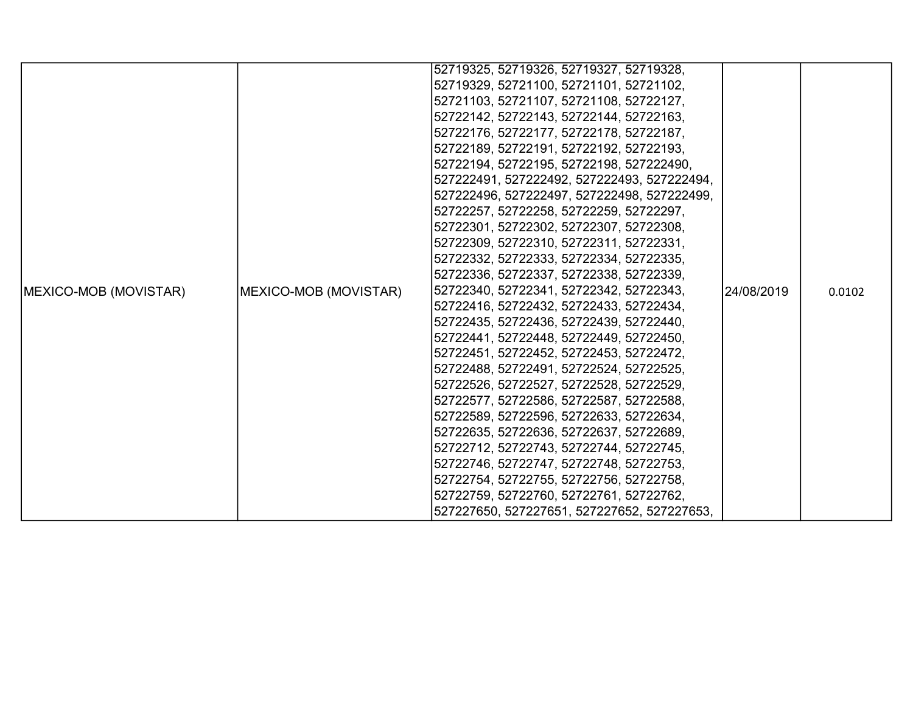|                               |                       | 52719325, 52719326, 52719327, 52719328,     |            |        |
|-------------------------------|-----------------------|---------------------------------------------|------------|--------|
|                               |                       | 52719329, 52721100, 52721101, 52721102,     |            |        |
|                               |                       | 52721103, 52721107, 52721108, 52722127,     |            |        |
|                               |                       | 52722142, 52722143, 52722144, 52722163,     |            |        |
|                               |                       | 52722176, 52722177, 52722178, 52722187,     |            |        |
|                               |                       | 52722189, 52722191, 52722192, 52722193,     |            |        |
|                               |                       | 52722194, 52722195, 52722198, 527222490,    |            |        |
|                               |                       | 527222491, 527222492, 527222493, 527222494, |            |        |
|                               |                       | 527222496, 527222497, 527222498, 527222499, |            |        |
|                               |                       | 52722257, 52722258, 52722259, 52722297,     |            |        |
|                               |                       | 52722301, 52722302, 52722307, 52722308,     |            |        |
|                               |                       | 52722309, 52722310, 52722311, 52722331,     |            |        |
|                               |                       | 52722332, 52722333, 52722334, 52722335,     |            |        |
|                               |                       | 52722336, 52722337, 52722338, 52722339,     |            |        |
| <b>IMEXICO-MOB (MOVISTAR)</b> | MEXICO-MOB (MOVISTAR) | 52722340, 52722341, 52722342, 52722343,     | 24/08/2019 | 0.0102 |
|                               |                       | 52722416, 52722432, 52722433, 52722434,     |            |        |
|                               |                       | 52722435, 52722436, 52722439, 52722440,     |            |        |
|                               |                       | 52722441, 52722448, 52722449, 52722450,     |            |        |
|                               |                       | 52722451, 52722452, 52722453, 52722472,     |            |        |
|                               |                       | 52722488, 52722491, 52722524, 52722525,     |            |        |
|                               |                       | 52722526, 52722527, 52722528, 52722529,     |            |        |
|                               |                       | 52722577, 52722586, 52722587, 52722588,     |            |        |
|                               |                       | 52722589, 52722596, 52722633, 52722634,     |            |        |
|                               |                       | 52722635, 52722636, 52722637, 52722689,     |            |        |
|                               |                       | 52722712, 52722743, 52722744, 52722745,     |            |        |
|                               |                       | 52722746, 52722747, 52722748, 52722753,     |            |        |
|                               |                       | 52722754, 52722755, 52722756, 52722758,     |            |        |
|                               |                       | 52722759, 52722760, 52722761, 52722762,     |            |        |
|                               |                       | 527227650, 527227651, 527227652, 527227653, |            |        |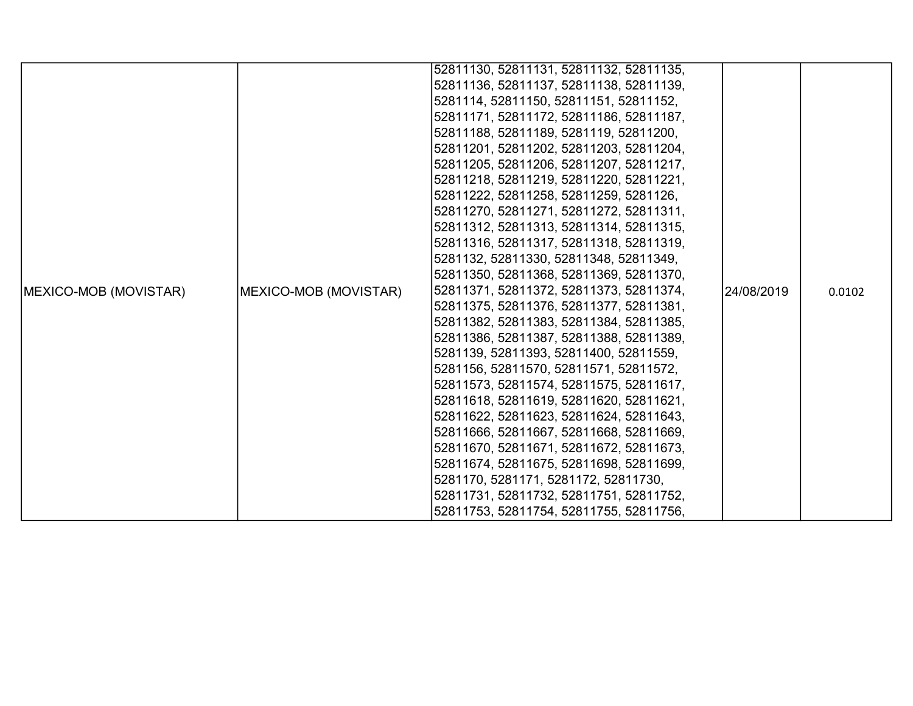|                               |                       | 52811130, 52811131, 52811132, 52811135, |            |        |
|-------------------------------|-----------------------|-----------------------------------------|------------|--------|
|                               |                       | 52811136, 52811137, 52811138, 52811139, |            |        |
|                               |                       | 5281114, 52811150, 52811151, 52811152,  |            |        |
|                               |                       | 52811171, 52811172, 52811186, 52811187, |            |        |
|                               |                       | 52811188, 52811189, 5281119, 52811200,  |            |        |
|                               |                       | 52811201, 52811202, 52811203, 52811204, |            |        |
|                               |                       | 52811205, 52811206, 52811207, 52811217, |            |        |
|                               |                       | 52811218, 52811219, 52811220, 52811221, |            |        |
|                               |                       | 52811222, 52811258, 52811259, 5281126,  |            |        |
|                               |                       | 52811270, 52811271, 52811272, 52811311, |            |        |
|                               |                       | 52811312, 52811313, 52811314, 52811315, |            |        |
|                               |                       | 52811316, 52811317, 52811318, 52811319, |            |        |
|                               |                       | 5281132, 52811330, 52811348, 52811349,  |            |        |
|                               |                       | 52811350, 52811368, 52811369, 52811370, |            |        |
| <b>IMEXICO-MOB (MOVISTAR)</b> | MEXICO-MOB (MOVISTAR) | 52811371, 52811372, 52811373, 52811374, | 24/08/2019 | 0.0102 |
|                               |                       | 52811375, 52811376, 52811377, 52811381, |            |        |
|                               |                       | 52811382, 52811383, 52811384, 52811385, |            |        |
|                               |                       | 52811386, 52811387, 52811388, 52811389, |            |        |
|                               |                       | 5281139, 52811393, 52811400, 52811559,  |            |        |
|                               |                       | 5281156, 52811570, 52811571, 52811572,  |            |        |
|                               |                       | 52811573, 52811574, 52811575, 52811617, |            |        |
|                               |                       | 52811618, 52811619, 52811620, 52811621, |            |        |
|                               |                       | 52811622, 52811623, 52811624, 52811643, |            |        |
|                               |                       | 52811666, 52811667, 52811668, 52811669, |            |        |
|                               |                       | 52811670, 52811671, 52811672, 52811673, |            |        |
|                               |                       | 52811674, 52811675, 52811698, 52811699, |            |        |
|                               |                       | 5281170, 5281171, 5281172, 52811730,    |            |        |
|                               |                       | 52811731, 52811732, 52811751, 52811752, |            |        |
|                               |                       | 52811753, 52811754, 52811755, 52811756, |            |        |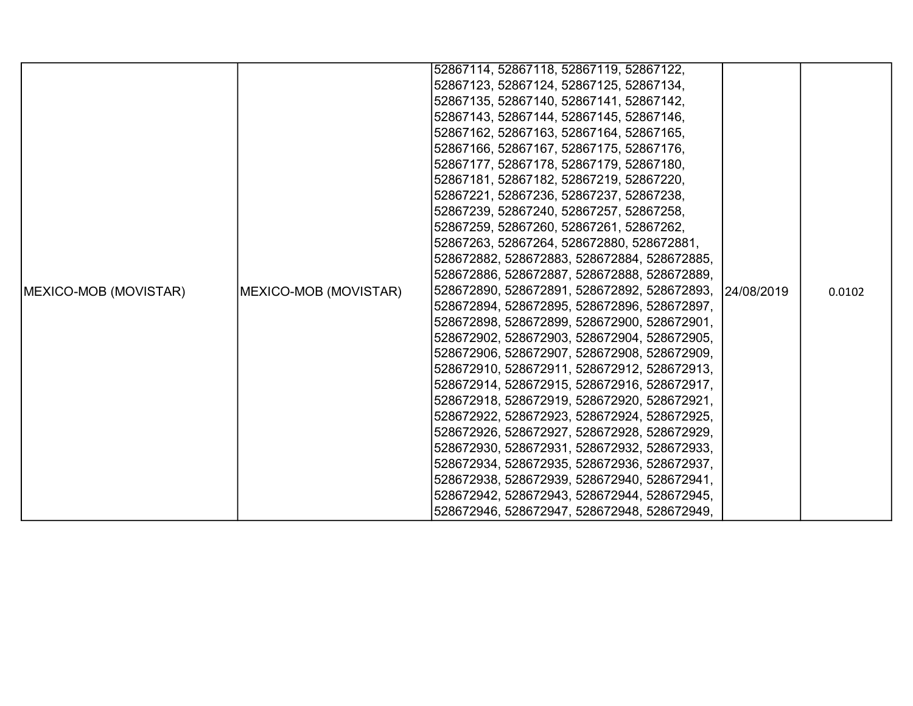|                               |                       | 52867114, 52867118, 52867119, 52867122,     |            |        |
|-------------------------------|-----------------------|---------------------------------------------|------------|--------|
|                               |                       | 52867123, 52867124, 52867125, 52867134,     |            |        |
|                               |                       | 52867135, 52867140, 52867141, 52867142,     |            |        |
|                               |                       | 52867143, 52867144, 52867145, 52867146,     |            |        |
|                               |                       | 52867162, 52867163, 52867164, 52867165,     |            |        |
|                               |                       | 52867166, 52867167, 52867175, 52867176,     |            |        |
|                               |                       | 52867177, 52867178, 52867179, 52867180,     |            |        |
|                               |                       | 52867181, 52867182, 52867219, 52867220,     |            |        |
|                               |                       | 52867221, 52867236, 52867237, 52867238,     |            |        |
|                               |                       | 52867239, 52867240, 52867257, 52867258,     |            |        |
|                               |                       | 52867259, 52867260, 52867261, 52867262,     |            |        |
|                               |                       | 52867263, 52867264, 528672880, 528672881,   |            |        |
|                               |                       | 528672882, 528672883, 528672884, 528672885, |            |        |
|                               |                       | 528672886, 528672887, 528672888, 528672889, |            |        |
| <b>IMEXICO-MOB (MOVISTAR)</b> | MEXICO-MOB (MOVISTAR) | 528672890, 528672891, 528672892, 528672893, | 24/08/2019 | 0.0102 |
|                               |                       | 528672894, 528672895, 528672896, 528672897, |            |        |
|                               |                       | 528672898, 528672899, 528672900, 528672901, |            |        |
|                               |                       | 528672902, 528672903, 528672904, 528672905, |            |        |
|                               |                       | 528672906, 528672907, 528672908, 528672909, |            |        |
|                               |                       | 528672910, 528672911, 528672912, 528672913, |            |        |
|                               |                       | 528672914, 528672915, 528672916, 528672917, |            |        |
|                               |                       | 528672918, 528672919, 528672920, 528672921, |            |        |
|                               |                       | 528672922, 528672923, 528672924, 528672925, |            |        |
|                               |                       | 528672926, 528672927, 528672928, 528672929, |            |        |
|                               |                       | 528672930, 528672931, 528672932, 528672933, |            |        |
|                               |                       | 528672934, 528672935, 528672936, 528672937, |            |        |
|                               |                       | 528672938, 528672939, 528672940, 528672941, |            |        |
|                               |                       | 528672942, 528672943, 528672944, 528672945, |            |        |
|                               |                       | 528672946, 528672947, 528672948, 528672949, |            |        |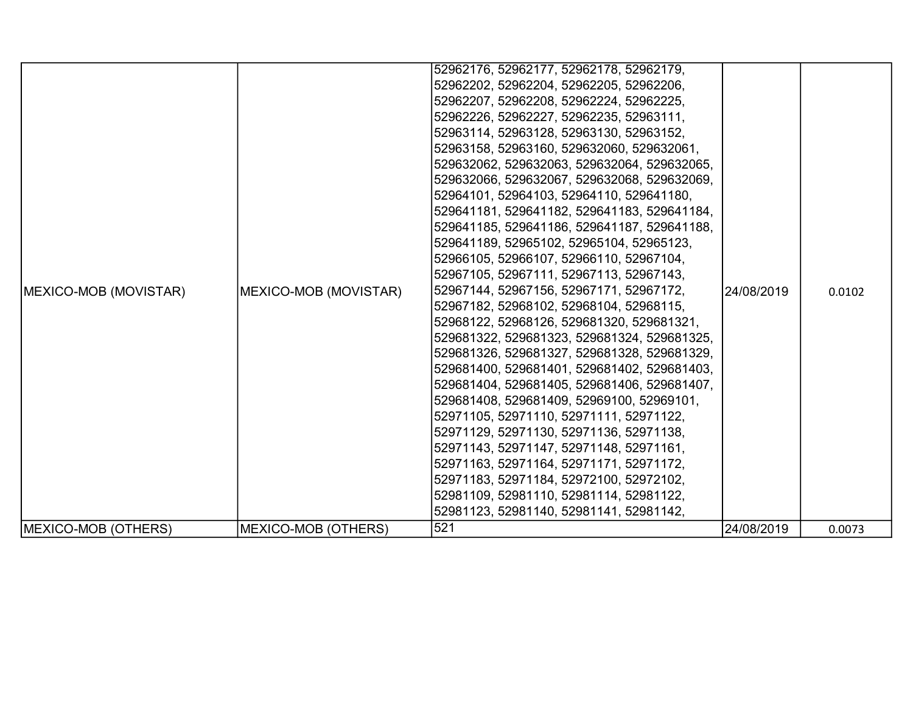| MEXICO-MOB (MOVISTAR) | MEXICO-MOB (MOVISTAR) | 52962176, 52962177, 52962178, 52962179,<br> 52962202, 52962204, 52962205, 52962206,<br>52962207, 52962208, 52962224, 52962225,<br> 52962226, 52962227, 52962235, 52963111,<br>52963114, 52963128, 52963130, 52963152,<br> 52963158, 52963160, 529632060, 529632061,<br>529632062, 529632063, 529632064, 529632065,<br> 529632066, 529632067, 529632068, 529632069,<br>52964101, 52964103, 52964110, 529641180,<br> 529641181, 529641182, 529641183, 529641184,<br>529641185, 529641186, 529641187, 529641188,<br> 529641189, 52965102, 52965104, 52965123,<br> 52966105, 52966107, 52966110, 52967104,<br> 52967105, 52967111, 52967113, 52967143,<br>52967144, 52967156, 52967171, 52967172,<br>52967182, 52968102, 52968104, 52968115,<br> 52968122, 52968126, 529681320, 529681321,<br>529681322, 529681323, 529681324, 529681325,<br> 529681326, 529681327, 529681328, 529681329,<br>529681400, 529681401, 529681402, 529681403,<br> 529681404, 529681405, 529681406, 529681407,<br>529681408, 529681409, 52969100, 52969101,<br> 52971105, 52971110, 52971111, 52971122,<br> 52971129, 52971130, 52971136, 52971138,<br> 52971143, 52971147, 52971148, 52971161,<br>52971163, 52971164, 52971171, 52971172,<br> 52971183, 52971184, 52972100, 52972102,<br>52981109, 52981110, 52981114, 52981122, | 24/08/2019 | 0.0102 |
|-----------------------|-----------------------|---------------------------------------------------------------------------------------------------------------------------------------------------------------------------------------------------------------------------------------------------------------------------------------------------------------------------------------------------------------------------------------------------------------------------------------------------------------------------------------------------------------------------------------------------------------------------------------------------------------------------------------------------------------------------------------------------------------------------------------------------------------------------------------------------------------------------------------------------------------------------------------------------------------------------------------------------------------------------------------------------------------------------------------------------------------------------------------------------------------------------------------------------------------------------------------------------------------------------------------------------------------------------------------------------------|------------|--------|
|                       |                       | 52981123, 52981140, 52981141, 52981142,                                                                                                                                                                                                                                                                                                                                                                                                                                                                                                                                                                                                                                                                                                                                                                                                                                                                                                                                                                                                                                                                                                                                                                                                                                                                 |            |        |
| MEXICO-MOB (OTHERS)   | MEXICO-MOB (OTHERS)   | 521                                                                                                                                                                                                                                                                                                                                                                                                                                                                                                                                                                                                                                                                                                                                                                                                                                                                                                                                                                                                                                                                                                                                                                                                                                                                                                     | 24/08/2019 | 0.0073 |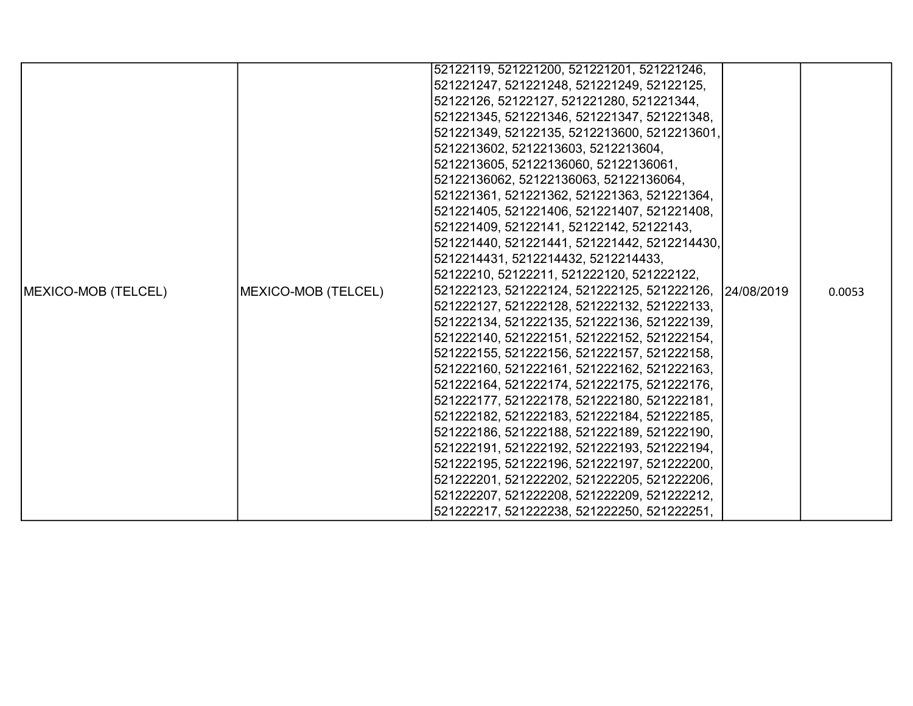|                     |                     | 52122119, 521221200, 521221201, 521221246,             |  |        |
|---------------------|---------------------|--------------------------------------------------------|--|--------|
|                     |                     | 521221247, 521221248, 521221249, 52122125,             |  |        |
|                     |                     | 52122126, 52122127, 521221280, 521221344,              |  |        |
|                     |                     | 521221345, 521221346, 521221347, 521221348,            |  |        |
|                     |                     | 521221349, 52122135, 5212213600, 5212213601,           |  |        |
|                     |                     | 5212213602, 5212213603, 5212213604,                    |  |        |
|                     |                     | 5212213605, 52122136060, 52122136061,                  |  |        |
|                     |                     | 52122136062, 52122136063, 52122136064,                 |  |        |
|                     |                     | 521221361, 521221362, 521221363, 521221364,            |  |        |
|                     |                     | 521221405, 521221406, 521221407, 521221408,            |  |        |
|                     |                     | 521221409, 52122141, 52122142, 52122143,               |  |        |
|                     |                     | 521221440, 521221441, 521221442, 5212214430,           |  |        |
|                     |                     | 5212214431, 5212214432, 5212214433,                    |  |        |
|                     |                     | 52122210, 52122211, 521222120, 521222122,              |  |        |
| MEXICO-MOB (TELCEL) | MEXICO-MOB (TELCEL) | 521222123, 521222124, 521222125, 521222126, 24/08/2019 |  | 0.0053 |
|                     |                     | 521222127, 521222128, 521222132, 521222133,            |  |        |
|                     |                     | 521222134, 521222135, 521222136, 521222139,            |  |        |
|                     |                     | 521222140, 521222151, 521222152, 521222154,            |  |        |
|                     |                     | 521222155, 521222156, 521222157, 521222158,            |  |        |
|                     |                     | 521222160, 521222161, 521222162, 521222163,            |  |        |
|                     |                     | 521222164, 521222174, 521222175, 521222176,            |  |        |
|                     |                     | 521222177, 521222178, 521222180, 521222181,            |  |        |
|                     |                     | 521222182, 521222183, 521222184, 521222185,            |  |        |
|                     |                     | 521222186, 521222188, 521222189, 521222190,            |  |        |
|                     |                     | 521222191, 521222192, 521222193, 521222194,            |  |        |
|                     |                     | 521222195, 521222196, 521222197, 521222200,            |  |        |
|                     |                     | 521222201, 521222202, 521222205, 521222206,            |  |        |
|                     |                     | 521222207, 521222208, 521222209, 521222212,            |  |        |
|                     |                     | 521222217, 521222238, 521222250, 521222251,            |  |        |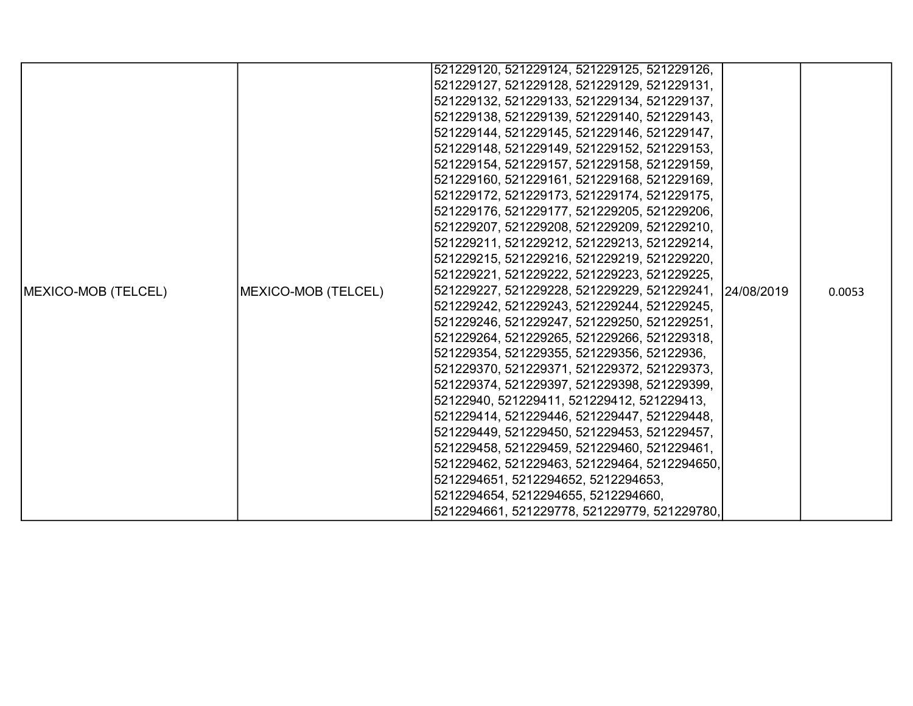|                             |                     | 521229120, 521229124, 521229125, 521229126,            |  |        |
|-----------------------------|---------------------|--------------------------------------------------------|--|--------|
|                             |                     | 521229127, 521229128, 521229129, 521229131,            |  |        |
|                             |                     | 521229132, 521229133, 521229134, 521229137,            |  |        |
|                             |                     | 521229138, 521229139, 521229140, 521229143,            |  |        |
|                             |                     | 521229144, 521229145, 521229146, 521229147,            |  |        |
|                             |                     | 521229148, 521229149, 521229152, 521229153,            |  |        |
|                             |                     | 521229154, 521229157, 521229158, 521229159,            |  |        |
|                             |                     | 521229160, 521229161, 521229168, 521229169,            |  |        |
|                             |                     | 521229172, 521229173, 521229174, 521229175,            |  |        |
|                             |                     | 521229176, 521229177, 521229205, 521229206,            |  |        |
|                             |                     | 521229207, 521229208, 521229209, 521229210,            |  |        |
|                             |                     | 521229211, 521229212, 521229213, 521229214,            |  |        |
|                             |                     | 521229215, 521229216, 521229219, 521229220,            |  |        |
|                             |                     | 521229221, 521229222, 521229223, 521229225,            |  |        |
| <b>IMEXICO-MOB (TELCEL)</b> | MEXICO-MOB (TELCEL) | 521229227, 521229228, 521229229, 521229241, 24/08/2019 |  | 0.0053 |
|                             |                     | 521229242, 521229243, 521229244, 521229245,            |  |        |
|                             |                     | 521229246, 521229247, 521229250, 521229251,            |  |        |
|                             |                     | 521229264, 521229265, 521229266, 521229318,            |  |        |
|                             |                     | 521229354, 521229355, 521229356, 52122936,             |  |        |
|                             |                     | 521229370, 521229371, 521229372, 521229373,            |  |        |
|                             |                     | 521229374, 521229397, 521229398, 521229399,            |  |        |
|                             |                     | 52122940, 521229411, 521229412, 521229413,             |  |        |
|                             |                     | 521229414, 521229446, 521229447, 521229448,            |  |        |
|                             |                     | 521229449, 521229450, 521229453, 521229457,            |  |        |
|                             |                     | 521229458, 521229459, 521229460, 521229461,            |  |        |
|                             |                     | 521229462, 521229463, 521229464, 5212294650,           |  |        |
|                             |                     | 5212294651, 5212294652, 5212294653,                    |  |        |
|                             |                     | 5212294654, 5212294655, 5212294660,                    |  |        |
|                             |                     | 5212294661, 521229778, 521229779, 521229780,           |  |        |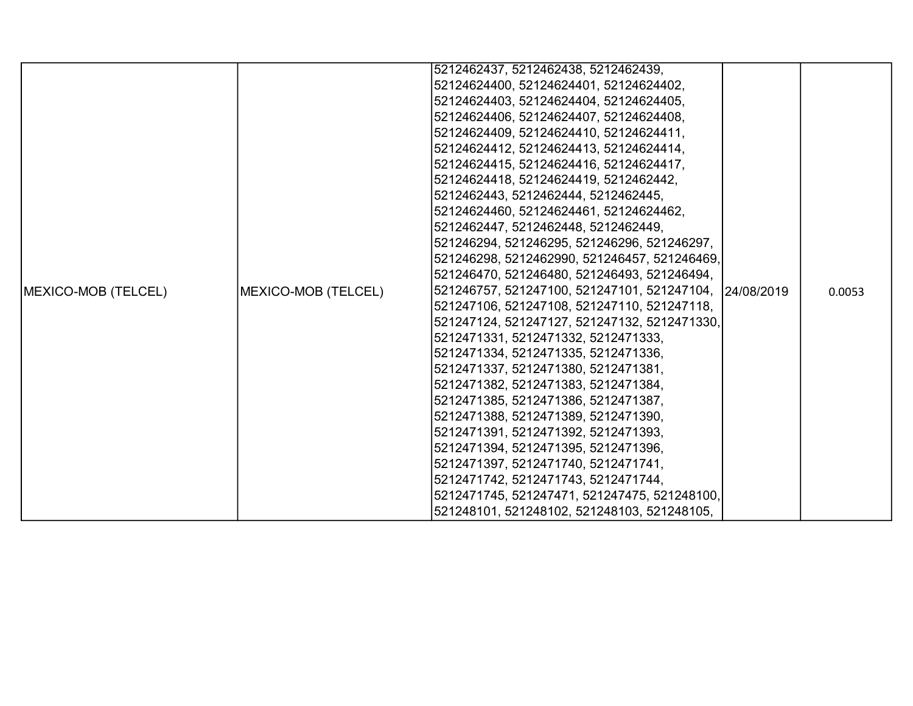|                     |                     | 5212462437, 5212462438, 5212462439,                    |  |        |
|---------------------|---------------------|--------------------------------------------------------|--|--------|
|                     |                     | 52124624400, 52124624401, 52124624402,                 |  |        |
|                     |                     | 52124624403, 52124624404, 52124624405,                 |  |        |
|                     |                     | 52124624406, 52124624407, 52124624408,                 |  |        |
|                     |                     | 52124624409, 52124624410, 52124624411,                 |  |        |
|                     |                     | 52124624412, 52124624413, 52124624414,                 |  |        |
|                     |                     | 52124624415, 52124624416, 52124624417,                 |  |        |
|                     |                     | 52124624418, 52124624419, 5212462442,                  |  |        |
|                     |                     | 5212462443, 5212462444, 5212462445,                    |  |        |
|                     |                     | 52124624460, 52124624461, 52124624462,                 |  |        |
|                     |                     | 5212462447, 5212462448, 5212462449,                    |  |        |
|                     |                     | 521246294, 521246295, 521246296, 521246297,            |  |        |
|                     |                     | 521246298, 5212462990, 521246457, 521246469,           |  |        |
|                     |                     | 521246470, 521246480, 521246493, 521246494,            |  |        |
| MEXICO-MOB (TELCEL) | MEXICO-MOB (TELCEL) | 521246757, 521247100, 521247101, 521247104, 24/08/2019 |  | 0.0053 |
|                     |                     | 521247106, 521247108, 521247110, 521247118,            |  |        |
|                     |                     | 521247124, 521247127, 521247132, 5212471330,           |  |        |
|                     |                     | 5212471331, 5212471332, 5212471333,                    |  |        |
|                     |                     | 5212471334, 5212471335, 5212471336,                    |  |        |
|                     |                     | 5212471337, 5212471380, 5212471381,                    |  |        |
|                     |                     | 5212471382, 5212471383, 5212471384,                    |  |        |
|                     |                     | 5212471385, 5212471386, 5212471387,                    |  |        |
|                     |                     | 5212471388, 5212471389, 5212471390,                    |  |        |
|                     |                     | 5212471391, 5212471392, 5212471393,                    |  |        |
|                     |                     | 5212471394, 5212471395, 5212471396,                    |  |        |
|                     |                     | 5212471397, 5212471740, 5212471741,                    |  |        |
|                     |                     | 5212471742, 5212471743, 5212471744,                    |  |        |
|                     |                     | 5212471745, 521247471, 521247475, 521248100,           |  |        |
|                     |                     | 521248101, 521248102, 521248103, 521248105,            |  |        |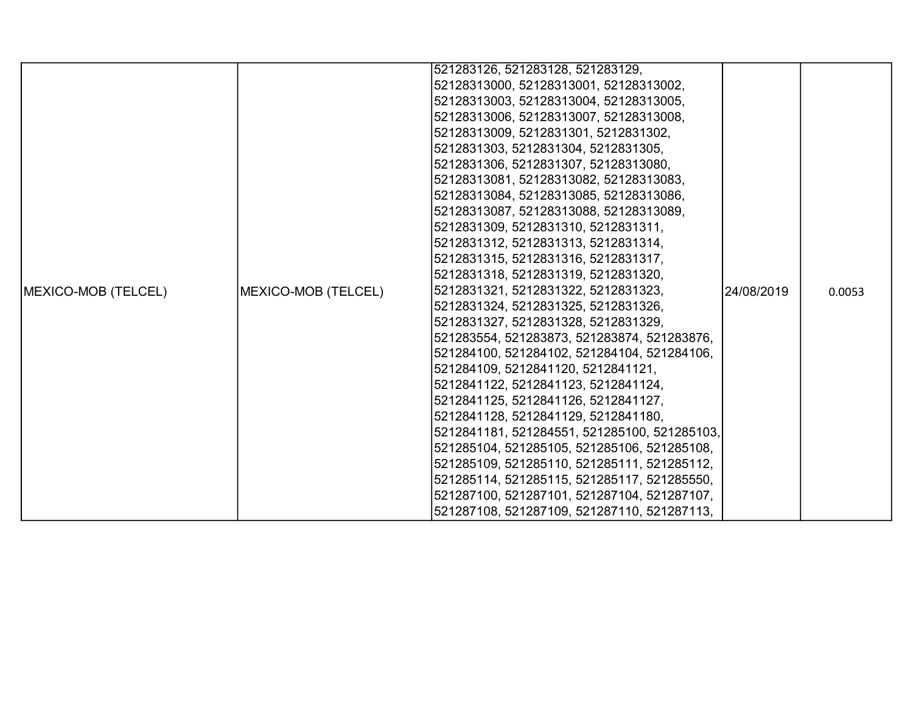|                     |                     | 521283126, 521283128, 521283129,             |             |        |
|---------------------|---------------------|----------------------------------------------|-------------|--------|
|                     |                     | 52128313000, 52128313001, 52128313002,       |             |        |
|                     |                     | 52128313003, 52128313004, 52128313005,       |             |        |
|                     |                     | 52128313006, 52128313007, 52128313008,       |             |        |
|                     |                     | 52128313009, 5212831301, 5212831302,         |             |        |
|                     |                     | 5212831303, 5212831304, 5212831305,          |             |        |
|                     |                     | 5212831306, 5212831307, 52128313080,         |             |        |
|                     |                     | 52128313081, 52128313082, 52128313083,       |             |        |
|                     |                     | 52128313084, 52128313085, 52128313086,       |             |        |
|                     |                     | 52128313087, 52128313088, 52128313089,       |             |        |
|                     |                     | 5212831309, 5212831310, 5212831311,          |             |        |
|                     |                     | 5212831312, 5212831313, 5212831314,          |             |        |
|                     |                     | 5212831315, 5212831316, 5212831317,          |             |        |
|                     |                     | 5212831318, 5212831319, 5212831320,          |             |        |
| MEXICO-MOB (TELCEL) | MEXICO-MOB (TELCEL) | 5212831321, 5212831322, 5212831323,          | 124/08/2019 | 0.0053 |
|                     |                     | 5212831324, 5212831325, 5212831326,          |             |        |
|                     |                     | 5212831327, 5212831328, 5212831329,          |             |        |
|                     |                     | 521283554, 521283873, 521283874, 521283876,  |             |        |
|                     |                     | 521284100, 521284102, 521284104, 521284106,  |             |        |
|                     |                     | 521284109, 5212841120, 5212841121,           |             |        |
|                     |                     | 5212841122, 5212841123, 5212841124,          |             |        |
|                     |                     | 5212841125, 5212841126, 5212841127,          |             |        |
|                     |                     | 5212841128, 5212841129, 5212841180,          |             |        |
|                     |                     | 5212841181, 521284551, 521285100, 521285103, |             |        |
|                     |                     | 521285104, 521285105, 521285106, 521285108,  |             |        |
|                     |                     | 521285109, 521285110, 521285111, 521285112,  |             |        |
|                     |                     | 521285114, 521285115, 521285117, 521285550,  |             |        |
|                     |                     | 521287100, 521287101, 521287104, 521287107,  |             |        |
|                     |                     | 521287108, 521287109, 521287110, 521287113,  |             |        |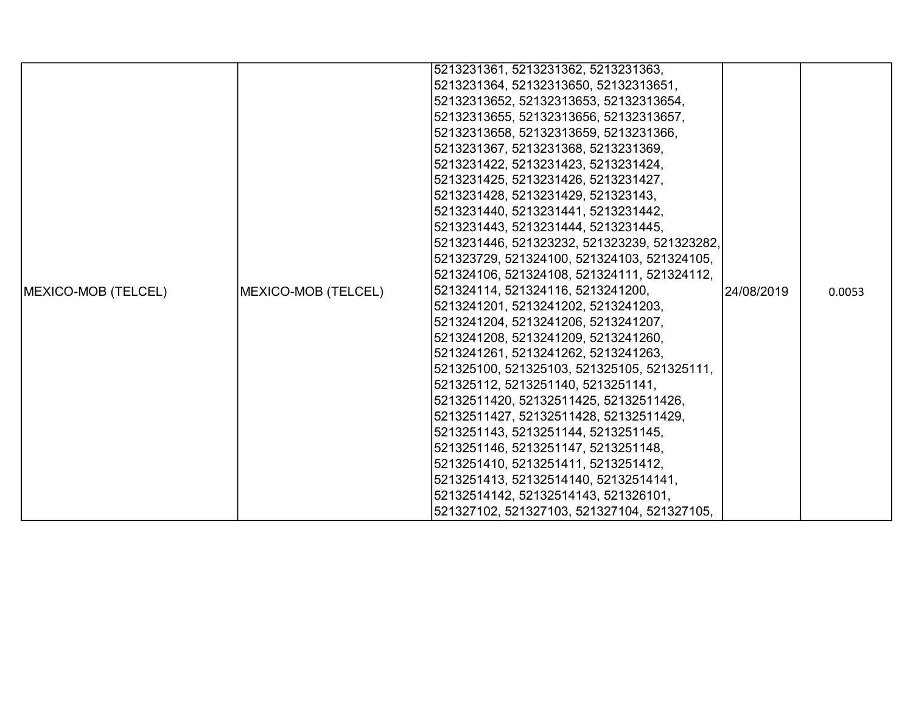|                            |                     | 5213231361, 5213231362, 5213231363,          |            |        |
|----------------------------|---------------------|----------------------------------------------|------------|--------|
|                            |                     | 5213231364, 52132313650, 52132313651,        |            |        |
|                            |                     | 52132313652, 52132313653, 52132313654,       |            |        |
|                            |                     | 52132313655, 52132313656, 52132313657,       |            |        |
|                            |                     | 52132313658, 52132313659, 5213231366,        |            |        |
|                            |                     | 5213231367, 5213231368, 5213231369,          |            |        |
|                            |                     | 5213231422, 5213231423, 5213231424,          |            |        |
|                            |                     | 5213231425, 5213231426, 5213231427,          |            |        |
|                            |                     | 5213231428, 5213231429, 521323143,           |            |        |
|                            |                     | 5213231440, 5213231441, 5213231442,          |            |        |
|                            |                     | 5213231443, 5213231444, 5213231445,          |            |        |
|                            |                     | 5213231446, 521323232, 521323239, 521323282, |            |        |
|                            |                     | 521323729, 521324100, 521324103, 521324105,  |            |        |
|                            |                     | 521324106, 521324108, 521324111, 521324112,  |            |        |
| <b>MEXICO-MOB (TELCEL)</b> | MEXICO-MOB (TELCEL) | 521324114, 521324116, 5213241200,            | 24/08/2019 | 0.0053 |
|                            |                     | 5213241201, 5213241202, 5213241203,          |            |        |
|                            |                     | 5213241204, 5213241206, 5213241207,          |            |        |
|                            |                     | 5213241208, 5213241209, 5213241260,          |            |        |
|                            |                     | 5213241261, 5213241262, 5213241263,          |            |        |
|                            |                     | 521325100, 521325103, 521325105, 521325111,  |            |        |
|                            |                     | 521325112, 5213251140, 5213251141,           |            |        |
|                            |                     | 52132511420, 52132511425, 52132511426,       |            |        |
|                            |                     | 52132511427, 52132511428, 52132511429,       |            |        |
|                            |                     | 5213251143, 5213251144, 5213251145,          |            |        |
|                            |                     | 5213251146, 5213251147, 5213251148,          |            |        |
|                            |                     | 5213251410, 5213251411, 5213251412,          |            |        |
|                            |                     | 5213251413, 52132514140, 52132514141,        |            |        |
|                            |                     | 52132514142, 52132514143, 521326101,         |            |        |
|                            |                     | 521327102, 521327103, 521327104, 521327105,  |            |        |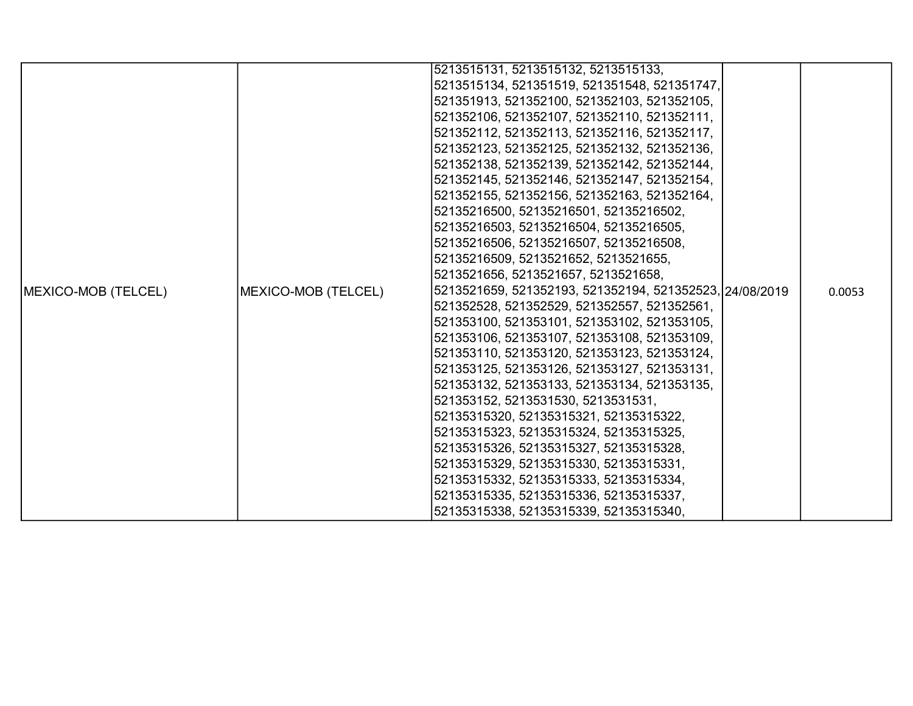|                            |                     | 5213515131, 5213515132, 5213515133,                     |  |        |
|----------------------------|---------------------|---------------------------------------------------------|--|--------|
|                            |                     | 5213515134, 521351519, 521351548, 521351747,            |  |        |
|                            |                     | 521351913, 521352100, 521352103, 521352105,             |  |        |
|                            |                     | 521352106, 521352107, 521352110, 521352111,             |  |        |
|                            |                     | 521352112, 521352113, 521352116, 521352117,             |  |        |
|                            |                     | 521352123, 521352125, 521352132, 521352136,             |  |        |
|                            |                     | 521352138, 521352139, 521352142, 521352144,             |  |        |
|                            |                     | 521352145, 521352146, 521352147, 521352154,             |  |        |
|                            |                     | 521352155, 521352156, 521352163, 521352164,             |  |        |
|                            |                     | 52135216500, 52135216501, 52135216502,                  |  |        |
|                            |                     | 52135216503, 52135216504, 52135216505,                  |  |        |
|                            |                     | 52135216506, 52135216507, 52135216508,                  |  |        |
|                            |                     | 52135216509, 5213521652, 5213521655,                    |  |        |
|                            |                     | 5213521656, 5213521657, 5213521658,                     |  |        |
| <b>MEXICO-MOB (TELCEL)</b> | MEXICO-MOB (TELCEL) | 5213521659, 521352193, 521352194, 521352523, 24/08/2019 |  | 0.0053 |
|                            |                     | 521352528, 521352529, 521352557, 521352561,             |  |        |
|                            |                     | 521353100, 521353101, 521353102, 521353105,             |  |        |
|                            |                     | 521353106, 521353107, 521353108, 521353109,             |  |        |
|                            |                     | 521353110, 521353120, 521353123, 521353124,             |  |        |
|                            |                     | 521353125, 521353126, 521353127, 521353131,             |  |        |
|                            |                     | 521353132, 521353133, 521353134, 521353135,             |  |        |
|                            |                     | 521353152, 5213531530, 5213531531,                      |  |        |
|                            |                     | 52135315320, 52135315321, 52135315322,                  |  |        |
|                            |                     | 52135315323, 52135315324, 52135315325,                  |  |        |
|                            |                     | 52135315326, 52135315327, 52135315328,                  |  |        |
|                            |                     | 52135315329, 52135315330, 52135315331,                  |  |        |
|                            |                     | 52135315332, 52135315333, 52135315334,                  |  |        |
|                            |                     | 52135315335, 52135315336, 52135315337,                  |  |        |
|                            |                     | 52135315338, 52135315339, 52135315340,                  |  |        |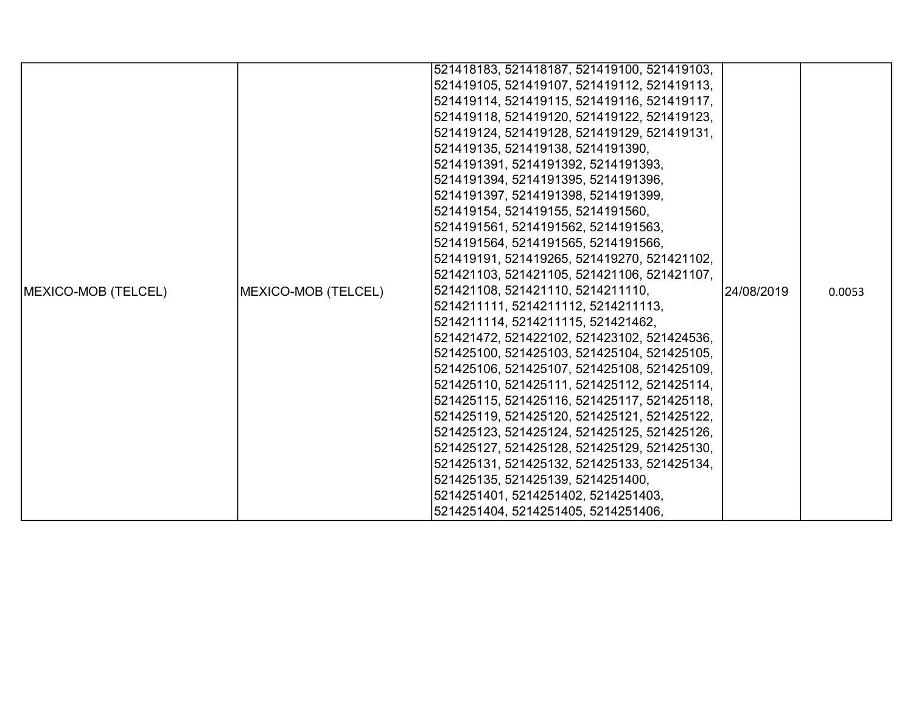|                             |                     | 521418183, 521418187, 521419100, 521419103, |             |        |
|-----------------------------|---------------------|---------------------------------------------|-------------|--------|
|                             |                     | 521419105, 521419107, 521419112, 521419113, |             |        |
|                             |                     | 521419114, 521419115, 521419116, 521419117, |             |        |
|                             |                     | 521419118, 521419120, 521419122, 521419123, |             |        |
|                             |                     | 521419124, 521419128, 521419129, 521419131, |             |        |
|                             |                     | 521419135, 521419138, 5214191390,           |             |        |
|                             |                     | 5214191391, 5214191392, 5214191393,         |             |        |
|                             |                     | 5214191394, 5214191395, 5214191396,         |             |        |
|                             |                     | 5214191397, 5214191398, 5214191399,         |             |        |
|                             |                     | 521419154, 521419155, 5214191560,           |             |        |
|                             |                     | 5214191561, 5214191562, 5214191563,         |             |        |
|                             |                     | 5214191564, 5214191565, 5214191566,         |             |        |
|                             |                     | 521419191, 521419265, 521419270, 521421102, |             |        |
|                             |                     | 521421103, 521421105, 521421106, 521421107, |             |        |
| <b>IMEXICO-MOB (TELCEL)</b> | MEXICO-MOB (TELCEL) | 521421108, 521421110, 5214211110,           | l24/08/2019 | 0.0053 |
|                             |                     | 5214211111, 5214211112, 5214211113,         |             |        |
|                             |                     | 5214211114, 5214211115, 521421462,          |             |        |
|                             |                     | 521421472, 521422102, 521423102, 521424536, |             |        |
|                             |                     | 521425100, 521425103, 521425104, 521425105, |             |        |
|                             |                     | 521425106, 521425107, 521425108, 521425109, |             |        |
|                             |                     | 521425110, 521425111, 521425112, 521425114, |             |        |
|                             |                     | 521425115, 521425116, 521425117, 521425118, |             |        |
|                             |                     | 521425119, 521425120, 521425121, 521425122, |             |        |
|                             |                     | 521425123, 521425124, 521425125, 521425126, |             |        |
|                             |                     | 521425127, 521425128, 521425129, 521425130, |             |        |
|                             |                     | 521425131, 521425132, 521425133, 521425134, |             |        |
|                             |                     | 521425135, 521425139, 5214251400,           |             |        |
|                             |                     | 5214251401, 5214251402, 5214251403,         |             |        |
|                             |                     | 5214251404, 5214251405, 5214251406,         |             |        |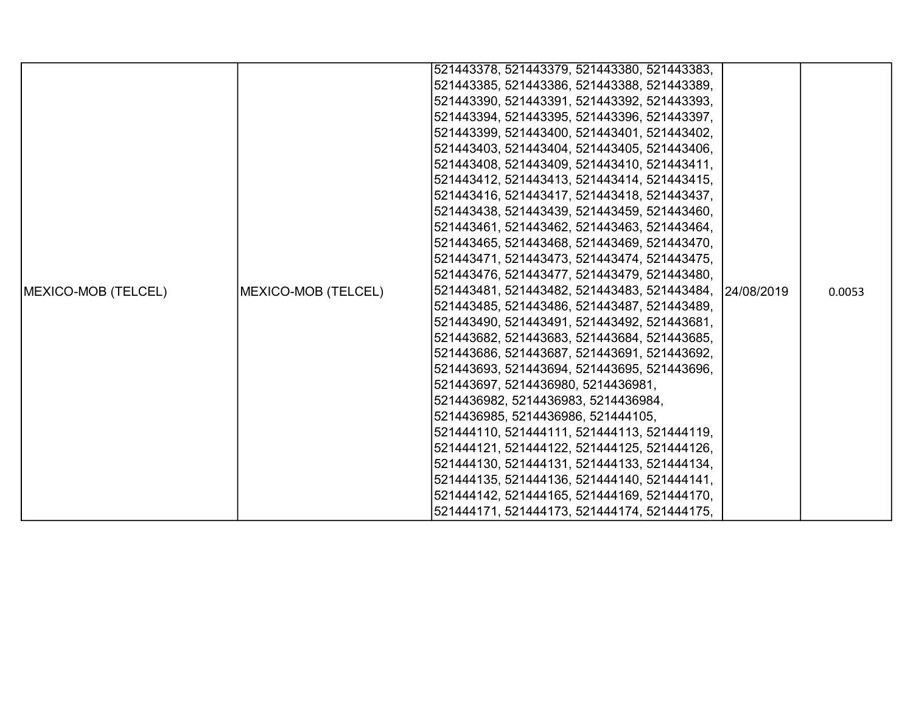|                            |                     | 521443378, 521443379, 521443380, 521443383,             |  |        |
|----------------------------|---------------------|---------------------------------------------------------|--|--------|
|                            |                     | 521443385, 521443386, 521443388, 521443389,             |  |        |
|                            |                     | 521443390, 521443391, 521443392, 521443393,             |  |        |
|                            |                     | 521443394, 521443395, 521443396, 521443397,             |  |        |
|                            |                     | 521443399, 521443400, 521443401, 521443402,             |  |        |
|                            |                     | 521443403, 521443404, 521443405, 521443406,             |  |        |
|                            |                     | 521443408, 521443409, 521443410, 521443411,             |  |        |
|                            |                     | 521443412, 521443413, 521443414, 521443415,             |  |        |
|                            |                     | 521443416, 521443417, 521443418, 521443437,             |  |        |
|                            |                     | 521443438, 521443439, 521443459, 521443460,             |  |        |
|                            |                     | 521443461, 521443462, 521443463, 521443464,             |  |        |
|                            |                     | 521443465, 521443468, 521443469, 521443470,             |  |        |
|                            |                     | 521443471, 521443473, 521443474, 521443475,             |  |        |
|                            |                     | 521443476, 521443477, 521443479, 521443480,             |  |        |
| <b>MEXICO-MOB (TELCEL)</b> | MEXICO-MOB (TELCEL) | 521443481, 521443482, 521443483, 521443484, 124/08/2019 |  | 0.0053 |
|                            |                     | 521443485, 521443486, 521443487, 521443489,             |  |        |
|                            |                     | 521443490, 521443491, 521443492, 521443681,             |  |        |
|                            |                     | 521443682, 521443683, 521443684, 521443685,             |  |        |
|                            |                     | 521443686, 521443687, 521443691, 521443692,             |  |        |
|                            |                     | 521443693, 521443694, 521443695, 521443696,             |  |        |
|                            |                     | 521443697, 5214436980, 5214436981,                      |  |        |
|                            |                     | 5214436982, 5214436983, 5214436984,                     |  |        |
|                            |                     | 5214436985, 5214436986, 521444105,                      |  |        |
|                            |                     | 521444110, 521444111, 521444113, 521444119,             |  |        |
|                            |                     | 521444121, 521444122, 521444125, 521444126,             |  |        |
|                            |                     | 521444130, 521444131, 521444133, 521444134,             |  |        |
|                            |                     | 521444135, 521444136, 521444140, 521444141,             |  |        |
|                            |                     | 521444142, 521444165, 521444169, 521444170,             |  |        |
|                            |                     | 521444171, 521444173, 521444174, 521444175,             |  |        |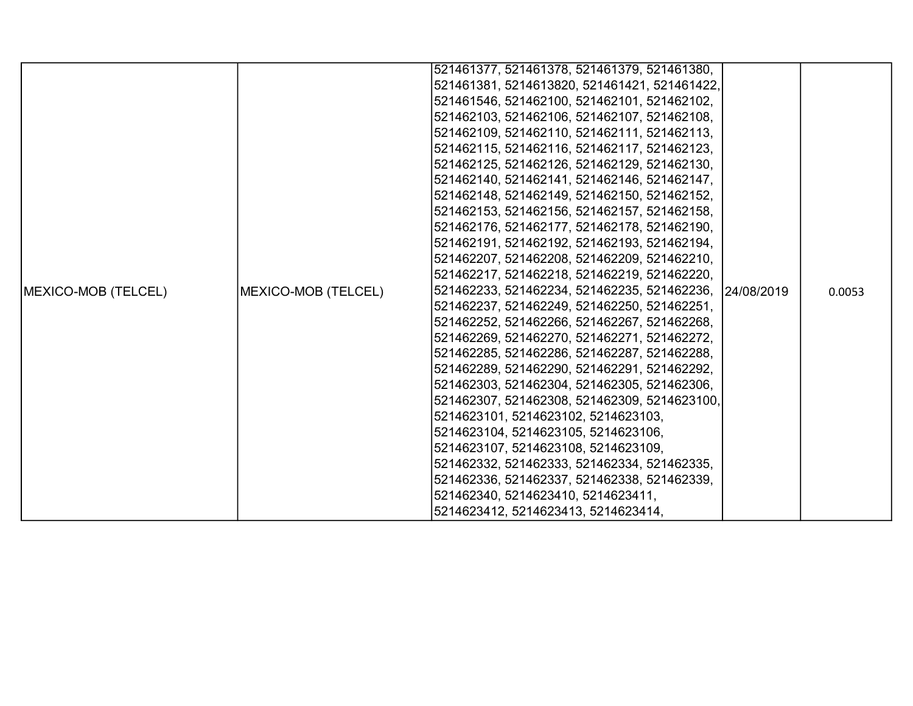|                     |                     | 521461377, 521461378, 521461379, 521461380,             |  |        |
|---------------------|---------------------|---------------------------------------------------------|--|--------|
|                     |                     | 521461381, 5214613820, 521461421, 521461422,            |  |        |
|                     |                     | 521461546, 521462100, 521462101, 521462102,             |  |        |
|                     |                     | 521462103, 521462106, 521462107, 521462108,             |  |        |
|                     |                     | 521462109, 521462110, 521462111, 521462113,             |  |        |
|                     |                     | 521462115, 521462116, 521462117, 521462123,             |  |        |
|                     |                     | 521462125, 521462126, 521462129, 521462130,             |  |        |
|                     |                     | 521462140, 521462141, 521462146, 521462147,             |  |        |
|                     |                     | 521462148, 521462149, 521462150, 521462152,             |  | 0.0053 |
|                     |                     | 521462153, 521462156, 521462157, 521462158,             |  |        |
|                     |                     | 521462176, 521462177, 521462178, 521462190,             |  |        |
|                     |                     | 521462191, 521462192, 521462193, 521462194,             |  |        |
|                     |                     | 521462207, 521462208, 521462209, 521462210,             |  |        |
|                     |                     | 521462217, 521462218, 521462219, 521462220,             |  |        |
| MEXICO-MOB (TELCEL) | MEXICO-MOB (TELCEL) | 521462233, 521462234, 521462235, 521462236, 124/08/2019 |  |        |
|                     |                     | 521462237, 521462249, 521462250, 521462251,             |  |        |
|                     |                     | 521462252, 521462266, 521462267, 521462268,             |  |        |
|                     |                     | 521462269, 521462270, 521462271, 521462272,             |  |        |
|                     |                     | 521462285, 521462286, 521462287, 521462288,             |  |        |
|                     |                     | 521462289, 521462290, 521462291, 521462292,             |  |        |
|                     |                     | 521462303, 521462304, 521462305, 521462306,             |  |        |
|                     |                     | 521462307, 521462308, 521462309, 5214623100,            |  |        |
|                     |                     | 5214623101, 5214623102, 5214623103,                     |  |        |
|                     |                     | 5214623104, 5214623105, 5214623106,                     |  |        |
|                     |                     | 5214623107, 5214623108, 5214623109,                     |  |        |
|                     |                     | 521462332, 521462333, 521462334, 521462335,             |  |        |
|                     |                     | 521462336, 521462337, 521462338, 521462339,             |  |        |
|                     |                     | 521462340, 5214623410, 5214623411,                      |  |        |
|                     |                     | 5214623412, 5214623413, 5214623414,                     |  |        |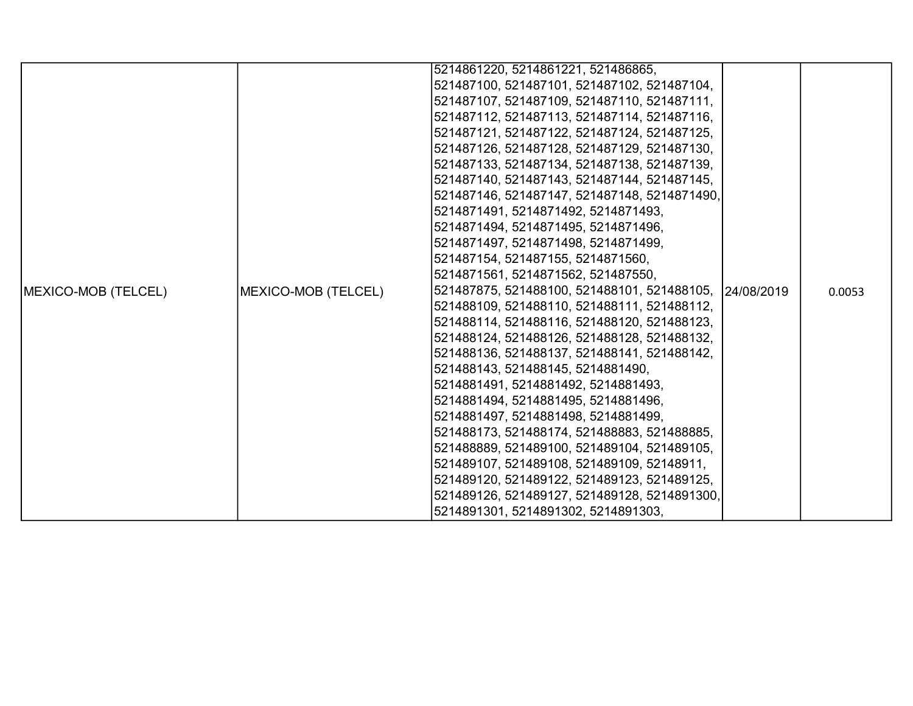|                     |                     | 5214861220, 5214861221, 521486865,                      |  |        |
|---------------------|---------------------|---------------------------------------------------------|--|--------|
|                     |                     | 521487100, 521487101, 521487102, 521487104,             |  |        |
|                     |                     | 521487107, 521487109, 521487110, 521487111,             |  |        |
|                     |                     | 521487112, 521487113, 521487114, 521487116,             |  |        |
|                     |                     | 521487121, 521487122, 521487124, 521487125,             |  |        |
|                     |                     | 521487126, 521487128, 521487129, 521487130,             |  |        |
|                     |                     | 521487133, 521487134, 521487138, 521487139,             |  |        |
|                     |                     | 521487140, 521487143, 521487144, 521487145,             |  |        |
|                     |                     | 521487146, 521487147, 521487148, 5214871490,            |  |        |
|                     |                     | 5214871491, 5214871492, 5214871493,                     |  |        |
|                     |                     | 5214871494, 5214871495, 5214871496,                     |  |        |
|                     |                     | 5214871497, 5214871498, 5214871499,                     |  |        |
|                     |                     | 521487154, 521487155, 5214871560,                       |  |        |
|                     |                     | 5214871561, 5214871562, 521487550,                      |  |        |
| MEXICO-MOB (TELCEL) | MEXICO-MOB (TELCEL) | 521487875, 521488100, 521488101, 521488105, 124/08/2019 |  | 0.0053 |
|                     |                     | 521488109, 521488110, 521488111, 521488112,             |  |        |
|                     |                     | 521488114, 521488116, 521488120, 521488123,             |  |        |
|                     |                     | 521488124, 521488126, 521488128, 521488132,             |  |        |
|                     |                     | 521488136, 521488137, 521488141, 521488142,             |  |        |
|                     |                     | 521488143, 521488145, 5214881490,                       |  |        |
|                     |                     | 5214881491, 5214881492, 5214881493,                     |  |        |
|                     |                     | 5214881494, 5214881495, 5214881496,                     |  |        |
|                     |                     | 5214881497, 5214881498, 5214881499,                     |  |        |
|                     |                     | 521488173, 521488174, 521488883, 521488885,             |  |        |
|                     |                     | 521488889, 521489100, 521489104, 521489105,             |  |        |
|                     |                     | 521489107, 521489108, 521489109, 52148911,              |  |        |
|                     |                     | 521489120, 521489122, 521489123, 521489125,             |  |        |
|                     |                     | 521489126, 521489127, 521489128, 5214891300,            |  |        |
|                     |                     | 5214891301, 5214891302, 5214891303,                     |  |        |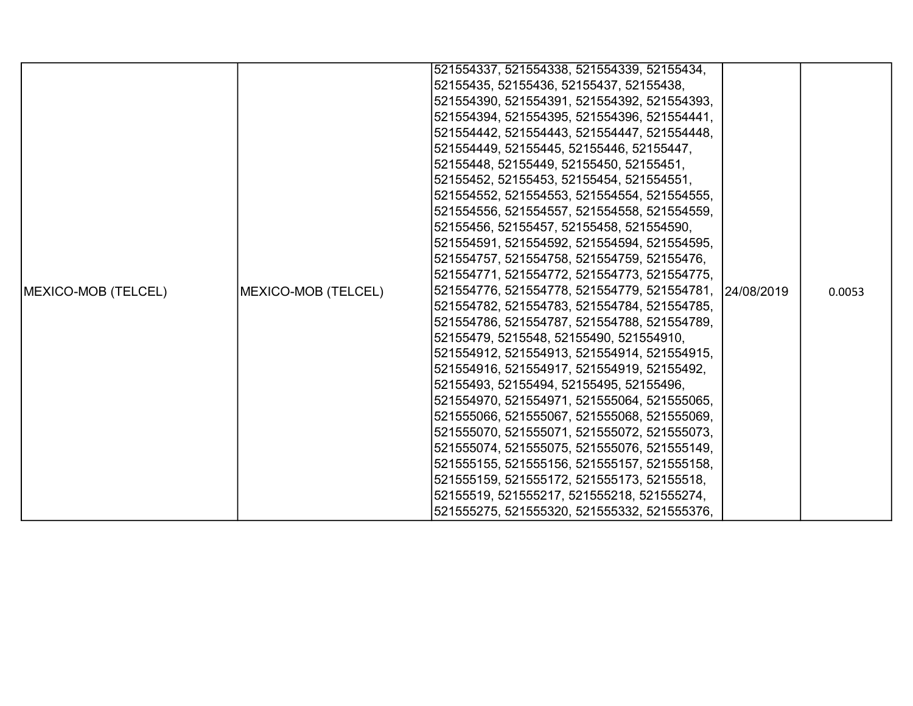|                     |                     | 521554337, 521554338, 521554339, 52155434,              |  |        |
|---------------------|---------------------|---------------------------------------------------------|--|--------|
|                     |                     | 52155435, 52155436, 52155437, 52155438,                 |  |        |
|                     |                     | 521554390, 521554391, 521554392, 521554393,             |  |        |
|                     |                     | 521554394, 521554395, 521554396, 521554441,             |  |        |
|                     |                     | 521554442, 521554443, 521554447, 521554448,             |  |        |
|                     |                     | 521554449, 52155445, 52155446, 52155447,                |  |        |
|                     |                     | 52155448, 52155449, 52155450, 52155451,                 |  |        |
|                     |                     | 52155452, 52155453, 52155454, 521554551,                |  |        |
|                     |                     | 521554552, 521554553, 521554554, 521554555,             |  |        |
|                     |                     | 521554556, 521554557, 521554558, 521554559,             |  |        |
|                     |                     | 52155456, 52155457, 52155458, 521554590,                |  |        |
|                     |                     | 521554591, 521554592, 521554594, 521554595,             |  |        |
|                     |                     | 521554757, 521554758, 521554759, 52155476,              |  |        |
|                     |                     | 521554771, 521554772, 521554773, 521554775,             |  |        |
| MEXICO-MOB (TELCEL) | MEXICO-MOB (TELCEL) | 521554776, 521554778, 521554779, 521554781, 124/08/2019 |  | 0.0053 |
|                     |                     | 521554782, 521554783, 521554784, 521554785,             |  |        |
|                     |                     | 521554786, 521554787, 521554788, 521554789,             |  |        |
|                     |                     | 52155479, 5215548, 52155490, 521554910,                 |  |        |
|                     |                     | 521554912, 521554913, 521554914, 521554915,             |  |        |
|                     |                     | 521554916, 521554917, 521554919, 52155492,              |  |        |
|                     |                     | 52155493, 52155494, 52155495, 52155496,                 |  |        |
|                     |                     | 521554970, 521554971, 521555064, 521555065,             |  |        |
|                     |                     | 521555066, 521555067, 521555068, 521555069,             |  |        |
|                     |                     | 521555070, 521555071, 521555072, 521555073,             |  |        |
|                     |                     | 521555074, 521555075, 521555076, 521555149,             |  |        |
|                     |                     | 521555155, 521555156, 521555157, 521555158,             |  |        |
|                     |                     | 521555159, 521555172, 521555173, 52155518,              |  |        |
|                     |                     | 52155519, 521555217, 521555218, 521555274,              |  |        |
|                     |                     | 521555275, 521555320, 521555332, 521555376,             |  |        |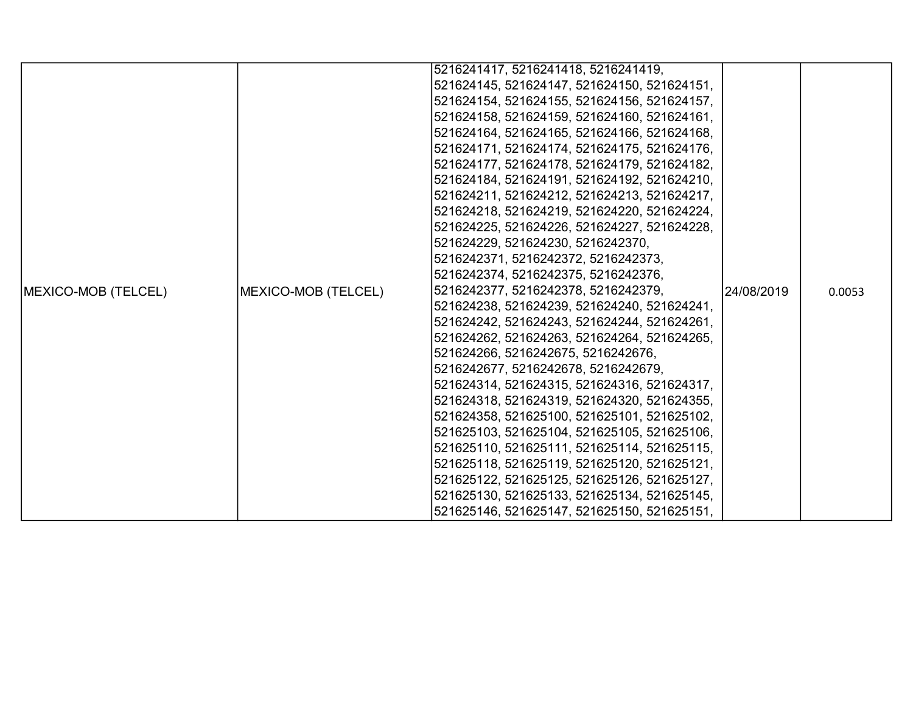|                     |                     | 5216241417, 5216241418, 5216241419,         |             |        |
|---------------------|---------------------|---------------------------------------------|-------------|--------|
|                     |                     | 521624145, 521624147, 521624150, 521624151, |             |        |
|                     |                     | 521624154, 521624155, 521624156, 521624157, |             |        |
|                     |                     | 521624158, 521624159, 521624160, 521624161, |             |        |
|                     |                     | 521624164, 521624165, 521624166, 521624168, |             |        |
|                     |                     | 521624171, 521624174, 521624175, 521624176, |             |        |
|                     |                     | 521624177, 521624178, 521624179, 521624182, |             |        |
|                     |                     | 521624184, 521624191, 521624192, 521624210, |             |        |
|                     |                     | 521624211, 521624212, 521624213, 521624217, |             |        |
|                     |                     | 521624218, 521624219, 521624220, 521624224, |             |        |
|                     |                     | 521624225, 521624226, 521624227, 521624228, |             |        |
|                     |                     | 521624229, 521624230, 5216242370,           |             |        |
|                     |                     | 5216242371, 5216242372, 5216242373,         |             |        |
|                     |                     | 5216242374, 5216242375, 5216242376,         |             |        |
| MEXICO-MOB (TELCEL) | MEXICO-MOB (TELCEL) | 5216242377, 5216242378, 5216242379,         | 124/08/2019 | 0.0053 |
|                     |                     | 521624238, 521624239, 521624240, 521624241, |             |        |
|                     |                     | 521624242, 521624243, 521624244, 521624261, |             |        |
|                     |                     | 521624262, 521624263, 521624264, 521624265, |             |        |
|                     |                     | 521624266, 5216242675, 5216242676,          |             |        |
|                     |                     | 5216242677, 5216242678, 5216242679,         |             |        |
|                     |                     | 521624314, 521624315, 521624316, 521624317, |             |        |
|                     |                     | 521624318, 521624319, 521624320, 521624355, |             |        |
|                     |                     | 521624358, 521625100, 521625101, 521625102, |             |        |
|                     |                     | 521625103, 521625104, 521625105, 521625106, |             |        |
|                     |                     | 521625110, 521625111, 521625114, 521625115, |             |        |
|                     |                     | 521625118, 521625119, 521625120, 521625121, |             |        |
|                     |                     | 521625122, 521625125, 521625126, 521625127, |             |        |
|                     |                     | 521625130, 521625133, 521625134, 521625145, |             |        |
|                     |                     | 521625146, 521625147, 521625150, 521625151, |             |        |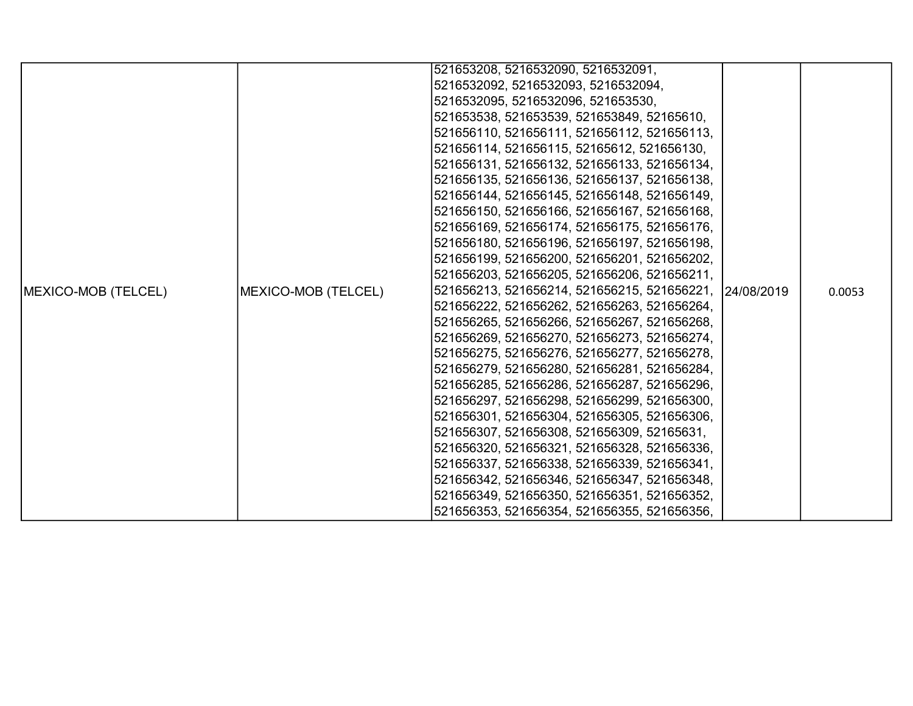|                             |                     | 521653208, 5216532090, 5216532091,                     |  |        |
|-----------------------------|---------------------|--------------------------------------------------------|--|--------|
|                             |                     | 5216532092, 5216532093, 5216532094,                    |  |        |
|                             |                     | 5216532095, 5216532096, 521653530,                     |  |        |
|                             |                     | 521653538, 521653539, 521653849, 52165610,             |  |        |
|                             |                     | 521656110, 521656111, 521656112, 521656113,            |  |        |
|                             |                     | 521656114, 521656115, 52165612, 521656130,             |  |        |
|                             |                     | 521656131, 521656132, 521656133, 521656134,            |  |        |
|                             |                     | 521656135, 521656136, 521656137, 521656138,            |  |        |
|                             |                     | 521656144, 521656145, 521656148, 521656149,            |  |        |
|                             |                     | 521656150, 521656166, 521656167, 521656168,            |  |        |
|                             |                     | 521656169, 521656174, 521656175, 521656176,            |  |        |
|                             |                     | 521656180, 521656196, 521656197, 521656198,            |  |        |
|                             |                     | 521656199, 521656200, 521656201, 521656202,            |  |        |
|                             |                     | 521656203, 521656205, 521656206, 521656211,            |  |        |
| <b>IMEXICO-MOB (TELCEL)</b> | MEXICO-MOB (TELCEL) | 521656213, 521656214, 521656215, 521656221, 24/08/2019 |  | 0.0053 |
|                             |                     | 521656222, 521656262, 521656263, 521656264,            |  |        |
|                             |                     | 521656265, 521656266, 521656267, 521656268,            |  |        |
|                             |                     | 521656269, 521656270, 521656273, 521656274,            |  |        |
|                             |                     | 521656275, 521656276, 521656277, 521656278,            |  |        |
|                             |                     | 521656279, 521656280, 521656281, 521656284,            |  |        |
|                             |                     | 521656285, 521656286, 521656287, 521656296,            |  |        |
|                             |                     | 521656297, 521656298, 521656299, 521656300,            |  |        |
|                             |                     | 521656301, 521656304, 521656305, 521656306,            |  |        |
|                             |                     | 521656307, 521656308, 521656309, 52165631,             |  |        |
|                             |                     | 521656320, 521656321, 521656328, 521656336,            |  |        |
|                             |                     | 521656337, 521656338, 521656339, 521656341,            |  |        |
|                             |                     | 521656342, 521656346, 521656347, 521656348,            |  |        |
|                             |                     | 521656349, 521656350, 521656351, 521656352,            |  |        |
|                             |                     | 521656353, 521656354, 521656355, 521656356,            |  |        |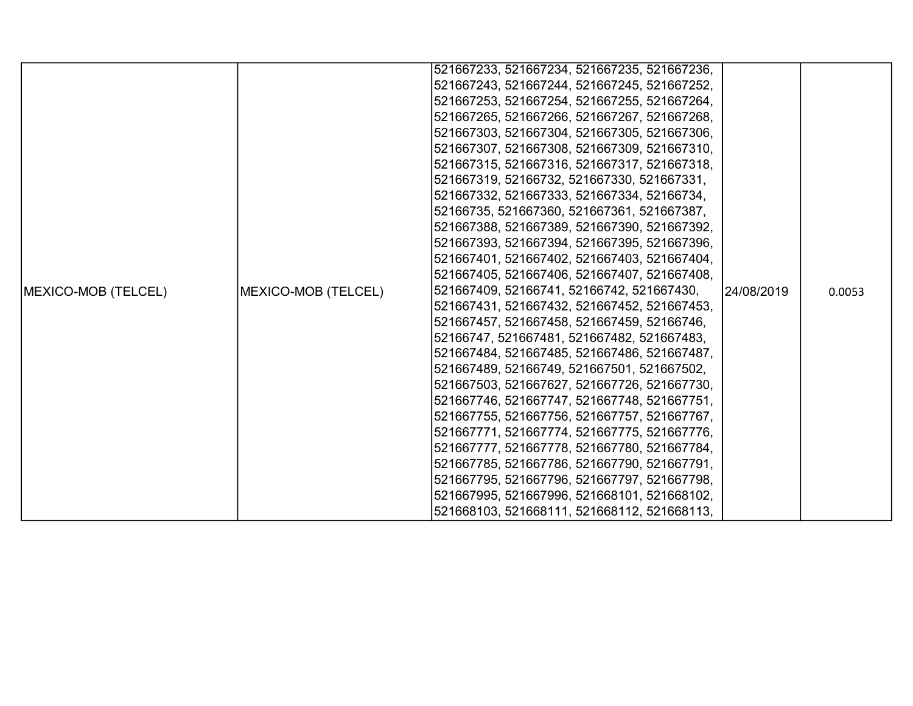|                             |                     | 521667233, 521667234, 521667235, 521667236, |             |        |
|-----------------------------|---------------------|---------------------------------------------|-------------|--------|
|                             |                     | 521667243, 521667244, 521667245, 521667252, |             |        |
|                             |                     | 521667253, 521667254, 521667255, 521667264, |             |        |
|                             |                     | 521667265, 521667266, 521667267, 521667268, |             |        |
|                             |                     | 521667303, 521667304, 521667305, 521667306, |             |        |
|                             |                     | 521667307, 521667308, 521667309, 521667310, |             |        |
|                             |                     | 521667315, 521667316, 521667317, 521667318, |             |        |
|                             |                     | 521667319, 52166732, 521667330, 521667331,  |             |        |
|                             |                     | 521667332, 521667333, 521667334, 52166734,  |             |        |
|                             |                     | 52166735, 521667360, 521667361, 521667387,  |             |        |
|                             |                     | 521667388, 521667389, 521667390, 521667392, |             |        |
|                             |                     | 521667393, 521667394, 521667395, 521667396, |             |        |
|                             |                     | 521667401, 521667402, 521667403, 521667404, |             |        |
|                             |                     | 521667405, 521667406, 521667407, 521667408, |             |        |
| <b>IMEXICO-MOB (TELCEL)</b> |                     | 521667409, 52166741, 52166742, 521667430,   | 124/08/2019 | 0.0053 |
|                             |                     | 521667431, 521667432, 521667452, 521667453, |             |        |
|                             |                     | 521667457, 521667458, 521667459, 52166746,  |             |        |
|                             |                     | 52166747, 521667481, 521667482, 521667483,  |             |        |
|                             | MEXICO-MOB (TELCEL) | 521667484, 521667485, 521667486, 521667487, |             |        |
|                             |                     | 521667489, 52166749, 521667501, 521667502,  |             |        |
|                             |                     | 521667503, 521667627, 521667726, 521667730, |             |        |
|                             |                     | 521667746, 521667747, 521667748, 521667751, |             |        |
|                             |                     | 521667755, 521667756, 521667757, 521667767, |             |        |
|                             |                     | 521667771, 521667774, 521667775, 521667776, |             |        |
|                             |                     | 521667777, 521667778, 521667780, 521667784, |             |        |
|                             |                     | 521667785, 521667786, 521667790, 521667791, |             |        |
|                             |                     | 521667795, 521667796, 521667797, 521667798, |             |        |
|                             |                     | 521667995, 521667996, 521668101, 521668102, |             |        |
|                             |                     | 521668103, 521668111, 521668112, 521668113, |             |        |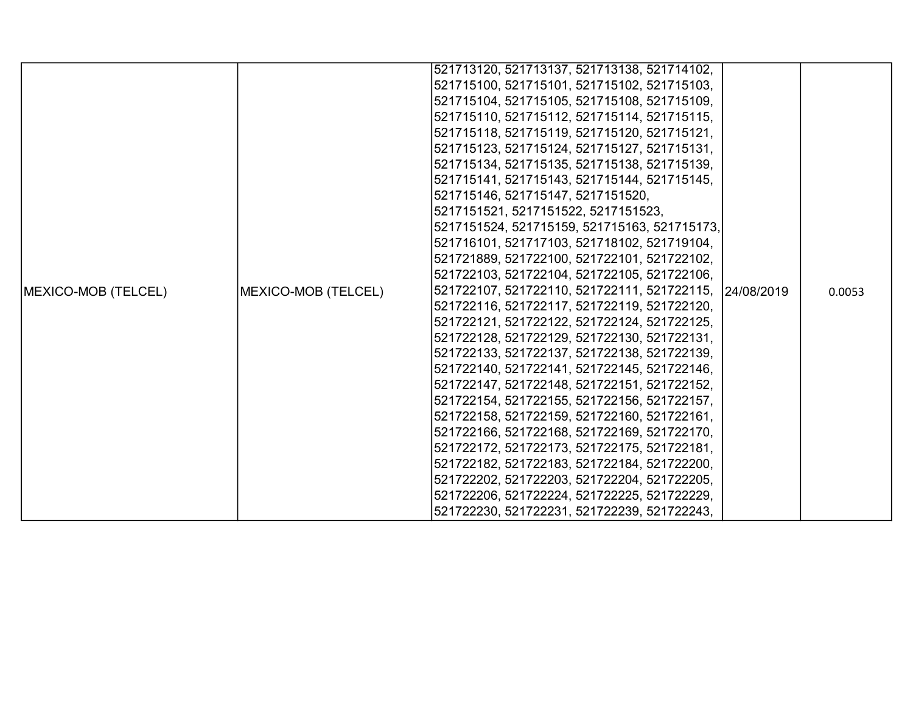|                     |                     | 521713120, 521713137, 521713138, 521714102,             |  |        |
|---------------------|---------------------|---------------------------------------------------------|--|--------|
|                     |                     | 521715100, 521715101, 521715102, 521715103,             |  |        |
|                     |                     | 521715104, 521715105, 521715108, 521715109,             |  |        |
|                     |                     | 521715110, 521715112, 521715114, 521715115,             |  |        |
|                     |                     | 521715118, 521715119, 521715120, 521715121,             |  |        |
|                     |                     | 521715123, 521715124, 521715127, 521715131,             |  |        |
|                     |                     | 521715134, 521715135, 521715138, 521715139,             |  |        |
|                     |                     | 521715141, 521715143, 521715144, 521715145,             |  |        |
|                     |                     | 521715146, 521715147, 5217151520,                       |  |        |
|                     |                     | 5217151521, 5217151522, 5217151523,                     |  |        |
|                     |                     | 5217151524, 521715159, 521715163, 521715173,            |  |        |
|                     |                     | 521716101, 521717103, 521718102, 521719104,             |  |        |
|                     |                     | 521721889, 521722100, 521722101, 521722102,             |  |        |
|                     |                     | 521722103, 521722104, 521722105, 521722106,             |  |        |
| MEXICO-MOB (TELCEL) | MEXICO-MOB (TELCEL) | 521722107, 521722110, 521722111, 521722115, 124/08/2019 |  | 0.0053 |
|                     |                     | 521722116, 521722117, 521722119, 521722120,             |  |        |
|                     |                     | 521722121, 521722122, 521722124, 521722125,             |  |        |
|                     |                     | 521722128, 521722129, 521722130, 521722131,             |  |        |
|                     |                     | 521722133, 521722137, 521722138, 521722139,             |  |        |
|                     |                     | 521722140, 521722141, 521722145, 521722146,             |  |        |
|                     |                     | 521722147, 521722148, 521722151, 521722152,             |  |        |
|                     |                     | 521722154, 521722155, 521722156, 521722157,             |  |        |
|                     |                     | 521722158, 521722159, 521722160, 521722161,             |  |        |
|                     |                     | 521722166, 521722168, 521722169, 521722170,             |  |        |
|                     |                     | 521722172, 521722173, 521722175, 521722181,             |  |        |
|                     |                     | 521722182, 521722183, 521722184, 521722200,             |  |        |
|                     |                     | 521722202, 521722203, 521722204, 521722205,             |  |        |
|                     |                     | 521722206, 521722224, 521722225, 521722229,             |  |        |
|                     |                     | 521722230, 521722231, 521722239, 521722243,             |  |        |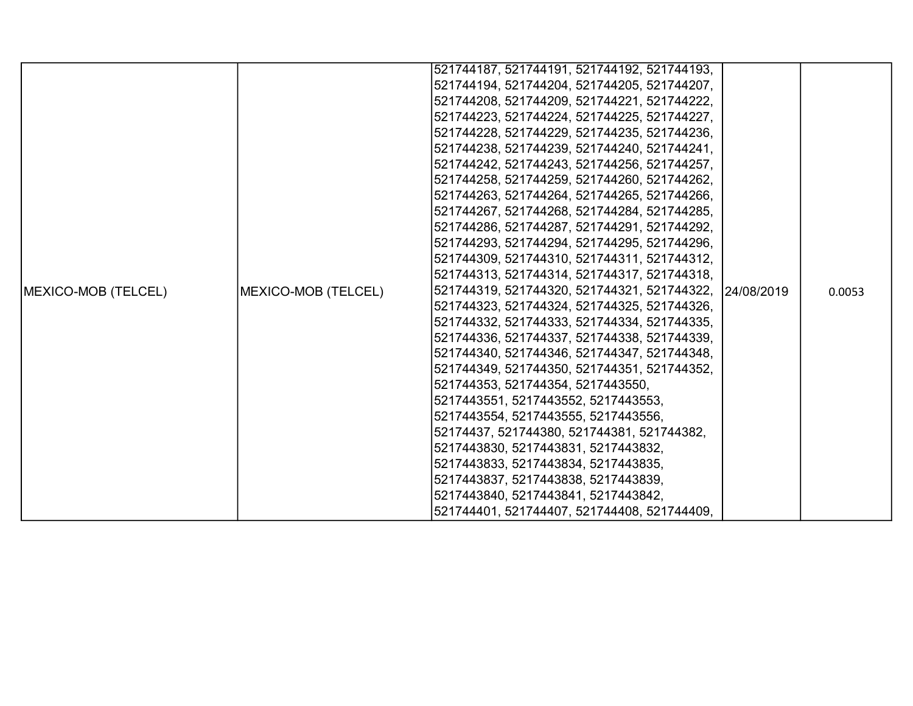|                     |                                                                                                                                                                                                                                                                                                                                                                                          | 521744187, 521744191, 521744192, 521744193,             |  |        |
|---------------------|------------------------------------------------------------------------------------------------------------------------------------------------------------------------------------------------------------------------------------------------------------------------------------------------------------------------------------------------------------------------------------------|---------------------------------------------------------|--|--------|
|                     |                                                                                                                                                                                                                                                                                                                                                                                          |                                                         |  |        |
|                     | 521744194, 521744204, 521744205, 521744207,<br> 521744208, 521744209, 521744221, 521744222,<br> 521744223, 521744224, 521744225, 521744227,<br> 521744228, 521744229, 521744235, 521744236,<br>521744238, 521744239, 521744240, 521744241,<br>521744242, 521744243, 521744256, 521744257,<br> 521744258, 521744259, 521744260, 521744262,<br>521744263, 521744264, 521744265, 521744266, |                                                         |  |        |
|                     |                                                                                                                                                                                                                                                                                                                                                                                          |                                                         |  |        |
|                     |                                                                                                                                                                                                                                                                                                                                                                                          |                                                         |  |        |
|                     |                                                                                                                                                                                                                                                                                                                                                                                          |                                                         |  |        |
|                     |                                                                                                                                                                                                                                                                                                                                                                                          |                                                         |  |        |
|                     |                                                                                                                                                                                                                                                                                                                                                                                          |                                                         |  |        |
|                     |                                                                                                                                                                                                                                                                                                                                                                                          |                                                         |  |        |
|                     |                                                                                                                                                                                                                                                                                                                                                                                          |                                                         |  | 0.0053 |
|                     |                                                                                                                                                                                                                                                                                                                                                                                          | 521744267, 521744268, 521744284, 521744285,             |  |        |
|                     |                                                                                                                                                                                                                                                                                                                                                                                          | 521744286, 521744287, 521744291, 521744292,             |  |        |
|                     |                                                                                                                                                                                                                                                                                                                                                                                          | 521744293, 521744294, 521744295, 521744296,             |  |        |
|                     |                                                                                                                                                                                                                                                                                                                                                                                          | 521744309, 521744310, 521744311, 521744312,             |  |        |
|                     |                                                                                                                                                                                                                                                                                                                                                                                          | 521744313, 521744314, 521744317, 521744318,             |  |        |
| MEXICO-MOB (TELCEL) | MEXICO-MOB (TELCEL)                                                                                                                                                                                                                                                                                                                                                                      | 521744319, 521744320, 521744321, 521744322, 124/08/2019 |  |        |
|                     |                                                                                                                                                                                                                                                                                                                                                                                          | 521744323, 521744324, 521744325, 521744326,             |  |        |
|                     |                                                                                                                                                                                                                                                                                                                                                                                          | 521744332, 521744333, 521744334, 521744335,             |  |        |
|                     |                                                                                                                                                                                                                                                                                                                                                                                          | 521744336, 521744337, 521744338, 521744339,             |  |        |
|                     |                                                                                                                                                                                                                                                                                                                                                                                          | 521744340, 521744346, 521744347, 521744348,             |  |        |
|                     |                                                                                                                                                                                                                                                                                                                                                                                          | 521744349, 521744350, 521744351, 521744352,             |  |        |
|                     |                                                                                                                                                                                                                                                                                                                                                                                          | 521744353, 521744354, 5217443550,                       |  |        |
|                     |                                                                                                                                                                                                                                                                                                                                                                                          | 5217443551, 5217443552, 5217443553,                     |  |        |
|                     |                                                                                                                                                                                                                                                                                                                                                                                          | 5217443554, 5217443555, 5217443556,                     |  |        |
|                     |                                                                                                                                                                                                                                                                                                                                                                                          | 52174437, 521744380, 521744381, 521744382,              |  |        |
|                     |                                                                                                                                                                                                                                                                                                                                                                                          | 5217443830, 5217443831, 5217443832,                     |  |        |
|                     |                                                                                                                                                                                                                                                                                                                                                                                          | 5217443833, 5217443834, 5217443835,                     |  |        |
|                     |                                                                                                                                                                                                                                                                                                                                                                                          | 5217443837, 5217443838, 5217443839,                     |  |        |
|                     |                                                                                                                                                                                                                                                                                                                                                                                          | 5217443840, 5217443841, 5217443842,                     |  |        |
|                     |                                                                                                                                                                                                                                                                                                                                                                                          | 521744401, 521744407, 521744408, 521744409,             |  |        |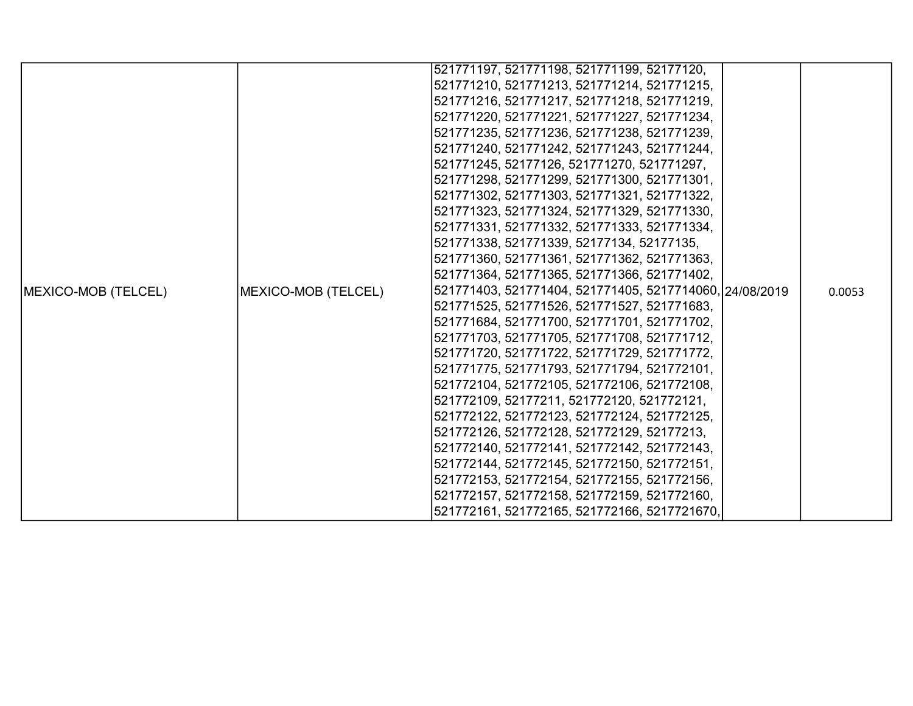|                     |                     | 521771197, 521771198, 521771199, 52177120,              |  |        |
|---------------------|---------------------|---------------------------------------------------------|--|--------|
|                     |                     | 521771210, 521771213, 521771214, 521771215,             |  |        |
|                     |                     | 521771216, 521771217, 521771218, 521771219,             |  |        |
|                     |                     | 521771220, 521771221, 521771227, 521771234,             |  |        |
|                     |                     | 521771235, 521771236, 521771238, 521771239,             |  |        |
|                     |                     | 521771240, 521771242, 521771243, 521771244,             |  |        |
|                     |                     | 521771245, 52177126, 521771270, 521771297,              |  |        |
|                     |                     | 521771298, 521771299, 521771300, 521771301,             |  |        |
|                     |                     | 521771302, 521771303, 521771321, 521771322,             |  |        |
|                     |                     | 521771323, 521771324, 521771329, 521771330,             |  |        |
|                     |                     | 521771331, 521771332, 521771333, 521771334,             |  |        |
|                     |                     | 521771338, 521771339, 52177134, 52177135,               |  |        |
|                     |                     | 521771360, 521771361, 521771362, 521771363,             |  |        |
|                     | MEXICO-MOB (TELCEL) | 521771364, 521771365, 521771366, 521771402,             |  | 0.0053 |
| MEXICO-MOB (TELCEL) |                     | 521771403, 521771404, 521771405, 5217714060, 24/08/2019 |  |        |
|                     |                     | 521771525, 521771526, 521771527, 521771683,             |  |        |
|                     |                     | 521771684, 521771700, 521771701, 521771702,             |  |        |
|                     |                     | 521771703, 521771705, 521771708, 521771712,             |  |        |
|                     |                     | 521771720, 521771722, 521771729, 521771772,             |  |        |
|                     |                     | 521771775, 521771793, 521771794, 521772101,             |  |        |
|                     |                     | 521772104, 521772105, 521772106, 521772108,             |  |        |
|                     |                     | 521772109, 52177211, 521772120, 521772121,              |  |        |
|                     |                     | 521772122, 521772123, 521772124, 521772125,             |  |        |
|                     |                     | 521772126, 521772128, 521772129, 52177213,              |  |        |
|                     |                     | 521772140, 521772141, 521772142, 521772143,             |  |        |
|                     |                     | 521772144, 521772145, 521772150, 521772151,             |  |        |
|                     |                     | 521772153, 521772154, 521772155, 521772156,             |  |        |
|                     |                     | 521772157, 521772158, 521772159, 521772160,             |  |        |
|                     |                     | 521772161, 521772165, 521772166, 5217721670,            |  |        |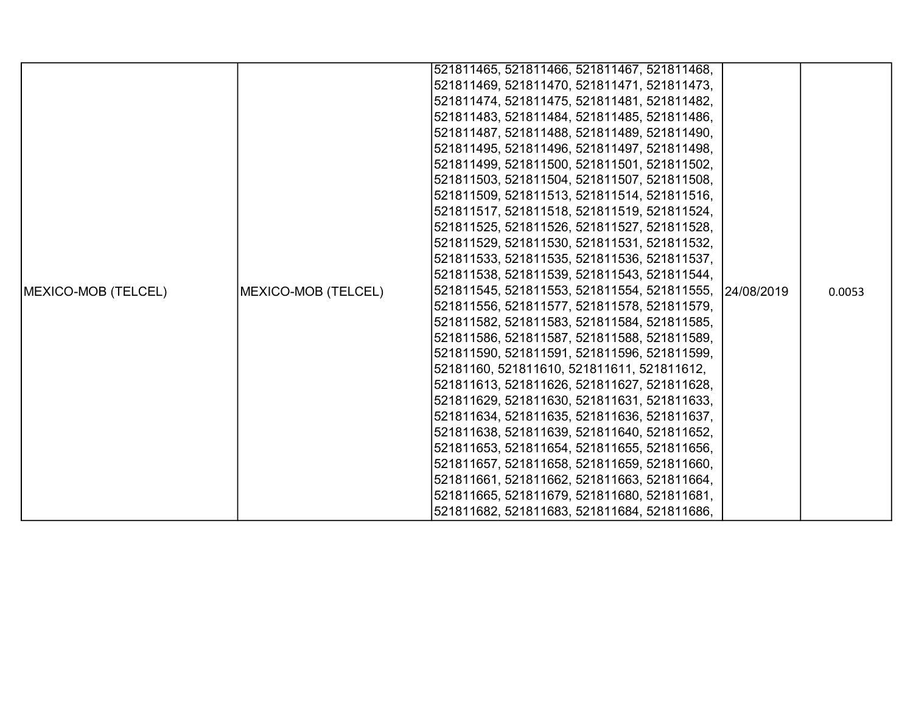|                            |                     | 521811465, 521811466, 521811467, 521811468,            |  |        |
|----------------------------|---------------------|--------------------------------------------------------|--|--------|
|                            |                     | 521811469, 521811470, 521811471, 521811473,            |  |        |
|                            |                     |                                                        |  |        |
|                            |                     | 521811474, 521811475, 521811481, 521811482,            |  |        |
|                            |                     | 521811483, 521811484, 521811485, 521811486,            |  |        |
|                            |                     | 521811487, 521811488, 521811489, 521811490,            |  |        |
|                            |                     | 521811495, 521811496, 521811497, 521811498,            |  |        |
|                            |                     | 521811499, 521811500, 521811501, 521811502,            |  |        |
|                            |                     | 521811503, 521811504, 521811507, 521811508,            |  |        |
|                            |                     | 521811509, 521811513, 521811514, 521811516,            |  |        |
|                            |                     | 521811517, 521811518, 521811519, 521811524,            |  |        |
|                            |                     | 521811525, 521811526, 521811527, 521811528,            |  |        |
|                            |                     | 521811529, 521811530, 521811531, 521811532,            |  |        |
|                            |                     | 521811533, 521811535, 521811536, 521811537,            |  |        |
|                            |                     | 521811538, 521811539, 521811543, 521811544,            |  |        |
| <b>MEXICO-MOB (TELCEL)</b> | MEXICO-MOB (TELCEL) | 521811545, 521811553, 521811554, 521811555, 24/08/2019 |  | 0.0053 |
|                            |                     | 521811556, 521811577, 521811578, 521811579,            |  |        |
|                            |                     | 521811582, 521811583, 521811584, 521811585,            |  |        |
|                            |                     | 521811586, 521811587, 521811588, 521811589,            |  |        |
|                            |                     | 521811590, 521811591, 521811596, 521811599,            |  |        |
|                            |                     | 52181160, 521811610, 521811611, 521811612,             |  |        |
|                            |                     | 521811613, 521811626, 521811627, 521811628,            |  |        |
|                            |                     | 521811629, 521811630, 521811631, 521811633,            |  |        |
|                            |                     | 521811634, 521811635, 521811636, 521811637,            |  |        |
|                            |                     | 521811638, 521811639, 521811640, 521811652,            |  |        |
|                            |                     | 521811653, 521811654, 521811655, 521811656,            |  |        |
|                            |                     | 521811657, 521811658, 521811659, 521811660,            |  |        |
|                            |                     | 521811661, 521811662, 521811663, 521811664,            |  |        |
|                            |                     | 521811665, 521811679, 521811680, 521811681,            |  |        |
|                            |                     | 521811682, 521811683, 521811684, 521811686,            |  |        |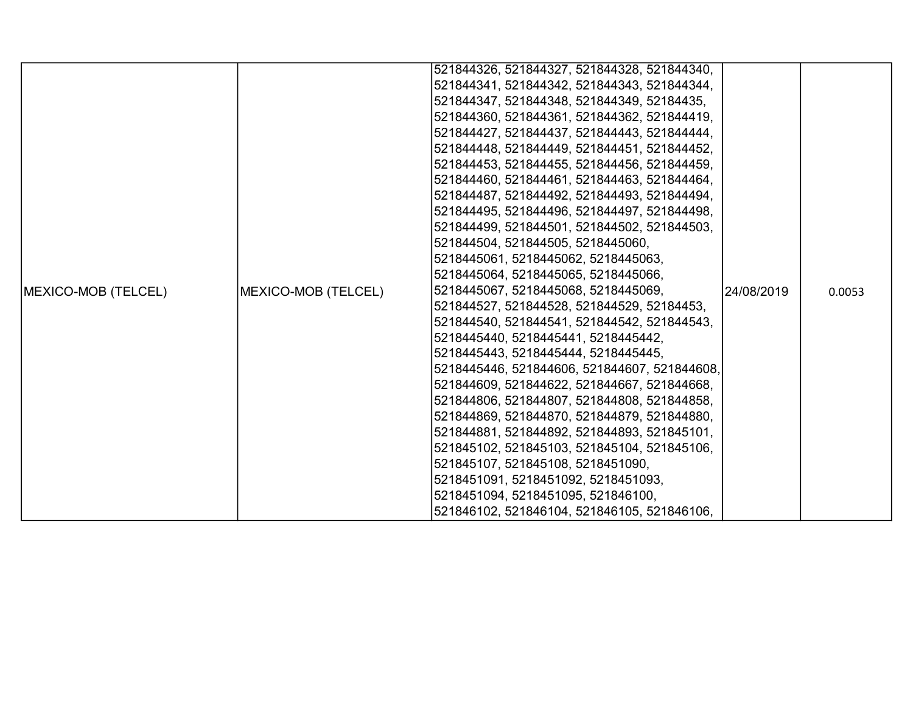|                     |                     | 521844326, 521844327, 521844328, 521844340,  |             |        |
|---------------------|---------------------|----------------------------------------------|-------------|--------|
|                     |                     | 521844341, 521844342, 521844343, 521844344,  |             |        |
|                     |                     | 521844347, 521844348, 521844349, 52184435,   |             |        |
|                     |                     | 521844360, 521844361, 521844362, 521844419,  |             |        |
|                     |                     | 521844427, 521844437, 521844443, 521844444,  |             |        |
|                     |                     | 521844448, 521844449, 521844451, 521844452,  |             |        |
|                     |                     | 521844453, 521844455, 521844456, 521844459,  |             |        |
|                     |                     | 521844460, 521844461, 521844463, 521844464,  |             |        |
|                     |                     | 521844487, 521844492, 521844493, 521844494,  |             |        |
|                     |                     | 521844495, 521844496, 521844497, 521844498,  |             |        |
|                     |                     | 521844499, 521844501, 521844502, 521844503,  |             |        |
|                     |                     | 521844504, 521844505, 5218445060,            |             |        |
|                     |                     | 5218445061, 5218445062, 5218445063,          |             |        |
|                     |                     | 5218445064, 5218445065, 5218445066,          |             |        |
| MEXICO-MOB (TELCEL) | MEXICO-MOB (TELCEL) | 5218445067, 5218445068, 5218445069,          | 124/08/2019 | 0.0053 |
|                     |                     | 521844527, 521844528, 521844529, 52184453,   |             |        |
|                     |                     | 521844540, 521844541, 521844542, 521844543,  |             |        |
|                     |                     | 5218445440, 5218445441, 5218445442,          |             |        |
|                     |                     | 5218445443, 5218445444, 5218445445,          |             |        |
|                     |                     | 5218445446, 521844606, 521844607, 521844608, |             |        |
|                     |                     | 521844609, 521844622, 521844667, 521844668,  |             |        |
|                     |                     | 521844806, 521844807, 521844808, 521844858,  |             |        |
|                     |                     | 521844869, 521844870, 521844879, 521844880,  |             |        |
|                     |                     | 521844881, 521844892, 521844893, 521845101,  |             |        |
|                     |                     | 521845102, 521845103, 521845104, 521845106,  |             |        |
|                     |                     | 521845107, 521845108, 5218451090,            |             |        |
|                     |                     | 5218451091, 5218451092, 5218451093,          |             |        |
|                     |                     | 5218451094, 5218451095, 521846100,           |             |        |
|                     |                     | 521846102, 521846104, 521846105, 521846106,  |             |        |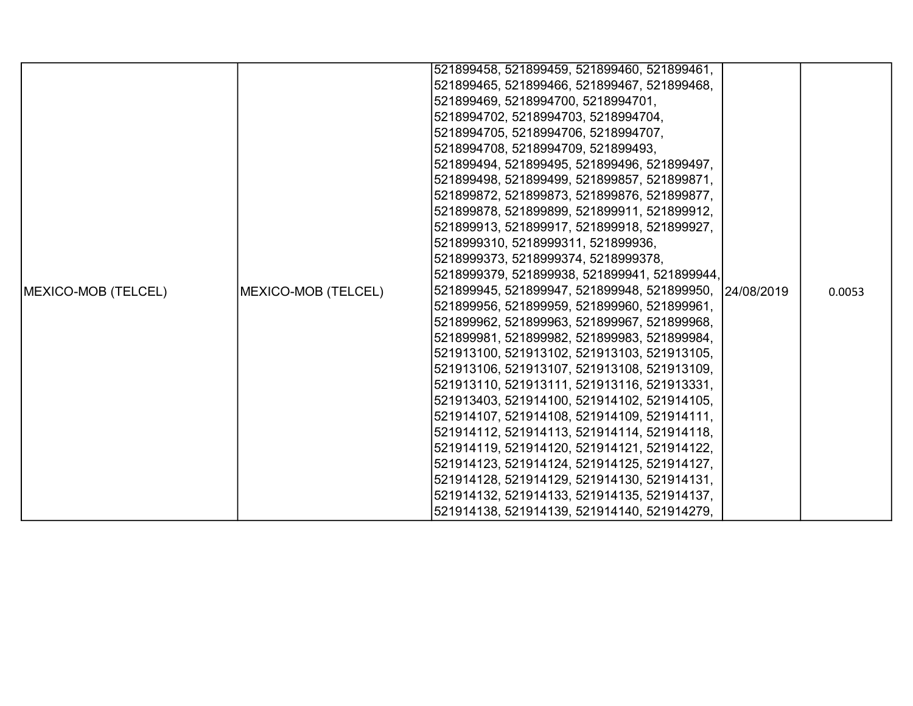|                             |                             | 521899458, 521899459, 521899460, 521899461,             |  |        |
|-----------------------------|-----------------------------|---------------------------------------------------------|--|--------|
|                             |                             | 521899465, 521899466, 521899467, 521899468,             |  |        |
|                             |                             | 521899469, 5218994700, 5218994701,                      |  |        |
|                             |                             | 5218994702, 5218994703, 5218994704,                     |  |        |
|                             |                             | 5218994705, 5218994706, 5218994707,                     |  |        |
|                             |                             | 5218994708, 5218994709, 521899493,                      |  |        |
|                             |                             | 521899494, 521899495, 521899496, 521899497,             |  |        |
|                             |                             | 521899498, 521899499, 521899857, 521899871,             |  |        |
|                             |                             | 521899872, 521899873, 521899876, 521899877,             |  |        |
|                             |                             | 521899878, 521899899, 521899911, 521899912,             |  |        |
|                             |                             | 521899913, 521899917, 521899918, 521899927,             |  |        |
|                             |                             | 5218999310, 5218999311, 521899936,                      |  |        |
|                             |                             | 5218999373, 5218999374, 5218999378,                     |  |        |
|                             |                             | 5218999379, 521899938, 521899941, 521899944,            |  |        |
| <b>IMEXICO-MOB (TELCEL)</b> | <b>IMEXICO-MOB (TELCEL)</b> | 521899945, 521899947, 521899948, 521899950, 124/08/2019 |  | 0.0053 |
|                             |                             | 521899956, 521899959, 521899960, 521899961,             |  |        |
|                             |                             | 521899962, 521899963, 521899967, 521899968,             |  |        |
|                             |                             | 521899981, 521899982, 521899983, 521899984,             |  |        |
|                             |                             | 521913100, 521913102, 521913103, 521913105,             |  |        |
|                             |                             | 521913106, 521913107, 521913108, 521913109,             |  |        |
|                             |                             | 521913110, 521913111, 521913116, 521913331,             |  |        |
|                             |                             | 521913403, 521914100, 521914102, 521914105,             |  |        |
|                             |                             | 521914107, 521914108, 521914109, 521914111,             |  |        |
|                             |                             | 521914112, 521914113, 521914114, 521914118,             |  |        |
|                             |                             | 521914119, 521914120, 521914121, 521914122,             |  |        |
|                             |                             | 521914123, 521914124, 521914125, 521914127,             |  |        |
|                             |                             | 521914128, 521914129, 521914130, 521914131,             |  |        |
|                             |                             | 521914132, 521914133, 521914135, 521914137,             |  |        |
|                             |                             | 521914138, 521914139, 521914140, 521914279,             |  |        |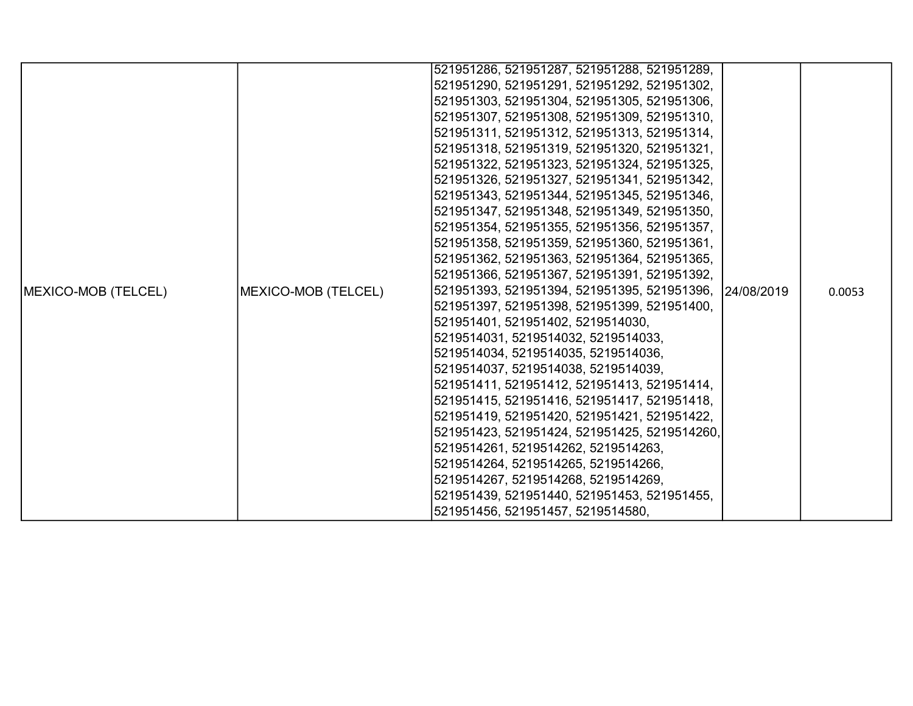|                     |                     | 521951286, 521951287, 521951288, 521951289,             |  |        |
|---------------------|---------------------|---------------------------------------------------------|--|--------|
|                     |                     | 521951290, 521951291, 521951292, 521951302,             |  |        |
|                     |                     | 521951303, 521951304, 521951305, 521951306,             |  |        |
|                     |                     | 521951307, 521951308, 521951309, 521951310,             |  |        |
|                     |                     | 521951311, 521951312, 521951313, 521951314,             |  |        |
|                     |                     | 521951318, 521951319, 521951320, 521951321,             |  |        |
|                     |                     | 521951322, 521951323, 521951324, 521951325,             |  |        |
|                     |                     | 521951326, 521951327, 521951341, 521951342,             |  |        |
|                     |                     | 521951343, 521951344, 521951345, 521951346,             |  |        |
|                     |                     | 521951347, 521951348, 521951349, 521951350,             |  |        |
|                     |                     | 521951354, 521951355, 521951356, 521951357,             |  |        |
|                     |                     | 521951358, 521951359, 521951360, 521951361,             |  |        |
|                     |                     | 521951362, 521951363, 521951364, 521951365,             |  |        |
|                     |                     | 521951366, 521951367, 521951391, 521951392,             |  |        |
| MEXICO-MOB (TELCEL) | MEXICO-MOB (TELCEL) | 521951393, 521951394, 521951395, 521951396, 124/08/2019 |  | 0.0053 |
|                     |                     | 521951397, 521951398, 521951399, 521951400,             |  |        |
|                     |                     | 521951401, 521951402, 5219514030,                       |  |        |
|                     |                     | 5219514031, 5219514032, 5219514033,                     |  |        |
|                     |                     | 5219514034, 5219514035, 5219514036,                     |  |        |
|                     |                     | 5219514037, 5219514038, 5219514039,                     |  |        |
|                     |                     | 521951411, 521951412, 521951413, 521951414,             |  |        |
|                     |                     | 521951415, 521951416, 521951417, 521951418,             |  |        |
|                     |                     | 521951419, 521951420, 521951421, 521951422,             |  |        |
|                     |                     | 521951423, 521951424, 521951425, 5219514260,            |  |        |
|                     |                     | 5219514261, 5219514262, 5219514263,                     |  |        |
|                     |                     | 5219514264, 5219514265, 5219514266,                     |  |        |
|                     |                     | 5219514267, 5219514268, 5219514269,                     |  |        |
|                     |                     | 521951439, 521951440, 521951453, 521951455,             |  |        |
|                     |                     | 521951456, 521951457, 5219514580,                       |  |        |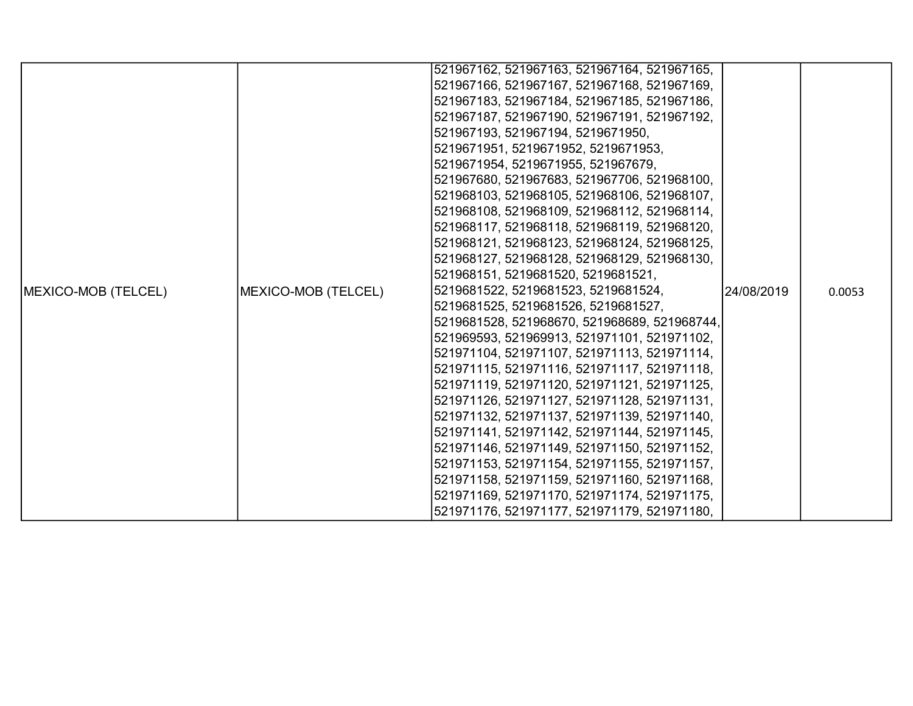|                            |                             | 521967162, 521967163, 521967164, 521967165,                                                 |            |        |
|----------------------------|-----------------------------|---------------------------------------------------------------------------------------------|------------|--------|
|                            |                             | 521967166, 521967167, 521967168, 521967169,                                                 |            |        |
|                            |                             | 521967183, 521967184, 521967185, 521967186,                                                 |            |        |
|                            |                             | 521967187, 521967190, 521967191, 521967192,                                                 |            |        |
|                            |                             | 521967193, 521967194, 5219671950,                                                           |            |        |
|                            |                             | 5219671951, 5219671952, 5219671953,                                                         |            |        |
|                            |                             | 5219671954, 5219671955, 521967679,                                                          |            |        |
|                            |                             | 521967680, 521967683, 521967706, 521968100,                                                 |            |        |
|                            |                             | 521968103, 521968105, 521968106, 521968107,                                                 |            |        |
|                            |                             |                                                                                             |            |        |
|                            |                             | 521968108, 521968109, 521968112, 521968114,<br>521968117, 521968118, 521968119, 521968120,  |            |        |
|                            |                             | 521968121, 521968123, 521968124, 521968125,                                                 |            |        |
|                            |                             |                                                                                             |            |        |
|                            |                             | 521968127, 521968128, 521968129, 521968130,                                                 |            |        |
|                            |                             | 521968151, 5219681520, 5219681521,<br>5219681522, 5219681523, 5219681524,                   |            |        |
| <b>MEXICO-MOB (TELCEL)</b> | <b>IMEXICO-MOB (TELCEL)</b> | 5219681525, 5219681526, 5219681527,                                                         | 24/08/2019 | 0.0053 |
|                            |                             |                                                                                             |            |        |
|                            |                             | 5219681528, 521968670, 521968689, 521968744,<br>521969593, 521969913, 521971101, 521971102, |            |        |
|                            |                             |                                                                                             |            |        |
|                            |                             | 521971104, 521971107, 521971113, 521971114,                                                 |            |        |
|                            |                             | 521971115, 521971116, 521971117, 521971118,                                                 |            |        |
|                            |                             | 521971119, 521971120, 521971121, 521971125,                                                 |            |        |
|                            |                             | 521971126, 521971127, 521971128, 521971131,                                                 |            |        |
|                            |                             | 521971132, 521971137, 521971139, 521971140,                                                 |            |        |
|                            |                             | 521971141, 521971142, 521971144, 521971145,                                                 |            |        |
|                            |                             | 521971146, 521971149, 521971150, 521971152,                                                 |            |        |
|                            |                             | 521971153, 521971154, 521971155, 521971157,                                                 |            |        |
|                            |                             | 521971158, 521971159, 521971160, 521971168,                                                 |            |        |
|                            |                             | 521971169, 521971170, 521971174, 521971175,                                                 |            |        |
|                            |                             | 521971176, 521971177, 521971179, 521971180,                                                 |            |        |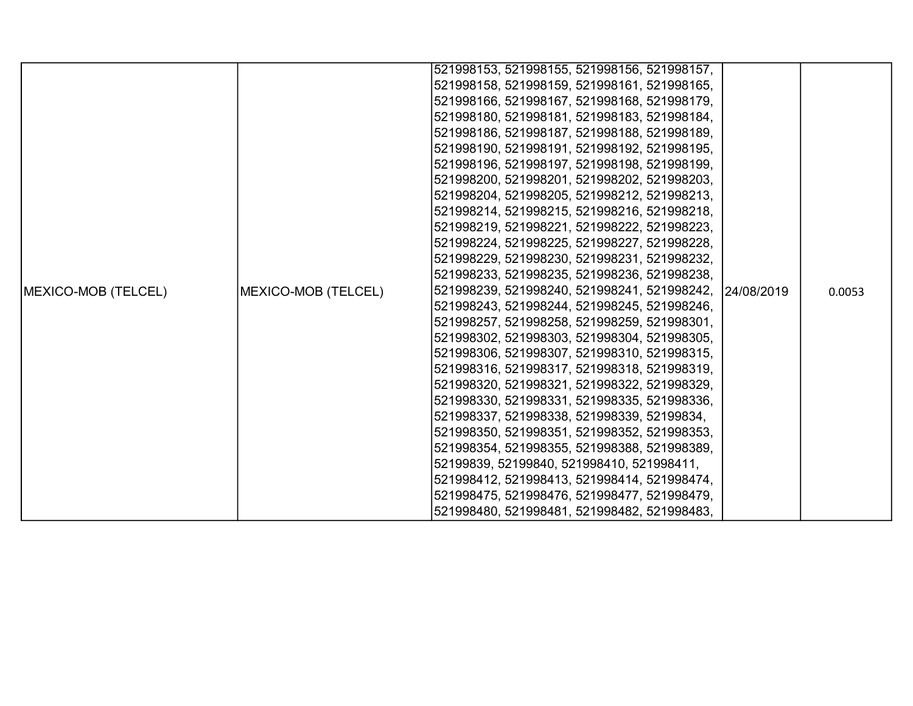|                     |                     | 521998153, 521998155, 521998156, 521998157, |             |        |
|---------------------|---------------------|---------------------------------------------|-------------|--------|
|                     |                     | 521998158, 521998159, 521998161, 521998165, |             |        |
|                     |                     | 521998166, 521998167, 521998168, 521998179, |             |        |
|                     |                     | 521998180, 521998181, 521998183, 521998184, |             |        |
|                     |                     | 521998186, 521998187, 521998188, 521998189, |             |        |
|                     |                     | 521998190, 521998191, 521998192, 521998195, |             |        |
|                     |                     | 521998196, 521998197, 521998198, 521998199, |             |        |
|                     |                     | 521998200, 521998201, 521998202, 521998203, |             |        |
|                     |                     | 521998204, 521998205, 521998212, 521998213, |             |        |
|                     |                     | 521998214, 521998215, 521998216, 521998218, |             |        |
|                     |                     | 521998219, 521998221, 521998222, 521998223, |             |        |
|                     |                     | 521998224, 521998225, 521998227, 521998228, |             |        |
|                     |                     | 521998229, 521998230, 521998231, 521998232, |             |        |
|                     |                     | 521998233, 521998235, 521998236, 521998238, |             |        |
| MEXICO-MOB (TELCEL) | MEXICO-MOB (TELCEL) | 521998239, 521998240, 521998241, 521998242, | 124/08/2019 | 0.0053 |
|                     |                     | 521998243, 521998244, 521998245, 521998246, |             |        |
|                     |                     | 521998257, 521998258, 521998259, 521998301, |             |        |
|                     |                     | 521998302, 521998303, 521998304, 521998305, |             |        |
|                     |                     | 521998306, 521998307, 521998310, 521998315, |             |        |
|                     |                     | 521998316, 521998317, 521998318, 521998319, |             |        |
|                     |                     | 521998320, 521998321, 521998322, 521998329, |             |        |
|                     |                     | 521998330, 521998331, 521998335, 521998336, |             |        |
|                     |                     | 521998337, 521998338, 521998339, 52199834,  |             |        |
|                     |                     | 521998350, 521998351, 521998352, 521998353, |             |        |
|                     |                     | 521998354, 521998355, 521998388, 521998389, |             |        |
|                     |                     | 52199839, 52199840, 521998410, 521998411,   |             |        |
|                     |                     | 521998412, 521998413, 521998414, 521998474, |             |        |
|                     |                     | 521998475, 521998476, 521998477, 521998479, |             |        |
|                     |                     | 521998480, 521998481, 521998482, 521998483, |             |        |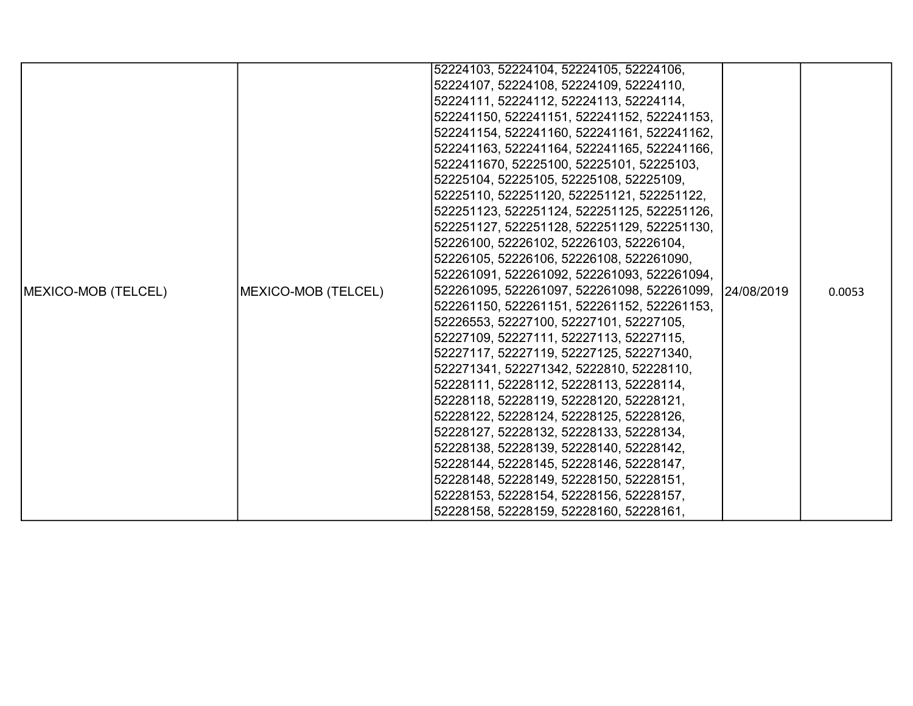|                     |                     | 52224103, 52224104, 52224105, 52224106,                 |  |        |
|---------------------|---------------------|---------------------------------------------------------|--|--------|
|                     |                     | 52224107, 52224108, 52224109, 52224110,                 |  |        |
|                     |                     | 52224111, 52224112, 52224113, 52224114,                 |  |        |
|                     |                     | 522241150, 522241151, 522241152, 522241153,             |  |        |
|                     |                     | 522241154, 522241160, 522241161, 522241162,             |  |        |
|                     |                     | 522241163, 522241164, 522241165, 522241166,             |  |        |
|                     |                     | 5222411670, 52225100, 52225101, 52225103,               |  |        |
|                     |                     | 52225104, 52225105, 52225108, 52225109,                 |  |        |
|                     |                     | 52225110, 522251120, 522251121, 522251122,              |  |        |
|                     |                     | 522251123, 522251124, 522251125, 522251126,             |  |        |
|                     |                     | 522251127, 522251128, 522251129, 522251130,             |  |        |
|                     |                     | 52226100, 52226102, 52226103, 52226104,                 |  |        |
|                     | MEXICO-MOB (TELCEL) | 52226105, 52226106, 52226108, 522261090,                |  | 0.0053 |
|                     |                     | 522261091, 522261092, 522261093, 522261094,             |  |        |
| MEXICO-MOB (TELCEL) |                     | 522261095, 522261097, 522261098, 522261099, 124/08/2019 |  |        |
|                     |                     | 522261150, 522261151, 522261152, 522261153,             |  |        |
|                     |                     | 52226553, 52227100, 52227101, 52227105,                 |  |        |
|                     |                     | 52227109, 52227111, 52227113, 52227115,                 |  |        |
|                     |                     | 52227117, 52227119, 52227125, 522271340,                |  |        |
|                     |                     | 522271341, 522271342, 5222810, 52228110,                |  |        |
|                     |                     | 52228111, 52228112, 52228113, 52228114,                 |  |        |
|                     |                     | 52228118, 52228119, 52228120, 52228121,                 |  |        |
|                     |                     | 52228122, 52228124, 52228125, 52228126,                 |  |        |
|                     |                     | 52228127, 52228132, 52228133, 52228134,                 |  |        |
|                     |                     | 52228138, 52228139, 52228140, 52228142,                 |  |        |
|                     |                     | 52228144, 52228145, 52228146, 52228147,                 |  |        |
|                     |                     | 52228148, 52228149, 52228150, 52228151,                 |  |        |
|                     |                     | 52228153, 52228154, 52228156, 52228157,                 |  |        |
|                     |                     | 52228158, 52228159, 52228160, 52228161,                 |  |        |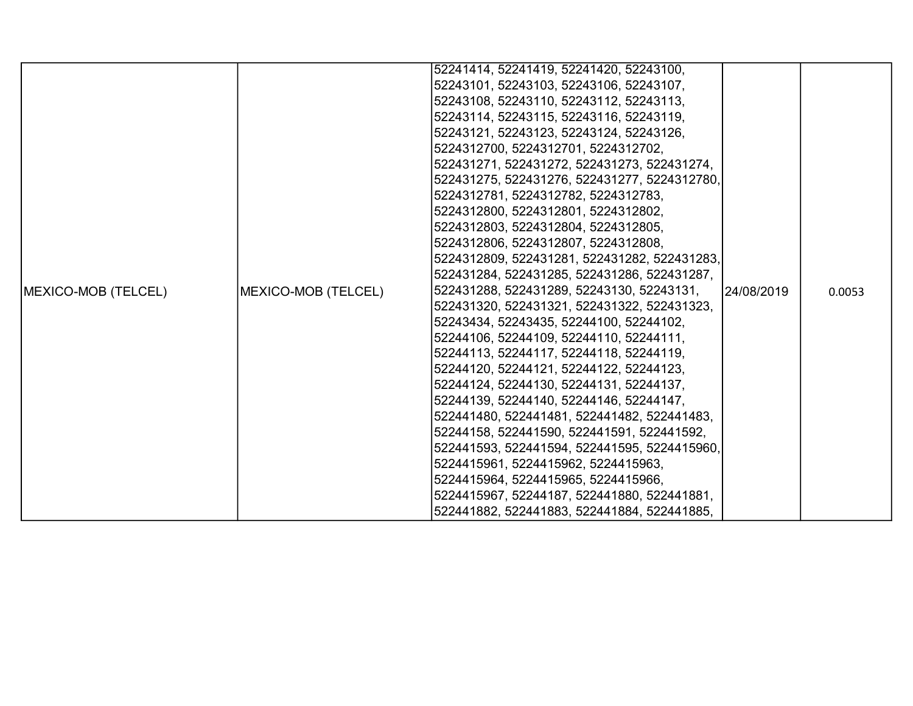|                     |                     | 52241414, 52241419, 52241420, 52243100,      |            |        |
|---------------------|---------------------|----------------------------------------------|------------|--------|
|                     |                     | 52243101, 52243103, 52243106, 52243107,      |            |        |
|                     |                     | 52243108, 52243110, 52243112, 52243113,      |            |        |
|                     |                     | 52243114, 52243115, 52243116, 52243119,      |            |        |
|                     |                     | 52243121, 52243123, 52243124, 52243126,      |            |        |
|                     |                     | 5224312700, 5224312701, 5224312702,          |            |        |
|                     |                     | 522431271, 522431272, 522431273, 522431274,  |            |        |
|                     |                     | 522431275, 522431276, 522431277, 5224312780, |            |        |
|                     |                     | 5224312781, 5224312782, 5224312783,          |            |        |
|                     |                     | 5224312800, 5224312801, 5224312802,          |            |        |
|                     |                     | 5224312803, 5224312804, 5224312805,          |            |        |
|                     |                     | 5224312806, 5224312807, 5224312808,          |            |        |
|                     |                     | 5224312809, 522431281, 522431282, 522431283, |            |        |
|                     |                     | 522431284, 522431285, 522431286, 522431287,  |            |        |
| MEXICO-MOB (TELCEL) | MEXICO-MOB (TELCEL) | 522431288, 522431289, 52243130, 52243131,    | 24/08/2019 | 0.0053 |
|                     |                     | 522431320, 522431321, 522431322, 522431323,  |            |        |
|                     |                     | 52243434, 52243435, 52244100, 52244102,      |            |        |
|                     |                     | 52244106, 52244109, 52244110, 52244111,      |            |        |
|                     |                     | 52244113, 52244117, 52244118, 52244119,      |            |        |
|                     |                     | 52244120, 52244121, 52244122, 52244123,      |            |        |
|                     |                     | 52244124, 52244130, 52244131, 52244137,      |            |        |
|                     |                     | 52244139, 52244140, 52244146, 52244147,      |            |        |
|                     |                     | 522441480, 522441481, 522441482, 522441483,  |            |        |
|                     |                     | 52244158, 522441590, 522441591, 522441592,   |            |        |
|                     |                     | 522441593, 522441594, 522441595, 5224415960, |            |        |
|                     |                     | 5224415961, 5224415962, 5224415963,          |            |        |
|                     |                     | 5224415964, 5224415965, 5224415966,          |            |        |
|                     |                     | 5224415967, 52244187, 522441880, 522441881,  |            |        |
|                     |                     | 522441882, 522441883, 522441884, 522441885,  |            |        |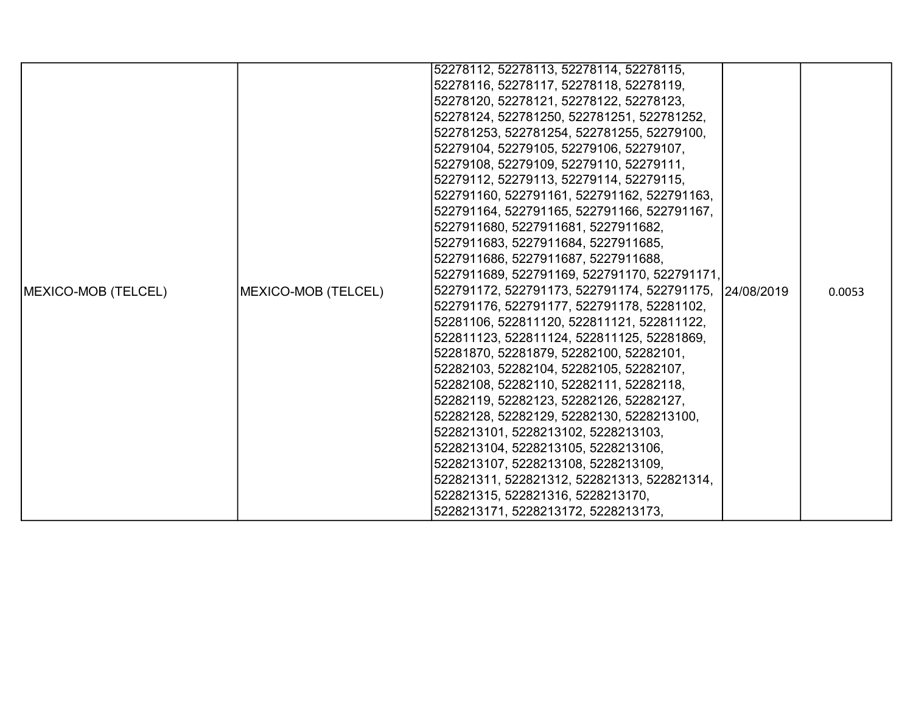|                     |                     | 52278112, 52278113, 52278114, 52278115,                 |  |        |
|---------------------|---------------------|---------------------------------------------------------|--|--------|
|                     |                     | 52278116, 52278117, 52278118, 52278119,                 |  |        |
|                     |                     | 52278120, 52278121, 52278122, 52278123,                 |  |        |
|                     |                     | 52278124, 522781250, 522781251, 522781252,              |  |        |
|                     |                     | 522781253, 522781254, 522781255, 52279100,              |  |        |
|                     |                     | 52279104, 52279105, 52279106, 52279107,                 |  |        |
|                     |                     | 52279108, 52279109, 52279110, 52279111,                 |  |        |
|                     |                     | 52279112, 52279113, 52279114, 52279115,                 |  |        |
|                     |                     | 522791160, 522791161, 522791162, 522791163,             |  |        |
|                     |                     | 522791164, 522791165, 522791166, 522791167,             |  |        |
|                     |                     | 5227911680, 5227911681, 5227911682,                     |  |        |
|                     |                     | 5227911683, 5227911684, 5227911685,                     |  |        |
|                     |                     | 5227911686, 5227911687, 5227911688,                     |  |        |
|                     |                     | 5227911689, 522791169, 522791170, 522791171,            |  |        |
| MEXICO-MOB (TELCEL) | MEXICO-MOB (TELCEL) | 522791172, 522791173, 522791174, 522791175, 124/08/2019 |  | 0.0053 |
|                     |                     | 522791176, 522791177, 522791178, 52281102,              |  |        |
|                     |                     | 52281106, 522811120, 522811121, 522811122,              |  |        |
|                     |                     | 522811123, 522811124, 522811125, 52281869,              |  |        |
|                     |                     | 52281870, 52281879, 52282100, 52282101,                 |  |        |
|                     |                     | 52282103, 52282104, 52282105, 52282107,                 |  |        |
|                     |                     | 52282108, 52282110, 52282111, 52282118,                 |  |        |
|                     |                     | 52282119, 52282123, 52282126, 52282127,                 |  |        |
|                     |                     | 52282128, 52282129, 52282130, 5228213100,               |  |        |
|                     |                     | 5228213101, 5228213102, 5228213103,                     |  |        |
|                     |                     | 5228213104, 5228213105, 5228213106,                     |  |        |
|                     |                     | 5228213107, 5228213108, 5228213109,                     |  |        |
|                     |                     | 522821311, 522821312, 522821313, 522821314,             |  |        |
|                     |                     | 522821315, 522821316, 5228213170,                       |  |        |
|                     |                     | 5228213171, 5228213172, 5228213173,                     |  |        |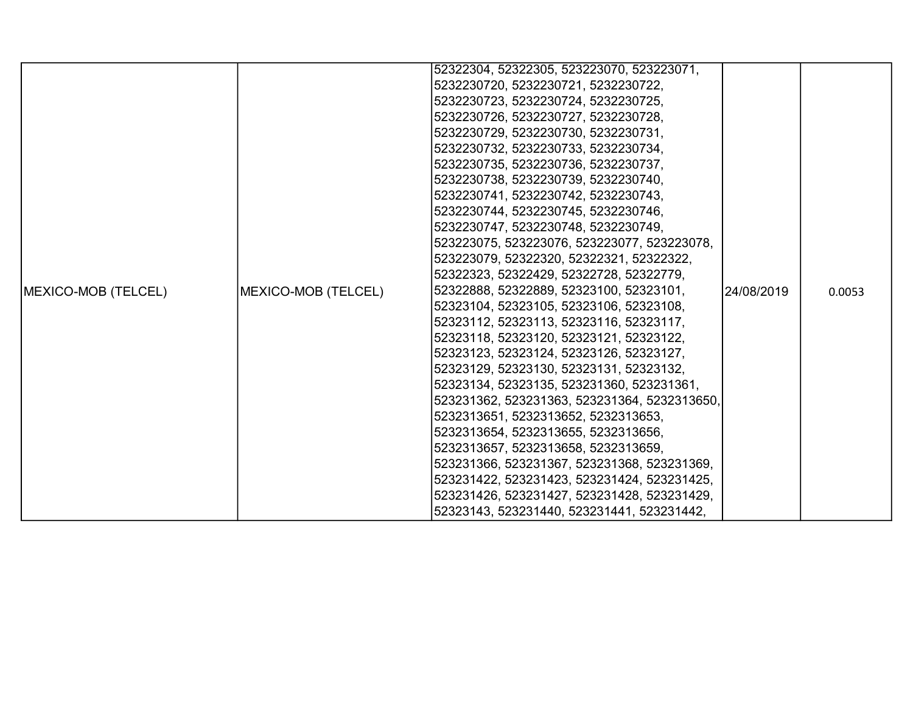|                     |                     | 52322304, 52322305, 523223070, 523223071,    |            |        |
|---------------------|---------------------|----------------------------------------------|------------|--------|
|                     |                     | 5232230720, 5232230721, 5232230722,          |            |        |
|                     |                     | 5232230723, 5232230724, 5232230725,          |            |        |
|                     |                     | 5232230726, 5232230727, 5232230728,          |            |        |
|                     |                     | 5232230729, 5232230730, 5232230731,          |            |        |
|                     |                     | 5232230732, 5232230733, 5232230734,          |            |        |
|                     |                     | 5232230735, 5232230736, 5232230737,          |            |        |
|                     |                     | 5232230738, 5232230739, 5232230740,          |            |        |
|                     |                     | 5232230741, 5232230742, 5232230743,          |            |        |
|                     |                     | 5232230744, 5232230745, 5232230746,          |            |        |
|                     |                     | 5232230747, 5232230748, 5232230749,          |            |        |
|                     |                     | 523223075, 523223076, 523223077, 523223078,  |            |        |
|                     |                     | 523223079, 52322320, 52322321, 52322322,     |            |        |
|                     |                     | 52322323, 52322429, 52322728, 52322779,      |            |        |
| MEXICO-MOB (TELCEL) | MEXICO-MOB (TELCEL) | 52322888, 52322889, 52323100, 52323101,      | 24/08/2019 | 0.0053 |
|                     |                     | 52323104, 52323105, 52323106, 52323108,      |            |        |
|                     |                     | 52323112, 52323113, 52323116, 52323117,      |            |        |
|                     |                     | 52323118, 52323120, 52323121, 52323122,      |            |        |
|                     |                     | 52323123, 52323124, 52323126, 52323127,      |            |        |
|                     |                     | 52323129, 52323130, 52323131, 52323132,      |            |        |
|                     |                     | 52323134, 52323135, 523231360, 523231361,    |            |        |
|                     |                     | 523231362, 523231363, 523231364, 5232313650, |            |        |
|                     |                     | 5232313651, 5232313652, 5232313653,          |            |        |
|                     |                     | 5232313654, 5232313655, 5232313656,          |            |        |
|                     |                     | 5232313657, 5232313658, 5232313659,          |            |        |
|                     |                     | 523231366, 523231367, 523231368, 523231369,  |            |        |
|                     |                     | 523231422, 523231423, 523231424, 523231425,  |            |        |
|                     |                     | 523231426, 523231427, 523231428, 523231429,  |            |        |
|                     |                     | 52323143, 523231440, 523231441, 523231442,   |            |        |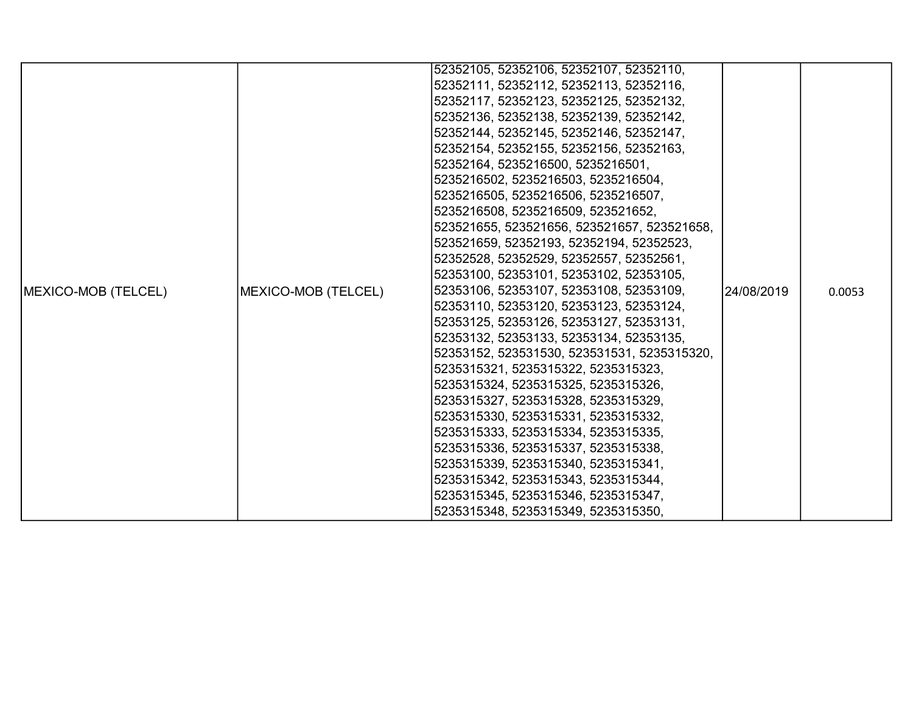| 52352105, 52352106, 52352107, 52352110,                                                              |        |
|------------------------------------------------------------------------------------------------------|--------|
| 52352111, 52352112, 52352113, 52352116,                                                              |        |
| 52352117, 52352123, 52352125, 52352132,                                                              |        |
|                                                                                                      |        |
| 52352136, 52352138, 52352139, 52352142,                                                              |        |
| 52352144, 52352145, 52352146, 52352147,                                                              |        |
| 52352154, 52352155, 52352156, 52352163,                                                              |        |
| 52352164, 5235216500, 5235216501,                                                                    |        |
| 5235216502, 5235216503, 5235216504,                                                                  |        |
| 5235216505, 5235216506, 5235216507,                                                                  |        |
| 5235216508, 5235216509, 523521652,                                                                   |        |
| 523521655, 523521656, 523521657, 523521658,                                                          |        |
| 523521659, 52352193, 52352194, 52352523,                                                             |        |
| 52352528, 52352529, 52352557, 52352561,                                                              |        |
| 52353100, 52353101, 52353102, 52353105,                                                              |        |
| 52353106, 52353107, 52353108, 52353109,<br>MEXICO-MOB (TELCEL)<br>MEXICO-MOB (TELCEL)<br>124/08/2019 | 0.0053 |
| 52353110, 52353120, 52353123, 52353124,                                                              |        |
| 52353125, 52353126, 52353127, 52353131,                                                              |        |
| 52353132, 52353133, 52353134, 52353135,                                                              |        |
| 52353152, 523531530, 523531531, 5235315320,                                                          |        |
| 5235315321, 5235315322, 5235315323,                                                                  |        |
| 5235315324, 5235315325, 5235315326,                                                                  |        |
| 5235315327, 5235315328, 5235315329,                                                                  |        |
| 5235315330, 5235315331, 5235315332,                                                                  |        |
| 5235315333, 5235315334, 5235315335,                                                                  |        |
| 5235315336, 5235315337, 5235315338,                                                                  |        |
| 5235315339, 5235315340, 5235315341,                                                                  |        |
| 5235315342, 5235315343, 5235315344,                                                                  |        |
| 5235315345, 5235315346, 5235315347,                                                                  |        |
| 5235315348, 5235315349, 5235315350,                                                                  |        |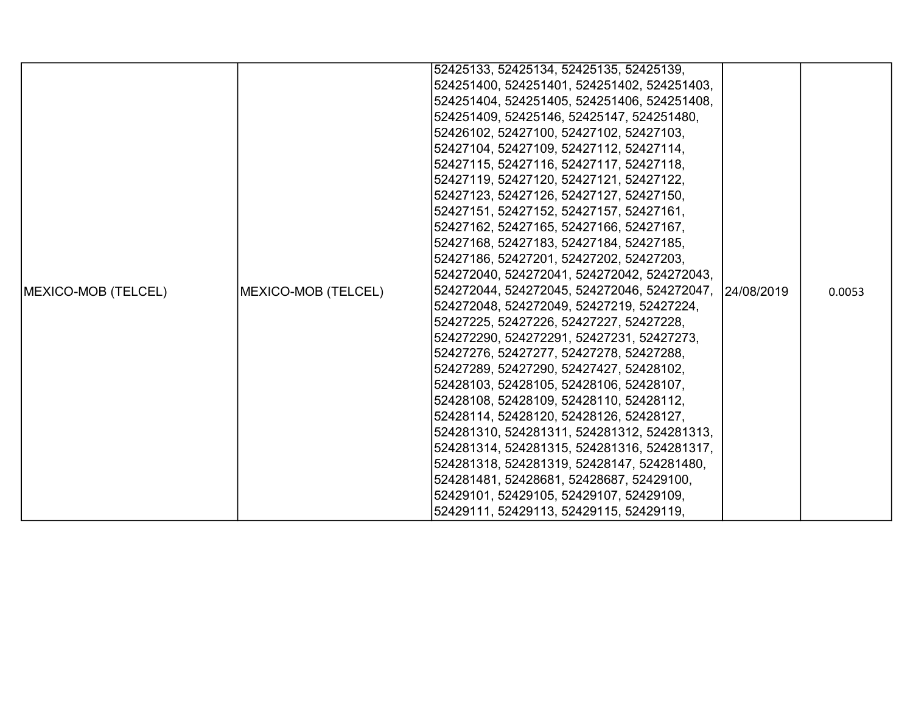|                            |                     | 52425133, 52425134, 52425135, 52425139,                 |  |        |
|----------------------------|---------------------|---------------------------------------------------------|--|--------|
|                            |                     | 524251400, 524251401, 524251402, 524251403,             |  |        |
|                            |                     | 524251404, 524251405, 524251406, 524251408,             |  |        |
|                            |                     | 524251409, 52425146, 52425147, 524251480,               |  |        |
|                            |                     | 52426102, 52427100, 52427102, 52427103,                 |  |        |
|                            |                     | 52427104, 52427109, 52427112, 52427114,                 |  |        |
|                            |                     | 52427115, 52427116, 52427117, 52427118,                 |  |        |
|                            |                     | 52427119, 52427120, 52427121, 52427122,                 |  |        |
|                            |                     | 52427123, 52427126, 52427127, 52427150,                 |  |        |
|                            |                     | 52427151, 52427152, 52427157, 52427161,                 |  |        |
|                            |                     | 52427162, 52427165, 52427166, 52427167,                 |  |        |
|                            |                     | 52427168, 52427183, 52427184, 52427185,                 |  |        |
|                            |                     | 52427186, 52427201, 52427202, 52427203,                 |  |        |
|                            |                     | 524272040, 524272041, 524272042, 524272043,             |  |        |
| <b>MEXICO-MOB (TELCEL)</b> | MEXICO-MOB (TELCEL) | 524272044, 524272045, 524272046, 524272047, 124/08/2019 |  | 0.0053 |
|                            |                     | 524272048, 524272049, 52427219, 52427224,               |  |        |
|                            |                     | 52427225, 52427226, 52427227, 52427228,                 |  |        |
|                            |                     | 524272290, 524272291, 52427231, 52427273,               |  |        |
|                            |                     | 52427276, 52427277, 52427278, 52427288,                 |  |        |
|                            |                     | 52427289, 52427290, 52427427, 52428102,                 |  |        |
|                            |                     | 52428103, 52428105, 52428106, 52428107,                 |  |        |
|                            |                     | 52428108, 52428109, 52428110, 52428112,                 |  |        |
|                            |                     | 52428114, 52428120, 52428126, 52428127,                 |  |        |
|                            |                     | 524281310, 524281311, 524281312, 524281313,             |  |        |
|                            |                     | 524281314, 524281315, 524281316, 524281317,             |  |        |
|                            |                     | 524281318, 524281319, 52428147, 524281480,              |  |        |
|                            |                     | 524281481, 52428681, 52428687, 52429100,                |  |        |
|                            |                     | 52429101, 52429105, 52429107, 52429109,                 |  |        |
|                            |                     | 52429111, 52429113, 52429115, 52429119,                 |  |        |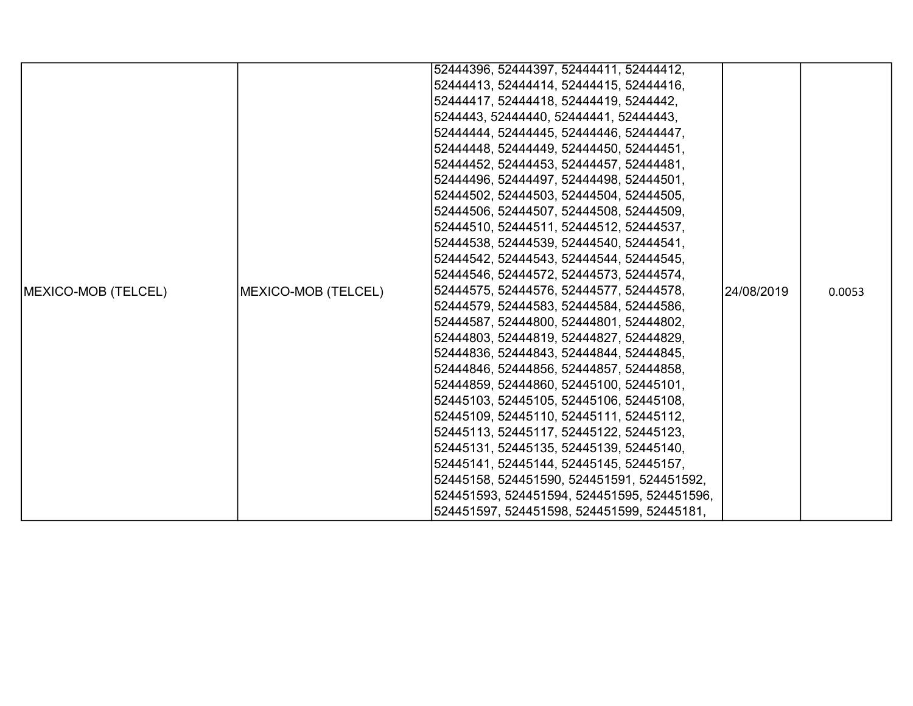|                     |                     | 52444396, 52444397, 52444411, 52444412,     |            |        |
|---------------------|---------------------|---------------------------------------------|------------|--------|
|                     |                     | 52444413, 52444414, 52444415, 52444416,     |            |        |
|                     |                     | 52444417, 52444418, 52444419, 5244442,      |            |        |
|                     |                     | 5244443, 52444440, 52444441, 52444443,      |            |        |
|                     |                     | 52444444, 52444445, 52444446, 52444447,     |            |        |
|                     |                     | 52444448, 52444449, 52444450, 52444451,     |            |        |
|                     |                     | 52444452, 52444453, 52444457, 52444481,     |            |        |
|                     |                     | 52444496, 52444497, 52444498, 52444501,     |            |        |
|                     |                     | 52444502, 52444503, 52444504, 52444505,     |            |        |
|                     |                     | 52444506, 52444507, 52444508, 52444509,     |            |        |
|                     |                     | 52444510, 52444511, 52444512, 52444537,     |            |        |
|                     |                     | 52444538, 52444539, 52444540, 52444541,     |            |        |
|                     |                     | 52444542, 52444543, 52444544, 52444545,     |            |        |
|                     |                     | 52444546, 52444572, 52444573, 52444574,     |            |        |
| MEXICO-MOB (TELCEL) | MEXICO-MOB (TELCEL) | 52444575, 52444576, 52444577, 52444578,     | 24/08/2019 | 0.0053 |
|                     |                     | 52444579, 52444583, 52444584, 52444586,     |            |        |
|                     |                     | 52444587, 52444800, 52444801, 52444802,     |            |        |
|                     |                     | 52444803, 52444819, 52444827, 52444829,     |            |        |
|                     |                     | 52444836, 52444843, 52444844, 52444845,     |            |        |
|                     |                     | 52444846, 52444856, 52444857, 52444858,     |            |        |
|                     |                     | 52444859, 52444860, 52445100, 52445101,     |            |        |
|                     |                     | 52445103, 52445105, 52445106, 52445108,     |            |        |
|                     |                     | 52445109, 52445110, 52445111, 52445112,     |            |        |
|                     |                     | 52445113, 52445117, 52445122, 52445123,     |            |        |
|                     |                     | 52445131, 52445135, 52445139, 52445140,     |            |        |
|                     |                     | 52445141, 52445144, 52445145, 52445157,     |            |        |
|                     |                     | 52445158, 524451590, 524451591, 524451592,  |            |        |
|                     |                     | 524451593, 524451594, 524451595, 524451596, |            |        |
|                     |                     | 524451597, 524451598, 524451599, 52445181,  |            |        |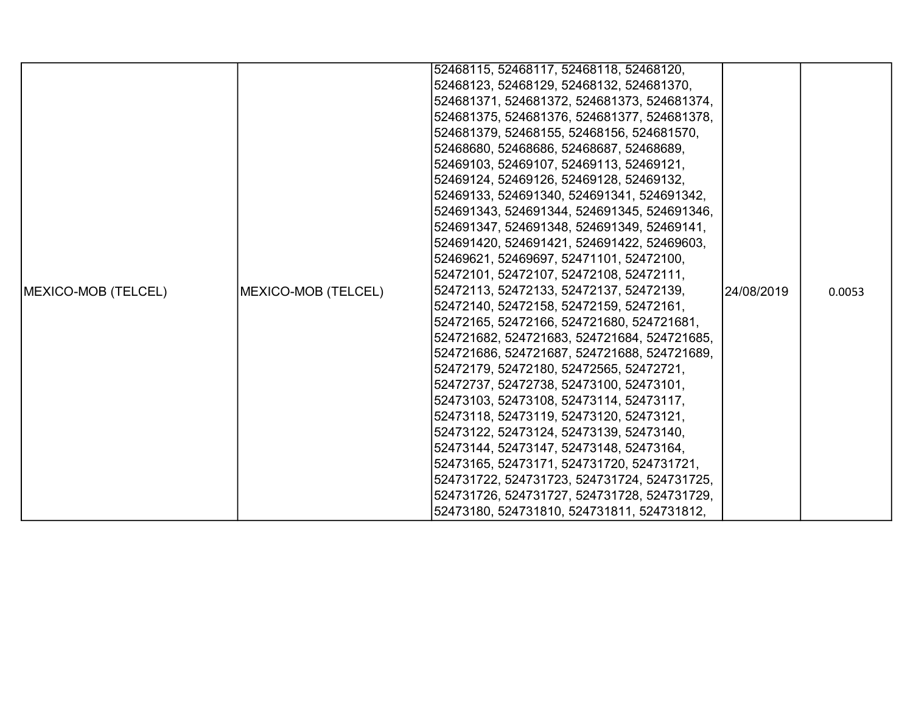|                     |                     | 52468115, 52468117, 52468118, 52468120,     |             |        |
|---------------------|---------------------|---------------------------------------------|-------------|--------|
|                     |                     | 52468123, 52468129, 52468132, 524681370,    |             |        |
|                     |                     | 524681371, 524681372, 524681373, 524681374, |             |        |
|                     |                     | 524681375, 524681376, 524681377, 524681378, |             |        |
|                     |                     | 524681379, 52468155, 52468156, 524681570,   |             |        |
|                     |                     | 52468680, 52468686, 52468687, 52468689,     |             |        |
|                     |                     | 52469103, 52469107, 52469113, 52469121,     |             |        |
|                     |                     | 52469124, 52469126, 52469128, 52469132,     |             |        |
|                     |                     | 52469133, 524691340, 524691341, 524691342,  |             |        |
|                     |                     | 524691343, 524691344, 524691345, 524691346, |             |        |
|                     |                     | 524691347, 524691348, 524691349, 52469141,  |             |        |
|                     |                     | 524691420, 524691421, 524691422, 52469603,  |             |        |
|                     |                     | 52469621, 52469697, 52471101, 52472100,     |             |        |
|                     |                     | 52472101, 52472107, 52472108, 52472111,     |             |        |
| MEXICO-MOB (TELCEL) | MEXICO-MOB (TELCEL) | 52472113, 52472133, 52472137, 52472139,     | 124/08/2019 | 0.0053 |
|                     |                     | 52472140, 52472158, 52472159, 52472161,     |             |        |
|                     |                     | 52472165, 52472166, 524721680, 524721681,   |             |        |
|                     |                     | 524721682, 524721683, 524721684, 524721685, |             |        |
|                     |                     | 524721686, 524721687, 524721688, 524721689, |             |        |
|                     |                     | 52472179, 52472180, 52472565, 52472721,     |             |        |
|                     |                     | 52472737, 52472738, 52473100, 52473101,     |             |        |
|                     |                     | 52473103, 52473108, 52473114, 52473117,     |             |        |
|                     |                     | 52473118, 52473119, 52473120, 52473121,     |             |        |
|                     |                     | 52473122, 52473124, 52473139, 52473140,     |             |        |
|                     |                     | 52473144, 52473147, 52473148, 52473164,     |             |        |
|                     |                     | 52473165, 52473171, 524731720, 524731721,   |             |        |
|                     |                     | 524731722, 524731723, 524731724, 524731725, |             |        |
|                     |                     | 524731726, 524731727, 524731728, 524731729, |             |        |
|                     |                     | 52473180, 524731810, 524731811, 524731812,  |             |        |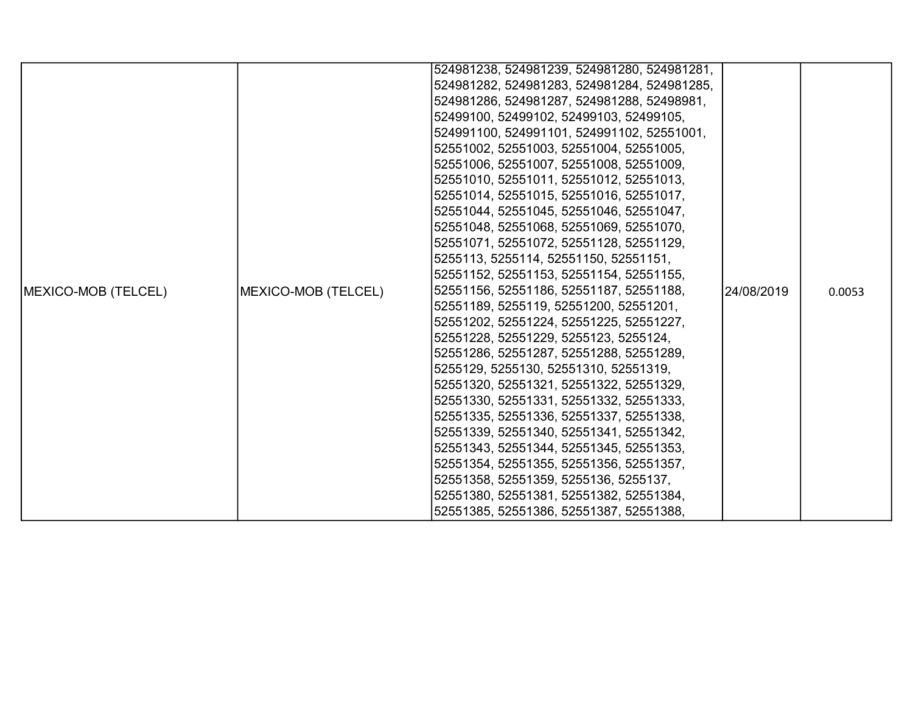|                             |                     | 524981238, 524981239, 524981280, 524981281, |            |        |
|-----------------------------|---------------------|---------------------------------------------|------------|--------|
|                             |                     | 524981282, 524981283, 524981284, 524981285, |            |        |
|                             |                     | 524981286, 524981287, 524981288, 52498981,  |            |        |
|                             |                     | 52499100, 52499102, 52499103, 52499105,     |            |        |
|                             |                     | 524991100, 524991101, 524991102, 52551001,  |            |        |
|                             |                     | 52551002, 52551003, 52551004, 52551005,     |            |        |
|                             |                     | 52551006, 52551007, 52551008, 52551009,     |            |        |
|                             |                     | 52551010, 52551011, 52551012, 52551013,     |            |        |
|                             |                     | 52551014, 52551015, 52551016, 52551017,     |            |        |
|                             |                     | 52551044, 52551045, 52551046, 52551047,     |            |        |
|                             |                     | 52551048, 52551068, 52551069, 52551070,     |            |        |
|                             |                     | 52551071, 52551072, 52551128, 52551129,     |            |        |
|                             |                     | 5255113, 5255114, 52551150, 52551151,       |            |        |
|                             |                     | 52551152, 52551153, 52551154, 52551155,     |            |        |
| <b>IMEXICO-MOB (TELCEL)</b> | MEXICO-MOB (TELCEL) | 52551156, 52551186, 52551187, 52551188,     | 24/08/2019 | 0.0053 |
|                             |                     | 52551189, 5255119, 52551200, 52551201,      |            |        |
|                             |                     | 52551202, 52551224, 52551225, 52551227,     |            |        |
|                             |                     | 52551228, 52551229, 5255123, 5255124,       |            |        |
|                             |                     | 52551286, 52551287, 52551288, 52551289,     |            |        |
|                             |                     | 5255129, 5255130, 52551310, 52551319,       |            |        |
|                             |                     | 52551320, 52551321, 52551322, 52551329,     |            |        |
|                             |                     | 52551330, 52551331, 52551332, 52551333,     |            |        |
|                             |                     | 52551335, 52551336, 52551337, 52551338,     |            |        |
|                             |                     | 52551339, 52551340, 52551341, 52551342,     |            |        |
|                             |                     | 52551343, 52551344, 52551345, 52551353,     |            |        |
|                             |                     | 52551354, 52551355, 52551356, 52551357,     |            |        |
|                             |                     | 52551358, 52551359, 5255136, 5255137,       |            |        |
|                             |                     | 52551380, 52551381, 52551382, 52551384,     |            |        |
|                             |                     | 52551385, 52551386, 52551387, 52551388,     |            |        |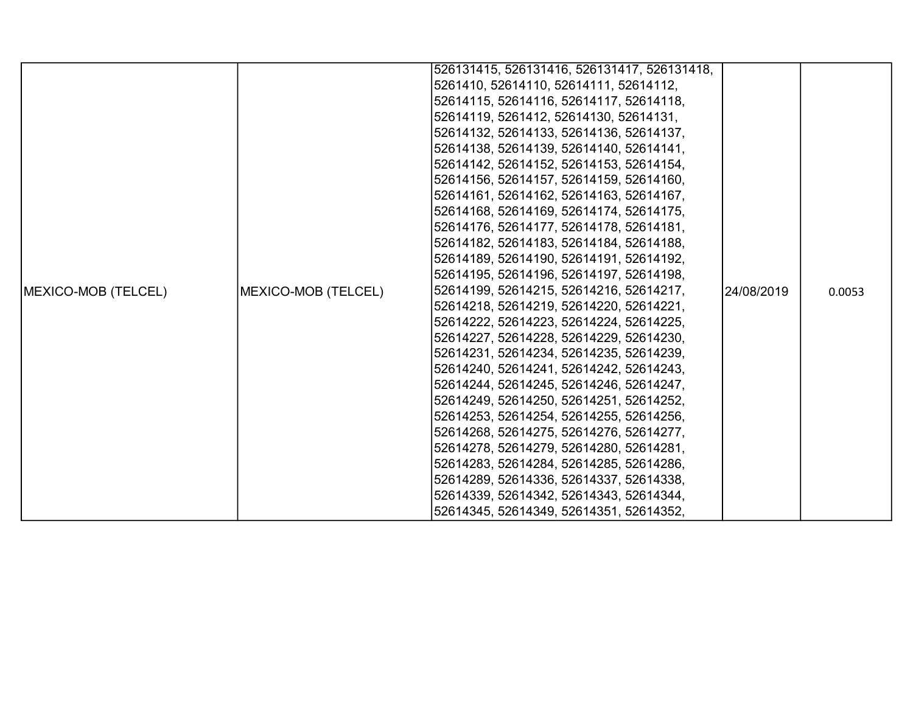|                             |                     | 526131415, 526131416, 526131417, 526131418, |            |        |
|-----------------------------|---------------------|---------------------------------------------|------------|--------|
|                             |                     | 5261410, 52614110, 52614111, 52614112,      |            |        |
|                             |                     | 52614115, 52614116, 52614117, 52614118,     |            |        |
|                             |                     | 52614119, 5261412, 52614130, 52614131,      |            |        |
|                             |                     | 52614132, 52614133, 52614136, 52614137,     |            |        |
|                             |                     | 52614138, 52614139, 52614140, 52614141,     |            |        |
|                             |                     | 52614142, 52614152, 52614153, 52614154,     |            |        |
|                             |                     | 52614156, 52614157, 52614159, 52614160,     |            |        |
|                             |                     | 52614161, 52614162, 52614163, 52614167,     |            |        |
|                             |                     | 52614168, 52614169, 52614174, 52614175,     |            |        |
|                             |                     | 52614176, 52614177, 52614178, 52614181,     |            |        |
|                             |                     | 52614182, 52614183, 52614184, 52614188,     |            |        |
|                             |                     | 52614189, 52614190, 52614191, 52614192,     |            |        |
|                             |                     | 52614195, 52614196, 52614197, 52614198,     |            |        |
| <b>IMEXICO-MOB (TELCEL)</b> | MEXICO-MOB (TELCEL) | 52614199, 52614215, 52614216, 52614217,     | 24/08/2019 | 0.0053 |
|                             |                     | 52614218, 52614219, 52614220, 52614221,     |            |        |
|                             |                     | 52614222, 52614223, 52614224, 52614225,     |            |        |
|                             |                     | 52614227, 52614228, 52614229, 52614230,     |            |        |
|                             |                     | 52614231, 52614234, 52614235, 52614239,     |            |        |
|                             |                     | 52614240, 52614241, 52614242, 52614243,     |            |        |
|                             |                     | 52614244, 52614245, 52614246, 52614247,     |            |        |
|                             |                     | 52614249, 52614250, 52614251, 52614252,     |            |        |
|                             |                     | 52614253, 52614254, 52614255, 52614256,     |            |        |
|                             |                     | 52614268, 52614275, 52614276, 52614277,     |            |        |
|                             |                     | 52614278, 52614279, 52614280, 52614281,     |            |        |
|                             |                     | 52614283, 52614284, 52614285, 52614286,     |            |        |
|                             |                     | 52614289, 52614336, 52614337, 52614338,     |            |        |
|                             |                     | 52614339, 52614342, 52614343, 52614344,     |            |        |
|                             |                     | 52614345, 52614349, 52614351, 52614352,     |            |        |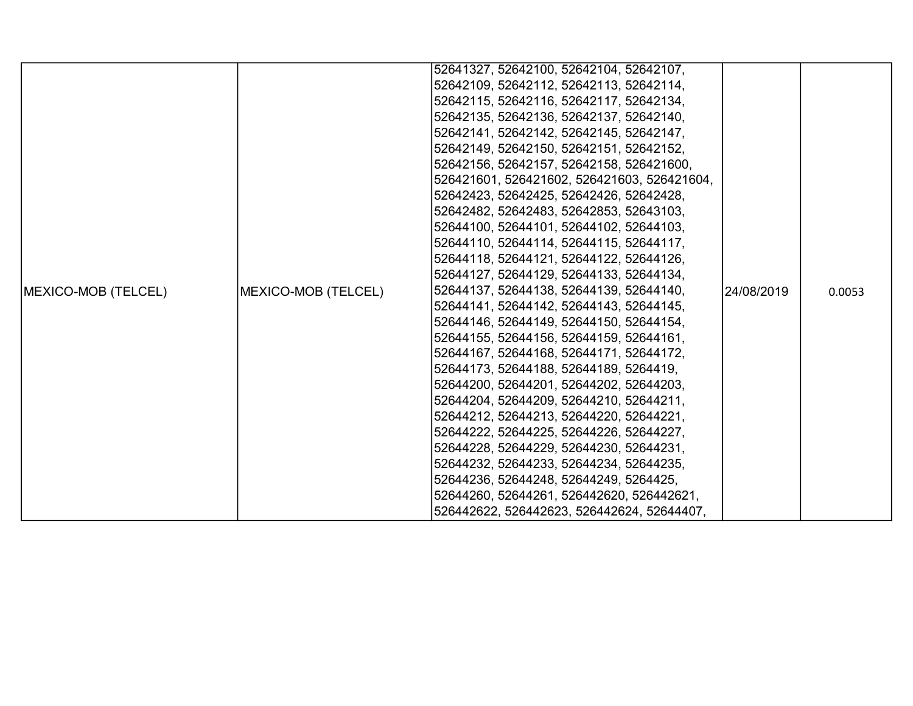|                            |                     | 52641327, 52642100, 52642104, 52642107,     |            |        |
|----------------------------|---------------------|---------------------------------------------|------------|--------|
|                            |                     | 52642109, 52642112, 52642113, 52642114,     |            |        |
|                            |                     | 52642115, 52642116, 52642117, 52642134,     |            |        |
|                            |                     | 52642135, 52642136, 52642137, 52642140,     |            |        |
|                            |                     | 52642141, 52642142, 52642145, 52642147,     |            |        |
|                            |                     | 52642149, 52642150, 52642151, 52642152,     |            |        |
|                            |                     | 52642156, 52642157, 52642158, 526421600,    |            |        |
|                            |                     | 526421601, 526421602, 526421603, 526421604, |            |        |
|                            |                     | 52642423, 52642425, 52642426, 52642428,     |            |        |
|                            |                     | 52642482, 52642483, 52642853, 52643103,     |            |        |
|                            |                     | 52644100, 52644101, 52644102, 52644103,     |            |        |
|                            |                     | 52644110, 52644114, 52644115, 52644117,     |            |        |
|                            |                     | 52644118, 52644121, 52644122, 52644126,     |            |        |
|                            |                     | 52644127, 52644129, 52644133, 52644134,     |            |        |
| <b>MEXICO-MOB (TELCEL)</b> | MEXICO-MOB (TELCEL) | 52644137, 52644138, 52644139, 52644140,     | 24/08/2019 | 0.0053 |
|                            |                     | 52644141, 52644142, 52644143, 52644145,     |            |        |
|                            |                     | 52644146, 52644149, 52644150, 52644154,     |            |        |
|                            |                     | 52644155, 52644156, 52644159, 52644161,     |            |        |
|                            |                     | 52644167, 52644168, 52644171, 52644172,     |            |        |
|                            |                     | 52644173, 52644188, 52644189, 5264419,      |            |        |
|                            |                     | 52644200, 52644201, 52644202, 52644203,     |            |        |
|                            |                     | 52644204, 52644209, 52644210, 52644211,     |            |        |
|                            |                     | 52644212, 52644213, 52644220, 52644221,     |            |        |
|                            |                     | 52644222, 52644225, 52644226, 52644227,     |            |        |
|                            |                     | 52644228, 52644229, 52644230, 52644231,     |            |        |
|                            |                     | 52644232, 52644233, 52644234, 52644235,     |            |        |
|                            |                     | 52644236, 52644248, 52644249, 5264425,      |            |        |
|                            |                     | 52644260, 52644261, 526442620, 526442621,   |            |        |
|                            |                     | 526442622, 526442623, 526442624, 52644407,  |            |        |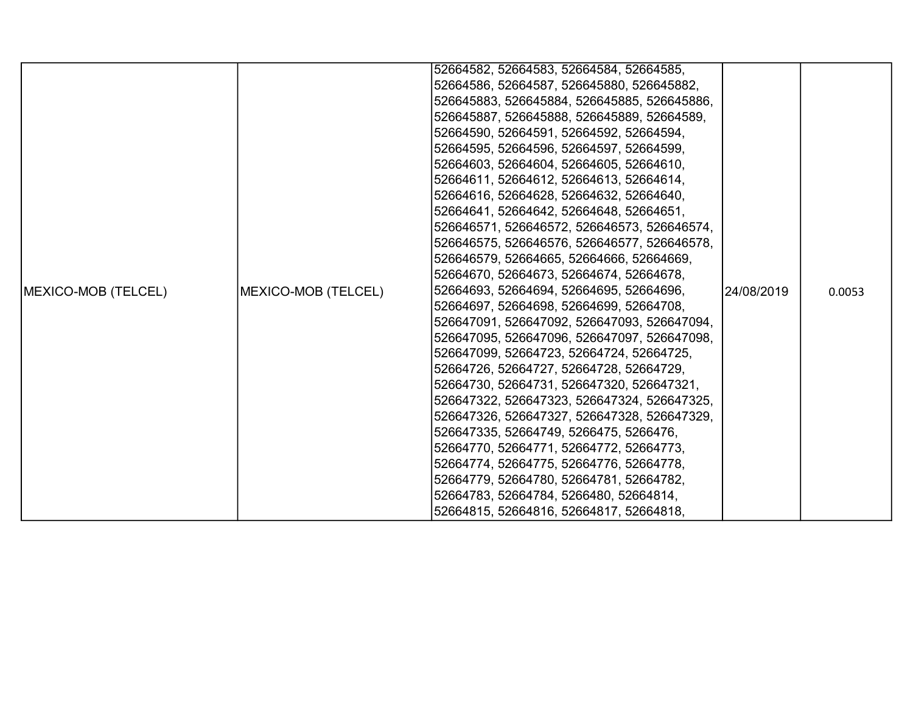|                            |                     | 52664582, 52664583, 52664584, 52664585,     |             |        |
|----------------------------|---------------------|---------------------------------------------|-------------|--------|
|                            |                     | 52664586, 52664587, 526645880, 526645882,   |             |        |
|                            |                     | 526645883, 526645884, 526645885, 526645886, |             |        |
|                            |                     | 526645887, 526645888, 526645889, 52664589,  |             |        |
|                            |                     | 52664590, 52664591, 52664592, 52664594,     |             |        |
|                            |                     | 52664595, 52664596, 52664597, 52664599,     |             |        |
|                            |                     | 52664603, 52664604, 52664605, 52664610,     |             |        |
|                            |                     | 52664611, 52664612, 52664613, 52664614,     |             |        |
|                            |                     | 52664616, 52664628, 52664632, 52664640,     |             |        |
|                            |                     | 52664641, 52664642, 52664648, 52664651,     |             |        |
|                            |                     | 526646571, 526646572, 526646573, 526646574, |             |        |
|                            |                     | 526646575, 526646576, 526646577, 526646578, |             |        |
|                            |                     | 526646579, 52664665, 52664666, 52664669,    |             |        |
|                            |                     | 52664670, 52664673, 52664674, 52664678,     |             |        |
| <b>MEXICO-MOB (TELCEL)</b> | MEXICO-MOB (TELCEL) | 52664693, 52664694, 52664695, 52664696,     | 124/08/2019 | 0.0053 |
|                            |                     | 52664697, 52664698, 52664699, 52664708,     |             |        |
|                            |                     | 526647091, 526647092, 526647093, 526647094, |             |        |
|                            |                     | 526647095, 526647096, 526647097, 526647098, |             |        |
|                            |                     | 526647099, 52664723, 52664724, 52664725,    |             |        |
|                            |                     | 52664726, 52664727, 52664728, 52664729,     |             |        |
|                            |                     | 52664730, 52664731, 526647320, 526647321,   |             |        |
|                            |                     | 526647322, 526647323, 526647324, 526647325, |             |        |
|                            |                     | 526647326, 526647327, 526647328, 526647329, |             |        |
|                            |                     | 526647335, 52664749, 5266475, 5266476,      |             |        |
|                            |                     | 52664770, 52664771, 52664772, 52664773,     |             |        |
|                            |                     | 52664774, 52664775, 52664776, 52664778,     |             |        |
|                            |                     | 52664779, 52664780, 52664781, 52664782,     |             |        |
|                            |                     | 52664783, 52664784, 5266480, 52664814,      |             |        |
|                            |                     | 52664815, 52664816, 52664817, 52664818,     |             |        |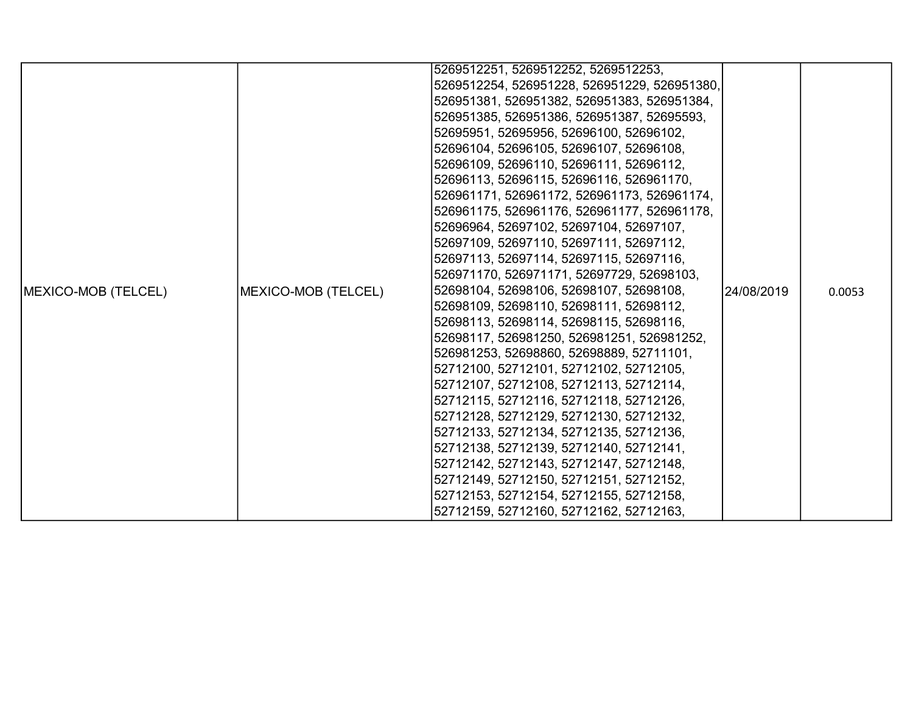|                     |                     | 5269512251, 5269512252, 5269512253,          |            |        |
|---------------------|---------------------|----------------------------------------------|------------|--------|
|                     |                     | 5269512254, 526951228, 526951229, 526951380, |            |        |
|                     |                     | 526951381, 526951382, 526951383, 526951384,  |            |        |
|                     |                     | 526951385, 526951386, 526951387, 52695593,   |            |        |
|                     |                     | 52695951, 52695956, 52696100, 52696102,      |            |        |
|                     |                     | 52696104, 52696105, 52696107, 52696108,      |            |        |
|                     |                     | 52696109, 52696110, 52696111, 52696112,      |            |        |
|                     |                     | 52696113, 52696115, 52696116, 526961170,     |            |        |
|                     |                     | 526961171, 526961172, 526961173, 526961174,  |            |        |
|                     |                     | 526961175, 526961176, 526961177, 526961178,  |            |        |
|                     |                     | 52696964, 52697102, 52697104, 52697107,      |            |        |
|                     |                     | 52697109, 52697110, 52697111, 52697112,      |            |        |
|                     |                     | 52697113, 52697114, 52697115, 52697116,      |            |        |
|                     |                     | 526971170, 526971171, 52697729, 52698103,    |            |        |
| MEXICO-MOB (TELCEL) | MEXICO-MOB (TELCEL) | 52698104, 52698106, 52698107, 52698108,      | 24/08/2019 | 0.0053 |
|                     |                     | 52698109, 52698110, 52698111, 52698112,      |            |        |
|                     |                     | 52698113, 52698114, 52698115, 52698116,      |            |        |
|                     |                     | 52698117, 526981250, 526981251, 526981252,   |            |        |
|                     |                     | 526981253, 52698860, 52698889, 52711101,     |            |        |
|                     |                     | 52712100, 52712101, 52712102, 52712105,      |            |        |
|                     |                     | 52712107, 52712108, 52712113, 52712114,      |            |        |
|                     |                     | 52712115, 52712116, 52712118, 52712126,      |            |        |
|                     |                     | 52712128, 52712129, 52712130, 52712132,      |            |        |
|                     |                     | 52712133, 52712134, 52712135, 52712136,      |            |        |
|                     |                     | 52712138, 52712139, 52712140, 52712141,      |            |        |
|                     |                     | 52712142, 52712143, 52712147, 52712148,      |            |        |
|                     |                     | 52712149, 52712150, 52712151, 52712152,      |            |        |
|                     |                     | 52712153, 52712154, 52712155, 52712158,      |            |        |
|                     |                     | 52712159, 52712160, 52712162, 52712163,      |            |        |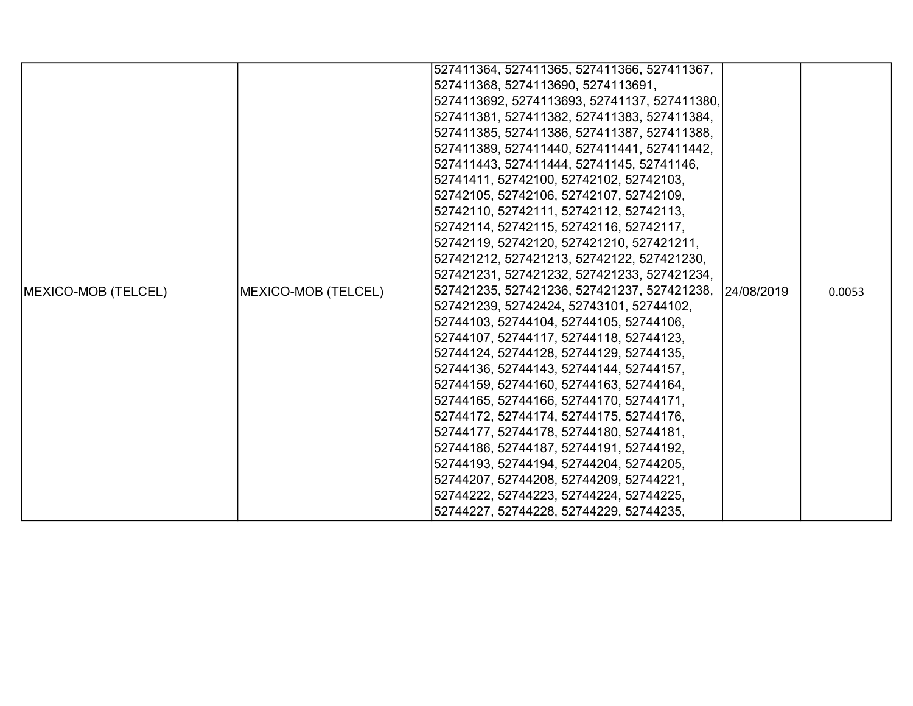|                            |                     | 527411364, 527411365, 527411366, 527411367,            |  |        |
|----------------------------|---------------------|--------------------------------------------------------|--|--------|
|                            |                     | 527411368, 5274113690, 5274113691,                     |  |        |
|                            |                     | 5274113692, 5274113693, 52741137, 527411380,           |  |        |
|                            |                     | 527411381, 527411382, 527411383, 527411384,            |  |        |
|                            |                     | 527411385, 527411386, 527411387, 527411388,            |  |        |
|                            |                     | 527411389, 527411440, 527411441, 527411442,            |  |        |
|                            |                     | 527411443, 527411444, 52741145, 52741146,              |  |        |
|                            |                     | 52741411, 52742100, 52742102, 52742103,                |  |        |
|                            |                     | 52742105, 52742106, 52742107, 52742109,                |  |        |
|                            |                     | 52742110, 52742111, 52742112, 52742113,                |  |        |
|                            |                     | 52742114, 52742115, 52742116, 52742117,                |  |        |
|                            |                     | 52742119, 52742120, 527421210, 527421211,              |  |        |
|                            |                     | 527421212, 527421213, 52742122, 527421230,             |  |        |
|                            |                     | 527421231, 527421232, 527421233, 527421234,            |  |        |
| <b>MEXICO-MOB (TELCEL)</b> | MEXICO-MOB (TELCEL) | 527421235, 527421236, 527421237, 527421238, 24/08/2019 |  | 0.0053 |
|                            |                     | 527421239, 52742424, 52743101, 52744102,               |  |        |
|                            |                     | 52744103, 52744104, 52744105, 52744106,                |  |        |
|                            |                     | 52744107, 52744117, 52744118, 52744123,                |  |        |
|                            |                     | 52744124, 52744128, 52744129, 52744135,                |  |        |
|                            |                     | 52744136, 52744143, 52744144, 52744157,                |  |        |
|                            |                     | 52744159, 52744160, 52744163, 52744164,                |  |        |
|                            |                     | 52744165, 52744166, 52744170, 52744171,                |  |        |
|                            |                     | 52744172, 52744174, 52744175, 52744176,                |  |        |
|                            |                     | 52744177, 52744178, 52744180, 52744181,                |  |        |
|                            |                     | 52744186, 52744187, 52744191, 52744192,                |  |        |
|                            |                     | 52744193, 52744194, 52744204, 52744205,                |  |        |
|                            |                     | 52744207, 52744208, 52744209, 52744221,                |  |        |
|                            |                     | 52744222, 52744223, 52744224, 52744225,                |  |        |
|                            |                     | 52744227, 52744228, 52744229, 52744235,                |  |        |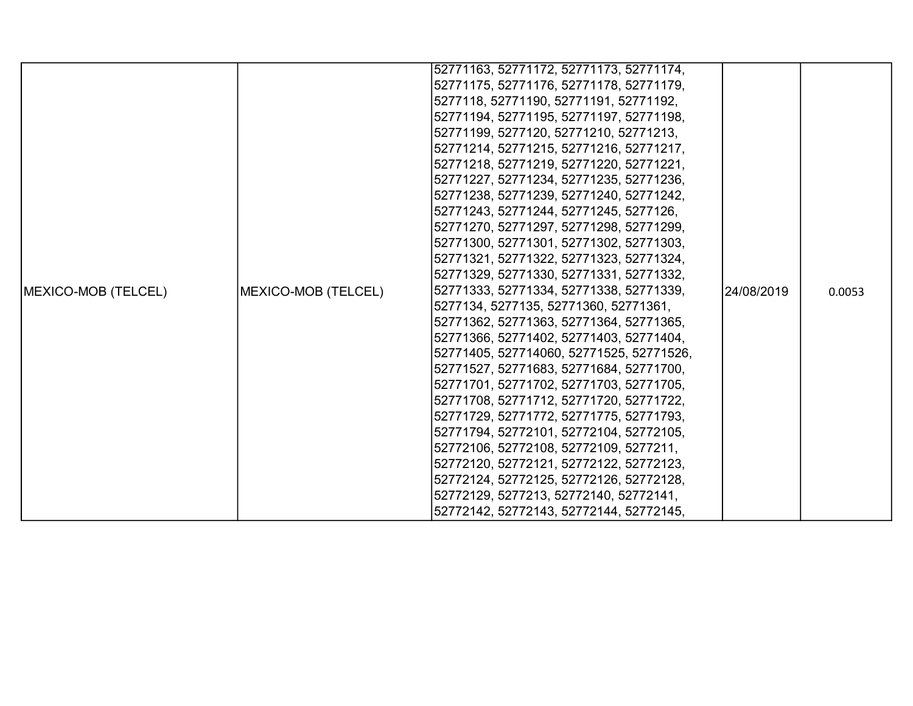|                     |                     | 52771163, 52771172, 52771173, 52771174,  |             |        |
|---------------------|---------------------|------------------------------------------|-------------|--------|
|                     |                     | 52771175, 52771176, 52771178, 52771179,  |             |        |
|                     |                     | 5277118, 52771190, 52771191, 52771192,   |             |        |
|                     |                     | 52771194, 52771195, 52771197, 52771198,  |             |        |
|                     |                     | 52771199, 5277120, 52771210, 52771213,   |             |        |
|                     |                     | 52771214, 52771215, 52771216, 52771217,  |             |        |
|                     |                     | 52771218, 52771219, 52771220, 52771221,  |             |        |
|                     |                     | 52771227, 52771234, 52771235, 52771236,  |             |        |
|                     |                     | 52771238, 52771239, 52771240, 52771242,  |             |        |
|                     |                     | 52771243, 52771244, 52771245, 5277126,   |             |        |
|                     |                     | 52771270, 52771297, 52771298, 52771299,  |             |        |
|                     |                     | 52771300, 52771301, 52771302, 52771303,  |             |        |
|                     |                     | 52771321, 52771322, 52771323, 52771324,  |             |        |
|                     |                     | 52771329, 52771330, 52771331, 52771332,  |             |        |
| MEXICO-MOB (TELCEL) | MEXICO-MOB (TELCEL) | 52771333, 52771334, 52771338, 52771339,  | 124/08/2019 | 0.0053 |
|                     |                     | 5277134, 5277135, 52771360, 52771361,    |             |        |
|                     |                     | 52771362, 52771363, 52771364, 52771365,  |             |        |
|                     |                     | 52771366, 52771402, 52771403, 52771404,  |             |        |
|                     |                     | 52771405, 527714060, 52771525, 52771526, |             |        |
|                     |                     | 52771527, 52771683, 52771684, 52771700,  |             |        |
|                     |                     | 52771701, 52771702, 52771703, 52771705,  |             |        |
|                     |                     | 52771708, 52771712, 52771720, 52771722,  |             |        |
|                     |                     | 52771729, 52771772, 52771775, 52771793,  |             |        |
|                     |                     | 52771794, 52772101, 52772104, 52772105,  |             |        |
|                     |                     | 52772106, 52772108, 52772109, 5277211,   |             |        |
|                     |                     | 52772120, 52772121, 52772122, 52772123,  |             |        |
|                     |                     | 52772124, 52772125, 52772126, 52772128,  |             |        |
|                     |                     | 52772129, 5277213, 52772140, 52772141,   |             |        |
|                     |                     | 52772142, 52772143, 52772144, 52772145,  |             |        |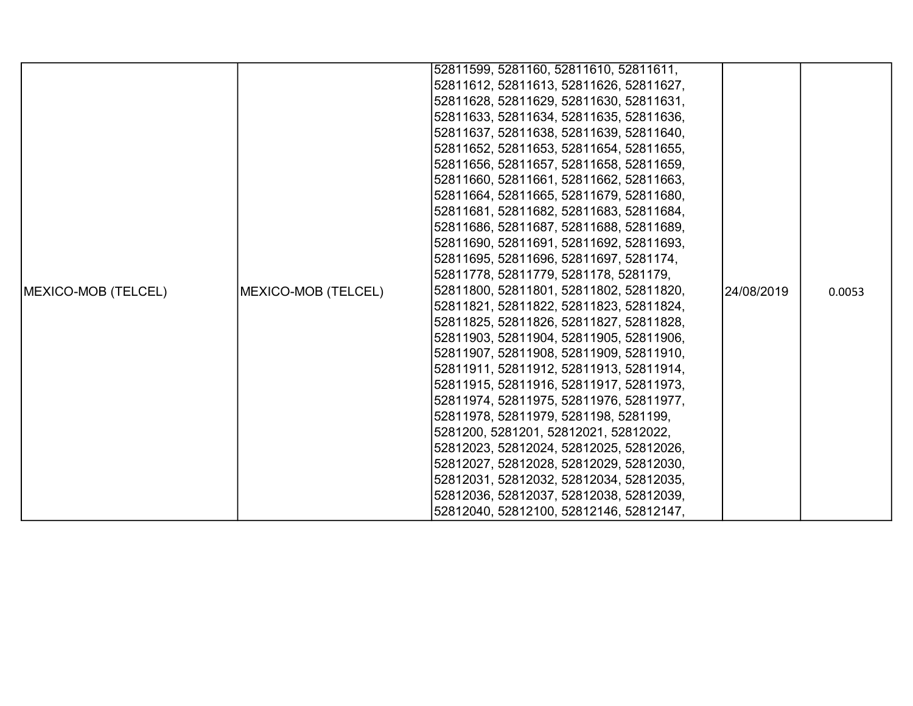|                            |                     | 52811599, 5281160, 52811610, 52811611,  |            |        |
|----------------------------|---------------------|-----------------------------------------|------------|--------|
|                            |                     | 52811612, 52811613, 52811626, 52811627, |            |        |
|                            |                     | 52811628, 52811629, 52811630, 52811631, |            |        |
|                            |                     | 52811633, 52811634, 52811635, 52811636, |            |        |
|                            |                     | 52811637, 52811638, 52811639, 52811640, |            |        |
|                            |                     | 52811652, 52811653, 52811654, 52811655, |            |        |
|                            |                     | 52811656, 52811657, 52811658, 52811659, |            |        |
|                            |                     | 52811660, 52811661, 52811662, 52811663, |            |        |
|                            |                     | 52811664, 52811665, 52811679, 52811680, |            |        |
|                            |                     | 52811681, 52811682, 52811683, 52811684, |            |        |
|                            |                     | 52811686, 52811687, 52811688, 52811689, |            |        |
|                            |                     | 52811690, 52811691, 52811692, 52811693, |            |        |
|                            |                     | 52811695, 52811696, 52811697, 5281174,  |            |        |
|                            |                     | 52811778, 52811779, 5281178, 5281179,   |            |        |
| <b>MEXICO-MOB (TELCEL)</b> | MEXICO-MOB (TELCEL) | 52811800, 52811801, 52811802, 52811820, | 24/08/2019 | 0.0053 |
|                            |                     | 52811821, 52811822, 52811823, 52811824, |            |        |
|                            |                     | 52811825, 52811826, 52811827, 52811828, |            |        |
|                            |                     | 52811903, 52811904, 52811905, 52811906, |            |        |
|                            |                     | 52811907, 52811908, 52811909, 52811910, |            |        |
|                            |                     | 52811911, 52811912, 52811913, 52811914, |            |        |
|                            |                     | 52811915, 52811916, 52811917, 52811973, |            |        |
|                            |                     | 52811974, 52811975, 52811976, 52811977, |            |        |
|                            |                     | 52811978, 52811979, 5281198, 5281199,   |            |        |
|                            |                     | 5281200, 5281201, 52812021, 52812022,   |            |        |
|                            |                     | 52812023, 52812024, 52812025, 52812026, |            |        |
|                            |                     | 52812027, 52812028, 52812029, 52812030, |            |        |
|                            |                     | 52812031, 52812032, 52812034, 52812035, |            |        |
|                            |                     | 52812036, 52812037, 52812038, 52812039, |            |        |
|                            |                     | 52812040, 52812100, 52812146, 52812147, |            |        |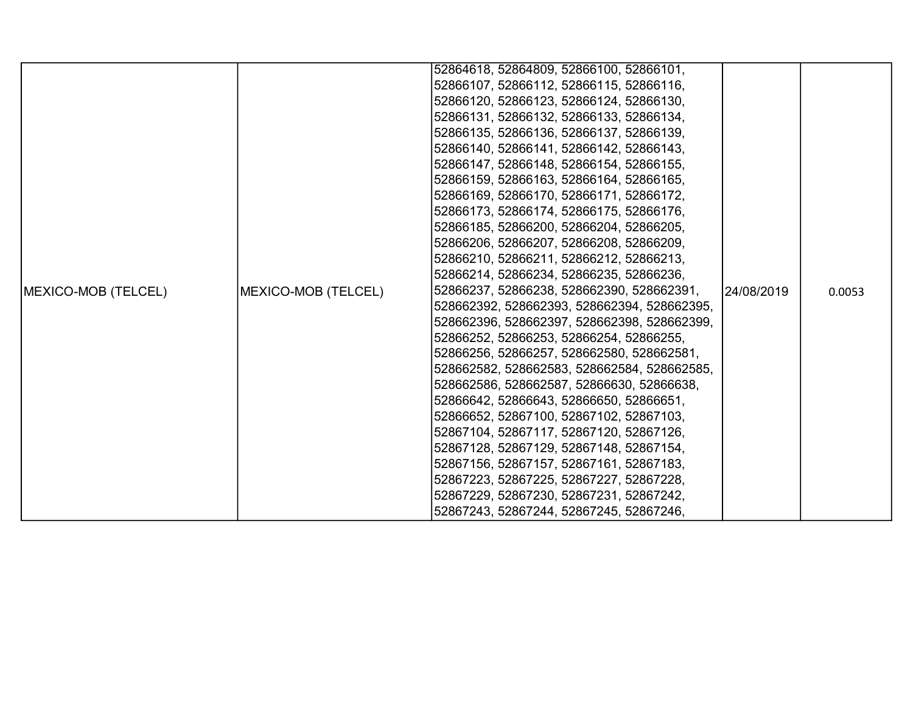|                             |                     | 52864618, 52864809, 52866100, 52866101,     |            |        |
|-----------------------------|---------------------|---------------------------------------------|------------|--------|
|                             |                     | 52866107, 52866112, 52866115, 52866116,     |            |        |
|                             |                     | 52866120, 52866123, 52866124, 52866130,     |            |        |
|                             |                     | 52866131, 52866132, 52866133, 52866134,     |            |        |
|                             |                     | 52866135, 52866136, 52866137, 52866139,     |            |        |
|                             |                     | 52866140, 52866141, 52866142, 52866143,     |            |        |
|                             |                     | 52866147, 52866148, 52866154, 52866155,     |            |        |
|                             |                     | 52866159, 52866163, 52866164, 52866165,     |            |        |
|                             |                     | 52866169, 52866170, 52866171, 52866172,     |            |        |
|                             |                     | 52866173, 52866174, 52866175, 52866176,     |            |        |
|                             |                     | 52866185, 52866200, 52866204, 52866205,     |            |        |
|                             |                     | 52866206, 52866207, 52866208, 52866209,     |            |        |
|                             |                     | 52866210, 52866211, 52866212, 52866213,     |            |        |
|                             |                     | 52866214, 52866234, 52866235, 52866236,     |            |        |
| <b>IMEXICO-MOB (TELCEL)</b> | MEXICO-MOB (TELCEL) | 52866237, 52866238, 528662390, 528662391,   | 24/08/2019 | 0.0053 |
|                             |                     | 528662392, 528662393, 528662394, 528662395, |            |        |
|                             |                     | 528662396, 528662397, 528662398, 528662399, |            |        |
|                             |                     | 52866252, 52866253, 52866254, 52866255,     |            |        |
|                             |                     | 52866256, 52866257, 528662580, 528662581,   |            |        |
|                             |                     | 528662582, 528662583, 528662584, 528662585, |            |        |
|                             |                     | 528662586, 528662587, 52866630, 52866638,   |            |        |
|                             |                     | 52866642, 52866643, 52866650, 52866651,     |            |        |
|                             |                     | 52866652, 52867100, 52867102, 52867103,     |            |        |
|                             |                     | 52867104, 52867117, 52867120, 52867126,     |            |        |
|                             |                     | 52867128, 52867129, 52867148, 52867154,     |            |        |
|                             |                     | 52867156, 52867157, 52867161, 52867183,     |            |        |
|                             |                     | 52867223, 52867225, 52867227, 52867228,     |            |        |
|                             |                     | 52867229, 52867230, 52867231, 52867242,     |            |        |
|                             |                     | 52867243, 52867244, 52867245, 52867246,     |            |        |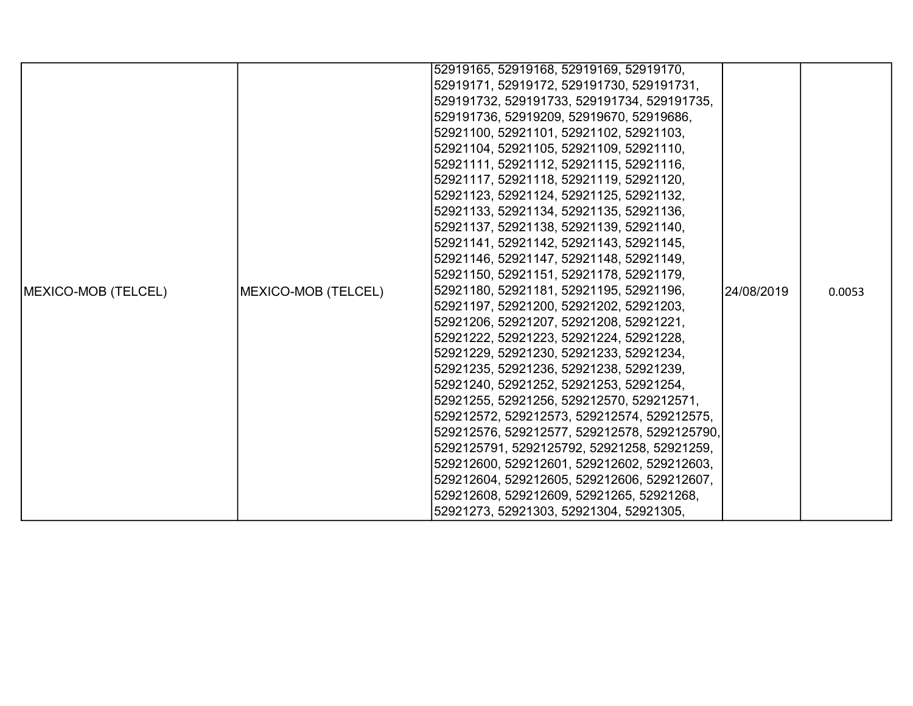|                     |                     | 52919165, 52919168, 52919169, 52919170,      |            |        |
|---------------------|---------------------|----------------------------------------------|------------|--------|
|                     |                     | 52919171, 52919172, 529191730, 529191731,    |            |        |
|                     |                     | 529191732, 529191733, 529191734, 529191735,  |            |        |
|                     |                     | 529191736, 52919209, 52919670, 52919686,     |            |        |
|                     |                     | 52921100, 52921101, 52921102, 52921103,      |            |        |
|                     |                     | 52921104, 52921105, 52921109, 52921110,      |            |        |
|                     |                     | 52921111, 52921112, 52921115, 52921116,      |            |        |
|                     |                     | 52921117, 52921118, 52921119, 52921120,      |            |        |
|                     |                     | 52921123, 52921124, 52921125, 52921132,      |            |        |
|                     |                     | 52921133, 52921134, 52921135, 52921136,      |            |        |
|                     |                     | 52921137, 52921138, 52921139, 52921140,      |            |        |
|                     |                     | 52921141, 52921142, 52921143, 52921145,      |            |        |
|                     |                     | 52921146, 52921147, 52921148, 52921149,      |            |        |
|                     |                     | 52921150, 52921151, 52921178, 52921179,      |            |        |
| MEXICO-MOB (TELCEL) | MEXICO-MOB (TELCEL) | 52921180, 52921181, 52921195, 52921196,      | 24/08/2019 | 0.0053 |
|                     |                     | 52921197, 52921200, 52921202, 52921203,      |            |        |
|                     |                     | 52921206, 52921207, 52921208, 52921221,      |            |        |
|                     |                     | 52921222, 52921223, 52921224, 52921228,      |            |        |
|                     |                     | 52921229, 52921230, 52921233, 52921234,      |            |        |
|                     |                     | 52921235, 52921236, 52921238, 52921239,      |            |        |
|                     |                     | 52921240, 52921252, 52921253, 52921254,      |            |        |
|                     |                     | 52921255, 52921256, 529212570, 529212571,    |            |        |
|                     |                     | 529212572, 529212573, 529212574, 529212575,  |            |        |
|                     |                     | 529212576, 529212577, 529212578, 5292125790, |            |        |
|                     |                     | 5292125791, 5292125792, 52921258, 52921259,  |            |        |
|                     |                     | 529212600, 529212601, 529212602, 529212603,  |            |        |
|                     |                     | 529212604, 529212605, 529212606, 529212607,  |            |        |
|                     |                     | 529212608, 529212609, 52921265, 52921268,    |            |        |
|                     |                     | 52921273, 52921303, 52921304, 52921305,      |            |        |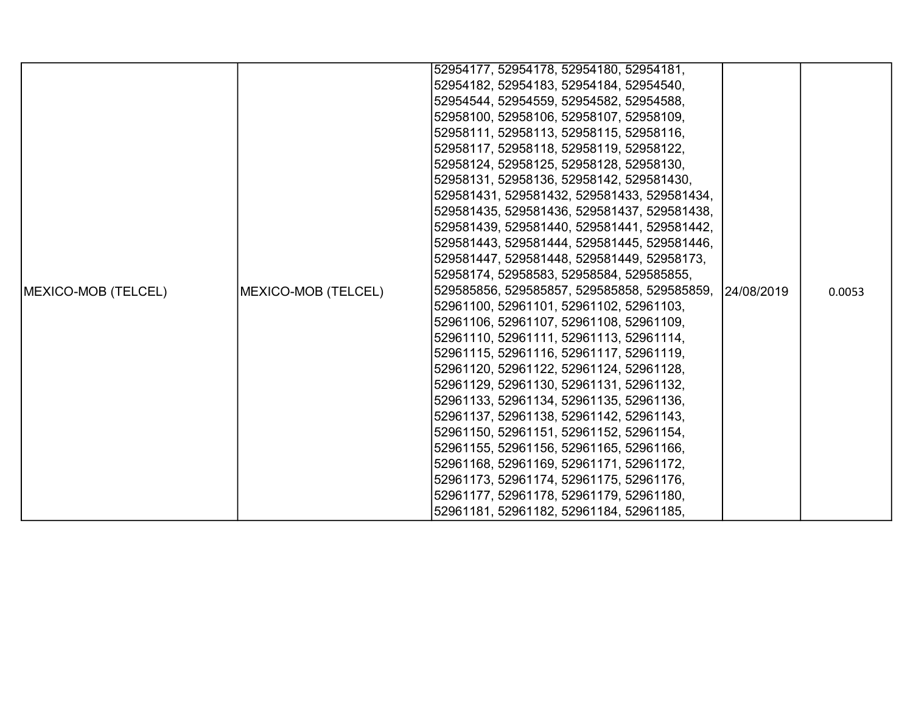|                            |                     | 52954177, 52954178, 52954180, 52954181,     |            |        |
|----------------------------|---------------------|---------------------------------------------|------------|--------|
|                            |                     | 52954182, 52954183, 52954184, 52954540,     |            |        |
|                            |                     | 52954544, 52954559, 52954582, 52954588,     |            |        |
|                            |                     | 52958100, 52958106, 52958107, 52958109,     |            |        |
|                            |                     | 52958111, 52958113, 52958115, 52958116,     |            |        |
|                            |                     | 52958117, 52958118, 52958119, 52958122,     |            |        |
|                            |                     | 52958124, 52958125, 52958128, 52958130,     |            |        |
|                            |                     | 52958131, 52958136, 52958142, 529581430,    |            |        |
|                            |                     | 529581431, 529581432, 529581433, 529581434, |            |        |
|                            |                     | 529581435, 529581436, 529581437, 529581438, |            |        |
|                            |                     | 529581439, 529581440, 529581441, 529581442, |            |        |
|                            |                     | 529581443, 529581444, 529581445, 529581446, |            |        |
|                            |                     | 529581447, 529581448, 529581449, 52958173,  |            |        |
|                            |                     | 52958174, 52958583, 52958584, 529585855,    |            |        |
| <b>MEXICO-MOB (TELCEL)</b> | MEXICO-MOB (TELCEL) | 529585856, 529585857, 529585858, 529585859, | 24/08/2019 | 0.0053 |
|                            |                     | 52961100, 52961101, 52961102, 52961103,     |            |        |
|                            |                     | 52961106, 52961107, 52961108, 52961109,     |            |        |
|                            |                     | 52961110, 52961111, 52961113, 52961114,     |            |        |
|                            |                     | 52961115, 52961116, 52961117, 52961119,     |            |        |
|                            |                     | 52961120, 52961122, 52961124, 52961128,     |            |        |
|                            |                     | 52961129, 52961130, 52961131, 52961132,     |            |        |
|                            |                     | 52961133, 52961134, 52961135, 52961136,     |            |        |
|                            |                     | 52961137, 52961138, 52961142, 52961143,     |            |        |
|                            |                     | 52961150, 52961151, 52961152, 52961154,     |            |        |
|                            |                     | 52961155, 52961156, 52961165, 52961166,     |            |        |
|                            |                     | 52961168, 52961169, 52961171, 52961172,     |            |        |
|                            |                     | 52961173, 52961174, 52961175, 52961176,     |            |        |
|                            |                     | 52961177, 52961178, 52961179, 52961180,     |            |        |
|                            |                     | 52961181, 52961182, 52961184, 52961185,     |            |        |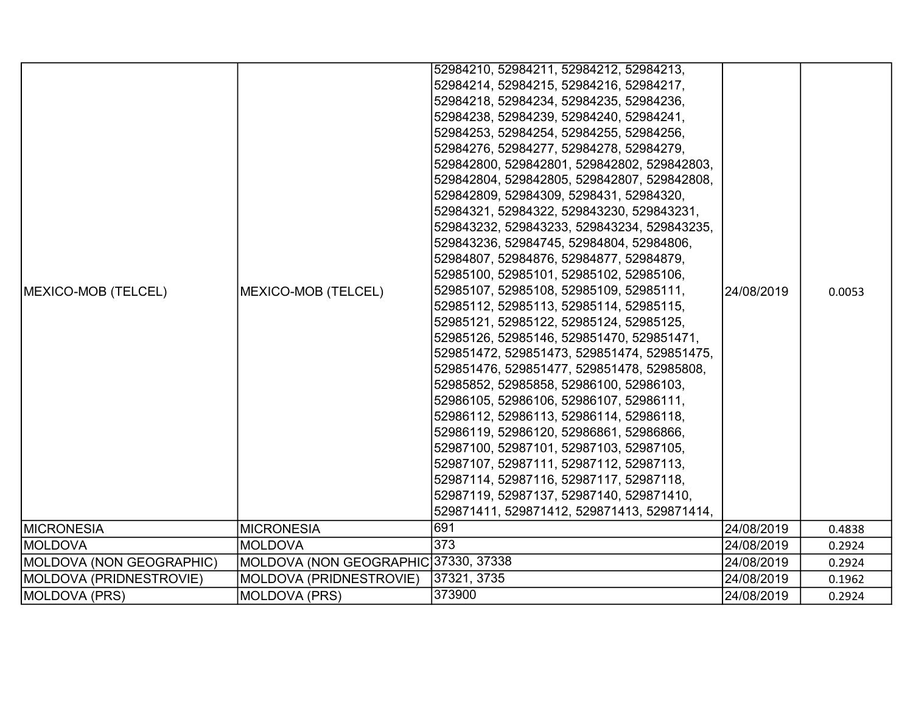|                            |                                          | 52984210, 52984211, 52984212, 52984213,     |            |        |
|----------------------------|------------------------------------------|---------------------------------------------|------------|--------|
|                            |                                          | 52984214, 52984215, 52984216, 52984217,     |            |        |
|                            |                                          | 52984218, 52984234, 52984235, 52984236,     |            |        |
|                            |                                          | 52984238, 52984239, 52984240, 52984241,     |            |        |
|                            |                                          | 52984253, 52984254, 52984255, 52984256,     |            |        |
|                            |                                          | 52984276, 52984277, 52984278, 52984279,     |            |        |
|                            |                                          | 529842800, 529842801, 529842802, 529842803, |            |        |
|                            |                                          | 529842804, 529842805, 529842807, 529842808, |            |        |
|                            |                                          | 529842809, 52984309, 5298431, 52984320,     |            |        |
|                            |                                          | 52984321, 52984322, 529843230, 529843231,   |            |        |
|                            |                                          | 529843232, 529843233, 529843234, 529843235, |            |        |
|                            | 529843236, 52984745, 52984804, 52984806, |                                             |            |        |
|                            |                                          | 52984807, 52984876, 52984877, 52984879,     |            |        |
|                            |                                          | 52985100, 52985101, 52985102, 52985106,     |            |        |
| <b>MEXICO-MOB (TELCEL)</b> | MEXICO-MOB (TELCEL)                      | 52985107, 52985108, 52985109, 52985111,     | 24/08/2019 | 0.0053 |
|                            |                                          | 52985112, 52985113, 52985114, 52985115,     |            |        |
|                            |                                          | 52985121, 52985122, 52985124, 52985125,     |            |        |
|                            |                                          | 52985126, 52985146, 529851470, 529851471,   |            |        |
|                            |                                          | 529851472, 529851473, 529851474, 529851475, |            |        |
|                            |                                          | 529851476, 529851477, 529851478, 52985808,  |            |        |
|                            |                                          | 52985852, 52985858, 52986100, 52986103,     |            |        |
|                            |                                          | 52986105, 52986106, 52986107, 52986111,     |            |        |
|                            |                                          | 52986112, 52986113, 52986114, 52986118,     |            |        |
|                            |                                          | 52986119, 52986120, 52986861, 52986866,     |            |        |
|                            |                                          | 52987100, 52987101, 52987103, 52987105,     |            |        |
|                            |                                          | 52987107, 52987111, 52987112, 52987113,     |            |        |
|                            |                                          | 52987114, 52987116, 52987117, 52987118,     |            |        |
|                            |                                          | 52987119, 52987137, 52987140, 529871410,    |            |        |
|                            |                                          | 529871411, 529871412, 529871413, 529871414, |            |        |
| <b>MICRONESIA</b>          | <b>MICRONESIA</b>                        | 691                                         | 24/08/2019 | 0.4838 |
| <b>MOLDOVA</b>             | <b>MOLDOVA</b>                           | 373                                         | 24/08/2019 | 0.2924 |
| MOLDOVA (NON GEOGRAPHIC)   | MOLDOVA (NON GEOGRAPHIC 37330, 37338     |                                             | 24/08/2019 | 0.2924 |
| MOLDOVA (PRIDNESTROVIE)    | MOLDOVA (PRIDNESTROVIE)                  | 37321, 3735                                 | 24/08/2019 | 0.1962 |
| MOLDOVA (PRS)              | <b>MOLDOVA (PRS)</b>                     | 373900                                      | 24/08/2019 | 0.2924 |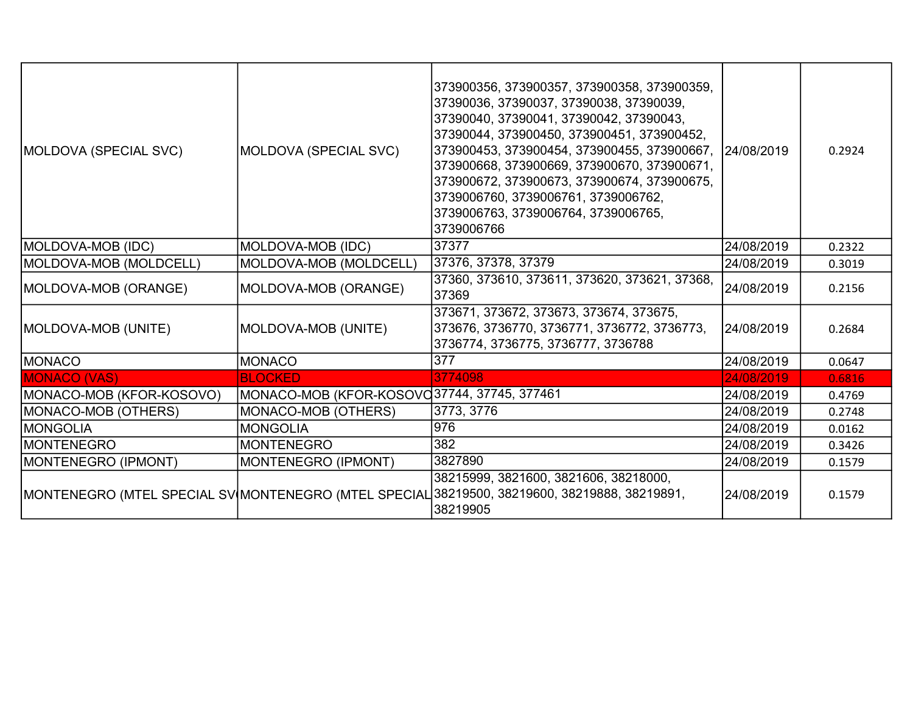| MOLDOVA (SPECIAL SVC)    | MOLDOVA (SPECIAL SVC)                       | 373900356, 373900357, 373900358, 373900359,<br>37390036, 37390037, 37390038, 37390039,<br>37390040, 37390041, 37390042, 37390043,<br>37390044, 373900450, 373900451, 373900452,<br>373900453, 373900454, 373900455, 373900667, 24/08/2019<br>373900668, 373900669, 373900670, 373900671,<br>373900672, 373900673, 373900674, 373900675,<br>3739006760, 3739006761, 3739006762,<br>3739006763, 3739006764, 3739006765,<br>3739006766 |            | 0.2924 |
|--------------------------|---------------------------------------------|-------------------------------------------------------------------------------------------------------------------------------------------------------------------------------------------------------------------------------------------------------------------------------------------------------------------------------------------------------------------------------------------------------------------------------------|------------|--------|
| MOLDOVA-MOB (IDC)        | MOLDOVA-MOB (IDC)                           | 37377                                                                                                                                                                                                                                                                                                                                                                                                                               | 24/08/2019 | 0.2322 |
| MOLDOVA-MOB (MOLDCELL)   | MOLDOVA-MOB (MOLDCELL)                      | 37376, 37378, 37379                                                                                                                                                                                                                                                                                                                                                                                                                 | 24/08/2019 | 0.3019 |
| MOLDOVA-MOB (ORANGE)     | MOLDOVA-MOB (ORANGE)                        | 37360, 373610, 373611, 373620, 373621, 37368,<br>37369                                                                                                                                                                                                                                                                                                                                                                              | 24/08/2019 | 0.2156 |
| MOLDOVA-MOB (UNITE)      | MOLDOVA-MOB (UNITE)                         | 373671, 373672, 373673, 373674, 373675,<br>373676, 3736770, 3736771, 3736772, 3736773,<br>3736774, 3736775, 3736777, 3736788                                                                                                                                                                                                                                                                                                        | 24/08/2019 | 0.2684 |
| MONACO                   | <b>MONACO</b>                               | $\overline{377}$                                                                                                                                                                                                                                                                                                                                                                                                                    | 24/08/2019 | 0.0647 |
| <b>MONACO (VAS)</b>      | <b>BLOCKED</b>                              | 3774098                                                                                                                                                                                                                                                                                                                                                                                                                             | 24/08/2019 | 0.6816 |
| MONACO-MOB (KFOR-KOSOVO) | MONACO-MOB (KFOR-KOSOVC37744, 37745, 377461 |                                                                                                                                                                                                                                                                                                                                                                                                                                     | 24/08/2019 | 0.4769 |
| MONACO-MOB (OTHERS)      | MONACO-MOB (OTHERS)                         | 3773, 3776                                                                                                                                                                                                                                                                                                                                                                                                                          | 24/08/2019 | 0.2748 |
| <b>MONGOLIA</b>          | <b>MONGOLIA</b>                             | 976                                                                                                                                                                                                                                                                                                                                                                                                                                 | 24/08/2019 | 0.0162 |
| <b>MONTENEGRO</b>        | <b>MONTENEGRO</b>                           | 382                                                                                                                                                                                                                                                                                                                                                                                                                                 | 24/08/2019 | 0.3426 |
| MONTENEGRO (IPMONT)      | MONTENEGRO (IPMONT)                         | 3827890                                                                                                                                                                                                                                                                                                                                                                                                                             | 24/08/2019 | 0.1579 |
|                          |                                             | 38215999, 3821600, 3821606, 38218000,<br>MONTENEGRO (MTEL SPECIAL SV MONTENEGRO (MTEL SPECIAL 38219500, 38219600, 38219888, 38219891,<br>38219905                                                                                                                                                                                                                                                                                   | 24/08/2019 | 0.1579 |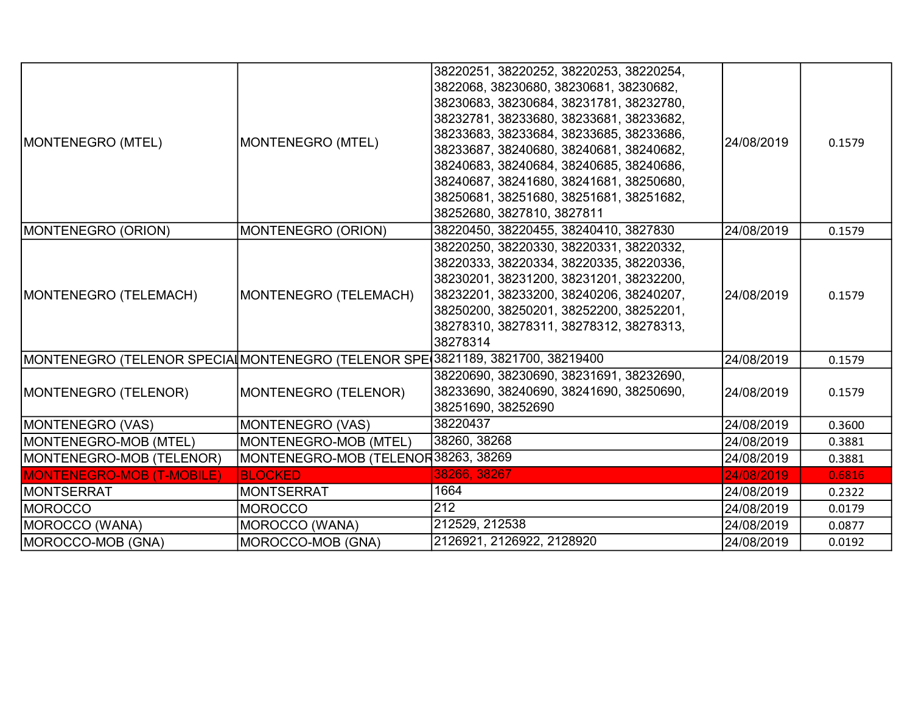| MONTENEGRO (MTEL)                                                             | MONTENEGRO (MTEL)                   | 38220251, 38220252, 38220253, 38220254,<br>3822068, 38230680, 38230681, 38230682,<br>38230683, 38230684, 38231781, 38232780,<br>38232781, 38233680, 38233681, 38233682,<br>38233683, 38233684, 38233685, 38233686,<br>38233687, 38240680, 38240681, 38240682,<br>38240683, 38240684, 38240685, 38240686,<br>38240687, 38241680, 38241681, 38250680,<br>38250681, 38251680, 38251681, 38251682,<br>38252680, 3827810, 3827811 | 24/08/2019 | 0.1579 |
|-------------------------------------------------------------------------------|-------------------------------------|------------------------------------------------------------------------------------------------------------------------------------------------------------------------------------------------------------------------------------------------------------------------------------------------------------------------------------------------------------------------------------------------------------------------------|------------|--------|
| MONTENEGRO (ORION)                                                            | MONTENEGRO (ORION)                  | 38220450, 38220455, 38240410, 3827830                                                                                                                                                                                                                                                                                                                                                                                        | 24/08/2019 | 0.1579 |
| MONTENEGRO (TELEMACH)                                                         | MONTENEGRO (TELEMACH)               | 38220250, 38220330, 38220331, 38220332,<br>38220333, 38220334, 38220335, 38220336,<br>38230201, 38231200, 38231201, 38232200,<br>38232201, 38233200, 38240206, 38240207,<br>38250200, 38250201, 38252200, 38252201,<br>38278310, 38278311, 38278312, 38278313,<br>38278314                                                                                                                                                   | 24/08/2019 | 0.1579 |
| MONTENEGRO (TELENOR SPECIA MONTENEGRO (TELENOR SPE 3821189, 3821700, 38219400 |                                     |                                                                                                                                                                                                                                                                                                                                                                                                                              | 24/08/2019 | 0.1579 |
| MONTENEGRO (TELENOR)                                                          | MONTENEGRO (TELENOR)                | 38220690, 38230690, 38231691, 38232690,<br>38233690, 38240690, 38241690, 38250690,<br>38251690, 38252690                                                                                                                                                                                                                                                                                                                     | 24/08/2019 | 0.1579 |
| MONTENEGRO (VAS)                                                              | <b>MONTENEGRO (VAS)</b>             | 38220437                                                                                                                                                                                                                                                                                                                                                                                                                     | 24/08/2019 | 0.3600 |
| MONTENEGRO-MOB (MTEL)                                                         | MONTENEGRO-MOB (MTEL)               | 38260, 38268                                                                                                                                                                                                                                                                                                                                                                                                                 | 24/08/2019 | 0.3881 |
| MONTENEGRO-MOB (TELENOR)                                                      | MONTENEGRO-MOB (TELENOR38263, 38269 |                                                                                                                                                                                                                                                                                                                                                                                                                              | 24/08/2019 | 0.3881 |
| <b>MONTENEGRO-MOB (T-MOBILE)</b>                                              | <b>BLOCKED</b>                      | 38266, 38267                                                                                                                                                                                                                                                                                                                                                                                                                 | 24/08/2019 | 0.6816 |
| <b>MONTSERRAT</b>                                                             | <b>MONTSERRAT</b>                   | 1664                                                                                                                                                                                                                                                                                                                                                                                                                         | 24/08/2019 | 0.2322 |
| IMOROCCO                                                                      | <b>MOROCCO</b>                      | 212                                                                                                                                                                                                                                                                                                                                                                                                                          | 24/08/2019 | 0.0179 |
| MOROCCO (WANA)                                                                | MOROCCO (WANA)                      | 212529, 212538                                                                                                                                                                                                                                                                                                                                                                                                               | 24/08/2019 | 0.0877 |
| MOROCCO-MOB (GNA)                                                             | MOROCCO-MOB (GNA)                   | 2126921, 2126922, 2128920                                                                                                                                                                                                                                                                                                                                                                                                    | 24/08/2019 | 0.0192 |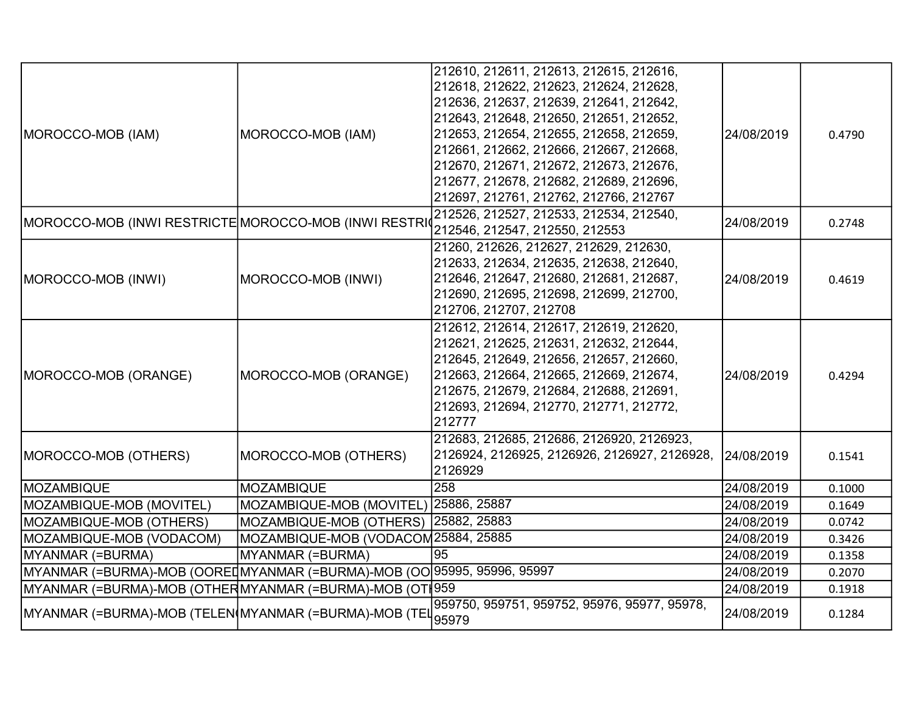| MOROCCO-MOB (IAM)                                                        | MOROCCO-MOB (IAM)                     | 212610, 212611, 212613, 212615, 212616,<br>212618, 212622, 212623, 212624, 212628,<br>212636, 212637, 212639, 212641, 212642,<br>212643, 212648, 212650, 212651, 212652,<br>212653, 212654, 212655, 212658, 212659,<br>212661, 212662, 212666, 212667, 212668,<br>212670, 212671, 212672, 212673, 212676,<br>212677, 212678, 212682, 212689, 212696,<br>212697, 212761, 212762, 212766, 212767 | 24/08/2019 | 0.4790 |
|--------------------------------------------------------------------------|---------------------------------------|------------------------------------------------------------------------------------------------------------------------------------------------------------------------------------------------------------------------------------------------------------------------------------------------------------------------------------------------------------------------------------------------|------------|--------|
| MOROCCO-MOB (INWI RESTRICTE MOROCCO-MOB (INWI RESTRI                     |                                       | 212526, 212527, 212533, 212534, 212540,<br>212546, 212547, 212550, 212553                                                                                                                                                                                                                                                                                                                      | 24/08/2019 | 0.2748 |
| MOROCCO-MOB (INWI)                                                       | MOROCCO-MOB (INWI)                    | 21260, 212626, 212627, 212629, 212630,<br>212633, 212634, 212635, 212638, 212640,<br>212646, 212647, 212680, 212681, 212687,<br>212690, 212695, 212698, 212699, 212700,<br>212706, 212707, 212708                                                                                                                                                                                              | 24/08/2019 | 0.4619 |
| MOROCCO-MOB (ORANGE)                                                     | MOROCCO-MOB (ORANGE)                  | 212612, 212614, 212617, 212619, 212620,<br>212621, 212625, 212631, 212632, 212644,<br>212645, 212649, 212656, 212657, 212660,<br>212663, 212664, 212665, 212669, 212674,<br>212675, 212679, 212684, 212688, 212691,<br>212693, 212694, 212770, 212771, 212772,<br>212777                                                                                                                       | 24/08/2019 | 0.4294 |
| MOROCCO-MOB (OTHERS)                                                     | MOROCCO-MOB (OTHERS)                  | 212683, 212685, 212686, 2126920, 2126923,<br>2126924, 2126925, 2126926, 2126927, 2126928,<br>2126929                                                                                                                                                                                                                                                                                           | 24/08/2019 | 0.1541 |
| MOZAMBIQUE                                                               | <b>MOZAMBIQUE</b>                     | 258                                                                                                                                                                                                                                                                                                                                                                                            | 24/08/2019 | 0.1000 |
| MOZAMBIQUE-MOB (MOVITEL)                                                 | MOZAMBIQUE-MOB (MOVITEL) 25886, 25887 |                                                                                                                                                                                                                                                                                                                                                                                                | 24/08/2019 | 0.1649 |
| MOZAMBIQUE-MOB (OTHERS)                                                  | MOZAMBIQUE-MOB (OTHERS)               | 25882, 25883                                                                                                                                                                                                                                                                                                                                                                                   | 24/08/2019 | 0.0742 |
| MOZAMBIQUE-MOB (VODACOM)                                                 | MOZAMBIQUE-MOB (VODACOM25884, 25885   |                                                                                                                                                                                                                                                                                                                                                                                                | 24/08/2019 | 0.3426 |
| MYANMAR (=BURMA)                                                         | MYANMAR (=BURMA)                      | 95                                                                                                                                                                                                                                                                                                                                                                                             | 24/08/2019 | 0.1358 |
| MYANMAR (=BURMA)-MOB (OOREI MYANMAR (=BURMA)-MOB (OO 95995, 95996, 95997 |                                       |                                                                                                                                                                                                                                                                                                                                                                                                | 24/08/2019 | 0.2070 |
| MYANMAR (=BURMA)-MOB (OTHERMYANMAR (=BURMA)-MOB (OT∦959                  |                                       |                                                                                                                                                                                                                                                                                                                                                                                                | 24/08/2019 | 0.1918 |
| MYANMAR (=BURMA)-MOB (TELEN(MYANMAR (=BURMA)-MOB (TEL                    |                                       | 959750, 959751, 959752, 95976, 95977, 95978,<br>95979                                                                                                                                                                                                                                                                                                                                          | 24/08/2019 | 0.1284 |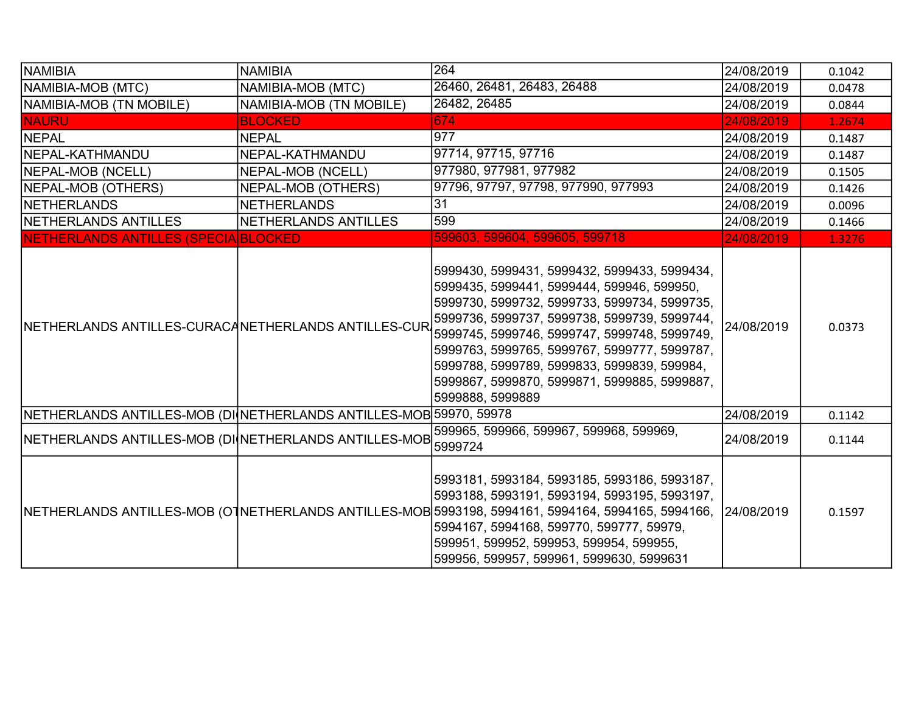| NAMIBIA                                                            | <b>NAMIBIA</b>               | 264                                                                                                                                                                                                                                                                                                                                                                                                           | 24/08/2019 | 0.1042 |
|--------------------------------------------------------------------|------------------------------|---------------------------------------------------------------------------------------------------------------------------------------------------------------------------------------------------------------------------------------------------------------------------------------------------------------------------------------------------------------------------------------------------------------|------------|--------|
| NAMIBIA-MOB (MTC)                                                  | NAMIBIA-MOB (MTC)            | 26460, 26481, 26483, 26488                                                                                                                                                                                                                                                                                                                                                                                    | 24/08/2019 | 0.0478 |
| NAMIBIA-MOB (TN MOBILE)                                            | NAMIBIA-MOB (TN MOBILE)      | 26482, 26485                                                                                                                                                                                                                                                                                                                                                                                                  | 24/08/2019 | 0.0844 |
| <b>NAURU</b>                                                       | <b>BLOCKED</b>               | 674                                                                                                                                                                                                                                                                                                                                                                                                           | 24/08/2019 | 1.2674 |
| NEPAL                                                              | <b>NEPAL</b>                 | 977                                                                                                                                                                                                                                                                                                                                                                                                           | 24/08/2019 | 0.1487 |
| NEPAL-KATHMANDU                                                    | NEPAL-KATHMANDU              | 97714, 97715, 97716                                                                                                                                                                                                                                                                                                                                                                                           | 24/08/2019 | 0.1487 |
| NEPAL-MOB (NCELL)                                                  | NEPAL-MOB (NCELL)            | 977980, 977981, 977982                                                                                                                                                                                                                                                                                                                                                                                        | 24/08/2019 | 0.1505 |
| NEPAL-MOB (OTHERS)                                                 | NEPAL-MOB (OTHERS)           | 97796, 97797, 97798, 977990, 977993                                                                                                                                                                                                                                                                                                                                                                           | 24/08/2019 | 0.1426 |
| <b>INETHERLANDS</b>                                                | <b>NETHERLANDS</b>           | 31                                                                                                                                                                                                                                                                                                                                                                                                            | 24/08/2019 | 0.0096 |
| <b>INETHERLANDS ANTILLES</b>                                       | <b>INETHERLANDS ANTILLES</b> | 599                                                                                                                                                                                                                                                                                                                                                                                                           | 24/08/2019 | 0.1466 |
| NETHERLANDS ANTILLES (SPECIA BLOCKED                               |                              | 599603, 599604, 599605, 599718                                                                                                                                                                                                                                                                                                                                                                                | 24/08/2019 | 1.3276 |
| NETHERLANDS ANTILLES-CURACANETHERLANDS ANTILLES-CUR                |                              | 5999430, 5999431, 5999432, 5999433, 5999434,<br>5999435, 5999441, 5999444, 599946, 599950,<br>5999730, 5999732, 5999733, 5999734, 5999735,<br>5999736, 5999737, 5999738, 5999739, 5999744,<br>5999745, 5999746, 5999747, 5999748, 5999749,<br>5999763, 5999765, 5999767, 5999777, 5999787,<br>5999788, 5999789, 5999833, 5999839, 599984,<br>5999867, 5999870, 5999871, 5999885, 5999887,<br>5999888, 5999889 | 24/08/2019 | 0.0373 |
| NETHERLANDS ANTILLES-MOB (DI NETHERLANDS ANTILLES-MOB 59970, 59978 |                              |                                                                                                                                                                                                                                                                                                                                                                                                               | 24/08/2019 | 0.1142 |
| NETHERLANDS ANTILLES-MOB (DI NETHERLANDS ANTILLES-MOB 5999724      |                              | 599965, 599966, 599967, 599968, 599969,                                                                                                                                                                                                                                                                                                                                                                       | 24/08/2019 | 0.1144 |
|                                                                    |                              | 5993181, 5993184, 5993185, 5993186, 5993187,<br>5993188, 5993191, 5993194, 5993195, 5993197,<br>NETHERLANDS ANTILLES-MOB (OTNETHERLANDS ANTILLES-MOB 5993198, 5994161, 5994164, 5994165, 5994166, 24/08/2019<br>5994167, 5994168, 599770, 599777, 59979,<br>599951, 599952, 599953, 599954, 599955,<br>599956, 599957, 599961, 5999630, 5999631                                                               |            | 0.1597 |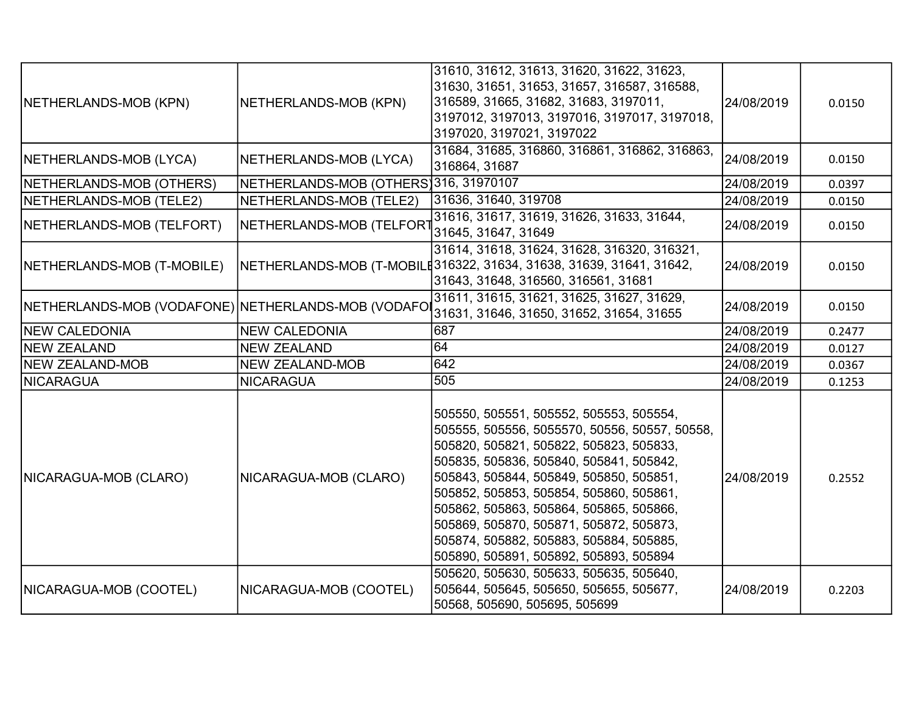| NETHERLANDS-MOB (KPN)                              | NETHERLANDS-MOB (KPN)                  | 31610, 31612, 31613, 31620, 31622, 31623,<br>31630, 31651, 31653, 31657, 316587, 316588,<br>316589, 31665, 31682, 31683, 3197011,<br>3197012, 3197013, 3197016, 3197017, 3197018,<br>3197020, 3197021, 3197022                                                                                                                                                                                                                                  | 24/08/2019 | 0.0150 |
|----------------------------------------------------|----------------------------------------|-------------------------------------------------------------------------------------------------------------------------------------------------------------------------------------------------------------------------------------------------------------------------------------------------------------------------------------------------------------------------------------------------------------------------------------------------|------------|--------|
| NETHERLANDS-MOB (LYCA)                             | NETHERLANDS-MOB (LYCA)                 | 31684, 31685, 316860, 316861, 316862, 316863,<br>316864, 31687                                                                                                                                                                                                                                                                                                                                                                                  | 24/08/2019 | 0.0150 |
| NETHERLANDS-MOB (OTHERS)                           | NETHERLANDS-MOB (OTHERS) 316, 31970107 |                                                                                                                                                                                                                                                                                                                                                                                                                                                 | 24/08/2019 | 0.0397 |
| NETHERLANDS-MOB (TELE2)                            | NETHERLANDS-MOB (TELE2)                | 31636, 31640, 319708                                                                                                                                                                                                                                                                                                                                                                                                                            | 24/08/2019 | 0.0150 |
| NETHERLANDS-MOB (TELFORT)                          | NETHERLANDS-MOB (TELFORT               | 31616, 31617, 31619, 31626, 31633, 31644,<br>31645, 31647, 31649                                                                                                                                                                                                                                                                                                                                                                                | 24/08/2019 | 0.0150 |
| NETHERLANDS-MOB (T-MOBILE)                         |                                        | 31614, 31618, 31624, 31628, 316320, 316321,<br>NETHERLANDS-MOB (T-MOBILE316322, 31634, 31638, 31639, 31641, 31642,<br>31643, 31648, 316560, 316561, 31681                                                                                                                                                                                                                                                                                       | 24/08/2019 | 0.0150 |
| NETHERLANDS-MOB (VODAFONE) NETHERLANDS-MOB (VODAFO |                                        | 31611, 31615, 31621, 31625, 31627, 31629,<br>31631, 31646, 31650, 31652, 31654, 31655                                                                                                                                                                                                                                                                                                                                                           | 24/08/2019 | 0.0150 |
| <b>NEW CALEDONIA</b>                               | <b>NEW CALEDONIA</b>                   | 687                                                                                                                                                                                                                                                                                                                                                                                                                                             | 24/08/2019 | 0.2477 |
| NEW ZEALAND                                        | <b>NEW ZEALAND</b>                     | 64                                                                                                                                                                                                                                                                                                                                                                                                                                              | 24/08/2019 | 0.0127 |
| NEW ZEALAND-MOB                                    | <b>NEW ZEALAND-MOB</b>                 | $\overline{642}$                                                                                                                                                                                                                                                                                                                                                                                                                                | 24/08/2019 | 0.0367 |
| NICARAGUA                                          | <b>NICARAGUA</b>                       | 505                                                                                                                                                                                                                                                                                                                                                                                                                                             | 24/08/2019 | 0.1253 |
| NICARAGUA-MOB (CLARO)                              | NICARAGUA-MOB (CLARO)                  | 505550, 505551, 505552, 505553, 505554,<br>505555, 505556, 5055570, 50556, 50557, 50558,<br>505820, 505821, 505822, 505823, 505833,<br>505835, 505836, 505840, 505841, 505842,<br>505843, 505844, 505849, 505850, 505851,<br>505852, 505853, 505854, 505860, 505861,<br>505862, 505863, 505864, 505865, 505866,<br>505869, 505870, 505871, 505872, 505873,<br>505874, 505882, 505883, 505884, 505885,<br>505890, 505891, 505892, 505893, 505894 | 24/08/2019 | 0.2552 |
| NICARAGUA-MOB (COOTEL)                             | NICARAGUA-MOB (COOTEL)                 | 505620, 505630, 505633, 505635, 505640,<br>505644, 505645, 505650, 505655, 505677,<br>50568, 505690, 505695, 505699                                                                                                                                                                                                                                                                                                                             | 24/08/2019 | 0.2203 |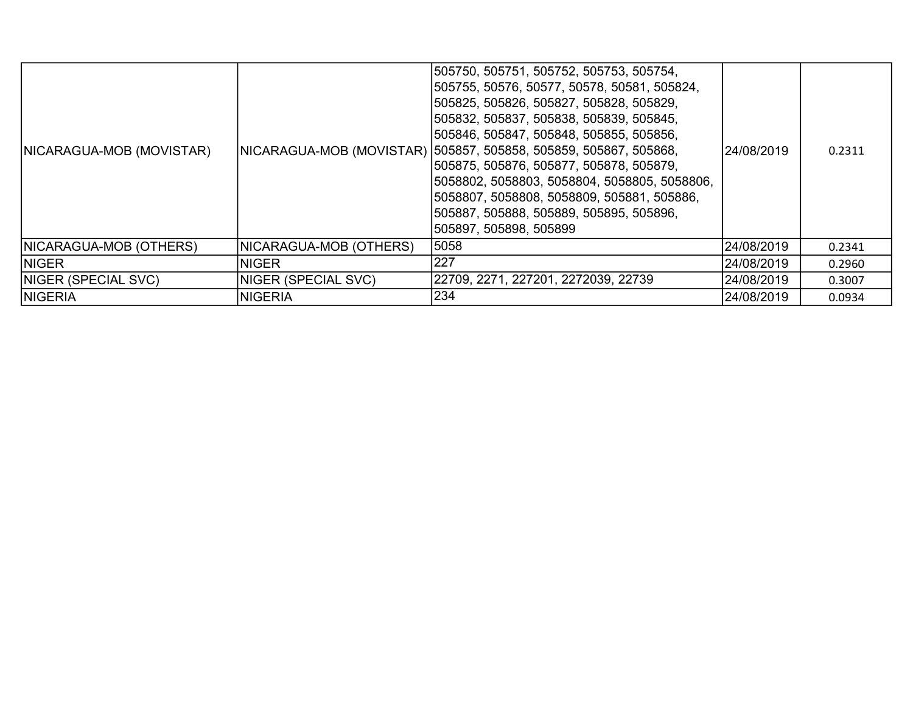| NICARAGUA-MOB (MOVISTAR)   |                        | 505750, 505751, 505752, 505753, 505754,<br>505755, 50576, 50577, 50578, 50581, 505824,<br> 505825, 505826, 505827, 505828, 505829,<br> 505832, 505837, 505838, 505839, 505845,<br> 505846, 505847, 505848, 505855, 505856,<br> NICARAGUA-MOB (MOVISTAR)  505857, 505858, 505859, 505867, 505868,<br> 505875, 505876, 505877, 505878, 505879,<br>5058802, 5058803, 5058804, 5058805, 5058806,<br> 5058807, 5058808, 5058809, 505881, 505886,<br> 505887, 505888, 505889, 505895, 505896,<br> 505897, 505898, 505899 | 24/08/2019 | 0.2311 |
|----------------------------|------------------------|--------------------------------------------------------------------------------------------------------------------------------------------------------------------------------------------------------------------------------------------------------------------------------------------------------------------------------------------------------------------------------------------------------------------------------------------------------------------------------------------------------------------|------------|--------|
| NICARAGUA-MOB (OTHERS)     | NICARAGUA-MOB (OTHERS) | 5058                                                                                                                                                                                                                                                                                                                                                                                                                                                                                                               | 24/08/2019 | 0.2341 |
| <b>INIGER</b>              | <b>NIGER</b>           | 227                                                                                                                                                                                                                                                                                                                                                                                                                                                                                                                | 24/08/2019 | 0.2960 |
| <b>NIGER (SPECIAL SVC)</b> | NIGER (SPECIAL SVC)    | 22709, 2271, 227201, 2272039, 22739                                                                                                                                                                                                                                                                                                                                                                                                                                                                                | 24/08/2019 | 0.3007 |
| <b>NIGERIA</b>             | <b>NIGERIA</b>         | 234                                                                                                                                                                                                                                                                                                                                                                                                                                                                                                                | 24/08/2019 | 0.0934 |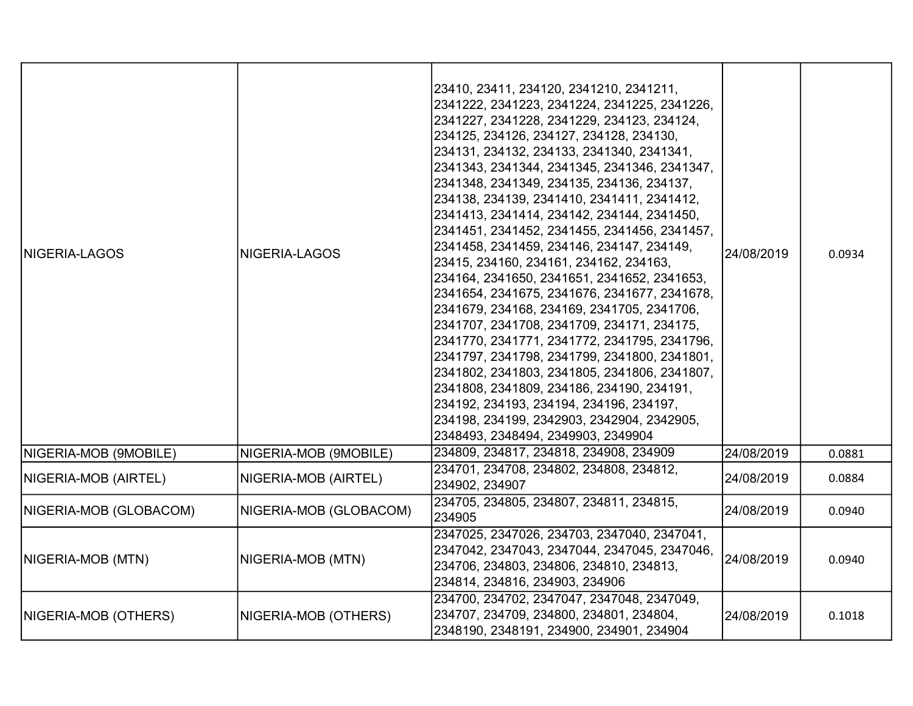| <b>NIGERIA-LAGOS</b>   | NIGERIA-LAGOS          | 23410, 23411, 234120, 2341210, 2341211,<br>2341222, 2341223, 2341224, 2341225, 2341226,<br>2341227, 2341228, 2341229, 234123, 234124,<br>234125, 234126, 234127, 234128, 234130,<br>234131, 234132, 234133, 2341340, 2341341,<br>2341343, 2341344, 2341345, 2341346, 2341347,<br>2341348, 2341349, 234135, 234136, 234137,<br>234138, 234139, 2341410, 2341411, 2341412,<br>2341413, 2341414, 234142, 234144, 2341450,<br>2341451, 2341452, 2341455, 2341456, 2341457,<br>2341458, 2341459, 234146, 234147, 234149,<br>23415, 234160, 234161, 234162, 234163,<br>234164, 2341650, 2341651, 2341652, 2341653,<br>2341654, 2341675, 2341676, 2341677, 2341678,<br>2341679, 234168, 234169, 2341705, 2341706,<br>2341707, 2341708, 2341709, 234171, 234175,<br>2341770, 2341771, 2341772, 2341795, 2341796,<br>2341797, 2341798, 2341799, 2341800, 2341801,<br>2341802, 2341803, 2341805, 2341806, 2341807,<br>2341808, 2341809, 234186, 234190, 234191,<br>234192, 234193, 234194, 234196, 234197,<br>234198, 234199, 2342903, 2342904, 2342905,<br>2348493, 2348494, 2349903, 2349904 | 24/08/2019 | 0.0934 |
|------------------------|------------------------|--------------------------------------------------------------------------------------------------------------------------------------------------------------------------------------------------------------------------------------------------------------------------------------------------------------------------------------------------------------------------------------------------------------------------------------------------------------------------------------------------------------------------------------------------------------------------------------------------------------------------------------------------------------------------------------------------------------------------------------------------------------------------------------------------------------------------------------------------------------------------------------------------------------------------------------------------------------------------------------------------------------------------------------------------------------------------------------|------------|--------|
| NIGERIA-MOB (9MOBILE)  | NIGERIA-MOB (9MOBILE)  | 234809, 234817, 234818, 234908, 234909                                                                                                                                                                                                                                                                                                                                                                                                                                                                                                                                                                                                                                                                                                                                                                                                                                                                                                                                                                                                                                               | 24/08/2019 | 0.0881 |
| NIGERIA-MOB (AIRTEL)   | NIGERIA-MOB (AIRTEL)   | 234701, 234708, 234802, 234808, 234812,<br>234902, 234907                                                                                                                                                                                                                                                                                                                                                                                                                                                                                                                                                                                                                                                                                                                                                                                                                                                                                                                                                                                                                            | 24/08/2019 | 0.0884 |
| NIGERIA-MOB (GLOBACOM) | NIGERIA-MOB (GLOBACOM) | 234705, 234805, 234807, 234811, 234815,<br>234905                                                                                                                                                                                                                                                                                                                                                                                                                                                                                                                                                                                                                                                                                                                                                                                                                                                                                                                                                                                                                                    | 24/08/2019 | 0.0940 |
| NIGERIA-MOB (MTN)      | NIGERIA-MOB (MTN)      | 2347025, 2347026, 234703, 2347040, 2347041,<br>2347042, 2347043, 2347044, 2347045, 2347046,<br>234706, 234803, 234806, 234810, 234813,<br>234814, 234816, 234903, 234906                                                                                                                                                                                                                                                                                                                                                                                                                                                                                                                                                                                                                                                                                                                                                                                                                                                                                                             | 24/08/2019 | 0.0940 |
| NIGERIA-MOB (OTHERS)   | NIGERIA-MOB (OTHERS)   | 234700, 234702, 2347047, 2347048, 2347049,<br>234707, 234709, 234800, 234801, 234804,<br>2348190, 2348191, 234900, 234901, 234904                                                                                                                                                                                                                                                                                                                                                                                                                                                                                                                                                                                                                                                                                                                                                                                                                                                                                                                                                    | 24/08/2019 | 0.1018 |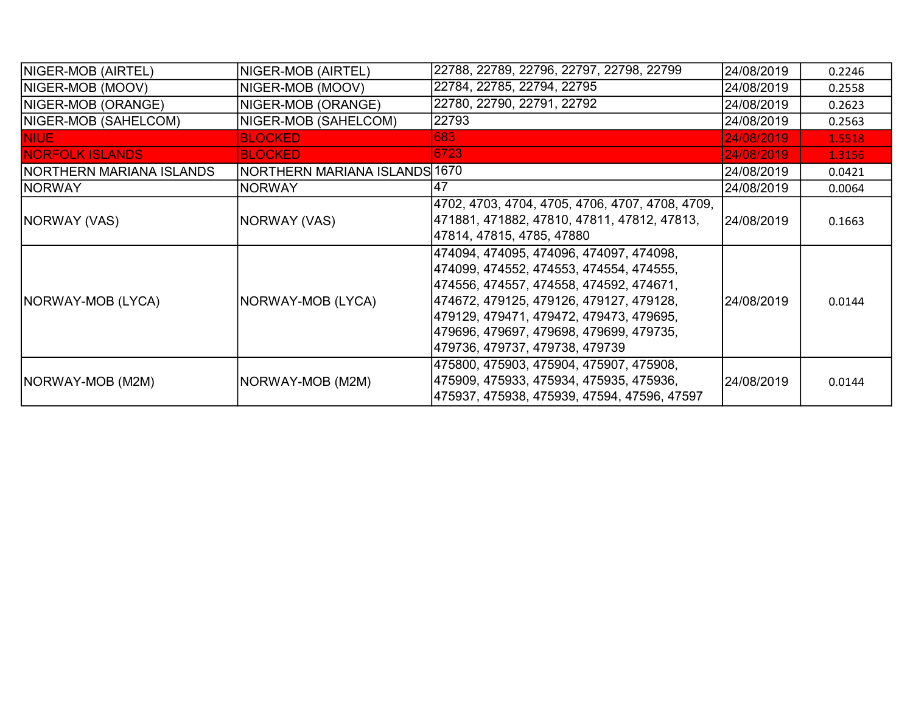| NIGER-MOB (AIRTEL)               | NIGER-MOB (AIRTEL)            | 22788, 22789, 22796, 22797, 22798, 22799                                                                                                                                                                                                                                                              | 24/08/2019 | 0.2246 |
|----------------------------------|-------------------------------|-------------------------------------------------------------------------------------------------------------------------------------------------------------------------------------------------------------------------------------------------------------------------------------------------------|------------|--------|
| NIGER-MOB (MOOV)                 | NIGER-MOB (MOOV)              | 22784, 22785, 22794, 22795                                                                                                                                                                                                                                                                            | 24/08/2019 | 0.2558 |
| NIGER-MOB (ORANGE)               | NIGER-MOB (ORANGE)            | 22780, 22790, 22791, 22792                                                                                                                                                                                                                                                                            | 24/08/2019 | 0.2623 |
| NIGER-MOB (SAHELCOM)             | NIGER-MOB (SAHELCOM)          | 22793                                                                                                                                                                                                                                                                                                 | 24/08/2019 | 0.2563 |
| <b>NIUE</b>                      | <b>BLOCKED</b>                | 683                                                                                                                                                                                                                                                                                                   | 24/08/2019 | 1.5518 |
| <b>NORFOLK ISLANDS</b>           | <b>BLOCKED</b>                | 6723                                                                                                                                                                                                                                                                                                  | 24/08/2019 | 1.3156 |
| <b>INORTHERN MARIANA ISLANDS</b> | NORTHERN MARIANA ISLANDS 1670 |                                                                                                                                                                                                                                                                                                       | 24/08/2019 | 0.0421 |
| <b>NORWAY</b>                    | <b>NORWAY</b>                 | 47                                                                                                                                                                                                                                                                                                    | 24/08/2019 | 0.0064 |
| NORWAY (VAS)                     | NORWAY (VAS)                  | 4702, 4703, 4704, 4705, 4706, 4707, 4708, 4709,<br> 471881, 471882, 47810, 47811, 47812, 47813,<br> 47814, 47815, 4785, 47880                                                                                                                                                                         | 24/08/2019 | 0.1663 |
| NORWAY-MOB (LYCA)                | NORWAY-MOB (LYCA)             | 474094, 474095, 474096, 474097, 474098,<br>474099, 474552, 474553, 474554, 474555,<br> 474556, 474557, 474558, 474592, 474671,<br> 474672, 479125, 479126, 479127, 479128,<br> 479129, 479471, 479472, 479473, 479695,<br> 479696, 479697, 479698, 479699, 479735,<br> 479736, 479737, 479738, 479739 | 24/08/2019 | 0.0144 |
| NORWAY-MOB (M2M)                 | NORWAY-MOB (M2M)              | 475800, 475903, 475904, 475907, 475908,<br> 475909, 475933, 475934, 475935, 475936,<br> 475937, 475938, 475939, 47594, 47596, 47597                                                                                                                                                                   | 24/08/2019 | 0.0144 |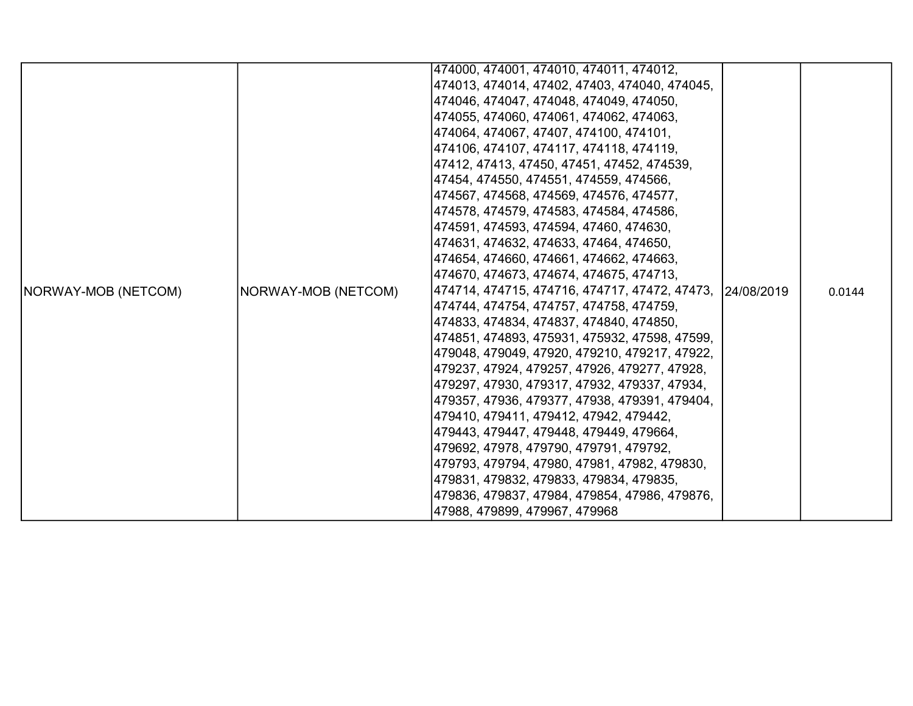|                     |                     | 474000, 474001, 474010, 474011, 474012,                   |        |
|---------------------|---------------------|-----------------------------------------------------------|--------|
|                     |                     |                                                           |        |
|                     |                     | 474013, 474014, 47402, 47403, 474040, 474045,             |        |
|                     |                     | 474046, 474047, 474048, 474049, 474050,                   |        |
|                     |                     | 474055, 474060, 474061, 474062, 474063,                   |        |
|                     |                     | 474064, 474067, 47407, 474100, 474101,                    |        |
|                     |                     | 474106, 474107, 474117, 474118, 474119,                   |        |
|                     |                     | 47412, 47413, 47450, 47451, 47452, 474539,                |        |
|                     |                     | 47454, 474550, 474551, 474559, 474566,                    |        |
|                     |                     | 474567, 474568, 474569, 474576, 474577,                   |        |
|                     |                     | 474578, 474579, 474583, 474584, 474586,                   |        |
|                     |                     | 474591, 474593, 474594, 47460, 474630,                    |        |
|                     |                     | 474631, 474632, 474633, 47464, 474650,                    |        |
|                     |                     | 474654, 474660, 474661, 474662, 474663,                   |        |
|                     |                     | 474670, 474673, 474674, 474675, 474713,                   |        |
| NORWAY-MOB (NETCOM) | NORWAY-MOB (NETCOM) | 474714, 474715, 474716, 474717, 47472, 47473,  24/08/2019 | 0.0144 |
|                     |                     | 474744, 474754, 474757, 474758, 474759,                   |        |
|                     |                     | 474833, 474834, 474837, 474840, 474850,                   |        |
|                     |                     | 474851, 474893, 475931, 475932, 47598, 47599,             |        |
|                     |                     | 479048, 479049, 47920, 479210, 479217, 47922,             |        |
|                     |                     | 479237, 47924, 479257, 47926, 479277, 47928,              |        |
|                     |                     | 479297, 47930, 479317, 47932, 479337, 47934,              |        |
|                     |                     | 479357, 47936, 479377, 47938, 479391, 479404,             |        |
|                     |                     | 479410, 479411, 479412, 47942, 479442,                    |        |
|                     |                     | 479443, 479447, 479448, 479449, 479664,                   |        |
|                     |                     | 479692, 47978, 479790, 479791, 479792,                    |        |
|                     |                     | 479793, 479794, 47980, 47981, 47982, 479830,              |        |
|                     |                     | 479831, 479832, 479833, 479834, 479835,                   |        |
|                     |                     | 479836, 479837, 47984, 479854, 47986, 479876,             |        |
|                     |                     | 47988, 479899, 479967, 479968                             |        |
|                     |                     |                                                           |        |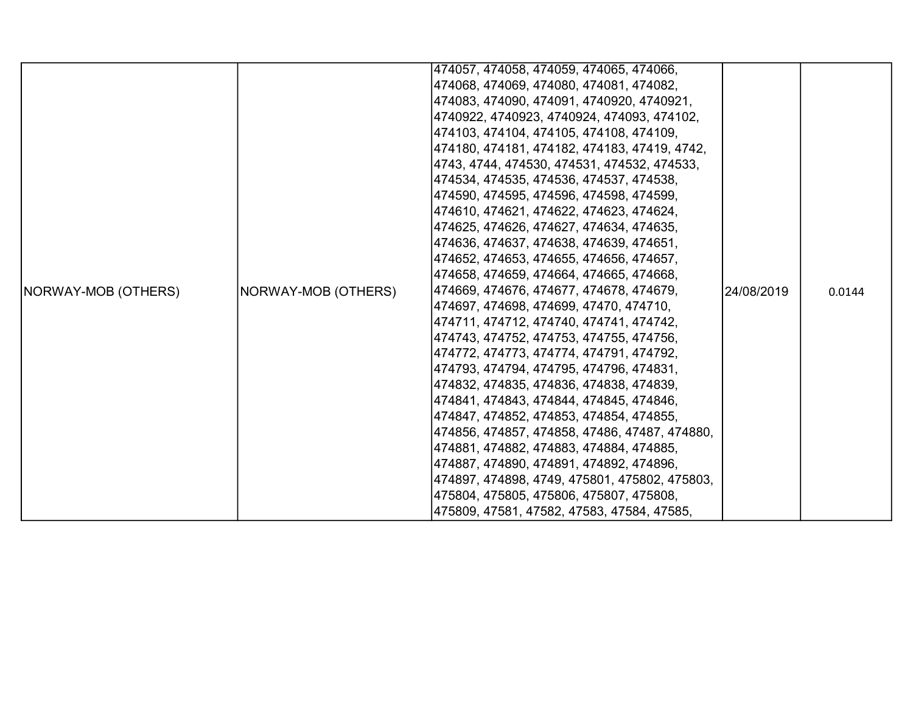|                            |                     | 474057, 474058, 474059, 474065, 474066,       |            |        |
|----------------------------|---------------------|-----------------------------------------------|------------|--------|
|                            |                     | 474068, 474069, 474080, 474081, 474082,       |            |        |
|                            |                     | 474083, 474090, 474091, 4740920, 4740921,     |            |        |
|                            |                     | 4740922, 4740923, 4740924, 474093, 474102,    |            |        |
|                            |                     | 474103, 474104, 474105, 474108, 474109,       |            |        |
|                            |                     | 474180, 474181, 474182, 474183, 47419, 4742,  |            |        |
|                            |                     | 4743, 4744, 474530, 474531, 474532, 474533,   |            |        |
|                            |                     | 474534, 474535, 474536, 474537, 474538,       |            |        |
|                            |                     | 474590, 474595, 474596, 474598, 474599,       |            |        |
|                            |                     | 474610, 474621, 474622, 474623, 474624,       |            |        |
|                            |                     | 474625, 474626, 474627, 474634, 474635,       |            |        |
|                            |                     | 474636, 474637, 474638, 474639, 474651,       |            |        |
|                            |                     | 474652, 474653, 474655, 474656, 474657,       |            |        |
|                            |                     | 474658, 474659, 474664, 474665, 474668,       |            |        |
| <b>NORWAY-MOB (OTHERS)</b> |                     | 474669, 474676, 474677, 474678, 474679,       | 24/08/2019 | 0.0144 |
|                            |                     | 474697, 474698, 474699, 47470, 474710, .      |            |        |
|                            |                     | 474711, 474712, 474740, 474741, 474742,       |            |        |
|                            |                     | 474743, 474752, 474753, 474755, 474756,       |            |        |
|                            | NORWAY-MOB (OTHERS) | 474772, 474773, 474774, 474791, 474792,       |            |        |
|                            |                     | 474793, 474794, 474795, 474796, 474831,       |            |        |
|                            |                     | 474832, 474835, 474836, 474838, 474839,       |            |        |
|                            |                     | 474841, 474843, 474844, 474845, 474846,       |            |        |
|                            |                     | 474847, 474852, 474853, 474854, 474855,       |            |        |
|                            |                     | 474856, 474857, 474858, 47486, 47487, 474880, |            |        |
|                            |                     | 474881, 474882, 474883, 474884, 474885,       |            |        |
|                            |                     | 474887, 474890, 474891, 474892, 474896,       |            |        |
|                            |                     | 474897, 474898, 4749, 475801, 475802, 475803, |            |        |
|                            |                     | 475804, 475805, 475806, 475807, 475808,       |            |        |
|                            |                     | 475809, 47581, 47582, 47583, 47584, 47585,    |            |        |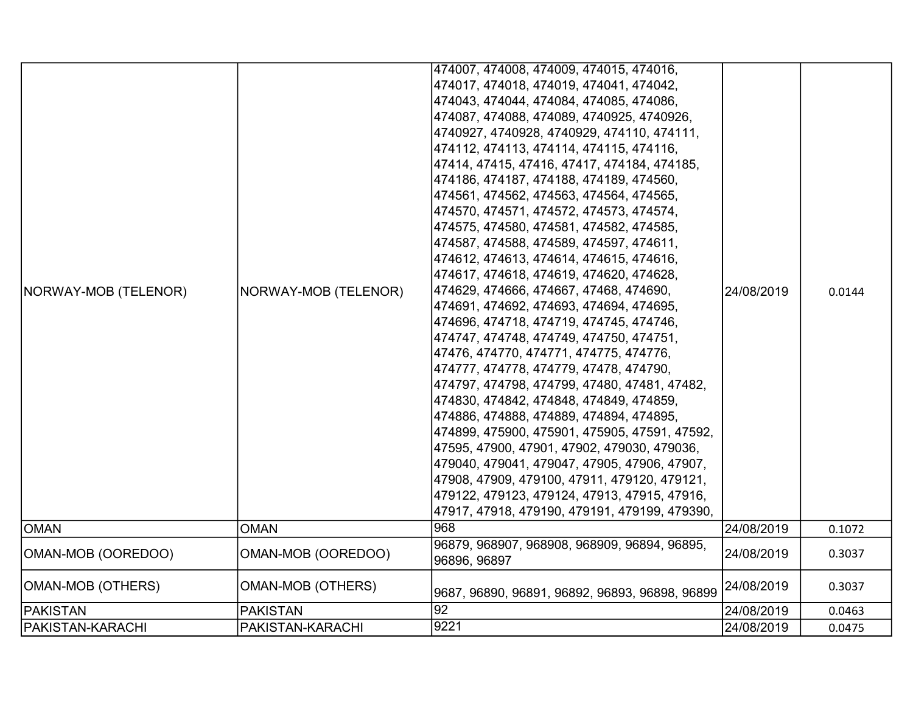|                         |                          | 474007, 474008, 474009, 474015, 474016,                      |            |        |
|-------------------------|--------------------------|--------------------------------------------------------------|------------|--------|
|                         |                          | 474017, 474018, 474019, 474041, 474042,                      |            |        |
|                         |                          | 474043, 474044, 474084, 474085, 474086,                      |            |        |
|                         |                          | 474087, 474088, 474089, 4740925, 4740926,                    |            |        |
|                         |                          | 4740927, 4740928, 4740929, 474110, 474111,                   |            |        |
|                         |                          | 474112, 474113, 474114, 474115, 474116,                      |            |        |
|                         |                          | 47414, 47415, 47416, 47417, 474184, 474185,                  |            |        |
|                         |                          | 474186, 474187, 474188, 474189, 474560,                      |            |        |
|                         |                          | 474561, 474562, 474563, 474564, 474565,                      |            |        |
|                         |                          | 474570, 474571, 474572, 474573, 474574,                      |            |        |
|                         |                          | 474575, 474580, 474581, 474582, 474585,                      |            |        |
|                         |                          | 474587, 474588, 474589, 474597, 474611,                      |            |        |
|                         |                          | 474612, 474613, 474614, 474615, 474616,                      |            |        |
|                         |                          | 474617, 474618, 474619, 474620, 474628,                      |            |        |
| NORWAY-MOB (TELENOR)    | NORWAY-MOB (TELENOR)     | 474629, 474666, 474667, 47468, 474690,                       | 24/08/2019 | 0.0144 |
|                         |                          | 474691, 474692, 474693, 474694, 474695,                      |            |        |
|                         |                          | 474696, 474718, 474719, 474745, 474746,                      |            |        |
|                         |                          | 474747, 474748, 474749, 474750, 474751,                      |            |        |
|                         |                          | 47476, 474770, 474771, 474775, 474776,                       |            |        |
|                         |                          | 474777, 474778, 474779, 47478, 474790,                       |            |        |
|                         |                          | 474797, 474798, 474799, 47480, 47481, 47482,                 |            |        |
|                         |                          | 474830, 474842, 474848, 474849, 474859,                      |            |        |
|                         |                          | 474886, 474888, 474889, 474894, 474895,                      |            |        |
|                         |                          | 474899, 475900, 475901, 475905, 47591, 47592,                |            |        |
|                         |                          | 47595, 47900, 47901, 47902, 479030, 479036,                  |            |        |
|                         |                          | 479040, 479041, 479047, 47905, 47906, 47907,                 |            |        |
|                         |                          | 47908, 47909, 479100, 47911, 479120, 479121,                 |            |        |
|                         |                          | 479122, 479123, 479124, 47913, 47915, 47916,                 |            |        |
|                         |                          | 47917, 47918, 479190, 479191, 479199, 479390,                |            |        |
| <b>OMAN</b>             | <b>OMAN</b>              | 968                                                          | 24/08/2019 | 0.1072 |
| OMAN-MOB (OOREDOO)      | OMAN-MOB (OOREDOO)       | 96879, 968907, 968908, 968909, 96894, 96895,<br>96896, 96897 | 24/08/2019 | 0.3037 |
| OMAN-MOB (OTHERS)       | <b>OMAN-MOB (OTHERS)</b> | 9687, 96890, 96891, 96892, 96893, 96898, 96899               | 24/08/2019 | 0.3037 |
| <b>PAKISTAN</b>         | <b>PAKISTAN</b>          | 92                                                           | 24/08/2019 | 0.0463 |
| <b>PAKISTAN-KARACHI</b> | PAKISTAN-KARACHI         | 9221                                                         | 24/08/2019 | 0.0475 |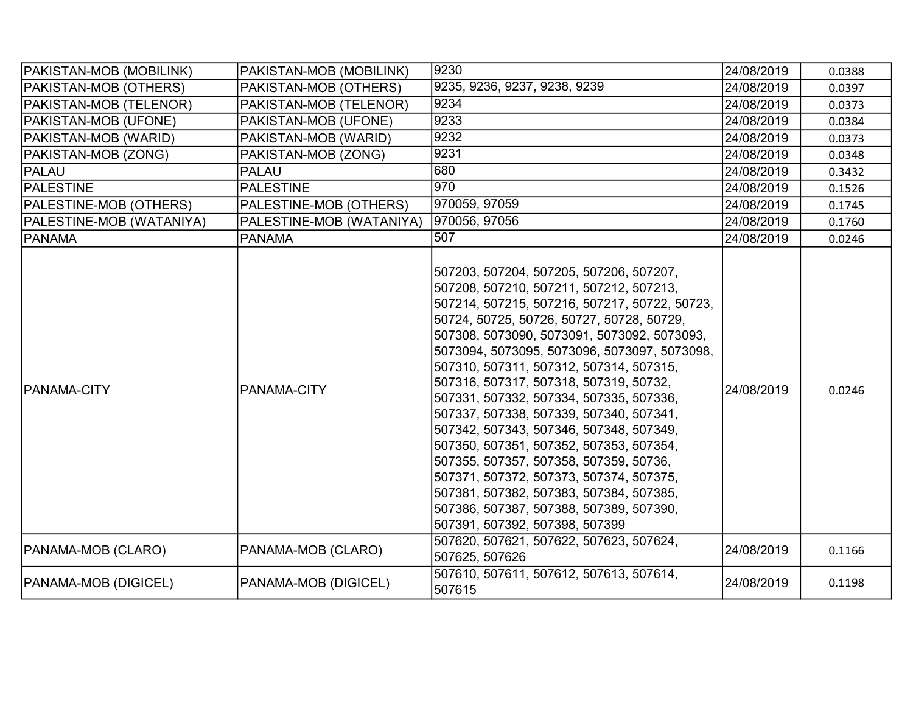| PAKISTAN-MOB (MOBILINK)     | PAKISTAN-MOB (MOBILINK)  | 9230                                                                                                                                                                                                                                                                                                                                                                                                                                                                                                                                                                                                                                                                                                                                                          | 24/08/2019 | 0.0388 |
|-----------------------------|--------------------------|---------------------------------------------------------------------------------------------------------------------------------------------------------------------------------------------------------------------------------------------------------------------------------------------------------------------------------------------------------------------------------------------------------------------------------------------------------------------------------------------------------------------------------------------------------------------------------------------------------------------------------------------------------------------------------------------------------------------------------------------------------------|------------|--------|
| PAKISTAN-MOB (OTHERS)       | PAKISTAN-MOB (OTHERS)    | 9235, 9236, 9237, 9238, 9239                                                                                                                                                                                                                                                                                                                                                                                                                                                                                                                                                                                                                                                                                                                                  | 24/08/2019 | 0.0397 |
| PAKISTAN-MOB (TELENOR)      | PAKISTAN-MOB (TELENOR)   | 9234                                                                                                                                                                                                                                                                                                                                                                                                                                                                                                                                                                                                                                                                                                                                                          | 24/08/2019 | 0.0373 |
| PAKISTAN-MOB (UFONE)        | PAKISTAN-MOB (UFONE)     | 9233                                                                                                                                                                                                                                                                                                                                                                                                                                                                                                                                                                                                                                                                                                                                                          | 24/08/2019 | 0.0384 |
| <b>PAKISTAN-MOB (WARID)</b> | PAKISTAN-MOB (WARID)     | 9232                                                                                                                                                                                                                                                                                                                                                                                                                                                                                                                                                                                                                                                                                                                                                          | 24/08/2019 | 0.0373 |
| PAKISTAN-MOB (ZONG)         | PAKISTAN-MOB (ZONG)      | 9231                                                                                                                                                                                                                                                                                                                                                                                                                                                                                                                                                                                                                                                                                                                                                          | 24/08/2019 | 0.0348 |
| PALAU                       | <b>PALAU</b>             | 680                                                                                                                                                                                                                                                                                                                                                                                                                                                                                                                                                                                                                                                                                                                                                           | 24/08/2019 | 0.3432 |
| <b>PALESTINE</b>            | <b>PALESTINE</b>         | 970                                                                                                                                                                                                                                                                                                                                                                                                                                                                                                                                                                                                                                                                                                                                                           | 24/08/2019 | 0.1526 |
| PALESTINE-MOB (OTHERS)      | PALESTINE-MOB (OTHERS)   | 970059, 97059                                                                                                                                                                                                                                                                                                                                                                                                                                                                                                                                                                                                                                                                                                                                                 | 24/08/2019 | 0.1745 |
| PALESTINE-MOB (WATANIYA)    | PALESTINE-MOB (WATANIYA) | 970056, 97056                                                                                                                                                                                                                                                                                                                                                                                                                                                                                                                                                                                                                                                                                                                                                 | 24/08/2019 | 0.1760 |
| <b>PANAMA</b>               | <b>PANAMA</b>            | 507                                                                                                                                                                                                                                                                                                                                                                                                                                                                                                                                                                                                                                                                                                                                                           | 24/08/2019 | 0.0246 |
| <b>PANAMA-CITY</b>          | PANAMA-CITY              | 507203, 507204, 507205, 507206, 507207,<br>507208, 507210, 507211, 507212, 507213,<br>507214, 507215, 507216, 507217, 50722, 50723,<br>50724, 50725, 50726, 50727, 50728, 50729,<br>507308, 5073090, 5073091, 5073092, 5073093,<br>5073094, 5073095, 5073096, 5073097, 5073098,<br>507310, 507311, 507312, 507314, 507315,<br>507316, 507317, 507318, 507319, 50732,<br>507331, 507332, 507334, 507335, 507336,<br>507337, 507338, 507339, 507340, 507341,<br>507342, 507343, 507346, 507348, 507349,<br>507350, 507351, 507352, 507353, 507354,<br>507355, 507357, 507358, 507359, 50736,<br>507371, 507372, 507373, 507374, 507375,<br>507381, 507382, 507383, 507384, 507385,<br>507386, 507387, 507388, 507389, 507390,<br>507391, 507392, 507398, 507399 | 24/08/2019 | 0.0246 |
| PANAMA-MOB (CLARO)          | PANAMA-MOB (CLARO)       | 507620, 507621, 507622, 507623, 507624,<br>507625, 507626                                                                                                                                                                                                                                                                                                                                                                                                                                                                                                                                                                                                                                                                                                     | 24/08/2019 | 0.1166 |
| <b>PANAMA-MOB (DIGICEL)</b> | PANAMA-MOB (DIGICEL)     | 507610, 507611, 507612, 507613, 507614,<br>507615                                                                                                                                                                                                                                                                                                                                                                                                                                                                                                                                                                                                                                                                                                             | 24/08/2019 | 0.1198 |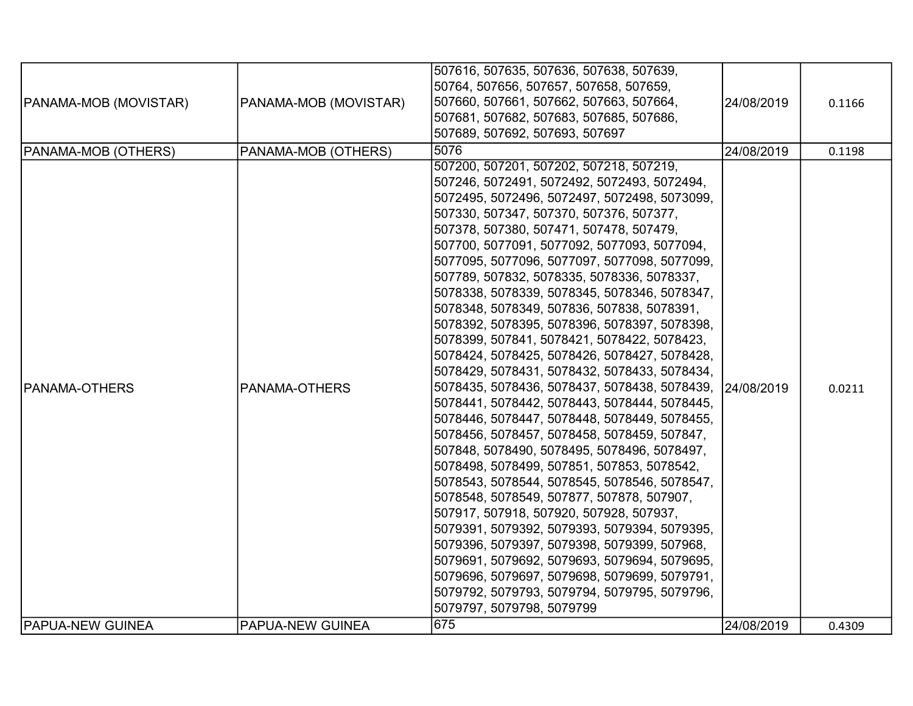|                         |                       | 507616, 507635, 507636, 507638, 507639,      |            |        |
|-------------------------|-----------------------|----------------------------------------------|------------|--------|
|                         |                       | 50764, 507656, 507657, 507658, 507659,       |            |        |
|                         |                       | 507660, 507661, 507662, 507663, 507664,      | 24/08/2019 |        |
| PANAMA-MOB (MOVISTAR)   | PANAMA-MOB (MOVISTAR) | 507681, 507682, 507683, 507685, 507686,      |            | 0.1166 |
|                         |                       | 507689, 507692, 507693, 507697               |            |        |
|                         |                       |                                              |            |        |
| PANAMA-MOB (OTHERS)     | PANAMA-MOB (OTHERS)   | 5076                                         | 24/08/2019 | 0.1198 |
|                         |                       | 507200, 507201, 507202, 507218, 507219,      |            |        |
|                         |                       | 507246, 5072491, 5072492, 5072493, 5072494,  |            |        |
|                         |                       | 5072495, 5072496, 5072497, 5072498, 5073099, |            |        |
|                         |                       | 507330, 507347, 507370, 507376, 507377,      |            |        |
|                         |                       | 507378, 507380, 507471, 507478, 507479,      |            |        |
|                         |                       | 507700, 5077091, 5077092, 5077093, 5077094,  |            |        |
|                         |                       | 5077095, 5077096, 5077097, 5077098, 5077099, |            |        |
|                         |                       | 507789, 507832, 5078335, 5078336, 5078337,   |            |        |
|                         |                       | 5078338, 5078339, 5078345, 5078346, 5078347, |            |        |
|                         |                       | 5078348, 5078349, 507836, 507838, 5078391,   |            |        |
|                         |                       | 5078392, 5078395, 5078396, 5078397, 5078398, |            |        |
|                         |                       | 5078399, 507841, 5078421, 5078422, 5078423,  |            |        |
|                         |                       | 5078424, 5078425, 5078426, 5078427, 5078428, |            |        |
|                         |                       | 5078429, 5078431, 5078432, 5078433, 5078434, |            |        |
| <b>PANAMA-OTHERS</b>    | PANAMA-OTHERS         | 5078435, 5078436, 5078437, 5078438, 5078439, | 24/08/2019 | 0.0211 |
|                         |                       | 5078441, 5078442, 5078443, 5078444, 5078445, |            |        |
|                         |                       | 5078446, 5078447, 5078448, 5078449, 5078455, |            |        |
|                         |                       | 5078456, 5078457, 5078458, 5078459, 507847,  |            |        |
|                         |                       | 507848, 5078490, 5078495, 5078496, 5078497,  |            |        |
|                         |                       | 5078498, 5078499, 507851, 507853, 5078542,   |            |        |
|                         |                       | 5078543, 5078544, 5078545, 5078546, 5078547, |            |        |
|                         |                       | 5078548, 5078549, 507877, 507878, 507907,    |            |        |
|                         |                       | 507917, 507918, 507920, 507928, 507937,      |            |        |
|                         |                       | 5079391, 5079392, 5079393, 5079394, 5079395, |            |        |
|                         |                       | 5079396, 5079397, 5079398, 5079399, 507968,  |            |        |
|                         |                       | 5079691, 5079692, 5079693, 5079694, 5079695, |            |        |
|                         |                       | 5079696, 5079697, 5079698, 5079699, 5079791, |            |        |
|                         |                       | 5079792, 5079793, 5079794, 5079795, 5079796, |            |        |
|                         |                       | 5079797, 5079798, 5079799                    |            |        |
| <b>PAPUA-NEW GUINEA</b> | PAPUA-NEW GUINEA      | 675                                          | 24/08/2019 | 0.4309 |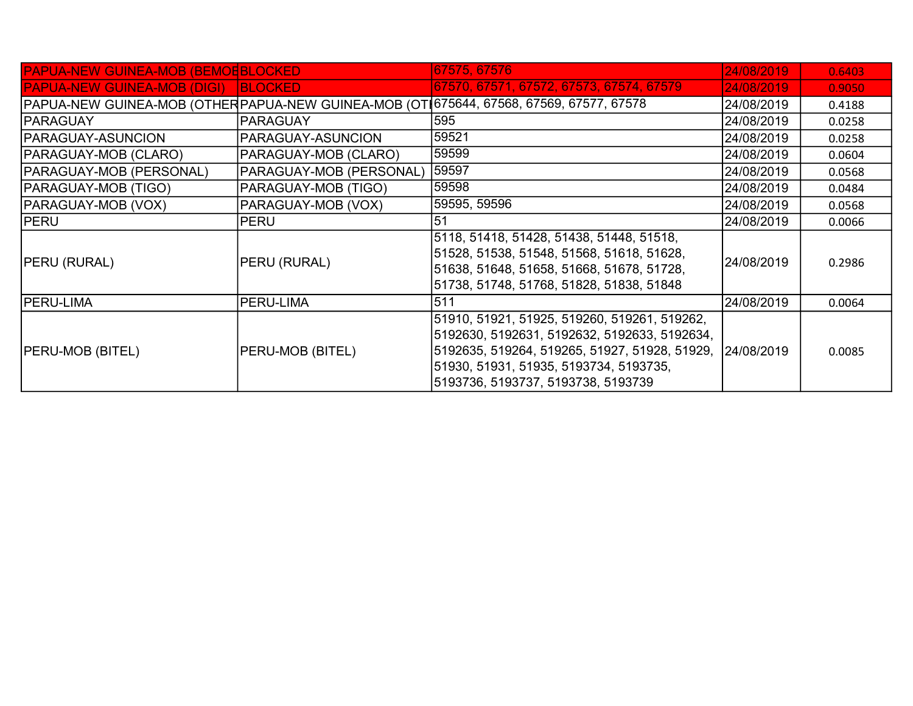| <b>PAPUA-NEW GUINEA-MOB (BEMOEBLOCKED)</b> |                         | 67575, 67576                                                                                                                                                                                                                               | 24/08/2019 | 0.6403 |
|--------------------------------------------|-------------------------|--------------------------------------------------------------------------------------------------------------------------------------------------------------------------------------------------------------------------------------------|------------|--------|
| <b>PAPUA-NEW GUINEA-MOB (DIGI)</b>         | <b>IBLOCKED</b>         | 67570, 67571, 67572, 67573, 67574, 67579                                                                                                                                                                                                   | 24/08/2019 | 0.9050 |
|                                            |                         | PAPUA-NEW GUINEA-MOB (OTHERPAPUA-NEW GUINEA-MOB (OT 675644, 67568, 67569, 67577, 67578                                                                                                                                                     | 24/08/2019 | 0.4188 |
| <b>IPARAGUAY</b>                           | <b>PARAGUAY</b>         | 595                                                                                                                                                                                                                                        | 24/08/2019 | 0.0258 |
| PARAGUAY-ASUNCION                          | PARAGUAY-ASUNCION       | 59521                                                                                                                                                                                                                                      | 24/08/2019 | 0.0258 |
| PARAGUAY-MOB (CLARO)                       | PARAGUAY-MOB (CLARO)    | 59599                                                                                                                                                                                                                                      | 24/08/2019 | 0.0604 |
| PARAGUAY-MOB (PERSONAL)                    | PARAGUAY-MOB (PERSONAL) | 59597                                                                                                                                                                                                                                      | 24/08/2019 | 0.0568 |
| <b>PARAGUAY-MOB (TIGO)</b>                 | PARAGUAY-MOB (TIGO)     | 59598                                                                                                                                                                                                                                      | 24/08/2019 | 0.0484 |
| PARAGUAY-MOB (VOX)                         | PARAGUAY-MOB (VOX)      | 59595, 59596                                                                                                                                                                                                                               | 24/08/2019 | 0.0568 |
| <b>PERU</b>                                | <b>PERU</b>             | 51                                                                                                                                                                                                                                         | 24/08/2019 | 0.0066 |
| <b>PERU (RURAL)</b>                        | PERU (RURAL)            | 5118, 51418, 51428, 51438, 51448, 51518,<br>51528, 51538, 51548, 51568, 51618, 51628,<br>51638, 51648, 51658, 51668, 51678, 51728,<br>51738, 51748, 51768, 51828, 51838, 51848                                                             | 24/08/2019 | 0.2986 |
| <b>PERU-LIMA</b>                           | PERU-LIMA               | 511                                                                                                                                                                                                                                        | 24/08/2019 | 0.0064 |
| <b>PERU-MOB (BITEL)</b>                    | PERU-MOB (BITEL)        | 51910, 51921, 51925, 519260, 519261, 519262,<br>5192630, 5192631, 5192632, 5192633, 5192634,<br> 5192635, 519264, 519265, 51927, 51928, 51929,  24/08/2019<br>51930, 51931, 51935, 5193734, 5193735,<br>5193736, 5193737, 5193738, 5193739 |            | 0.0085 |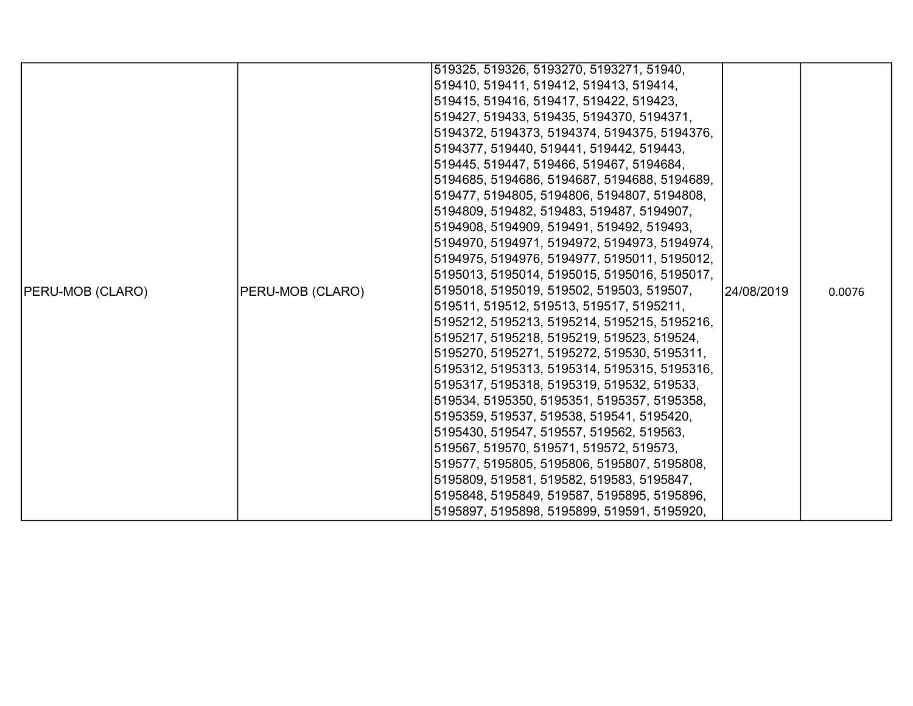|                         |                                                                                                                                                                                                      | 519325, 519326, 5193270, 5193271, 51940,     |  |        |
|-------------------------|------------------------------------------------------------------------------------------------------------------------------------------------------------------------------------------------------|----------------------------------------------|--|--------|
|                         |                                                                                                                                                                                                      | 519410, 519411, 519412, 519413, 519414,      |  |        |
|                         |                                                                                                                                                                                                      | 519415, 519416, 519417, 519422, 519423,      |  |        |
|                         |                                                                                                                                                                                                      | 519427, 519433, 519435, 5194370, 5194371,    |  |        |
|                         |                                                                                                                                                                                                      | 5194372, 5194373, 5194374, 5194375, 5194376, |  |        |
|                         |                                                                                                                                                                                                      | 5194377, 519440, 519441, 519442, 519443,     |  |        |
|                         |                                                                                                                                                                                                      | 519445, 519447, 519466, 519467, 5194684,     |  |        |
|                         |                                                                                                                                                                                                      | 5194685, 5194686, 5194687, 5194688, 5194689, |  |        |
|                         |                                                                                                                                                                                                      | 519477, 5194805, 5194806, 5194807, 5194808,  |  |        |
|                         |                                                                                                                                                                                                      | 5194809, 519482, 519483, 519487, 5194907,    |  |        |
|                         |                                                                                                                                                                                                      | 5194908, 5194909, 519491, 519492, 519493,    |  |        |
|                         |                                                                                                                                                                                                      | 5194970, 5194971, 5194972, 5194973, 5194974, |  |        |
|                         |                                                                                                                                                                                                      | 5194975, 5194976, 5194977, 5195011, 5195012, |  |        |
|                         |                                                                                                                                                                                                      | 5195013, 5195014, 5195015, 5195016, 5195017, |  |        |
| <b>PERU-MOB (CLARO)</b> | PERU-MOB (CLARO)                                                                                                                                                                                     | 5195018, 5195019, 519502, 519503, 519507,    |  | 0.0076 |
|                         |                                                                                                                                                                                                      | 519511, 519512, 519513, 519517, 5195211,     |  |        |
|                         |                                                                                                                                                                                                      | 5195212, 5195213, 5195214, 5195215, 5195216, |  |        |
|                         |                                                                                                                                                                                                      | 5195217, 5195218, 5195219, 519523, 519524,   |  |        |
|                         |                                                                                                                                                                                                      | 5195270, 5195271, 5195272, 519530, 5195311,  |  |        |
|                         |                                                                                                                                                                                                      | 5195312, 5195313, 5195314, 5195315, 5195316, |  |        |
|                         | 24/08/2019<br> 5195317, 5195318, 5195319, 519532, 519533,<br> 519534, 5195350, 5195351, 5195357, 5195358,<br> 5195359, 519537, 519538, 519541, 5195420,<br> 5195430, 519547, 519557, 519562, 519563, |                                              |  |        |
|                         |                                                                                                                                                                                                      |                                              |  |        |
|                         |                                                                                                                                                                                                      |                                              |  |        |
|                         |                                                                                                                                                                                                      |                                              |  |        |
|                         |                                                                                                                                                                                                      | 519567, 519570, 519571, 519572, 519573,      |  |        |
|                         |                                                                                                                                                                                                      | 519577, 5195805, 5195806, 5195807, 5195808,  |  |        |
|                         |                                                                                                                                                                                                      | 5195809, 519581, 519582, 519583, 5195847,    |  |        |
|                         |                                                                                                                                                                                                      | 5195848, 5195849, 519587, 5195895, 5195896,  |  |        |
|                         |                                                                                                                                                                                                      | 5195897, 5195898, 5195899, 519591, 5195920,  |  |        |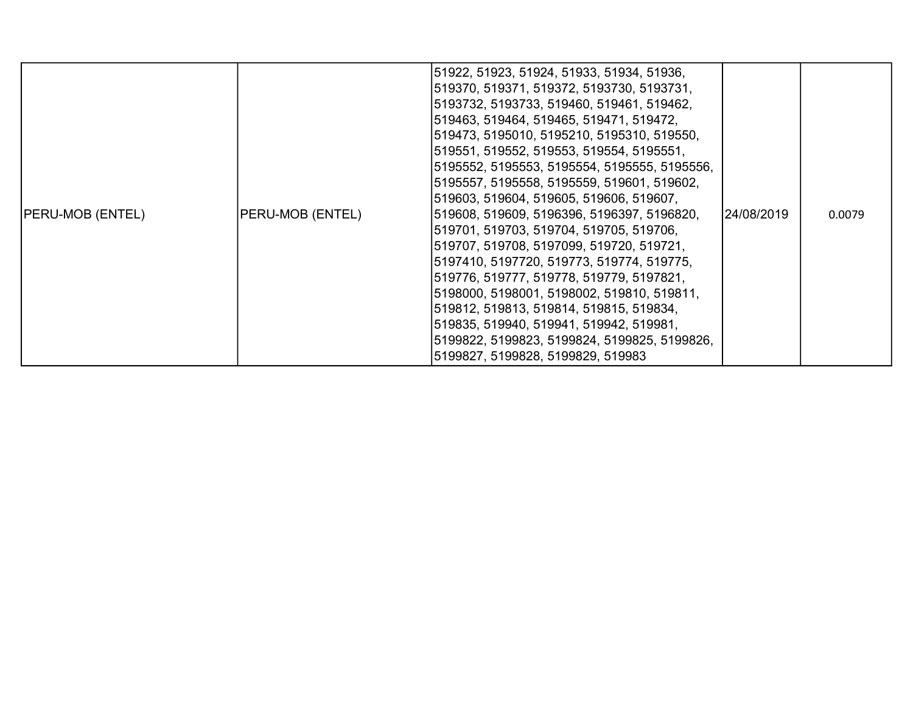| <b>PERU-MOB (ENTEL)</b> | PERU-MOB (ENTEL) | 51922, 51923, 51924, 51933, 51934, 51936,<br>519370, 519371, 519372, 5193730, 5193731,<br>5193732, 5193733, 519460, 519461, 519462,<br>519463, 519464, 519465, 519471, 519472,<br>519473, 5195010, 5195210, 5195310, 519550,<br>519551, 519552, 519553, 519554, 5195551,<br>5195552, 5195553, 5195554, 5195555, 5195556,<br>5195557, 5195558, 5195559, 519601, 519602,<br>519603, 519604, 519605, 519606, 519607,<br>519608, 519609, 5196396, 5196397, 5196820,<br>519701, 519703, 519704, 519705, 519706,<br>519707, 519708, 5197099, 519720, 519721,<br>5197410, 5197720, 519773, 519774, 519775,<br>519776, 519777, 519778, 519779, 5197821,<br>5198000, 5198001, 5198002, 519810, 519811,<br>519812, 519813, 519814, 519815, 519834,<br>519835, 519940, 519941, 519942, 519981,<br>5199822, 5199823, 5199824, 5199825, 5199826,<br>5199827, 5199828, 5199829, 519983 | 24/08/2019 | 0.0079 |
|-------------------------|------------------|--------------------------------------------------------------------------------------------------------------------------------------------------------------------------------------------------------------------------------------------------------------------------------------------------------------------------------------------------------------------------------------------------------------------------------------------------------------------------------------------------------------------------------------------------------------------------------------------------------------------------------------------------------------------------------------------------------------------------------------------------------------------------------------------------------------------------------------------------------------------------|------------|--------|
|-------------------------|------------------|--------------------------------------------------------------------------------------------------------------------------------------------------------------------------------------------------------------------------------------------------------------------------------------------------------------------------------------------------------------------------------------------------------------------------------------------------------------------------------------------------------------------------------------------------------------------------------------------------------------------------------------------------------------------------------------------------------------------------------------------------------------------------------------------------------------------------------------------------------------------------|------------|--------|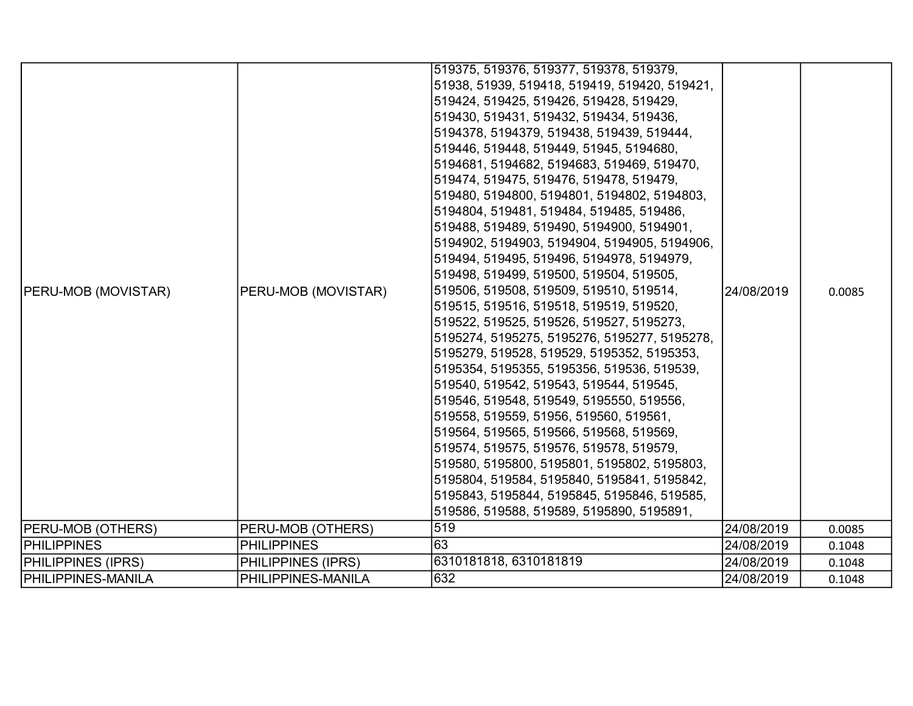| <b>PERU-MOB (MOVISTAR)</b> | PERU-MOB (MOVISTAR) | 519375, 519376, 519377, 519378, 519379,<br>51938, 51939, 519418, 519419, 519420, 519421,<br>519424, 519425, 519426, 519428, 519429,<br>519430, 519431, 519432, 519434, 519436,<br>5194378, 5194379, 519438, 519439, 519444,<br>519446, 519448, 519449, 51945, 5194680,<br>5194681, 5194682, 5194683, 519469, 519470,<br>519474, 519475, 519476, 519478, 519479,<br>519480, 5194800, 5194801, 5194802, 5194803,<br>5194804, 519481, 519484, 519485, 519486,<br>519488, 519489, 519490, 5194900, 5194901,<br>5194902, 5194903, 5194904, 5194905, 5194906,<br>519494, 519495, 519496, 5194978, 5194979,<br>519498, 519499, 519500, 519504, 519505,<br>519506, 519508, 519509, 519510, 519514,<br>519515, 519516, 519518, 519519, 519520,<br>519522, 519525, 519526, 519527, 5195273,<br>5195274, 5195275, 5195276, 5195277, 5195278,<br> 5195279, 519528, 519529, 5195352, 5195353,<br>5195354, 5195355, 5195356, 519536, 519539,<br>519540, 519542, 519543, 519544, 519545,<br>519546, 519548, 519549, 5195550, 519556,<br>519558, 519559, 51956, 519560, 519561,<br>519564, 519565, 519566, 519568, 519569,<br>519574, 519575, 519576, 519578, 519579,<br>519580, 5195800, 5195801, 5195802, 5195803,<br>5195804, 519584, 5195840, 5195841, 5195842,<br>5195843, 5195844, 5195845, 5195846, 519585,<br>519586, 519588, 519589, 5195890, 5195891, | 24/08/2019 | 0.0085 |
|----------------------------|---------------------|-------------------------------------------------------------------------------------------------------------------------------------------------------------------------------------------------------------------------------------------------------------------------------------------------------------------------------------------------------------------------------------------------------------------------------------------------------------------------------------------------------------------------------------------------------------------------------------------------------------------------------------------------------------------------------------------------------------------------------------------------------------------------------------------------------------------------------------------------------------------------------------------------------------------------------------------------------------------------------------------------------------------------------------------------------------------------------------------------------------------------------------------------------------------------------------------------------------------------------------------------------------------------------------------------------------------------------------------------|------------|--------|
| <b>PERU-MOB (OTHERS)</b>   | PERU-MOB (OTHERS)   | 519                                                                                                                                                                                                                                                                                                                                                                                                                                                                                                                                                                                                                                                                                                                                                                                                                                                                                                                                                                                                                                                                                                                                                                                                                                                                                                                                             | 24/08/2019 | 0.0085 |
| <b>PHILIPPINES</b>         | <b>PHILIPPINES</b>  | 63                                                                                                                                                                                                                                                                                                                                                                                                                                                                                                                                                                                                                                                                                                                                                                                                                                                                                                                                                                                                                                                                                                                                                                                                                                                                                                                                              | 24/08/2019 | 0.1048 |
| <b>PHILIPPINES (IPRS)</b>  | PHILIPPINES (IPRS)  | 6310181818, 6310181819                                                                                                                                                                                                                                                                                                                                                                                                                                                                                                                                                                                                                                                                                                                                                                                                                                                                                                                                                                                                                                                                                                                                                                                                                                                                                                                          | 24/08/2019 | 0.1048 |
| <b>PHILIPPINES-MANILA</b>  | PHILIPPINES-MANILA  | 632                                                                                                                                                                                                                                                                                                                                                                                                                                                                                                                                                                                                                                                                                                                                                                                                                                                                                                                                                                                                                                                                                                                                                                                                                                                                                                                                             | 24/08/2019 | 0.1048 |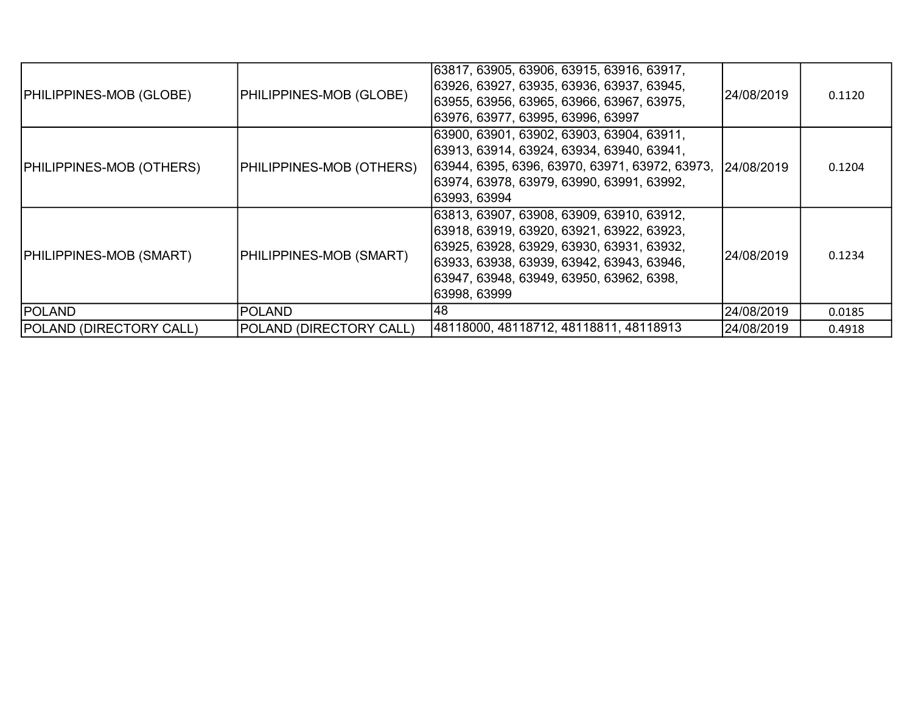| <b>PHILIPPINES-MOB (GLOBE)</b>  | PHILIPPINES-MOB (GLOBE)  | 63817, 63905, 63906, 63915, 63916, 63917,<br>63926, 63927, 63935, 63936, 63937, 63945,<br> 63955, 63956, 63965, 63966, 63967, 63975,<br> 63976, 63977, 63995, 63996, 63997                                                                     | 24/08/2019 | 0.1120 |
|---------------------------------|--------------------------|------------------------------------------------------------------------------------------------------------------------------------------------------------------------------------------------------------------------------------------------|------------|--------|
| <b>PHILIPPINES-MOB (OTHERS)</b> | PHILIPPINES-MOB (OTHERS) | 63900, 63901, 63902, 63903, 63904, 63911,<br>63913, 63914, 63924, 63934, 63940, 63941,<br>63944, 6395, 6396, 63970, 63971, 63972, 63973, 24/08/2019<br> 63974, 63978, 63979, 63990, 63991, 63992,<br> 63993, 63994                             |            | 0.1204 |
| <b>PHILIPPINES-MOB (SMART)</b>  | PHILIPPINES-MOB (SMART)  | 63813, 63907, 63908, 63909, 63910, 63912,<br> 63918, 63919, 63920, 63921, 63922, 63923,<br>63925, 63928, 63929, 63930, 63931, 63932,<br>63933, 63938, 63939, 63942, 63943, 63946,<br> 63947, 63948, 63949, 63950, 63962, 6398,<br>63998, 63999 | 24/08/2019 | 0.1234 |
| <b>POLAND</b>                   | <b>POLAND</b>            | 48                                                                                                                                                                                                                                             | 24/08/2019 | 0.0185 |
| <b>POLAND (DIRECTORY CALL)</b>  | POLAND (DIRECTORY CALL)  | 48118000, 48118712, 48118811, 48118913                                                                                                                                                                                                         | 24/08/2019 | 0.4918 |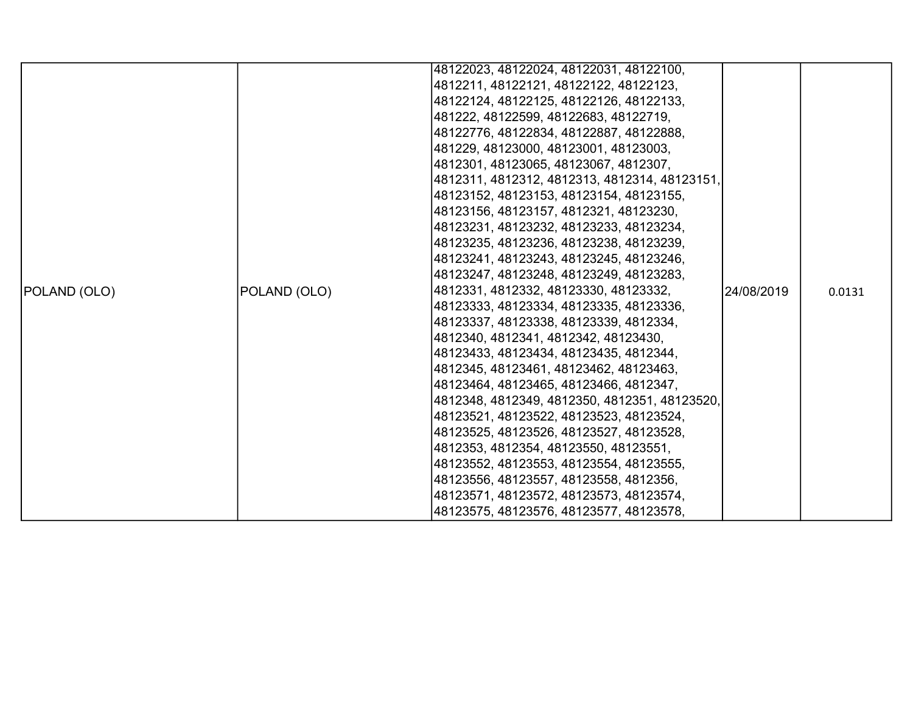|              |              | 48122023, 48122024, 48122031, 48122100,       |            |        |
|--------------|--------------|-----------------------------------------------|------------|--------|
|              |              | 4812211, 48122121, 48122122, 48122123,        |            |        |
|              |              | 48122124, 48122125, 48122126, 48122133,       |            |        |
|              |              | 481222, 48122599, 48122683, 48122719,         |            |        |
|              |              | 48122776, 48122834, 48122887, 48122888,       |            |        |
|              |              | 481229, 48123000, 48123001, 48123003,         |            |        |
|              |              | 4812301, 48123065, 48123067, 4812307,         |            |        |
|              |              | 4812311, 4812312, 4812313, 4812314, 48123151, |            |        |
|              |              | 48123152, 48123153, 48123154, 48123155,       |            |        |
|              |              | 48123156, 48123157, 4812321, 48123230,        |            |        |
|              |              | 48123231, 48123232, 48123233, 48123234,       |            |        |
|              |              | 48123235, 48123236, 48123238, 48123239,       |            |        |
|              |              | 48123241, 48123243, 48123245, 48123246,       |            |        |
|              |              | 48123247, 48123248, 48123249, 48123283,       |            |        |
| POLAND (OLO) | POLAND (OLO) | 4812331, 4812332, 48123330, 48123332,         | 24/08/2019 | 0.0131 |
|              |              | 48123333, 48123334, 48123335, 48123336,       |            |        |
|              |              | 48123337, 48123338, 48123339, 4812334,        |            |        |
|              |              | 4812340, 4812341, 4812342, 48123430,          |            |        |
|              |              | 48123433, 48123434, 48123435, 4812344,        |            |        |
|              |              | 4812345, 48123461, 48123462, 48123463,        |            |        |
|              |              | 48123464, 48123465, 48123466, 4812347,        |            |        |
|              |              | 4812348, 4812349, 4812350, 4812351, 48123520, |            |        |
|              |              | 48123521, 48123522, 48123523, 48123524,       |            |        |
|              |              | 48123525, 48123526, 48123527, 48123528,       |            |        |
|              |              | 4812353, 4812354, 48123550, 48123551,         |            |        |
|              |              | 48123552, 48123553, 48123554, 48123555,       |            |        |
|              |              | 48123556, 48123557, 48123558, 4812356,        |            |        |
|              |              | 48123571, 48123572, 48123573, 48123574,       |            |        |
|              |              | 48123575, 48123576, 48123577, 48123578,       |            |        |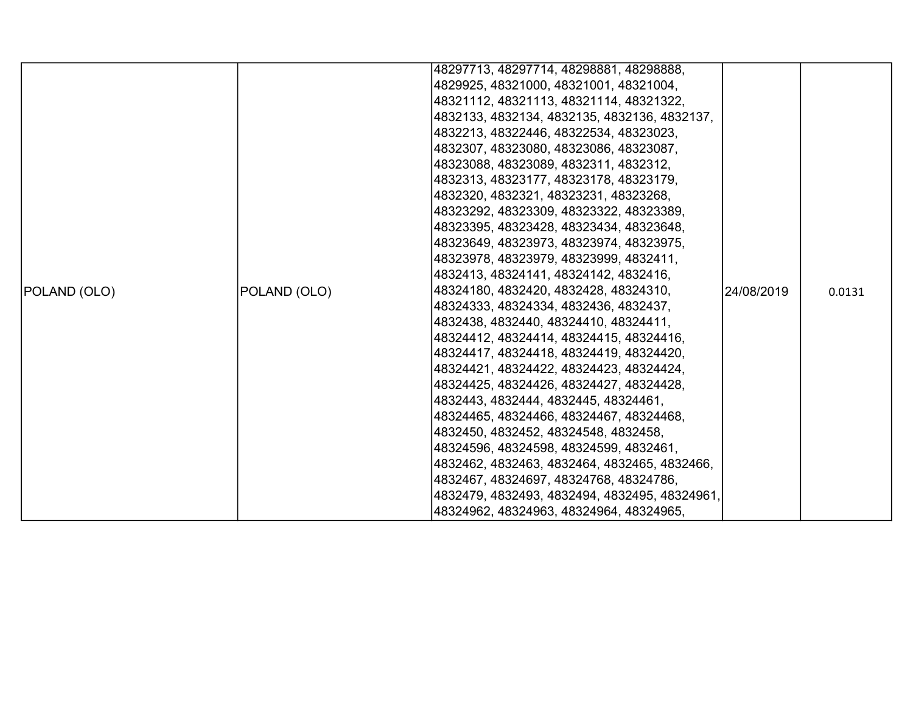|              |              | 48297713, 48297714, 48298881, 48298888,       |            |        |
|--------------|--------------|-----------------------------------------------|------------|--------|
|              |              | 4829925, 48321000, 48321001, 48321004,        |            |        |
|              |              | 48321112, 48321113, 48321114, 48321322,       |            |        |
|              |              | 4832133, 4832134, 4832135, 4832136, 4832137,  |            |        |
|              |              | 4832213, 48322446, 48322534, 48323023,        |            |        |
|              |              | 4832307, 48323080, 48323086, 48323087,        |            |        |
|              |              | 48323088, 48323089, 4832311, 4832312,         |            |        |
|              |              | 4832313, 48323177, 48323178, 48323179,        |            |        |
|              |              | 4832320, 4832321, 48323231, 48323268,         |            |        |
|              |              | 48323292, 48323309, 48323322, 48323389,       |            |        |
|              |              | 48323395, 48323428, 48323434, 48323648,       |            |        |
|              |              | 48323649, 48323973, 48323974, 48323975,       |            |        |
|              |              | 48323978, 48323979, 48323999, 4832411,        |            |        |
|              |              | 4832413, 48324141, 48324142, 4832416,         |            |        |
| POLAND (OLO) | POLAND (OLO) | 48324180, 4832420, 4832428, 48324310,         | 24/08/2019 | 0.0131 |
|              |              | 48324333, 48324334, 4832436, 4832437,         |            |        |
|              |              | 4832438, 4832440, 48324410, 48324411,         |            |        |
|              |              | 48324412, 48324414, 48324415, 48324416,       |            |        |
|              |              | 48324417, 48324418, 48324419, 48324420,       |            |        |
|              |              | 48324421, 48324422, 48324423, 48324424,       |            |        |
|              |              | 48324425, 48324426, 48324427, 48324428,       |            |        |
|              |              | 4832443, 4832444, 4832445, 48324461,          |            |        |
|              |              | 48324465, 48324466, 48324467, 48324468,       |            |        |
|              |              | 4832450, 4832452, 48324548, 4832458,          |            |        |
|              |              | 48324596, 48324598, 48324599, 4832461,        |            |        |
|              |              | 4832462, 4832463, 4832464, 4832465, 4832466,  |            |        |
|              |              | 4832467, 48324697, 48324768, 48324786,        |            |        |
|              |              | 4832479, 4832493, 4832494, 4832495, 48324961, |            |        |
|              |              | 48324962, 48324963, 48324964, 48324965,       |            |        |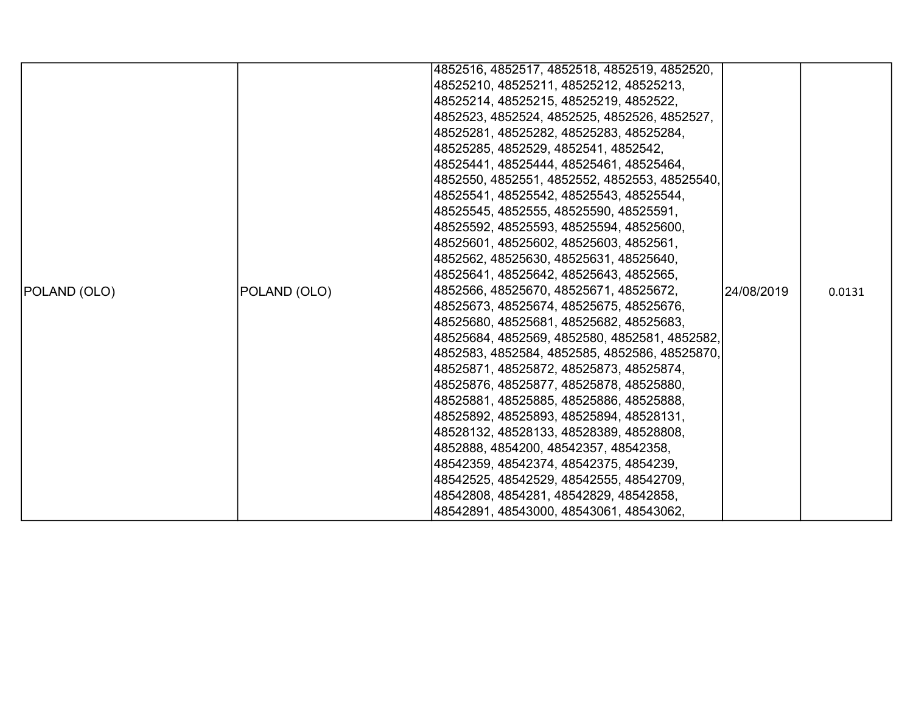|              |              | 4852516, 4852517, 4852518, 4852519, 4852520,  |            |        |
|--------------|--------------|-----------------------------------------------|------------|--------|
|              |              | 48525210, 48525211, 48525212, 48525213,       |            |        |
|              |              | 48525214, 48525215, 48525219, 4852522,        |            |        |
|              |              | 4852523, 4852524, 4852525, 4852526, 4852527,  |            |        |
|              |              | 48525281, 48525282, 48525283, 48525284,       |            |        |
|              |              | 48525285, 4852529, 4852541, 4852542,          |            |        |
|              |              | 48525441, 48525444, 48525461, 48525464,       |            |        |
|              |              | 4852550, 4852551, 4852552, 4852553, 48525540, |            |        |
|              |              | 48525541, 48525542, 48525543, 48525544,       |            |        |
|              |              | 48525545, 4852555, 48525590, 48525591,        |            |        |
|              |              | 48525592, 48525593, 48525594, 48525600,       |            |        |
|              |              | 48525601, 48525602, 48525603, 4852561,        |            |        |
|              |              | 4852562, 48525630, 48525631, 48525640,        |            |        |
|              |              | 48525641, 48525642, 48525643, 4852565,        |            |        |
| POLAND (OLO) | POLAND (OLO) | 4852566, 48525670, 48525671, 48525672,        | 24/08/2019 | 0.0131 |
|              |              | 48525673, 48525674, 48525675, 48525676,       |            |        |
|              |              | 48525680, 48525681, 48525682, 48525683,       |            |        |
|              |              | 48525684, 4852569, 4852580, 4852581, 4852582, |            |        |
|              |              | 4852583, 4852584, 4852585, 4852586, 48525870, |            |        |
|              |              | 48525871, 48525872, 48525873, 48525874,       |            |        |
|              |              | 48525876, 48525877, 48525878, 48525880,       |            |        |
|              |              | 48525881, 48525885, 48525886, 48525888,       |            |        |
|              |              | 48525892, 48525893, 48525894, 48528131,       |            |        |
|              |              | 48528132, 48528133, 48528389, 48528808,       |            |        |
|              |              | 4852888, 4854200, 48542357, 48542358,         |            |        |
|              |              | 48542359, 48542374, 48542375, 4854239,        |            |        |
|              |              | 48542525, 48542529, 48542555, 48542709,       |            |        |
|              |              | 48542808, 4854281, 48542829, 48542858,        |            |        |
|              |              | 48542891, 48543000, 48543061, 48543062,       |            |        |
|              |              |                                               |            |        |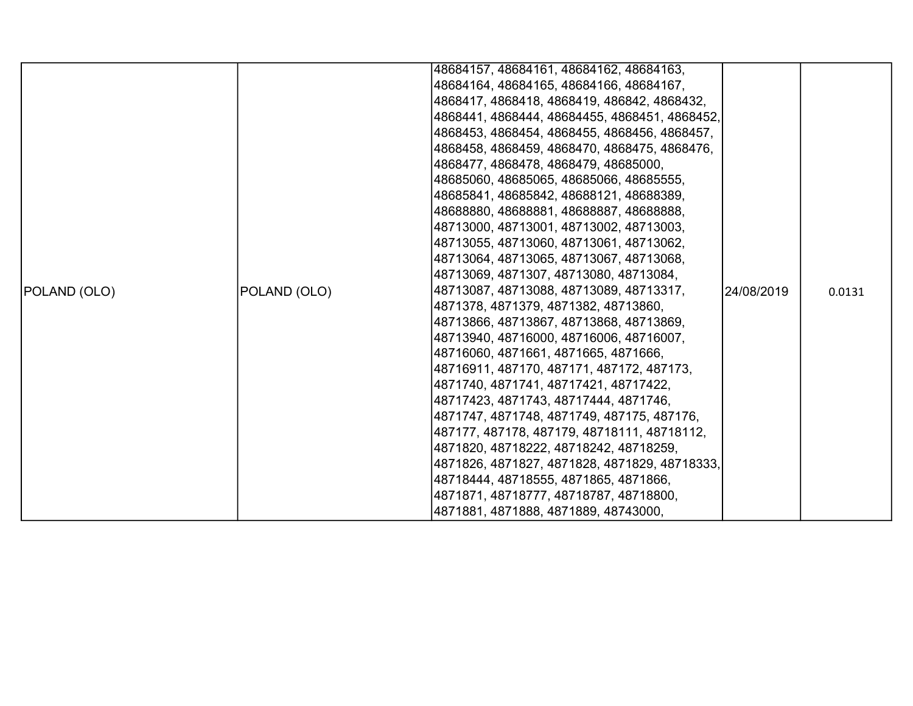|              |              | 48684157, 48684161, 48684162, 48684163,       |            |        |
|--------------|--------------|-----------------------------------------------|------------|--------|
|              |              | 48684164, 48684165, 48684166, 48684167,       |            |        |
|              |              | 4868417, 4868418, 4868419, 486842, 4868432,   |            |        |
|              |              | 4868441, 4868444, 48684455, 4868451, 4868452, |            |        |
|              |              | 4868453, 4868454, 4868455, 4868456, 4868457,  |            |        |
|              |              | 4868458, 4868459, 4868470, 4868475, 4868476,  |            |        |
|              |              | 4868477, 4868478, 4868479, 48685000,          |            |        |
|              |              | 48685060, 48685065, 48685066, 48685555,       |            |        |
|              |              | 48685841, 48685842, 48688121, 48688389,       |            |        |
|              |              | 48688880, 48688881, 48688887, 48688888,       |            |        |
|              |              | 48713000, 48713001, 48713002, 48713003,       |            |        |
|              |              | 48713055, 48713060, 48713061, 48713062,       |            |        |
|              |              | 48713064, 48713065, 48713067, 48713068,       |            |        |
|              |              | 48713069, 4871307, 48713080, 48713084,        |            |        |
| POLAND (OLO) | POLAND (OLO) | 48713087, 48713088, 48713089, 48713317,       | 24/08/2019 | 0.0131 |
|              |              | 4871378, 4871379, 4871382, 48713860,          |            |        |
|              |              | 48713866, 48713867, 48713868, 48713869,       |            |        |
|              |              | 48713940, 48716000, 48716006, 48716007,       |            |        |
|              |              | 48716060, 4871661, 4871665, 4871666,          |            |        |
|              |              | 48716911, 487170, 487171, 487172, 487173,     |            |        |
|              |              | 4871740, 4871741, 48717421, 48717422,         |            |        |
|              |              | 48717423, 4871743, 48717444, 4871746,         |            |        |
|              |              | 4871747, 4871748, 4871749, 487175, 487176,    |            |        |
|              |              | 487177, 487178, 487179, 48718111, 48718112,   |            |        |
|              |              | 4871820, 48718222, 48718242, 48718259,        |            |        |
|              |              | 4871826, 4871827, 4871828, 4871829, 48718333, |            |        |
|              |              | 48718444, 48718555, 4871865, 4871866,         |            |        |
|              |              | 4871871, 48718777, 48718787, 48718800,        |            |        |
|              |              | 4871881, 4871888, 4871889, 48743000,          |            |        |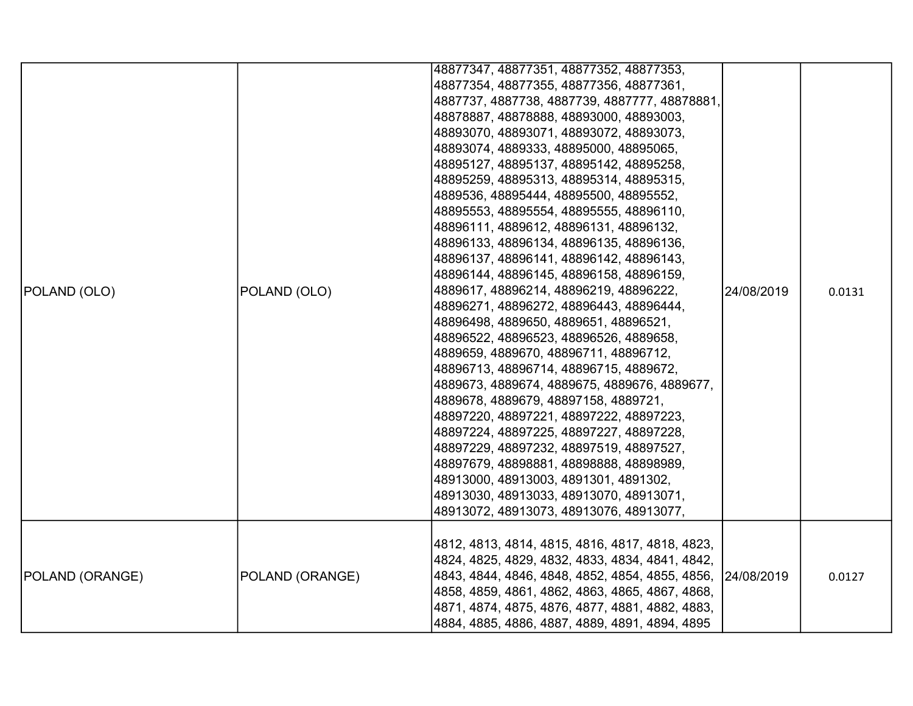|                 |                 | 48877347, 48877351, 48877352, 48877353,<br>48877354, 48877355, 48877356, 48877361,<br>4887737, 4887738, 4887739, 4887777, 48878881,<br>48878887, 48878888, 48893000, 48893003,                                                                                                                                                                                                                                                                                                                                                                                                                                                                                                                                                                                                                                                                                                                                                                                                                                                                                                                        |            |        |
|-----------------|-----------------|-------------------------------------------------------------------------------------------------------------------------------------------------------------------------------------------------------------------------------------------------------------------------------------------------------------------------------------------------------------------------------------------------------------------------------------------------------------------------------------------------------------------------------------------------------------------------------------------------------------------------------------------------------------------------------------------------------------------------------------------------------------------------------------------------------------------------------------------------------------------------------------------------------------------------------------------------------------------------------------------------------------------------------------------------------------------------------------------------------|------------|--------|
| POLAND (OLO)    | POLAND (OLO)    | 48893070, 48893071, 48893072, 48893073,<br>48893074, 4889333, 48895000, 48895065,<br>48895127, 48895137, 48895142, 48895258,<br>48895259, 48895313, 48895314, 48895315,<br>4889536, 48895444, 48895500, 48895552,<br>48895553, 48895554, 48895555, 48896110,<br>48896111, 4889612, 48896131, 48896132,<br>48896133, 48896134, 48896135, 48896136,<br>48896137, 48896141, 48896142, 48896143,<br>48896144, 48896145, 48896158, 48896159,<br>4889617, 48896214, 48896219, 48896222,<br>48896271, 48896272, 48896443, 48896444,<br>48896498, 4889650, 4889651, 48896521,<br>48896522, 48896523, 48896526, 4889658,<br>4889659, 4889670, 48896711, 48896712,<br>48896713, 48896714, 48896715, 4889672,<br>4889673, 4889674, 4889675, 4889676, 4889677,<br>4889678, 4889679, 48897158, 4889721,<br>48897220, 48897221, 48897222, 48897223,<br>48897224, 48897225, 48897227, 48897228,<br>48897229, 48897232, 48897519, 48897527,<br>48897679, 48898881, 48898888, 48898989,<br>48913000, 48913003, 4891301, 4891302,<br>48913030, 48913033, 48913070, 48913071,<br>48913072, 48913073, 48913076, 48913077, | 24/08/2019 | 0.0131 |
| POLAND (ORANGE) | POLAND (ORANGE) | 4812, 4813, 4814, 4815, 4816, 4817, 4818, 4823,<br>4824, 4825, 4829, 4832, 4833, 4834, 4841, 4842,<br>4843, 4844, 4846, 4848, 4852, 4854, 4855, 4856,<br>4858, 4859, 4861, 4862, 4863, 4865, 4867, 4868,<br>4871, 4874, 4875, 4876, 4877, 4881, 4882, 4883,<br>4884, 4885, 4886, 4887, 4889, 4891, 4894, 4895                                                                                                                                                                                                                                                                                                                                                                                                                                                                                                                                                                                                                                                                                                                                                                                         | 24/08/2019 | 0.0127 |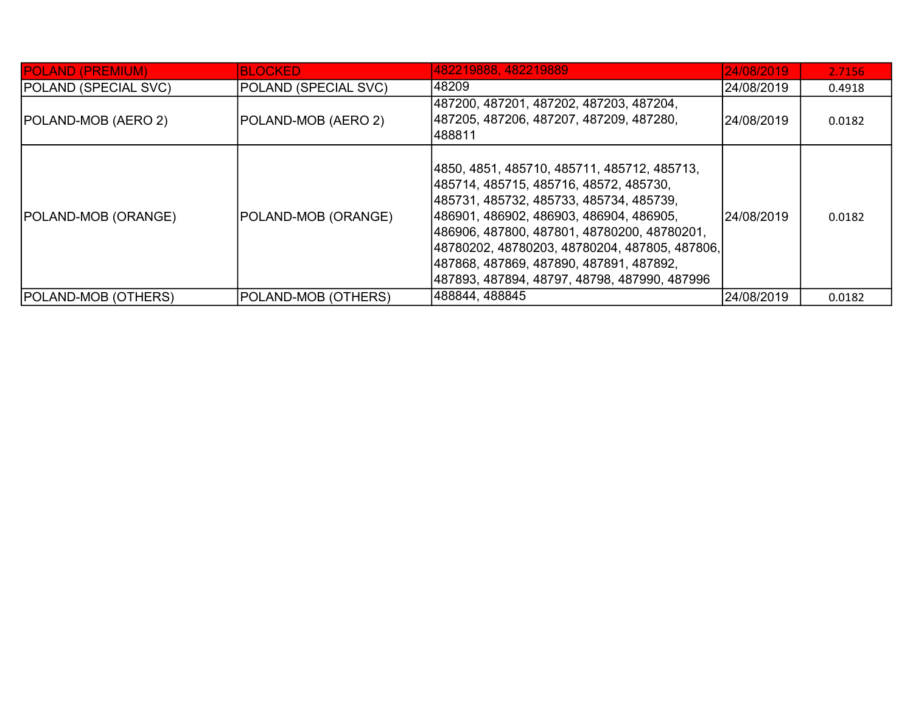| <b>POLAND (PREMIUM)</b>     | <b>BLOCKED</b>       | 482219888, 482219889                                                                                                                                                                                                                                                                                                                                                          | 24/08/2019  | 2.7156 |
|-----------------------------|----------------------|-------------------------------------------------------------------------------------------------------------------------------------------------------------------------------------------------------------------------------------------------------------------------------------------------------------------------------------------------------------------------------|-------------|--------|
| <b>POLAND (SPECIAL SVC)</b> | POLAND (SPECIAL SVC) | 148209                                                                                                                                                                                                                                                                                                                                                                        | 24/08/2019  | 0.4918 |
| <b>POLAND-MOB (AERO 2)</b>  | POLAND-MOB (AERO 2)  | 487200, 487201, 487202, 487203, 487204,<br> 487205, 487206, 487207, 487209, 487280,<br>488811                                                                                                                                                                                                                                                                                 | 24/08/2019  | 0.0182 |
| <b>POLAND-MOB (ORANGE)</b>  | POLAND-MOB (ORANGE)  | 4850, 4851, 485710, 485711, 485712, 485713,<br> 485714, 485715, 485716, 48572, 485730,<br> 485731, 485732, 485733, 485734, 485739,<br> 486901, 486902, 486903, 486904, 486905,<br> 486906, 487800, 487801, 48780200, 48780201,<br> 48780202, 48780203, 48780204, 487805, 487806,<br> 487868, 487869, 487890, 487891, 487892,<br> 487893, 487894, 48797, 48798, 487990, 487996 | l24/08/2019 | 0.0182 |
| <b>POLAND-MOB (OTHERS)</b>  | POLAND-MOB (OTHERS)  | 488844, 488845                                                                                                                                                                                                                                                                                                                                                                | 24/08/2019  | 0.0182 |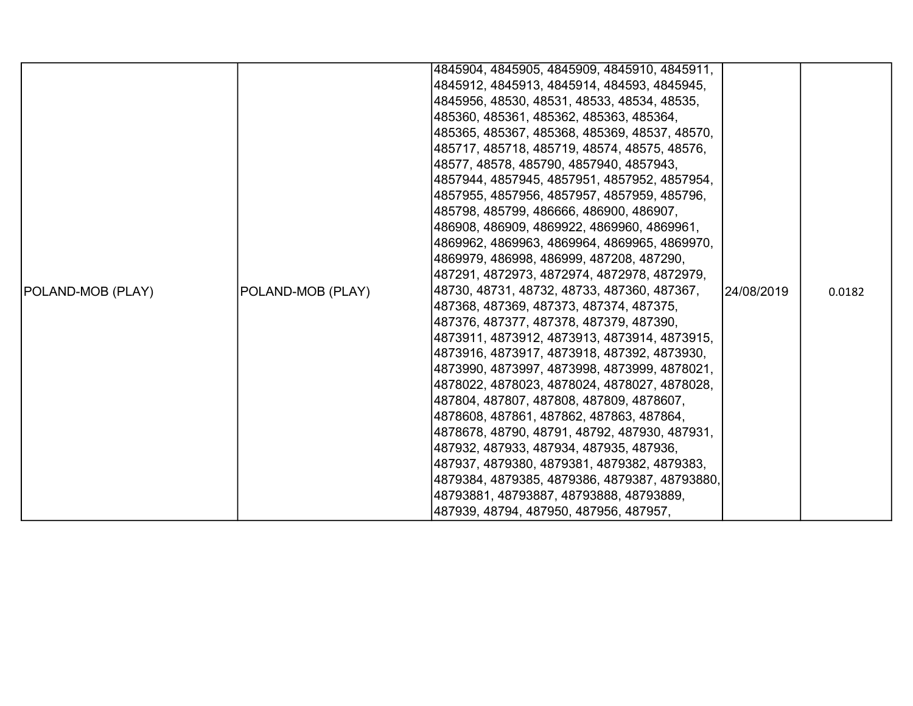|                          |                   | 4845904, 4845905, 4845909, 4845910, 4845911,  |             |        |
|--------------------------|-------------------|-----------------------------------------------|-------------|--------|
|                          |                   | 4845912, 4845913, 4845914, 484593, 4845945,   |             |        |
|                          |                   | 4845956, 48530, 48531, 48533, 48534, 48535,   |             |        |
|                          |                   | 485360, 485361, 485362, 485363, 485364,       |             |        |
|                          |                   | 485365, 485367, 485368, 485369, 48537, 48570, |             |        |
|                          |                   | 485717, 485718, 485719, 48574, 48575, 48576,  |             |        |
|                          |                   | 48577, 48578, 485790, 4857940, 4857943,       |             |        |
|                          |                   | 4857944, 4857945, 4857951, 4857952, 4857954,  |             |        |
|                          |                   | 4857955, 4857956, 4857957, 4857959, 485796,   |             |        |
|                          |                   | 485798, 485799, 486666, 486900, 486907,       |             |        |
|                          |                   | 486908, 486909, 4869922, 4869960, 4869961,    |             |        |
|                          |                   | 4869962, 4869963, 4869964, 4869965, 4869970,  |             |        |
|                          |                   | 4869979, 486998, 486999, 487208, 487290,      |             |        |
|                          |                   | 487291, 4872973, 4872974, 4872978, 4872979,   |             |        |
| <b>POLAND-MOB (PLAY)</b> | POLAND-MOB (PLAY) | 48730, 48731, 48732, 48733, 487360, 487367,   | 124/08/2019 | 0.0182 |
|                          |                   | 487368, 487369, 487373, 487374, 487375,       |             |        |
|                          |                   | 487376, 487377, 487378, 487379, 487390,       |             |        |
|                          |                   | 4873911, 4873912, 4873913, 4873914, 4873915,  |             |        |
|                          |                   | 4873916, 4873917, 4873918, 487392, 4873930,   |             |        |
|                          |                   | 4873990, 4873997, 4873998, 4873999, 4878021,  |             |        |
|                          |                   | 4878022, 4878023, 4878024, 4878027, 4878028,  |             |        |
|                          |                   | 487804, 487807, 487808, 487809, 4878607,      |             |        |
|                          |                   | 4878608, 487861, 487862, 487863, 487864,      |             |        |
|                          |                   | 4878678, 48790, 48791, 48792, 487930, 487931, |             |        |
|                          |                   | 487932, 487933, 487934, 487935, 487936,       |             |        |
|                          |                   | 487937, 4879380, 4879381, 4879382, 4879383,   |             |        |
|                          |                   | 4879384, 4879385, 4879386, 4879387, 48793880, |             |        |
|                          |                   | 48793881, 48793887, 48793888, 48793889,       |             |        |
|                          |                   | 487939, 48794, 487950, 487956, 487957,        |             |        |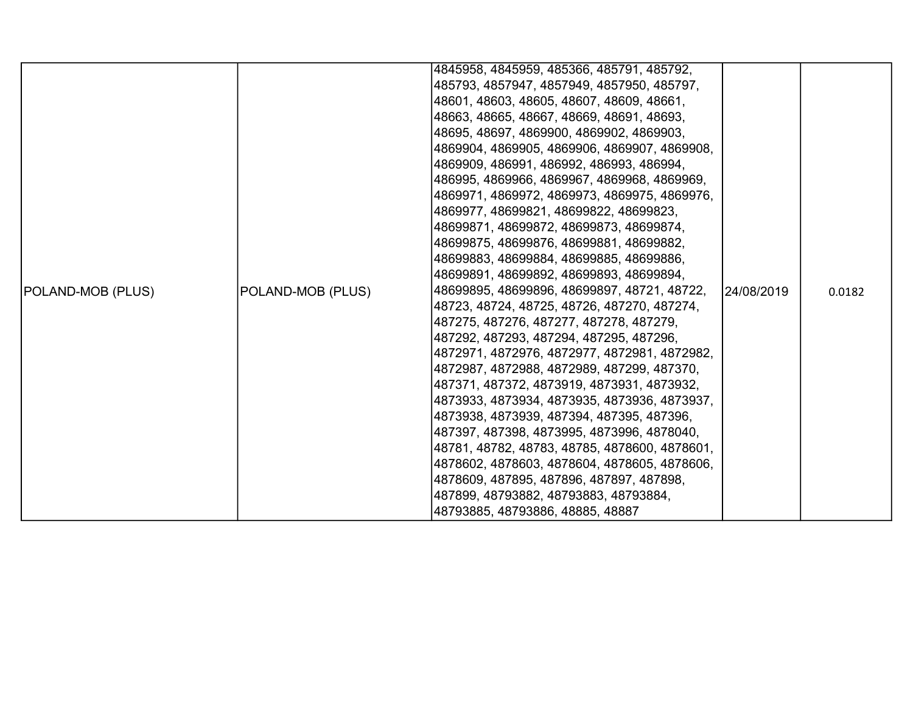|                          |                   | 4845958, 4845959, 485366, 485791, 485792,<br>485793, 4857947, 4857949, 4857950, 485797,     |            |        |
|--------------------------|-------------------|---------------------------------------------------------------------------------------------|------------|--------|
|                          |                   | 48601, 48603, 48605, 48607, 48609, 48661,<br>48663, 48665, 48667, 48669, 48691, 48693,      |            |        |
|                          |                   | 48695, 48697, 4869900, 4869902, 4869903,                                                    |            |        |
|                          |                   | 4869904, 4869905, 4869906, 4869907, 4869908,                                                |            |        |
|                          |                   | 4869909, 486991, 486992, 486993, 486994,                                                    |            |        |
|                          |                   | 486995, 4869966, 4869967, 4869968, 4869969,                                                 |            |        |
|                          |                   | 4869971, 4869972, 4869973, 4869975, 4869976,                                                |            |        |
|                          |                   | 4869977, 48699821, 48699822, 48699823,                                                      |            |        |
|                          |                   | 48699871, 48699872, 48699873, 48699874,                                                     |            |        |
|                          |                   | 48699875, 48699876, 48699881, 48699882,                                                     |            |        |
|                          |                   | 48699883, 48699884, 48699885, 48699886,                                                     |            |        |
|                          |                   | 48699891, 48699892, 48699893, 48699894,                                                     |            |        |
| <b>POLAND-MOB (PLUS)</b> | POLAND-MOB (PLUS) | 48699895, 48699896, 48699897, 48721, 48722,<br> 48723, 48724, 48725, 48726, 487270, 487274, | 24/08/2019 | 0.0182 |
|                          |                   | 487275, 487276, 487277, 487278, 487279,                                                     |            |        |
|                          |                   | 487292, 487293, 487294, 487295, 487296,                                                     |            |        |
|                          |                   | 4872971, 4872976, 4872977, 4872981, 4872982,                                                |            |        |
|                          |                   | 4872987, 4872988, 4872989, 487299, 487370,                                                  |            |        |
|                          |                   | 487371, 487372, 4873919, 4873931, 4873932,                                                  |            |        |
|                          |                   | 4873933, 4873934, 4873935, 4873936, 4873937,                                                |            |        |
|                          |                   | 4873938, 4873939, 487394, 487395, 487396,                                                   |            |        |
|                          |                   | 487397, 487398, 4873995, 4873996, 4878040,                                                  |            |        |
|                          |                   | 48781, 48782, 48783, 48785, 4878600, 4878601,                                               |            |        |
|                          |                   | 4878602, 4878603, 4878604, 4878605, 4878606,                                                |            |        |
|                          |                   | 4878609, 487895, 487896, 487897, 487898,                                                    |            |        |
|                          |                   | 487899, 48793882, 48793883, 48793884,                                                       |            |        |
|                          |                   | 48793885, 48793886, 48885, 48887                                                            |            |        |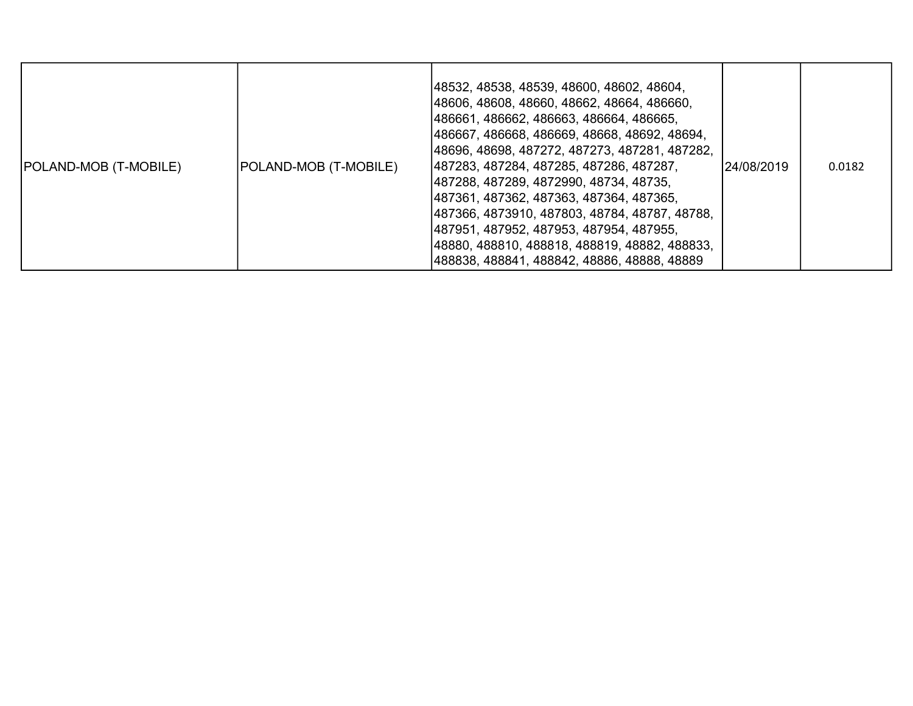| POLAND-MOB (T-MOBILE) | POLAND-MOB (T-MOBILE) | 48532, 48538, 48539, 48600, 48602, 48604,<br> 48606, 48608, 48660, 48662, 48664, 486660,<br> 486661, 486662, 486663, 486664, 486665,<br> 486667, 486668, 486669, 48668, 48692, 48694,<br> 48696, 48698, 487272, 487273, 487281, 487282,<br> 487283, 487284, 487285, 487286, 487287,<br> 487288, 487289, 4872990, 48734, 48735,<br> 487361, 487362, 487363, 487364, 487365,<br> 487366, 4873910, 487803, 48784, 48787, 48788,<br> 487951, 487952, 487953, 487954, 487955,<br> 48880, 488810, 488818, 488819, 48882, 488833,<br>488838, 488841, 488842, 48886, 48888, 48889 | 24/08/2019 | 0.0182 |
|-----------------------|-----------------------|---------------------------------------------------------------------------------------------------------------------------------------------------------------------------------------------------------------------------------------------------------------------------------------------------------------------------------------------------------------------------------------------------------------------------------------------------------------------------------------------------------------------------------------------------------------------------|------------|--------|
|-----------------------|-----------------------|---------------------------------------------------------------------------------------------------------------------------------------------------------------------------------------------------------------------------------------------------------------------------------------------------------------------------------------------------------------------------------------------------------------------------------------------------------------------------------------------------------------------------------------------------------------------------|------------|--------|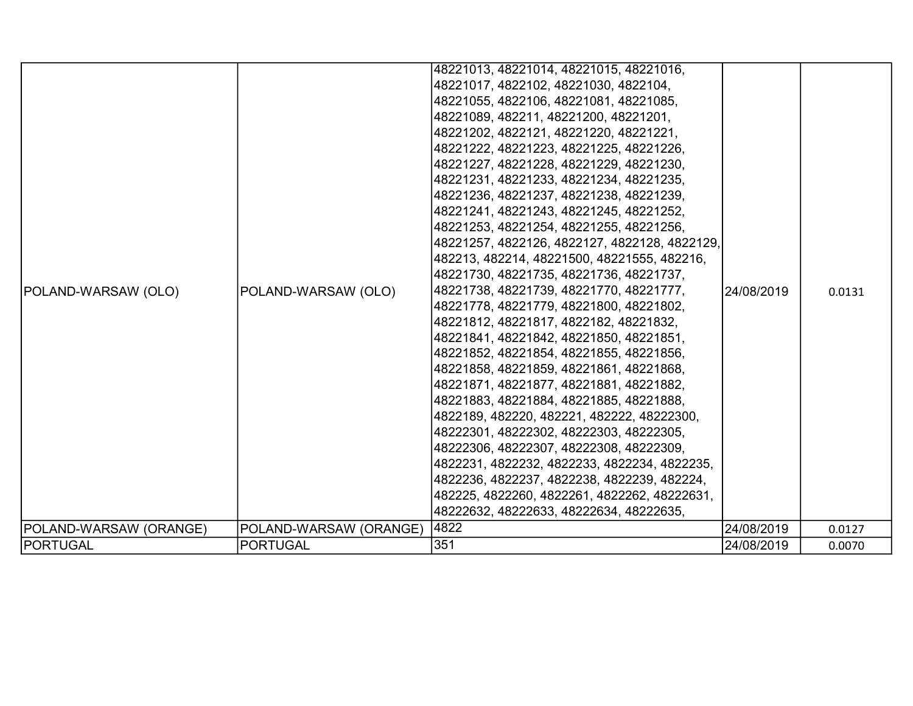|                        |                        | 48221013, 48221014, 48221015, 48221016,       |             |        |
|------------------------|------------------------|-----------------------------------------------|-------------|--------|
|                        |                        | 48221017, 4822102, 48221030, 4822104,         |             |        |
|                        |                        | 48221055, 4822106, 48221081, 48221085,        |             |        |
|                        |                        | 48221089, 482211, 48221200, 48221201,         |             |        |
|                        |                        | 48221202, 4822121, 48221220, 48221221,        |             |        |
|                        |                        | 48221222, 48221223, 48221225, 48221226,       |             |        |
|                        |                        | 48221227, 48221228, 48221229, 48221230,       |             |        |
|                        |                        | 48221231, 48221233, 48221234, 48221235,       |             |        |
|                        |                        | 48221236, 48221237, 48221238, 48221239,       |             |        |
|                        |                        | 48221241, 48221243, 48221245, 48221252,       |             |        |
|                        |                        | 48221253, 48221254, 48221255, 48221256,       |             |        |
|                        |                        | 48221257, 4822126, 4822127, 4822128, 4822129, |             |        |
|                        |                        | 482213, 482214, 48221500, 48221555, 482216,   |             |        |
|                        |                        | 48221730, 48221735, 48221736, 48221737,       |             |        |
| POLAND-WARSAW (OLO)    | POLAND-WARSAW (OLO)    | 48221738, 48221739, 48221770, 48221777,       | 124/08/2019 | 0.0131 |
|                        |                        | 48221778, 48221779, 48221800, 48221802,       |             |        |
|                        |                        | 48221812, 48221817, 4822182, 48221832,        |             |        |
|                        |                        | 48221841, 48221842, 48221850, 48221851,       |             |        |
|                        |                        | 48221852, 48221854, 48221855, 48221856,       |             |        |
|                        |                        | 48221858, 48221859, 48221861, 48221868,       |             |        |
|                        |                        | 48221871, 48221877, 48221881, 48221882,       |             |        |
|                        |                        | 48221883, 48221884, 48221885, 48221888,       |             |        |
|                        |                        | 4822189, 482220, 482221, 482222, 48222300,    |             |        |
|                        |                        | 48222301, 48222302, 48222303, 48222305,       |             |        |
|                        |                        | 48222306, 48222307, 48222308, 48222309,       |             |        |
|                        |                        | 4822231, 4822232, 4822233, 4822234, 4822235,  |             |        |
|                        |                        | 4822236, 4822237, 4822238, 4822239, 482224,   |             |        |
|                        |                        | 482225, 4822260, 4822261, 4822262, 48222631,  |             |        |
|                        |                        | 48222632, 48222633, 48222634, 48222635,       |             |        |
| POLAND-WARSAW (ORANGE) | POLAND-WARSAW (ORANGE) | 4822                                          | 24/08/2019  | 0.0127 |
| <b>PORTUGAL</b>        | <b>PORTUGAL</b>        | 351                                           | 24/08/2019  | 0.0070 |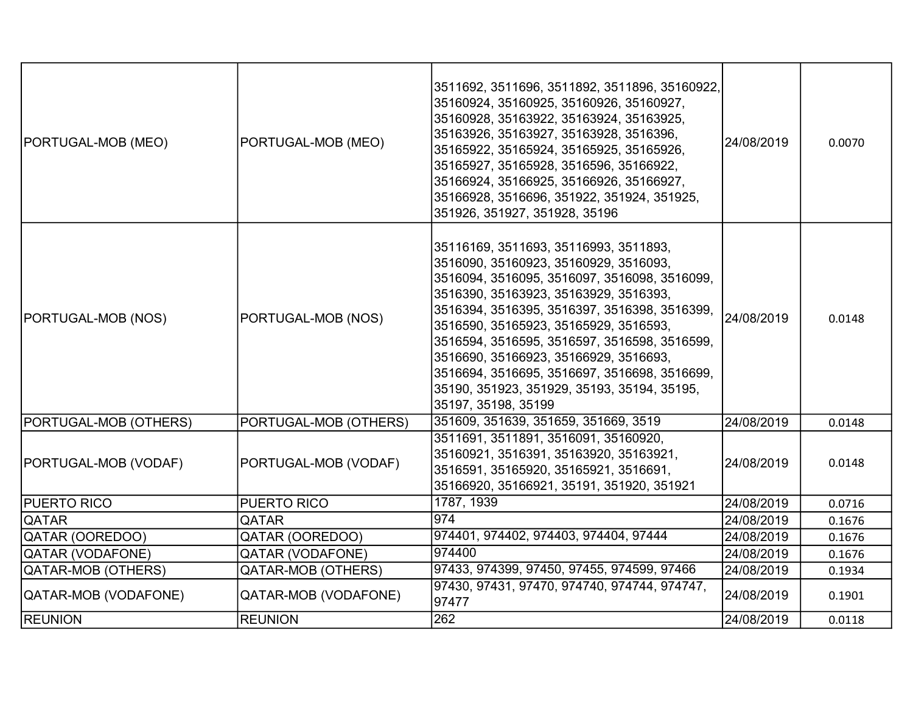| PORTUGAL-MOB (MEO)    | PORTUGAL-MOB (MEO)        | 3511692, 3511696, 3511892, 3511896, 35160922,<br>35160924, 35160925, 35160926, 35160927,<br>35160928, 35163922, 35163924, 35163925,<br>35163926, 35163927, 35163928, 3516396,<br>35165922, 35165924, 35165925, 35165926,<br>35165927, 35165928, 3516596, 35166922,<br>35166924, 35166925, 35166926, 35166927,<br>35166928, 3516696, 351922, 351924, 351925,<br>351926, 351927, 351928, 35196                                                                                    | 24/08/2019 | 0.0070 |
|-----------------------|---------------------------|---------------------------------------------------------------------------------------------------------------------------------------------------------------------------------------------------------------------------------------------------------------------------------------------------------------------------------------------------------------------------------------------------------------------------------------------------------------------------------|------------|--------|
| PORTUGAL-MOB (NOS)    | PORTUGAL-MOB (NOS)        | 35116169, 3511693, 35116993, 3511893,<br>3516090, 35160923, 35160929, 3516093,<br>3516094, 3516095, 3516097, 3516098, 3516099,<br>3516390, 35163923, 35163929, 3516393,<br>3516394, 3516395, 3516397, 3516398, 3516399,<br>3516590, 35165923, 35165929, 3516593,<br>3516594, 3516595, 3516597, 3516598, 3516599,<br>3516690, 35166923, 35166929, 3516693,<br>3516694, 3516695, 3516697, 3516698, 3516699,<br>35190, 351923, 351929, 35193, 35194, 35195,<br>35197, 35198, 35199 | 24/08/2019 | 0.0148 |
| PORTUGAL-MOB (OTHERS) | PORTUGAL-MOB (OTHERS)     | 351609, 351639, 351659, 351669, 3519                                                                                                                                                                                                                                                                                                                                                                                                                                            | 24/08/2019 | 0.0148 |
| PORTUGAL-MOB (VODAF)  | PORTUGAL-MOB (VODAF)      | 3511691, 3511891, 3516091, 35160920,<br>35160921, 3516391, 35163920, 35163921,<br>3516591, 35165920, 35165921, 3516691,<br>35166920, 35166921, 35191, 351920, 351921                                                                                                                                                                                                                                                                                                            | 24/08/2019 | 0.0148 |
| <b>PUERTO RICO</b>    | PUERTO RICO               | 1787, 1939                                                                                                                                                                                                                                                                                                                                                                                                                                                                      | 24/08/2019 | 0.0716 |
| <b>QATAR</b>          | QATAR                     | 974                                                                                                                                                                                                                                                                                                                                                                                                                                                                             | 24/08/2019 | 0.1676 |
| QATAR (OOREDOO)       | QATAR (OOREDOO)           | 974401, 974402, 974403, 974404, 97444                                                                                                                                                                                                                                                                                                                                                                                                                                           | 24/08/2019 | 0.1676 |
| QATAR (VODAFONE)      | <b>QATAR (VODAFONE)</b>   | 974400                                                                                                                                                                                                                                                                                                                                                                                                                                                                          | 24/08/2019 | 0.1676 |
| QATAR-MOB (OTHERS)    | <b>QATAR-MOB (OTHERS)</b> | 97433, 974399, 97450, 97455, 974599, 97466                                                                                                                                                                                                                                                                                                                                                                                                                                      | 24/08/2019 | 0.1934 |
| QATAR-MOB (VODAFONE)  | QATAR-MOB (VODAFONE)      | 97430, 97431, 97470, 974740, 974744, 974747,<br>97477                                                                                                                                                                                                                                                                                                                                                                                                                           | 24/08/2019 | 0.1901 |
| <b>REUNION</b>        | <b>REUNION</b>            | 262                                                                                                                                                                                                                                                                                                                                                                                                                                                                             | 24/08/2019 | 0.0118 |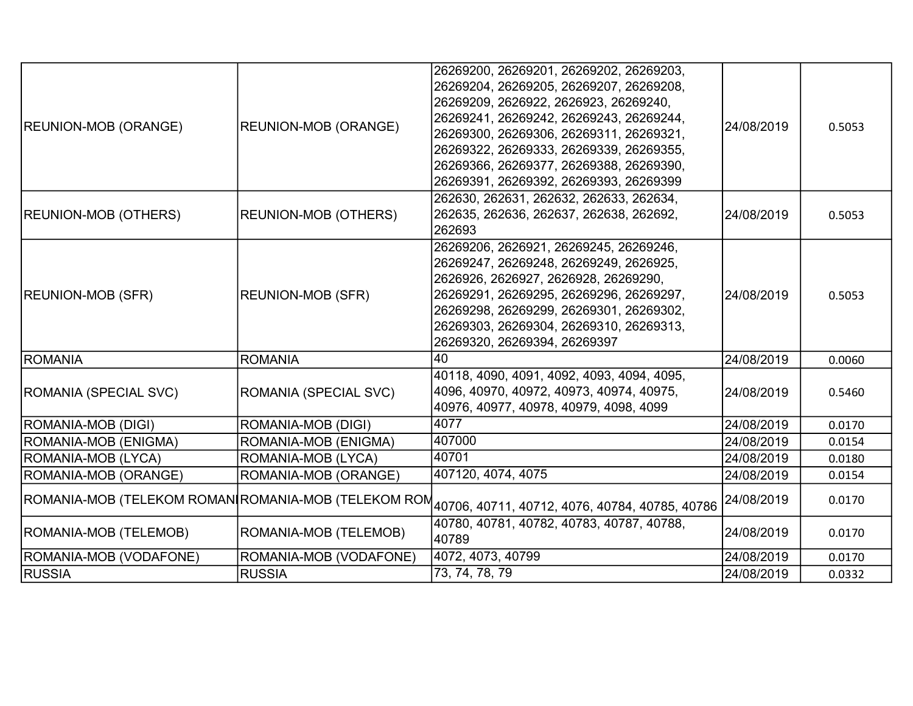|                                                     |                             | 26269200, 26269201, 26269202, 26269203,            |            |        |
|-----------------------------------------------------|-----------------------------|----------------------------------------------------|------------|--------|
|                                                     |                             | 26269204, 26269205, 26269207, 26269208,            |            |        |
|                                                     |                             | 26269209, 2626922, 2626923, 26269240,              |            |        |
| <b>REUNION-MOB (ORANGE)</b>                         | <b>REUNION-MOB (ORANGE)</b> | 26269241, 26269242, 26269243, 26269244,            | 24/08/2019 | 0.5053 |
|                                                     |                             | 26269300, 26269306, 26269311, 26269321,            |            |        |
|                                                     |                             | 26269322, 26269333, 26269339, 26269355,            |            |        |
|                                                     |                             | 26269366, 26269377, 26269388, 26269390,            |            |        |
|                                                     |                             | 26269391, 26269392, 26269393, 26269399             |            |        |
|                                                     |                             | 262630, 262631, 262632, 262633, 262634,            |            |        |
| <b>REUNION-MOB (OTHERS)</b>                         | <b>REUNION-MOB (OTHERS)</b> | 262635, 262636, 262637, 262638, 262692,            | 24/08/2019 | 0.5053 |
|                                                     |                             | 262693                                             |            |        |
|                                                     |                             | 26269206, 2626921, 26269245, 26269246,             |            |        |
|                                                     |                             | 26269247, 26269248, 26269249, 2626925,             |            |        |
|                                                     |                             | 2626926, 2626927, 2626928, 26269290,               |            |        |
| <b>REUNION-MOB (SFR)</b>                            | <b>REUNION-MOB (SFR)</b>    | 26269291, 26269295, 26269296, 26269297,            | 24/08/2019 | 0.5053 |
|                                                     |                             | 26269298, 26269299, 26269301, 26269302,            |            |        |
|                                                     |                             | 26269303, 26269304, 26269310, 26269313,            |            |        |
|                                                     |                             | 26269320, 26269394, 26269397                       |            |        |
| ROMANIA                                             | <b>ROMANIA</b>              | 40                                                 | 24/08/2019 | 0.0060 |
|                                                     |                             | 40118, 4090, 4091, 4092, 4093, 4094, 4095,         |            |        |
| ROMANIA (SPECIAL SVC)                               | ROMANIA (SPECIAL SVC)       | 4096, 40970, 40972, 40973, 40974, 40975,           | 24/08/2019 | 0.5460 |
|                                                     |                             | 40976, 40977, 40978, 40979, 4098, 4099             |            |        |
| ROMANIA-MOB (DIGI)                                  | ROMANIA-MOB (DIGI)          | 4077                                               | 24/08/2019 | 0.0170 |
| ROMANIA-MOB (ENIGMA)                                | ROMANIA-MOB (ENIGMA)        | 407000                                             | 24/08/2019 | 0.0154 |
| ROMANIA-MOB (LYCA)                                  | ROMANIA-MOB (LYCA)          | 40701                                              | 24/08/2019 | 0.0180 |
| ROMANIA-MOB (ORANGE)                                | ROMANIA-MOB (ORANGE)        | 407120, 4074, 4075                                 | 24/08/2019 | 0.0154 |
| ROMANIA-MOB (TELEKOM ROMAN∣ROMANIA-MOB (TELEKOM ROM |                             | 40706, 40711, 40712, 4076, 40784, 40785, 40786     | 24/08/2019 | 0.0170 |
| ROMANIA-MOB (TELEMOB)                               | ROMANIA-MOB (TELEMOB)       | 40780, 40781, 40782, 40783, 40787, 40788,<br>40789 | 24/08/2019 | 0.0170 |
| ROMANIA-MOB (VODAFONE)                              | ROMANIA-MOB (VODAFONE)      | 4072, 4073, 40799                                  | 24/08/2019 | 0.0170 |
| <b>RUSSIA</b>                                       | <b>RUSSIA</b>               | 73, 74, 78, 79                                     | 24/08/2019 | 0.0332 |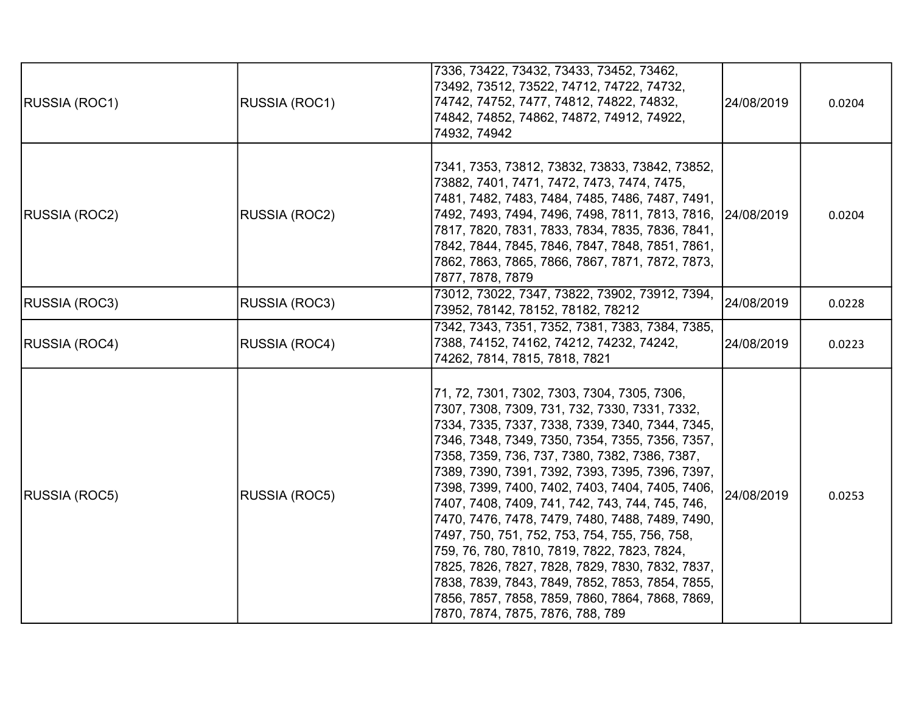| <b>RUSSIA (ROC1)</b> | RUSSIA (ROC1) | 7336, 73422, 73432, 73433, 73452, 73462,<br>73492, 73512, 73522, 74712, 74722, 74732,<br>74742, 74752, 7477, 74812, 74822, 74832,<br>74842, 74852, 74862, 74872, 74912, 74922,<br>74932, 74942                                                                                                                                                                                                                                                                                                                                                                                                                                                                                                                                                               | 24/08/2019 | 0.0204 |
|----------------------|---------------|--------------------------------------------------------------------------------------------------------------------------------------------------------------------------------------------------------------------------------------------------------------------------------------------------------------------------------------------------------------------------------------------------------------------------------------------------------------------------------------------------------------------------------------------------------------------------------------------------------------------------------------------------------------------------------------------------------------------------------------------------------------|------------|--------|
| <b>RUSSIA (ROC2)</b> | RUSSIA (ROC2) | 7341, 7353, 73812, 73832, 73833, 73842, 73852,<br>73882, 7401, 7471, 7472, 7473, 7474, 7475,<br>7481, 7482, 7483, 7484, 7485, 7486, 7487, 7491,<br> 7492, 7493, 7494, 7496, 7498, 7811, 7813, 7816,   24/08/2019<br>7817, 7820, 7831, 7833, 7834, 7835, 7836, 7841,<br> 7842, 7844, 7845, 7846, 7847, 7848, 7851, 7861,<br>7862, 7863, 7865, 7866, 7867, 7871, 7872, 7873,<br>7877, 7878, 7879                                                                                                                                                                                                                                                                                                                                                               |            | 0.0204 |
| RUSSIA (ROC3)        | RUSSIA (ROC3) | 73012, 73022, 7347, 73822, 73902, 73912, 7394,<br>73952, 78142, 78152, 78182, 78212                                                                                                                                                                                                                                                                                                                                                                                                                                                                                                                                                                                                                                                                          | 24/08/2019 | 0.0228 |
| <b>RUSSIA (ROC4)</b> | RUSSIA (ROC4) | 7342, 7343, 7351, 7352, 7381, 7383, 7384, 7385,<br>7388, 74152, 74162, 74212, 74232, 74242,<br>74262, 7814, 7815, 7818, 7821                                                                                                                                                                                                                                                                                                                                                                                                                                                                                                                                                                                                                                 | 24/08/2019 | 0.0223 |
| RUSSIA (ROC5)        | RUSSIA (ROC5) | 71, 72, 7301, 7302, 7303, 7304, 7305, 7306,<br>7307, 7308, 7309, 731, 732, 7330, 7331, 7332,<br>7334, 7335, 7337, 7338, 7339, 7340, 7344, 7345,<br>7346, 7348, 7349, 7350, 7354, 7355, 7356, 7357,<br>7358, 7359, 736, 737, 7380, 7382, 7386, 7387,<br>7389, 7390, 7391, 7392, 7393, 7395, 7396, 7397,<br>7398, 7399, 7400, 7402, 7403, 7404, 7405, 7406,<br>7407, 7408, 7409, 741, 742, 743, 744, 745, 746,<br>7470, 7476, 7478, 7479, 7480, 7488, 7489, 7490,<br>7497, 750, 751, 752, 753, 754, 755, 756, 758,<br>759, 76, 780, 7810, 7819, 7822, 7823, 7824,<br>7825, 7826, 7827, 7828, 7829, 7830, 7832, 7837,<br>7838, 7839, 7843, 7849, 7852, 7853, 7854, 7855,<br>7856, 7857, 7858, 7859, 7860, 7864, 7868, 7869,<br>7870, 7874, 7875, 7876, 788, 789 | 24/08/2019 | 0.0253 |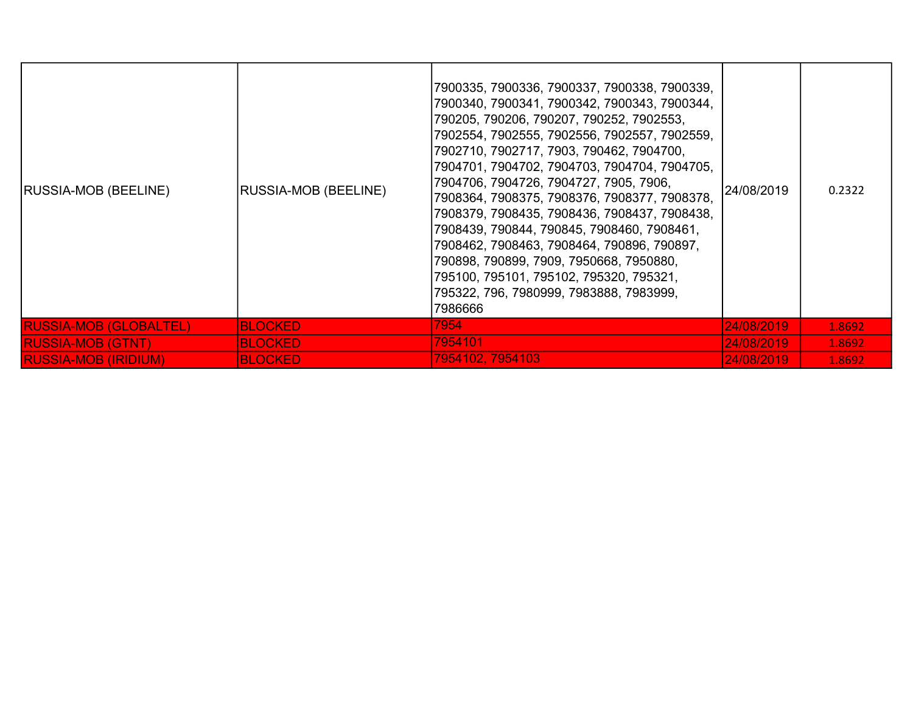| <b>RUSSIA-MOB (BEELINE)</b>   | <b>RUSSIA-MOB (BEELINE)</b> | 7900335, 7900336, 7900337, 7900338, 7900339,<br>7900340, 7900341, 7900342, 7900343, 7900344,<br>790205, 790206, 790207, 790252, 7902553,<br>7902554, 7902555, 7902556, 7902557, 7902559,<br>7902710, 7902717, 7903, 790462, 7904700,<br>7904701, 7904702, 7904703, 7904704, 7904705,<br>7904706, 7904726, 7904727, 7905, 7906,<br>7908364, 7908375, 7908376, 7908377, 7908378,<br>7908379, 7908435, 7908436, 7908437, 7908438,<br>7908439, 790844, 790845, 7908460, 7908461,<br>7908462, 7908463, 7908464, 790896, 790897,<br>790898, 790899, 7909, 7950668, 7950880,<br>795100, 795101, 795102, 795320, 795321,<br>795322, 796, 7980999, 7983888, 7983999,<br>7986666 | 24/08/2019 | 0.2322 |
|-------------------------------|-----------------------------|------------------------------------------------------------------------------------------------------------------------------------------------------------------------------------------------------------------------------------------------------------------------------------------------------------------------------------------------------------------------------------------------------------------------------------------------------------------------------------------------------------------------------------------------------------------------------------------------------------------------------------------------------------------------|------------|--------|
| <b>RUSSIA-MOB (GLOBALTEL)</b> | <b>BLOCKED</b>              | 7954                                                                                                                                                                                                                                                                                                                                                                                                                                                                                                                                                                                                                                                                   | 24/08/2019 | 1.8692 |
| <b>RUSSIA-MOB (GTNT)</b>      | <b>BLOCKED</b>              | 7954101                                                                                                                                                                                                                                                                                                                                                                                                                                                                                                                                                                                                                                                                | 24/08/2019 | 1.8692 |
| <b>RUSSIA-MOB (IRIDIUM)</b>   | <b>BLOCKED</b>              | 7954102, 7954103                                                                                                                                                                                                                                                                                                                                                                                                                                                                                                                                                                                                                                                       | 24/08/2019 | 1.8692 |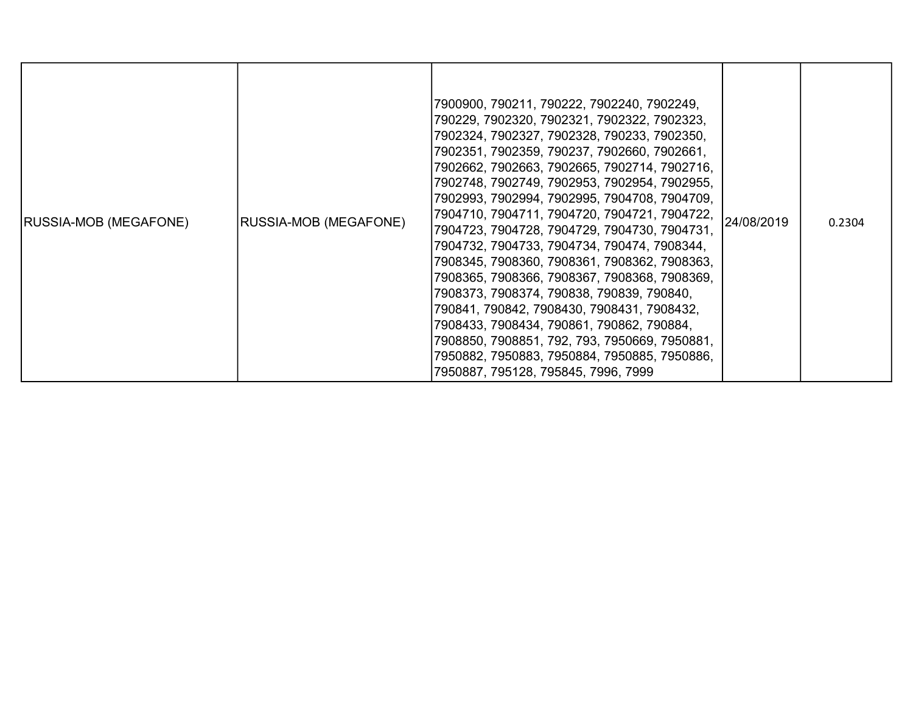| <b>RUSSIA-MOB (MEGAFONE)</b> | <b>RUSSIA-MOB (MEGAFONE)</b> | 7900900, 790211, 790222, 7902240, 7902249,<br>790229, 7902320, 7902321, 7902322, 7902323,<br>7902324, 7902327, 7902328, 790233, 7902350,<br>7902351, 7902359, 790237, 7902660, 7902661,<br>7902662, 7902663, 7902665, 7902714, 7902716,<br>7902748, 7902749, 7902953, 7902954, 7902955,<br>7902993, 7902994, 7902995, 7904708, 7904709,<br>7904710, 7904711, 7904720, 7904721, 7904722,<br>7904723, 7904728, 7904729, 7904730, 7904731,<br>7904732, 7904733, 7904734, 790474, 7908344,<br>7908345, 7908360, 7908361, 7908362, 7908363,<br>7908365, 7908366, 7908367, 7908368, 7908369,<br>7908373, 7908374, 790838, 790839, 790840,<br>790841, 790842, 7908430, 7908431, 7908432,<br>7908433, 7908434, 790861, 790862, 790884,<br>7908850, 7908851, 792, 793, 7950669, 7950881,<br>7950882, 7950883, 7950884, 7950885, 7950886,<br>7950887, 795128, 795845, 7996, 7999 | 24/08/2019 | 0.2304 |
|------------------------------|------------------------------|------------------------------------------------------------------------------------------------------------------------------------------------------------------------------------------------------------------------------------------------------------------------------------------------------------------------------------------------------------------------------------------------------------------------------------------------------------------------------------------------------------------------------------------------------------------------------------------------------------------------------------------------------------------------------------------------------------------------------------------------------------------------------------------------------------------------------------------------------------------------|------------|--------|
|------------------------------|------------------------------|------------------------------------------------------------------------------------------------------------------------------------------------------------------------------------------------------------------------------------------------------------------------------------------------------------------------------------------------------------------------------------------------------------------------------------------------------------------------------------------------------------------------------------------------------------------------------------------------------------------------------------------------------------------------------------------------------------------------------------------------------------------------------------------------------------------------------------------------------------------------|------------|--------|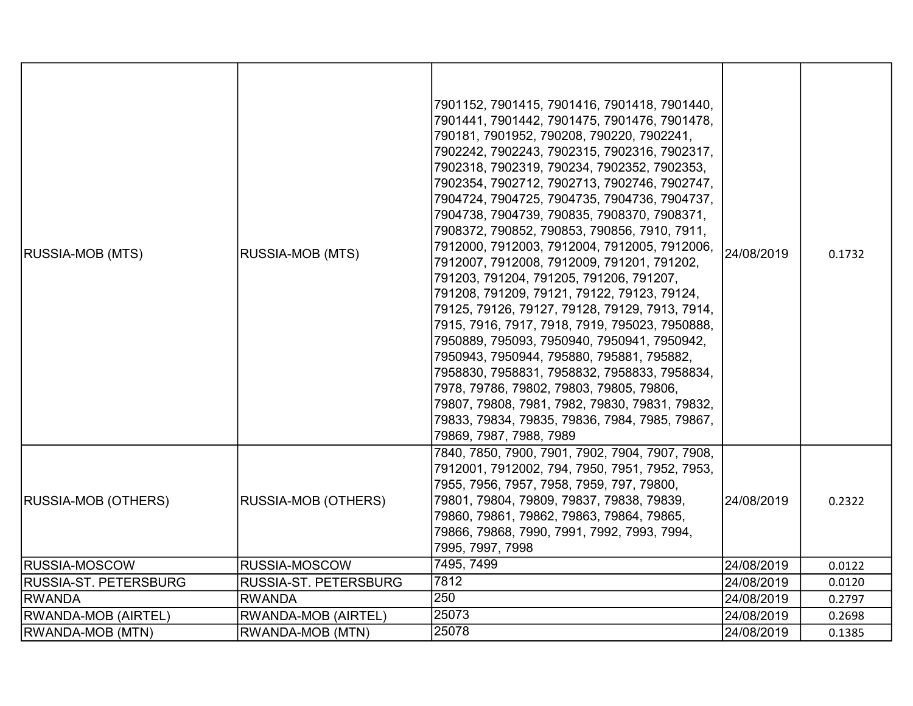| <b>RUSSIA-MOB (MTS)</b>    | <b>RUSSIA-MOB (MTS)</b>    | 7901152, 7901415, 7901416, 7901418, 7901440,<br>7901441, 7901442, 7901475, 7901476, 7901478,<br>790181, 7901952, 790208, 790220, 7902241,<br>7902242, 7902243, 7902315, 7902316, 7902317,<br>7902318, 7902319, 790234, 7902352, 7902353,<br>7902354, 7902712, 7902713, 7902746, 7902747,<br>7904724, 7904725, 7904735, 7904736, 7904737,<br>7904738, 7904739, 790835, 7908370, 7908371,<br>7908372, 790852, 790853, 790856, 7910, 7911,<br>7912000, 7912003, 7912004, 7912005, 7912006,<br>7912007, 7912008, 7912009, 791201, 791202,<br>791203, 791204, 791205, 791206, 791207,<br>791208, 791209, 79121, 79122, 79123, 79124,<br>79125, 79126, 79127, 79128, 79129, 7913, 7914,<br>7915, 7916, 7917, 7918, 7919, 795023, 7950888,<br>7950889, 795093, 7950940, 7950941, 7950942,<br>7950943, 7950944, 795880, 795881, 795882,<br>7958830, 7958831, 7958832, 7958833, 7958834,<br>7978, 79786, 79802, 79803, 79805, 79806,<br>79807, 79808, 7981, 7982, 79830, 79831, 79832,<br>79833, 79834, 79835, 79836, 7984, 7985, 79867,<br>79869, 7987, 7988, 7989 | 24/08/2019 | 0.1732 |
|----------------------------|----------------------------|------------------------------------------------------------------------------------------------------------------------------------------------------------------------------------------------------------------------------------------------------------------------------------------------------------------------------------------------------------------------------------------------------------------------------------------------------------------------------------------------------------------------------------------------------------------------------------------------------------------------------------------------------------------------------------------------------------------------------------------------------------------------------------------------------------------------------------------------------------------------------------------------------------------------------------------------------------------------------------------------------------------------------------------------------------|------------|--------|
| <b>RUSSIA-MOB (OTHERS)</b> | <b>RUSSIA-MOB (OTHERS)</b> | 7840, 7850, 7900, 7901, 7902, 7904, 7907, 7908,<br>7912001, 7912002, 794, 7950, 7951, 7952, 7953,<br>7955, 7956, 7957, 7958, 7959, 797, 79800,<br>79801, 79804, 79809, 79837, 79838, 79839,<br>79860, 79861, 79862, 79863, 79864, 79865,<br>79866, 79868, 7990, 7991, 7992, 7993, 7994,<br>7995, 7997, 7998                                                                                                                                                                                                                                                                                                                                                                                                                                                                                                                                                                                                                                                                                                                                                | 24/08/2019 | 0.2322 |
| <b>RUSSIA-MOSCOW</b>       | RUSSIA-MOSCOW              | 7495, 7499                                                                                                                                                                                                                                                                                                                                                                                                                                                                                                                                                                                                                                                                                                                                                                                                                                                                                                                                                                                                                                                 | 24/08/2019 | 0.0122 |
| RUSSIA-ST. PETERSBURG      | RUSSIA-ST. PETERSBURG      | 7812                                                                                                                                                                                                                                                                                                                                                                                                                                                                                                                                                                                                                                                                                                                                                                                                                                                                                                                                                                                                                                                       | 24/08/2019 | 0.0120 |
| <b>RWANDA</b>              | <b>RWANDA</b>              | 250                                                                                                                                                                                                                                                                                                                                                                                                                                                                                                                                                                                                                                                                                                                                                                                                                                                                                                                                                                                                                                                        | 24/08/2019 | 0.2797 |
| <b>RWANDA-MOB (AIRTEL)</b> | RWANDA-MOB (AIRTEL)        | 25073                                                                                                                                                                                                                                                                                                                                                                                                                                                                                                                                                                                                                                                                                                                                                                                                                                                                                                                                                                                                                                                      | 24/08/2019 | 0.2698 |
| <b>RWANDA-MOB (MTN)</b>    | RWANDA-MOB (MTN)           | 25078                                                                                                                                                                                                                                                                                                                                                                                                                                                                                                                                                                                                                                                                                                                                                                                                                                                                                                                                                                                                                                                      | 24/08/2019 | 0.1385 |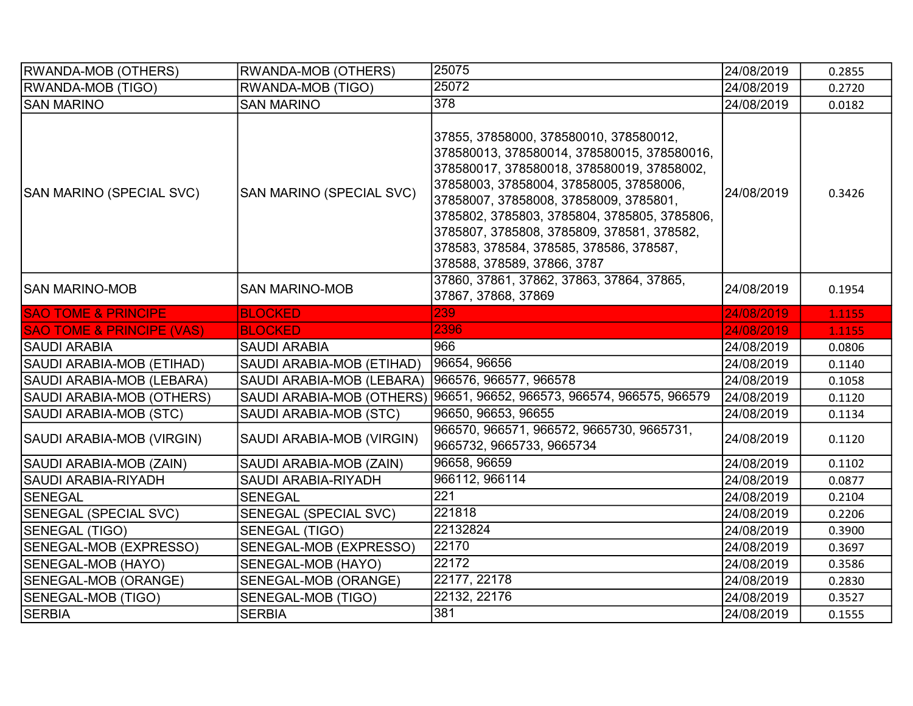| <b>RWANDA-MOB (OTHERS)</b>           | RWANDA-MOB (OTHERS)          | 25075                                                                                                                                                                                                                                                                                                                                                                                            | 24/08/2019 | 0.2855 |
|--------------------------------------|------------------------------|--------------------------------------------------------------------------------------------------------------------------------------------------------------------------------------------------------------------------------------------------------------------------------------------------------------------------------------------------------------------------------------------------|------------|--------|
| <b>RWANDA-MOB (TIGO)</b>             | RWANDA-MOB (TIGO)            | 25072                                                                                                                                                                                                                                                                                                                                                                                            | 24/08/2019 | 0.2720 |
| <b>SAN MARINO</b>                    | <b>SAN MARINO</b>            | 378                                                                                                                                                                                                                                                                                                                                                                                              | 24/08/2019 | 0.0182 |
| SAN MARINO (SPECIAL SVC)             | SAN MARINO (SPECIAL SVC)     | 37855, 37858000, 378580010, 378580012,<br>378580013, 378580014, 378580015, 378580016,<br>378580017, 378580018, 378580019, 37858002,<br>37858003, 37858004, 37858005, 37858006,<br>37858007, 37858008, 37858009, 3785801,<br>3785802, 3785803, 3785804, 3785805, 3785806,<br>3785807, 3785808, 3785809, 378581, 378582,<br>378583, 378584, 378585, 378586, 378587,<br>378588, 378589, 37866, 3787 | 24/08/2019 | 0.3426 |
| ISAN MARINO-MOB                      | <b>SAN MARINO-MOB</b>        | 37860, 37861, 37862, 37863, 37864, 37865,<br>37867, 37868, 37869                                                                                                                                                                                                                                                                                                                                 | 24/08/2019 | 0.1954 |
| <b>SAO TOME &amp; PRINCIPE</b>       | <b>BLOCKED</b>               | 239                                                                                                                                                                                                                                                                                                                                                                                              | 24/08/2019 | 1.1155 |
| <b>SAO TOME &amp; PRINCIPE (VAS)</b> | <b>BLOCKED</b>               | 2396                                                                                                                                                                                                                                                                                                                                                                                             | 24/08/2019 | 1.1155 |
| SAUDI ARABIA                         | <b>SAUDI ARABIA</b>          | 966                                                                                                                                                                                                                                                                                                                                                                                              | 24/08/2019 | 0.0806 |
| SAUDI ARABIA-MOB (ETIHAD)            | SAUDI ARABIA-MOB (ETIHAD)    | 96654, 96656                                                                                                                                                                                                                                                                                                                                                                                     | 24/08/2019 | 0.1140 |
| SAUDI ARABIA-MOB (LEBARA)            | SAUDI ARABIA-MOB (LEBARA)    | 966576, 966577, 966578                                                                                                                                                                                                                                                                                                                                                                           | 24/08/2019 | 0.1058 |
| SAUDI ARABIA-MOB (OTHERS)            |                              | SAUDI ARABIA-MOB (OTHERS) 96651, 96652, 966573, 966574, 966575, 966579                                                                                                                                                                                                                                                                                                                           | 24/08/2019 | 0.1120 |
| SAUDI ARABIA-MOB (STC)               | SAUDI ARABIA-MOB (STC)       | 96650, 96653, 96655                                                                                                                                                                                                                                                                                                                                                                              | 24/08/2019 | 0.1134 |
| SAUDI ARABIA-MOB (VIRGIN)            | SAUDI ARABIA-MOB (VIRGIN)    | 966570, 966571, 966572, 9665730, 9665731,<br>9665732, 9665733, 9665734                                                                                                                                                                                                                                                                                                                           | 24/08/2019 | 0.1120 |
| SAUDI ARABIA-MOB (ZAIN)              | SAUDI ARABIA-MOB (ZAIN)      | 96658, 96659                                                                                                                                                                                                                                                                                                                                                                                     | 24/08/2019 | 0.1102 |
| SAUDI ARABIA-RIYADH                  | SAUDI ARABIA-RIYADH          | 966112, 966114                                                                                                                                                                                                                                                                                                                                                                                   | 24/08/2019 | 0.0877 |
| <b>SENEGAL</b>                       | <b>SENEGAL</b>               | 221                                                                                                                                                                                                                                                                                                                                                                                              | 24/08/2019 | 0.2104 |
| SENEGAL (SPECIAL SVC)                | <b>SENEGAL (SPECIAL SVC)</b> | 221818                                                                                                                                                                                                                                                                                                                                                                                           | 24/08/2019 | 0.2206 |
| SENEGAL (TIGO)                       | <b>SENEGAL (TIGO)</b>        | 22132824                                                                                                                                                                                                                                                                                                                                                                                         | 24/08/2019 | 0.3900 |
| SENEGAL-MOB (EXPRESSO)               | SENEGAL-MOB (EXPRESSO)       | 22170                                                                                                                                                                                                                                                                                                                                                                                            | 24/08/2019 | 0.3697 |
| SENEGAL-MOB (HAYO)                   | SENEGAL-MOB (HAYO)           | 22172                                                                                                                                                                                                                                                                                                                                                                                            | 24/08/2019 | 0.3586 |
| SENEGAL-MOB (ORANGE)                 | SENEGAL-MOB (ORANGE)         | 22177, 22178                                                                                                                                                                                                                                                                                                                                                                                     | 24/08/2019 | 0.2830 |
| SENEGAL-MOB (TIGO)                   | SENEGAL-MOB (TIGO)           | 22132, 22176                                                                                                                                                                                                                                                                                                                                                                                     | 24/08/2019 | 0.3527 |
| <b>SERBIA</b>                        | <b>SERBIA</b>                | 381                                                                                                                                                                                                                                                                                                                                                                                              | 24/08/2019 | 0.1555 |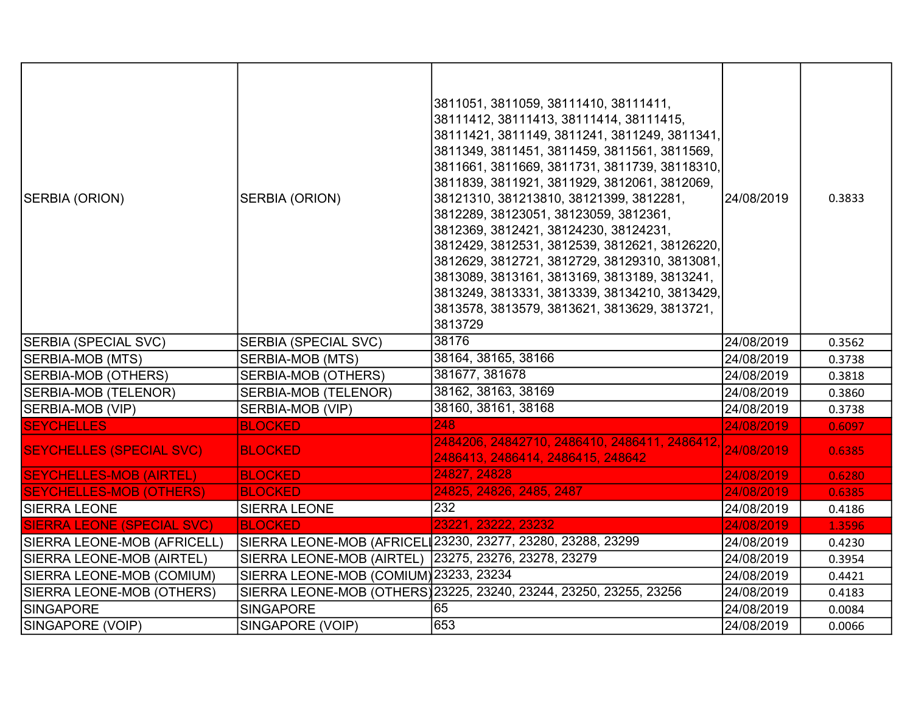| SERBIA (ORION)                    | SERBIA (ORION)                                       | 3811051, 3811059, 38111410, 38111411,<br>38111412, 38111413, 38111414, 38111415,<br>38111421, 3811149, 3811241, 3811249, 3811341,<br>3811349, 3811451, 3811459, 3811561, 3811569,<br>3811661, 3811669, 3811731, 3811739, 38118310,<br>3811839, 3811921, 3811929, 3812061, 3812069,<br>38121310, 381213810, 38121399, 3812281,<br>3812289, 38123051, 38123059, 3812361,<br>3812369, 3812421, 38124230, 38124231,<br>3812429, 3812531, 3812539, 3812621, 38126220,<br>3812629, 3812721, 3812729, 38129310, 3813081,<br>3813089, 3813161, 3813169, 3813189, 3813241,<br>3813249, 3813331, 3813339, 38134210, 3813429,<br>3813578, 3813579, 3813621, 3813629, 3813721,<br>3813729 | 24/08/2019 | 0.3833 |
|-----------------------------------|------------------------------------------------------|-------------------------------------------------------------------------------------------------------------------------------------------------------------------------------------------------------------------------------------------------------------------------------------------------------------------------------------------------------------------------------------------------------------------------------------------------------------------------------------------------------------------------------------------------------------------------------------------------------------------------------------------------------------------------------|------------|--------|
| SERBIA (SPECIAL SVC)              | <b>SERBIA (SPECIAL SVC)</b>                          | 38176                                                                                                                                                                                                                                                                                                                                                                                                                                                                                                                                                                                                                                                                         | 24/08/2019 | 0.3562 |
| SERBIA-MOB (MTS)                  | SERBIA-MOB (MTS)                                     | 38164, 38165, 38166                                                                                                                                                                                                                                                                                                                                                                                                                                                                                                                                                                                                                                                           | 24/08/2019 | 0.3738 |
| <b>SERBIA-MOB (OTHERS)</b>        | <b>SERBIA-MOB (OTHERS)</b>                           | 381677, 381678                                                                                                                                                                                                                                                                                                                                                                                                                                                                                                                                                                                                                                                                | 24/08/2019 | 0.3818 |
| SERBIA-MOB (TELENOR)              | SERBIA-MOB (TELENOR)                                 | 38162, 38163, 38169                                                                                                                                                                                                                                                                                                                                                                                                                                                                                                                                                                                                                                                           | 24/08/2019 | 0.3860 |
| SERBIA-MOB (VIP)                  | SERBIA-MOB (VIP)                                     | 38160, 38161, 38168                                                                                                                                                                                                                                                                                                                                                                                                                                                                                                                                                                                                                                                           | 24/08/2019 | 0.3738 |
| <b>SEYCHELLES</b>                 | <b>BLOCKED</b>                                       | 248                                                                                                                                                                                                                                                                                                                                                                                                                                                                                                                                                                                                                                                                           | 24/08/2019 | 0.6097 |
| <b>SEYCHELLES (SPECIAL SVC)</b>   | <b>BLOCKED</b>                                       | 2484206, 24842710, 2486410, 2486411, 2486412.<br>2486413, 2486414, 2486415, 248642                                                                                                                                                                                                                                                                                                                                                                                                                                                                                                                                                                                            | 24/08/2019 | 0.6385 |
| <b>SEYCHELLES-MOB (AIRTEL)</b>    | <b>BLOCKED</b>                                       | 24827, 24828                                                                                                                                                                                                                                                                                                                                                                                                                                                                                                                                                                                                                                                                  | 24/08/2019 | 0.6280 |
| <b>SEYCHELLES-MOB (OTHERS)</b>    | <b>BLOCKED</b>                                       | 24825, 24826, 2485, 2487                                                                                                                                                                                                                                                                                                                                                                                                                                                                                                                                                                                                                                                      | 24/08/2019 | 0.6385 |
| SIERRA LEONE                      | <b>SIERRA LEONE</b>                                  | 232                                                                                                                                                                                                                                                                                                                                                                                                                                                                                                                                                                                                                                                                           | 24/08/2019 | 0.4186 |
| <b>SIERRA LEONE (SPECIAL SVC)</b> | <b>BLOCKED</b>                                       | 23221, 23222, 23232                                                                                                                                                                                                                                                                                                                                                                                                                                                                                                                                                                                                                                                           | 24/08/2019 | 1.3596 |
| SIERRA LEONE-MOB (AFRICELL)       |                                                      | SIERRA LEONE-MOB (AFRICEL 23230, 23277, 23280, 23288, 23299                                                                                                                                                                                                                                                                                                                                                                                                                                                                                                                                                                                                                   | 24/08/2019 | 0.4230 |
| SIERRA LEONE-MOB (AIRTEL)         | SIERRA LEONE-MOB (AIRTEL) 23275, 23276, 23278, 23279 |                                                                                                                                                                                                                                                                                                                                                                                                                                                                                                                                                                                                                                                                               | 24/08/2019 | 0.3954 |
| SIERRA LEONE-MOB (COMIUM)         | SIERRA LEONE-MOB (COMIUM) 23233, 23234               |                                                                                                                                                                                                                                                                                                                                                                                                                                                                                                                                                                                                                                                                               | 24/08/2019 | 0.4421 |
| SIERRA LEONE-MOB (OTHERS)         |                                                      | SIERRA LEONE-MOB (OTHERS)23225, 23240, 23244, 23250, 23255, 23256                                                                                                                                                                                                                                                                                                                                                                                                                                                                                                                                                                                                             | 24/08/2019 | 0.4183 |
| SINGAPORE                         | <b>SINGAPORE</b>                                     | 65                                                                                                                                                                                                                                                                                                                                                                                                                                                                                                                                                                                                                                                                            | 24/08/2019 | 0.0084 |
| SINGAPORE (VOIP)                  | SINGAPORE (VOIP)                                     | 653                                                                                                                                                                                                                                                                                                                                                                                                                                                                                                                                                                                                                                                                           | 24/08/2019 | 0.0066 |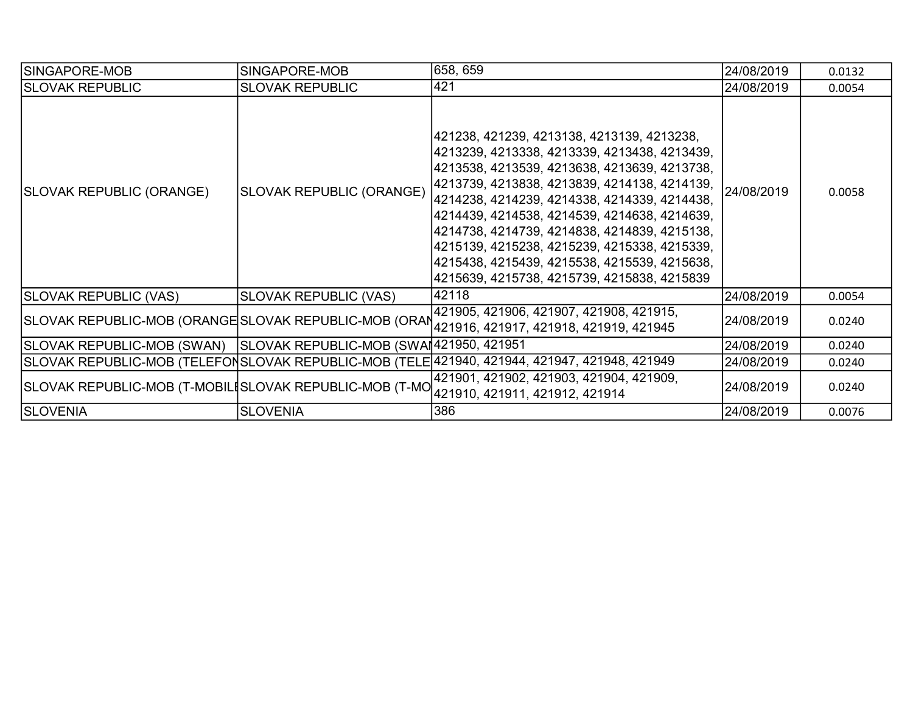| SINGAPORE-MOB                                                        | SINGAPORE-MOB                   | 658, 659                                                                                                                                                                                                                                                                                                                                                                                                                                                                                           | 24/08/2019 | 0.0132 |
|----------------------------------------------------------------------|---------------------------------|----------------------------------------------------------------------------------------------------------------------------------------------------------------------------------------------------------------------------------------------------------------------------------------------------------------------------------------------------------------------------------------------------------------------------------------------------------------------------------------------------|------------|--------|
| <b>SLOVAK REPUBLIC</b>                                               | <b>SLOVAK REPUBLIC</b>          | 421                                                                                                                                                                                                                                                                                                                                                                                                                                                                                                | 24/08/2019 | 0.0054 |
| SLOVAK REPUBLIC (ORANGE)                                             | <b>SLOVAK REPUBLIC (ORANGE)</b> | 421238, 421239, 4213138, 4213139, 4213238,<br> 4213239, 4213338, 4213339, 4213438, 4213439,<br> 4213538, 4213539, 4213638, 4213639, 4213738,<br> 4213739, 4213838, 4213839, 4214138, 4214139,<br> 4214238, 4214239, 4214338, 4214339, 4214438,<br> 4214439, 4214538, 4214539, 4214638, 4214639,<br> 4214738, 4214739, 4214838, 4214839, 4215138,<br> 4215139, 4215238, 4215239, 4215338, 4215339,<br> 4215438, 4215439, 4215538, 4215539, 4215638,<br> 4215639, 4215738, 4215739, 4215838, 4215839 | 24/08/2019 | 0.0058 |
| <b>SLOVAK REPUBLIC (VAS)</b>                                         | <b>SLOVAK REPUBLIC (VAS)</b>    | 42118                                                                                                                                                                                                                                                                                                                                                                                                                                                                                              | 24/08/2019 | 0.0054 |
| SLOVAK REPUBLIC-MOB (ORANGE SLOVAK REPUBLIC-MOB (ORAN                |                                 | 421905, 421906, 421907, 421908, 421915,<br> 421916, 421917, 421918, 421919, 421945                                                                                                                                                                                                                                                                                                                                                                                                                 | 24/08/2019 | 0.0240 |
| SLOVAK REPUBLIC-MOB (SWAN)   SLOVAK REPUBLIC-MOB (SWAI421950, 421951 |                                 |                                                                                                                                                                                                                                                                                                                                                                                                                                                                                                    | 24/08/2019 | 0.0240 |
|                                                                      |                                 | SLOVAK REPUBLIC-MOB (TELEFONSLOVAK REPUBLIC-MOB (TELE 421940, 421944, 421947, 421948, 421949                                                                                                                                                                                                                                                                                                                                                                                                       | 24/08/2019 | 0.0240 |
| SLOVAK REPUBLIC-MOB (T-MOBILISLOVAK REPUBLIC-MOB (T-MO               |                                 | 421901, 421902, 421903, 421904, 421909,<br>421910, 421911, 421912, 421914                                                                                                                                                                                                                                                                                                                                                                                                                          | 24/08/2019 | 0.0240 |
| <b>SLOVENIA</b>                                                      | <b>SLOVENIA</b>                 | 386                                                                                                                                                                                                                                                                                                                                                                                                                                                                                                | 24/08/2019 | 0.0076 |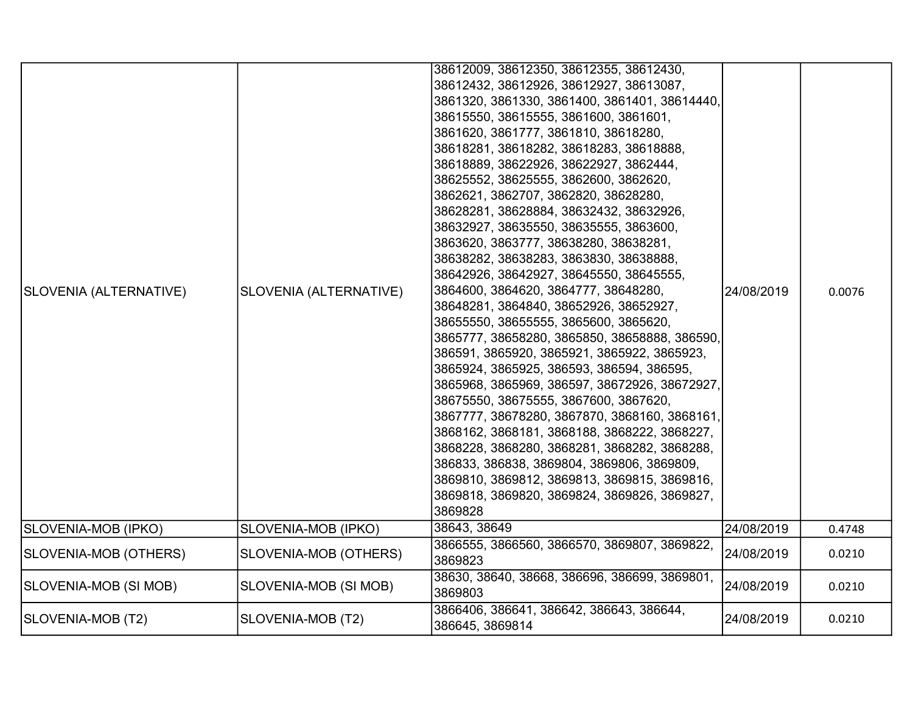| SLOVENIA (ALTERNATIVE) | SLOVENIA (ALTERNATIVE) | 38612009, 38612350, 38612355, 38612430,<br>38612432, 38612926, 38612927, 38613087,<br>3861320, 3861330, 3861400, 3861401, 38614440,<br>38615550, 38615555, 3861600, 3861601,<br>3861620, 3861777, 3861810, 38618280,<br>38618281, 38618282, 38618283, 38618888,<br>38618889, 38622926, 38622927, 3862444,<br>38625552, 38625555, 3862600, 3862620,<br>3862621, 3862707, 3862820, 38628280,<br>38628281, 38628884, 38632432, 38632926,<br>38632927, 38635550, 38635555, 3863600,<br>3863620, 3863777, 38638280, 38638281,<br>38638282, 38638283, 3863830, 38638888,<br>38642926, 38642927, 38645550, 38645555,<br>3864600, 3864620, 3864777, 38648280,<br>38648281, 3864840, 38652926, 38652927,<br>38655550, 38655555, 3865600, 3865620,<br>3865777, 38658280, 3865850, 38658888, 386590,<br>386591, 3865920, 3865921, 3865922, 3865923,<br>3865924, 3865925, 386593, 386594, 386595,<br>3865968, 3865969, 386597, 38672926, 38672927,<br>38675550, 38675555, 3867600, 3867620,<br>3867777, 38678280, 3867870, 3868160, 3868161,<br>3868162, 3868181, 3868188, 3868222, 3868227,<br>3868228, 3868280, 3868281, 3868282, 3868288,<br>386833, 386838, 3869804, 3869806, 3869809,<br>3869810, 3869812, 3869813, 3869815, 3869816,<br>3869818, 3869820, 3869824, 3869826, 3869827,<br>3869828 | 24/08/2019 | 0.0076 |
|------------------------|------------------------|-------------------------------------------------------------------------------------------------------------------------------------------------------------------------------------------------------------------------------------------------------------------------------------------------------------------------------------------------------------------------------------------------------------------------------------------------------------------------------------------------------------------------------------------------------------------------------------------------------------------------------------------------------------------------------------------------------------------------------------------------------------------------------------------------------------------------------------------------------------------------------------------------------------------------------------------------------------------------------------------------------------------------------------------------------------------------------------------------------------------------------------------------------------------------------------------------------------------------------------------------------------------------------------------|------------|--------|
| SLOVENIA-MOB (IPKO)    | SLOVENIA-MOB (IPKO)    | 38643, 38649                                                                                                                                                                                                                                                                                                                                                                                                                                                                                                                                                                                                                                                                                                                                                                                                                                                                                                                                                                                                                                                                                                                                                                                                                                                                              | 24/08/2019 | 0.4748 |
| SLOVENIA-MOB (OTHERS)  | SLOVENIA-MOB (OTHERS)  | 3866555, 3866560, 3866570, 3869807, 3869822,<br>3869823                                                                                                                                                                                                                                                                                                                                                                                                                                                                                                                                                                                                                                                                                                                                                                                                                                                                                                                                                                                                                                                                                                                                                                                                                                   | 24/08/2019 | 0.0210 |
| SLOVENIA-MOB (SI MOB)  | SLOVENIA-MOB (SI MOB)  | 38630, 38640, 38668, 386696, 386699, 3869801,<br>3869803                                                                                                                                                                                                                                                                                                                                                                                                                                                                                                                                                                                                                                                                                                                                                                                                                                                                                                                                                                                                                                                                                                                                                                                                                                  | 24/08/2019 | 0.0210 |
| SLOVENIA-MOB (T2)      | SLOVENIA-MOB (T2)      | 3866406, 386641, 386642, 386643, 386644,<br>386645, 3869814                                                                                                                                                                                                                                                                                                                                                                                                                                                                                                                                                                                                                                                                                                                                                                                                                                                                                                                                                                                                                                                                                                                                                                                                                               | 24/08/2019 | 0.0210 |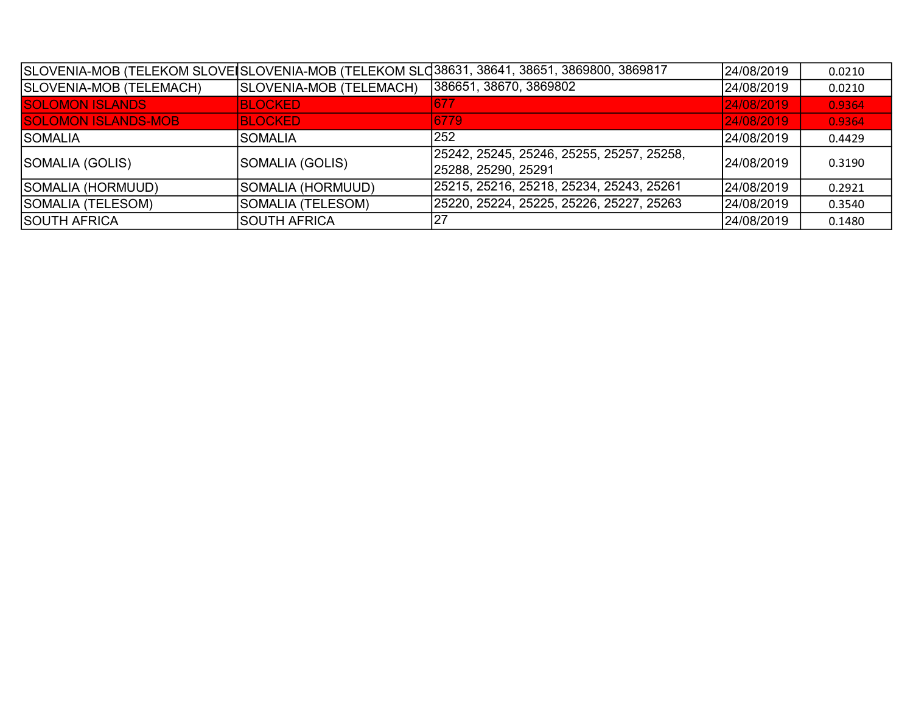|                            |                         | SLOVENIA-MOB (TELEKOM SLOVEISLOVENIA-MOB (TELEKOM SLO38631, 38641, 38651, 3869800, 3869817 | 24/08/2019  | 0.0210 |
|----------------------------|-------------------------|--------------------------------------------------------------------------------------------|-------------|--------|
| SLOVENIA-MOB (TELEMACH)    | SLOVENIA-MOB (TELEMACH) | 386651, 38670, 3869802                                                                     | 24/08/2019  | 0.0210 |
| <b>SOLOMON ISLANDS</b>     | <b>BLOCKED</b>          | 677                                                                                        | 24/08/2019  | 0.9364 |
| <b>SOLOMON ISLANDS-MOB</b> | <b>BLOCKED</b>          | 6779                                                                                       | 24/08/2019  | 0.9364 |
| <b>SOMALIA</b>             | ISOMALIA                | 252                                                                                        | 24/08/2019  | 0.4429 |
| SOMALIA (GOLIS)            | SOMALIA (GOLIS)         | 25242, 25245, 25246, 25255, 25257, 25258,<br>25288, 25290, 25291                           | 124/08/2019 | 0.3190 |
| SOMALIA (HORMUUD)          | SOMALIA (HORMUUD)       | 25215, 25216, 25218, 25234, 25243, 25261                                                   | 24/08/2019  | 0.2921 |
| SOMALIA (TELESOM)          | SOMALIA (TELESOM)       | 25220, 25224, 25225, 25226, 25227, 25263                                                   | 24/08/2019  | 0.3540 |
| ISOUTH AFRICA              | ISOUTH AFRICA           |                                                                                            | 24/08/2019  | 0.1480 |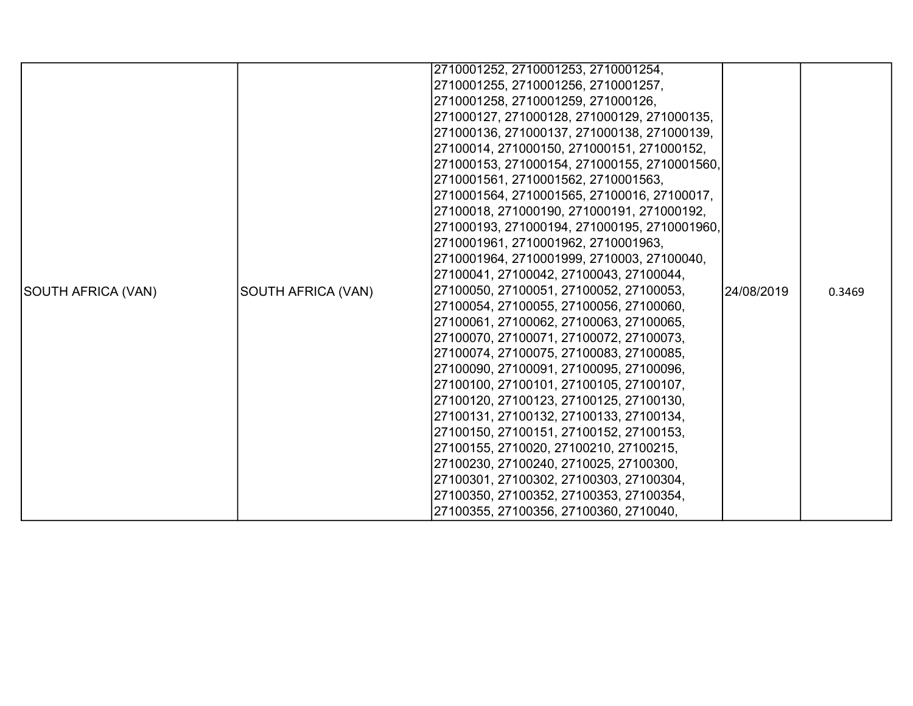|                    |                    | 2710001252, 2710001253, 2710001254,          |            |        |
|--------------------|--------------------|----------------------------------------------|------------|--------|
|                    |                    | 2710001255, 2710001256, 2710001257,          |            |        |
|                    |                    | 2710001258, 2710001259, 271000126,           |            |        |
|                    |                    | 271000127, 271000128, 271000129, 271000135,  |            |        |
|                    |                    | 271000136, 271000137, 271000138, 271000139,  |            |        |
|                    |                    | 27100014, 271000150, 271000151, 271000152,   |            |        |
|                    |                    | 271000153, 271000154, 271000155, 2710001560, |            |        |
|                    |                    | 2710001561, 2710001562, 2710001563,          |            |        |
|                    |                    | 2710001564, 2710001565, 27100016, 27100017,  |            |        |
|                    |                    | 27100018, 271000190, 271000191, 271000192,   |            |        |
|                    |                    | 271000193, 271000194, 271000195, 2710001960, |            |        |
|                    |                    | 2710001961, 2710001962, 2710001963,          |            |        |
|                    |                    | 2710001964, 2710001999, 2710003, 27100040,   |            |        |
|                    |                    | 27100041, 27100042, 27100043, 27100044,      |            |        |
| SOUTH AFRICA (VAN) | SOUTH AFRICA (VAN) | 27100050, 27100051, 27100052, 27100053,      | 24/08/2019 | 0.3469 |
|                    |                    | 27100054, 27100055, 27100056, 27100060,      |            |        |
|                    |                    | 27100061, 27100062, 27100063, 27100065,      |            |        |
|                    |                    | 27100070, 27100071, 27100072, 27100073,      |            |        |
|                    |                    | 27100074, 27100075, 27100083, 27100085,      |            |        |
|                    |                    | 27100090, 27100091, 27100095, 27100096,      |            |        |
|                    |                    | 27100100, 27100101, 27100105, 27100107,      |            |        |
|                    |                    | 27100120, 27100123, 27100125, 27100130,      |            |        |
|                    |                    | 27100131, 27100132, 27100133, 27100134,      |            |        |
|                    |                    | 27100150, 27100151, 27100152, 27100153,      |            |        |
|                    |                    | 27100155, 2710020, 27100210, 27100215,       |            |        |
|                    |                    | 27100230, 27100240, 2710025, 27100300,       |            |        |
|                    |                    | 27100301, 27100302, 27100303, 27100304,      |            |        |
|                    |                    | 27100350, 27100352, 27100353, 27100354,      |            |        |
|                    |                    | 27100355, 27100356, 27100360, 2710040,       |            |        |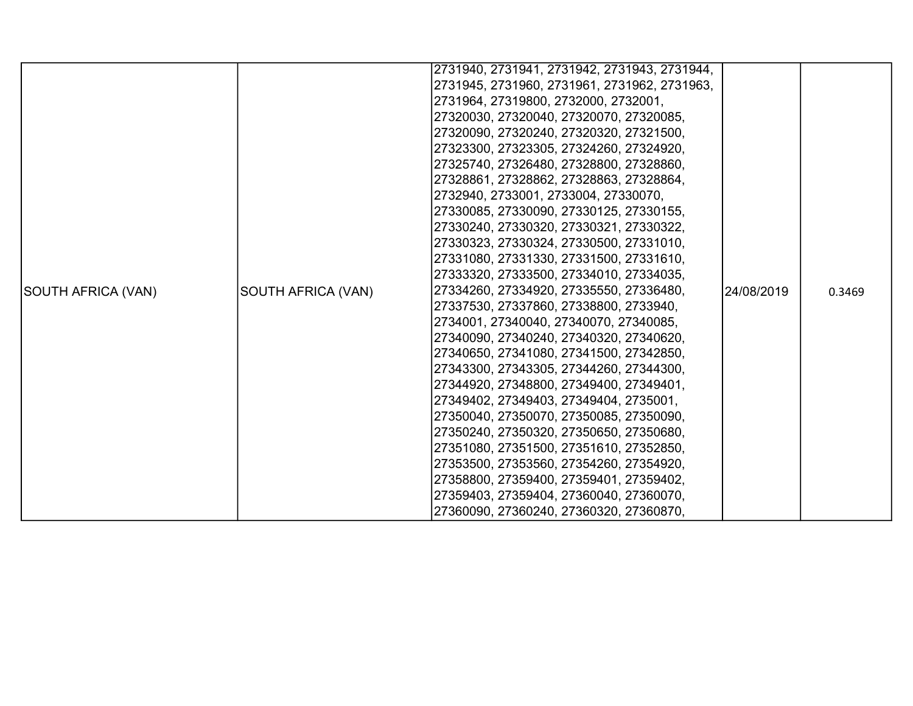|                    |                    | 2731940, 2731941, 2731942, 2731943, 2731944, |            |        |
|--------------------|--------------------|----------------------------------------------|------------|--------|
|                    |                    | 2731945, 2731960, 2731961, 2731962, 2731963, |            |        |
|                    |                    | 2731964, 27319800, 2732000, 2732001,         |            |        |
|                    |                    | 27320030, 27320040, 27320070, 27320085,      |            |        |
|                    |                    | 27320090, 27320240, 27320320, 27321500,      |            |        |
|                    |                    | 27323300, 27323305, 27324260, 27324920,      |            |        |
|                    |                    | 27325740, 27326480, 27328800, 27328860,      |            |        |
|                    |                    | 27328861, 27328862, 27328863, 27328864,      |            |        |
|                    |                    | 2732940, 2733001, 2733004, 27330070,         |            |        |
|                    |                    | 27330085, 27330090, 27330125, 27330155,      |            |        |
|                    |                    | 27330240, 27330320, 27330321, 27330322,      |            |        |
|                    |                    | 27330323, 27330324, 27330500, 27331010,      |            |        |
|                    |                    | 27331080, 27331330, 27331500, 27331610,      |            |        |
|                    |                    | 27333320, 27333500, 27334010, 27334035,      |            |        |
| SOUTH AFRICA (VAN) | SOUTH AFRICA (VAN) | 27334260, 27334920, 27335550, 27336480,      | 24/08/2019 | 0.3469 |
|                    |                    | 27337530, 27337860, 27338800, 2733940,       |            |        |
|                    |                    | 2734001, 27340040, 27340070, 27340085,       |            |        |
|                    |                    | 27340090, 27340240, 27340320, 27340620,      |            |        |
|                    |                    | 27340650, 27341080, 27341500, 27342850,      |            |        |
|                    |                    | 27343300, 27343305, 27344260, 27344300,      |            |        |
|                    |                    | 27344920, 27348800, 27349400, 27349401,      |            |        |
|                    |                    | 27349402, 27349403, 27349404, 2735001,       |            |        |
|                    |                    | 27350040, 27350070, 27350085, 27350090,      |            |        |
|                    |                    | 27350240, 27350320, 27350650, 27350680,      |            |        |
|                    |                    | 27351080, 27351500, 27351610, 27352850,      |            |        |
|                    |                    | 27353500, 27353560, 27354260, 27354920,      |            |        |
|                    |                    | 27358800, 27359400, 27359401, 27359402,      |            |        |
|                    |                    | 27359403, 27359404, 27360040, 27360070,      |            |        |
|                    |                    | 27360090, 27360240, 27360320, 27360870,      |            |        |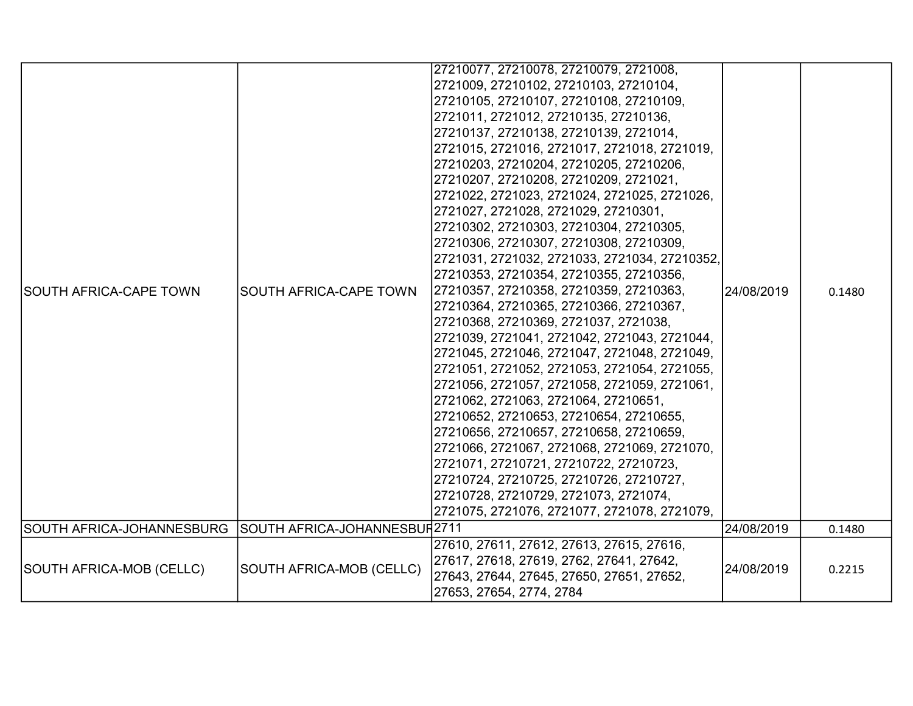| <b>SOUTH AFRICA-CAPE TOWN</b> | SOUTH AFRICA-CAPE TOWN                   | 27210077, 27210078, 27210079, 2721008,<br>2721009, 27210102, 27210103, 27210104,<br>27210105, 27210107, 27210108, 27210109,<br>2721011, 2721012, 27210135, 27210136,<br>27210137, 27210138, 27210139, 2721014,<br>2721015, 2721016, 2721017, 2721018, 2721019,<br>27210203, 27210204, 27210205, 27210206,<br>27210207, 27210208, 27210209, 2721021,<br>2721022, 2721023, 2721024, 2721025, 2721026,<br>2721027, 2721028, 2721029, 27210301,<br>27210302, 27210303, 27210304, 27210305,<br>27210306, 27210307, 27210308, 27210309,<br>2721031, 2721032, 2721033, 2721034, 27210352,<br>27210353, 27210354, 27210355, 27210356,<br>27210357, 27210358, 27210359, 27210363,<br>27210364, 27210365, 27210366, 27210367,<br>27210368, 27210369, 2721037, 2721038,<br>2721039, 2721041, 2721042, 2721043, 2721044,<br>2721045, 2721046, 2721047, 2721048, 2721049,<br>2721051, 2721052, 2721053, 2721054, 2721055,<br>2721056, 2721057, 2721058, 2721059, 2721061,<br>2721062, 2721063, 2721064, 27210651,<br>27210652, 27210653, 27210654, 27210655,<br>27210656, 27210657, 27210658, 27210659,<br>2721066, 2721067, 2721068, 2721069, 2721070,<br> 2721071, 27210721, 27210722, 27210723,<br>27210724, 27210725, 27210726, 27210727,<br>27210728, 27210729, 2721073, 2721074,<br>2721075, 2721076, 2721077, 2721078, 2721079, | 24/08/2019 | 0.1480 |
|-------------------------------|------------------------------------------|---------------------------------------------------------------------------------------------------------------------------------------------------------------------------------------------------------------------------------------------------------------------------------------------------------------------------------------------------------------------------------------------------------------------------------------------------------------------------------------------------------------------------------------------------------------------------------------------------------------------------------------------------------------------------------------------------------------------------------------------------------------------------------------------------------------------------------------------------------------------------------------------------------------------------------------------------------------------------------------------------------------------------------------------------------------------------------------------------------------------------------------------------------------------------------------------------------------------------------------------------------------------------------------------------------------------------|------------|--------|
| SOUTH AFRICA-JOHANNESBURG     | SOUTH AFRICA-JOHANNESBUR <sup>2711</sup> |                                                                                                                                                                                                                                                                                                                                                                                                                                                                                                                                                                                                                                                                                                                                                                                                                                                                                                                                                                                                                                                                                                                                                                                                                                                                                                                           | 24/08/2019 | 0.1480 |
|                               |                                          | 27610, 27611, 27612, 27613, 27615, 27616,                                                                                                                                                                                                                                                                                                                                                                                                                                                                                                                                                                                                                                                                                                                                                                                                                                                                                                                                                                                                                                                                                                                                                                                                                                                                                 |            |        |
| SOUTH AFRICA-MOB (CELLC)      | SOUTH AFRICA-MOB (CELLC)                 | 27617, 27618, 27619, 2762, 27641, 27642,<br>27643, 27644, 27645, 27650, 27651, 27652,<br>27653, 27654, 2774, 2784                                                                                                                                                                                                                                                                                                                                                                                                                                                                                                                                                                                                                                                                                                                                                                                                                                                                                                                                                                                                                                                                                                                                                                                                         | 24/08/2019 | 0.2215 |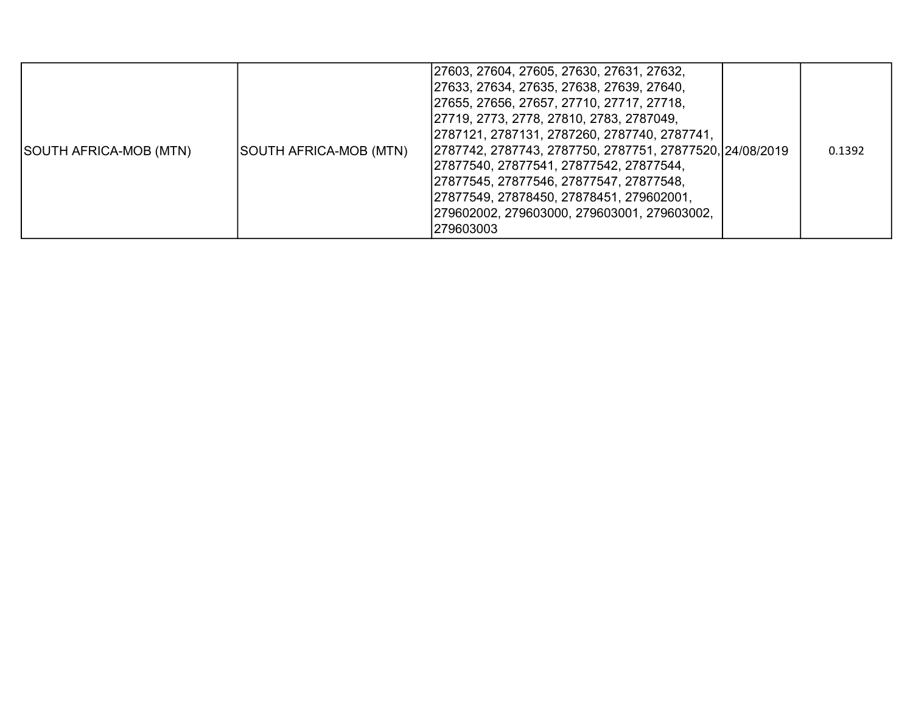| SOUTH AFRICA-MOB (MTN) | SOUTH AFRICA-MOB (MTN) | 27603, 27604, 27605, 27630, 27631, 27632,<br> 27633, 27634, 27635, 27638, 27639, 27640,<br> 27655, 27656, 27657, 27710, 27717, 27718,<br>27719, 2773, 2778, 27810, 2783, 2787049,<br> 2787121, 2787131, 2787260, 2787740, 2787741,<br>2787742, 2787743, 2787750, 2787751, 27877520, 24/08/2019<br> 27877540, 27877541, 27877542, 27877544,<br>27877545, 27877546, 27877547, 27877548,<br>27877549, 27878450, 27878451, 279602001,<br> 279602002, 279603000, 279603001, 279603002,<br>279603003 |  | 0.1392 |
|------------------------|------------------------|------------------------------------------------------------------------------------------------------------------------------------------------------------------------------------------------------------------------------------------------------------------------------------------------------------------------------------------------------------------------------------------------------------------------------------------------------------------------------------------------|--|--------|
|------------------------|------------------------|------------------------------------------------------------------------------------------------------------------------------------------------------------------------------------------------------------------------------------------------------------------------------------------------------------------------------------------------------------------------------------------------------------------------------------------------------------------------------------------------|--|--------|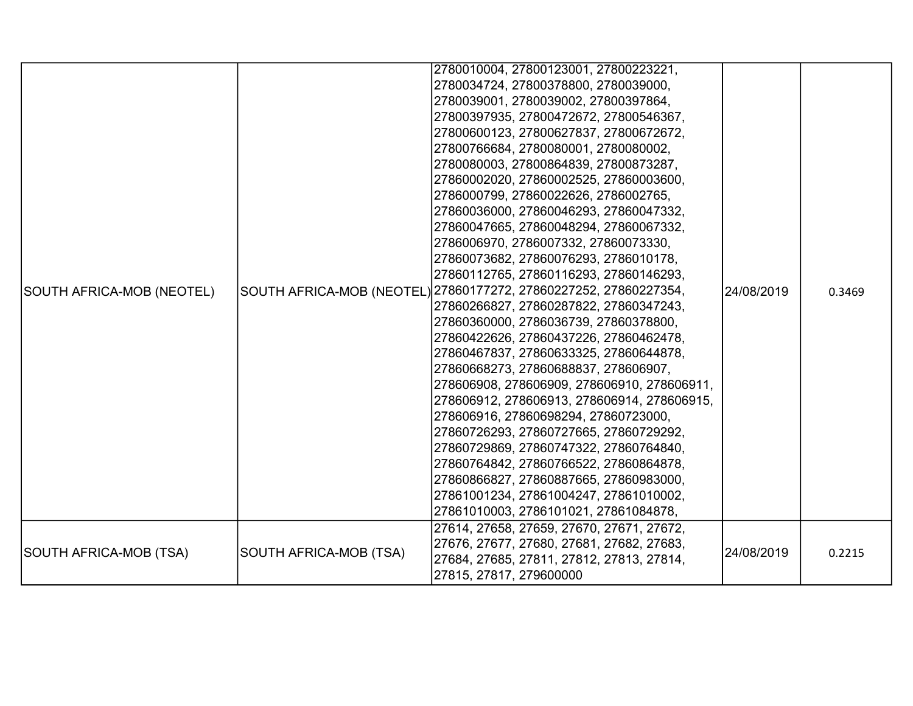| SOUTH AFRICA-MOB (NEOTEL) |                        | 2780010004, 27800123001, 27800223221,<br>2780034724, 27800378800, 2780039000,<br>2780039001, 2780039002, 27800397864,<br>27800397935, 27800472672, 27800546367,<br>27800600123, 27800627837, 27800672672,<br>27800766684, 2780080001, 2780080002,<br>2780080003, 27800864839, 27800873287,<br>27860002020, 27860002525, 27860003600,<br>2786000799, 27860022626, 2786002765,<br>27860036000, 27860046293, 27860047332,<br>27860047665, 27860048294, 27860067332,<br>2786006970, 2786007332, 27860073330,<br>27860073682, 27860076293, 2786010178,<br>27860112765, 27860116293, 27860146293,<br>SOUTH AFRICA-MOB (NEOTEL) 27860177272, 27860227252, 27860227354,<br>27860266827, 27860287822, 27860347243,<br>27860360000, 2786036739, 27860378800,<br>27860422626, 27860437226, 27860462478,<br>27860467837, 27860633325, 27860644878,<br>27860668273, 27860688837, 278606907,<br>278606908, 278606909, 278606910, 278606911,<br>278606912, 278606913, 278606914, 278606915,<br>278606916, 27860698294, 27860723000,<br>27860726293, 27860727665, 27860729292,<br>27860729869, 27860747322, 27860764840,<br>27860764842, 27860766522, 27860864878,<br>27860866827, 27860887665, 27860983000,<br>27861001234, 27861004247, 27861010002,<br>27861010003, 2786101021, 27861084878,<br>27614, 27658, 27659, 27670, 27671, 27672, | 24/08/2019 | 0.3469 |
|---------------------------|------------------------|------------------------------------------------------------------------------------------------------------------------------------------------------------------------------------------------------------------------------------------------------------------------------------------------------------------------------------------------------------------------------------------------------------------------------------------------------------------------------------------------------------------------------------------------------------------------------------------------------------------------------------------------------------------------------------------------------------------------------------------------------------------------------------------------------------------------------------------------------------------------------------------------------------------------------------------------------------------------------------------------------------------------------------------------------------------------------------------------------------------------------------------------------------------------------------------------------------------------------------------------------------------------------------------------------------------------------|------------|--------|
| SOUTH AFRICA-MOB (TSA)    | SOUTH AFRICA-MOB (TSA) | 27676, 27677, 27680, 27681, 27682, 27683,<br>27684, 27685, 27811, 27812, 27813, 27814,<br>27815, 27817, 279600000                                                                                                                                                                                                                                                                                                                                                                                                                                                                                                                                                                                                                                                                                                                                                                                                                                                                                                                                                                                                                                                                                                                                                                                                            | 24/08/2019 | 0.2215 |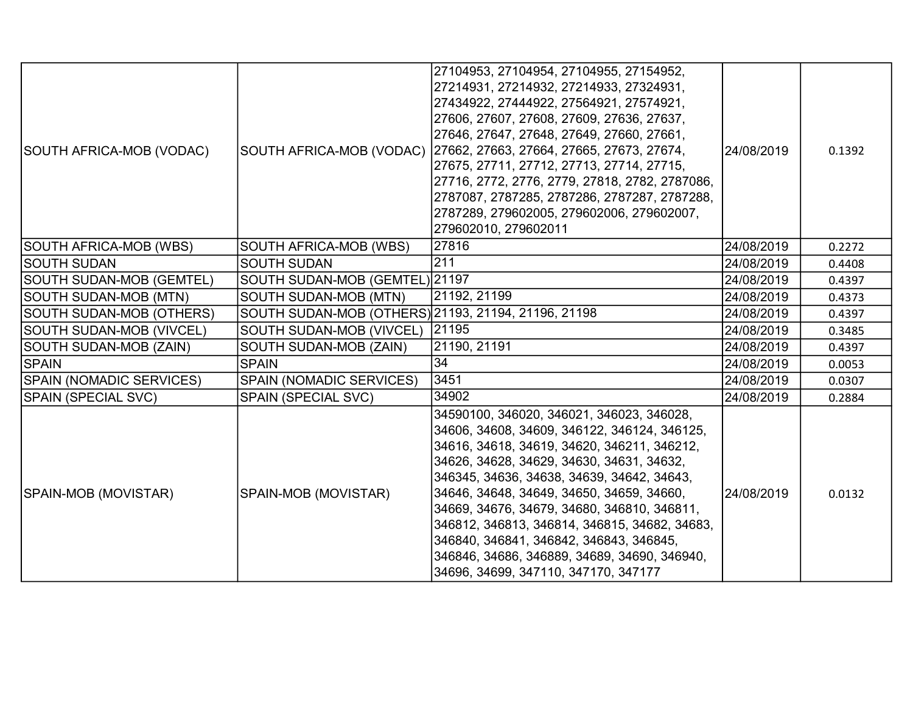| SOUTH AFRICA-MOB (VODAC)        | SOUTH AFRICA-MOB (VODAC)                            | 27104953, 27104954, 27104955, 27154952,<br>27214931, 27214932, 27214933, 27324931,<br>27434922, 27444922, 27564921, 27574921,<br>27606, 27607, 27608, 27609, 27636, 27637,<br>27646, 27647, 27648, 27649, 27660, 27661,<br>27662, 27663, 27664, 27665, 27673, 27674,<br>27675, 27711, 27712, 27713, 27714, 27715,<br>27716, 2772, 2776, 2779, 27818, 2782, 2787086,<br>2787087, 2787285, 2787286, 2787287, 2787288,<br>2787289, 279602005, 279602006, 279602007,<br>279602010, 279602011                            | 24/08/2019 | 0.1392 |
|---------------------------------|-----------------------------------------------------|---------------------------------------------------------------------------------------------------------------------------------------------------------------------------------------------------------------------------------------------------------------------------------------------------------------------------------------------------------------------------------------------------------------------------------------------------------------------------------------------------------------------|------------|--------|
| SOUTH AFRICA-MOB (WBS)          | SOUTH AFRICA-MOB (WBS)                              | 27816                                                                                                                                                                                                                                                                                                                                                                                                                                                                                                               | 24/08/2019 | 0.2272 |
| <b>SOUTH SUDAN</b>              | <b>SOUTH SUDAN</b>                                  | 211                                                                                                                                                                                                                                                                                                                                                                                                                                                                                                                 | 24/08/2019 | 0.4408 |
| <b>SOUTH SUDAN-MOB (GEMTEL)</b> | SOUTH SUDAN-MOB (GEMTEL) 21197                      |                                                                                                                                                                                                                                                                                                                                                                                                                                                                                                                     | 24/08/2019 | 0.4397 |
| SOUTH SUDAN-MOB (MTN)           | <b>SOUTH SUDAN-MOB (MTN)</b>                        | 21192, 21199                                                                                                                                                                                                                                                                                                                                                                                                                                                                                                        | 24/08/2019 | 0.4373 |
| <b>SOUTH SUDAN-MOB (OTHERS)</b> | SOUTH SUDAN-MOB (OTHERS) 21193, 21194, 21196, 21198 |                                                                                                                                                                                                                                                                                                                                                                                                                                                                                                                     | 24/08/2019 | 0.4397 |
| <b>SOUTH SUDAN-MOB (VIVCEL)</b> | <b>SOUTH SUDAN-MOB (VIVCEL)</b>                     | 21195                                                                                                                                                                                                                                                                                                                                                                                                                                                                                                               | 24/08/2019 | 0.3485 |
| SOUTH SUDAN-MOB (ZAIN)          | SOUTH SUDAN-MOB (ZAIN)                              | 21190, 21191                                                                                                                                                                                                                                                                                                                                                                                                                                                                                                        | 24/08/2019 | 0.4397 |
| SPAIN                           | <b>SPAIN</b>                                        | 34                                                                                                                                                                                                                                                                                                                                                                                                                                                                                                                  | 24/08/2019 | 0.0053 |
| <b>SPAIN (NOMADIC SERVICES)</b> | <b>SPAIN (NOMADIC SERVICES)</b>                     | 3451                                                                                                                                                                                                                                                                                                                                                                                                                                                                                                                | 24/08/2019 | 0.0307 |
| <b>SPAIN (SPECIAL SVC)</b>      | <b>SPAIN (SPECIAL SVC)</b>                          | 34902                                                                                                                                                                                                                                                                                                                                                                                                                                                                                                               | 24/08/2019 | 0.2884 |
| SPAIN-MOB (MOVISTAR)            | SPAIN-MOB (MOVISTAR)                                | 34590100, 346020, 346021, 346023, 346028,<br>34606, 34608, 34609, 346122, 346124, 346125,<br>34616, 34618, 34619, 34620, 346211, 346212,<br>34626, 34628, 34629, 34630, 34631, 34632,<br>346345, 34636, 34638, 34639, 34642, 34643,<br>34646, 34648, 34649, 34650, 34659, 34660,<br>34669, 34676, 34679, 34680, 346810, 346811,<br>346812, 346813, 346814, 346815, 34682, 34683,<br>346840, 346841, 346842, 346843, 346845,<br>346846, 34686, 346889, 34689, 34690, 346940,<br>34696, 34699, 347110, 347170, 347177 | 24/08/2019 | 0.0132 |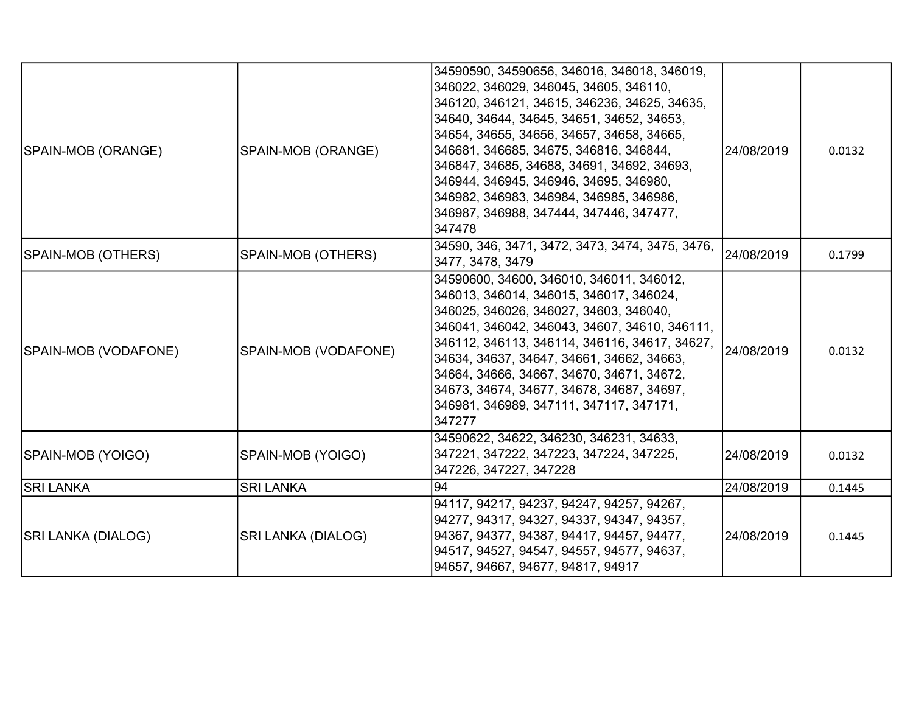| SPAIN-MOB (ORANGE)   | SPAIN-MOB (ORANGE)        | 34590590, 34590656, 346016, 346018, 346019,<br>346022, 346029, 346045, 34605, 346110,<br>346120, 346121, 34615, 346236, 34625, 34635,<br>34640, 34644, 34645, 34651, 34652, 34653,<br>34654, 34655, 34656, 34657, 34658, 34665,<br>346681, 346685, 34675, 346816, 346844,<br>346847, 34685, 34688, 34691, 34692, 34693,<br>346944, 346945, 346946, 34695, 346980,<br>346982, 346983, 346984, 346985, 346986,<br>346987, 346988, 347444, 347446, 347477,<br>347478 | 24/08/2019 | 0.0132 |
|----------------------|---------------------------|-------------------------------------------------------------------------------------------------------------------------------------------------------------------------------------------------------------------------------------------------------------------------------------------------------------------------------------------------------------------------------------------------------------------------------------------------------------------|------------|--------|
| SPAIN-MOB (OTHERS)   | SPAIN-MOB (OTHERS)        | 34590, 346, 3471, 3472, 3473, 3474, 3475, 3476,<br>3477, 3478, 3479                                                                                                                                                                                                                                                                                                                                                                                               | 24/08/2019 | 0.1799 |
| SPAIN-MOB (VODAFONE) | SPAIN-MOB (VODAFONE)      | 34590600, 34600, 346010, 346011, 346012,<br>346013, 346014, 346015, 346017, 346024,<br>346025, 346026, 346027, 34603, 346040,<br>346041, 346042, 346043, 34607, 34610, 346111,<br>346112, 346113, 346114, 346116, 34617, 34627,<br>34634, 34637, 34647, 34661, 34662, 34663,<br>34664, 34666, 34667, 34670, 34671, 34672,<br>34673, 34674, 34677, 34678, 34687, 34697,<br>346981, 346989, 347111, 347117, 347171,<br>347277                                       | 24/08/2019 | 0.0132 |
| SPAIN-MOB (YOIGO)    | SPAIN-MOB (YOIGO)         | 34590622, 34622, 346230, 346231, 34633,<br>347221, 347222, 347223, 347224, 347225,<br>347226, 347227, 347228                                                                                                                                                                                                                                                                                                                                                      | 24/08/2019 | 0.0132 |
| <b>SRI LANKA</b>     | <b>SRI LANKA</b>          | 94                                                                                                                                                                                                                                                                                                                                                                                                                                                                | 24/08/2019 | 0.1445 |
| SRI LANKA (DIALOG)   | <b>SRI LANKA (DIALOG)</b> | 94117, 94217, 94237, 94247, 94257, 94267,<br>94277, 94317, 94327, 94337, 94347, 94357,<br>94367, 94377, 94387, 94417, 94457, 94477,<br>94517, 94527, 94547, 94557, 94577, 94637,<br>94657, 94667, 94677, 94817, 94917                                                                                                                                                                                                                                             | 24/08/2019 | 0.1445 |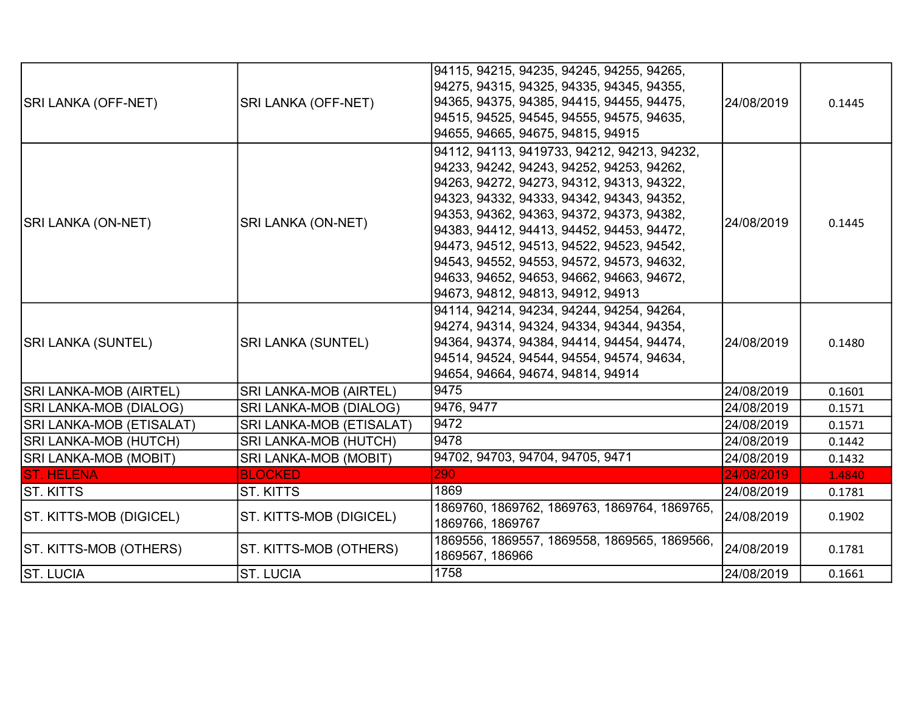|                               |                               | 94115, 94215, 94235, 94245, 94255, 94265,<br>94275, 94315, 94325, 94335, 94345, 94355, |            |        |
|-------------------------------|-------------------------------|----------------------------------------------------------------------------------------|------------|--------|
| SRI LANKA (OFF-NET)           | SRI LANKA (OFF-NET)           | 94365, 94375, 94385, 94415, 94455, 94475,                                              | 24/08/2019 | 0.1445 |
|                               |                               | 94515, 94525, 94545, 94555, 94575, 94635,                                              |            |        |
|                               |                               | 94655, 94665, 94675, 94815, 94915                                                      |            |        |
|                               |                               | 94112, 94113, 9419733, 94212, 94213, 94232,                                            |            |        |
|                               |                               | 94233, 94242, 94243, 94252, 94253, 94262,                                              |            |        |
|                               |                               | 94263, 94272, 94273, 94312, 94313, 94322,                                              |            |        |
|                               |                               | 94323, 94332, 94333, 94342, 94343, 94352,                                              |            |        |
| <b>SRI LANKA (ON-NET)</b>     | <b>SRI LANKA (ON-NET)</b>     | 94353, 94362, 94363, 94372, 94373, 94382,                                              | 24/08/2019 | 0.1445 |
|                               |                               | 94383, 94412, 94413, 94452, 94453, 94472,                                              |            |        |
|                               |                               | 94473, 94512, 94513, 94522, 94523, 94542,                                              |            |        |
|                               |                               | 94543, 94552, 94553, 94572, 94573, 94632,                                              |            |        |
|                               |                               | 94633, 94652, 94653, 94662, 94663, 94672,                                              |            |        |
|                               |                               | 94673, 94812, 94813, 94912, 94913                                                      |            |        |
|                               |                               | 94114, 94214, 94234, 94244, 94254, 94264,                                              |            |        |
|                               |                               | 94274, 94314, 94324, 94334, 94344, 94354,                                              |            |        |
| <b>SRI LANKA (SUNTEL)</b>     | <b>SRI LANKA (SUNTEL)</b>     | 94364, 94374, 94384, 94414, 94454, 94474,                                              | 24/08/2019 | 0.1480 |
|                               |                               | 94514, 94524, 94544, 94554, 94574, 94634,                                              |            |        |
|                               |                               | 94654, 94664, 94674, 94814, 94914                                                      |            |        |
| <b>SRI LANKA-MOB (AIRTEL)</b> | <b>SRI LANKA-MOB (AIRTEL)</b> | 9475                                                                                   | 24/08/2019 | 0.1601 |
| SRI LANKA-MOB (DIALOG)        | SRI LANKA-MOB (DIALOG)        | 9476, 9477                                                                             | 24/08/2019 | 0.1571 |
| SRI LANKA-MOB (ETISALAT)      | SRI LANKA-MOB (ETISALAT)      | 9472                                                                                   | 24/08/2019 | 0.1571 |
| SRI LANKA-MOB (HUTCH)         | SRI LANKA-MOB (HUTCH)         | 9478                                                                                   | 24/08/2019 | 0.1442 |
| <b>SRI LANKA-MOB (MOBIT)</b>  | SRI LANKA-MOB (MOBIT)         | 94702, 94703, 94704, 94705, 9471                                                       | 24/08/2019 | 0.1432 |
| <b>ST. HELENA</b>             | <b>BLOCKED</b>                | 290                                                                                    | 24/08/2019 | 1.4840 |
| ST. KITTS                     | <b>ST. KITTS</b>              | 1869                                                                                   | 24/08/2019 | 0.1781 |
| ST. KITTS-MOB (DIGICEL)       | ST. KITTS-MOB (DIGICEL)       | 1869760, 1869762, 1869763, 1869764, 1869765,<br>1869766, 1869767                       | 24/08/2019 | 0.1902 |
| ST. KITTS-MOB (OTHERS)        | ST. KITTS-MOB (OTHERS)        | 1869556, 1869557, 1869558, 1869565, 1869566,<br>1869567, 186966                        | 24/08/2019 | 0.1781 |
| <b>ST. LUCIA</b>              | <b>ST. LUCIA</b>              | 1758                                                                                   | 24/08/2019 | 0.1661 |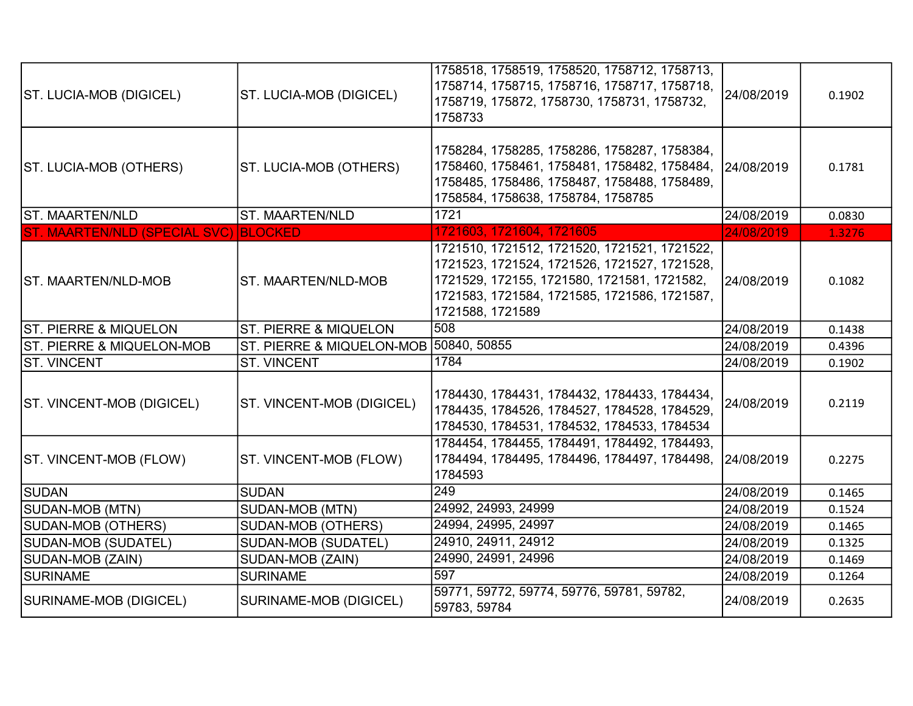| ST. LUCIA-MOB (DIGICEL)               | ST. LUCIA-MOB (DIGICEL)                | 1758518, 1758519, 1758520, 1758712, 1758713,<br>1758714, 1758715, 1758716, 1758717, 1758718,<br>1758719, 175872, 1758730, 1758731, 1758732,<br>1758733                                                          | 24/08/2019 | 0.1902 |
|---------------------------------------|----------------------------------------|-----------------------------------------------------------------------------------------------------------------------------------------------------------------------------------------------------------------|------------|--------|
| ST. LUCIA-MOB (OTHERS)                | ST. LUCIA-MOB (OTHERS)                 | 1758284, 1758285, 1758286, 1758287, 1758384,<br>1758460, 1758461, 1758481, 1758482, 1758484,<br>1758485, 1758486, 1758487, 1758488, 1758489,<br>1758584, 1758638, 1758784, 1758785                              | 24/08/2019 | 0.1781 |
| ST. MAARTEN/NLD                       | ST. MAARTEN/NLD                        | 1721                                                                                                                                                                                                            | 24/08/2019 | 0.0830 |
| ST. MAARTEN/NLD (SPECIAL SVC) BLOCKED |                                        | 1721603, 1721604, 1721605                                                                                                                                                                                       | 24/08/2019 | 1.3276 |
| <b>ST. MAARTEN/NLD-MOB</b>            | ST. MAARTEN/NLD-MOB                    | 1721510, 1721512, 1721520, 1721521, 1721522,<br>1721523, 1721524, 1721526, 1721527, 1721528,<br>1721529, 172155, 1721580, 1721581, 1721582,<br>1721583, 1721584, 1721585, 1721586, 1721587,<br>1721588, 1721589 | 24/08/2019 | 0.1082 |
| <b>ST. PIERRE &amp; MIQUELON</b>      | <b>ST. PIERRE &amp; MIQUELON</b>       | 508                                                                                                                                                                                                             | 24/08/2019 | 0.1438 |
| <b>ST. PIERRE &amp; MIQUELON-MOB</b>  | ST. PIERRE & MIQUELON-MOB 50840, 50855 |                                                                                                                                                                                                                 | 24/08/2019 | 0.4396 |
| <b>ST. VINCENT</b>                    | <b>ST. VINCENT</b>                     | 1784                                                                                                                                                                                                            | 24/08/2019 | 0.1902 |
| ST. VINCENT-MOB (DIGICEL)             | ST. VINCENT-MOB (DIGICEL)              | 1784430, 1784431, 1784432, 1784433, 1784434,<br>1784435, 1784526, 1784527, 1784528, 1784529,<br>1784530, 1784531, 1784532, 1784533, 1784534                                                                     | 24/08/2019 | 0.2119 |
| <b>ST. VINCENT-MOB (FLOW)</b>         | ST. VINCENT-MOB (FLOW)                 | 1784454, 1784455, 1784491, 1784492, 1784493,<br>1784494, 1784495, 1784496, 1784497, 1784498, 24/08/2019<br>1784593                                                                                              |            | 0.2275 |
| ISUDAN                                | <b>SUDAN</b>                           | 249                                                                                                                                                                                                             | 24/08/2019 | 0.1465 |
| SUDAN-MOB (MTN)                       | SUDAN-MOB (MTN)                        | 24992, 24993, 24999                                                                                                                                                                                             | 24/08/2019 | 0.1524 |
| SUDAN-MOB (OTHERS)                    | <b>SUDAN-MOB (OTHERS)</b>              | 24994, 24995, 24997                                                                                                                                                                                             | 24/08/2019 | 0.1465 |
| SUDAN-MOB (SUDATEL)                   | <b>SUDAN-MOB (SUDATEL)</b>             | 24910, 24911, 24912                                                                                                                                                                                             | 24/08/2019 | 0.1325 |
| SUDAN-MOB (ZAIN)                      | SUDAN-MOB (ZAIN)                       | 24990, 24991, 24996                                                                                                                                                                                             | 24/08/2019 | 0.1469 |
| <b>SURINAME</b>                       | <b>SURINAME</b>                        | 597                                                                                                                                                                                                             | 24/08/2019 | 0.1264 |
| SURINAME-MOB (DIGICEL)                | SURINAME-MOB (DIGICEL)                 | 59771, 59772, 59774, 59776, 59781, 59782,<br>59783, 59784                                                                                                                                                       | 24/08/2019 | 0.2635 |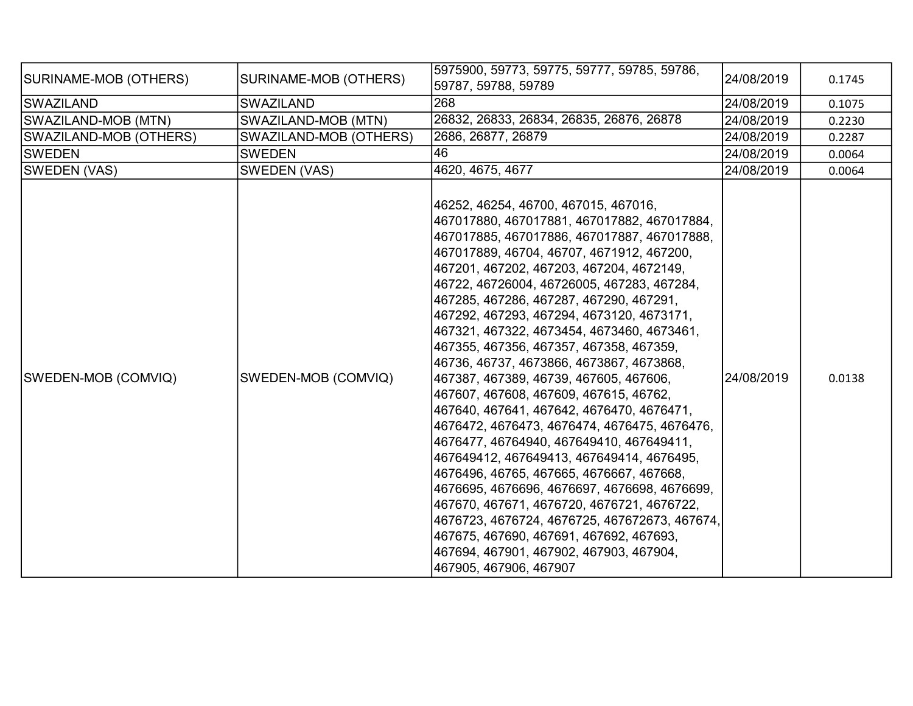| SURINAME-MOB (OTHERS)  | SURINAME-MOB (OTHERS)  | 5975900, 59773, 59775, 59777, 59785, 59786,<br>59787, 59788, 59789                                                                                                                                                                                                                                                                                                                                                                                                                                                                                                                                                                                                                                                                                                                                                                                                                                                                                                                                                                                                                          | 24/08/2019 | 0.1745 |
|------------------------|------------------------|---------------------------------------------------------------------------------------------------------------------------------------------------------------------------------------------------------------------------------------------------------------------------------------------------------------------------------------------------------------------------------------------------------------------------------------------------------------------------------------------------------------------------------------------------------------------------------------------------------------------------------------------------------------------------------------------------------------------------------------------------------------------------------------------------------------------------------------------------------------------------------------------------------------------------------------------------------------------------------------------------------------------------------------------------------------------------------------------|------------|--------|
| SWAZILAND              | <b>SWAZILAND</b>       | 268                                                                                                                                                                                                                                                                                                                                                                                                                                                                                                                                                                                                                                                                                                                                                                                                                                                                                                                                                                                                                                                                                         | 24/08/2019 | 0.1075 |
| SWAZILAND-MOB (MTN)    | SWAZILAND-MOB (MTN)    | 26832, 26833, 26834, 26835, 26876, 26878                                                                                                                                                                                                                                                                                                                                                                                                                                                                                                                                                                                                                                                                                                                                                                                                                                                                                                                                                                                                                                                    | 24/08/2019 | 0.2230 |
| SWAZILAND-MOB (OTHERS) | SWAZILAND-MOB (OTHERS) | 2686, 26877, 26879                                                                                                                                                                                                                                                                                                                                                                                                                                                                                                                                                                                                                                                                                                                                                                                                                                                                                                                                                                                                                                                                          | 24/08/2019 | 0.2287 |
| <b>SWEDEN</b>          | <b>SWEDEN</b>          | 46                                                                                                                                                                                                                                                                                                                                                                                                                                                                                                                                                                                                                                                                                                                                                                                                                                                                                                                                                                                                                                                                                          | 24/08/2019 | 0.0064 |
| SWEDEN (VAS)           | SWEDEN (VAS)           | 4620, 4675, 4677                                                                                                                                                                                                                                                                                                                                                                                                                                                                                                                                                                                                                                                                                                                                                                                                                                                                                                                                                                                                                                                                            | 24/08/2019 | 0.0064 |
| SWEDEN-MOB (COMVIQ)    | SWEDEN-MOB (COMVIQ)    | 46252, 46254, 46700, 467015, 467016,<br>467017880, 467017881, 467017882, 467017884,<br>467017885, 467017886, 467017887, 467017888,<br>467017889, 46704, 46707, 4671912, 467200,<br>467201, 467202, 467203, 467204, 4672149,<br>46722, 46726004, 46726005, 467283, 467284,<br>467285, 467286, 467287, 467290, 467291,<br>467292, 467293, 467294, 4673120, 4673171,<br>467321, 467322, 4673454, 4673460, 4673461,<br>467355, 467356, 467357, 467358, 467359,<br>46736, 46737, 4673866, 4673867, 4673868,<br>467387, 467389, 46739, 467605, 467606,<br>467607, 467608, 467609, 467615, 46762,<br>467640, 467641, 467642, 4676470, 4676471,<br>4676472, 4676473, 4676474, 4676475, 4676476,<br>4676477, 46764940, 467649410, 467649411,<br>467649412, 467649413, 467649414, 4676495,<br>4676496, 46765, 467665, 4676667, 467668,<br>4676695, 4676696, 4676697, 4676698, 4676699,<br>467670, 467671, 4676720, 4676721, 4676722,<br>4676723, 4676724, 4676725, 467672673, 467674,<br>467675, 467690, 467691, 467692, 467693,<br>467694, 467901, 467902, 467903, 467904,<br>467905, 467906, 467907 | 24/08/2019 | 0.0138 |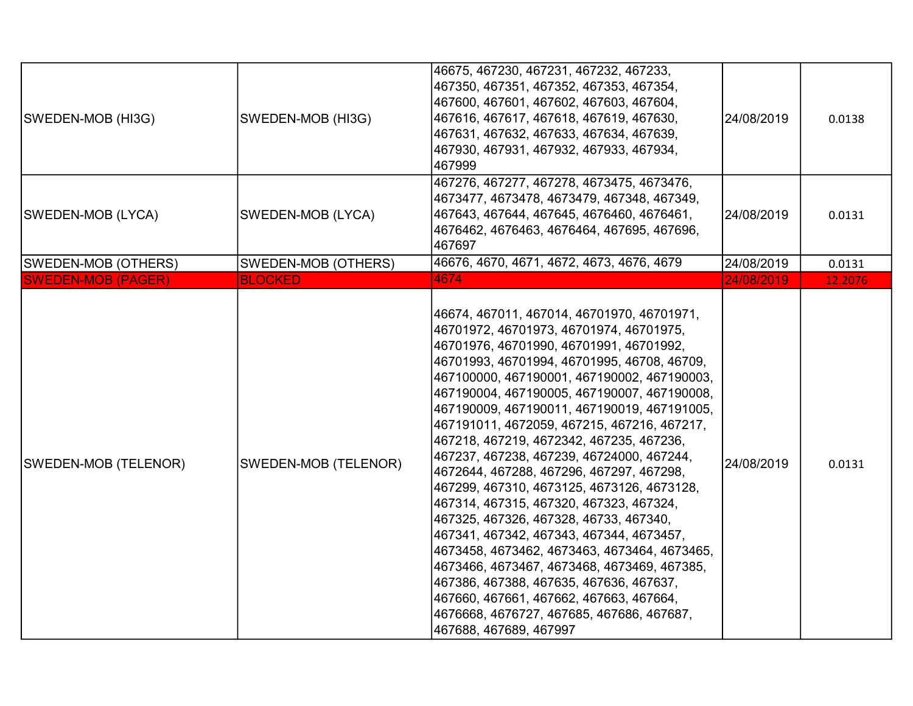| SWEDEN-MOB (HI3G)         | SWEDEN-MOB (HI3G)          | 46675, 467230, 467231, 467232, 467233,<br>467350, 467351, 467352, 467353, 467354,<br>467600, 467601, 467602, 467603, 467604,<br>467616, 467617, 467618, 467619, 467630,<br>467631, 467632, 467633, 467634, 467639,<br>467930, 467931, 467932, 467933, 467934,<br>467999                                                                                                                                                                                                                                                                                                                                                                                                                                                                                                                                                                                                                                                                                         | 24/08/2019 | 0.0138  |
|---------------------------|----------------------------|-----------------------------------------------------------------------------------------------------------------------------------------------------------------------------------------------------------------------------------------------------------------------------------------------------------------------------------------------------------------------------------------------------------------------------------------------------------------------------------------------------------------------------------------------------------------------------------------------------------------------------------------------------------------------------------------------------------------------------------------------------------------------------------------------------------------------------------------------------------------------------------------------------------------------------------------------------------------|------------|---------|
| SWEDEN-MOB (LYCA)         | SWEDEN-MOB (LYCA)          | 467276, 467277, 467278, 4673475, 4673476,<br> 4673477, 4673478, 4673479, 467348, 467349,<br>467643, 467644, 467645, 4676460, 4676461,<br>4676462, 4676463, 4676464, 467695, 467696,<br>467697                                                                                                                                                                                                                                                                                                                                                                                                                                                                                                                                                                                                                                                                                                                                                                   | 24/08/2019 | 0.0131  |
| SWEDEN-MOB (OTHERS)       | <b>SWEDEN-MOB (OTHERS)</b> | 46676, 4670, 4671, 4672, 4673, 4676, 4679                                                                                                                                                                                                                                                                                                                                                                                                                                                                                                                                                                                                                                                                                                                                                                                                                                                                                                                       | 24/08/2019 | 0.0131  |
| <b>SWEDEN-MOB (PAGER)</b> | <b>BLOCKED</b>             | 4674                                                                                                                                                                                                                                                                                                                                                                                                                                                                                                                                                                                                                                                                                                                                                                                                                                                                                                                                                            | 24/08/2019 | 12.2076 |
| SWEDEN-MOB (TELENOR)      | SWEDEN-MOB (TELENOR)       | 46674, 467011, 467014, 46701970, 46701971,<br>46701972, 46701973, 46701974, 46701975,<br> 46701976, 46701990, 46701991, 46701992,<br> 46701993, 46701994, 46701995, 46708, 46709,<br> 467100000, 467190001, 467190002, 467190003,<br>467190004, 467190005, 467190007, 467190008,<br>467190009, 467190011, 467190019, 467191005,<br>467191011, 4672059, 467215, 467216, 467217,<br>467218, 467219, 4672342, 467235, 467236,<br>467237, 467238, 467239, 46724000, 467244,<br>4672644, 467288, 467296, 467297, 467298,<br>467299, 467310, 4673125, 4673126, 4673128,<br>467314, 467315, 467320, 467323, 467324,<br>467325, 467326, 467328, 46733, 467340,<br>467341, 467342, 467343, 467344, 4673457,<br>4673458, 4673462, 4673463, 4673464, 4673465,<br>4673466, 4673467, 4673468, 4673469, 467385,<br>467386, 467388, 467635, 467636, 467637,<br> 467660, 467661, 467662, 467663, 467664,<br>4676668, 4676727, 467685, 467686, 467687,<br>467688, 467689, 467997 | 24/08/2019 | 0.0131  |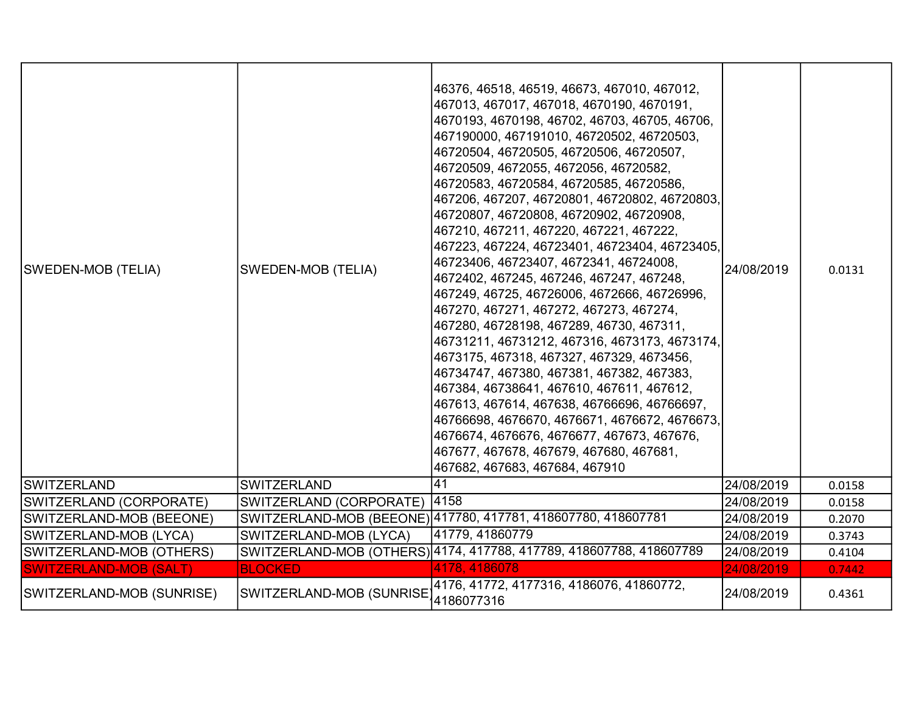| <b>SWEDEN-MOB (TELIA)</b>     | <b>SWEDEN-MOB (TELIA)</b> | 46376, 46518, 46519, 46673, 467010, 467012,<br>467013, 467017, 467018, 4670190, 4670191,<br>4670193, 4670198, 46702, 46703, 46705, 46706,<br>467190000, 467191010, 46720502, 46720503,<br>46720504, 46720505, 46720506, 46720507,<br>46720509, 4672055, 4672056, 46720582,<br>46720583, 46720584, 46720585, 46720586,<br>467206, 467207, 46720801, 46720802, 46720803,<br>46720807, 46720808, 46720902, 46720908,<br>467210, 467211, 467220, 467221, 467222,<br>467223, 467224, 46723401, 46723404, 46723405,<br>46723406, 46723407, 4672341, 46724008,<br>4672402, 467245, 467246, 467247, 467248,<br>467249, 46725, 46726006, 4672666, 46726996,<br>467270, 467271, 467272, 467273, 467274,<br>467280, 46728198, 467289, 46730, 467311,<br>46731211, 46731212, 467316, 4673173, 4673174,<br>4673175, 467318, 467327, 467329, 4673456,<br>46734747, 467380, 467381, 467382, 467383,<br>467384, 46738641, 467610, 467611, 467612,<br>467613, 467614, 467638, 46766696, 46766697,<br>46766698, 4676670, 4676671, 4676672, 4676673,<br>4676674, 4676676, 4676677, 467673, 467676,<br>467677, 467678, 467679, 467680, 467681,<br>467682, 467683, 467684, 467910 | 24/08/2019 | 0.0131 |
|-------------------------------|---------------------------|--------------------------------------------------------------------------------------------------------------------------------------------------------------------------------------------------------------------------------------------------------------------------------------------------------------------------------------------------------------------------------------------------------------------------------------------------------------------------------------------------------------------------------------------------------------------------------------------------------------------------------------------------------------------------------------------------------------------------------------------------------------------------------------------------------------------------------------------------------------------------------------------------------------------------------------------------------------------------------------------------------------------------------------------------------------------------------------------------------------------------------------------------------------|------------|--------|
| SWITZERLAND                   | <b>SWITZERLAND</b>        | 41                                                                                                                                                                                                                                                                                                                                                                                                                                                                                                                                                                                                                                                                                                                                                                                                                                                                                                                                                                                                                                                                                                                                                           | 24/08/2019 | 0.0158 |
| SWITZERLAND (CORPORATE)       | SWITZERLAND (CORPORATE)   | 4158                                                                                                                                                                                                                                                                                                                                                                                                                                                                                                                                                                                                                                                                                                                                                                                                                                                                                                                                                                                                                                                                                                                                                         | 24/08/2019 | 0.0158 |
| SWITZERLAND-MOB (BEEONE)      |                           | SWITZERLAND-MOB (BEEONE) 417780, 417781, 418607780, 418607781                                                                                                                                                                                                                                                                                                                                                                                                                                                                                                                                                                                                                                                                                                                                                                                                                                                                                                                                                                                                                                                                                                | 24/08/2019 | 0.2070 |
| SWITZERLAND-MOB (LYCA)        | SWITZERLAND-MOB (LYCA)    | 41779, 41860779                                                                                                                                                                                                                                                                                                                                                                                                                                                                                                                                                                                                                                                                                                                                                                                                                                                                                                                                                                                                                                                                                                                                              | 24/08/2019 | 0.3743 |
| SWITZERLAND-MOB (OTHERS)      |                           | SWITZERLAND-MOB (OTHERS) 4174, 417788, 417789, 418607788, 418607789                                                                                                                                                                                                                                                                                                                                                                                                                                                                                                                                                                                                                                                                                                                                                                                                                                                                                                                                                                                                                                                                                          | 24/08/2019 | 0.4104 |
| <b>SWITZERLAND-MOB (SALT)</b> | <b>BLOCKED</b>            | 4178, 4186078                                                                                                                                                                                                                                                                                                                                                                                                                                                                                                                                                                                                                                                                                                                                                                                                                                                                                                                                                                                                                                                                                                                                                | 24/08/2019 | 0.7442 |
| SWITZERLAND-MOB (SUNRISE)     | SWITZERLAND-MOB (SUNRISE  | 4176, 41772, 4177316, 4186076, 41860772,<br>4186077316                                                                                                                                                                                                                                                                                                                                                                                                                                                                                                                                                                                                                                                                                                                                                                                                                                                                                                                                                                                                                                                                                                       | 24/08/2019 | 0.4361 |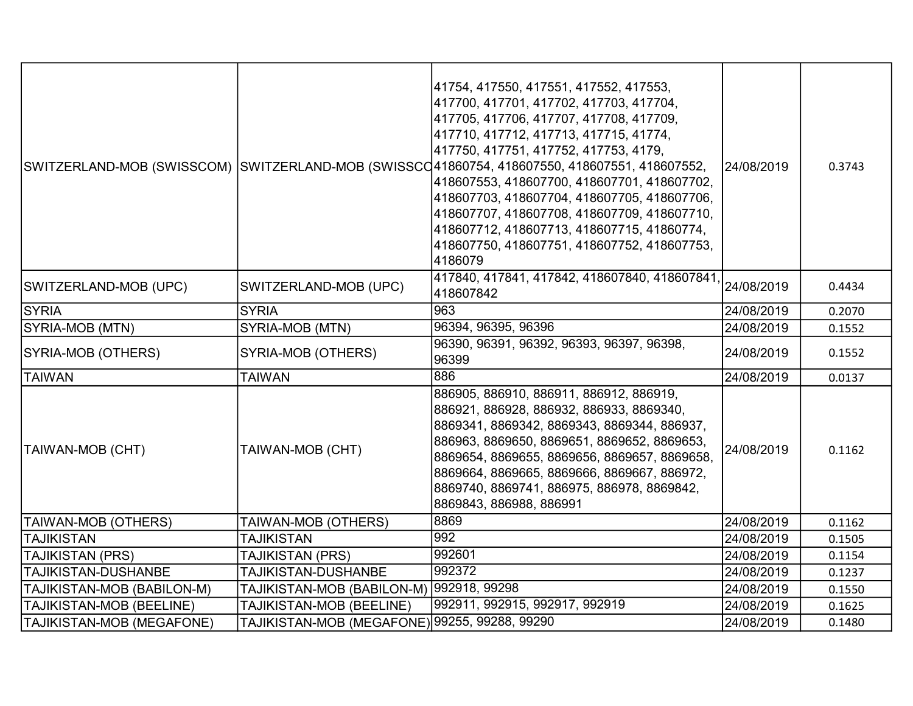|                            |                                               | 41754, 417550, 417551, 417552, 417553,<br>417700, 417701, 417702, 417703, 417704,<br> 417705, 417706, 417707, 417708, 417709,<br>417710, 417712, 417713, 417715, 41774,<br>417750, 417751, 417752, 417753, 4179,<br>SWITZERLAND-MOB (SWISSCOM)  SWITZERLAND-MOB (SWISSCQ41860754, 418607550, 418607551, 418607552,<br>418607553, 418607700, 418607701, 418607702,<br>418607703, 418607704, 418607705, 418607706,<br>418607707, 418607708, 418607709, 418607710,<br>418607712, 418607713, 418607715, 41860774,<br>418607750, 418607751, 418607752, 418607753,<br>4186079 | 24/08/2019 | 0.3743 |
|----------------------------|-----------------------------------------------|-------------------------------------------------------------------------------------------------------------------------------------------------------------------------------------------------------------------------------------------------------------------------------------------------------------------------------------------------------------------------------------------------------------------------------------------------------------------------------------------------------------------------------------------------------------------------|------------|--------|
| SWITZERLAND-MOB (UPC)      | SWITZERLAND-MOB (UPC)                         | 417840, 417841, 417842, 418607840, 418607841,<br>418607842                                                                                                                                                                                                                                                                                                                                                                                                                                                                                                              | 24/08/2019 | 0.4434 |
| <b>SYRIA</b>               | <b>SYRIA</b>                                  | 963                                                                                                                                                                                                                                                                                                                                                                                                                                                                                                                                                                     | 24/08/2019 | 0.2070 |
| SYRIA-MOB (MTN)            | SYRIA-MOB (MTN)                               | 96394, 96395, 96396                                                                                                                                                                                                                                                                                                                                                                                                                                                                                                                                                     | 24/08/2019 | 0.1552 |
| SYRIA-MOB (OTHERS)         | SYRIA-MOB (OTHERS)                            | 96390, 96391, 96392, 96393, 96397, 96398,<br>96399                                                                                                                                                                                                                                                                                                                                                                                                                                                                                                                      | 24/08/2019 | 0.1552 |
| <b>TAIWAN</b>              | <b>TAIWAN</b>                                 | 886                                                                                                                                                                                                                                                                                                                                                                                                                                                                                                                                                                     | 24/08/2019 | 0.0137 |
| <b>TAIWAN-MOB (CHT)</b>    | TAIWAN-MOB (CHT)                              | 886905, 886910, 886911, 886912, 886919,<br>886921, 886928, 886932, 886933, 8869340,<br>8869341, 8869342, 8869343, 8869344, 886937,<br>886963, 8869650, 8869651, 8869652, 8869653,<br>8869654, 8869655, 8869656, 8869657, 8869658,<br>8869664, 8869665, 8869666, 8869667, 886972,<br>8869740, 8869741, 886975, 886978, 8869842,<br>8869843, 886988, 886991                                                                                                                                                                                                               | 24/08/2019 | 0.1162 |
| TAIWAN-MOB (OTHERS)        | TAIWAN-MOB (OTHERS)                           | 8869                                                                                                                                                                                                                                                                                                                                                                                                                                                                                                                                                                    | 24/08/2019 | 0.1162 |
| <b>TAJIKISTAN</b>          | <b>TAJIKISTAN</b>                             | 992                                                                                                                                                                                                                                                                                                                                                                                                                                                                                                                                                                     | 24/08/2019 | 0.1505 |
| TAJIKISTAN (PRS)           | TAJIKISTAN (PRS)                              | 992601                                                                                                                                                                                                                                                                                                                                                                                                                                                                                                                                                                  | 24/08/2019 | 0.1154 |
| <b>TAJIKISTAN-DUSHANBE</b> | TAJIKISTAN-DUSHANBE                           | 992372                                                                                                                                                                                                                                                                                                                                                                                                                                                                                                                                                                  | 24/08/2019 | 0.1237 |
| TAJIKISTAN-MOB (BABILON-M) | TAJIKISTAN-MOB (BABILON-M) 992918, 99298      |                                                                                                                                                                                                                                                                                                                                                                                                                                                                                                                                                                         | 24/08/2019 | 0.1550 |
| TAJIKISTAN-MOB (BEELINE)   | TAJIKISTAN-MOB (BEELINE)                      | 992911, 992915, 992917, 992919                                                                                                                                                                                                                                                                                                                                                                                                                                                                                                                                          | 24/08/2019 | 0.1625 |
| TAJIKISTAN-MOB (MEGAFONE)  | TAJIKISTAN-MOB (MEGAFONE) 99255, 99288, 99290 |                                                                                                                                                                                                                                                                                                                                                                                                                                                                                                                                                                         | 24/08/2019 | 0.1480 |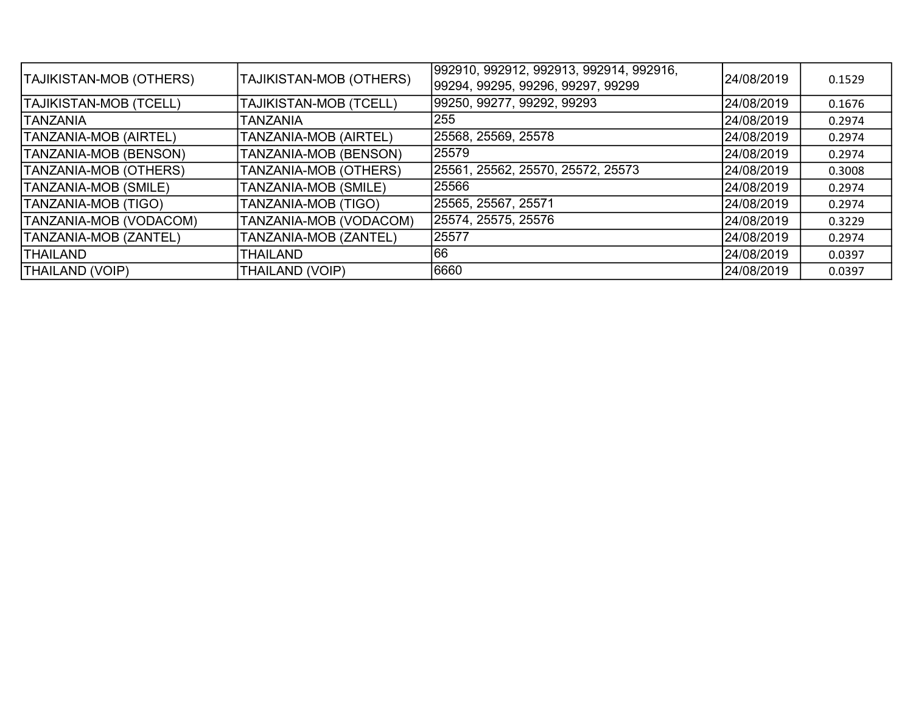| <b>TAJIKISTAN-MOB (OTHERS)</b> | TAJIKISTAN-MOB (OTHERS)       | 992910, 992912, 992913, 992914, 992916,<br> 99294, 99295, 99296, 99297, 99299 | 24/08/2019 | 0.1529 |
|--------------------------------|-------------------------------|-------------------------------------------------------------------------------|------------|--------|
| <b>TAJIKISTAN-MOB (TCELL)</b>  | <b>TAJIKISTAN-MOB (TCELL)</b> | 99250, 99277, 99292, 99293                                                    | 24/08/2019 | 0.1676 |
| <b>TANZANIA</b>                | <b>TANZANIA</b>               | 255                                                                           | 24/08/2019 | 0.2974 |
| <b>TANZANIA-MOB (AIRTEL)</b>   | TANZANIA-MOB (AIRTEL)         | 25568, 25569, 25578                                                           | 24/08/2019 | 0.2974 |
| TANZANIA-MOB (BENSON)          | TANZANIA-MOB (BENSON)         | 25579                                                                         | 24/08/2019 | 0.2974 |
| TANZANIA-MOB (OTHERS)          | TANZANIA-MOB (OTHERS)         | 25561, 25562, 25570, 25572, 25573                                             | 24/08/2019 | 0.3008 |
| TANZANIA-MOB (SMILE)           | TANZANIA-MOB (SMILE)          | 25566                                                                         | 24/08/2019 | 0.2974 |
| TANZANIA-MOB (TIGO)            | TANZANIA-MOB (TIGO)           | 25565, 25567, 25571                                                           | 24/08/2019 | 0.2974 |
| TANZANIA-MOB (VODACOM)         | TANZANIA-MOB (VODACOM)        | 25574, 25575, 25576                                                           | 24/08/2019 | 0.3229 |
| TANZANIA-MOB (ZANTEL)          | TANZANIA-MOB (ZANTEL)         | 25577                                                                         | 24/08/2019 | 0.2974 |
| <b>THAILAND</b>                | <b>THAILAND</b>               | 166                                                                           | 24/08/2019 | 0.0397 |
| <b>THAILAND (VOIP)</b>         | <b>THAILAND (VOIP)</b>        | 6660                                                                          | 24/08/2019 | 0.0397 |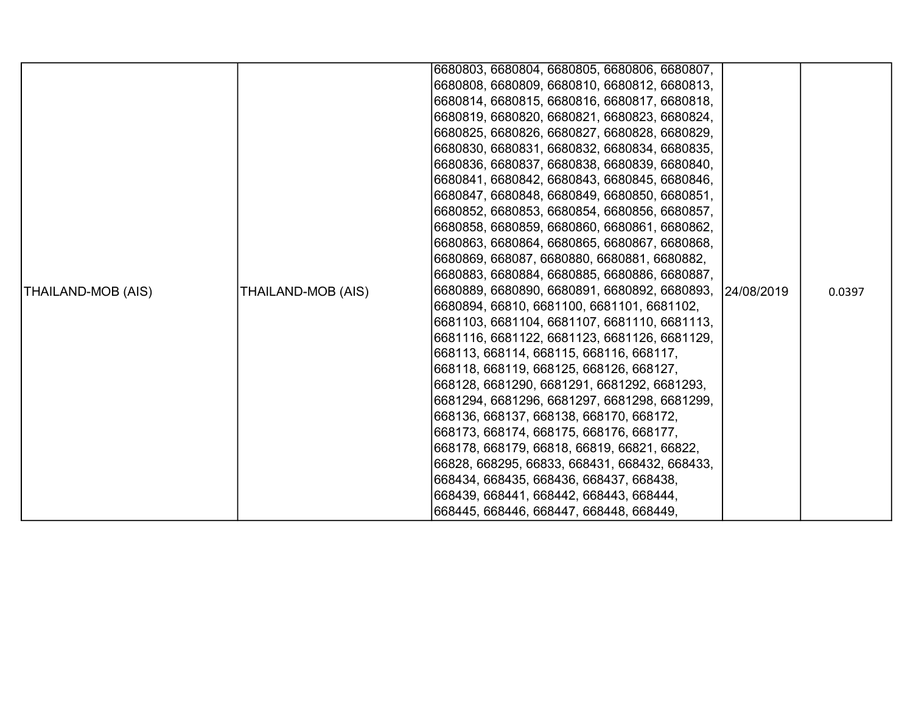|                           |                    | 6680803, 6680804, 6680805, 6680806, 6680807,             |        |
|---------------------------|--------------------|----------------------------------------------------------|--------|
|                           |                    | 6680808, 6680809, 6680810, 6680812, 6680813,             |        |
|                           |                    | 6680814, 6680815, 6680816, 6680817, 6680818,             |        |
|                           |                    | 6680819, 6680820, 6680821, 6680823, 6680824,             |        |
|                           |                    | 6680825, 6680826, 6680827, 6680828, 6680829,             |        |
|                           |                    | 6680830, 6680831, 6680832, 6680834, 6680835,             |        |
|                           |                    | 6680836, 6680837, 6680838, 6680839, 6680840,             |        |
|                           |                    | 6680841, 6680842, 6680843, 6680845, 6680846,             |        |
|                           |                    | 6680847, 6680848, 6680849, 6680850, 6680851,             |        |
|                           |                    | 6680852, 6680853, 6680854, 6680856, 6680857,             |        |
|                           |                    | 6680858, 6680859, 6680860, 6680861, 6680862,             |        |
|                           |                    | 6680863, 6680864, 6680865, 6680867, 6680868,             |        |
|                           |                    | 6680869, 668087, 6680880, 6680881, 6680882,              |        |
|                           |                    | 6680883, 6680884, 6680885, 6680886, 6680887,             |        |
| <b>THAILAND-MOB (AIS)</b> | THAILAND-MOB (AIS) | 6680889, 6680890, 6680891, 6680892, 6680893,  24/08/2019 | 0.0397 |
|                           |                    | 6680894, 66810, 6681100, 6681101, 6681102,               |        |
|                           |                    | 6681103, 6681104, 6681107, 6681110, 6681113,             |        |
|                           |                    | 6681116, 6681122, 6681123, 6681126, 6681129,             |        |
|                           |                    | 668113, 668114, 668115, 668116, 668117,                  |        |
|                           |                    | 668118, 668119, 668125, 668126, 668127,                  |        |
|                           |                    | 668128, 6681290, 6681291, 6681292, 6681293,              |        |
|                           |                    | 6681294, 6681296, 6681297, 6681298, 6681299,             |        |
|                           |                    | 668136, 668137, 668138, 668170, 668172,                  |        |
|                           |                    | 668173, 668174, 668175, 668176, 668177,                  |        |
|                           |                    | 668178, 668179, 66818, 66819, 66821, 66822,              |        |
|                           |                    | 66828, 668295, 66833, 668431, 668432, 668433,            |        |
|                           |                    | 668434, 668435, 668436, 668437, 668438,                  |        |
|                           |                    | 668439, 668441, 668442, 668443, 668444,                  |        |
|                           |                    | 668445, 668446, 668447, 668448, 668449,                  |        |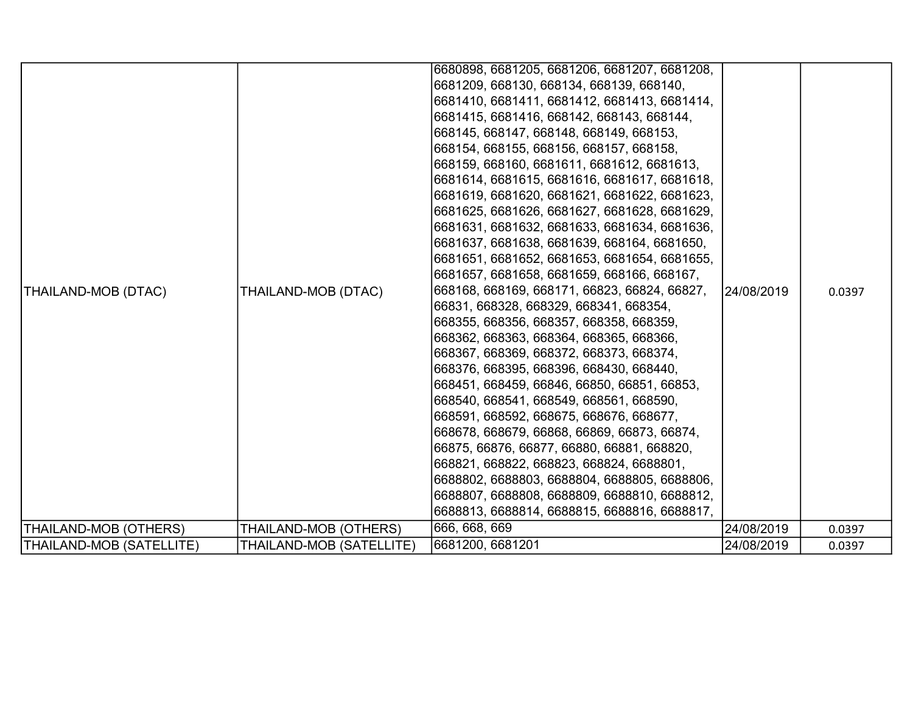| THAILAND-MOB (DTAC)      | THAILAND-MOB (DTAC)      | 6680898, 6681205, 6681206, 6681207, 6681208,<br> 6681209, 668130, 668134, 668139, 668140,<br> 6681410, 6681411, 6681412, 6681413, 6681414,<br> 6681415, 6681416, 668142, 668143, 668144,<br> 668145, 668147, 668148, 668149, 668153,<br> 668154, 668155, 668156, 668157, 668158,<br> 668159, 668160, 6681611, 6681612, 6681613,<br>6681614, 6681615, 6681616, 6681617, 6681618,<br> 6681619, 6681620, 6681621, 6681622, 6681623,<br>6681625, 6681626, 6681627, 6681628, 6681629,<br>6681631, 6681632, 6681633, 6681634, 6681636,<br> 6681637, 6681638, 6681639, 668164, 6681650,<br> 6681651, 6681652, 6681653, 6681654, 6681655,<br> 6681657, 6681658, 6681659, 668166, 668167,<br> 668168, 668169, 668171, 66823, 66824, 66827,<br> 66831, 668328, 668329, 668341, 668354,<br> 668355, 668356, 668357, 668358, 668359,<br> 668362, 668363, 668364, 668365, 668366,<br> 668367, 668369, 668372, 668373, 668374,<br> 668376, 668395, 668396, 668430, 668440,<br> 668451, 668459, 66846, 66850, 66851, 66853,<br>668540, 668541, 668549, 668561, 668590,<br> 668591, 668592, 668675, 668676, 668677,<br> 668678, 668679, 66868, 66869, 66873, 66874,<br> 66875, 66876, 66877, 66880, 66881, 668820,<br> 668821, 668822, 668823, 668824, 6688801,<br> 6688802, 6688803, 6688804, 6688805, 6688806,<br> 6688807, 6688808, 6688809, 6688810, 6688812,<br>6688813, 6688814, 6688815, 6688816, 6688817, | 24/08/2019 | 0.0397 |
|--------------------------|--------------------------|---------------------------------------------------------------------------------------------------------------------------------------------------------------------------------------------------------------------------------------------------------------------------------------------------------------------------------------------------------------------------------------------------------------------------------------------------------------------------------------------------------------------------------------------------------------------------------------------------------------------------------------------------------------------------------------------------------------------------------------------------------------------------------------------------------------------------------------------------------------------------------------------------------------------------------------------------------------------------------------------------------------------------------------------------------------------------------------------------------------------------------------------------------------------------------------------------------------------------------------------------------------------------------------------------------------------------------------------------------------------------------------------------|------------|--------|
|                          |                          |                                                                                                                                                                                                                                                                                                                                                                                                                                                                                                                                                                                                                                                                                                                                                                                                                                                                                                                                                                                                                                                                                                                                                                                                                                                                                                                                                                                                   |            |        |
| THAILAND-MOB (OTHERS)    | THAILAND-MOB (OTHERS)    | 666, 668, 669                                                                                                                                                                                                                                                                                                                                                                                                                                                                                                                                                                                                                                                                                                                                                                                                                                                                                                                                                                                                                                                                                                                                                                                                                                                                                                                                                                                     | 24/08/2019 | 0.0397 |
| THAILAND-MOB (SATELLITE) | THAILAND-MOB (SATELLITE) | 6681200, 6681201                                                                                                                                                                                                                                                                                                                                                                                                                                                                                                                                                                                                                                                                                                                                                                                                                                                                                                                                                                                                                                                                                                                                                                                                                                                                                                                                                                                  | 24/08/2019 | 0.0397 |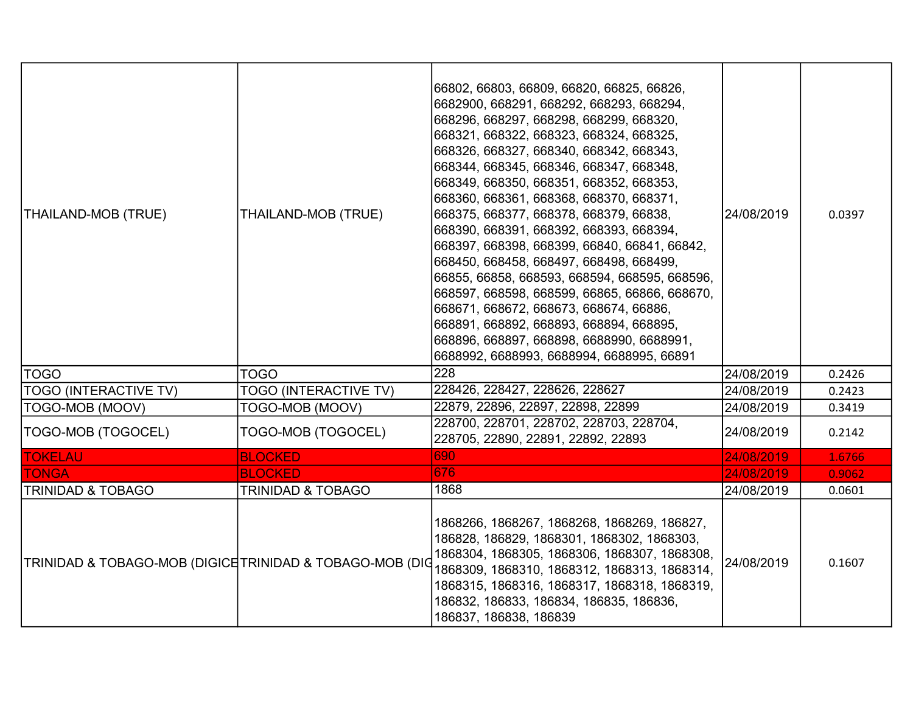| THAILAND-MOB (TRUE)                                      | THAILAND-MOB (TRUE)          | 66802, 66803, 66809, 66820, 66825, 66826,<br>6682900, 668291, 668292, 668293, 668294,<br>668296, 668297, 668298, 668299, 668320,<br>668321, 668322, 668323, 668324, 668325,<br>668326, 668327, 668340, 668342, 668343,<br>668344, 668345, 668346, 668347, 668348,<br>668349, 668350, 668351, 668352, 668353,<br>668360, 668361, 668368, 668370, 668371,<br>668375, 668377, 668378, 668379, 66838,<br>668390, 668391, 668392, 668393, 668394,<br>668397, 668398, 668399, 66840, 66841, 66842,<br>668450, 668458, 668497, 668498, 668499,<br>66855, 66858, 668593, 668594, 668595, 668596,<br>668597, 668598, 668599, 66865, 66866, 668670,<br>668671, 668672, 668673, 668674, 66886,<br>668891, 668892, 668893, 668894, 668895,<br> 668896, 668897, 668898, 6688990, 6688991,<br>6688992, 6688993, 6688994, 6688995, 66891 | 24/08/2019 | 0.0397 |
|----------------------------------------------------------|------------------------------|---------------------------------------------------------------------------------------------------------------------------------------------------------------------------------------------------------------------------------------------------------------------------------------------------------------------------------------------------------------------------------------------------------------------------------------------------------------------------------------------------------------------------------------------------------------------------------------------------------------------------------------------------------------------------------------------------------------------------------------------------------------------------------------------------------------------------|------------|--------|
| TOGO                                                     | <b>TOGO</b>                  | 228                                                                                                                                                                                                                                                                                                                                                                                                                                                                                                                                                                                                                                                                                                                                                                                                                       | 24/08/2019 | 0.2426 |
| <b>TOGO (INTERACTIVE TV)</b>                             | <b>TOGO (INTERACTIVE TV)</b> | 228426, 228427, 228626, 228627                                                                                                                                                                                                                                                                                                                                                                                                                                                                                                                                                                                                                                                                                                                                                                                            | 24/08/2019 | 0.2423 |
| TOGO-MOB (MOOV)                                          | TOGO-MOB (MOOV)              | 22879, 22896, 22897, 22898, 22899                                                                                                                                                                                                                                                                                                                                                                                                                                                                                                                                                                                                                                                                                                                                                                                         | 24/08/2019 | 0.3419 |
| TOGO-MOB (TOGOCEL)                                       | TOGO-MOB (TOGOCEL)           | 228700, 228701, 228702, 228703, 228704,<br>228705, 22890, 22891, 22892, 22893                                                                                                                                                                                                                                                                                                                                                                                                                                                                                                                                                                                                                                                                                                                                             | 24/08/2019 | 0.2142 |
| <b>TOKELAU</b>                                           | <b>BLOCKED</b>               | 690                                                                                                                                                                                                                                                                                                                                                                                                                                                                                                                                                                                                                                                                                                                                                                                                                       | 24/08/2019 | 1.6766 |
| <b>TONGA</b>                                             | <b>BLOCKED</b>               | 676                                                                                                                                                                                                                                                                                                                                                                                                                                                                                                                                                                                                                                                                                                                                                                                                                       | 24/08/2019 | 0.9062 |
| <b>TRINIDAD &amp; TOBAGO</b>                             | <b>TRINIDAD &amp; TOBAGO</b> | 1868                                                                                                                                                                                                                                                                                                                                                                                                                                                                                                                                                                                                                                                                                                                                                                                                                      | 24/08/2019 | 0.0601 |
| TRINIDAD & TOBAGO-MOB (DIGICE TRINIDAD & TOBAGO-MOB (DIO |                              | 1868266, 1868267, 1868268, 1868269, 186827,<br>186828, 186829, 1868301, 1868302, 1868303,<br>1868304, 1868305, 1868306, 1868307, 1868308,<br>1868309, 1868310, 1868312, 1868313, 1868314,<br>1868315, 1868316, 1868317, 1868318, 1868319,<br>186832, 186833, 186834, 186835, 186836,<br>186837, 186838, 186839                                                                                                                                                                                                                                                                                                                                                                                                                                                                                                            | 24/08/2019 | 0.1607 |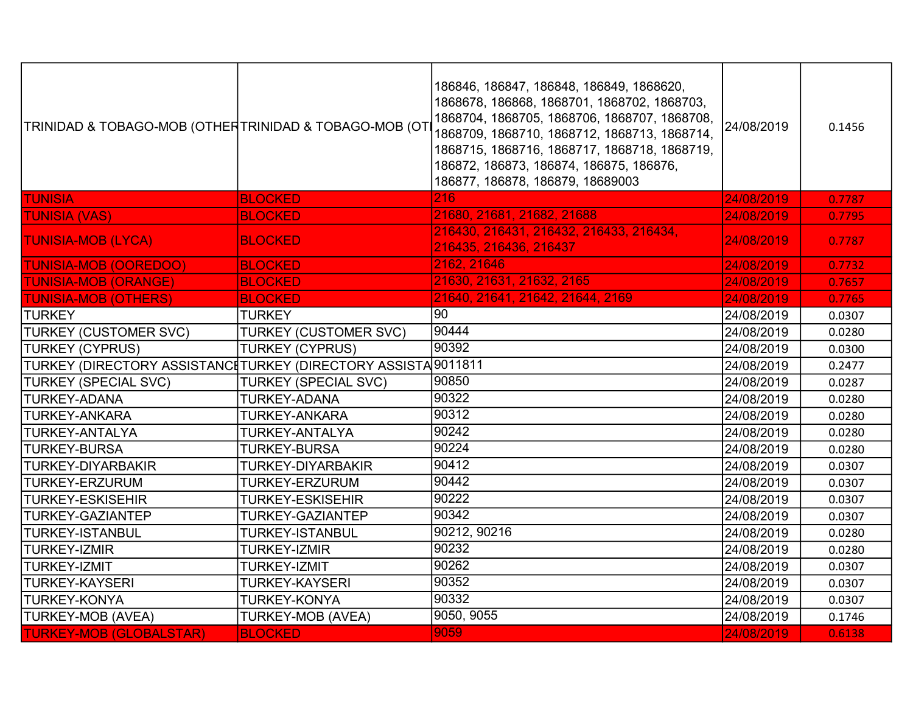| TRINIDAD & TOBAGO-MOB (OTHERTRINIDAD & TOBAGO-MOB (OT                       |                              | 186846, 186847, 186848, 186849, 1868620,<br>1868678, 186868, 1868701, 1868702, 1868703,<br>1868704, 1868705, 1868706, 1868707, 1868708,<br>1868709, 1868710, 1868712, 1868713, 1868714,<br>1868715, 1868716, 1868717, 1868718, 1868719,<br>186872, 186873, 186874, 186875, 186876,<br>186877, 186878, 186879, 18689003 | 24/08/2019 | 0.1456 |
|-----------------------------------------------------------------------------|------------------------------|------------------------------------------------------------------------------------------------------------------------------------------------------------------------------------------------------------------------------------------------------------------------------------------------------------------------|------------|--------|
| <b>TUNISIA</b>                                                              | <b>BLOCKED</b>               | 216                                                                                                                                                                                                                                                                                                                    | 24/08/2019 | 0.7787 |
| <b>TUNISIA (VAS)</b>                                                        | <b>BLOCKED</b>               | 21680, 21681, 21682, 21688                                                                                                                                                                                                                                                                                             | 24/08/2019 | 0.7795 |
| <b>TUNISIA-MOB (LYCA)</b>                                                   | <b>BLOCKED</b>               | 216430, 216431, 216432, 216433, 216434,<br>216435, 216436, 216437                                                                                                                                                                                                                                                      | 24/08/2019 | 0.7787 |
| <b>TUNISIA-MOB (OOREDOO)</b>                                                | <b>BLOCKED</b>               | 2162, 21646                                                                                                                                                                                                                                                                                                            | 24/08/2019 | 0.7732 |
| <b>TUNISIA-MOB (ORANGE)</b>                                                 | <b>BLOCKED</b>               | 21630, 21631, 21632, 2165                                                                                                                                                                                                                                                                                              | 24/08/2019 | 0.7657 |
| <b>TUNISIA-MOB (OTHERS)</b>                                                 | <b>BLOCKED</b>               | 21640, 21641, 21642, 21644, 2169                                                                                                                                                                                                                                                                                       | 24/08/2019 | 0.7765 |
| TURKEY                                                                      | <b>TURKEY</b>                | 90                                                                                                                                                                                                                                                                                                                     | 24/08/2019 | 0.0307 |
| <b>TURKEY (CUSTOMER SVC)</b>                                                | <b>TURKEY (CUSTOMER SVC)</b> | 90444                                                                                                                                                                                                                                                                                                                  | 24/08/2019 | 0.0280 |
| <b>TURKEY (CYPRUS)</b>                                                      | <b>TURKEY (CYPRUS)</b>       | 90392                                                                                                                                                                                                                                                                                                                  | 24/08/2019 | 0.0300 |
| TURKEY (DIRECTORY ASSISTANC‡TURKEY (DIRECTORY ASSISTA <sup>[</sup> 9011811] |                              |                                                                                                                                                                                                                                                                                                                        | 24/08/2019 | 0.2477 |
| <b>TURKEY (SPECIAL SVC)</b>                                                 | <b>TURKEY (SPECIAL SVC)</b>  | 90850                                                                                                                                                                                                                                                                                                                  | 24/08/2019 | 0.0287 |
| <b>TURKEY-ADANA</b>                                                         | <b>TURKEY-ADANA</b>          | 90322                                                                                                                                                                                                                                                                                                                  | 24/08/2019 | 0.0280 |
| <b>TURKEY-ANKARA</b>                                                        | <b>TURKEY-ANKARA</b>         | 90312                                                                                                                                                                                                                                                                                                                  | 24/08/2019 | 0.0280 |
| <b>TURKEY-ANTALYA</b>                                                       | TURKEY-ANTALYA               | 90242                                                                                                                                                                                                                                                                                                                  | 24/08/2019 | 0.0280 |
| <b>TURKEY-BURSA</b>                                                         | <b>TURKEY-BURSA</b>          | 90224                                                                                                                                                                                                                                                                                                                  | 24/08/2019 | 0.0280 |
| <b>TURKEY-DIYARBAKIR</b>                                                    | <b>TURKEY-DIYARBAKIR</b>     | 90412                                                                                                                                                                                                                                                                                                                  | 24/08/2019 | 0.0307 |
| <b>TURKEY-ERZURUM</b>                                                       | TURKEY-ERZURUM               | 90442                                                                                                                                                                                                                                                                                                                  | 24/08/2019 | 0.0307 |
| <b>TURKEY-ESKISEHIR</b>                                                     | <b>TURKEY-ESKISEHIR</b>      | 90222                                                                                                                                                                                                                                                                                                                  | 24/08/2019 | 0.0307 |
| <b>TURKEY-GAZIANTEP</b>                                                     | TURKEY-GAZIANTEP             | 90342                                                                                                                                                                                                                                                                                                                  | 24/08/2019 | 0.0307 |
| <b>TURKEY-ISTANBUL</b>                                                      | <b>TURKEY-ISTANBUL</b>       | 90212, 90216                                                                                                                                                                                                                                                                                                           | 24/08/2019 | 0.0280 |
| <b>TURKEY-IZMIR</b>                                                         | <b>TURKEY-IZMIR</b>          | 90232                                                                                                                                                                                                                                                                                                                  | 24/08/2019 | 0.0280 |
| <b>TURKEY-IZMIT</b>                                                         | <b>TURKEY-IZMIT</b>          | 90262                                                                                                                                                                                                                                                                                                                  | 24/08/2019 | 0.0307 |
| <b>TURKEY-KAYSERI</b>                                                       | <b>TURKEY-KAYSERI</b>        | 90352                                                                                                                                                                                                                                                                                                                  | 24/08/2019 | 0.0307 |
| <b>TURKEY-KONYA</b>                                                         | <b>TURKEY-KONYA</b>          | 90332                                                                                                                                                                                                                                                                                                                  | 24/08/2019 | 0.0307 |
| TURKEY-MOB (AVEA)                                                           | <b>TURKEY-MOB (AVEA)</b>     | 9050, 9055                                                                                                                                                                                                                                                                                                             | 24/08/2019 | 0.1746 |
| <b>TURKEY-MOB (GLOBALSTAR)</b>                                              | <b>BLOCKED</b>               | 9059                                                                                                                                                                                                                                                                                                                   | 24/08/2019 | 0.6138 |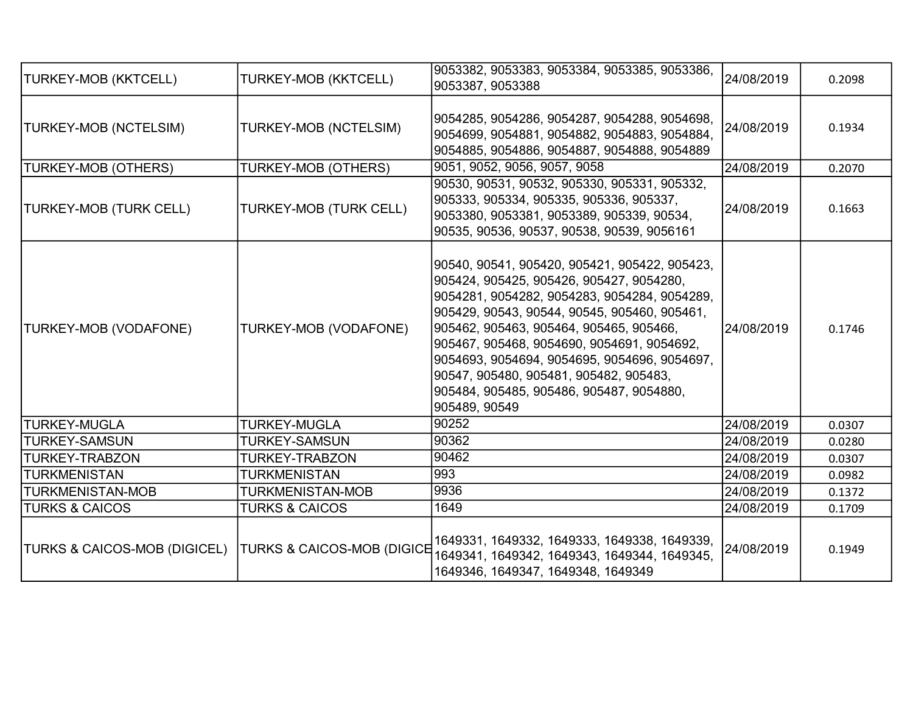| <b>TURKEY-MOB (KKTCELL)</b>   | TURKEY-MOB (KKTCELL)                  | 9053382, 9053383, 9053384, 9053385, 9053386,<br>9053387, 9053388                                                                                                                                                                                                                                                                                                                                                                          | 24/08/2019 | 0.2098 |
|-------------------------------|---------------------------------------|-------------------------------------------------------------------------------------------------------------------------------------------------------------------------------------------------------------------------------------------------------------------------------------------------------------------------------------------------------------------------------------------------------------------------------------------|------------|--------|
| TURKEY-MOB (NCTELSIM)         | TURKEY-MOB (NCTELSIM)                 | 9054285, 9054286, 9054287, 9054288, 9054698,<br>9054699, 9054881, 9054882, 9054883, 9054884,<br>9054885, 9054886, 9054887, 9054888, 9054889                                                                                                                                                                                                                                                                                               | 24/08/2019 | 0.1934 |
| <b>TURKEY-MOB (OTHERS)</b>    | TURKEY-MOB (OTHERS)                   | 9051, 9052, 9056, 9057, 9058                                                                                                                                                                                                                                                                                                                                                                                                              | 24/08/2019 | 0.2070 |
| <b>TURKEY-MOB (TURK CELL)</b> | TURKEY-MOB (TURK CELL)                | 90530, 90531, 90532, 905330, 905331, 905332,<br>905333, 905334, 905335, 905336, 905337,<br>9053380, 9053381, 9053389, 905339, 90534,<br>90535, 90536, 90537, 90538, 90539, 9056161                                                                                                                                                                                                                                                        | 24/08/2019 | 0.1663 |
| <b>TURKEY-MOB (VODAFONE)</b>  | TURKEY-MOB (VODAFONE)                 | 90540, 90541, 905420, 905421, 905422, 905423,<br>905424, 905425, 905426, 905427, 9054280,<br>9054281, 9054282, 9054283, 9054284, 9054289,<br>905429, 90543, 90544, 90545, 905460, 905461,<br>905462, 905463, 905464, 905465, 905466,<br>905467, 905468, 9054690, 9054691, 9054692,<br>9054693, 9054694, 9054695, 9054696, 9054697,<br>90547, 905480, 905481, 905482, 905483,<br>905484, 905485, 905486, 905487, 9054880,<br>905489, 90549 | 24/08/2019 | 0.1746 |
| <b>TURKEY-MUGLA</b>           | <b>TURKEY-MUGLA</b>                   | 90252                                                                                                                                                                                                                                                                                                                                                                                                                                     | 24/08/2019 | 0.0307 |
| <b>TURKEY-SAMSUN</b>          | <b>TURKEY-SAMSUN</b>                  | 90362                                                                                                                                                                                                                                                                                                                                                                                                                                     | 24/08/2019 | 0.0280 |
| <b>TURKEY-TRABZON</b>         | TURKEY-TRABZON                        | 90462                                                                                                                                                                                                                                                                                                                                                                                                                                     | 24/08/2019 | 0.0307 |
| <b>TURKMENISTAN</b>           | TURKMENISTAN                          | 993                                                                                                                                                                                                                                                                                                                                                                                                                                       | 24/08/2019 | 0.0982 |
| <b>TURKMENISTAN-MOB</b>       | TURKMENISTAN-MOB                      | 9936                                                                                                                                                                                                                                                                                                                                                                                                                                      | 24/08/2019 | 0.1372 |
| <b>TURKS &amp; CAICOS</b>     | <b>TURKS &amp; CAICOS</b>             | 1649                                                                                                                                                                                                                                                                                                                                                                                                                                      | 24/08/2019 | 0.1709 |
| TURKS & CAICOS-MOB (DIGICEL)  | <b>TURKS &amp; CAICOS-MOB (DIGICE</b> | 1649331, 1649332, 1649333, 1649338, 1649339,<br>1649341, 1649342, 1649343, 1649344, 1649345,<br>1649346, 1649347, 1649348, 1649349                                                                                                                                                                                                                                                                                                        | 24/08/2019 | 0.1949 |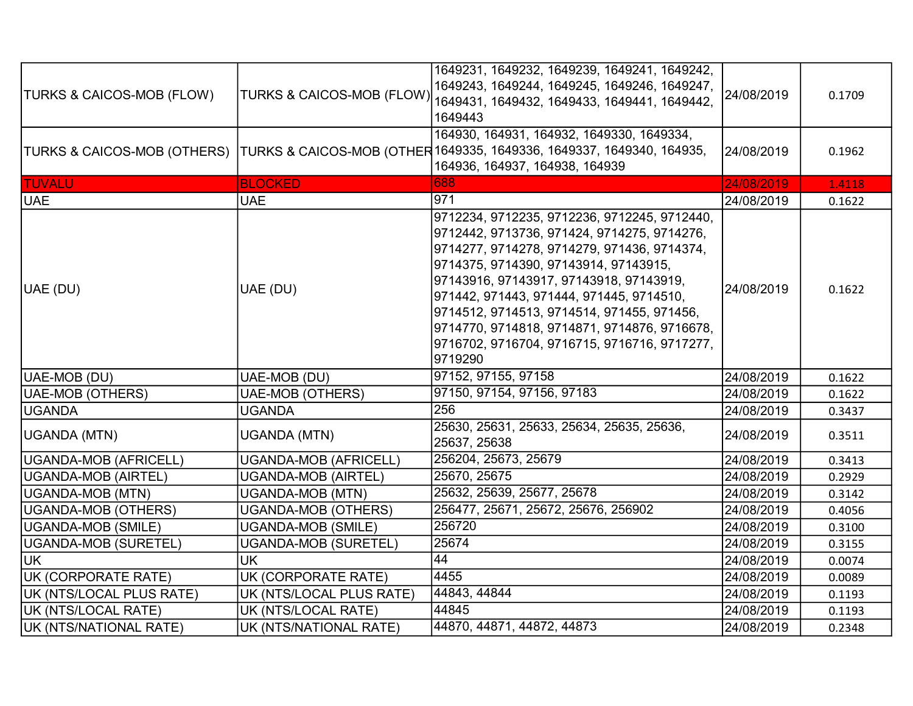| <b>TURKS &amp; CAICOS-MOB (FLOW)</b> | <b>TURKS &amp; CAICOS-MOB (FLOW)</b> | 1649231, 1649232, 1649239, 1649241, 1649242,<br>1649243, 1649244, 1649245, 1649246, 1649247,<br>1649431, 1649432, 1649433, 1649441, 1649442,<br>1649443                                                                                                                                                                                                                                                                             | 24/08/2019 | 0.1709 |
|--------------------------------------|--------------------------------------|-------------------------------------------------------------------------------------------------------------------------------------------------------------------------------------------------------------------------------------------------------------------------------------------------------------------------------------------------------------------------------------------------------------------------------------|------------|--------|
|                                      |                                      | 164930, 164931, 164932, 1649330, 1649334,<br>TURKS & CAICOS-MOB (OTHERS) TURKS & CAICOS-MOB (OTHER 1649335, 1649336, 1649337, 1649340, 164935,<br>164936, 164937, 164938, 164939                                                                                                                                                                                                                                                    | 24/08/2019 | 0.1962 |
| <b>TUVALU</b>                        | <b>BLOCKED</b>                       | 688                                                                                                                                                                                                                                                                                                                                                                                                                                 | 24/08/2019 | 1.4118 |
| <b>UAE</b>                           | <b>UAE</b>                           | 971                                                                                                                                                                                                                                                                                                                                                                                                                                 | 24/08/2019 | 0.1622 |
| UAE (DU)                             | UAE (DU)                             | 9712234, 9712235, 9712236, 9712245, 9712440,<br>9712442, 9713736, 971424, 9714275, 9714276,<br>9714277, 9714278, 9714279, 971436, 9714374,<br>9714375, 9714390, 97143914, 97143915,<br>97143916, 97143917, 97143918, 97143919,<br>971442, 971443, 971444, 971445, 9714510,<br>9714512, 9714513, 9714514, 971455, 971456,<br>9714770, 9714818, 9714871, 9714876, 9716678,<br>9716702, 9716704, 9716715, 9716716, 9717277,<br>9719290 | 24/08/2019 | 0.1622 |
| UAE-MOB (DU)                         | UAE-MOB (DU)                         | 97152, 97155, 97158                                                                                                                                                                                                                                                                                                                                                                                                                 | 24/08/2019 | 0.1622 |
| UAE-MOB (OTHERS)                     | <b>UAE-MOB (OTHERS)</b>              | 97150, 97154, 97156, 97183                                                                                                                                                                                                                                                                                                                                                                                                          | 24/08/2019 | 0.1622 |
| <b>UGANDA</b>                        | <b>UGANDA</b>                        | 256                                                                                                                                                                                                                                                                                                                                                                                                                                 | 24/08/2019 | 0.3437 |
| UGANDA (MTN)                         | <b>UGANDA (MTN)</b>                  | 25630, 25631, 25633, 25634, 25635, 25636,<br>25637, 25638                                                                                                                                                                                                                                                                                                                                                                           | 24/08/2019 | 0.3511 |
| UGANDA-MOB (AFRICELL)                | <b>UGANDA-MOB (AFRICELL)</b>         | 256204, 25673, 25679                                                                                                                                                                                                                                                                                                                                                                                                                | 24/08/2019 | 0.3413 |
| UGANDA-MOB (AIRTEL)                  | <b>UGANDA-MOB (AIRTEL)</b>           | 25670, 25675                                                                                                                                                                                                                                                                                                                                                                                                                        | 24/08/2019 | 0.2929 |
| UGANDA-MOB (MTN)                     | <b>UGANDA-MOB (MTN)</b>              | 25632, 25639, 25677, 25678                                                                                                                                                                                                                                                                                                                                                                                                          | 24/08/2019 | 0.3142 |
| UGANDA-MOB (OTHERS)                  | <b>UGANDA-MOB (OTHERS)</b>           | 256477, 25671, 25672, 25676, 256902                                                                                                                                                                                                                                                                                                                                                                                                 | 24/08/2019 | 0.4056 |
| UGANDA-MOB (SMILE)                   | <b>UGANDA-MOB (SMILE)</b>            | 256720                                                                                                                                                                                                                                                                                                                                                                                                                              | 24/08/2019 | 0.3100 |
| UGANDA-MOB (SURETEL)                 | UGANDA-MOB (SURETEL)                 | 25674                                                                                                                                                                                                                                                                                                                                                                                                                               | 24/08/2019 | 0.3155 |
| UK                                   | <b>UK</b>                            | $\overline{44}$                                                                                                                                                                                                                                                                                                                                                                                                                     | 24/08/2019 | 0.0074 |
| UK (CORPORATE RATE)                  | UK (CORPORATE RATE)                  | 4455                                                                                                                                                                                                                                                                                                                                                                                                                                | 24/08/2019 | 0.0089 |
| UK (NTS/LOCAL PLUS RATE)             | UK (NTS/LOCAL PLUS RATE)             | 44843, 44844                                                                                                                                                                                                                                                                                                                                                                                                                        | 24/08/2019 | 0.1193 |
| UK (NTS/LOCAL RATE)                  | UK (NTS/LOCAL RATE)                  | 44845                                                                                                                                                                                                                                                                                                                                                                                                                               | 24/08/2019 | 0.1193 |
| UK (NTS/NATIONAL RATE)               | UK (NTS/NATIONAL RATE)               | 44870, 44871, 44872, 44873                                                                                                                                                                                                                                                                                                                                                                                                          | 24/08/2019 | 0.2348 |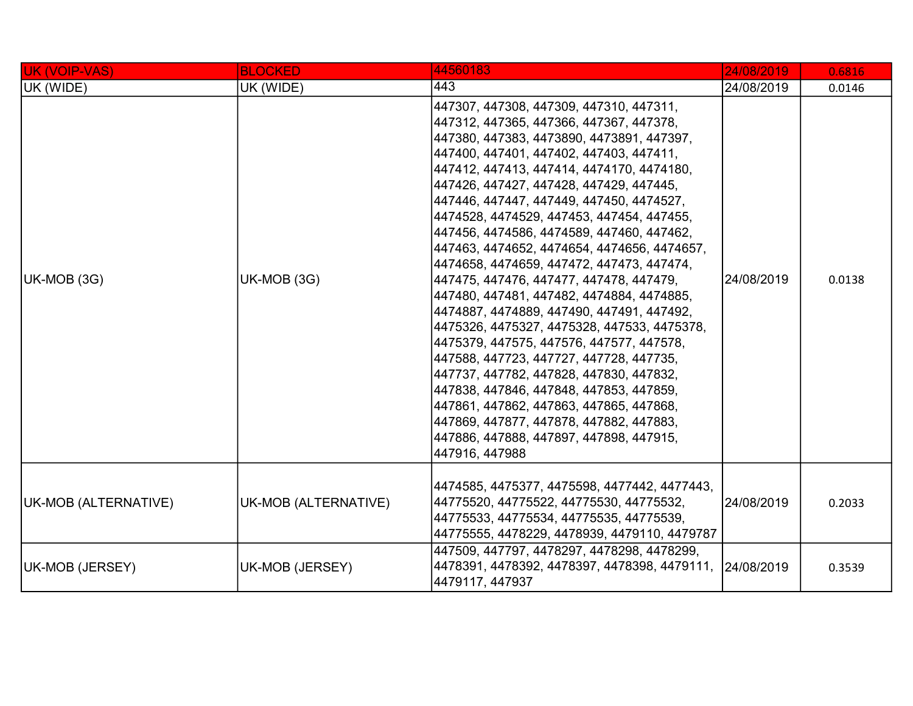| UK (VOIP-VAS)        | <b>BLOCKED</b>       | 44560183                                                                                                                                                                                                                                                                                                                                                                                                                                                                                                                                                                                                                                                                                                                                                                                                                                                                                                                                                                                                                  | 24/08/2019 | 0.6816 |
|----------------------|----------------------|---------------------------------------------------------------------------------------------------------------------------------------------------------------------------------------------------------------------------------------------------------------------------------------------------------------------------------------------------------------------------------------------------------------------------------------------------------------------------------------------------------------------------------------------------------------------------------------------------------------------------------------------------------------------------------------------------------------------------------------------------------------------------------------------------------------------------------------------------------------------------------------------------------------------------------------------------------------------------------------------------------------------------|------------|--------|
| UK (WIDE)            | UK (WIDE)            | 443                                                                                                                                                                                                                                                                                                                                                                                                                                                                                                                                                                                                                                                                                                                                                                                                                                                                                                                                                                                                                       | 24/08/2019 | 0.0146 |
| UK-MOB (3G)          | UK-MOB (3G)          | 447307, 447308, 447309, 447310, 447311,<br>447312, 447365, 447366, 447367, 447378,<br>447380, 447383, 4473890, 4473891, 447397,<br>447400, 447401, 447402, 447403, 447411,<br>447412, 447413, 447414, 4474170, 4474180,<br>447426, 447427, 447428, 447429, 447445,<br>447446, 447447, 447449, 447450, 4474527,<br>4474528, 4474529, 447453, 447454, 447455,<br>447456, 4474586, 4474589, 447460, 447462,<br>447463, 4474652, 4474654, 4474656, 4474657,<br> 4474658, 4474659, 447472, 447473, 447474,<br>447475, 447476, 447477, 447478, 447479,<br>447480, 447481, 447482, 4474884, 4474885,<br>4474887, 4474889, 447490, 447491, 447492,<br>4475326, 4475327, 4475328, 447533, 4475378,<br>4475379, 447575, 447576, 447577, 447578,<br>447588, 447723, 447727, 447728, 447735,<br>447737, 447782, 447828, 447830, 447832,<br>447838, 447846, 447848, 447853, 447859,<br>447861, 447862, 447863, 447865, 447868,<br>447869, 447877, 447878, 447882, 447883,<br>447886, 447888, 447897, 447898, 447915,<br>447916, 447988 | 24/08/2019 | 0.0138 |
| UK-MOB (ALTERNATIVE) | UK-MOB (ALTERNATIVE) | 4474585, 4475377, 4475598, 4477442, 4477443,<br>44775520, 44775522, 44775530, 44775532,<br>44775533, 44775534, 44775535, 44775539,<br>44775555, 4478229, 4478939, 4479110, 4479787                                                                                                                                                                                                                                                                                                                                                                                                                                                                                                                                                                                                                                                                                                                                                                                                                                        | 24/08/2019 | 0.2033 |
| UK-MOB (JERSEY)      | UK-MOB (JERSEY)      | 447509, 447797, 4478297, 4478298, 4478299,<br>4478391, 4478392, 4478397, 4478398, 4479111, 24/08/2019<br>4479117, 447937                                                                                                                                                                                                                                                                                                                                                                                                                                                                                                                                                                                                                                                                                                                                                                                                                                                                                                  |            | 0.3539 |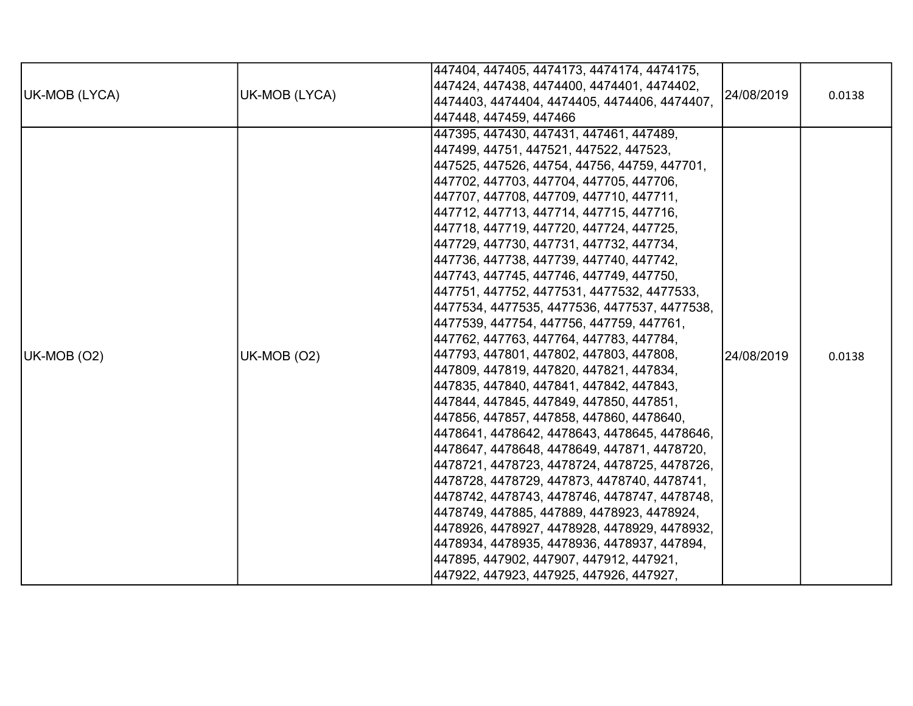|               |               | 447404, 447405, 4474173, 4474174, 4474175,   |            |        |
|---------------|---------------|----------------------------------------------|------------|--------|
|               |               | 447424, 447438, 4474400, 4474401, 4474402,   |            |        |
| UK-MOB (LYCA) | UK-MOB (LYCA) | 4474403, 4474404, 4474405, 4474406, 4474407, | 24/08/2019 | 0.0138 |
|               |               | 447448, 447459, 447466                       |            |        |
|               |               | 447395, 447430, 447431, 447461, 447489,      |            |        |
|               |               | 447499, 44751, 447521, 447522, 447523,       |            |        |
|               |               | 447525, 447526, 44754, 44756, 44759, 447701, |            |        |
|               |               | 447702, 447703, 447704, 447705, 447706,      |            |        |
|               |               | 447707, 447708, 447709, 447710, 447711,      |            |        |
|               |               | 447712, 447713, 447714, 447715, 447716,      |            |        |
|               |               | 447718, 447719, 447720, 447724, 447725,      |            |        |
|               |               | 447729, 447730, 447731, 447732, 447734,      |            |        |
|               |               | 447736, 447738, 447739, 447740, 447742,      |            |        |
|               |               | 447743, 447745, 447746, 447749, 447750,      |            |        |
|               |               | 447751, 447752, 4477531, 4477532, 4477533,   |            |        |
|               |               | 4477534, 4477535, 4477536, 4477537, 4477538, |            |        |
|               |               | 4477539, 447754, 447756, 447759, 447761,     |            |        |
|               |               | 447762, 447763, 447764, 447783, 447784,      |            |        |
| UK-MOB (O2)   | UK-MOB (O2)   | 447793, 447801, 447802, 447803, 447808,      | 24/08/2019 | 0.0138 |
|               |               | 447809, 447819, 447820, 447821, 447834,      |            |        |
|               |               | 447835, 447840, 447841, 447842, 447843,      |            |        |
|               |               | 447844, 447845, 447849, 447850, 447851,      |            |        |
|               |               | 447856, 447857, 447858, 447860, 4478640,     |            |        |
|               |               | 4478641, 4478642, 4478643, 4478645, 4478646, |            |        |
|               |               | 4478647, 4478648, 4478649, 447871, 4478720,  |            |        |
|               |               | 4478721, 4478723, 4478724, 4478725, 4478726, |            |        |
|               |               | 4478728, 4478729, 447873, 4478740, 4478741,  |            |        |
|               |               | 4478742, 4478743, 4478746, 4478747, 4478748, |            |        |
|               |               | 4478749, 447885, 447889, 4478923, 4478924,   |            |        |
|               |               | 4478926, 4478927, 4478928, 4478929, 4478932, |            |        |
|               |               | 4478934, 4478935, 4478936, 4478937, 447894,  |            |        |
|               |               | 447895, 447902, 447907, 447912, 447921,      |            |        |
|               |               | 447922, 447923, 447925, 447926, 447927,      |            |        |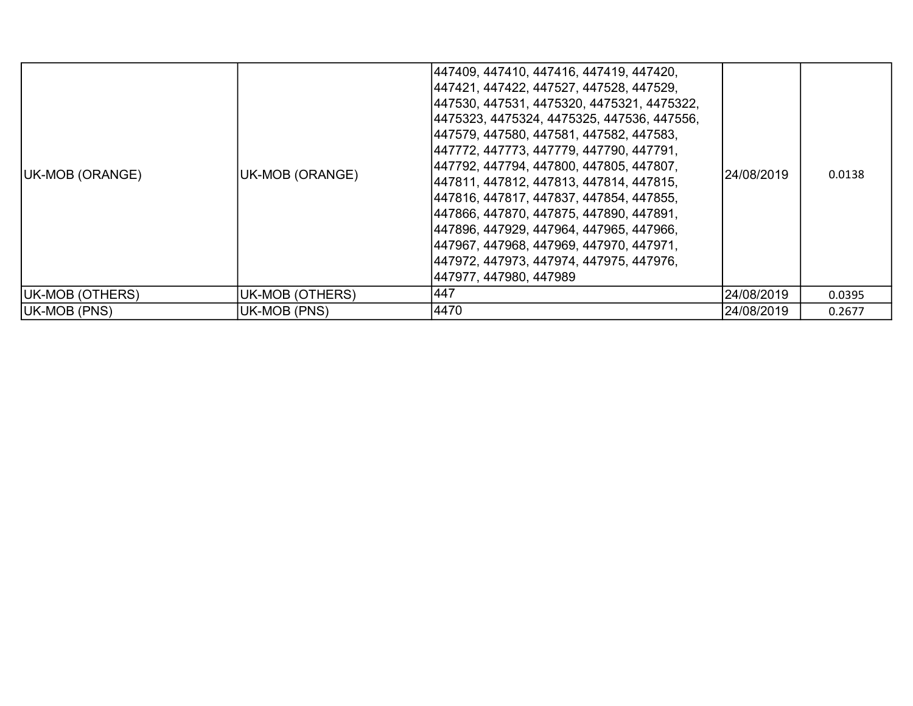| <b>UK-MOB (ORANGE)</b> | UK-MOB (ORANGE) | 447409, 447410, 447416, 447419, 447420,<br> 447421, 447422, 447527, 447528, 447529,<br> 447530, 447531, 4475320, 4475321, 4475322,<br> 4475323, 4475324, 4475325, 447536, 447556,<br> 447579, 447580, 447581, 447582, 447583,<br> 447772, 447773, 447779, 447790, 447791,<br> 447792, 447794, 447800, 447805, 447807,<br> 447811, 447812, 447813, 447814, 447815,<br> 447816, 447817, 447837, 447854, 447855,<br> 447866, 447870, 447875, 447890, 447891,<br> 447896, 447929, 447964, 447965, 447966,<br> 447967, 447968, 447969, 447970, 447971,<br> 447972, 447973, 447974, 447975, 447976,<br> 447977, 447980, 447989 | 124/08/2019 | 0.0138 |
|------------------------|-----------------|--------------------------------------------------------------------------------------------------------------------------------------------------------------------------------------------------------------------------------------------------------------------------------------------------------------------------------------------------------------------------------------------------------------------------------------------------------------------------------------------------------------------------------------------------------------------------------------------------------------------------|-------------|--------|
| UK-MOB (OTHERS)        | UK-MOB (OTHERS) | 447                                                                                                                                                                                                                                                                                                                                                                                                                                                                                                                                                                                                                      | 24/08/2019  | 0.0395 |
| UK-MOB (PNS)           | UK-MOB (PNS)    | 4470                                                                                                                                                                                                                                                                                                                                                                                                                                                                                                                                                                                                                     | 24/08/2019  | 0.2677 |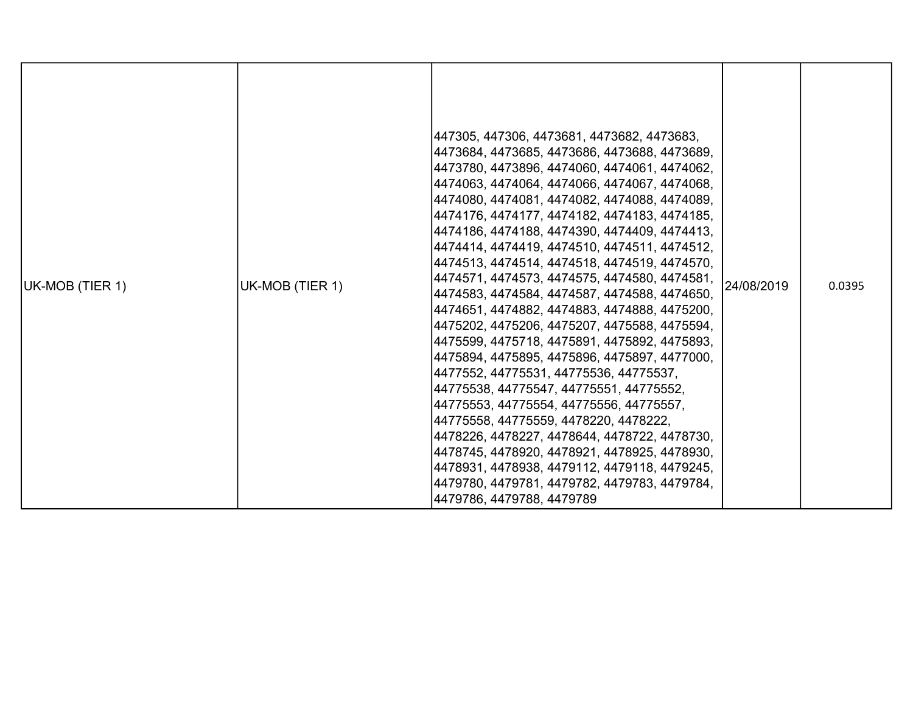| UK-MOB (TIER 1) | UK-MOB (TIER 1) | 447305, 447306, 4473681, 4473682, 4473683,<br>4473684, 4473685, 4473686, 4473688, 4473689,<br>4473780, 4473896, 4474060, 4474061, 4474062,<br> 4474063, 4474064, 4474066, 4474067, 4474068,<br>4474080, 4474081, 4474082, 4474088, 4474089,<br> 4474176, 4474177, 4474182, 4474183, 4474185,<br> 4474186, 4474188, 4474390, 4474409, 4474413,<br>4474414, 4474419, 4474510, 4474511, 4474512,<br> 4474513, 4474514, 4474518, 4474519, 4474570,<br> 4474571, 4474573, 4474575, 4474580, 4474581,<br> 4474583, 4474584, 4474587, 4474588, 4474650,<br> 4474651, 4474882, 4474883, 4474888, 4475200,<br>4475202, 4475206, 4475207, 4475588, 4475594,<br> 4475599, 4475718, 4475891, 4475892, 4475893,<br> 4475894, 4475895, 4475896, 4475897, 4477000,<br> 4477552, 44775531, 44775536, 44775537,<br> 44775538, 44775547, 44775551, 44775552,<br>44775553, 44775554, 44775556, 44775557,<br> 44775558, 44775559, 4478220, 4478222,<br> 4478226, 4478227, 4478644, 4478722, 4478730,<br>4478745, 4478920, 4478921, 4478925, 4478930,<br>4478931, 4478938, 4479112, 4479118, 4479245,<br>4479780, 4479781, 4479782, 4479783, 4479784,<br>4479786, 4479788, 4479789 | 24/08/2019 | 0.0395 |
|-----------------|-----------------|---------------------------------------------------------------------------------------------------------------------------------------------------------------------------------------------------------------------------------------------------------------------------------------------------------------------------------------------------------------------------------------------------------------------------------------------------------------------------------------------------------------------------------------------------------------------------------------------------------------------------------------------------------------------------------------------------------------------------------------------------------------------------------------------------------------------------------------------------------------------------------------------------------------------------------------------------------------------------------------------------------------------------------------------------------------------------------------------------------------------------------------------------------------|------------|--------|
|-----------------|-----------------|---------------------------------------------------------------------------------------------------------------------------------------------------------------------------------------------------------------------------------------------------------------------------------------------------------------------------------------------------------------------------------------------------------------------------------------------------------------------------------------------------------------------------------------------------------------------------------------------------------------------------------------------------------------------------------------------------------------------------------------------------------------------------------------------------------------------------------------------------------------------------------------------------------------------------------------------------------------------------------------------------------------------------------------------------------------------------------------------------------------------------------------------------------------|------------|--------|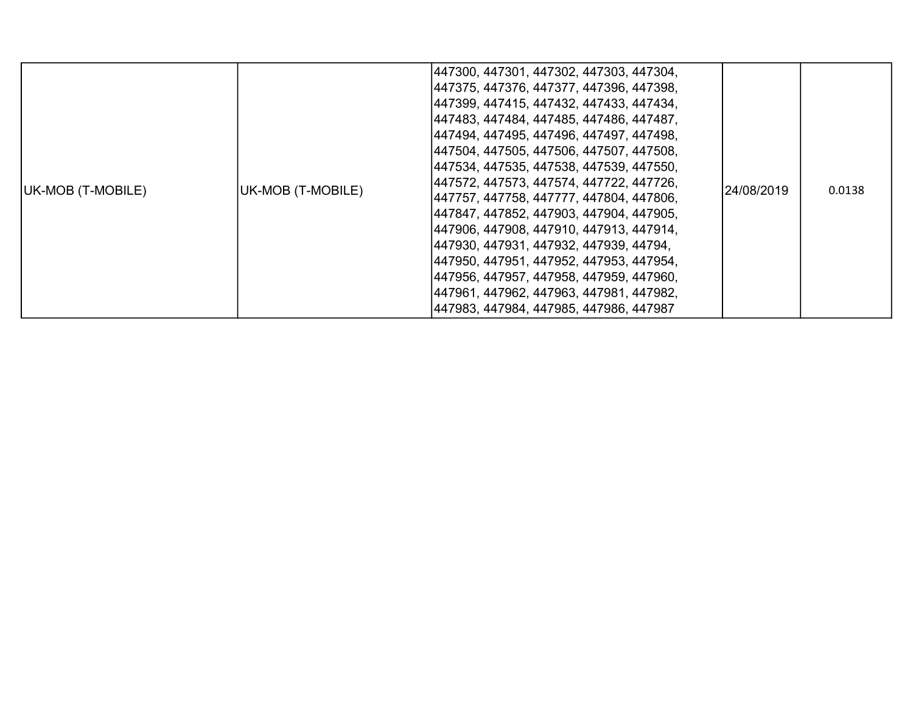| UK-MOB (T-MOBILE) | UK-MOB (T-MOBILE) | 447300, 447301, 447302, 447303, 447304,<br> 447375, 447376, 447377, 447396, 447398,<br>447399, 447415, 447432, 447433, 447434,<br> 447483, 447484, 447485, 447486, 447487,<br> 447494, 447495, 447496, 447497, 447498,<br> 447504, 447505, 447506, 447507, 447508,<br> 447534, 447535, 447538, 447539, 447550,<br> 447572, 447573, 447574, 447722, 447726,<br>447757, 447758, 447777, 447804, 447806,<br>447847, 447852, 447903, 447904, 447905,<br>447906, 447908, 447910, 447913, 447914,<br> 447930, 447931, 447932, 447939, 44794,<br> 447950, 447951, 447952, 447953, 447954,<br> 447956, 447957, 447958, 447959, 447960,<br>447961, 447962, 447963, 447981, 447982,<br>447983, 447984, 447985, 447986, 447987 | 24/08/2019 | 0.0138 |
|-------------------|-------------------|---------------------------------------------------------------------------------------------------------------------------------------------------------------------------------------------------------------------------------------------------------------------------------------------------------------------------------------------------------------------------------------------------------------------------------------------------------------------------------------------------------------------------------------------------------------------------------------------------------------------------------------------------------------------------------------------------------------------|------------|--------|
|-------------------|-------------------|---------------------------------------------------------------------------------------------------------------------------------------------------------------------------------------------------------------------------------------------------------------------------------------------------------------------------------------------------------------------------------------------------------------------------------------------------------------------------------------------------------------------------------------------------------------------------------------------------------------------------------------------------------------------------------------------------------------------|------------|--------|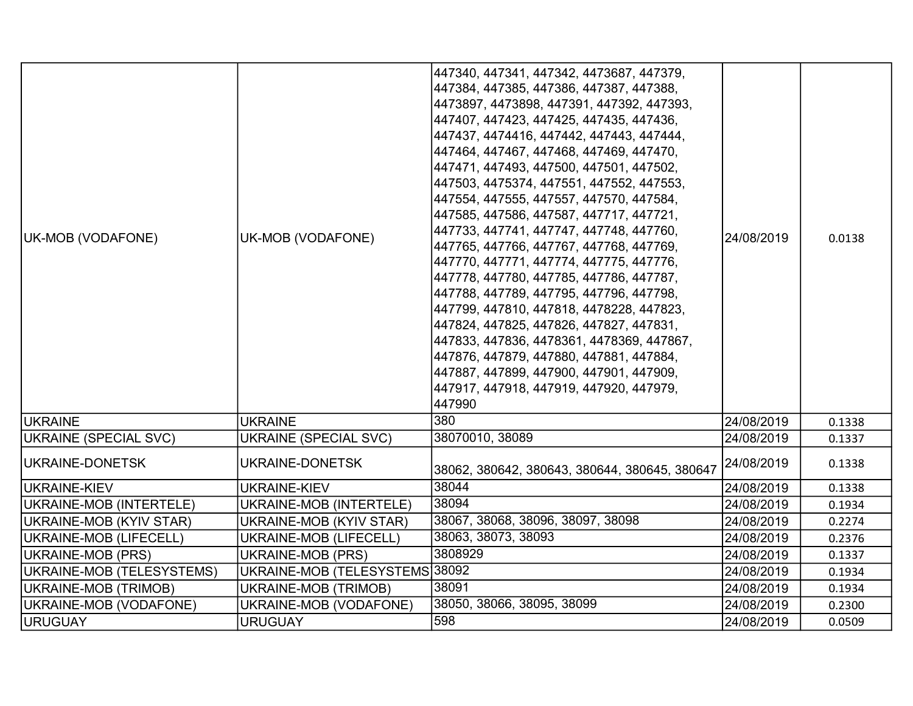| UK-MOB (VODAFONE)         | UK-MOB (VODAFONE)              | 447340, 447341, 447342, 4473687, 447379,<br>447384, 447385, 447386, 447387, 447388,<br>4473897, 4473898, 447391, 447392, 447393,<br>447407, 447423, 447425, 447435, 447436,<br>447437, 4474416, 447442, 447443, 447444,<br>447464, 447467, 447468, 447469, 447470,<br>447471, 447493, 447500, 447501, 447502,<br>447503, 4475374, 447551, 447552, 447553,<br>447554, 447555, 447557, 447570, 447584,<br>447585, 447586, 447587, 447717, 447721,<br>447733, 447741, 447747, 447748, 447760,<br>447765, 447766, 447767, 447768, 447769,<br>447770, 447771, 447774, 447775, 447776,<br>447778, 447780, 447785, 447786, 447787,<br>447788, 447789, 447795, 447796, 447798,<br>447799, 447810, 447818, 4478228, 447823,<br>447824, 447825, 447826, 447827, 447831,<br>447833, 447836, 4478361, 4478369, 447867,<br>447876, 447879, 447880, 447881, 447884,<br>447887, 447899, 447900, 447901, 447909,<br>447917, 447918, 447919, 447920, 447979,<br>447990 | 24/08/2019 | 0.0138 |
|---------------------------|--------------------------------|-------------------------------------------------------------------------------------------------------------------------------------------------------------------------------------------------------------------------------------------------------------------------------------------------------------------------------------------------------------------------------------------------------------------------------------------------------------------------------------------------------------------------------------------------------------------------------------------------------------------------------------------------------------------------------------------------------------------------------------------------------------------------------------------------------------------------------------------------------------------------------------------------------------------------------------------------------|------------|--------|
| <b>IUKRAINE</b>           | <b>UKRAINE</b>                 | 380                                                                                                                                                                                                                                                                                                                                                                                                                                                                                                                                                                                                                                                                                                                                                                                                                                                                                                                                                   | 24/08/2019 | 0.1338 |
| UKRAINE (SPECIAL SVC)     | <b>UKRAINE (SPECIAL SVC)</b>   | 38070010, 38089                                                                                                                                                                                                                                                                                                                                                                                                                                                                                                                                                                                                                                                                                                                                                                                                                                                                                                                                       | 24/08/2019 | 0.1337 |
| UKRAINE-DONETSK           | UKRAINE-DONETSK                | 38062, 380642, 380643, 380644, 380645, 380647                                                                                                                                                                                                                                                                                                                                                                                                                                                                                                                                                                                                                                                                                                                                                                                                                                                                                                         | 24/08/2019 | 0.1338 |
| UKRAINE-KIEV              | <b>UKRAINE-KIEV</b>            | 38044                                                                                                                                                                                                                                                                                                                                                                                                                                                                                                                                                                                                                                                                                                                                                                                                                                                                                                                                                 | 24/08/2019 | 0.1338 |
| UKRAINE-MOB (INTERTELE)   | UKRAINE-MOB (INTERTELE)        | 38094                                                                                                                                                                                                                                                                                                                                                                                                                                                                                                                                                                                                                                                                                                                                                                                                                                                                                                                                                 | 24/08/2019 | 0.1934 |
| UKRAINE-MOB (KYIV STAR)   | UKRAINE-MOB (KYIV STAR)        | 38067, 38068, 38096, 38097, 38098                                                                                                                                                                                                                                                                                                                                                                                                                                                                                                                                                                                                                                                                                                                                                                                                                                                                                                                     | 24/08/2019 | 0.2274 |
| UKRAINE-MOB (LIFECELL)    | UKRAINE-MOB (LIFECELL)         | 38063, 38073, 38093                                                                                                                                                                                                                                                                                                                                                                                                                                                                                                                                                                                                                                                                                                                                                                                                                                                                                                                                   | 24/08/2019 | 0.2376 |
| UKRAINE-MOB (PRS)         | <b>UKRAINE-MOB (PRS)</b>       | 3808929                                                                                                                                                                                                                                                                                                                                                                                                                                                                                                                                                                                                                                                                                                                                                                                                                                                                                                                                               | 24/08/2019 | 0.1337 |
| UKRAINE-MOB (TELESYSTEMS) | UKRAINE-MOB (TELESYSTEMS 38092 |                                                                                                                                                                                                                                                                                                                                                                                                                                                                                                                                                                                                                                                                                                                                                                                                                                                                                                                                                       | 24/08/2019 | 0.1934 |
| UKRAINE-MOB (TRIMOB)      | UKRAINE-MOB (TRIMOB)           | 38091                                                                                                                                                                                                                                                                                                                                                                                                                                                                                                                                                                                                                                                                                                                                                                                                                                                                                                                                                 | 24/08/2019 | 0.1934 |
| UKRAINE-MOB (VODAFONE)    | UKRAINE-MOB (VODAFONE)         | 38050, 38066, 38095, 38099                                                                                                                                                                                                                                                                                                                                                                                                                                                                                                                                                                                                                                                                                                                                                                                                                                                                                                                            | 24/08/2019 | 0.2300 |
| URUGUAY                   | <b>URUGUAY</b>                 | 598                                                                                                                                                                                                                                                                                                                                                                                                                                                                                                                                                                                                                                                                                                                                                                                                                                                                                                                                                   | 24/08/2019 | 0.0509 |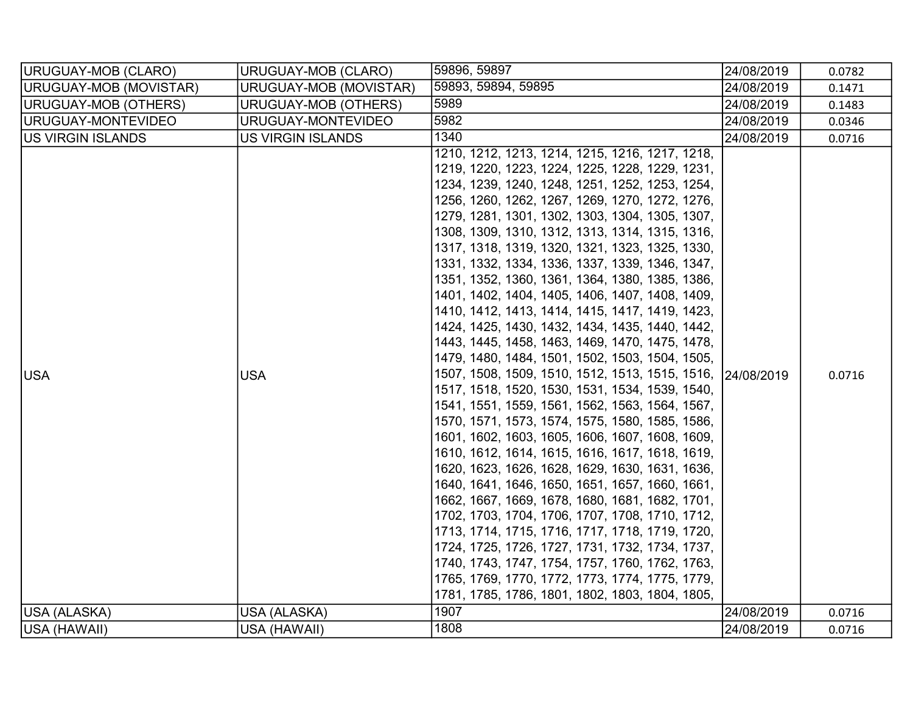| URUGUAY-MOB (CLARO)        | URUGUAY-MOB (CLARO)        | 59896, 59897                                                                                                                                                                                                                                                                                                                                                                                                                                                                                                                                                                                                                                                                                                                                                                                                                                                                                                                                                                                                                                                                                                                                                                                                                                                                                                                                                                                                                                                                                                                                | 24/08/2019               | 0.0782           |
|----------------------------|----------------------------|---------------------------------------------------------------------------------------------------------------------------------------------------------------------------------------------------------------------------------------------------------------------------------------------------------------------------------------------------------------------------------------------------------------------------------------------------------------------------------------------------------------------------------------------------------------------------------------------------------------------------------------------------------------------------------------------------------------------------------------------------------------------------------------------------------------------------------------------------------------------------------------------------------------------------------------------------------------------------------------------------------------------------------------------------------------------------------------------------------------------------------------------------------------------------------------------------------------------------------------------------------------------------------------------------------------------------------------------------------------------------------------------------------------------------------------------------------------------------------------------------------------------------------------------|--------------------------|------------------|
| URUGUAY-MOB (MOVISTAR)     | URUGUAY-MOB (MOVISTAR)     | 59893, 59894, 59895                                                                                                                                                                                                                                                                                                                                                                                                                                                                                                                                                                                                                                                                                                                                                                                                                                                                                                                                                                                                                                                                                                                                                                                                                                                                                                                                                                                                                                                                                                                         | 24/08/2019               | 0.1471           |
| URUGUAY-MOB (OTHERS)       | URUGUAY-MOB (OTHERS)       | 5989                                                                                                                                                                                                                                                                                                                                                                                                                                                                                                                                                                                                                                                                                                                                                                                                                                                                                                                                                                                                                                                                                                                                                                                                                                                                                                                                                                                                                                                                                                                                        | 24/08/2019               | 0.1483           |
| URUGUAY-MONTEVIDEO         | URUGUAY-MONTEVIDEO         | 5982                                                                                                                                                                                                                                                                                                                                                                                                                                                                                                                                                                                                                                                                                                                                                                                                                                                                                                                                                                                                                                                                                                                                                                                                                                                                                                                                                                                                                                                                                                                                        | 24/08/2019               | 0.0346           |
| US VIRGIN ISLANDS          | <b>US VIRGIN ISLANDS</b>   | 1340                                                                                                                                                                                                                                                                                                                                                                                                                                                                                                                                                                                                                                                                                                                                                                                                                                                                                                                                                                                                                                                                                                                                                                                                                                                                                                                                                                                                                                                                                                                                        | 24/08/2019               | 0.0716           |
| <b>USA</b><br>USA (ALASKA) | <b>USA</b><br>USA (ALASKA) | 1210, 1212, 1213, 1214, 1215, 1216, 1217, 1218,<br>1219, 1220, 1223, 1224, 1225, 1228, 1229, 1231,<br>1234, 1239, 1240, 1248, 1251, 1252, 1253, 1254,<br>1256, 1260, 1262, 1267, 1269, 1270, 1272, 1276,<br>1279, 1281, 1301, 1302, 1303, 1304, 1305, 1307,<br>1308, 1309, 1310, 1312, 1313, 1314, 1315, 1316,<br>1317, 1318, 1319, 1320, 1321, 1323, 1325, 1330,<br>1331, 1332, 1334, 1336, 1337, 1339, 1346, 1347,<br>1351, 1352, 1360, 1361, 1364, 1380, 1385, 1386,<br>1401, 1402, 1404, 1405, 1406, 1407, 1408, 1409,<br>1410, 1412, 1413, 1414, 1415, 1417, 1419, 1423,<br>1424, 1425, 1430, 1432, 1434, 1435, 1440, 1442,<br>1443, 1445, 1458, 1463, 1469, 1470, 1475, 1478,<br>1479, 1480, 1484, 1501, 1502, 1503, 1504, 1505,<br>1507, 1508, 1509, 1510, 1512, 1513, 1515, 1516,<br>1517, 1518, 1520, 1530, 1531, 1534, 1539, 1540,<br>1541, 1551, 1559, 1561, 1562, 1563, 1564, 1567,<br>1570, 1571, 1573, 1574, 1575, 1580, 1585, 1586,<br>1601, 1602, 1603, 1605, 1606, 1607, 1608, 1609,<br>1610, 1612, 1614, 1615, 1616, 1617, 1618, 1619,<br>1620, 1623, 1626, 1628, 1629, 1630, 1631, 1636,<br>1640, 1641, 1646, 1650, 1651, 1657, 1660, 1661,<br>1662, 1667, 1669, 1678, 1680, 1681, 1682, 1701,<br>1702, 1703, 1704, 1706, 1707, 1708, 1710, 1712,<br>1713, 1714, 1715, 1716, 1717, 1718, 1719, 1720,<br>1724, 1725, 1726, 1727, 1731, 1732, 1734, 1737,<br>1740, 1743, 1747, 1754, 1757, 1760, 1762, 1763,<br>1765, 1769, 1770, 1772, 1773, 1774, 1775, 1779,<br>1781, 1785, 1786, 1801, 1802, 1803, 1804, 1805,<br>1907 | 24/08/2019<br>24/08/2019 | 0.0716<br>0.0716 |
|                            |                            |                                                                                                                                                                                                                                                                                                                                                                                                                                                                                                                                                                                                                                                                                                                                                                                                                                                                                                                                                                                                                                                                                                                                                                                                                                                                                                                                                                                                                                                                                                                                             |                          |                  |
| USA (HAWAII)               | USA (HAWAII)               | 1808                                                                                                                                                                                                                                                                                                                                                                                                                                                                                                                                                                                                                                                                                                                                                                                                                                                                                                                                                                                                                                                                                                                                                                                                                                                                                                                                                                                                                                                                                                                                        | 24/08/2019               | 0.0716           |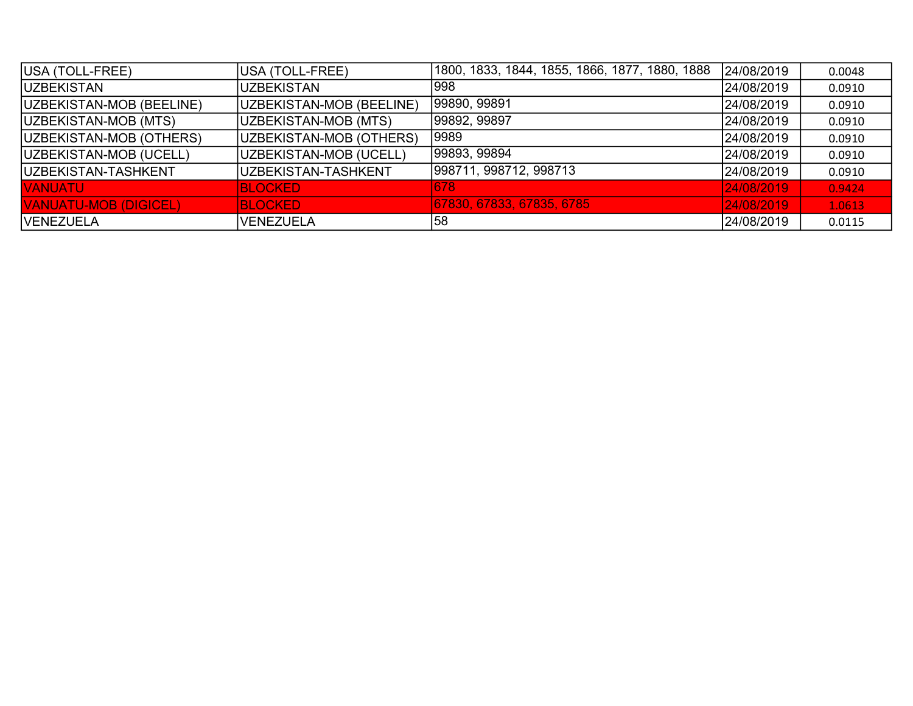| USA (TOLL-FREE)              | USA (TOLL-FREE)          | 1800, 1833, 1844, 1855, 1866, 1877, 1880, 1888 | 24/08/2019 | 0.0048 |
|------------------------------|--------------------------|------------------------------------------------|------------|--------|
| <b>IUZBEKISTAN</b>           | <b>UZBEKISTAN</b>        | 998                                            | 24/08/2019 | 0.0910 |
| UZBEKISTAN-MOB (BEELINE)     | UZBEKISTAN-MOB (BEELINE) | 99890, 99891                                   | 24/08/2019 | 0.0910 |
| UZBEKISTAN-MOB (MTS)         | UZBEKISTAN-MOB (MTS)     | 99892, 99897                                   | 24/08/2019 | 0.0910 |
| UZBEKISTAN-MOB (OTHERS)      | UZBEKISTAN-MOB (OTHERS)  | 9989                                           | 24/08/2019 | 0.0910 |
| UZBEKISTAN-MOB (UCELL)       | UZBEKISTAN-MOB (UCELL)   | 99893, 99894                                   | 24/08/2019 | 0.0910 |
| <b>IUZBEKISTAN-TASHKENT</b>  | UZBEKISTAN-TASHKENT      | 998711, 998712, 998713                         | 24/08/2019 | 0.0910 |
| <b>VANUATU</b>               | <b>BLOCKED</b>           | 678                                            | 24/08/2019 | 0.9424 |
| <b>VANUATU-MOB (DIGICEL)</b> | <b>BLOCKED</b>           | 67830, 67833, 67835, 6785                      | 24/08/2019 | 1.0613 |
| <b>VENEZUELA</b>             | <b>VENEZUELA</b>         | 58                                             | 24/08/2019 | 0.0115 |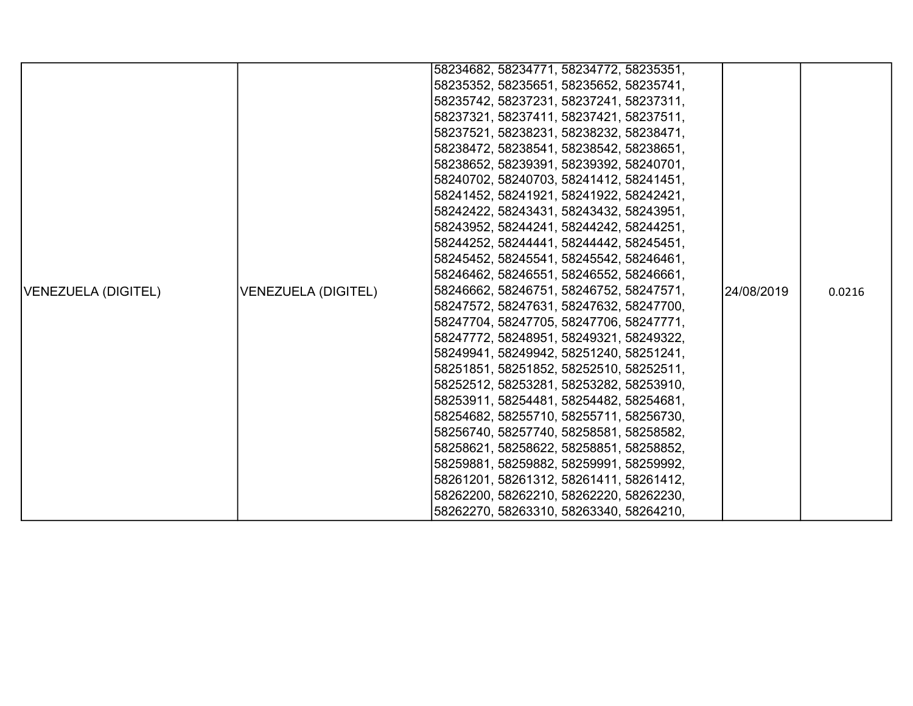|                     |                            | 58234682, 58234771, 58234772, 58235351, |            |        |
|---------------------|----------------------------|-----------------------------------------|------------|--------|
|                     |                            | 58235352, 58235651, 58235652, 58235741, |            |        |
|                     |                            | 58235742, 58237231, 58237241, 58237311, |            |        |
|                     |                            | 58237321, 58237411, 58237421, 58237511, |            |        |
|                     |                            | 58237521, 58238231, 58238232, 58238471, |            |        |
|                     |                            | 58238472, 58238541, 58238542, 58238651, |            |        |
|                     |                            | 58238652, 58239391, 58239392, 58240701, |            |        |
|                     |                            | 58240702, 58240703, 58241412, 58241451, |            |        |
|                     |                            | 58241452, 58241921, 58241922, 58242421, |            |        |
|                     |                            | 58242422, 58243431, 58243432, 58243951, |            |        |
|                     |                            | 58243952, 58244241, 58244242, 58244251, |            |        |
|                     |                            | 58244252, 58244441, 58244442, 58245451, |            |        |
|                     |                            | 58245452, 58245541, 58245542, 58246461, |            |        |
|                     |                            | 58246462, 58246551, 58246552, 58246661, |            |        |
| VENEZUELA (DIGITEL) | <b>VENEZUELA (DIGITEL)</b> | 58246662, 58246751, 58246752, 58247571, | 24/08/2019 | 0.0216 |
|                     |                            | 58247572, 58247631, 58247632, 58247700, |            |        |
|                     |                            | 58247704, 58247705, 58247706, 58247771, |            |        |
|                     |                            | 58247772, 58248951, 58249321, 58249322, |            |        |
|                     |                            | 58249941, 58249942, 58251240, 58251241, |            |        |
|                     |                            | 58251851, 58251852, 58252510, 58252511, |            |        |
|                     |                            | 58252512, 58253281, 58253282, 58253910, |            |        |
|                     |                            | 58253911, 58254481, 58254482, 58254681, |            |        |
|                     |                            | 58254682, 58255710, 58255711, 58256730, |            |        |
|                     |                            | 58256740, 58257740, 58258581, 58258582, |            |        |
|                     |                            | 58258621, 58258622, 58258851, 58258852, |            |        |
|                     |                            | 58259881, 58259882, 58259991, 58259992, |            |        |
|                     |                            | 58261201, 58261312, 58261411, 58261412, |            |        |
|                     |                            | 58262200, 58262210, 58262220, 58262230, |            |        |
|                     |                            | 58262270, 58263310, 58263340, 58264210, |            |        |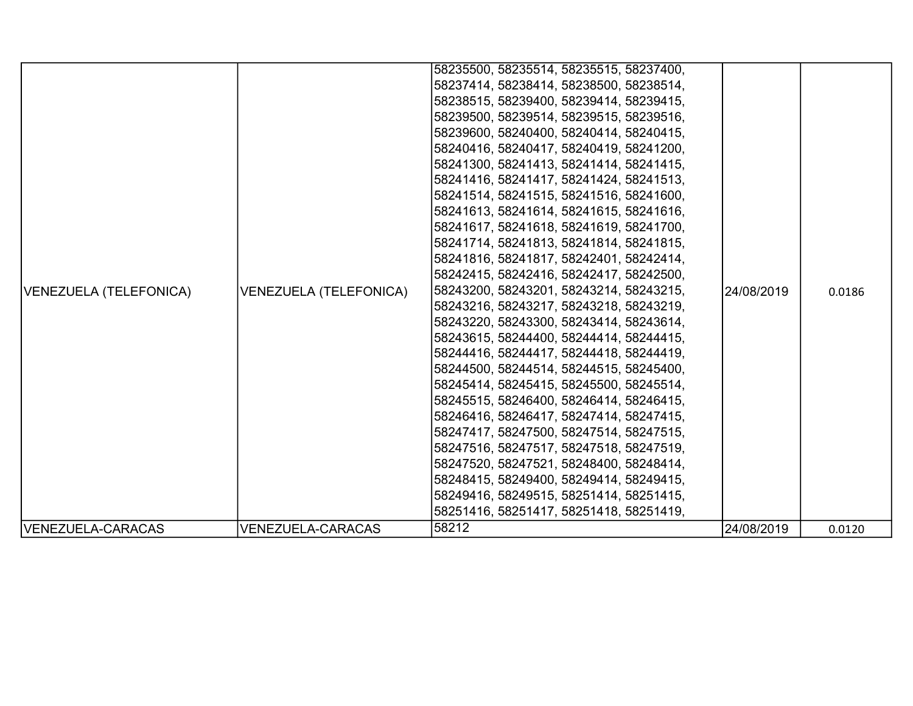|                        |                               | 58235500, 58235514, 58235515, 58237400, |            |        |
|------------------------|-------------------------------|-----------------------------------------|------------|--------|
|                        |                               | 58237414, 58238414, 58238500, 58238514, |            |        |
|                        |                               | 58238515, 58239400, 58239414, 58239415, |            |        |
|                        |                               | 58239500, 58239514, 58239515, 58239516, |            |        |
|                        |                               | 58239600, 58240400, 58240414, 58240415, |            |        |
|                        |                               | 58240416, 58240417, 58240419, 58241200, |            |        |
|                        |                               | 58241300, 58241413, 58241414, 58241415, |            |        |
|                        |                               | 58241416, 58241417, 58241424, 58241513, |            |        |
|                        |                               | 58241514, 58241515, 58241516, 58241600, |            |        |
|                        |                               | 58241613, 58241614, 58241615, 58241616, |            |        |
|                        |                               | 58241617, 58241618, 58241619, 58241700, |            |        |
|                        |                               | 58241714, 58241813, 58241814, 58241815, |            |        |
|                        |                               | 58241816, 58241817, 58242401, 58242414, |            |        |
|                        |                               | 58242415, 58242416, 58242417, 58242500, |            |        |
| VENEZUELA (TELEFONICA) | <b>VENEZUELA (TELEFONICA)</b> | 58243200, 58243201, 58243214, 58243215, | 24/08/2019 | 0.0186 |
|                        |                               | 58243216, 58243217, 58243218, 58243219, |            |        |
|                        |                               | 58243220, 58243300, 58243414, 58243614, |            |        |
|                        |                               | 58243615, 58244400, 58244414, 58244415, |            |        |
|                        |                               | 58244416, 58244417, 58244418, 58244419, |            |        |
|                        |                               | 58244500, 58244514, 58244515, 58245400, |            |        |
|                        |                               | 58245414, 58245415, 58245500, 58245514, |            |        |
|                        |                               | 58245515, 58246400, 58246414, 58246415, |            |        |
|                        |                               | 58246416, 58246417, 58247414, 58247415, |            |        |
|                        |                               | 58247417, 58247500, 58247514, 58247515, |            |        |
|                        |                               | 58247516, 58247517, 58247518, 58247519, |            |        |
|                        |                               | 58247520, 58247521, 58248400, 58248414, |            |        |
|                        |                               | 58248415, 58249400, 58249414, 58249415, |            |        |
|                        |                               | 58249416, 58249515, 58251414, 58251415, |            |        |
|                        |                               | 58251416, 58251417, 58251418, 58251419, |            |        |
| VENEZUELA-CARACAS      | <b>VENEZUELA-CARACAS</b>      | 58212                                   | 24/08/2019 | 0.0120 |
|                        |                               |                                         |            |        |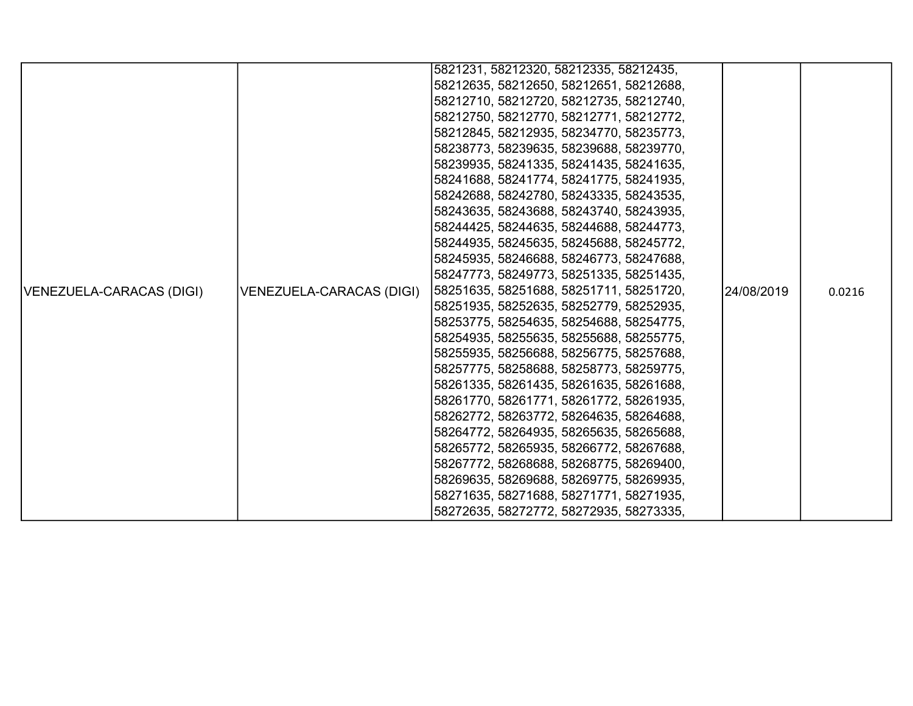|                          |                          | 5821231, 58212320, 58212335, 58212435,  |             |        |
|--------------------------|--------------------------|-----------------------------------------|-------------|--------|
|                          |                          | 58212635, 58212650, 58212651, 58212688, |             |        |
|                          |                          | 58212710, 58212720, 58212735, 58212740, |             |        |
|                          |                          | 58212750, 58212770, 58212771, 58212772, |             |        |
|                          |                          | 58212845, 58212935, 58234770, 58235773, |             |        |
|                          |                          | 58238773, 58239635, 58239688, 58239770, |             |        |
|                          |                          | 58239935, 58241335, 58241435, 58241635, |             |        |
|                          |                          | 58241688, 58241774, 58241775, 58241935, |             |        |
|                          |                          | 58242688, 58242780, 58243335, 58243535, |             |        |
|                          |                          | 58243635, 58243688, 58243740, 58243935, |             |        |
|                          |                          | 58244425, 58244635, 58244688, 58244773, |             |        |
|                          |                          | 58244935, 58245635, 58245688, 58245772, |             |        |
|                          |                          | 58245935, 58246688, 58246773, 58247688, |             |        |
|                          |                          | 58247773, 58249773, 58251335, 58251435, |             |        |
| VENEZUELA-CARACAS (DIGI) | VENEZUELA-CARACAS (DIGI) | 58251635, 58251688, 58251711, 58251720, | 124/08/2019 | 0.0216 |
|                          |                          | 58251935, 58252635, 58252779, 58252935, |             |        |
|                          |                          | 58253775, 58254635, 58254688, 58254775, |             |        |
|                          |                          | 58254935, 58255635, 58255688, 58255775, |             |        |
|                          |                          | 58255935, 58256688, 58256775, 58257688, |             |        |
|                          |                          | 58257775, 58258688, 58258773, 58259775, |             |        |
|                          |                          | 58261335, 58261435, 58261635, 58261688, |             |        |
|                          |                          | 58261770, 58261771, 58261772, 58261935, |             |        |
|                          |                          | 58262772, 58263772, 58264635, 58264688, |             |        |
|                          |                          | 58264772, 58264935, 58265635, 58265688, |             |        |
|                          |                          | 58265772, 58265935, 58266772, 58267688, |             |        |
|                          |                          | 58267772, 58268688, 58268775, 58269400, |             |        |
|                          |                          | 58269635, 58269688, 58269775, 58269935, |             |        |
|                          |                          | 58271635, 58271688, 58271771, 58271935, |             |        |
|                          |                          | 58272635, 58272772, 58272935, 58273335, |             |        |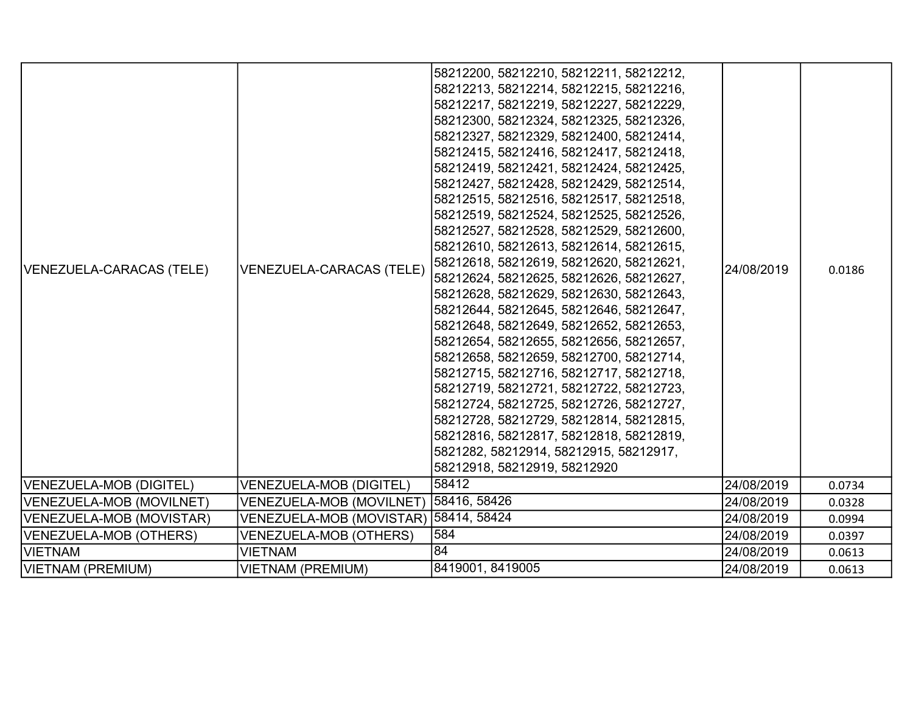| VENEZUELA-CARACAS (TELE)<br> VENEZUELA-MOB (DIGITEL) | <b>VENEZUELA-CARACAS (TELE)</b><br><b>VENEZUELA-MOB (DIGITEL)</b> | 58212200, 58212210, 58212211, 58212212,<br>58212213, 58212214, 58212215, 58212216,<br>58212217, 58212219, 58212227, 58212229,<br>58212300, 58212324, 58212325, 58212326,<br>58212327, 58212329, 58212400, 58212414,<br>58212415, 58212416, 58212417, 58212418,<br>58212419, 58212421, 58212424, 58212425,<br>58212427, 58212428, 58212429, 58212514,<br>58212515, 58212516, 58212517, 58212518,<br> 58212519, 58212524, 58212525, 58212526,<br>58212527, 58212528, 58212529, 58212600,<br>58212610, 58212613, 58212614, 58212615,<br>58212618, 58212619, 58212620, 58212621,<br>58212624, 58212625, 58212626, 58212627,<br>58212628, 58212629, 58212630, 58212643,<br>58212644, 58212645, 58212646, 58212647,<br>58212648, 58212649, 58212652, 58212653,<br>58212654, 58212655, 58212656, 58212657,<br>58212658, 58212659, 58212700, 58212714,<br>58212715, 58212716, 58212717, 58212718,<br>58212719, 58212721, 58212722, 58212723,<br>58212724, 58212725, 58212726, 58212727,<br> 58212728, 58212729, 58212814, 58212815,<br>58212816, 58212817, 58212818, 58212819,<br>5821282, 58212914, 58212915, 58212917,<br>58212918, 58212919, 58212920<br>58412 | 24/08/2019<br>24/08/2019 | 0.0186<br>0.0734 |
|------------------------------------------------------|-------------------------------------------------------------------|-----------------------------------------------------------------------------------------------------------------------------------------------------------------------------------------------------------------------------------------------------------------------------------------------------------------------------------------------------------------------------------------------------------------------------------------------------------------------------------------------------------------------------------------------------------------------------------------------------------------------------------------------------------------------------------------------------------------------------------------------------------------------------------------------------------------------------------------------------------------------------------------------------------------------------------------------------------------------------------------------------------------------------------------------------------------------------------------------------------------------------------------------------------|--------------------------|------------------|
| VENEZUELA-MOB (MOVILNET)                             | <b>VENEZUELA-MOB (MOVILNET)</b>                                   | 58416, 58426                                                                                                                                                                                                                                                                                                                                                                                                                                                                                                                                                                                                                                                                                                                                                                                                                                                                                                                                                                                                                                                                                                                                              | 24/08/2019               | 0.0328           |
| VENEZUELA-MOB (MOVISTAR)                             | VENEZUELA-MOB (MOVISTAR) 58414, 58424                             |                                                                                                                                                                                                                                                                                                                                                                                                                                                                                                                                                                                                                                                                                                                                                                                                                                                                                                                                                                                                                                                                                                                                                           | 24/08/2019               | 0.0994           |
|                                                      |                                                                   | 584                                                                                                                                                                                                                                                                                                                                                                                                                                                                                                                                                                                                                                                                                                                                                                                                                                                                                                                                                                                                                                                                                                                                                       |                          |                  |
| VENEZUELA-MOB (OTHERS)                               | <b>VENEZUELA-MOB (OTHERS)</b>                                     |                                                                                                                                                                                                                                                                                                                                                                                                                                                                                                                                                                                                                                                                                                                                                                                                                                                                                                                                                                                                                                                                                                                                                           | 24/08/2019               | 0.0397           |
| <b>VIETNAM</b>                                       | <b>VIETNAM</b>                                                    | 84                                                                                                                                                                                                                                                                                                                                                                                                                                                                                                                                                                                                                                                                                                                                                                                                                                                                                                                                                                                                                                                                                                                                                        | 24/08/2019               | 0.0613           |
| VIETNAM (PREMIUM)                                    | <b>VIETNAM (PREMIUM)</b>                                          | 8419001, 8419005                                                                                                                                                                                                                                                                                                                                                                                                                                                                                                                                                                                                                                                                                                                                                                                                                                                                                                                                                                                                                                                                                                                                          | 24/08/2019               | 0.0613           |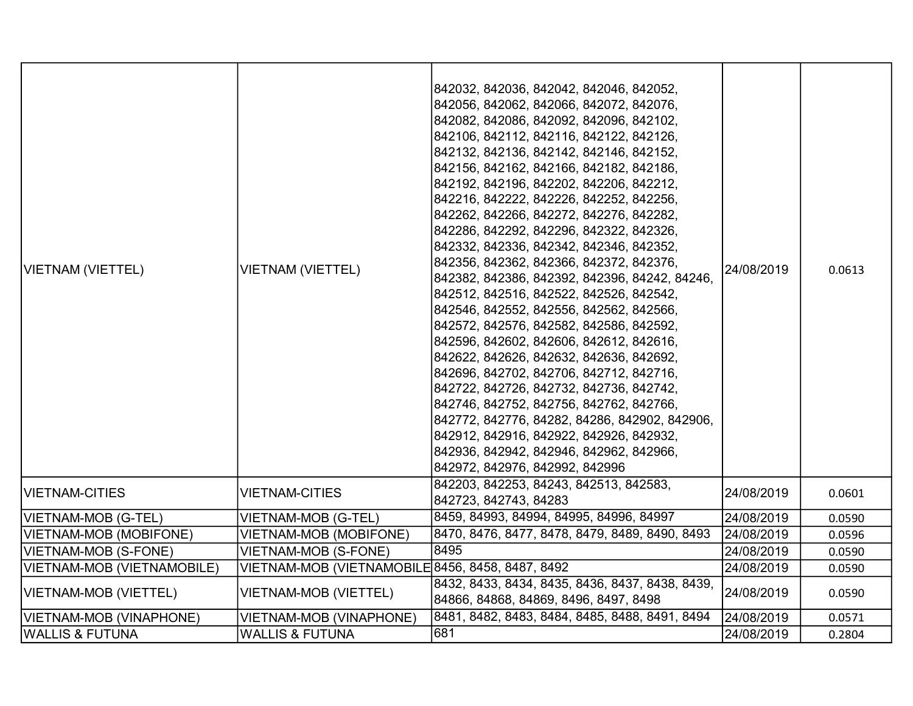| VIETNAM (VIETTEL)          | <b>VIETNAM (VIETTEL)</b>                         | 842032, 842036, 842042, 842046, 842052,<br>842056, 842062, 842066, 842072, 842076,<br>842082, 842086, 842092, 842096, 842102,<br>842106, 842112, 842116, 842122, 842126,<br>842132, 842136, 842142, 842146, 842152,<br>842156, 842162, 842166, 842182, 842186,<br>842192, 842196, 842202, 842206, 842212,<br>842216, 842222, 842226, 842252, 842256,<br>842262, 842266, 842272, 842276, 842282,<br>842286, 842292, 842296, 842322, 842326,<br>842332, 842336, 842342, 842346, 842352,<br>842356, 842362, 842366, 842372, 842376,<br>842382, 842386, 842392, 842396, 84242, 84246,<br>842512, 842516, 842522, 842526, 842542,<br>842546, 842552, 842556, 842562, 842566,<br>842572, 842576, 842582, 842586, 842592,<br>842596, 842602, 842606, 842612, 842616,<br>842622, 842626, 842632, 842636, 842692,<br>842696, 842702, 842706, 842712, 842716,<br>842722, 842726, 842732, 842736, 842742,<br>842746, 842752, 842756, 842762, 842766,<br>842772, 842776, 84282, 84286, 842902, 842906,<br>842912, 842916, 842922, 842926, 842932,<br>842936, 842942, 842946, 842962, 842966,<br>842972, 842976, 842992, 842996 | 24/08/2019 | 0.0613 |
|----------------------------|--------------------------------------------------|--------------------------------------------------------------------------------------------------------------------------------------------------------------------------------------------------------------------------------------------------------------------------------------------------------------------------------------------------------------------------------------------------------------------------------------------------------------------------------------------------------------------------------------------------------------------------------------------------------------------------------------------------------------------------------------------------------------------------------------------------------------------------------------------------------------------------------------------------------------------------------------------------------------------------------------------------------------------------------------------------------------------------------------------------------------------------------------------------------------------|------------|--------|
| <b>VIETNAM-CITIES</b>      | <b>VIETNAM-CITIES</b>                            | 842203, 842253, 84243, 842513, 842583,<br>842723, 842743, 84283                                                                                                                                                                                                                                                                                                                                                                                                                                                                                                                                                                                                                                                                                                                                                                                                                                                                                                                                                                                                                                                    | 24/08/2019 | 0.0601 |
| VIETNAM-MOB (G-TEL)        | VIETNAM-MOB (G-TEL)                              | 8459, 84993, 84994, 84995, 84996, 84997                                                                                                                                                                                                                                                                                                                                                                                                                                                                                                                                                                                                                                                                                                                                                                                                                                                                                                                                                                                                                                                                            | 24/08/2019 | 0.0590 |
| VIETNAM-MOB (MOBIFONE)     | VIETNAM-MOB (MOBIFONE)                           | 8470, 8476, 8477, 8478, 8479, 8489, 8490, 8493                                                                                                                                                                                                                                                                                                                                                                                                                                                                                                                                                                                                                                                                                                                                                                                                                                                                                                                                                                                                                                                                     | 24/08/2019 | 0.0596 |
| VIETNAM-MOB (S-FONE)       | <b>VIETNAM-MOB (S-FONE)</b>                      | 8495                                                                                                                                                                                                                                                                                                                                                                                                                                                                                                                                                                                                                                                                                                                                                                                                                                                                                                                                                                                                                                                                                                               | 24/08/2019 | 0.0590 |
| VIETNAM-MOB (VIETNAMOBILE) | VIETNAM-MOB (VIETNAMOBILE 8456, 8458, 8487, 8492 |                                                                                                                                                                                                                                                                                                                                                                                                                                                                                                                                                                                                                                                                                                                                                                                                                                                                                                                                                                                                                                                                                                                    | 24/08/2019 | 0.0590 |
| VIETNAM-MOB (VIETTEL)      | VIETNAM-MOB (VIETTEL)                            | 8432, 8433, 8434, 8435, 8436, 8437, 8438, 8439,<br>84866, 84868, 84869, 8496, 8497, 8498                                                                                                                                                                                                                                                                                                                                                                                                                                                                                                                                                                                                                                                                                                                                                                                                                                                                                                                                                                                                                           | 24/08/2019 | 0.0590 |
| VIETNAM-MOB (VINAPHONE)    | VIETNAM-MOB (VINAPHONE)                          | 8481, 8482, 8483, 8484, 8485, 8488, 8491, 8494                                                                                                                                                                                                                                                                                                                                                                                                                                                                                                                                                                                                                                                                                                                                                                                                                                                                                                                                                                                                                                                                     | 24/08/2019 | 0.0571 |
| WALLIS & FUTUNA            | <b>WALLIS &amp; FUTUNA</b>                       | 681                                                                                                                                                                                                                                                                                                                                                                                                                                                                                                                                                                                                                                                                                                                                                                                                                                                                                                                                                                                                                                                                                                                | 24/08/2019 | 0.2804 |
|                            |                                                  |                                                                                                                                                                                                                                                                                                                                                                                                                                                                                                                                                                                                                                                                                                                                                                                                                                                                                                                                                                                                                                                                                                                    |            |        |